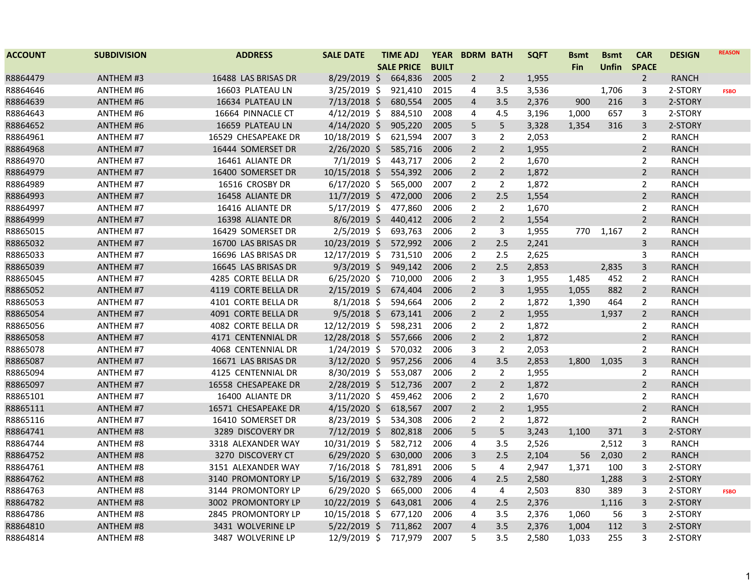| <b>ACCOUNT</b> | <b>SUBDIVISION</b> | <b>ADDRESS</b>      | <b>SALE DATE</b> | <b>TIME ADJ</b>   | <b>YEAR</b>  | <b>BDRM BATH</b> |                | <b>SQFT</b> | <b>Bsmt</b> | <b>Bsmt</b>  | <b>CAR</b>     | <b>DESIGN</b> | <b>REASON</b> |
|----------------|--------------------|---------------------|------------------|-------------------|--------------|------------------|----------------|-------------|-------------|--------------|----------------|---------------|---------------|
|                |                    |                     |                  | <b>SALE PRICE</b> | <b>BUILT</b> |                  |                |             | <b>Fin</b>  | <b>Unfin</b> | <b>SPACE</b>   |               |               |
| R8864479       | <b>ANTHEM #3</b>   | 16488 LAS BRISAS DR | $8/29/2019$ \$   | 664,836           | 2005         | $\overline{2}$   | $\overline{2}$ | 1,955       |             |              | $\overline{2}$ | <b>RANCH</b>  |               |
| R8864646       | ANTHEM #6          | 16603 PLATEAU LN    | $3/25/2019$ \$   | 921,410           | 2015         | 4                | 3.5            | 3,536       |             | 1,706        | 3              | 2-STORY       | <b>FSBO</b>   |
| R8864639       | <b>ANTHEM #6</b>   | 16634 PLATEAU LN    | $7/13/2018$ \$   | 680,554           | 2005         | 4                | 3.5            | 2,376       | 900         | 216          | 3              | 2-STORY       |               |
| R8864643       | <b>ANTHEM #6</b>   | 16664 PINNACLE CT   | $4/12/2019$ \$   | 884,510           | 2008         | 4                | 4.5            | 3,196       | 1,000       | 657          | 3              | 2-STORY       |               |
| R8864652       | <b>ANTHEM #6</b>   | 16659 PLATEAU LN    | $4/14/2020$ \$   | 905,220           | 2005         | 5                | 5              | 3,328       | 1,354       | 316          | 3              | 2-STORY       |               |
| R8864961       | <b>ANTHEM #7</b>   | 16529 CHESAPEAKE DR | 10/18/2019 \$    | 621,594           | 2007         | 3                | 2              | 2,053       |             |              | $\overline{2}$ | RANCH         |               |
| R8864968       | <b>ANTHEM #7</b>   | 16444 SOMERSET DR   | 2/26/2020 \$     | 585,716           | 2006         | $\overline{2}$   | $\overline{2}$ | 1,955       |             |              | $\overline{2}$ | <b>RANCH</b>  |               |
| R8864970       | <b>ANTHEM #7</b>   | 16461 ALIANTE DR    | $7/1/2019$ \$    | 443,717           | 2006         | $\overline{2}$   | $\overline{2}$ | 1,670       |             |              | 2              | <b>RANCH</b>  |               |
| R8864979       | <b>ANTHEM #7</b>   | 16400 SOMERSET DR   | 10/15/2018 \$    | 554,392           | 2006         | $\overline{2}$   | $\overline{2}$ | 1,872       |             |              | $\overline{2}$ | <b>RANCH</b>  |               |
| R8864989       | <b>ANTHEM #7</b>   | 16516 CROSBY DR     | $6/17/2020$ \$   | 565,000           | 2007         | $\overline{2}$   | $\overline{2}$ | 1,872       |             |              | $\overline{2}$ | <b>RANCH</b>  |               |
| R8864993       | <b>ANTHEM #7</b>   | 16458 ALIANTE DR    | $11/7/2019$ \$   | 472,000           | 2006         | $\overline{2}$   | 2.5            | 1,554       |             |              | $\overline{2}$ | <b>RANCH</b>  |               |
| R8864997       | <b>ANTHEM #7</b>   | 16416 ALIANTE DR    | $5/17/2019$ \$   | 477,860           | 2006         | $\overline{2}$   | $\overline{2}$ | 1,670       |             |              | $\overline{2}$ | <b>RANCH</b>  |               |
| R8864999       | <b>ANTHEM #7</b>   | 16398 ALIANTE DR    | $8/6/2019$ \$    | 440,412           | 2006         | $\overline{2}$   | $\overline{2}$ | 1,554       |             |              | $\overline{2}$ | <b>RANCH</b>  |               |
| R8865015       | <b>ANTHEM #7</b>   | 16429 SOMERSET DR   | $2/5/2019$ \$    | 693,763           | 2006         | $\overline{2}$   | 3              | 1,955       | 770         | 1,167        | $\overline{2}$ | <b>RANCH</b>  |               |
| R8865032       | <b>ANTHEM #7</b>   | 16700 LAS BRISAS DR | 10/23/2019 \$    | 572,992           | 2006         | $\overline{2}$   | 2.5            | 2,241       |             |              | 3              | <b>RANCH</b>  |               |
| R8865033       | <b>ANTHEM #7</b>   | 16696 LAS BRISAS DR | 12/17/2019 \$    | 731,510           | 2006         | 2                | 2.5            | 2,625       |             |              | 3              | <b>RANCH</b>  |               |
| R8865039       | <b>ANTHEM #7</b>   | 16645 LAS BRISAS DR | $9/3/2019$ \$    | 949,142           | 2006         | $\overline{2}$   | 2.5            | 2,853       |             | 2,835        | 3              | RANCH         |               |
| R8865045       | <b>ANTHEM #7</b>   | 4285 CORTE BELLA DR | $6/25/2020$ \$   | 710,000           | 2006         | $\overline{2}$   | 3              | 1,955       | 1,485       | 452          | $\overline{2}$ | <b>RANCH</b>  |               |
| R8865052       | <b>ANTHEM #7</b>   | 4119 CORTE BELLA DR | $2/15/2019$ \$   | 674,404           | 2006         | $\overline{2}$   | $\overline{3}$ | 1,955       | 1,055       | 882          | $\overline{2}$ | <b>RANCH</b>  |               |
| R8865053       | <b>ANTHEM #7</b>   | 4101 CORTE BELLA DR | $8/1/2018$ \$    | 594,664           | 2006         | $\overline{2}$   | $\overline{2}$ | 1,872       | 1,390       | 464          | $\overline{2}$ | <b>RANCH</b>  |               |
| R8865054       | <b>ANTHEM #7</b>   | 4091 CORTE BELLA DR | $9/5/2018$ \$    | 673,141           | 2006         | $\overline{2}$   | $\overline{2}$ | 1,955       |             | 1,937        | $\overline{2}$ | <b>RANCH</b>  |               |
| R8865056       | <b>ANTHEM #7</b>   | 4082 CORTE BELLA DR | 12/12/2019 \$    | 598,231           | 2006         | $\overline{2}$   | $\overline{2}$ | 1,872       |             |              | $\overline{2}$ | <b>RANCH</b>  |               |
| R8865058       | <b>ANTHEM #7</b>   | 4171 CENTENNIAL DR  | 12/28/2018 \$    | 557,666           | 2006         | $\overline{2}$   | $\overline{2}$ | 1,872       |             |              | $\overline{2}$ | <b>RANCH</b>  |               |
| R8865078       | <b>ANTHEM #7</b>   | 4068 CENTENNIAL DR  | $1/24/2019$ \$   | 570,032           | 2006         | 3                | $\overline{2}$ | 2,053       |             |              | $\overline{2}$ | RANCH         |               |
| R8865087       | <b>ANTHEM #7</b>   | 16671 LAS BRISAS DR | $3/12/2020$ \$   | 957,256           | 2006         | 4                | 3.5            | 2,853       | 1,800       | 1,035        | 3              | <b>RANCH</b>  |               |
| R8865094       | <b>ANTHEM #7</b>   | 4125 CENTENNIAL DR  | 8/30/2019 \$     | 553,087           | 2006         | $\overline{2}$   | $\overline{2}$ | 1,955       |             |              | $\overline{2}$ | <b>RANCH</b>  |               |
| R8865097       | <b>ANTHEM #7</b>   | 16558 CHESAPEAKE DR | 2/28/2019 \$     | 512,736           | 2007         | $\overline{2}$   | $\overline{2}$ | 1,872       |             |              | $\overline{2}$ | <b>RANCH</b>  |               |
| R8865101       | <b>ANTHEM #7</b>   | 16400 ALIANTE DR    | 3/11/2020 \$     | 459,462           | 2006         | $\overline{2}$   | $\overline{2}$ | 1,670       |             |              | $\overline{2}$ | <b>RANCH</b>  |               |
| R8865111       | <b>ANTHEM #7</b>   | 16571 CHESAPEAKE DR | $4/15/2020$ \$   | 618,567           | 2007         | $\overline{2}$   | $\overline{2}$ | 1,955       |             |              | $\overline{2}$ | <b>RANCH</b>  |               |
| R8865116       | <b>ANTHEM #7</b>   | 16410 SOMERSET DR   | 8/23/2019 \$     | 534,308           | 2006         | $\overline{2}$   | $\overline{2}$ | 1,872       |             |              | $\overline{2}$ | <b>RANCH</b>  |               |
| R8864741       | <b>ANTHEM #8</b>   | 3289 DISCOVERY DR   | $7/12/2019$ \$   | 802,818           | 2006         | 5                | 5              | 3,243       | 1,100       | 371          | 3              | 2-STORY       |               |
| R8864744       | <b>ANTHEM #8</b>   | 3318 ALEXANDER WAY  | 10/31/2019 \$    | 582,712           | 2006         | 4                | 3.5            | 2,526       |             | 2,512        | 3              | RANCH         |               |
| R8864752       | <b>ANTHEM #8</b>   | 3270 DISCOVERY CT   | $6/29/2020$ \$   | 630,000           | 2006         | 3                | 2.5            | 2,104       | 56          | 2,030        | $\overline{2}$ | <b>RANCH</b>  |               |
| R8864761       | ANTHEM #8          | 3151 ALEXANDER WAY  | 7/16/2018 \$     | 781,891           | 2006         | 5                | 4              | 2,947       | 1,371       | 100          | 3              | 2-STORY       |               |
| R8864762       | <b>ANTHEM #8</b>   | 3140 PROMONTORY LP  | $5/16/2019$ \$   | 632,789           | 2006         | $\overline{4}$   | 2.5            | 2,580       |             | 1,288        | 3              | 2-STORY       |               |
| R8864763       | <b>ANTHEM #8</b>   | 3144 PROMONTORY LP  | $6/29/2020$ \$   | 665,000           | 2006         | 4                | 4              | 2,503       | 830         | 389          | 3              | 2-STORY       | <b>FSBO</b>   |
| R8864782       | <b>ANTHEM #8</b>   | 3002 PROMONTORY LP  | 10/22/2019 \$    | 643,081           | 2006         | 4                | 2.5            | 2,376       |             | 1,116        | 3              | 2-STORY       |               |
| R8864786       | <b>ANTHEM #8</b>   | 2845 PROMONTORY LP  | 10/15/2018 \$    | 677,120           | 2006         | 4                | 3.5            | 2,376       | 1,060       | 56           | 3              | 2-STORY       |               |
| R8864810       | <b>ANTHEM #8</b>   | 3431 WOLVERINE LP   | $5/22/2019$ \$   | 711,862           | 2007         | $\sqrt{4}$       | 3.5            | 2,376       | 1,004       | 112          | $\mathsf{3}$   | 2-STORY       |               |
| R8864814       | <b>ANTHEM #8</b>   | 3487 WOLVERINE LP   | 12/9/2019 \$     | 717,979           | 2007         | 5                | 3.5            | 2,580       | 1,033       | 255          | 3              | 2-STORY       |               |
|                |                    |                     |                  |                   |              |                  |                |             |             |              |                |               |               |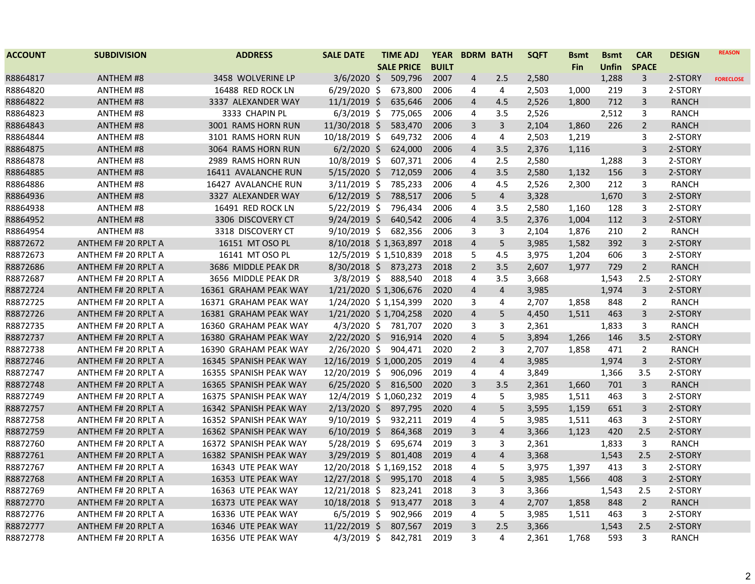| <b>ACCOUNT</b> | <b>SUBDIVISION</b>         | <b>ADDRESS</b>         | <b>SALE DATE</b>       | <b>TIME ADJ</b>   |              | YEAR BDRM BATH |                | <b>SQFT</b> | <b>Bsmt</b> | <b>Bsmt</b> | <b>CAR</b>     | <b>DESIGN</b> | <b>REASON</b>    |
|----------------|----------------------------|------------------------|------------------------|-------------------|--------------|----------------|----------------|-------------|-------------|-------------|----------------|---------------|------------------|
|                |                            |                        |                        | <b>SALE PRICE</b> | <b>BUILT</b> |                |                |             | <b>Fin</b>  | Unfin       | <b>SPACE</b>   |               |                  |
| R8864817       | <b>ANTHEM #8</b>           | 3458 WOLVERINE LP      | $3/6/2020$ \$          | 509,796           | 2007         | 4              | 2.5            | 2,580       |             | 1,288       | 3              | 2-STORY       | <b>FORECLOSE</b> |
| R8864820       | ANTHEM #8                  | 16488 RED ROCK LN      | $6/29/2020$ \$         | 673,800           | 2006         | 4              | 4              | 2,503       | 1,000       | 219         | 3              | 2-STORY       |                  |
| R8864822       | <b>ANTHEM #8</b>           | 3337 ALEXANDER WAY     | $11/1/2019$ \$         | 635,646           | 2006         | $\overline{4}$ | 4.5            | 2,526       | 1,800       | 712         | 3              | <b>RANCH</b>  |                  |
| R8864823       | ANTHEM #8                  | 3333 CHAPIN PL         | $6/3/2019$ \$          | 775,065           | 2006         | 4              | 3.5            | 2,526       |             | 2,512       | 3              | <b>RANCH</b>  |                  |
| R8864843       | <b>ANTHEM #8</b>           | 3001 RAMS HORN RUN     | 11/30/2018 \$          | 583,470           | 2006         | 3              | $\mathbf{3}$   | 2,104       | 1,860       | 226         | $\overline{2}$ | <b>RANCH</b>  |                  |
| R8864844       | ANTHEM #8                  | 3101 RAMS HORN RUN     | 10/18/2019 \$          | 649,732           | 2006         | 4              | 4              | 2,503       | 1,219       |             | 3              | 2-STORY       |                  |
| R8864875       | <b>ANTHEM #8</b>           | 3064 RAMS HORN RUN     | $6/2/2020$ \$          | 624,000           | 2006         | 4              | 3.5            | 2,376       | 1,116       |             | 3              | 2-STORY       |                  |
| R8864878       | ANTHEM #8                  | 2989 RAMS HORN RUN     | 10/8/2019 \$           | 607,371           | 2006         | 4              | 2.5            | 2,580       |             | 1,288       | 3              | 2-STORY       |                  |
| R8864885       | <b>ANTHEM #8</b>           | 16411 AVALANCHE RUN    | $5/15/2020$ \$         | 712,059           | 2006         | 4              | 3.5            | 2,580       | 1,132       | 156         | 3              | 2-STORY       |                  |
| R8864886       | ANTHEM #8                  | 16427 AVALANCHE RUN    | $3/11/2019$ \$         | 785,233           | 2006         | 4              | 4.5            | 2,526       | 2.300       | 212         | 3              | <b>RANCH</b>  |                  |
| R8864936       | <b>ANTHEM #8</b>           | 3327 ALEXANDER WAY     | $6/12/2019$ \$         | 788,517           | 2006         | 5              | $\overline{4}$ | 3,328       |             | 1,670       | 3              | 2-STORY       |                  |
| R8864938       | ANTHEM #8                  | 16491 RED ROCK LN      | $5/22/2019$ \$         | 796,434           | 2006         | 4              | 3.5            | 2,580       | 1,160       | 128         | 3              | 2-STORY       |                  |
| R8864952       | <b>ANTHEM #8</b>           | 3306 DISCOVERY CT      | $9/24/2019$ \$         | 640,542           | 2006         | $\overline{4}$ | 3.5            | 2,376       | 1,004       | 112         | $\overline{3}$ | 2-STORY       |                  |
| R8864954       | ANTHEM #8                  | 3318 DISCOVERY CT      | $9/10/2019$ \$         | 682,356           | 2006         | 3              | 3              | 2,104       | 1,876       | 210         | 2              | <b>RANCH</b>  |                  |
| R8872672       | ANTHEM F# 20 RPLT A        | 16151 MT OSO PL        | 8/10/2018 \$1,363,897  |                   | 2018         | 4              | 5              | 3,985       | 1,582       | 392         | 3              | 2-STORY       |                  |
| R8872673       | ANTHEM F# 20 RPLT A        | 16141 MT OSO PL        | 12/5/2019 \$1,510,839  |                   | 2018         | 5              | 4.5            | 3,975       | 1,204       | 606         | 3              | 2-STORY       |                  |
| R8872686       | ANTHEM F# 20 RPLT A        | 3686 MIDDLE PEAK DR    | 8/30/2018 \$ 873,273   |                   | 2018         | $\overline{2}$ | 3.5            | 2,607       | 1,977       | 729         | $\overline{2}$ | <b>RANCH</b>  |                  |
| R8872687       | ANTHEM F# 20 RPLT A        | 3656 MIDDLE PEAK DR    | $3/8/2019$ \$          | 888,540           | 2018         | 4              | 3.5            | 3,668       |             | 1,543       | 2.5            | 2-STORY       |                  |
| R8872724       | ANTHEM F# 20 RPLT A        | 16361 GRAHAM PEAK WAY  | 1/21/2020 \$1,306,676  |                   | 2020         | $\overline{4}$ | $\overline{4}$ | 3,985       |             | 1,974       | $\mathbf{3}$   | 2-STORY       |                  |
| R8872725       | ANTHEM F# 20 RPLT A        | 16371 GRAHAM PEAK WAY  | 1/24/2020 \$1,154,399  |                   | 2020         | 3              | $\overline{4}$ | 2,707       | 1,858       | 848         | $\overline{2}$ | <b>RANCH</b>  |                  |
| R8872726       | ANTHEM F# 20 RPLT A        | 16381 GRAHAM PEAK WAY  | 1/21/2020 \$1,704,258  |                   | 2020         | $\overline{4}$ | 5              | 4,450       | 1,511       | 463         | $\overline{3}$ | 2-STORY       |                  |
| R8872735       | ANTHEM F# 20 RPLT A        | 16360 GRAHAM PEAK WAY  | 4/3/2020 \$ 781,707    |                   | 2020         | 3              | 3              | 2,361       |             | 1,833       | 3              | <b>RANCH</b>  |                  |
| R8872737       | ANTHEM F# 20 RPLT A        | 16380 GRAHAM PEAK WAY  | $2/22/2020$ \$         | 916,914           | 2020         | 4              | 5              | 3,894       | 1,266       | 146         | 3.5            | 2-STORY       |                  |
| R8872738       | ANTHEM F# 20 RPLT A        | 16390 GRAHAM PEAK WAY  | 2/26/2020 \$ 904,471   |                   | 2020         | $\overline{2}$ | 3              | 2,707       | 1,858       | 471         | $\overline{2}$ | <b>RANCH</b>  |                  |
| R8872746       | <b>ANTHEM F# 20 RPLT A</b> | 16345 SPANISH PEAK WAY | 12/16/2019 \$1,000,205 |                   | 2019         | $\overline{4}$ | $\overline{4}$ | 3,985       |             | 1,974       | 3              | 2-STORY       |                  |
| R8872747       | ANTHEM F# 20 RPLT A        | 16355 SPANISH PEAK WAY | 12/20/2019 \$          | 906,096           | 2019         | 4              | 4              | 3,849       |             | 1,366       | 3.5            | 2-STORY       |                  |
| R8872748       | ANTHEM F# 20 RPLT A        | 16365 SPANISH PEAK WAY | $6/25/2020$ \$         | 816,500           | 2020         | 3              | 3.5            | 2,361       | 1,660       | 701         | $\overline{3}$ | <b>RANCH</b>  |                  |
| R8872749       | ANTHEM F# 20 RPLT A        | 16375 SPANISH PEAK WAY | 12/4/2019 \$1,060,232  |                   | 2019         | 4              | 5              | 3,985       | 1,511       | 463         | 3              | 2-STORY       |                  |
| R8872757       | ANTHEM F# 20 RPLT A        | 16342 SPANISH PEAK WAY | $2/13/2020$ \$         | 897,795           | 2020         | 4              | 5              | 3,595       | 1,159       | 651         | 3              | 2-STORY       |                  |
| R8872758       | ANTHEM F# 20 RPLT A        | 16352 SPANISH PEAK WAY | $9/10/2019$ \$         | 932,211           | 2019         | 4              | 5              | 3,985       | 1,511       | 463         | 3              | 2-STORY       |                  |
| R8872759       | ANTHEM F# 20 RPLT A        | 16362 SPANISH PEAK WAY | $6/10/2019$ \$         | 864,368           | 2019         | 3              | $\overline{4}$ | 3,366       | 1,123       | 420         | 2.5            | 2-STORY       |                  |
| R8872760       | ANTHEM F# 20 RPLT A        | 16372 SPANISH PEAK WAY | $5/28/2019$ \$         | 695,674           | 2019         | 3              | 3              | 2,361       |             | 1,833       | 3              | <b>RANCH</b>  |                  |
| R8872761       | ANTHEM F# 20 RPLT A        | 16382 SPANISH PEAK WAY | $3/29/2019$ \$         | 801,408           | 2019         | $\overline{4}$ | $\overline{4}$ | 3,368       |             | 1,543       | 2.5            | 2-STORY       |                  |
| R8872767       | ANTHEM F# 20 RPLT A        | 16343 UTE PEAK WAY     | 12/20/2018 \$1,169,152 |                   | 2018         | 4              | 5              | 3,975       | 1,397       | 413         | 3              | 2-STORY       |                  |
| R8872768       | ANTHEM F# 20 RPLT A        | 16353 UTE PEAK WAY     | 12/27/2018 \$ 995,170  |                   | 2018         | $\overline{4}$ | 5              | 3,985       | 1.566       | 408         | $\overline{3}$ | 2-STORY       |                  |
| R8872769       | ANTHEM F# 20 RPLT A        | 16363 UTE PEAK WAY     | 12/21/2018 \$          | 823,241           | 2018         | 3              | 3              | 3,366       |             | 1,543       | 2.5            | 2-STORY       |                  |
| R8872770       | ANTHEM F# 20 RPLT A        | 16373 UTE PEAK WAY     | $10/18/2018$ \$        | 913,477           | 2018         | 3              | $\overline{4}$ | 2,707       | 1,858       | 848         | $\overline{2}$ | <b>RANCH</b>  |                  |
| R8872776       | ANTHEM F# 20 RPLT A        | 16336 UTE PEAK WAY     | $6/5/2019$ \$          | 902,966           | 2019         | 4              | 5              | 3,985       | 1,511       | 463         | 3              | 2-STORY       |                  |
| R8872777       | <b>ANTHEM F# 20 RPLT A</b> | 16346 UTE PEAK WAY     | $11/22/2019$ \$        | 807,567           | 2019         | 3              | 2.5            | 3,366       |             | 1,543       | 2.5            | 2-STORY       |                  |
| R8872778       | ANTHEM F# 20 RPLT A        | 16356 UTE PEAK WAY     | 4/3/2019 \$            | 842,781           | 2019         | 3              | $\overline{4}$ | 2,361       | 1,768       | 593         | 3              | <b>RANCH</b>  |                  |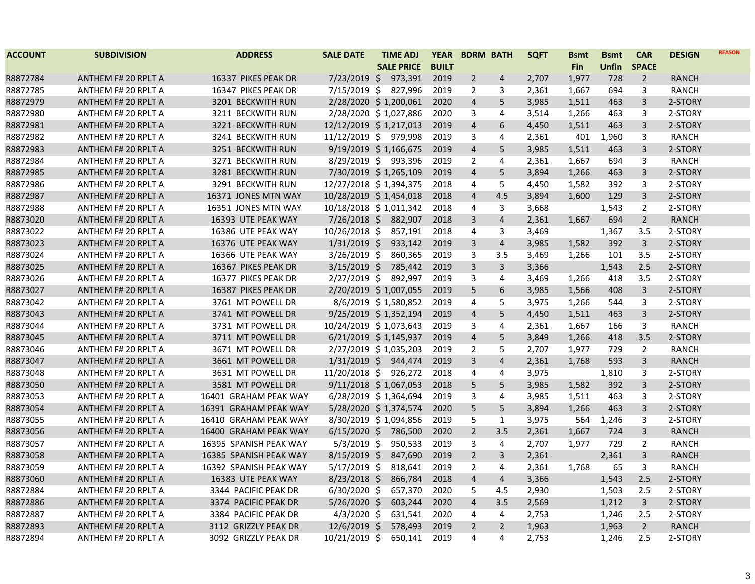| <b>ACCOUNT</b> | <b>SUBDIVISION</b>         | <b>ADDRESS</b>         | <b>SALE DATE</b>       | <b>TIME ADJ</b>            | <b>YEAR</b>  | <b>BDRM BATH</b> |                | <b>SQFT</b><br>Bsmt | <b>Bsmt</b>  | <b>CAR</b>     | <b>DESIGN</b> | <b>REASON</b> |
|----------------|----------------------------|------------------------|------------------------|----------------------------|--------------|------------------|----------------|---------------------|--------------|----------------|---------------|---------------|
|                |                            |                        |                        | <b>SALE PRICE</b>          | <b>BUILT</b> |                  |                | <b>Fin</b>          | <b>Unfin</b> | <b>SPACE</b>   |               |               |
| R8872784       | <b>ANTHEM F# 20 RPLT A</b> | 16337 PIKES PEAK DR    | $7/23/2019$ \$         | 973,391                    | 2019         | $\overline{2}$   | $\overline{4}$ | 2,707<br>1,977      | 728          | $\overline{2}$ | <b>RANCH</b>  |               |
| R8872785       | ANTHEM F# 20 RPLT A        | 16347 PIKES PEAK DR    | $7/15/2019$ \$         | 827,996                    | 2019         | 2                | 3              | 2,361<br>1,667      | 694          | 3              | <b>RANCH</b>  |               |
| R8872979       | <b>ANTHEM F# 20 RPLT A</b> | 3201 BECKWITH RUN      |                        | 2/28/2020 \$1,200,061      | 2020         | $\overline{4}$   | 5              | 3,985<br>1,511      | 463          | 3              | 2-STORY       |               |
| R8872980       | ANTHEM F# 20 RPLT A        | 3211 BECKWITH RUN      |                        | 2/28/2020 \$1,027,886      | 2020         | 3                | 4              | 3,514<br>1,266      | 463          | 3              | 2-STORY       |               |
| R8872981       | ANTHEM F# 20 RPLT A        | 3221 BECKWITH RUN      | 12/12/2019 \$1,217,013 |                            | 2019         | $\overline{4}$   | 6              | 4,450<br>1,511      | 463          | 3              | 2-STORY       |               |
| R8872982       | ANTHEM F# 20 RPLT A        | 3241 BECKWITH RUN      | 11/12/2019 \$ 979,998  |                            | 2019         | 3                | 4              | 2,361<br>401        | 1,960        | 3              | RANCH         |               |
| R8872983       | <b>ANTHEM F# 20 RPLT A</b> | 3251 BECKWITH RUN      |                        | $9/19/2019 \div 1,166,675$ | 2019         | $\overline{4}$   | 5              | 3,985<br>1,511      | 463          | 3              | 2-STORY       |               |
| R8872984       | ANTHEM F# 20 RPLT A        | 3271 BECKWITH RUN      |                        | 8/29/2019 \$ 993,396       | 2019         | 2                | 4              | 2,361<br>1,667      | 694          | 3              | RANCH         |               |
| R8872985       | ANTHEM F# 20 RPLT A        | 3281 BECKWITH RUN      |                        | 7/30/2019 \$1,265,109      | 2019         | $\overline{4}$   | 5              | 3,894<br>1,266      | 463          | 3              | 2-STORY       |               |
| R8872986       | ANTHEM F# 20 RPLT A        | 3291 BECKWITH RUN      | 12/27/2018 \$1,394,375 |                            | 2018         | 4                | 5              | 4,450<br>1,582      | 392          | 3              | 2-STORY       |               |
| R8872987       | <b>ANTHEM F# 20 RPLT A</b> | 16371 JONES MTN WAY    | 10/28/2019 \$1,454,018 |                            | 2018         | $\overline{4}$   | 4.5            | 3,894<br>1,600      | 129          | 3              | 2-STORY       |               |
| R8872988       | ANTHEM F# 20 RPLT A        | 16351 JONES MTN WAY    | 10/18/2018 \$1,011,342 |                            | 2018         | 4                | 3              | 3,668               | 1,543        | $\overline{2}$ | 2-STORY       |               |
| R8873020       | <b>ANTHEM F# 20 RPLT A</b> | 16393 UTE PEAK WAY     | $7/26/2018$ \$         | 882,907                    | 2018         | $\overline{3}$   | $\overline{4}$ | 2,361<br>1,667      | 694          | $2^{\circ}$    | <b>RANCH</b>  |               |
| R8873022       | ANTHEM F# 20 RPLT A        | 16386 UTE PEAK WAY     | 10/26/2018 \$          | 857,191                    | 2018         | 4                | 3              | 3,469               | 1,367        | 3.5            | 2-STORY       |               |
| R8873023       | ANTHEM F# 20 RPLT A        | 16376 UTE PEAK WAY     | $1/31/2019$ \$         | 933,142                    | 2019         | 3                | 4              | 3,985<br>1,582      | 392          | 3              | 2-STORY       |               |
| R8873024       | ANTHEM F# 20 RPLT A        | 16366 UTE PEAK WAY     | $3/26/2019$ \$         | 860,365                    | 2019         | 3                | 3.5            | 3,469<br>1,266      | 101          | 3.5            | 2-STORY       |               |
| R8873025       | ANTHEM F# 20 RPLT A        | 16367 PIKES PEAK DR    |                        | 3/15/2019 \$ 785,442       | 2019         | $\overline{3}$   | 3              | 3,366               | 1,543        | 2.5            | 2-STORY       |               |
| R8873026       | ANTHEM F# 20 RPLT A        | 16377 PIKES PEAK DR    | $2/27/2019$ \$         | 892,997                    | 2019         | 3                | 4              | 3,469<br>1,266      | 418          | 3.5            | 2-STORY       |               |
| R8873027       | ANTHEM F# 20 RPLT A        | 16387 PIKES PEAK DR    |                        | 2/20/2019 \$1,007,055      | 2019         | 5                | 6              | 3,985<br>1,566      | 408          | $\mathbf{3}$   | 2-STORY       |               |
| R8873042       | ANTHEM F# 20 RPLT A        | 3761 MT POWELL DR      |                        | 8/6/2019 \$1,580,852       | 2019         | 4                | 5              | 3,975<br>1,266      | 544          | 3              | 2-STORY       |               |
| R8873043       | ANTHEM F# 20 RPLT A        | 3741 MT POWELL DR      |                        | 9/25/2019 \$1,352,194      | 2019         | $\overline{4}$   | 5              | 1,511<br>4,450      | 463          | 3              | 2-STORY       |               |
| R8873044       | ANTHEM F# 20 RPLT A        | 3731 MT POWELL DR      | 10/24/2019 \$1,073,643 |                            | 2019         | 3                | 4              | 2,361<br>1,667      | 166          | 3              | RANCH         |               |
| R8873045       | ANTHEM F# 20 RPLT A        | 3711 MT POWELL DR      |                        | 6/21/2019 \$1,145,937      | 2019         | $\overline{4}$   | 5              | 3,849<br>1,266      | 418          | 3.5            | 2-STORY       |               |
| R8873046       | ANTHEM F# 20 RPLT A        | 3671 MT POWELL DR      |                        | 2/27/2019 \$1,035,203      | 2019         | 2                | 5              | 2,707<br>1,977      | 729          | $\overline{2}$ | <b>RANCH</b>  |               |
| R8873047       | ANTHEM F# 20 RPLT A        | 3661 MT POWELL DR      |                        | 1/31/2019 \$ 944,474       | 2019         | 3                | 4              | 2,361<br>1,768      | 593          | 3              | RANCH         |               |
| R8873048       | ANTHEM F# 20 RPLT A        | 3631 MT POWELL DR      | 11/20/2018 \$          | 926,272                    | 2018         | 4                | 4              | 3,975               | 1,810        | 3              | 2-STORY       |               |
| R8873050       | ANTHEM F# 20 RPLT A        | 3581 MT POWELL DR      |                        | 9/11/2018 \$1,067,053      | 2018         | 5                | 5              | 3,985<br>1,582      | 392          | $\overline{3}$ | 2-STORY       |               |
| R8873053       | ANTHEM F# 20 RPLT A        | 16401 GRAHAM PEAK WAY  |                        | 6/28/2019 \$1,364,694      | 2019         | 3                | 4              | 3,985<br>1,511      | 463          | 3              | 2-STORY       |               |
| R8873054       | ANTHEM F# 20 RPLT A        | 16391 GRAHAM PEAK WAY  |                        | 5/28/2020 \$1,374,574      | 2020         | 5                | 5              | 3,894<br>1,266      | 463          | 3              | 2-STORY       |               |
| R8873055       | ANTHEM F# 20 RPLT A        | 16410 GRAHAM PEAK WAY  |                        | 8/30/2019 \$1,094,856      | 2019         | 5                | $\mathbf{1}$   | 3,975<br>564        | 1,246        | 3              | 2-STORY       |               |
| R8873056       | <b>ANTHEM F# 20 RPLT A</b> | 16400 GRAHAM PEAK WAY  | $6/15/2020$ \$         | 786,500                    | 2020         | $\overline{2}$   | 3.5            | 2,361<br>1,667      | 724          | 3              | <b>RANCH</b>  |               |
| R8873057       | ANTHEM F# 20 RPLT A        | 16395 SPANISH PEAK WAY | $5/3/2019$ \$          | 950,533                    | 2019         | 3                | 4              | 2,707<br>1,977      | 729          | $\overline{2}$ | RANCH         |               |
| R8873058       | ANTHEM F# 20 RPLT A        | 16385 SPANISH PEAK WAY | $8/15/2019$ \$         | 847,690                    | 2019         | $\overline{2}$   | 3              | 2,361               | 2,361        | 3              | <b>RANCH</b>  |               |
| R8873059       | ANTHEM F# 20 RPLT A        | 16392 SPANISH PEAK WAY | $5/17/2019$ \$         | 818,641                    | 2019         | 2                | 4              | 2,361<br>1,768      | 65           | 3              | <b>RANCH</b>  |               |
| R8873060       | <b>ANTHEM F# 20 RPLT A</b> | 16383 UTE PEAK WAY     | $8/23/2018$ \$         | 866,784                    | 2018         | $\overline{4}$   | $\overline{4}$ | 3,366               | 1,543        | 2.5            | 2-STORY       |               |
| R8872884       | ANTHEM F# 20 RPLT A        | 3344 PACIFIC PEAK DR   | $6/30/2020$ \$         | 657,370                    | 2020         | 5                | 4.5            | 2,930               | 1,503        | 2.5            | 2-STORY       |               |
| R8872886       | <b>ANTHEM F# 20 RPLT A</b> | 3374 PACIFIC PEAK DR   | $5/26/2020$ \$         | 603,244                    | 2020         | $\overline{4}$   | 3.5            | 2,569               | 1,212        | $\mathbf{3}$   | 2-STORY       |               |
| R8872887       | ANTHEM F# 20 RPLT A        | 3384 PACIFIC PEAK DR   | $4/3/2020$ \$          | 631,541                    | 2020         | 4                | $\overline{4}$ | 2,753               | 1,246        | 2.5            | 2-STORY       |               |
| R8872893       | <b>ANTHEM F# 20 RPLT A</b> | 3112 GRIZZLY PEAK DR   | $12/6/2019$ \$         | 578,493                    | 2019         | $\overline{2}$   | $\overline{2}$ | 1,963               | 1,963        | $\overline{2}$ | <b>RANCH</b>  |               |
| R8872894       | ANTHEM F# 20 RPLT A        | 3092 GRIZZLY PEAK DR   | 10/21/2019 \$          | 650,141                    | 2019         | 4                | 4              | 2,753               | 1,246        | 2.5            | 2-STORY       |               |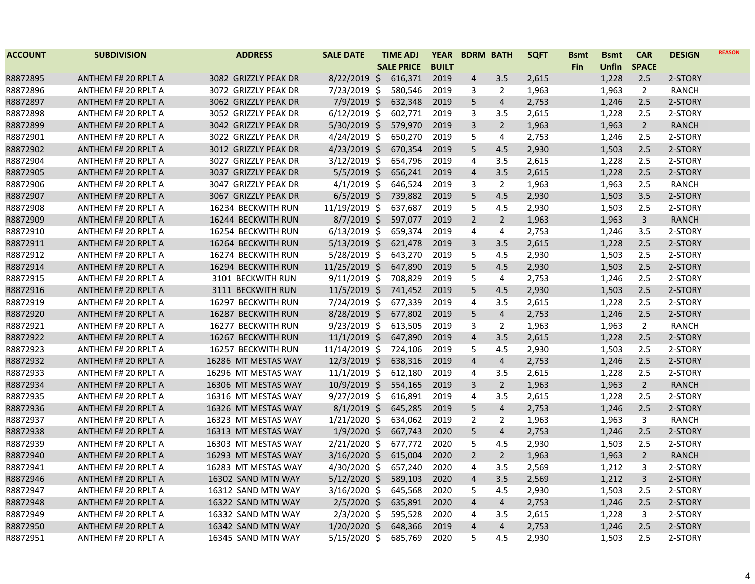| <b>ACCOUNT</b> | <b>SUBDIVISION</b>         | <b>ADDRESS</b>       | <b>SALE DATE</b> | <b>TIME ADJ</b>   | <b>YEAR</b>  | <b>BDRM BATH</b>        |                | <b>SQFT</b> | <b>Bsmt</b> | <b>Bsmt</b> | <b>CAR</b>     | <b>DESIGN</b> | <b>REASON</b> |
|----------------|----------------------------|----------------------|------------------|-------------------|--------------|-------------------------|----------------|-------------|-------------|-------------|----------------|---------------|---------------|
|                |                            |                      |                  | <b>SALE PRICE</b> | <b>BUILT</b> |                         |                |             | <b>Fin</b>  | Unfin       | <b>SPACE</b>   |               |               |
| R8872895       | <b>ANTHEM F# 20 RPLT A</b> | 3082 GRIZZLY PEAK DR | $8/22/2019$ \$   | 616,371           | 2019         | 4                       | 3.5            | 2,615       |             | 1,228       | 2.5            | 2-STORY       |               |
| R8872896       | ANTHEM F# 20 RPLT A        | 3072 GRIZZLY PEAK DR | 7/23/2019 \$     | 580,546           | 2019         | 3                       | 2              | 1,963       |             | 1,963       | $\overline{2}$ | RANCH         |               |
| R8872897       | <b>ANTHEM F# 20 RPLT A</b> | 3062 GRIZZLY PEAK DR | 7/9/2019 \$      | 632,348           | 2019         | 5                       | $\overline{4}$ | 2,753       |             | 1,246       | 2.5            | 2-STORY       |               |
| R8872898       | ANTHEM F# 20 RPLT A        | 3052 GRIZZLY PEAK DR | $6/12/2019$ \$   | 602,771           | 2019         | 3                       | 3.5            | 2,615       |             | 1,228       | 2.5            | 2-STORY       |               |
| R8872899       | ANTHEM F# 20 RPLT A        | 3042 GRIZZLY PEAK DR | 5/30/2019 \$     | 579,970           | 2019         | 3                       | $\overline{2}$ | 1,963       |             | 1,963       | $\overline{2}$ | <b>RANCH</b>  |               |
| R8872901       | ANTHEM F# 20 RPLT A        | 3022 GRIZZLY PEAK DR | 4/24/2019 \$     | 650,270           | 2019         | 5                       | $\overline{4}$ | 2,753       |             | 1,246       | 2.5            | 2-STORY       |               |
| R8872902       | <b>ANTHEM F# 20 RPLT A</b> | 3012 GRIZZLY PEAK DR | $4/23/2019$ \$   | 670,354           | 2019         | 5                       | 4.5            | 2,930       |             | 1,503       | 2.5            | 2-STORY       |               |
| R8872904       | ANTHEM F# 20 RPLT A        | 3027 GRIZZLY PEAK DR | $3/12/2019$ \$   | 654,796           | 2019         | 4                       | 3.5            | 2,615       |             | 1,228       | 2.5            | 2-STORY       |               |
| R8872905       | ANTHEM F# 20 RPLT A        | 3037 GRIZZLY PEAK DR | $5/5/2019$ \$    | 656,241           | 2019         | 4                       | 3.5            | 2,615       |             | 1,228       | 2.5            | 2-STORY       |               |
| R8872906       | ANTHEM F# 20 RPLT A        | 3047 GRIZZLY PEAK DR | $4/1/2019$ \$    | 646,524           | 2019         | 3                       | $\overline{2}$ | 1,963       |             | 1,963       | 2.5            | <b>RANCH</b>  |               |
| R8872907       | <b>ANTHEM F# 20 RPLT A</b> | 3067 GRIZZLY PEAK DR | $6/5/2019$ \$    | 739,882           | 2019         | 5                       | 4.5            | 2,930       |             | 1,503       | 3.5            | 2-STORY       |               |
| R8872908       | ANTHEM F# 20 RPLT A        | 16234 BECKWITH RUN   | 11/19/2019 \$    | 637,687           | 2019         | 5                       | 4.5            | 2,930       |             | 1,503       | 2.5            | 2-STORY       |               |
| R8872909       | <b>ANTHEM F# 20 RPLT A</b> | 16244 BECKWITH RUN   | $8/7/2019$ \$    | 597,077           | 2019         | $2^{1}$                 | $\overline{2}$ | 1,963       |             | 1,963       | $\mathbf{3}$   | <b>RANCH</b>  |               |
| R8872910       | ANTHEM F# 20 RPLT A        | 16254 BECKWITH RUN   | $6/13/2019$ \$   | 659,374           | 2019         | 4                       | $\overline{4}$ | 2,753       |             | 1,246       | 3.5            | 2-STORY       |               |
| R8872911       | ANTHEM F# 20 RPLT A        | 16264 BECKWITH RUN   | $5/13/2019$ \$   | 621,478           | 2019         | 3                       | 3.5            | 2,615       |             | 1,228       | 2.5            | 2-STORY       |               |
| R8872912       | ANTHEM F# 20 RPLT A        | 16274 BECKWITH RUN   | $5/28/2019$ \$   | 643,270           | 2019         | 5                       | 4.5            | 2,930       |             | 1,503       | 2.5            | 2-STORY       |               |
| R8872914       | ANTHEM F# 20 RPLT A        | 16294 BECKWITH RUN   | 11/25/2019 \$    | 647,890           | 2019         | 5                       | 4.5            | 2,930       |             | 1,503       | 2.5            | 2-STORY       |               |
| R8872915       | ANTHEM F# 20 RPLT A        | 3101 BECKWITH RUN    | $9/11/2019$ \$   | 708,829           | 2019         | 5                       | 4              | 2,753       |             | 1,246       | 2.5            | 2-STORY       |               |
| R8872916       | ANTHEM F# 20 RPLT A        | 3111 BECKWITH RUN    | 11/5/2019 \$     | 741,452           | 2019         | 5                       | 4.5            | 2,930       |             | 1,503       | 2.5            | 2-STORY       |               |
| R8872919       | ANTHEM F# 20 RPLT A        | 16297 BECKWITH RUN   | 7/24/2019 \$     | 677,339           | 2019         | 4                       | 3.5            | 2,615       |             | 1,228       | 2.5            | 2-STORY       |               |
| R8872920       | ANTHEM F# 20 RPLT A        | 16287 BECKWITH RUN   | 8/28/2019 \$     | 677,802           | 2019         | 5                       | $\overline{4}$ | 2,753       |             | 1,246       | 2.5            | 2-STORY       |               |
| R8872921       | ANTHEM F# 20 RPLT A        | 16277 BECKWITH RUN   | 9/23/2019 \$     | 613,505           | 2019         | 3                       | $\overline{2}$ | 1,963       |             | 1,963       | $\overline{2}$ | <b>RANCH</b>  |               |
| R8872922       | ANTHEM F# 20 RPLT A        | 16267 BECKWITH RUN   | $11/1/2019$ \$   | 647,890           | 2019         | $\overline{4}$          | 3.5            | 2,615       |             | 1,228       | 2.5            | 2-STORY       |               |
| R8872923       | ANTHEM F# 20 RPLT A        | 16257 BECKWITH RUN   | 11/14/2019 \$    | 724,106           | 2019         | 5                       | 4.5            | 2,930       |             | 1,503       | 2.5            | 2-STORY       |               |
| R8872932       | ANTHEM F# 20 RPLT A        | 16286 MT MESTAS WAY  | 12/3/2019 \$     | 638,316           | 2019         | $\overline{4}$          | $\overline{4}$ | 2,753       |             | 1,246       | 2.5            | 2-STORY       |               |
| R8872933       | ANTHEM F# 20 RPLT A        | 16296 MT MESTAS WAY  | 11/1/2019 \$     | 612,180           | 2019         | 4                       | 3.5            | 2,615       |             | 1,228       | 2.5            | 2-STORY       |               |
| R8872934       | ANTHEM F# 20 RPLT A        | 16306 MT MESTAS WAY  | $10/9/2019$ \$   | 554,165           | 2019         | 3                       | $\overline{2}$ | 1,963       |             | 1,963       | $\overline{2}$ | <b>RANCH</b>  |               |
| R8872935       | ANTHEM F# 20 RPLT A        | 16316 MT MESTAS WAY  | $9/27/2019$ \$   | 616,891           | 2019         | 4                       | 3.5            | 2,615       |             | 1,228       | 2.5            | 2-STORY       |               |
| R8872936       | ANTHEM F# 20 RPLT A        | 16326 MT MESTAS WAY  | $8/1/2019$ \$    | 645,285           | 2019         | 5                       | $\overline{4}$ | 2,753       |             | 1,246       | 2.5            | 2-STORY       |               |
| R8872937       | ANTHEM F# 20 RPLT A        | 16323 MT MESTAS WAY  | $1/21/2020$ \$   | 634,062           | 2019         | $\overline{2}$          | 2              | 1,963       |             | 1,963       | 3              | <b>RANCH</b>  |               |
| R8872938       | <b>ANTHEM F# 20 RPLT A</b> | 16313 MT MESTAS WAY  | $1/9/2020$ \$    | 667,743           | 2020         | 5                       | $\overline{4}$ | 2,753       |             | 1,246       | 2.5            | 2-STORY       |               |
| R8872939       | ANTHEM F# 20 RPLT A        | 16303 MT MESTAS WAY  | 2/21/2020 \$     | 677,772           | 2020         | 5                       | 4.5            | 2,930       |             | 1,503       | 2.5            | 2-STORY       |               |
| R8872940       | ANTHEM F# 20 RPLT A        | 16293 MT MESTAS WAY  | $3/16/2020$ \$   | 615,004           | 2020         | $\overline{2}$          | $\overline{2}$ | 1,963       |             | 1,963       | $\overline{2}$ | <b>RANCH</b>  |               |
| R8872941       | ANTHEM F# 20 RPLT A        | 16283 MT MESTAS WAY  | 4/30/2020 \$     | 657,240           | 2020         | 4                       | 3.5            | 2,569       |             | 1,212       | 3              | 2-STORY       |               |
| R8872946       | ANTHEM F# 20 RPLT A        | 16302 SAND MTN WAY   | $5/12/2020$ \$   | 589,103           | 2020         | $\overline{4}$          | 3.5            | 2,569       |             | 1,212       | $\mathbf{3}$   | 2-STORY       |               |
| R8872947       | ANTHEM F# 20 RPLT A        | 16312 SAND MTN WAY   | 3/16/2020 \$     | 645,568           | 2020         | 5                       | 4.5            | 2,930       |             | 1,503       | 2.5            | 2-STORY       |               |
| R8872948       | <b>ANTHEM F# 20 RPLT A</b> | 16322 SAND MTN WAY   | $2/5/2020$ \$    | 635,891           | 2020         | $\overline{\mathbf{4}}$ | $\overline{4}$ | 2,753       |             | 1,246       | 2.5            | 2-STORY       |               |
| R8872949       | ANTHEM F# 20 RPLT A        | 16332 SAND MTN WAY   | $2/3/2020$ \$    | 595,528           | 2020         | 4                       | 3.5            | 2,615       |             | 1,228       | 3              | 2-STORY       |               |
| R8872950       | ANTHEM F# 20 RPLT A        | 16342 SAND MTN WAY   | $1/20/2020$ \$   | 648,366           | 2019         | $\overline{\mathbf{4}}$ | $\overline{4}$ | 2,753       |             | 1,246       | 2.5            | 2-STORY       |               |
| R8872951       | ANTHEM F# 20 RPLT A        | 16345 SAND MTN WAY   | $5/15/2020$ \$   | 685,769           | 2020         | 5                       | 4.5            | 2,930       |             | 1,503       | 2.5            | 2-STORY       |               |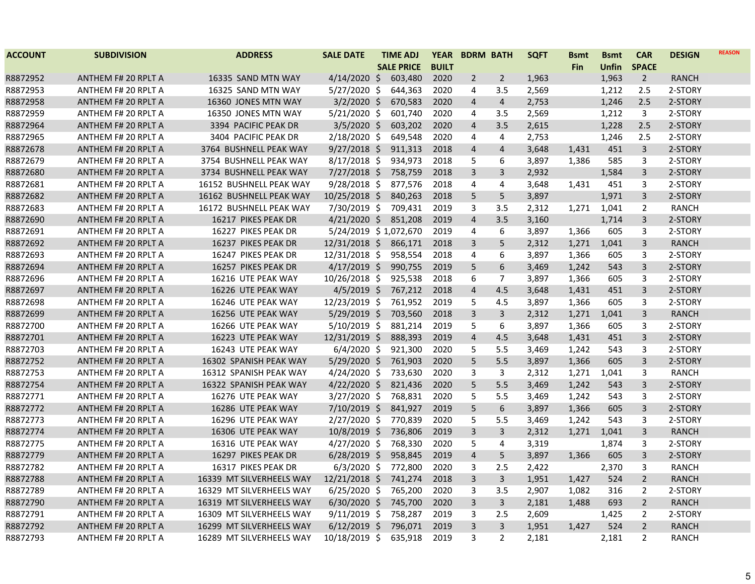| <b>ACCOUNT</b> | <b>SUBDIVISION</b>         | <b>ADDRESS</b>           | <b>SALE DATE</b>      | <b>TIME ADJ</b>   | <b>YEAR</b>  | <b>BDRM BATH</b> |                | <b>SQFT</b> | <b>Bsmt</b> | <b>Bsmt</b> | <b>CAR</b>     | <b>DESIGN</b> | <b>REASON</b> |
|----------------|----------------------------|--------------------------|-----------------------|-------------------|--------------|------------------|----------------|-------------|-------------|-------------|----------------|---------------|---------------|
|                |                            |                          |                       | <b>SALE PRICE</b> | <b>BUILT</b> |                  |                |             | <b>Fin</b>  | Unfin       | <b>SPACE</b>   |               |               |
| R8872952       | <b>ANTHEM F# 20 RPLT A</b> | 16335 SAND MTN WAY       | $4/14/2020$ \$        | 603,480           | 2020         | $\overline{2}$   | $\overline{2}$ | 1,963       |             | 1,963       | $\overline{2}$ | <b>RANCH</b>  |               |
| R8872953       | ANTHEM F# 20 RPLT A        | 16325 SAND MTN WAY       | $5/27/2020$ \$        | 644,363           | 2020         | 4                | 3.5            | 2,569       |             | 1,212       | 2.5            | 2-STORY       |               |
| R8872958       | <b>ANTHEM F# 20 RPLT A</b> | 16360 JONES MTN WAY      | $3/2/2020$ \$         | 670,583           | 2020         | $\overline{4}$   | $\overline{4}$ | 2,753       |             | 1,246       | 2.5            | 2-STORY       |               |
| R8872959       | ANTHEM F# 20 RPLT A        | 16350 JONES MTN WAY      | $5/21/2020$ \$        | 601,740           | 2020         | 4                | 3.5            | 2,569       |             | 1,212       | 3              | 2-STORY       |               |
| R8872964       | <b>ANTHEM F# 20 RPLT A</b> | 3394 PACIFIC PEAK DR     | $3/5/2020$ \$         | 603,202           | 2020         | $\overline{4}$   | 3.5            | 2,615       |             | 1,228       | 2.5            | 2-STORY       |               |
| R8872965       | ANTHEM F# 20 RPLT A        | 3404 PACIFIC PEAK DR     | 2/18/2020 \$          | 649,548           | 2020         | 4                | 4              | 2,753       |             | 1,246       | 2.5            | 2-STORY       |               |
| R8872678       | ANTHEM F# 20 RPLT A        | 3764 BUSHNELL PEAK WAY   | $9/27/2018$ \$        | 911,313           | 2018         | 4                | 4              | 3,648       | 1,431       | 451         | $\overline{3}$ | 2-STORY       |               |
| R8872679       | ANTHEM F# 20 RPLT A        | 3754 BUSHNELL PEAK WAY   | $8/17/2018$ \$        | 934,973           | 2018         | 5                | 6              | 3,897       | 1,386       | 585         | 3              | 2-STORY       |               |
| R8872680       | <b>ANTHEM F# 20 RPLT A</b> | 3734 BUSHNELL PEAK WAY   | $7/27/2018$ \$        | 758,759           | 2018         | $\overline{3}$   | 3              | 2,932       |             | 1,584       | 3              | 2-STORY       |               |
| R8872681       | ANTHEM F# 20 RPLT A        | 16152 BUSHNELL PEAK WAY  | 9/28/2018 \$          | 877,576           | 2018         | 4                | 4              | 3,648       | 1,431       | 451         | 3              | 2-STORY       |               |
| R8872682       | ANTHEM F# 20 RPLT A        | 16162 BUSHNELL PEAK WAY  | $10/25/2018$ \$       | 840,263           | 2018         | 5                | 5              | 3,897       |             | 1,971       | 3              | 2-STORY       |               |
| R8872683       | ANTHEM F# 20 RPLT A        | 16172 BUSHNELL PEAK WAY  | 7/30/2019 \$          | 709,431           | 2019         | 3                | 3.5            | 2,312       | 1,271       | 1,041       | $\overline{2}$ | <b>RANCH</b>  |               |
| R8872690       | <b>ANTHEM F# 20 RPLT A</b> | 16217 PIKES PEAK DR      | $4/21/2020$ \$        | 851,208           | 2019         | $\overline{4}$   | 3.5            | 3,160       |             | 1,714       | 3              | 2-STORY       |               |
| R8872691       | ANTHEM F# 20 RPLT A        | 16227 PIKES PEAK DR      | 5/24/2019 \$1,072,670 |                   | 2019         | 4                | 6              | 3,897       | 1,366       | 605         | 3              | 2-STORY       |               |
| R8872692       | <b>ANTHEM F# 20 RPLT A</b> | 16237 PIKES PEAK DR      | 12/31/2018 \$         | 866,171           | 2018         | 3                | 5              | 2,312       | 1,271       | 1,041       | 3              | RANCH         |               |
| R8872693       | ANTHEM F# 20 RPLT A        | 16247 PIKES PEAK DR      | 12/31/2018 \$         | 958,554           | 2018         | 4                | 6              | 3,897       | 1,366       | 605         | 3              | 2-STORY       |               |
| R8872694       | <b>ANTHEM F# 20 RPLT A</b> | 16257 PIKES PEAK DR      | $4/17/2019$ \$        | 990,755           | 2019         | 5                | 6              | 3,469       | 1,242       | 543         | 3              | 2-STORY       |               |
| R8872696       | ANTHEM F# 20 RPLT A        | 16216 UTE PEAK WAY       | $10/26/2018$ \$       | 925,538           | 2018         | 6                | 7              | 3,897       | 1,366       | 605         | 3              | 2-STORY       |               |
| R8872697       | <b>ANTHEM F# 20 RPLT A</b> | 16226 UTE PEAK WAY       | $4/5/2019$ \$         | 767,212           | 2018         | $\overline{4}$   | 4.5            | 3,648       | 1,431       | 451         | 3              | 2-STORY       |               |
| R8872698       | ANTHEM F# 20 RPLT A        | 16246 UTE PEAK WAY       | 12/23/2019 \$         | 761,952           | 2019         | 5                | 4.5            | 3,897       | 1,366       | 605         | 3              | 2-STORY       |               |
| R8872699       | ANTHEM F# 20 RPLT A        | 16256 UTE PEAK WAY       | $5/29/2019$ \$        | 703,560           | 2018         | $\overline{3}$   | $\overline{3}$ | 2,312       | 1,271       | 1,041       | 3              | <b>RANCH</b>  |               |
| R8872700       | ANTHEM F# 20 RPLT A        | 16266 UTE PEAK WAY       | $5/10/2019$ \$        | 881,214           | 2019         | 5                | 6              | 3,897       | 1,366       | 605         | 3              | 2-STORY       |               |
| R8872701       | ANTHEM F# 20 RPLT A        | 16223 UTE PEAK WAY       | 12/31/2019 \$         | 888,393           | 2019         | $\overline{4}$   | 4.5            | 3,648       | 1,431       | 451         | $\overline{3}$ | 2-STORY       |               |
| R8872703       | ANTHEM F# 20 RPLT A        | 16243 UTE PEAK WAY       | $6/4/2020$ \$         | 921,300           | 2020         | 5                | 5.5            | 3,469       | 1,242       | 543         | 3              | 2-STORY       |               |
| R8872752       | ANTHEM F# 20 RPLT A        | 16302 SPANISH PEAK WAY   | 5/29/2020 \$          | 761,903           | 2020         | 5                | 5.5            | 3,897       | 1,366       | 605         | $\overline{3}$ | 2-STORY       |               |
| R8872753       | ANTHEM F# 20 RPLT A        | 16312 SPANISH PEAK WAY   | $4/24/2020$ \$        | 733,630           | 2020         | 3                | 3              | 2,312       | 1,271       | 1,041       | 3              | RANCH         |               |
| R8872754       | ANTHEM F# 20 RPLT A        | 16322 SPANISH PEAK WAY   | $4/22/2020$ \$        | 821,436           | 2020         | 5                | 5.5            | 3,469       | 1,242       | 543         | $\overline{3}$ | 2-STORY       |               |
| R8872771       | ANTHEM F# 20 RPLT A        | 16276 UTE PEAK WAY       | $3/27/2020$ \$        | 768,831           | 2020         | 5                | 5.5            | 3,469       | 1,242       | 543         | 3              | 2-STORY       |               |
| R8872772       | ANTHEM F# 20 RPLT A        | 16286 UTE PEAK WAY       | $7/10/2019$ \$        | 841,927           | 2019         | 5                | 6              | 3,897       | 1,366       | 605         | 3              | 2-STORY       |               |
| R8872773       | ANTHEM F# 20 RPLT A        | 16296 UTE PEAK WAY       | $2/27/2020$ \$        | 770,839           | 2020         | 5                | 5.5            | 3,469       | 1,242       | 543         | 3              | 2-STORY       |               |
| R8872774       | <b>ANTHEM F# 20 RPLT A</b> | 16306 UTE PEAK WAY       | $10/8/2019$ \$        | 736,806           | 2019         | 3                | 3              | 2,312       | 1,271       | 1,041       | 3              | <b>RANCH</b>  |               |
| R8872775       | ANTHEM F# 20 RPLT A        | 16316 UTE PEAK WAY       | $4/27/2020$ \$        | 768,330           | 2020         | 5                | 4              | 3,319       |             | 1,874       | 3              | 2-STORY       |               |
| R8872779       | <b>ANTHEM F# 20 RPLT A</b> | 16297 PIKES PEAK DR      | $6/28/2019$ \$        | 958,845           | 2019         | $\overline{4}$   | 5              | 3,897       | 1,366       | 605         | 3              | 2-STORY       |               |
| R8872782       | ANTHEM F# 20 RPLT A        | 16317 PIKES PEAK DR      | $6/3/2020$ \$         | 772,800           | 2020         | 3                | 2.5            | 2,422       |             | 2,370       | 3              | <b>RANCH</b>  |               |
| R8872788       | <b>ANTHEM F# 20 RPLT A</b> | 16339 MT SILVERHEELS WAY | 12/21/2018 \$         | 741,274           | 2018         | $\overline{3}$   | 3              | 1,951       | 1,427       | 524         | $\overline{2}$ | <b>RANCH</b>  |               |
| R8872789       | ANTHEM F# 20 RPLT A        | 16329 MT SILVERHEELS WAY | $6/25/2020$ \$        | 765,200           | 2020         | 3                | 3.5            | 2,907       | 1,082       | 316         | $\overline{2}$ | 2-STORY       |               |
| R8872790       | ANTHEM F# 20 RPLT A        | 16319 MT SILVERHEELS WAY | $6/30/2020$ \$        | 745,700           | 2020         | $\overline{3}$   | 3              | 2,181       | 1,488       | 693         | $\overline{2}$ | <b>RANCH</b>  |               |
| R8872791       | ANTHEM F# 20 RPLT A        | 16309 MT SILVERHEELS WAY | $9/11/2019$ \$        | 758,287           | 2019         | 3                | 2.5            | 2,609       |             | 1,425       | 2              | 2-STORY       |               |
| R8872792       | ANTHEM F# 20 RPLT A        | 16299 MT SILVERHEELS WAY | $6/12/2019$ \$        | 796,071           | 2019         | $\overline{3}$   | 3              | 1,951       | 1,427       | 524         | $\overline{2}$ | RANCH         |               |
| R8872793       | ANTHEM F# 20 RPLT A        | 16289 MT SILVERHEELS WAY | 10/18/2019 \$         | 635,918           | 2019         | 3                | 2              | 2,181       |             | 2,181       | 2              | <b>RANCH</b>  |               |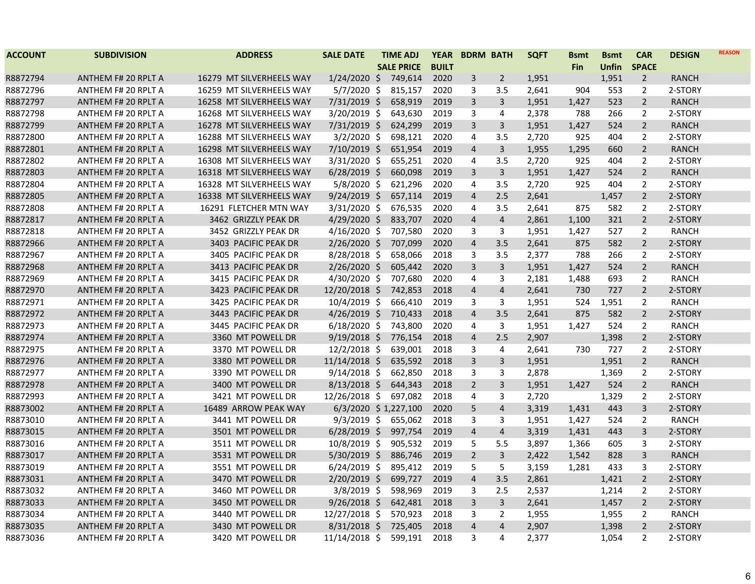| <b>ACCOUNT</b> | <b>SUBDIVISION</b>         | <b>ADDRESS</b>           | <b>SALE DATE</b>     | <b>TIME ADJ</b>   | <b>YEAR</b>  | <b>BDRM BATH</b> |                | <b>SQFT</b> | <b>Bsmt</b> | <b>Bsmt</b>  | <b>CAR</b>     | <b>DESIGN</b> | <b>REASON</b> |
|----------------|----------------------------|--------------------------|----------------------|-------------------|--------------|------------------|----------------|-------------|-------------|--------------|----------------|---------------|---------------|
|                |                            |                          |                      | <b>SALE PRICE</b> | <b>BUILT</b> |                  |                |             | <b>Fin</b>  | <b>Unfin</b> | <b>SPACE</b>   |               |               |
| R8872794       | ANTHEM F# 20 RPLT A        | 16279 MT SILVERHEELS WAY | $1/24/2020$ \$       | 749,614           | 2020         | 3                | $\overline{2}$ | 1,951       |             | 1,951        | $\overline{2}$ | <b>RANCH</b>  |               |
| R8872796       | ANTHEM F# 20 RPLT A        | 16259 MT SILVERHEELS WAY | $5/7/2020$ \$        | 815,157           | 2020         | 3                | 3.5            | 2,641       | 904         | 553          | 2              | 2-STORY       |               |
| R8872797       | ANTHEM F# 20 RPLT A        | 16258 MT SILVERHEELS WAY | 7/31/2019 \$         | 658,919           | 2019         | 3                | $\mathbf{3}$   | 1,951       | 1,427       | 523          | $\overline{2}$ | <b>RANCH</b>  |               |
| R8872798       | ANTHEM F# 20 RPLT A        | 16268 MT SILVERHEELS WAY | 3/20/2019 \$         | 643,630           | 2019         | 3                | 4              | 2,378       | 788         | 266          | 2              | 2-STORY       |               |
| R8872799       | ANTHEM F# 20 RPLT A        | 16278 MT SILVERHEELS WAY | 7/31/2019 \$         | 624,299           | 2019         | 3                | 3              | 1,951       | 1,427       | 524          | $\overline{2}$ | <b>RANCH</b>  |               |
| R8872800       | ANTHEM F# 20 RPLT A        | 16288 MT SILVERHEELS WAY | $3/2/2020$ \$        | 698,121           | 2020         | 4                | 3.5            | 2,720       | 925         | 404          | 2              | 2-STORY       |               |
| R8872801       | ANTHEM F# 20 RPLT A        | 16298 MT SILVERHEELS WAY | 7/10/2019 \$         | 651,954           | 2019         | $\overline{4}$   | $\overline{3}$ | 1,955       | 1,295       | 660          | $\overline{2}$ | <b>RANCH</b>  |               |
| R8872802       | ANTHEM F# 20 RPLT A        | 16308 MT SILVERHEELS WAY | 3/31/2020 \$         | 655,251           | 2020         | 4                | 3.5            | 2,720       | 925         | 404          | $\overline{2}$ | 2-STORY       |               |
| R8872803       | ANTHEM F# 20 RPLT A        | 16318 MT SILVERHEELS WAY | $6/28/2019$ \$       | 660,098           | 2019         | 3                | $\overline{3}$ | 1,951       | 1,427       | 524          | $\overline{2}$ | <b>RANCH</b>  |               |
| R8872804       | ANTHEM F# 20 RPLT A        | 16328 MT SILVERHEELS WAY | $5/8/2020$ \$        | 621,296           | 2020         | 4                | 3.5            | 2,720       | 925         | 404          | 2              | 2-STORY       |               |
| R8872805       | ANTHEM F# 20 RPLT A        | 16338 MT SILVERHEELS WAY | $9/24/2019$ \$       | 657,114           | 2019         | $\overline{4}$   | 2.5            | 2,641       |             | 1,457        | $\overline{2}$ | 2-STORY       |               |
| R8872808       | ANTHEM F# 20 RPLT A        | 16291 FLETCHER MTN WAY   | $3/31/2020$ \$       | 676,535           | 2020         | 4                | 3.5            | 2,641       | 875         | 582          | $\overline{2}$ | 2-STORY       |               |
| R8872817       | ANTHEM F# 20 RPLT A        | 3462 GRIZZLY PEAK DR     | $4/29/2020$ \$       | 833,707           | 2020         | $\overline{4}$   | $\overline{4}$ | 2,861       | 1,100       | 321          | $\overline{2}$ | 2-STORY       |               |
| R8872818       | ANTHEM F# 20 RPLT A        | 3452 GRIZZLY PEAK DR     | 4/16/2020 \$         | 707,580           | 2020         | 3                | 3              | 1,951       | 1,427       | 527          | $\overline{2}$ | <b>RANCH</b>  |               |
| R8872966       | ANTHEM F# 20 RPLT A        | 3403 PACIFIC PEAK DR     | $2/26/2020$ \$       | 707,099           | 2020         | $\overline{4}$   | 3.5            | 2,641       | 875         | 582          | $\overline{2}$ | 2-STORY       |               |
| R8872967       | ANTHEM F# 20 RPLT A        | 3405 PACIFIC PEAK DR     | 8/28/2018 \$         | 658,066           | 2018         | 3                | 3.5            | 2,377       | 788         | 266          | $\overline{2}$ | 2-STORY       |               |
| R8872968       | <b>ANTHEM F# 20 RPLT A</b> | 3413 PACIFIC PEAK DR     | 2/26/2020 \$         | 605,442           | 2020         | $\overline{3}$   | $\overline{3}$ | 1,951       | 1,427       | 524          | $\overline{2}$ | <b>RANCH</b>  |               |
| R8872969       | ANTHEM F# 20 RPLT A        | 3415 PACIFIC PEAK DR     | 4/30/2020 \$         | 707,680           | 2020         | 4                | 3              | 2,181       | 1,488       | 693          | $\overline{2}$ | <b>RANCH</b>  |               |
| R8872970       | ANTHEM F# 20 RPLT A        | 3423 PACIFIC PEAK DR     | 12/20/2018 \$        | 742,853           | 2018         | $\overline{4}$   | $\overline{4}$ | 2,641       | 730         | 727          | $\overline{2}$ | 2-STORY       |               |
| R8872971       | ANTHEM F# 20 RPLT A        | 3425 PACIFIC PEAK DR     | $10/4/2019$ \$       | 666,410           | 2019         | 3                | 3              | 1,951       | 524         | 1,951        | 2              | <b>RANCH</b>  |               |
| R8872972       | ANTHEM F# 20 RPLT A        | 3443 PACIFIC PEAK DR     | $4/26/2019$ \$       | 710,433           | 2018         | $\overline{4}$   | 3.5            | 2,641       | 875         | 582          | $\overline{2}$ | 2-STORY       |               |
| R8872973       | ANTHEM F# 20 RPLT A        | 3445 PACIFIC PEAK DR     | $6/18/2020$ \$       | 743,800           | 2020         | 4                | 3              | 1,951       | 1,427       | 524          | $\overline{2}$ | <b>RANCH</b>  |               |
| R8872974       | ANTHEM F# 20 RPLT A        | 3360 MT POWELL DR        | $9/19/2018$ \$       | 776,154           | 2018         | $\overline{4}$   | 2.5            | 2,907       |             | 1,398        | $\overline{2}$ | 2-STORY       |               |
| R8872975       | ANTHEM F# 20 RPLT A        | 3370 MT POWELL DR        | $12/2/2018$ \$       | 639,001           | 2018         | 3                | 4              | 2,641       | 730         | 727          | $\overline{2}$ | 2-STORY       |               |
| R8872976       | <b>ANTHEM F# 20 RPLT A</b> | 3380 MT POWELL DR        | $11/14/2018$ \$      | 635,592           | 2018         | $\overline{3}$   | $\mathsf{3}$   | 1,951       |             | 1,951        | $\overline{2}$ | <b>RANCH</b>  |               |
| R8872977       | ANTHEM F# 20 RPLT A        | 3390 MT POWELL DR        | $9/14/2018$ \$       | 662,850           | 2018         | 3                | 3              | 2,878       |             | 1,369        | $\overline{2}$ | 2-STORY       |               |
| R8872978       | ANTHEM F# 20 RPLT A        | 3400 MT POWELL DR        | $8/13/2018$ \$       | 644,343           | 2018         | $\overline{2}$   | $\mathbf{3}$   | 1,951       | 1,427       | 524          | $\overline{2}$ | <b>RANCH</b>  |               |
| R8872993       | ANTHEM F# 20 RPLT A        | 3421 MT POWELL DR        | 12/26/2018 \$        | 697,082           | 2018         | 4                | 3              | 2,720       |             | 1,329        | 2              | 2-STORY       |               |
| R8873002       | ANTHEM F# 20 RPLT A        | 16489 ARROW PEAK WAY     | 6/3/2020 \$1,227,100 |                   | 2020         | 5                | $\overline{4}$ | 3,319       | 1,431       | 443          | 3              | 2-STORY       |               |
| R8873010       | ANTHEM F# 20 RPLT A        | 3441 MT POWELL DR        | 9/3/2019 \$          | 655,062           | 2018         | 3                | 3              | 1,951       | 1,427       | 524          | $\overline{2}$ | <b>RANCH</b>  |               |
| R8873015       | ANTHEM F# 20 RPLT A        | 3501 MT POWELL DR        | $6/28/2019$ \$       | 997,754           | 2019         | $\overline{4}$   | $\overline{4}$ | 3,319       | 1,431       | 443          | 3              | 2-STORY       |               |
| R8873016       | ANTHEM F# 20 RPLT A        | 3511 MT POWELL DR        | 10/8/2019 \$         | 905,532           | 2019         | 5                | 5.5            | 3,897       | 1,366       | 605          | 3              | 2-STORY       |               |
| R8873017       | <b>ANTHEM F# 20 RPLT A</b> | 3531 MT POWELL DR        | $5/30/2019$ \$       | 886,746           | 2019         | $\overline{2}$   | 3              | 2,422       | 1,542       | 828          | 3              | <b>RANCH</b>  |               |
| R8873019       | ANTHEM F# 20 RPLT A        | 3551 MT POWELL DR        | $6/24/2019$ \$       | 895,412           | 2019         | 5                | 5              | 3,159       | 1,281       | 433          | 3              | 2-STORY       |               |
| R8873031       | <b>ANTHEM F# 20 RPLT A</b> | 3470 MT POWELL DR        | $2/20/2019$ \$       | 699,727           | 2019         | $\overline{4}$   | 3.5            | 2,861       |             | 1,421        | $\overline{2}$ | 2-STORY       |               |
| R8873032       | ANTHEM F# 20 RPLT A        | 3460 MT POWELL DR        | $3/8/2019$ \$        | 598,969           | 2019         | 3                | 2.5            | 2,537       |             | 1,214        | $\overline{2}$ | 2-STORY       |               |
| R8873033       | ANTHEM F# 20 RPLT A        | 3450 MT POWELL DR        | $9/26/2018$ \$       | 642,481           | 2018         | 3                | $\mathsf{3}$   | 2,641       |             | 1,457        | $\overline{2}$ | 2-STORY       |               |
| R8873034       | ANTHEM F# 20 RPLT A        | 3440 MT POWELL DR        | 12/27/2018 \$        | 570,923           | 2018         | 3                | 2              | 1,955       |             | 1,955        | 2              | RANCH         |               |
| R8873035       | ANTHEM F# 20 RPLT A        | 3430 MT POWELL DR        | $8/31/2018$ \$       | 725,405           | 2018         | $\overline{4}$   | $\overline{4}$ | 2,907       |             | 1,398        | $\overline{2}$ | 2-STORY       |               |
| R8873036       | ANTHEM F# 20 RPLT A        | 3420 MT POWELL DR        | 11/14/2018 \$        | 599,191           | 2018         | 3                | 4              | 2,377       |             | 1,054        | $\overline{2}$ | 2-STORY       |               |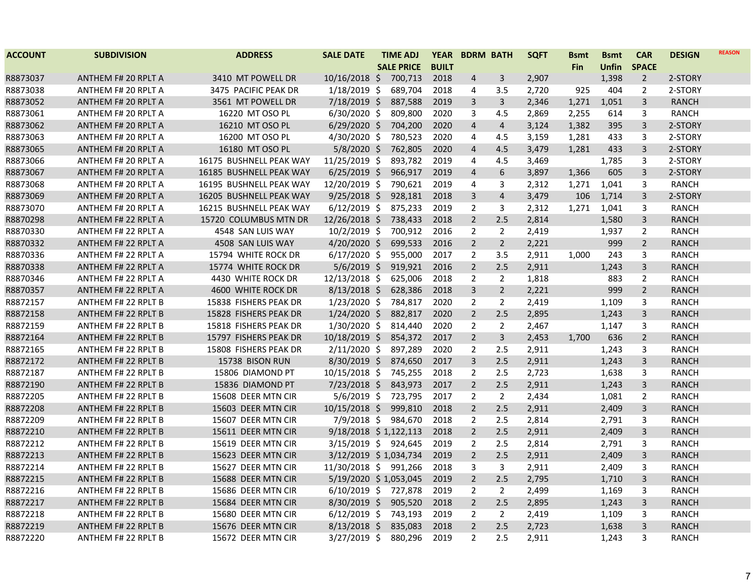| <b>ACCOUNT</b> | <b>SUBDIVISION</b>         | <b>ADDRESS</b>          | <b>SALE DATE</b>      | <b>TIME ADJ</b>   | <b>YEAR</b>  | <b>BDRM BATH</b> |                         | <b>SQFT</b> | Bsmt       | <b>Bsmt</b>  | <b>CAR</b>     | <b>DESIGN</b> | <b>REASON</b> |
|----------------|----------------------------|-------------------------|-----------------------|-------------------|--------------|------------------|-------------------------|-------------|------------|--------------|----------------|---------------|---------------|
|                |                            |                         |                       | <b>SALE PRICE</b> | <b>BUILT</b> |                  |                         |             | <b>Fin</b> | <b>Unfin</b> | <b>SPACE</b>   |               |               |
| R8873037       | <b>ANTHEM F# 20 RPLT A</b> | 3410 MT POWELL DR       | $10/16/2018$ \$       | 700,713           | 2018         | $\overline{4}$   | 3                       | 2,907       |            | 1,398        | $\overline{2}$ | 2-STORY       |               |
| R8873038       | ANTHEM F# 20 RPLT A        | 3475 PACIFIC PEAK DR    | $1/18/2019$ \$        | 689,704           | 2018         | 4                | 3.5                     | 2,720       | 925        | 404          | 2              | 2-STORY       |               |
| R8873052       | <b>ANTHEM F# 20 RPLT A</b> | 3561 MT POWELL DR       | $7/18/2019$ \$        | 887,588           | 2019         | 3                | 3                       | 2,346       | 1,271      | 1,051        | 3              | <b>RANCH</b>  |               |
| R8873061       | ANTHEM F# 20 RPLT A        | 16220 MT OSO PL         | $6/30/2020$ \$        | 809,800           | 2020         | 3                | 4.5                     | 2,869       | 2,255      | 614          | 3              | RANCH         |               |
| R8873062       | <b>ANTHEM F# 20 RPLT A</b> | 16210 MT OSO PL         | $6/29/2020$ \$        | 704,200           | 2020         | $\overline{4}$   | $\overline{4}$          | 3,124       | 1,382      | 395          | 3              | 2-STORY       |               |
| R8873063       | ANTHEM F# 20 RPLT A        | 16200 MT OSO PL         | $4/30/2020$ \$        | 780,523           | 2020         | 4                | 4.5                     | 3,159       | 1,281      | 433          | 3              | 2-STORY       |               |
| R8873065       | <b>ANTHEM F# 20 RPLT A</b> | 16180 MT OSO PL         | $5/8/2020$ \$         | 762,805           | 2020         | $\overline{4}$   | 4.5                     | 3,479       | 1,281      | 433          | 3              | 2-STORY       |               |
| R8873066       | ANTHEM F# 20 RPLT A        | 16175 BUSHNELL PEAK WAY | 11/25/2019 \$         | 893,782           | 2019         | 4                | 4.5                     | 3,469       |            | 1,785        | 3              | 2-STORY       |               |
| R8873067       | ANTHEM F# 20 RPLT A        | 16185 BUSHNELL PEAK WAY | $6/25/2019$ \$        | 966,917           | 2019         | $\overline{4}$   | 6                       | 3,897       | 1,366      | 605          | 3              | 2-STORY       |               |
| R8873068       | ANTHEM F# 20 RPLT A        | 16195 BUSHNELL PEAK WAY | 12/20/2019 \$         | 790,621           | 2019         | 4                | 3                       | 2,312       | 1,271      | 1,041        | 3              | RANCH         |               |
| R8873069       | <b>ANTHEM F# 20 RPLT A</b> | 16205 BUSHNELL PEAK WAY | $9/25/2018$ \$        | 928,181           | 2018         | 3                | $\overline{4}$          | 3,479       | 106        | 1,714        | 3              | 2-STORY       |               |
| R8873070       | ANTHEM F# 20 RPLT A        | 16215 BUSHNELL PEAK WAY | $6/12/2019$ \$        | 875,233           | 2019         | $\overline{2}$   | 3                       | 2,312       | 1,271      | 1,041        | 3              | <b>RANCH</b>  |               |
| R8870298       | <b>ANTHEM F# 22 RPLT A</b> | 15720 COLUMBUS MTN DR   | 12/26/2018 \$         | 738,433           | 2018         | $\overline{2}$   | 2.5                     | 2,814       |            | 1,580        | 3              | <b>RANCH</b>  |               |
| R8870330       | ANTHEM F# 22 RPLT A        | 4548 SAN LUIS WAY       | 10/2/2019 \$          | 700,912           | 2016         | $\overline{2}$   | $\overline{2}$          | 2,419       |            | 1,937        | $\overline{2}$ | <b>RANCH</b>  |               |
| R8870332       | <b>ANTHEM F# 22 RPLT A</b> | 4508 SAN LUIS WAY       | 4/20/2020 \$          | 699,533           | 2016         | $\overline{2}$   | $\overline{2}$          | 2,221       |            | 999          | $\overline{2}$ | RANCH         |               |
| R8870336       | ANTHEM F# 22 RPLT A        | 15794 WHITE ROCK DR     | $6/17/2020$ \$        | 955,000           | 2017         | 2                | 3.5                     | 2,911       | 1,000      | 243          | 3              | <b>RANCH</b>  |               |
| R8870338       | <b>ANTHEM F# 22 RPLT A</b> | 15774 WHITE ROCK DR     | $5/6/2019$ \$         | 919,921           | 2016         | $\overline{2}$   | 2.5                     | 2,911       |            | 1,243        | 3              | RANCH         |               |
| R8870346       | ANTHEM F# 22 RPLT A        | 4430 WHITE ROCK DR      | $12/13/2018$ \$       | 625,006           | 2018         | 2                | $\overline{2}$          | 1,818       |            | 883          | 2              | RANCH         |               |
| R8870357       | <b>ANTHEM F# 22 RPLT A</b> | 4600 WHITE ROCK DR      | $8/13/2018$ \$        | 628,386           | 2018         | 3                | $\overline{2}$          | 2,221       |            | 999          | $2^{\circ}$    | <b>RANCH</b>  |               |
| R8872157       | <b>ANTHEM F# 22 RPLT B</b> | 15838 FISHERS PEAK DR   | $1/23/2020$ \$        | 784,817           | 2020         | $\overline{2}$   | $\overline{2}$          | 2,419       |            | 1,109        | 3              | RANCH         |               |
| R8872158       | <b>ANTHEM F# 22 RPLT B</b> | 15828 FISHERS PEAK DR   | $1/24/2020$ \$        | 882,817           | 2020         | $\overline{2}$   | 2.5                     | 2,895       |            | 1,243        | $\overline{3}$ | <b>RANCH</b>  |               |
| R8872159       | <b>ANTHEM F# 22 RPLT B</b> | 15818 FISHERS PEAK DR   | 1/30/2020 \$          | 814,440           | 2020         | $\overline{2}$   | $\overline{2}$          | 2,467       |            | 1,147        | 3              | RANCH         |               |
| R8872164       | ANTHEM F# 22 RPLT B        | 15797 FISHERS PEAK DR   | 10/18/2019 \$         | 854,372           | 2017         | $\overline{2}$   | $\overline{\mathbf{3}}$ | 2,453       | 1,700      | 636          | $2^{\circ}$    | <b>RANCH</b>  |               |
| R8872165       | ANTHEM F# 22 RPLT B        | 15808 FISHERS PEAK DR   | $2/11/2020$ \$        | 897,289           | 2020         | $\overline{2}$   | 2.5                     | 2,911       |            | 1,243        | 3              | <b>RANCH</b>  |               |
| R8872172       | <b>ANTHEM F# 22 RPLT B</b> | 15738 BISON RUN         | $8/30/2019$ \$        | 874,650           | 2017         | 3                | 2.5                     | 2,911       |            | 1,243        | 3              | <b>RANCH</b>  |               |
| R8872187       | <b>ANTHEM F# 22 RPLT B</b> | 15806 DIAMOND PT        | 10/15/2018 \$         | 745,255           | 2018         | $\overline{2}$   | 2.5                     | 2,723       |            | 1,638        | 3              | RANCH         |               |
| R8872190       | <b>ANTHEM F# 22 RPLT B</b> | 15836 DIAMOND PT        | $7/23/2018$ \$        | 843,973           | 2017         | $\overline{2}$   | 2.5                     | 2,911       |            | 1,243        | 3              | <b>RANCH</b>  |               |
| R8872205       | <b>ANTHEM F# 22 RPLT B</b> | 15608 DEER MTN CIR      | $5/6/2019$ \$         | 723,795           | 2017         | $\overline{2}$   | $\overline{2}$          | 2,434       |            | 1,081        | $\overline{2}$ | RANCH         |               |
| R8872208       | <b>ANTHEM F# 22 RPLT B</b> | 15603 DEER MTN CIR      | $10/15/2018$ \$       | 999,810           | 2018         | $\overline{2}$   | 2.5                     | 2,911       |            | 2,409        | 3              | <b>RANCH</b>  |               |
| R8872209       | <b>ANTHEM F# 22 RPLT B</b> | 15607 DEER MTN CIR      | $7/9/2018$ \$         | 984,670           | 2018         | $\overline{2}$   | 2.5                     | 2,814       |            | 2,791        | 3              | <b>RANCH</b>  |               |
| R8872210       | <b>ANTHEM F# 22 RPLT B</b> | 15611 DEER MTN CIR      | 9/18/2018 \$1,122,113 |                   | 2018         | $\overline{2}$   | 2.5                     | 2,911       |            | 2,409        | 3              | <b>RANCH</b>  |               |
| R8872212       | <b>ANTHEM F# 22 RPLT B</b> | 15619 DEER MTN CIR      | 3/15/2019 \$ 924,645  |                   | 2019         | $\overline{2}$   | 2.5                     | 2,814       |            | 2,791        | 3              | RANCH         |               |
| R8872213       | ANTHEM F# 22 RPLT B        | 15623 DEER MTN CIR      | 3/12/2019 \$1,034,734 |                   | 2019         | $\overline{2}$   | 2.5                     | 2,911       |            | 2,409        | 3              | <b>RANCH</b>  |               |
| R8872214       | <b>ANTHEM F# 22 RPLT B</b> | 15627 DEER MTN CIR      | 11/30/2018 \$ 991,266 |                   | 2018         | 3                | 3                       | 2,911       |            | 2,409        | 3              | <b>RANCH</b>  |               |
| R8872215       | <b>ANTHEM F# 22 RPLT B</b> | 15688 DEER MTN CIR      | 5/19/2020 \$1,053,045 |                   | 2019         | $\overline{2}$   | 2.5                     | 2,795       |            | 1,710        | 3              | <b>RANCH</b>  |               |
| R8872216       | ANTHEM F# 22 RPLT B        | 15686 DEER MTN CIR      | $6/10/2019$ \$        | 727,878           | 2019         | $\overline{2}$   | $\overline{2}$          | 2,499       |            | 1,169        | 3              | <b>RANCH</b>  |               |
| R8872217       | <b>ANTHEM F# 22 RPLT B</b> | 15684 DEER MTN CIR      | 8/30/2019 \$          | 905,520           | 2018         | $\overline{2}$   | 2.5                     | 2,895       |            | 1,243        | 3              | <b>RANCH</b>  |               |
| R8872218       | ANTHEM F# 22 RPLT B        | 15680 DEER MTN CIR      | $6/12/2019$ \$        | 743,193           | 2019         | 2                | $\overline{2}$          | 2,419       |            | 1,109        | 3              | RANCH         |               |
| R8872219       | <b>ANTHEM F# 22 RPLT B</b> | 15676 DEER MTN CIR      | $8/13/2018$ \$        | 835,083           | 2018         | $\overline{2}$   | 2.5                     | 2,723       |            | 1,638        | 3              | <b>RANCH</b>  |               |
| R8872220       | <b>ANTHEM F# 22 RPLT B</b> | 15672 DEER MTN CIR      | $3/27/2019$ \$        | 880,296           | 2019         | $\overline{2}$   | 2.5                     | 2,911       |            | 1,243        | 3              | RANCH         |               |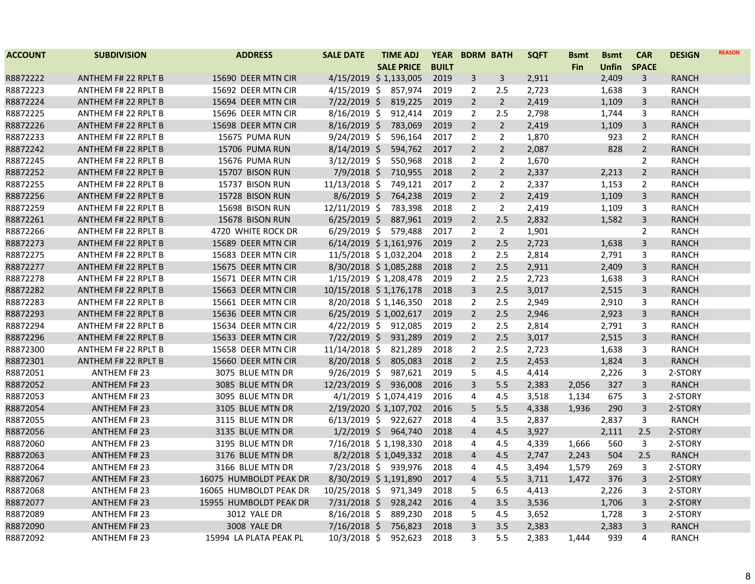| <b>ACCOUNT</b> | <b>SUBDIVISION</b>         | <b>ADDRESS</b>         | <b>SALE DATE</b>           | <b>TIME ADJ</b>   | <b>YEAR</b>  | <b>BDRM BATH</b> |                | <b>SQFT</b> | <b>Bsmt</b> | <b>Bsmt</b>  | <b>CAR</b>     | <b>DESIGN</b> | <b>REASON</b> |
|----------------|----------------------------|------------------------|----------------------------|-------------------|--------------|------------------|----------------|-------------|-------------|--------------|----------------|---------------|---------------|
|                |                            |                        |                            | <b>SALE PRICE</b> | <b>BUILT</b> |                  |                |             | <b>Fin</b>  | <b>Unfin</b> | <b>SPACE</b>   |               |               |
| R8872222       | <b>ANTHEM F# 22 RPLT B</b> | 15690 DEER MTN CIR     | $4/15/2019 \div 1,133,005$ |                   | 2019         | 3                | 3              | 2,911       |             | 2,409        | 3              | <b>RANCH</b>  |               |
| R8872223       | ANTHEM F# 22 RPLT B        | 15692 DEER MTN CIR     | $4/15/2019$ \$             | 857,974           | 2019         | $\overline{2}$   | 2.5            | 2,723       |             | 1,638        | 3              | <b>RANCH</b>  |               |
| R8872224       | ANTHEM F# 22 RPLT B        | 15694 DEER MTN CIR     | $7/22/2019$ \$             | 819,225           | 2019         | $\overline{2}$   | $\overline{2}$ | 2,419       |             | 1,109        | $\overline{3}$ | <b>RANCH</b>  |               |
| R8872225       | ANTHEM F# 22 RPLT B        | 15696 DEER MTN CIR     | $8/16/2019$ \$             | 912,414           | 2019         | $\overline{2}$   | 2.5            | 2,798       |             | 1,744        | 3              | <b>RANCH</b>  |               |
| R8872226       | <b>ANTHEM F# 22 RPLT B</b> | 15698 DEER MTN CIR     | $8/16/2019$ \$             | 783,069           | 2019         | $\overline{2}$   | $\overline{2}$ | 2,419       |             | 1,109        | 3              | <b>RANCH</b>  |               |
| R8872233       | ANTHEM F# 22 RPLT B        | 15675 PUMA RUN         | $9/24/2019$ \$             | 596,164           | 2017         | $\overline{2}$   | $\overline{2}$ | 1,870       |             | 923          | $\overline{2}$ | <b>RANCH</b>  |               |
| R8872242       | <b>ANTHEM F# 22 RPLT B</b> | 15706 PUMA RUN         | $8/14/2019$ \$             | 594,762           | 2017         | $\overline{2}$   | $\overline{2}$ | 2,087       |             | 828          | $\overline{2}$ | RANCH         |               |
| R8872245       | ANTHEM F# 22 RPLT B        | 15676 PUMA RUN         | $3/12/2019$ \$             | 550,968           | 2018         | $\overline{2}$   | $\overline{2}$ | 1,670       |             |              | $\overline{2}$ | <b>RANCH</b>  |               |
| R8872252       | <b>ANTHEM F# 22 RPLT B</b> | 15707 BISON RUN        | $7/9/2018$ \$              | 710,955           | 2018         | $\overline{2}$   | $\overline{2}$ | 2,337       |             | 2,213        | $\overline{2}$ | <b>RANCH</b>  |               |
| R8872255       | ANTHEM F# 22 RPLT B        | 15737 BISON RUN        | 11/13/2018 \$              | 749,121           | 2017         | $\overline{2}$   | $\overline{2}$ | 2,337       |             | 1,153        | $\overline{2}$ | <b>RANCH</b>  |               |
| R8872256       | <b>ANTHEM F# 22 RPLT B</b> | 15728 BISON RUN        | $8/6/2019$ \$              | 764,238           | 2019         | $\overline{2}$   | $\overline{2}$ | 2,419       |             | 1,109        | 3              | <b>RANCH</b>  |               |
| R8872259       | ANTHEM F# 22 RPLT B        | 15698 BISON RUN        | $12/11/2019$ \$            | 783,398           | 2018         | $\overline{2}$   | $\overline{2}$ | 2,419       |             | 1,109        | 3              | RANCH         |               |
| R8872261       | <b>ANTHEM F# 22 RPLT B</b> | 15678 BISON RUN        | $6/25/2019$ \$             | 887,961           | 2019         | $\overline{2}$   | 2.5            | 2,832       |             | 1,582        | 3              | <b>RANCH</b>  |               |
| R8872266       | ANTHEM F# 22 RPLT B        | 4720 WHITE ROCK DR     | $6/29/2019$ \$             | 579,488           | 2017         | $\overline{2}$   | $\overline{2}$ | 1,901       |             |              | $\overline{2}$ | RANCH         |               |
| R8872273       | <b>ANTHEM F# 22 RPLT B</b> | 15689 DEER MTN CIR     | 6/14/2019 \$1,161,976      |                   | 2019         | $\overline{2}$   | 2.5            | 2,723       |             | 1,638        | 3              | RANCH         |               |
| R8872275       | ANTHEM F# 22 RPLT B        | 15683 DEER MTN CIR     | 11/5/2018 \$1,032,204      |                   | 2018         | $\overline{2}$   | 2.5            | 2,814       |             | 2,791        | 3              | RANCH         |               |
| R8872277       | <b>ANTHEM F# 22 RPLT B</b> | 15675 DEER MTN CIR     | 8/30/2018 \$1,085,288      |                   | 2018         | $\overline{2}$   | 2.5            | 2,911       |             | 2,409        | 3              | <b>RANCH</b>  |               |
| R8872278       | ANTHEM F# 22 RPLT B        | 15671 DEER MTN CIR     | 1/15/2019 \$1,208,478      |                   | 2019         | $\overline{2}$   | 2.5            | 2,723       |             | 1,638        | 3              | <b>RANCH</b>  |               |
| R8872282       | <b>ANTHEM F# 22 RPLT B</b> | 15663 DEER MTN CIR     | 10/15/2018 \$1,176,178     |                   | 2018         | 3                | 2.5            | 3,017       |             | 2,515        | 3              | <b>RANCH</b>  |               |
| R8872283       | ANTHEM F# 22 RPLT B        | 15661 DEER MTN CIR     | 8/20/2018 \$1,146,350      |                   | 2018         | $\overline{2}$   | 2.5            | 2,949       |             | 2,910        | 3              | <b>RANCH</b>  |               |
| R8872293       | <b>ANTHEM F# 22 RPLT B</b> | 15636 DEER MTN CIR     | $6/25/2019$ \$ 1,002,617   |                   | 2019         | $\overline{2}$   | 2.5            | 2,946       |             | 2,923        | 3              | <b>RANCH</b>  |               |
| R8872294       | <b>ANTHEM F# 22 RPLT B</b> | 15634 DEER MTN CIR     | 4/22/2019 \$ 912,085       |                   | 2019         | $\overline{2}$   | 2.5            | 2,814       |             | 2,791        | 3              | <b>RANCH</b>  |               |
| R8872296       | <b>ANTHEM F# 22 RPLT B</b> | 15633 DEER MTN CIR     | $7/22/2019$ \$             | 931,289           | 2019         | $\overline{2}$   | 2.5            | 3,017       |             | 2,515        | 3              | <b>RANCH</b>  |               |
| R8872300       | ANTHEM F# 22 RPLT B        | 15658 DEER MTN CIR     | 11/14/2018 \$              | 821,289           | 2018         | 2                | 2.5            | 2,723       |             | 1,638        | 3              | RANCH         |               |
| R8872301       | <b>ANTHEM F# 22 RPLT B</b> | 15660 DEER MTN CIR     | $8/20/2018$ \$             | 805,083           | 2018         | $\overline{2}$   | 2.5            | 2,453       |             | 1,824        | 3              | <b>RANCH</b>  |               |
| R8872051       | <b>ANTHEM F# 23</b>        | 3075 BLUE MTN DR       | $9/26/2019$ \$             | 987,621           | 2019         | 5                | 4.5            | 4,414       |             | 2,226        | 3              | 2-STORY       |               |
| R8872052       | <b>ANTHEM F# 23</b>        | 3085 BLUE MTN DR       | 12/23/2019 \$              | 936,008           | 2016         | $\overline{3}$   | 5.5            | 2,383       | 2,056       | 327          | 3              | <b>RANCH</b>  |               |
| R8872053       | <b>ANTHEM F# 23</b>        | 3095 BLUE MTN DR       | 4/1/2019 \$1,074,419       |                   | 2016         | 4                | 4.5            | 3,518       | 1,134       | 675          | 3              | 2-STORY       |               |
| R8872054       | <b>ANTHEM F#23</b>         | 3105 BLUE MTN DR       | 2/19/2020 \$1,107,702      |                   | 2016         | 5                | 5.5            | 4,338       | 1,936       | 290          | 3              | 2-STORY       |               |
| R8872055       | <b>ANTHEM F# 23</b>        | 3115 BLUE MTN DR       | $6/13/2019$ \$ 922,627     |                   | 2018         | 4                | 3.5            | 2,837       |             | 2,837        | 3              | <b>RANCH</b>  |               |
| R8872056       | <b>ANTHEM F#23</b>         | 3135 BLUE MTN DR       | 1/2/2019 \$ 964,740        |                   | 2018         | $\overline{4}$   | 4.5            | 3,927       |             | 2,111        | 2.5            | 2-STORY       |               |
| R8872060       | ANTHEM F# 23               | 3195 BLUE MTN DR       | 7/16/2018 \$1,198,330      |                   | 2018         | 4                | 4.5            | 4,339       | 1,666       | 560          | 3              | 2-STORY       |               |
| R8872063       | <b>ANTHEM F#23</b>         | 3176 BLUE MTN DR       | 8/2/2018 \$1,049,332       |                   | 2018         | $\overline{4}$   | 4.5            | 2,747       | 2,243       | 504          | 2.5            | <b>RANCH</b>  |               |
| R8872064       | <b>ANTHEM F# 23</b>        | 3166 BLUE MTN DR       | 7/23/2018 \$ 939,976       |                   | 2018         | 4                | 4.5            | 3,494       | 1,579       | 269          | 3              | 2-STORY       |               |
| R8872067       | <b>ANTHEM F#23</b>         | 16075 HUMBOLDT PEAK DR | 8/30/2019 \$1,191,890      |                   | 2017         | $\overline{4}$   | 5.5            | 3,711       | 1,472       | 376          | 3              | 2-STORY       |               |
| R8872068       | <b>ANTHEM F# 23</b>        | 16065 HUMBOLDT PEAK DR | 10/25/2018 \$              | 971,349           | 2018         | 5                | 6.5            | 4,413       |             | 2,226        | 3              | 2-STORY       |               |
| R8872077       | <b>ANTHEM F# 23</b>        | 15955 HUMBOLDT PEAK DR | $7/31/2018$ \$             | 928,242           | 2016         | $\overline{4}$   | 3.5            | 3,536       |             | 1,706        | 3              | 2-STORY       |               |
| R8872089       | <b>ANTHEM F# 23</b>        | <b>3012 YALE DR</b>    | $8/16/2018$ \$             | 889,230           | 2018         | 5                | 4.5            | 3,652       |             | 1,728        | 3              | 2-STORY       |               |
| R8872090       | <b>ANTHEM F#23</b>         | 3008 YALE DR           | $7/16/2018$ \$             | 756,823           | 2018         | 3                | 3.5            | 2,383       |             | 2,383        | 3              | <b>RANCH</b>  |               |
| R8872092       | <b>ANTHEM F# 23</b>        | 15994 LA PLATA PEAK PL | 10/3/2018 \$               | 952,623           | 2018         | 3                | 5.5            | 2,383       | 1,444       | 939          | 4              | <b>RANCH</b>  |               |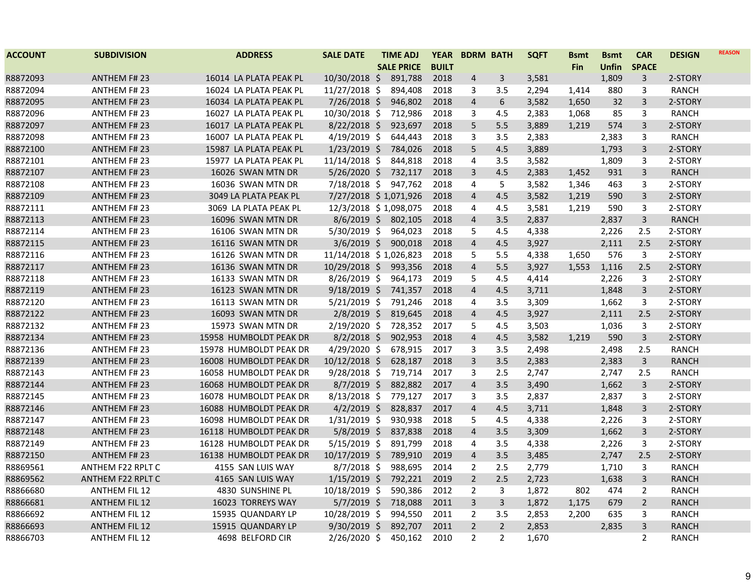| <b>ACCOUNT</b> | <b>SUBDIVISION</b>   | <b>ADDRESS</b>         | <b>SALE DATE</b>       | <b>TIME ADJ</b>   | <b>YEAR</b>  | <b>BDRM BATH</b> |                  | <b>SQFT</b> | <b>Bsmt</b> | <b>Bsmt</b>  | <b>CAR</b>     | <b>DESIGN</b> | <b>REASON</b> |
|----------------|----------------------|------------------------|------------------------|-------------------|--------------|------------------|------------------|-------------|-------------|--------------|----------------|---------------|---------------|
|                |                      |                        |                        | <b>SALE PRICE</b> | <b>BUILT</b> |                  |                  |             | <b>Fin</b>  | <b>Unfin</b> | <b>SPACE</b>   |               |               |
| R8872093       | <b>ANTHEM F#23</b>   | 16014 LA PLATA PEAK PL | 10/30/2018 \$          | 891,788           | 2018         | $\overline{a}$   | 3                | 3,581       |             | 1,809        | 3              | 2-STORY       |               |
| R8872094       | <b>ANTHEM F#23</b>   | 16024 LA PLATA PEAK PL | 11/27/2018 \$          | 894,408           | 2018         | 3                | 3.5              | 2,294       | 1,414       | 880          | 3              | <b>RANCH</b>  |               |
| R8872095       | <b>ANTHEM F#23</b>   | 16034 LA PLATA PEAK PL | 7/26/2018 \$           | 946,802           | 2018         | $\overline{4}$   | $\boldsymbol{6}$ | 3,582       | 1,650       | 32           | $\overline{3}$ | 2-STORY       |               |
| R8872096       | <b>ANTHEM F#23</b>   | 16027 LA PLATA PEAK PL | 10/30/2018 \$          | 712,986           | 2018         | 3                | 4.5              | 2,383       | 1,068       | 85           | 3              | <b>RANCH</b>  |               |
| R8872097       | <b>ANTHEM F#23</b>   | 16017 LA PLATA PEAK PL | $8/22/2018$ \$         | 923,697           | 2018         | 5                | 5.5              | 3,889       | 1,219       | 574          | 3              | 2-STORY       |               |
| R8872098       | <b>ANTHEM F# 23</b>  | 16007 LA PLATA PEAK PL | $4/19/2019$ \$         | 644,443           | 2018         | 3                | 3.5              | 2,383       |             | 2,383        | 3              | RANCH         |               |
| R8872100       | <b>ANTHEM F# 23</b>  | 15987 LA PLATA PEAK PL | $1/23/2019$ \$         | 784,026           | 2018         | 5                | 4.5              | 3,889       |             | 1,793        | 3              | 2-STORY       |               |
| R8872101       | <b>ANTHEM F# 23</b>  | 15977 LA PLATA PEAK PL | 11/14/2018 \$          | 844,818           | 2018         | $\overline{4}$   | 3.5              | 3,582       |             | 1,809        | 3              | 2-STORY       |               |
| R8872107       | <b>ANTHEM F#23</b>   | 16026 SWAN MTN DR      | 5/26/2020 \$           | 732,117           | 2018         | $\mathbf{3}$     | 4.5              | 2,383       | 1,452       | 931          | 3              | <b>RANCH</b>  |               |
| R8872108       | <b>ANTHEM F# 23</b>  | 16036 SWAN MTN DR      | 7/18/2018 \$           | 947,762           | 2018         | 4                | 5                | 3,582       | 1,346       | 463          | 3              | 2-STORY       |               |
| R8872109       | <b>ANTHEM F#23</b>   | 3049 LA PLATA PEAK PL  | 7/27/2018 \$1,071,926  |                   | 2018         | $\overline{4}$   | 4.5              | 3,582       | 1,219       | 590          | 3              | 2-STORY       |               |
| R8872111       | <b>ANTHEM F#23</b>   | 3069 LA PLATA PEAK PL  | 12/3/2018 \$1,098,075  |                   | 2018         | 4                | 4.5              | 3,581       | 1,219       | 590          | 3              | 2-STORY       |               |
| R8872113       | <b>ANTHEM F# 23</b>  | 16096 SWAN MTN DR      | $8/6/2019$ \$          | 802,105           | 2018         | $\overline{4}$   | 3.5              | 2,837       |             | 2,837        | $\overline{3}$ | <b>RANCH</b>  |               |
| R8872114       | <b>ANTHEM F#23</b>   | 16106 SWAN MTN DR      | 5/30/2019 \$           | 964,023           | 2018         | 5                | 4.5              | 4,338       |             | 2,226        | 2.5            | 2-STORY       |               |
| R8872115       | <b>ANTHEM F# 23</b>  | 16116 SWAN MTN DR      | $3/6/2019$ \$          | 900,018           | 2018         | $\overline{4}$   | 4.5              | 3,927       |             | 2,111        | 2.5            | 2-STORY       |               |
| R8872116       | <b>ANTHEM F# 23</b>  | 16126 SWAN MTN DR      | 11/14/2018 \$1,026,823 |                   | 2018         | 5                | 5.5              | 4,338       | 1,650       | 576          | 3              | 2-STORY       |               |
| R8872117       | <b>ANTHEM F# 23</b>  | 16136 SWAN MTN DR      | 10/29/2018 \$          | 993,356           | 2018         | $\overline{4}$   | 5.5              | 3,927       | 1,553       | 1,116        | 2.5            | 2-STORY       |               |
| R8872118       | <b>ANTHEM F#23</b>   | 16133 SWAN MTN DR      | 8/26/2019 \$           | 964,173           | 2019         | 5                | 4.5              | 4,414       |             | 2,226        | 3              | 2-STORY       |               |
| R8872119       | <b>ANTHEM F# 23</b>  | 16123 SWAN MTN DR      | $9/18/2019$ \$         | 741,357           | 2018         | $\overline{4}$   | 4.5              | 3,711       |             | 1,848        | 3              | 2-STORY       |               |
| R8872120       | <b>ANTHEM F#23</b>   | 16113 SWAN MTN DR      | $5/21/2019$ \$         | 791,246           | 2018         | $\overline{4}$   | 3.5              | 3,309       |             | 1,662        | 3              | 2-STORY       |               |
| R8872122       | <b>ANTHEM F# 23</b>  | 16093 SWAN MTN DR      | $2/8/2019$ \$          | 819,645           | 2018         | $\overline{4}$   | 4.5              | 3,927       |             | 2,111        | 2.5            | 2-STORY       |               |
| R8872132       | <b>ANTHEM F#23</b>   | 15973 SWAN MTN DR      | 2/19/2020 \$           | 728,352           | 2017         | 5                | 4.5              | 3,503       |             | 1,036        | 3              | 2-STORY       |               |
| R8872134       | <b>ANTHEM F#23</b>   | 15958 HUMBOLDT PEAK DR | $8/2/2018$ \$          | 902,953           | 2018         | $\overline{4}$   | 4.5              | 3,582       | 1,219       | 590          | $\overline{3}$ | 2-STORY       |               |
| R8872136       | <b>ANTHEM F#23</b>   | 15978 HUMBOLDT PEAK DR | 4/29/2020 \$           | 678,915           | 2017         | 3                | 3.5              | 2,498       |             | 2,498        | 2.5            | <b>RANCH</b>  |               |
| R8872139       | <b>ANTHEM F#23</b>   | 16008 HUMBOLDT PEAK DR | 10/12/2018 \$          | 628,187           | 2018         | 3                | 3.5              | 2,383       |             | 2,383        | 3              | <b>RANCH</b>  |               |
| R8872143       | <b>ANTHEM F# 23</b>  | 16058 HUMBOLDT PEAK DR | $9/28/2018$ \$         | 719,714           | 2017         | 3                | 2.5              | 2,747       |             | 2,747        | 2.5            | <b>RANCH</b>  |               |
| R8872144       | <b>ANTHEM F# 23</b>  | 16068 HUMBOLDT PEAK DR | $8/7/2019$ \$          | 882,882           | 2017         | $\overline{4}$   | 3.5              | 3,490       |             | 1,662        | 3              | 2-STORY       |               |
| R8872145       | <b>ANTHEM F#23</b>   | 16078 HUMBOLDT PEAK DR | $8/13/2018$ \$         | 779,127           | 2017         | 3                | 3.5              | 2,837       |             | 2,837        | 3              | 2-STORY       |               |
| R8872146       | <b>ANTHEM F# 23</b>  | 16088 HUMBOLDT PEAK DR | $4/2/2019$ \$          | 828,837           | 2017         | $\overline{4}$   | 4.5              | 3,711       |             | 1,848        | 3              | 2-STORY       |               |
| R8872147       | <b>ANTHEM F# 23</b>  | 16098 HUMBOLDT PEAK DR | 1/31/2019 \$           | 930,938           | 2018         | 5                | 4.5              | 4,338       |             | 2,226        | 3              | 2-STORY       |               |
| R8872148       | <b>ANTHEM F# 23</b>  | 16118 HUMBOLDT PEAK DR | $5/8/2019$ \$          | 837,838           | 2018         | $\overline{4}$   | 3.5              | 3,309       |             | 1,662        | 3              | 2-STORY       |               |
| R8872149       | <b>ANTHEM F#23</b>   | 16128 HUMBOLDT PEAK DR | $5/15/2019$ \$         | 891,799           | 2018         | 4                | 3.5              | 4,338       |             | 2,226        | 3              | 2-STORY       |               |
| R8872150       | <b>ANTHEM F# 23</b>  | 16138 HUMBOLDT PEAK DR | $10/17/2019$ \$        | 789,910           | 2019         | $\overline{4}$   | 3.5              | 3,485       |             | 2,747        | 2.5            | 2-STORY       |               |
| R8869561       | ANTHEM F22 RPLT C    | 4155 SAN LUIS WAY      | 8/7/2018 \$            | 988,695           | 2014         | $\overline{2}$   | 2.5              | 2,779       |             | 1,710        | 3              | <b>RANCH</b>  |               |
| R8869562       | ANTHEM F22 RPLT C    | 4165 SAN LUIS WAY      | $1/15/2019$ \$         | 792,221           | 2019         | $\overline{2}$   | 2.5              | 2,723       |             | 1,638        | 3              | <b>RANCH</b>  |               |
| R8866680       | ANTHEM FIL 12        | 4830 SUNSHINE PL       | 10/18/2019 \$          | 590,386           | 2012         | $\overline{2}$   | 3                | 1,872       | 802         | 474          | $\overline{2}$ | <b>RANCH</b>  |               |
| R8866681       | <b>ANTHEM FIL 12</b> | 16023 TORREYS WAY      | $5/7/2019$ \$          | 718,088           | 2011         | $\mathbf{3}$     | 3                | 1,872       | 1,175       | 679          | $\overline{2}$ | <b>RANCH</b>  |               |
| R8866692       | <b>ANTHEM FIL 12</b> | 15935 QUANDARY LP      | 10/28/2019 \$          | 994,550           | 2011         | $\overline{2}$   | 3.5              | 2,853       | 2,200       | 635          | 3              | <b>RANCH</b>  |               |
| R8866693       | <b>ANTHEM FIL 12</b> | 15915 QUANDARY LP      | $9/30/2019$ \$         | 892,707           | 2011         | $\overline{2}$   | $\overline{2}$   | 2,853       |             | 2,835        | 3              | <b>RANCH</b>  |               |
| R8866703       | <b>ANTHEM FIL 12</b> | 4698 BELFORD CIR       | 2/26/2020 \$           | 450,162           | 2010         | $\overline{2}$   | $\overline{2}$   | 1,670       |             |              | $\overline{2}$ | RANCH         |               |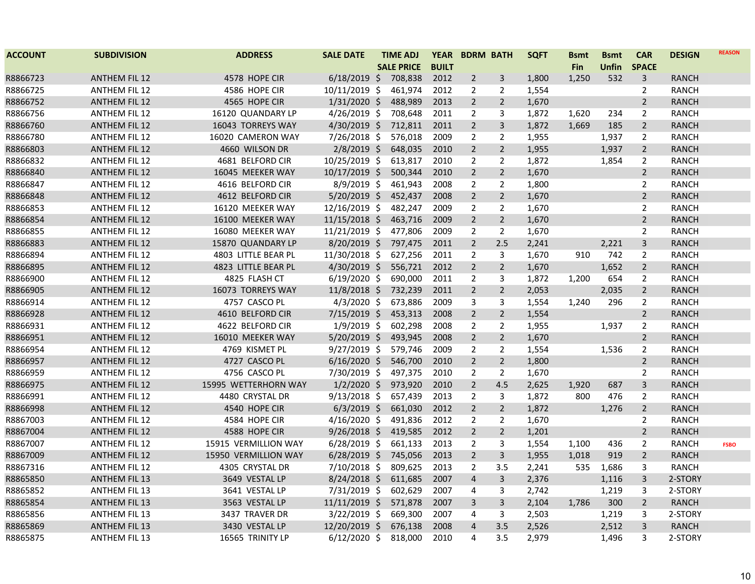| <b>ACCOUNT</b> | <b>SUBDIVISION</b>   | <b>ADDRESS</b>       | <b>SALE DATE</b> | <b>TIME ADJ</b>   | <b>YEAR</b>  |                | <b>BDRM BATH</b> | <b>SQFT</b> | <b>Bsmt</b> | <b>Bsmt</b> | <b>CAR</b>     | <b>DESIGN</b> | <b>REASON</b> |
|----------------|----------------------|----------------------|------------------|-------------------|--------------|----------------|------------------|-------------|-------------|-------------|----------------|---------------|---------------|
|                |                      |                      |                  | <b>SALE PRICE</b> | <b>BUILT</b> |                |                  |             | <b>Fin</b>  | Unfin       | <b>SPACE</b>   |               |               |
| R8866723       | <b>ANTHEM FIL 12</b> | 4578 HOPE CIR        | $6/18/2019$ \$   | 708,838           | 2012         | $\overline{2}$ | 3                | 1,800       | 1,250       | 532         | 3              | <b>RANCH</b>  |               |
| R8866725       | <b>ANTHEM FIL 12</b> | 4586 HOPE CIR        | $10/11/2019$ \$  | 461,974           | 2012         | $\overline{2}$ | 2                | 1,554       |             |             | 2              | <b>RANCH</b>  |               |
| R8866752       | <b>ANTHEM FIL 12</b> | 4565 HOPE CIR        | $1/31/2020$ \$   | 488,989           | 2013         | $\overline{2}$ | $\overline{2}$   | 1,670       |             |             | $\overline{2}$ | <b>RANCH</b>  |               |
| R8866756       | <b>ANTHEM FIL 12</b> | 16120 QUANDARY LP    | $4/26/2019$ \$   | 708,648           | 2011         | $\overline{2}$ | 3                | 1,872       | 1,620       | 234         | $\overline{2}$ | <b>RANCH</b>  |               |
| R8866760       | <b>ANTHEM FIL 12</b> | 16043 TORREYS WAY    | 4/30/2019 \$     | 712,811           | 2011         | $\overline{2}$ | $\overline{3}$   | 1,872       | 1,669       | 185         | $\overline{2}$ | <b>RANCH</b>  |               |
| R8866780       | <b>ANTHEM FIL 12</b> | 16020 CAMERON WAY    | $7/26/2018$ \$   | 576,018           | 2009         | $\overline{2}$ | 2                | 1,955       |             | 1,937       | $\overline{2}$ | <b>RANCH</b>  |               |
| R8866803       | <b>ANTHEM FIL 12</b> | 4660 WILSON DR       | $2/8/2019$ \$    | 648,035           | 2010         | $\overline{2}$ | $\overline{2}$   | 1,955       |             | 1,937       | $\overline{2}$ | RANCH         |               |
| R8866832       | <b>ANTHEM FIL 12</b> | 4681 BELFORD CIR     | 10/25/2019 \$    | 613,817           | 2010         | $\overline{2}$ | $\overline{2}$   | 1,872       |             | 1,854       | $\overline{2}$ | <b>RANCH</b>  |               |
| R8866840       | <b>ANTHEM FIL 12</b> | 16045 MEEKER WAY     | $10/17/2019$ \$  | 500,344           | 2010         | $\overline{2}$ | $\overline{2}$   | 1,670       |             |             | $\overline{2}$ | <b>RANCH</b>  |               |
| R8866847       | <b>ANTHEM FIL 12</b> | 4616 BELFORD CIR     | $8/9/2019$ \$    | 461,943           | 2008         | $\overline{2}$ | $\overline{2}$   | 1,800       |             |             | $\overline{2}$ | <b>RANCH</b>  |               |
| R8866848       | <b>ANTHEM FIL 12</b> | 4612 BELFORD CIR     | $5/20/2019$ \$   | 452,437           | 2008         | $\overline{2}$ | $\overline{2}$   | 1,670       |             |             | $\overline{2}$ | <b>RANCH</b>  |               |
| R8866853       | <b>ANTHEM FIL 12</b> | 16120 MEEKER WAY     | 12/16/2019 \$    | 482,247           | 2009         | $\overline{2}$ | 2                | 1,670       |             |             | $\overline{2}$ | <b>RANCH</b>  |               |
| R8866854       | <b>ANTHEM FIL 12</b> | 16100 MEEKER WAY     | 11/15/2018 \$    | 463,716           | 2009         | $\overline{2}$ | $\overline{2}$   | 1,670       |             |             | $\overline{2}$ | <b>RANCH</b>  |               |
| R8866855       | <b>ANTHEM FIL 12</b> | 16080 MEEKER WAY     | 11/21/2019 \$    | 477,806           | 2009         | $\overline{2}$ | 2                | 1,670       |             |             | $\overline{2}$ | <b>RANCH</b>  |               |
| R8866883       | <b>ANTHEM FIL 12</b> | 15870 QUANDARY LP    | 8/20/2019 \$     | 797,475           | 2011         | $\overline{2}$ | 2.5              | 2,241       |             | 2,221       | 3              | RANCH         |               |
| R8866894       | <b>ANTHEM FIL 12</b> | 4803 LITTLE BEAR PL  | 11/30/2018 \$    | 627,256           | 2011         | $\overline{2}$ | 3                | 1,670       | 910         | 742         | 2              | RANCH         |               |
| R8866895       | <b>ANTHEM FIL 12</b> | 4823 LITTLE BEAR PL  | $4/30/2019$ \$   | 556,721           | 2012         | $\overline{2}$ | $\overline{2}$   | 1,670       |             | 1,652       | $\overline{2}$ | <b>RANCH</b>  |               |
| R8866900       | <b>ANTHEM FIL 12</b> | 4825 FLASH CT        | $6/19/2020$ \$   | 690,000           | 2011         | 2              | 3                | 1,872       | 1,200       | 654         | $\overline{2}$ | <b>RANCH</b>  |               |
| R8866905       | <b>ANTHEM FIL 12</b> | 16073 TORREYS WAY    | $11/8/2018$ \$   | 732,239           | 2011         | $\overline{2}$ | $\overline{2}$   | 2,053       |             | 2,035       | $2^{\circ}$    | <b>RANCH</b>  |               |
| R8866914       | <b>ANTHEM FIL 12</b> | 4757 CASCO PL        | $4/3/2020$ \$    | 673,886           | 2009         | 3              | 3                | 1,554       | 1,240       | 296         | $\overline{2}$ | <b>RANCH</b>  |               |
| R8866928       | <b>ANTHEM FIL 12</b> | 4610 BELFORD CIR     | 7/15/2019 \$     | 453,313           | 2008         | $\overline{2}$ | $\overline{2}$   | 1,554       |             |             | $\overline{2}$ | <b>RANCH</b>  |               |
| R8866931       | <b>ANTHEM FIL 12</b> | 4622 BELFORD CIR     | $1/9/2019$ \$    | 602,298           | 2008         | $\overline{2}$ | $\overline{2}$   | 1,955       |             | 1,937       | $\overline{2}$ | <b>RANCH</b>  |               |
| R8866951       | <b>ANTHEM FIL 12</b> | 16010 MEEKER WAY     | $5/20/2019$ \$   | 493,945           | 2008         | $\overline{2}$ | $\overline{2}$   | 1,670       |             |             | $\overline{2}$ | <b>RANCH</b>  |               |
| R8866954       | <b>ANTHEM FIL 12</b> | 4769 KISMET PL       | $9/27/2019$ \$   | 579,746           | 2009         | $\overline{2}$ | 2                | 1,554       |             | 1,536       | $\overline{2}$ | RANCH         |               |
| R8866957       | <b>ANTHEM FIL 12</b> | 4727 CASCO PL        | $6/16/2020$ \$   | 546,700           | 2010         | $\overline{2}$ | $\overline{2}$   | 1,800       |             |             | $\overline{2}$ | <b>RANCH</b>  |               |
| R8866959       | <b>ANTHEM FIL 12</b> | 4756 CASCO PL        | 7/30/2019 \$     | 497,375           | 2010         | $\overline{2}$ | $\overline{2}$   | 1,670       |             |             | $\overline{2}$ | <b>RANCH</b>  |               |
| R8866975       | <b>ANTHEM FIL 12</b> | 15995 WETTERHORN WAY | $1/2/2020$ \$    | 973,920           | 2010         | $\overline{2}$ | 4.5              | 2,625       | 1,920       | 687         | 3              | <b>RANCH</b>  |               |
| R8866991       | <b>ANTHEM FIL 12</b> | 4480 CRYSTAL DR      | $9/13/2018$ \$   | 657,439           | 2013         | $\overline{2}$ | 3                | 1,872       | 800         | 476         | $\overline{2}$ | <b>RANCH</b>  |               |
| R8866998       | <b>ANTHEM FIL 12</b> | 4540 HOPE CIR        | $6/3/2019$ \$    | 661,030           | 2012         | $\overline{2}$ | $\overline{2}$   | 1,872       |             | 1,276       | $\overline{2}$ | <b>RANCH</b>  |               |
| R8867003       | <b>ANTHEM FIL 12</b> | 4584 HOPE CIR        | $4/16/2020$ \$   | 491,836           | 2012         | $\overline{2}$ | $\overline{2}$   | 1,670       |             |             | $\overline{2}$ | <b>RANCH</b>  |               |
| R8867004       | <b>ANTHEM FIL 12</b> | 4588 HOPE CIR        | $9/26/2018$ \$   | 419,585           | 2012         | $\overline{2}$ | $\overline{2}$   | 1,201       |             |             | $\overline{2}$ | <b>RANCH</b>  |               |
| R8867007       | <b>ANTHEM FIL 12</b> | 15915 VERMILLION WAY | $6/28/2019$ \$   | 661,133           | 2013         | $\overline{2}$ | 3                | 1,554       | 1,100       | 436         | $\overline{2}$ | <b>RANCH</b>  | <b>FSBO</b>   |
| R8867009       | <b>ANTHEM FIL 12</b> | 15950 VERMILLION WAY | $6/28/2019$ \$   | 745,056           | 2013         | $\overline{2}$ | 3                | 1,955       | 1,018       | 919         | $\overline{2}$ | <b>RANCH</b>  |               |
| R8867316       | <b>ANTHEM FIL 12</b> | 4305 CRYSTAL DR      | $7/10/2018$ \$   | 809,625           | 2013         | $\overline{2}$ | 3.5              | 2,241       | 535         | 1,686       | 3              | <b>RANCH</b>  |               |
| R8865850       | <b>ANTHEM FIL 13</b> | 3649 VESTAL LP       | $8/24/2018$ \$   | 611,685           | 2007         | $\overline{4}$ | 3                | 2,376       |             | 1,116       | 3              | 2-STORY       |               |
| R8865852       | <b>ANTHEM FIL 13</b> | 3641 VESTAL LP       | 7/31/2019 \$     | 602,629           | 2007         | 4              | 3                | 2,742       |             | 1,219       | 3              | 2-STORY       |               |
| R8865854       | <b>ANTHEM FIL 13</b> | 3563 VESTAL LP       | 11/11/2019 \$    | 571,878           | 2007         | 3              | 3                | 2,104       | 1.786       | 300         | $\overline{2}$ | <b>RANCH</b>  |               |
| R8865856       | <b>ANTHEM FIL 13</b> | 3437 TRAVER DR       | 3/22/2019 \$     | 669,300           | 2007         | 4              | 3                | 2,503       |             | 1,219       | 3              | 2-STORY       |               |
| R8865869       | <b>ANTHEM FIL 13</b> | 3430 VESTAL LP       | 12/20/2019 \$    | 676,138           | 2008         | $\overline{4}$ | 3.5              | 2,526       |             | 2,512       | 3              | <b>RANCH</b>  |               |
| R8865875       | <b>ANTHEM FIL 13</b> | 16565 TRINITY LP     | $6/12/2020$ \$   | 818,000           | 2010         | 4              | 3.5              | 2,979       |             | 1,496       | 3              | 2-STORY       |               |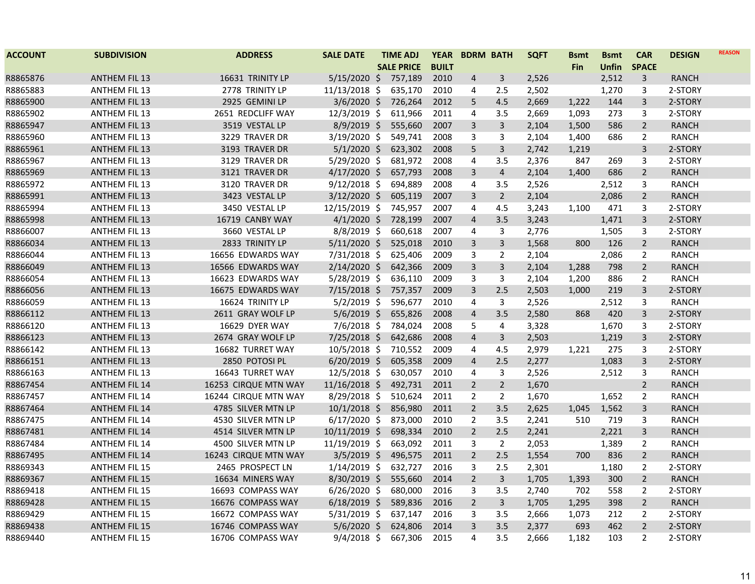| <b>ACCOUNT</b> | <b>SUBDIVISION</b>   | <b>ADDRESS</b>       | <b>SALE DATE</b> | <b>TIME ADJ</b>   | <b>YEAR</b>  | <b>BDRM BATH</b> |                | <b>SQFT</b> | <b>Bsmt</b> | <b>Bsmt</b>  | <b>CAR</b>     | <b>DESIGN</b> | <b>REASON</b> |
|----------------|----------------------|----------------------|------------------|-------------------|--------------|------------------|----------------|-------------|-------------|--------------|----------------|---------------|---------------|
|                |                      |                      |                  | <b>SALE PRICE</b> | <b>BUILT</b> |                  |                |             | <b>Fin</b>  | <b>Unfin</b> | <b>SPACE</b>   |               |               |
| R8865876       | <b>ANTHEM FIL 13</b> | 16631 TRINITY LP     | $5/15/2020$ \$   | 757,189           | 2010         | $\overline{4}$   | 3              | 2,526       |             | 2,512        | 3              | <b>RANCH</b>  |               |
| R8865883       | <b>ANTHEM FIL 13</b> | 2778 TRINITY LP      | 11/13/2018 \$    | 635,170           | 2010         | 4                | 2.5            | 2,502       |             | 1,270        | 3              | 2-STORY       |               |
| R8865900       | <b>ANTHEM FIL 13</b> | 2925 GEMINI LP       | $3/6/2020$ \$    | 726,264           | 2012         | 5                | 4.5            | 2,669       | 1,222       | 144          | 3              | 2-STORY       |               |
| R8865902       | <b>ANTHEM FIL 13</b> | 2651 REDCLIFF WAY    | 12/3/2019 \$     | 611,966           | 2011         | 4                | 3.5            | 2,669       | 1,093       | 273          | 3              | 2-STORY       |               |
| R8865947       | <b>ANTHEM FIL 13</b> | 3519 VESTAL LP       | 8/9/2019 \$      | 555,660           | 2007         | 3                | $\overline{3}$ | 2,104       | 1,500       | 586          | $\overline{2}$ | <b>RANCH</b>  |               |
| R8865960       | <b>ANTHEM FIL 13</b> | 3229 TRAVER DR       | $3/19/2020$ \$   | 549,741           | 2008         | 3                | 3              | 2,104       | 1,400       | 686          | $\overline{2}$ | <b>RANCH</b>  |               |
| R8865961       | <b>ANTHEM FIL 13</b> | 3193 TRAVER DR       | $5/1/2020$ \$    | 623,302           | 2008         | 5                | 3              | 2,742       | 1,219       |              | 3              | 2-STORY       |               |
| R8865967       | <b>ANTHEM FIL 13</b> | 3129 TRAVER DR       | 5/29/2020 \$     | 681,972           | 2008         | 4                | 3.5            | 2,376       | 847         | 269          | 3              | 2-STORY       |               |
| R8865969       | <b>ANTHEM FIL 13</b> | 3121 TRAVER DR       | $4/17/2020$ \$   | 657,793           | 2008         | $\mathbf{3}$     | $\overline{4}$ | 2,104       | 1,400       | 686          | $\overline{2}$ | <b>RANCH</b>  |               |
| R8865972       | <b>ANTHEM FIL 13</b> | 3120 TRAVER DR       | $9/12/2018$ \$   | 694,889           | 2008         | 4                | 3.5            | 2,526       |             | 2,512        | 3              | <b>RANCH</b>  |               |
| R8865991       | <b>ANTHEM FIL 13</b> | 3423 VESTAL LP       | $3/12/2020$ \$   | 605,119           | 2007         | 3                | $\overline{2}$ | 2,104       |             | 2,086        | $\overline{2}$ | <b>RANCH</b>  |               |
| R8865994       | <b>ANTHEM FIL 13</b> | 3450 VESTAL LP       | 12/15/2019 \$    | 745,957           | 2007         | $\overline{4}$   | 4.5            | 3,243       | 1,100       | 471          | 3              | 2-STORY       |               |
| R8865998       | <b>ANTHEM FIL 13</b> | 16719 CANBY WAY      | $4/1/2020$ \$    | 728,199           | 2007         | $\overline{4}$   | 3.5            | 3,243       |             | 1,471        | 3              | 2-STORY       |               |
| R8866007       | <b>ANTHEM FIL 13</b> | 3660 VESTAL LP       | $8/8/2019$ \$    | 660,618           | 2007         | $\overline{4}$   | 3              | 2,776       |             | 1,505        | 3              | 2-STORY       |               |
| R8866034       | <b>ANTHEM FIL 13</b> | 2833 TRINITY LP      | $5/11/2020$ \$   | 525,018           | 2010         | 3                | 3              | 1,568       | 800         | 126          | $\overline{2}$ | <b>RANCH</b>  |               |
| R8866044       | <b>ANTHEM FIL 13</b> | 16656 EDWARDS WAY    | 7/31/2018 \$     | 625,406           | 2009         | 3                | 2              | 2,104       |             | 2,086        | 2              | RANCH         |               |
| R8866049       | <b>ANTHEM FIL 13</b> | 16566 EDWARDS WAY    | 2/14/2020 \$     | 642,366           | 2009         | 3                | 3              | 2,104       | 1,288       | 798          | $\overline{2}$ | <b>RANCH</b>  |               |
| R8866054       | <b>ANTHEM FIL 13</b> | 16623 EDWARDS WAY    | 5/28/2019 \$     | 636,110           | 2009         | 3                | 3              | 2,104       | 1,200       | 886          | $\overline{2}$ | <b>RANCH</b>  |               |
| R8866056       | <b>ANTHEM FIL 13</b> | 16675 EDWARDS WAY    | $7/15/2018$ \$   | 757,357           | 2009         | 3                | 2.5            | 2,503       | 1,000       | 219          | 3              | 2-STORY       |               |
| R8866059       | <b>ANTHEM FIL 13</b> | 16624 TRINITY LP     | $5/2/2019$ \$    | 596,677           | 2010         | $\overline{4}$   | 3              | 2,526       |             | 2,512        | 3              | <b>RANCH</b>  |               |
| R8866112       | <b>ANTHEM FIL 13</b> | 2611 GRAY WOLF LP    | $5/6/2019$ \$    | 655,826           | 2008         | $\overline{4}$   | 3.5            | 2,580       | 868         | 420          | 3              | 2-STORY       |               |
| R8866120       | <b>ANTHEM FIL 13</b> | 16629 DYER WAY       | $7/6/2018$ \$    | 784,024           | 2008         | 5                | $\overline{4}$ | 3,328       |             | 1,670        | 3              | 2-STORY       |               |
| R8866123       | <b>ANTHEM FIL 13</b> | 2674 GRAY WOLF LP    | 7/25/2018 \$     | 642,686           | 2008         | $\overline{4}$   | 3              | 2,503       |             | 1,219        | 3              | 2-STORY       |               |
| R8866142       | <b>ANTHEM FIL 13</b> | 16682 TURRET WAY     | $10/5/2018$ \$   | 710,552           | 2009         | 4                | 4.5            | 2,979       | 1,221       | 275          | 3              | 2-STORY       |               |
| R8866151       | <b>ANTHEM FIL 13</b> | 2850 POTOSI PL       | $6/20/2019$ \$   | 605,358           | 2009         | $\overline{4}$   | 2.5            | 2,277       |             | 1,083        | 3              | 2-STORY       |               |
| R8866163       | <b>ANTHEM FIL 13</b> | 16643 TURRET WAY     | 12/5/2018 \$     | 630,057           | 2010         | 4                | 3              | 2,526       |             | 2,512        | 3              | <b>RANCH</b>  |               |
| R8867454       | <b>ANTHEM FIL 14</b> | 16253 CIRQUE MTN WAY | 11/16/2018 \$    | 492,731           | 2011         | $\overline{2}$   | $\overline{2}$ | 1,670       |             |              | $\overline{2}$ | <b>RANCH</b>  |               |
| R8867457       | <b>ANTHEM FIL 14</b> | 16244 CIRQUE MTN WAY | $8/29/2018$ \$   | 510,624           | 2011         | $\overline{2}$   | $\overline{2}$ | 1,670       |             | 1,652        | $\overline{2}$ | <b>RANCH</b>  |               |
| R8867464       | <b>ANTHEM FIL 14</b> | 4785 SILVER MTN LP   | $10/1/2018$ \$   | 856,980           | 2011         | $\overline{2}$   | 3.5            | 2,625       | 1,045       | 1,562        | 3              | <b>RANCH</b>  |               |
| R8867475       | <b>ANTHEM FIL 14</b> | 4530 SILVER MTN LP   | $6/17/2020$ \$   | 873,000           | 2010         | $\overline{2}$   | 3.5            | 2,241       | 510         | 719          | 3              | <b>RANCH</b>  |               |
| R8867481       | <b>ANTHEM FIL 14</b> | 4514 SILVER MTN LP   | $10/11/2019$ \$  | 698,334           | 2010         | $\overline{2}$   | 2.5            | 2,241       |             | 2,221        | 3              | <b>RANCH</b>  |               |
| R8867484       | <b>ANTHEM FIL 14</b> | 4500 SILVER MTN LP   | 11/19/2019 \$    | 663,092           | 2011         | 3                | $\overline{2}$ | 2,053       |             | 1,389        | $\overline{2}$ | <b>RANCH</b>  |               |
| R8867495       | <b>ANTHEM FIL 14</b> | 16243 CIRQUE MTN WAY | $3/5/2019$ \$    | 496,575           | 2011         | $\overline{2}$   | 2.5            | 1,554       | 700         | 836          | $\overline{2}$ | <b>RANCH</b>  |               |
| R8869343       | <b>ANTHEM FIL 15</b> | 2465 PROSPECT LN     | $1/14/2019$ \$   | 632,727           | 2016         | 3                | 2.5            | 2,301       |             | 1,180        | 2              | 2-STORY       |               |
| R8869367       | <b>ANTHEM FIL 15</b> | 16634 MINERS WAY     | 8/30/2019 \$     | 555,660           | 2014         | $\overline{2}$   | $\mathbf{3}$   | 1,705       | 1,393       | 300          | $\overline{2}$ | <b>RANCH</b>  |               |
| R8869418       | <b>ANTHEM FIL 15</b> | 16693 COMPASS WAY    | $6/26/2020$ \$   | 680,000           | 2016         | 3                | 3.5            | 2,740       | 702         | 558          | $\overline{2}$ | 2-STORY       |               |
| R8869428       | <b>ANTHEM FIL 15</b> | 16676 COMPASS WAY    | $6/18/2019$ \$   | 589,836           | 2016         | $\overline{2}$   | $\mathsf{3}$   | 1,705       | 1,295       | 398          | $\overline{2}$ | <b>RANCH</b>  |               |
| R8869429       | <b>ANTHEM FIL 15</b> | 16672 COMPASS WAY    | $5/31/2019$ \$   | 637,147           | 2016         | 3                | 3.5            | 2,666       | 1,073       | 212          | $\overline{2}$ | 2-STORY       |               |
| R8869438       | <b>ANTHEM FIL 15</b> | 16746 COMPASS WAY    | $5/6/2020$ \$    | 624,806           | 2014         | $\overline{3}$   | 3.5            | 2,377       | 693         | 462          | $\overline{2}$ | 2-STORY       |               |
| R8869440       | <b>ANTHEM FIL 15</b> | 16706 COMPASS WAY    | $9/4/2018$ \$    | 667,306           | 2015         | 4                | 3.5            | 2,666       | 1,182       | 103          | $\overline{2}$ | 2-STORY       |               |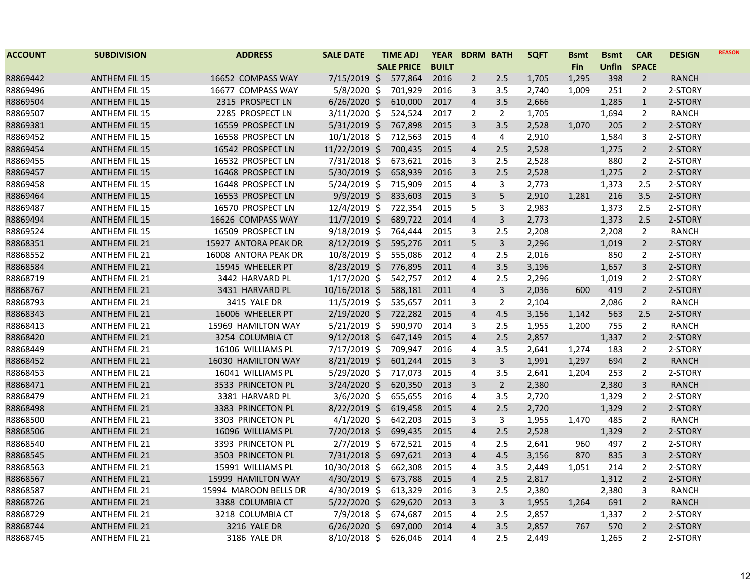| <b>ACCOUNT</b> | <b>SUBDIVISION</b>   | <b>ADDRESS</b>        | <b>SALE DATE</b> | <b>TIME ADJ</b>   | <b>YEAR</b>  |                | <b>BDRM BATH</b> | <b>SQFT</b> | <b>B</b> smt | <b>Bsmt</b>  | <b>CAR</b>     | <b>DESIGN</b> | <b>REASON</b> |
|----------------|----------------------|-----------------------|------------------|-------------------|--------------|----------------|------------------|-------------|--------------|--------------|----------------|---------------|---------------|
|                |                      |                       |                  | <b>SALE PRICE</b> | <b>BUILT</b> |                |                  |             | <b>Fin</b>   | <b>Unfin</b> | <b>SPACE</b>   |               |               |
| R8869442       | <b>ANTHEM FIL 15</b> | 16652 COMPASS WAY     | $7/15/2019$ \$   | 577,864           | 2016         | $\overline{2}$ | 2.5              | 1,705       | 1,295        | 398          | $\overline{2}$ | <b>RANCH</b>  |               |
| R8869496       | <b>ANTHEM FIL 15</b> | 16677 COMPASS WAY     | $5/8/2020$ \$    | 701,929           | 2016         | 3              | 3.5              | 2,740       | 1,009        | 251          | $\overline{2}$ | 2-STORY       |               |
| R8869504       | <b>ANTHEM FIL 15</b> | 2315 PROSPECT LN      | $6/26/2020$ \$   | 610,000           | 2017         | $\overline{4}$ | 3.5              | 2,666       |              | 1,285        | $\mathbf{1}$   | 2-STORY       |               |
| R8869507       | <b>ANTHEM FIL 15</b> | 2285 PROSPECT LN      | $3/11/2020$ \$   | 524,524           | 2017         | 2              | $\overline{2}$   | 1,705       |              | 1,694        | 2              | <b>RANCH</b>  |               |
| R8869381       | <b>ANTHEM FIL 15</b> | 16559 PROSPECT LN     | $5/31/2019$ \$   | 767,898           | 2015         | 3              | 3.5              | 2,528       | 1,070        | 205          | $\overline{2}$ | 2-STORY       |               |
| R8869452       | <b>ANTHEM FIL 15</b> | 16558 PROSPECT LN     | $10/1/2018$ \$   | 712,563           | 2015         | 4              | 4                | 2,910       |              | 1,584        | 3              | 2-STORY       |               |
| R8869454       | <b>ANTHEM FIL 15</b> | 16542 PROSPECT LN     | 11/22/2019 \$    | 700,435           | 2015         | $\overline{4}$ | 2.5              | 2,528       |              | 1,275        | $\overline{2}$ | 2-STORY       |               |
| R8869455       | <b>ANTHEM FIL 15</b> | 16532 PROSPECT LN     | 7/31/2018 \$     | 673,621           | 2016         | 3              | 2.5              | 2,528       |              | 880          | $\overline{2}$ | 2-STORY       |               |
| R8869457       | <b>ANTHEM FIL 15</b> | 16468 PROSPECT LN     | 5/30/2019 \$     | 658,939           | 2016         | 3              | 2.5              | 2,528       |              | 1,275        | $\overline{2}$ | 2-STORY       |               |
| R8869458       | <b>ANTHEM FIL 15</b> | 16448 PROSPECT LN     | $5/24/2019$ \$   | 715,909           | 2015         | 4              | 3                | 2,773       |              | 1,373        | 2.5            | 2-STORY       |               |
| R8869464       | <b>ANTHEM FIL 15</b> | 16553 PROSPECT LN     | $9/9/2019$ \$    | 833,603           | 2015         | 3              | 5                | 2,910       | 1,281        | 216          | 3.5            | 2-STORY       |               |
| R8869487       | <b>ANTHEM FIL 15</b> | 16570 PROSPECT LN     | $12/4/2019$ \$   | 722,354           | 2015         | 5              | 3                | 2,983       |              | 1,373        | 2.5            | 2-STORY       |               |
| R8869494       | <b>ANTHEM FIL 15</b> | 16626 COMPASS WAY     | 11/7/2019 \$     | 689,722           | 2014         | $\overline{4}$ | $\mathbf{3}$     | 2,773       |              | 1,373        | 2.5            | 2-STORY       |               |
| R8869524       | <b>ANTHEM FIL 15</b> | 16509 PROSPECT LN     | 9/18/2019 \$     | 764,444           | 2015         | 3              | 2.5              | 2,208       |              | 2,208        | $\overline{2}$ | <b>RANCH</b>  |               |
| R8868351       | <b>ANTHEM FIL 21</b> | 15927 ANTORA PEAK DR  | $8/12/2019$ \$   | 595,276           | 2011         | 5              | $\mathbf{3}$     | 2,296       |              | 1,019        | $\overline{2}$ | 2-STORY       |               |
| R8868552       | <b>ANTHEM FIL 21</b> | 16008 ANTORA PEAK DR  | $10/8/2019$ \$   | 555,086           | 2012         | 4              | 2.5              | 2,016       |              | 850          | 2              | 2-STORY       |               |
| R8868584       | <b>ANTHEM FIL 21</b> | 15945 WHEELER PT      | 8/23/2019 \$     | 776,895           | 2011         | $\overline{4}$ | 3.5              | 3,196       |              | 1,657        | 3              | 2-STORY       |               |
| R8868719       | <b>ANTHEM FIL 21</b> | 3442 HARVARD PL       | $1/17/2020$ \$   | 542,757           | 2012         | 4              | 2.5              | 2,296       |              | 1,019        | 2              | 2-STORY       |               |
| R8868767       | <b>ANTHEM FIL 21</b> | 3431 HARVARD PL       | 10/16/2018 \$    | 588,181           | 2011         | $\overline{4}$ | $\overline{3}$   | 2,036       | 600          | 419          | $\overline{2}$ | 2-STORY       |               |
| R8868793       | <b>ANTHEM FIL 21</b> | 3415 YALE DR          | 11/5/2019 \$     | 535,657           | 2011         | 3              | $\overline{2}$   | 2,104       |              | 2,086        | $\overline{2}$ | <b>RANCH</b>  |               |
| R8868343       | <b>ANTHEM FIL 21</b> | 16006 WHEELER PT      | $2/19/2020$ \$   | 722,282           | 2015         | $\overline{4}$ | 4.5              | 3,156       | 1,142        | 563          | 2.5            | 2-STORY       |               |
| R8868413       | <b>ANTHEM FIL 21</b> | 15969 HAMILTON WAY    | $5/21/2019$ \$   | 590,970           | 2014         | 3              | 2.5              | 1,955       | 1,200        | 755          | $\overline{2}$ | <b>RANCH</b>  |               |
| R8868420       | <b>ANTHEM FIL 21</b> | 3254 COLUMBIA CT      | $9/12/2018$ \$   | 647,149           | 2015         | $\overline{4}$ | 2.5              | 2,857       |              | 1,337        | $\overline{2}$ | 2-STORY       |               |
| R8868449       | <b>ANTHEM FIL 21</b> | 16106 WILLIAMS PL     | 7/17/2019 \$     | 709,947           | 2016         | 4              | 3.5              | 2,641       | 1,274        | 183          | 2              | 2-STORY       |               |
| R8868452       | <b>ANTHEM FIL 21</b> | 16030 HAMILTON WAY    | $8/21/2019$ \$   | 601,244           | 2015         | 3              | 3                | 1,991       | 1,297        | 694          | $\overline{2}$ | <b>RANCH</b>  |               |
| R8868453       | <b>ANTHEM FIL 21</b> | 16041 WILLIAMS PL     | 5/29/2020 \$     | 717,073           | 2015         | 4              | 3.5              | 2,641       | 1,204        | 253          | 2              | 2-STORY       |               |
| R8868471       | <b>ANTHEM FIL 21</b> | 3533 PRINCETON PL     | 3/24/2020 \$     | 620,350           | 2013         | 3              | $\overline{2}$   | 2,380       |              | 2,380        | 3              | <b>RANCH</b>  |               |
| R8868479       | <b>ANTHEM FIL 21</b> | 3381 HARVARD PL       | $3/6/2020$ \$    | 655,655           | 2016         | 4              | 3.5              | 2,720       |              | 1,329        | $\overline{2}$ | 2-STORY       |               |
| R8868498       | <b>ANTHEM FIL 21</b> | 3383 PRINCETON PL     | $8/22/2019$ \$   | 619,458           | 2015         | $\overline{4}$ | 2.5              | 2,720       |              | 1,329        | $\overline{2}$ | 2-STORY       |               |
| R8868500       | <b>ANTHEM FIL 21</b> | 3303 PRINCETON PL     | $4/1/2020$ \$    | 642,203           | 2015         | 3              | 3                | 1,955       | 1,470        | 485          | $\overline{2}$ | <b>RANCH</b>  |               |
| R8868506       | <b>ANTHEM FIL 21</b> | 16096 WILLIAMS PL     | $7/20/2018$ \$   | 699,435           | 2015         | $\overline{4}$ | 2.5              | 2,528       |              | 1,329        | $\overline{2}$ | 2-STORY       |               |
| R8868540       | <b>ANTHEM FIL 21</b> | 3393 PRINCETON PL     | $2/7/2019$ \$    | 672,521           | 2015         | 4              | 2.5              | 2,641       | 960          | 497          | $\overline{2}$ | 2-STORY       |               |
| R8868545       | <b>ANTHEM FIL 21</b> | 3503 PRINCETON PL     | $7/31/2018$ \$   | 697,621           | 2013         | $\overline{4}$ | 4.5              | 3,156       | 870          | 835          | 3              | 2-STORY       |               |
| R8868563       | <b>ANTHEM FIL 21</b> | 15991 WILLIAMS PL     | 10/30/2018 \$    | 662,308           | 2015         | 4              | 3.5              | 2,449       | 1,051        | 214          | $\overline{2}$ | 2-STORY       |               |
| R8868567       | <b>ANTHEM FIL 21</b> | 15999 HAMILTON WAY    | 4/30/2019 \$     | 673,788           | 2015         | $\overline{4}$ | 2.5              | 2,817       |              | 1,312        | $\overline{2}$ | 2-STORY       |               |
| R8868587       | <b>ANTHEM FIL 21</b> | 15994 MAROON BELLS DR | 4/30/2019 \$     | 613,329           | 2016         | 3              | 2.5              | 2,380       |              | 2,380        | 3              | RANCH         |               |
| R8868726       | <b>ANTHEM FIL 21</b> | 3388 COLUMBIA CT      | $5/22/2020$ \$   | 629,620           | 2013         | 3              | $\mathbf{3}$     | 1,955       | 1,264        | 691          | $\overline{2}$ | <b>RANCH</b>  |               |
| R8868729       | <b>ANTHEM FIL 21</b> | 3218 COLUMBIA CT      | $7/9/2018$ \$    | 674,687           | 2015         | 4              | 2.5              | 2,857       |              | 1,337        | 2              | 2-STORY       |               |
| R8868744       | <b>ANTHEM FIL 21</b> | 3216 YALE DR          | $6/26/2020$ \$   | 697,000           | 2014         | $\overline{4}$ | 3.5              | 2,857       | 767          | 570          | $\overline{2}$ | 2-STORY       |               |
| R8868745       | <b>ANTHEM FIL 21</b> | 3186 YALE DR          | $8/10/2018$ \$   | 626,046           | 2014         | 4              | 2.5              | 2,449       |              | 1,265        | $\overline{2}$ | 2-STORY       |               |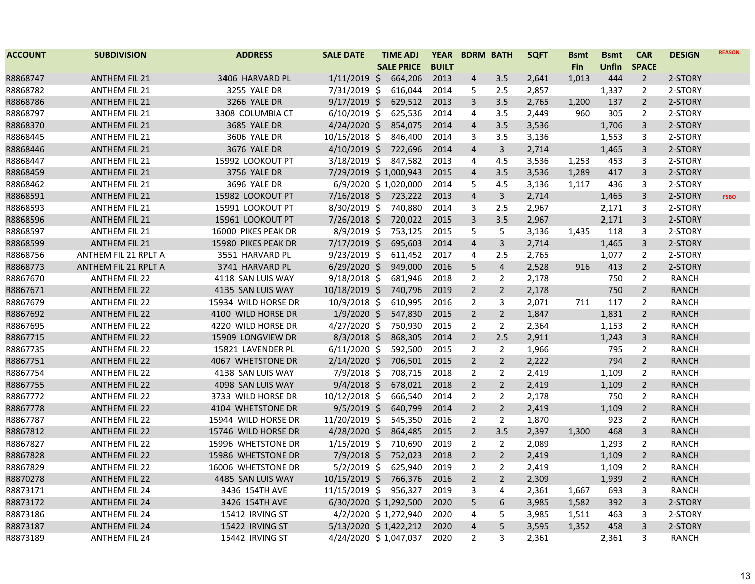| <b>ACCOUNT</b> | <b>SUBDIVISION</b>   | <b>ADDRESS</b>      | <b>SALE DATE</b>      | <b>TIME ADJ</b>   | <b>YEAR</b>  | <b>BDRM BATH</b> |                | <b>SQFT</b> | <b>Bsmt</b> | <b>Bsmt</b> | <b>CAR</b>     | <b>DESIGN</b> | <b>REASON</b> |
|----------------|----------------------|---------------------|-----------------------|-------------------|--------------|------------------|----------------|-------------|-------------|-------------|----------------|---------------|---------------|
|                |                      |                     |                       | <b>SALE PRICE</b> | <b>BUILT</b> |                  |                |             | Fin         | Unfin       | <b>SPACE</b>   |               |               |
| R8868747       | <b>ANTHEM FIL 21</b> | 3406 HARVARD PL     | $1/11/2019$ \$        | 664,206           | 2013         | $\overline{4}$   | 3.5            | 2,641       | 1,013       | 444         | $\overline{2}$ | 2-STORY       |               |
| R8868782       | <b>ANTHEM FIL 21</b> | 3255 YALE DR        | 7/31/2019 \$          | 616,044           | 2014         | 5                | 2.5            | 2,857       |             | 1,337       | $\overline{2}$ | 2-STORY       |               |
| R8868786       | <b>ANTHEM FIL 21</b> | 3266 YALE DR        | $9/17/2019$ \$        | 629,512           | 2013         | $\mathbf{3}$     | 3.5            | 2,765       | 1,200       | 137         | $\overline{2}$ | 2-STORY       |               |
| R8868797       | <b>ANTHEM FIL 21</b> | 3308 COLUMBIA CT    | $6/10/2019$ \$        | 625,536           | 2014         | 4                | 3.5            | 2,449       | 960         | 305         | $\overline{2}$ | 2-STORY       |               |
| R8868370       | <b>ANTHEM FIL 21</b> | 3685 YALE DR        | 4/24/2020 \$          | 854,075           | 2014         | $\overline{4}$   | 3.5            | 3,536       |             | 1,706       | 3              | 2-STORY       |               |
| R8868445       | <b>ANTHEM FIL 21</b> | 3606 YALE DR        | 10/15/2018 \$         | 846,400           | 2014         | 3                | 3.5            | 3,136       |             | 1,553       | 3              | 2-STORY       |               |
| R8868446       | <b>ANTHEM FIL 21</b> | 3676 YALE DR        | 4/10/2019 \$          | 722,696           | 2014         | $\overline{4}$   | 3              | 2,714       |             | 1,465       | 3              | 2-STORY       |               |
| R8868447       | <b>ANTHEM FIL 21</b> | 15992 LOOKOUT PT    | $3/18/2019$ \$        | 847,582           | 2013         | 4                | 4.5            | 3,536       | 1,253       | 453         | 3              | 2-STORY       |               |
| R8868459       | <b>ANTHEM FIL 21</b> | 3756 YALE DR        | 7/29/2019 \$1,000,943 |                   | 2015         | $\overline{4}$   | 3.5            | 3,536       | 1,289       | 417         | 3              | 2-STORY       |               |
| R8868462       | <b>ANTHEM FIL 21</b> | 3696 YALE DR        | 6/9/2020 \$1,020,000  |                   | 2014         | 5                | 4.5            | 3,136       | 1,117       | 436         | 3              | 2-STORY       |               |
| R8868591       | <b>ANTHEM FIL 21</b> | 15982 LOOKOUT PT    | $7/16/2018$ \$        | 723,222           | 2013         | $\overline{4}$   | 3              | 2,714       |             | 1,465       | 3              | 2-STORY       | <b>FSBO</b>   |
| R8868593       | <b>ANTHEM FIL 21</b> | 15991 LOOKOUT PT    | $8/30/2019$ \$        | 740,880           | 2014         | 3                | 2.5            | 2,967       |             | 2,171       | 3              | 2-STORY       |               |
| R8868596       | <b>ANTHEM FIL 21</b> | 15961 LOOKOUT PT    | 7/26/2018 \$          | 720,022           | 2015         | $\mathbf{3}$     | 3.5            | 2,967       |             | 2,171       | 3              | 2-STORY       |               |
| R8868597       | <b>ANTHEM FIL 21</b> | 16000 PIKES PEAK DR | 8/9/2019 \$           | 753,125           | 2015         | 5                | 5              | 3,136       | 1,435       | 118         | 3              | 2-STORY       |               |
| R8868599       | <b>ANTHEM FIL 21</b> | 15980 PIKES PEAK DR | 7/17/2019 \$          | 695,603           | 2014         | $\overline{4}$   | 3              | 2,714       |             | 1,465       | 3              | 2-STORY       |               |
| R8868756       | ANTHEM FIL 21 RPLT A | 3551 HARVARD PL     | $9/23/2019$ \$        | 611,452           | 2017         | 4                | 2.5            | 2,765       |             | 1,077       | $\overline{2}$ | 2-STORY       |               |
| R8868773       | ANTHEM FIL 21 RPLT A | 3741 HARVARD PL     | $6/29/2020$ \$        | 949,000           | 2016         | 5                | $\overline{4}$ | 2,528       | 916         | 413         | $\overline{2}$ | 2-STORY       |               |
| R8867670       | <b>ANTHEM FIL 22</b> | 4118 SAN LUIS WAY   | $9/18/2018$ \$        | 681,946           | 2018         | $\overline{2}$   | $\overline{2}$ | 2,178       |             | 750         | $\overline{2}$ | <b>RANCH</b>  |               |
| R8867671       | <b>ANTHEM FIL 22</b> | 4135 SAN LUIS WAY   | 10/18/2019 \$         | 740,796           | 2019         | $\overline{2}$   | $\overline{2}$ | 2,178       |             | 750         | $\overline{2}$ | <b>RANCH</b>  |               |
| R8867679       | <b>ANTHEM FIL 22</b> | 15934 WILD HORSE DR | 10/9/2018 \$          | 610,995           | 2016         | 2                | 3              | 2,071       | 711         | 117         | $\overline{2}$ | <b>RANCH</b>  |               |
| R8867692       | <b>ANTHEM FIL 22</b> | 4100 WILD HORSE DR  | $1/9/2020$ \$         | 547,830           | 2015         | $2^{\circ}$      | $\overline{2}$ | 1,847       |             | 1,831       | $\overline{2}$ | <b>RANCH</b>  |               |
| R8867695       | <b>ANTHEM FIL 22</b> | 4220 WILD HORSE DR  | $4/27/2020$ \$        | 750,930           | 2015         | $\overline{2}$   | $\overline{2}$ | 2,364       |             | 1,153       | $\overline{2}$ | <b>RANCH</b>  |               |
| R8867715       | <b>ANTHEM FIL 22</b> | 15909 LONGVIEW DR   | $8/3/2018$ \$         | 868,305           | 2014         | $\overline{2}$   | 2.5            | 2,911       |             | 1,243       | $\mathbf{3}$   | <b>RANCH</b>  |               |
| R8867735       | <b>ANTHEM FIL 22</b> | 15821 LAVENDER PL   | $6/11/2020$ \$        | 592,500           | 2015         | $\overline{2}$   | $\overline{2}$ | 1,966       |             | 795         | $\overline{2}$ | <b>RANCH</b>  |               |
| R8867751       | <b>ANTHEM FIL 22</b> | 4067 WHETSTONE DR   | 2/14/2020 \$          | 706,501           | 2015         | $\overline{2}$   | $\overline{2}$ | 2,222       |             | 794         | $\overline{2}$ | <b>RANCH</b>  |               |
| R8867754       | <b>ANTHEM FIL 22</b> | 4138 SAN LUIS WAY   | $7/9/2018$ \$         | 708,715           | 2018         | $\overline{2}$   | $\overline{2}$ | 2,419       |             | 1,109       | $\overline{2}$ | <b>RANCH</b>  |               |
| R8867755       | <b>ANTHEM FIL 22</b> | 4098 SAN LUIS WAY   | $9/4/2018$ \$         | 678,021           | 2018         | $\overline{2}$   | $\overline{2}$ | 2,419       |             | 1,109       | $\overline{2}$ | <b>RANCH</b>  |               |
| R8867772       | <b>ANTHEM FIL 22</b> | 3733 WILD HORSE DR  | $10/12/2018$ \$       | 666,540           | 2014         | $\overline{2}$   | $\overline{2}$ | 2,178       |             | 750         | $\overline{2}$ | <b>RANCH</b>  |               |
| R8867778       | <b>ANTHEM FIL 22</b> | 4104 WHETSTONE DR   | $9/5/2019$ \$         | 640,799           | 2014         | $\overline{2}$   | $\overline{2}$ | 2,419       |             | 1,109       | $\overline{2}$ | <b>RANCH</b>  |               |
| R8867787       | <b>ANTHEM FIL 22</b> | 15944 WILD HORSE DR | 11/20/2019 \$         | 545,350           | 2016         | $\overline{2}$   | 2              | 1,870       |             | 923         | $\overline{2}$ | <b>RANCH</b>  |               |
| R8867812       | <b>ANTHEM FIL 22</b> | 15746 WILD HORSE DR | 4/28/2020 \$          | 864,485           | 2015         | $\overline{2}$   | 3.5            | 2,397       | 1,300       | 468         | 3              | <b>RANCH</b>  |               |
| R8867827       | <b>ANTHEM FIL 22</b> | 15996 WHETSTONE DR  | $1/15/2019$ \$        | 710,690           | 2019         | $\overline{2}$   | $\overline{2}$ | 2,089       |             | 1,293       | $\overline{2}$ | <b>RANCH</b>  |               |
| R8867828       | <b>ANTHEM FIL 22</b> | 15986 WHETSTONE DR  | 7/9/2018 \$           | 752,023           | 2018         | $\overline{2}$   | $\overline{2}$ | 2,419       |             | 1,109       | $\overline{2}$ | <b>RANCH</b>  |               |
| R8867829       | <b>ANTHEM FIL 22</b> | 16006 WHETSTONE DR  | $5/2/2019$ \$         | 625,940           | 2019         | $\overline{2}$   | $\overline{2}$ | 2,419       |             | 1,109       | $\overline{2}$ | <b>RANCH</b>  |               |
| R8870278       | <b>ANTHEM FIL 22</b> | 4485 SAN LUIS WAY   | 10/15/2019 \$         | 766,376           | 2016         | $\overline{2}$   | $\overline{2}$ | 2,309       |             | 1,939       | $\overline{2}$ | <b>RANCH</b>  |               |
| R8873171       | <b>ANTHEM FIL 24</b> | 3436 154TH AVE      | 11/15/2019 \$         | 956,327           | 2019         | 3                | 4              | 2,361       | 1,667       | 693         | 3              | <b>RANCH</b>  |               |
| R8873172       | <b>ANTHEM FIL 24</b> | 3426 154TH AVE      | 6/30/2020 \$1,292,500 |                   | 2020         | 5                | 6              | 3,985       | 1,582       | 392         | 3              | 2-STORY       |               |
| R8873186       | <b>ANTHEM FIL 24</b> | 15412 IRVING ST     | 4/2/2020 \$1,272,940  |                   | 2020         | $\overline{4}$   | 5              | 3,985       | 1,511       | 463         | 3              | 2-STORY       |               |
| R8873187       | <b>ANTHEM FIL 24</b> | 15422 IRVING ST     | 5/13/2020 \$1,422,212 |                   | 2020         | $\overline{4}$   | 5              | 3,595       | 1,352       | 458         | 3              | 2-STORY       |               |
| R8873189       | <b>ANTHEM FIL 24</b> | 15442 IRVING ST     | 4/24/2020 \$1,047,037 |                   | 2020         | $\overline{2}$   | 3              | 2,361       |             | 2,361       | 3              | <b>RANCH</b>  |               |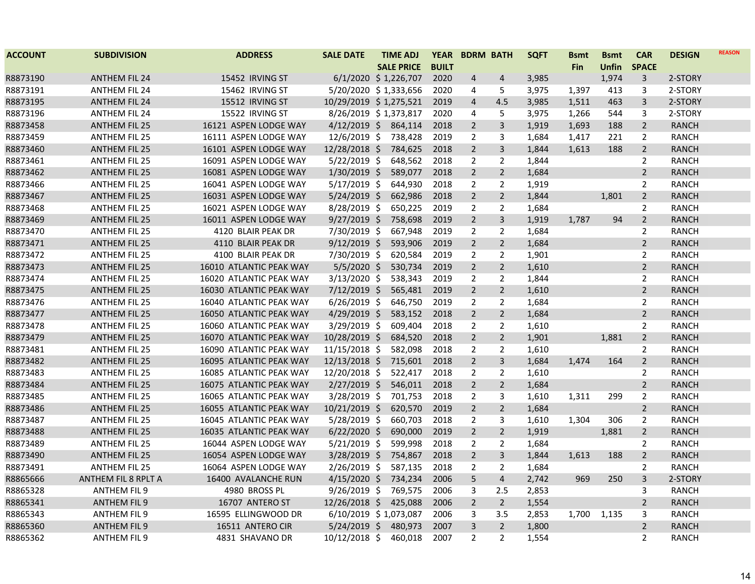| <b>ACCOUNT</b> | <b>SUBDIVISION</b>   | <b>ADDRESS</b>          | <b>SALE DATE</b>       | <b>TIME ADJ</b>   |         | <b>YEAR</b>  | <b>BDRM BATH</b> |                | <b>SQFT</b> | <b>Bsmt</b> | <b>Bsmt</b>  | <b>CAR</b>     | <b>DESIGN</b> | <b>REASON</b> |
|----------------|----------------------|-------------------------|------------------------|-------------------|---------|--------------|------------------|----------------|-------------|-------------|--------------|----------------|---------------|---------------|
|                |                      |                         |                        | <b>SALE PRICE</b> |         | <b>BUILT</b> |                  |                |             | <b>Fin</b>  | <b>Unfin</b> | <b>SPACE</b>   |               |               |
| R8873190       | <b>ANTHEM FIL 24</b> | 15452 IRVING ST         | 6/1/2020 \$1,226,707   |                   |         | 2020         | 4                | $\overline{4}$ | 3,985       |             | 1,974        | 3              | 2-STORY       |               |
| R8873191       | <b>ANTHEM FIL 24</b> | 15462 IRVING ST         | 5/20/2020 \$1,333,656  |                   |         | 2020         | 4                | 5              | 3,975       | 1,397       | 413          | 3              | 2-STORY       |               |
| R8873195       | <b>ANTHEM FIL 24</b> | 15512 IRVING ST         | 10/29/2019 \$1,275,521 |                   |         | 2019         | $\overline{4}$   | 4.5            | 3,985       | 1,511       | 463          | $\overline{3}$ | 2-STORY       |               |
| R8873196       | <b>ANTHEM FIL 24</b> | 15522 IRVING ST         | 8/26/2019 \$1,373,817  |                   |         | 2020         | 4                | 5              | 3,975       | 1,266       | 544          | 3              | 2-STORY       |               |
| R8873458       | <b>ANTHEM FIL 25</b> | 16121 ASPEN LODGE WAY   | $4/12/2019$ \$         |                   | 864,114 | 2018         | $\overline{2}$   | 3              | 1,919       | 1,693       | 188          | $\overline{2}$ | <b>RANCH</b>  |               |
| R8873459       | <b>ANTHEM FIL 25</b> | 16111 ASPEN LODGE WAY   | 12/6/2019 \$           |                   | 738,428 | 2019         | 2                | 3              | 1,684       | 1,417       | 221          | $\overline{2}$ | RANCH         |               |
| R8873460       | <b>ANTHEM FIL 25</b> | 16101 ASPEN LODGE WAY   | 12/28/2018 \$          |                   | 784,625 | 2018         | $\overline{2}$   | 3              | 1,844       | 1,613       | 188          | $\overline{2}$ | RANCH         |               |
| R8873461       | <b>ANTHEM FIL 25</b> | 16091 ASPEN LODGE WAY   | $5/22/2019$ \$         |                   | 648,562 | 2018         | $\overline{2}$   | $\overline{2}$ | 1,844       |             |              | $\overline{2}$ | <b>RANCH</b>  |               |
| R8873462       | <b>ANTHEM FIL 25</b> | 16081 ASPEN LODGE WAY   | $1/30/2019$ \$         |                   | 589,077 | 2018         | $\overline{2}$   | $\overline{2}$ | 1,684       |             |              | $\overline{2}$ | <b>RANCH</b>  |               |
| R8873466       | <b>ANTHEM FIL 25</b> | 16041 ASPEN LODGE WAY   | $5/17/2019$ \$         |                   | 644,930 | 2018         | $\overline{2}$   | $\overline{2}$ | 1,919       |             |              | $\overline{2}$ | <b>RANCH</b>  |               |
| R8873467       | <b>ANTHEM FIL 25</b> | 16031 ASPEN LODGE WAY   | $5/24/2019$ \$         |                   | 662,986 | 2018         | $\overline{2}$   | $\overline{2}$ | 1,844       |             | 1,801        | $\overline{2}$ | <b>RANCH</b>  |               |
| R8873468       | <b>ANTHEM FIL 25</b> | 16021 ASPEN LODGE WAY   | 8/28/2019 \$           |                   | 650,225 | 2019         | $\overline{2}$   | $\overline{2}$ | 1,684       |             |              | $\overline{2}$ | <b>RANCH</b>  |               |
| R8873469       | <b>ANTHEM FIL 25</b> | 16011 ASPEN LODGE WAY   | $9/27/2019$ \$         |                   | 758,698 | 2019         | $\overline{2}$   | 3              | 1,919       | 1,787       | 94           | $\overline{2}$ | <b>RANCH</b>  |               |
| R8873470       | <b>ANTHEM FIL 25</b> | 4120 BLAIR PEAK DR      | 7/30/2019 \$           |                   | 667,948 | 2019         | $\overline{2}$   | $\overline{2}$ | 1,684       |             |              | 2              | <b>RANCH</b>  |               |
| R8873471       | <b>ANTHEM FIL 25</b> | 4110 BLAIR PEAK DR      | $9/12/2019$ \$         |                   | 593,906 | 2019         | $\overline{2}$   | $\overline{2}$ | 1,684       |             |              | $\overline{2}$ | <b>RANCH</b>  |               |
| R8873472       | <b>ANTHEM FIL 25</b> | 4100 BLAIR PEAK DR      | 7/30/2019 \$           |                   | 620,584 | 2019         | 2                | 2              | 1,901       |             |              | 2              | <b>RANCH</b>  |               |
| R8873473       | <b>ANTHEM FIL 25</b> | 16010 ATLANTIC PEAK WAY | $5/5/2020$ \$          |                   | 530,734 | 2019         | $\overline{2}$   | $\overline{2}$ | 1,610       |             |              | $\overline{2}$ | <b>RANCH</b>  |               |
| R8873474       | <b>ANTHEM FIL 25</b> | 16020 ATLANTIC PEAK WAY | $3/13/2020$ \$         |                   | 538,343 | 2019         | $\overline{2}$   | $\overline{2}$ | 1,844       |             |              | $\overline{2}$ | <b>RANCH</b>  |               |
| R8873475       | <b>ANTHEM FIL 25</b> | 16030 ATLANTIC PEAK WAY | 7/12/2019 \$           |                   | 565,481 | 2019         | $\overline{2}$   | $\overline{2}$ | 1,610       |             |              | $\overline{2}$ | <b>RANCH</b>  |               |
| R8873476       | <b>ANTHEM FIL 25</b> | 16040 ATLANTIC PEAK WAY | $6/26/2019$ \$         |                   | 646,750 | 2019         | $\overline{2}$   | $\overline{2}$ | 1,684       |             |              | $\overline{2}$ | <b>RANCH</b>  |               |
| R8873477       | <b>ANTHEM FIL 25</b> | 16050 ATLANTIC PEAK WAY | $4/29/2019$ \$         |                   | 583,152 | 2018         | $\overline{2}$   | $\overline{2}$ | 1,684       |             |              | $\overline{2}$ | <b>RANCH</b>  |               |
| R8873478       | <b>ANTHEM FIL 25</b> | 16060 ATLANTIC PEAK WAY | 3/29/2019 \$           |                   | 609,404 | 2018         | $\overline{2}$   | $\overline{2}$ | 1,610       |             |              | $\overline{2}$ | <b>RANCH</b>  |               |
| R8873479       | <b>ANTHEM FIL 25</b> | 16070 ATLANTIC PEAK WAY | 10/28/2019 \$          |                   | 684,520 | 2018         | $\overline{2}$   | $\overline{2}$ | 1,901       |             | 1,881        | $\overline{2}$ | <b>RANCH</b>  |               |
| R8873481       | <b>ANTHEM FIL 25</b> | 16090 ATLANTIC PEAK WAY | 11/15/2018 \$          |                   | 582,098 | 2018         | $\overline{2}$   | $\overline{2}$ | 1,610       |             |              | $\overline{2}$ | <b>RANCH</b>  |               |
| R8873482       | <b>ANTHEM FIL 25</b> | 16095 ATLANTIC PEAK WAY | 12/13/2018 \$          |                   | 715,601 | 2018         | $\overline{2}$   | 3              | 1,684       | 1,474       | 164          | $\overline{2}$ | <b>RANCH</b>  |               |
| R8873483       | <b>ANTHEM FIL 25</b> | 16085 ATLANTIC PEAK WAY | 12/20/2018 \$          |                   | 522,417 | 2018         | $\overline{2}$   | $\overline{2}$ | 1,610       |             |              | $\overline{2}$ | <b>RANCH</b>  |               |
| R8873484       | <b>ANTHEM FIL 25</b> | 16075 ATLANTIC PEAK WAY | $2/27/2019$ \$         |                   | 546,011 | 2018         | $\overline{2}$   | $\overline{2}$ | 1,684       |             |              | $\overline{2}$ | <b>RANCH</b>  |               |
| R8873485       | <b>ANTHEM FIL 25</b> | 16065 ATLANTIC PEAK WAY | 3/28/2019 \$           |                   | 701,753 | 2018         | $\overline{2}$   | 3              | 1,610       | 1,311       | 299          | $\overline{2}$ | <b>RANCH</b>  |               |
| R8873486       | <b>ANTHEM FIL 25</b> | 16055 ATLANTIC PEAK WAY | $10/21/2019$ \$        |                   | 620,570 | 2019         | $\overline{2}$   | $\overline{2}$ | 1,684       |             |              | $\overline{2}$ | <b>RANCH</b>  |               |
| R8873487       | <b>ANTHEM FIL 25</b> | 16045 ATLANTIC PEAK WAY | 5/28/2019 \$           |                   | 660,703 | 2018         | $\overline{2}$   | 3              | 1,610       | 1,304       | 306          | $\overline{2}$ | <b>RANCH</b>  |               |
| R8873488       | <b>ANTHEM FIL 25</b> | 16035 ATLANTIC PEAK WAY | $6/22/2020$ \$         |                   | 690,000 | 2019         | $\overline{2}$   | $\overline{2}$ | 1,919       |             | 1,881        | $\overline{2}$ | <b>RANCH</b>  |               |
| R8873489       | <b>ANTHEM FIL 25</b> | 16044 ASPEN LODGE WAY   | $5/21/2019$ \$         |                   | 599,998 | 2018         | $\overline{2}$   | $\overline{2}$ | 1,684       |             |              | $\overline{2}$ | <b>RANCH</b>  |               |
| R8873490       | <b>ANTHEM FIL 25</b> | 16054 ASPEN LODGE WAY   | $3/28/2019$ \$         |                   | 754,867 | 2018         | $\overline{2}$   | 3              | 1,844       | 1,613       | 188          | $\overline{2}$ | RANCH         |               |
| R8873491       | <b>ANTHEM FIL 25</b> | 16064 ASPEN LODGE WAY   | 2/26/2019 \$           |                   | 587,135 | 2018         | $\overline{2}$   | 2              | 1,684       |             |              | $\overline{2}$ | <b>RANCH</b>  |               |
| R8865666       | ANTHEM FIL 8 RPLT A  | 16400 AVALANCHE RUN     | $4/15/2020$ \$         |                   | 734,234 | 2006         | 5                | $\overline{4}$ | 2,742       | 969         | 250          | 3              | 2-STORY       |               |
| R8865328       | ANTHEM FIL 9         | 4980 BROSS PL           | $9/26/2019$ \$         |                   | 769,575 | 2006         | 3                | 2.5            | 2,853       |             |              | 3              | <b>RANCH</b>  |               |
| R8865341       | <b>ANTHEM FIL 9</b>  | 16707 ANTERO ST         | 12/26/2018 \$          |                   | 425,088 | 2006         | $\overline{2}$   | $\overline{2}$ | 1,554       |             |              | $\overline{2}$ | <b>RANCH</b>  |               |
| R8865343       | ANTHEM FIL 9         | 16595 ELLINGWOOD DR     | 6/10/2019 \$1,073,087  |                   |         | 2006         | 3                | 3.5            | 2,853       | 1,700       | 1,135        | 3              | <b>RANCH</b>  |               |
| R8865360       | <b>ANTHEM FIL 9</b>  | 16511 ANTERO CIR        | $5/24/2019$ \$         |                   | 480,973 | 2007         | 3                | $\overline{2}$ | 1,800       |             |              | $\overline{2}$ | <b>RANCH</b>  |               |
| R8865362       | <b>ANTHEM FIL 9</b>  | 4831 SHAVANO DR         | 10/12/2018 \$          |                   | 460,018 | 2007         | $\overline{2}$   | $\overline{2}$ | 1,554       |             |              | $\overline{2}$ | RANCH         |               |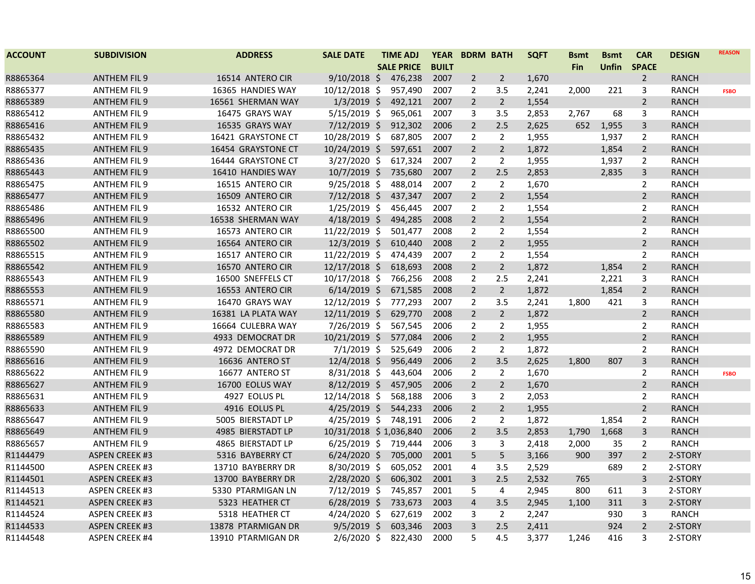| <b>ACCOUNT</b> | <b>SUBDIVISION</b>    | <b>ADDRESS</b>     | <b>SALE DATE</b>       | <b>TIME ADJ</b>   | <b>YEAR</b>  |                | <b>BDRM BATH</b> | <b>SQFT</b> | <b>Bsmt</b> | <b>Bsmt</b>  | <b>CAR</b>     | <b>DESIGN</b> | <b>REASON</b> |
|----------------|-----------------------|--------------------|------------------------|-------------------|--------------|----------------|------------------|-------------|-------------|--------------|----------------|---------------|---------------|
|                |                       |                    |                        | <b>SALE PRICE</b> | <b>BUILT</b> |                |                  |             | <b>Fin</b>  | <b>Unfin</b> | <b>SPACE</b>   |               |               |
| R8865364       | <b>ANTHEM FIL 9</b>   | 16514 ANTERO CIR   | $9/10/2018$ \$         | 476,238           | 2007         | $\overline{2}$ | $\overline{2}$   | 1,670       |             |              | $\overline{2}$ | <b>RANCH</b>  |               |
| R8865377       | ANTHEM FIL 9          | 16365 HANDIES WAY  | $10/12/2018$ \$        | 957,490           | 2007         | $\overline{2}$ | 3.5              | 2,241       | 2,000       | 221          | 3              | <b>RANCH</b>  | <b>FSBO</b>   |
| R8865389       | <b>ANTHEM FIL 9</b>   | 16561 SHERMAN WAY  | $1/3/2019$ \$          | 492,121           | 2007         | $\overline{2}$ | $\overline{2}$   | 1,554       |             |              | $\overline{2}$ | <b>RANCH</b>  |               |
| R8865412       | <b>ANTHEM FIL 9</b>   | 16475 GRAYS WAY    | $5/15/2019$ \$         | 965,061           | 2007         | 3              | 3.5              | 2,853       | 2,767       | 68           | 3              | <b>RANCH</b>  |               |
| R8865416       | <b>ANTHEM FIL 9</b>   | 16535 GRAYS WAY    | $7/12/2019$ \$         | 912,302           | 2006         | $\overline{2}$ | 2.5              | 2,625       | 652         | 1,955        | $\mathsf{3}$   | <b>RANCH</b>  |               |
| R8865432       | ANTHEM FIL 9          | 16421 GRAYSTONE CT | 10/28/2019 \$          | 687,805           | 2007         | $\overline{2}$ | $\overline{2}$   | 1,955       |             | 1,937        | 2              | RANCH         |               |
| R8865435       | <b>ANTHEM FIL 9</b>   | 16454 GRAYSTONE CT | $10/24/2019$ \$        | 597,651           | 2007         | $\overline{2}$ | $\overline{2}$   | 1,872       |             | 1,854        | $\overline{2}$ | <b>RANCH</b>  |               |
| R8865436       | ANTHEM FIL 9          | 16444 GRAYSTONE CT | $3/27/2020$ \$         | 617,324           | 2007         | $\overline{2}$ | $\overline{2}$   | 1,955       |             | 1,937        | $\overline{2}$ | RANCH         |               |
| R8865443       | <b>ANTHEM FIL 9</b>   | 16410 HANDIES WAY  | $10/7/2019$ \$         | 735,680           | 2007         | $\overline{2}$ | 2.5              | 2,853       |             | 2,835        | 3              | <b>RANCH</b>  |               |
| R8865475       | <b>ANTHEM FIL 9</b>   | 16515 ANTERO CIR   | $9/25/2018$ \$         | 488,014           | 2007         | $\overline{2}$ | $\overline{2}$   | 1,670       |             |              | $\overline{2}$ | <b>RANCH</b>  |               |
| R8865477       | <b>ANTHEM FIL 9</b>   | 16509 ANTERO CIR   | $7/12/2018$ \$         | 437,347           | 2007         | $\overline{2}$ | $\overline{2}$   | 1,554       |             |              | $\overline{2}$ | <b>RANCH</b>  |               |
| R8865486       | ANTHEM FIL 9          | 16532 ANTERO CIR   | $1/25/2019$ \$         | 456,445           | 2007         | 2              | 2                | 1,554       |             |              | 2              | <b>RANCH</b>  |               |
| R8865496       | <b>ANTHEM FIL 9</b>   | 16538 SHERMAN WAY  | $4/18/2019$ \$         | 494,285           | 2008         | $\overline{2}$ | $\overline{2}$   | 1,554       |             |              | $\overline{2}$ | <b>RANCH</b>  |               |
| R8865500       | ANTHEM FIL 9          | 16573 ANTERO CIR   | 11/22/2019 \$          | 501,477           | 2008         | 2              | 2                | 1,554       |             |              | 2              | <b>RANCH</b>  |               |
| R8865502       | <b>ANTHEM FIL 9</b>   | 16564 ANTERO CIR   | $12/3/2019$ \$         | 610,440           | 2008         | $\overline{2}$ | $\overline{2}$   | 1,955       |             |              | $\overline{2}$ | <b>RANCH</b>  |               |
| R8865515       | ANTHEM FIL 9          | 16517 ANTERO CIR   | 11/22/2019 \$          | 474,439           | 2007         | 2              | 2                | 1,554       |             |              | $\overline{2}$ | <b>RANCH</b>  |               |
| R8865542       | <b>ANTHEM FIL 9</b>   | 16570 ANTERO CIR   | 12/17/2018 \$          | 618,693           | 2008         | $\overline{2}$ | $\overline{2}$   | 1,872       |             | 1,854        | $\overline{2}$ | <b>RANCH</b>  |               |
| R8865543       | <b>ANTHEM FIL 9</b>   | 16500 SNEFFELS CT  | 10/17/2018 \$          | 766,256           | 2008         | 2              | 2.5              | 2,241       |             | 2,221        | 3              | <b>RANCH</b>  |               |
| R8865553       | <b>ANTHEM FIL 9</b>   | 16553 ANTERO CIR   | $6/14/2019$ \$         | 671,585           | 2008         | $\overline{2}$ | $\overline{2}$   | 1,872       |             | 1,854        | $\overline{2}$ | <b>RANCH</b>  |               |
| R8865571       | <b>ANTHEM FIL 9</b>   | 16470 GRAYS WAY    | 12/12/2019 \$          | 777,293           | 2007         | 2              | 3.5              | 2,241       | 1,800       | 421          | 3              | <b>RANCH</b>  |               |
| R8865580       | <b>ANTHEM FIL 9</b>   | 16381 LA PLATA WAY | 12/11/2019 \$          | 629,770           | 2008         | $\overline{2}$ | $\overline{2}$   | 1,872       |             |              | $\overline{2}$ | <b>RANCH</b>  |               |
| R8865583       | <b>ANTHEM FIL 9</b>   | 16664 CULEBRA WAY  | 7/26/2019 \$           | 567,545           | 2006         | $\overline{2}$ | 2                | 1,955       |             |              | $\overline{2}$ | <b>RANCH</b>  |               |
| R8865589       | <b>ANTHEM FIL 9</b>   | 4933 DEMOCRAT DR   | 10/21/2019 \$          | 577,084           | 2006         | $\overline{2}$ | $\overline{2}$   | 1,955       |             |              | $\overline{2}$ | <b>RANCH</b>  |               |
| R8865590       | ANTHEM FIL 9          | 4972 DEMOCRAT DR   | $7/1/2019$ \$          | 525,649           | 2006         | 2              | 2                | 1,872       |             |              | $\overline{2}$ | RANCH         |               |
| R8865616       | <b>ANTHEM FIL 9</b>   | 16636 ANTERO ST    | $12/4/2018$ \$         | 956,449           | 2006         | $\overline{2}$ | 3.5              | 2,625       | 1,800       | 807          | 3              | <b>RANCH</b>  |               |
| R8865622       | <b>ANTHEM FIL 9</b>   | 16677 ANTERO ST    | $8/31/2018$ \$         | 443,604           | 2006         | $\overline{2}$ | 2                | 1,670       |             |              | $\overline{2}$ | <b>RANCH</b>  | <b>FSBO</b>   |
| R8865627       | <b>ANTHEM FIL 9</b>   | 16700 EOLUS WAY    | $8/12/2019$ \$         | 457,905           | 2006         | $\overline{2}$ | $\overline{2}$   | 1,670       |             |              | $\overline{2}$ | <b>RANCH</b>  |               |
| R8865631       | <b>ANTHEM FIL 9</b>   | 4927 EOLUS PL      | 12/14/2018 \$          | 568,188           | 2006         | 3              | 2                | 2,053       |             |              | $\overline{2}$ | <b>RANCH</b>  |               |
| R8865633       | <b>ANTHEM FIL 9</b>   | 4916 EOLUS PL      | $4/25/2019$ \$         | 544,233           | 2006         | $\overline{2}$ | $\overline{2}$   | 1,955       |             |              | $\overline{2}$ | <b>RANCH</b>  |               |
| R8865647       | <b>ANTHEM FIL 9</b>   | 5005 BIERSTADT LP  | 4/25/2019 \$ 748,191   |                   | 2006         | 2              | $\overline{2}$   | 1,872       |             | 1,854        | $\overline{2}$ | <b>RANCH</b>  |               |
| R8865649       | <b>ANTHEM FIL 9</b>   | 4985 BIERSTADT LP  | 10/31/2018 \$1,036,840 |                   | 2006         | $\overline{2}$ | 3.5              | 2,853       | 1,790       | 1,668        | 3              | <b>RANCH</b>  |               |
| R8865657       | <b>ANTHEM FIL 9</b>   | 4865 BIERSTADT LP  | $6/25/2019$ \$         | 719,444           | 2006         | 3              | 3                | 2,418       | 2,000       | 35           | $\overline{2}$ | <b>RANCH</b>  |               |
| R1144479       | <b>ASPEN CREEK #3</b> | 5316 BAYBERRY CT   | $6/24/2020$ \$         | 705,000           | 2001         | 5              | 5                | 3,166       | 900         | 397          | $\overline{2}$ | 2-STORY       |               |
| R1144500       | <b>ASPEN CREEK #3</b> | 13710 BAYBERRY DR  | 8/30/2019 \$           | 605,052           | 2001         | 4              | 3.5              | 2,529       |             | 689          | 2              | 2-STORY       |               |
| R1144501       | <b>ASPEN CREEK #3</b> | 13700 BAYBERRY DR  | 2/28/2020 \$           | 606,302           | 2001         | 3              | 2.5              | 2,532       | 765         |              | 3              | 2-STORY       |               |
| R1144513       | <b>ASPEN CREEK #3</b> | 5330 PTARMIGAN LN  | 7/12/2019 \$           | 745,857           | 2001         | 5              | 4                | 2,945       | 800         | 611          | 3              | 2-STORY       |               |
| R1144521       | <b>ASPEN CREEK #3</b> | 5323 HEATHER CT    | $6/28/2019$ \$         | 733,673           | 2003         | 4              | 3.5              | 2,945       | 1,100       | 311          | $\overline{3}$ | 2-STORY       |               |
| R1144524       | <b>ASPEN CREEK #3</b> | 5318 HEATHER CT    | 4/24/2020 \$           | 627,619           | 2002         | 3              | 2                | 2,247       |             | 930          | 3              | <b>RANCH</b>  |               |
| R1144533       | <b>ASPEN CREEK #3</b> | 13878 PTARMIGAN DR | $9/5/2019$ \$          | 603,346           | 2003         | 3              | 2.5              | 2,411       |             | 924          | $\overline{2}$ | 2-STORY       |               |
| R1144548       | <b>ASPEN CREEK #4</b> | 13910 PTARMIGAN DR | $2/6/2020$ \$          | 822,430           | 2000         | 5              | 4.5              | 3,377       | 1,246       | 416          | 3              | 2-STORY       |               |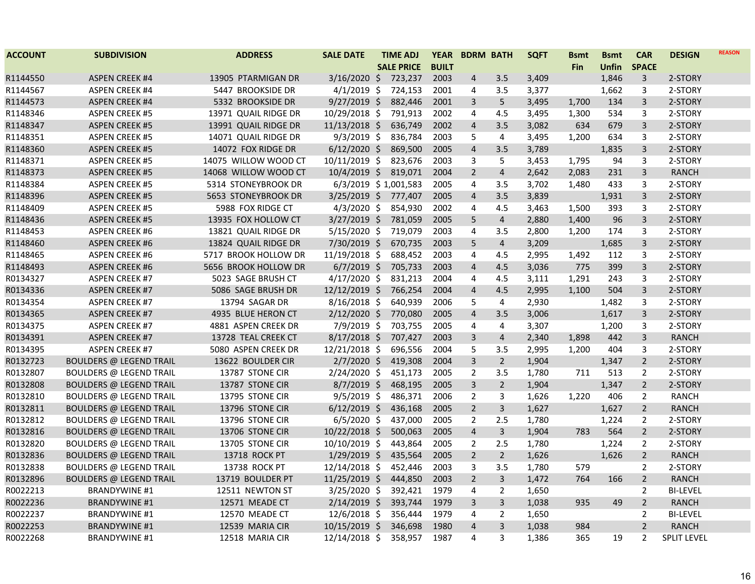| <b>ACCOUNT</b> | <b>SUBDIVISION</b>             | <b>ADDRESS</b>       | <b>SALE DATE</b>       | <b>TIME ADJ</b>   | <b>YEAR</b>  |                | <b>BDRM BATH</b> | <b>SQFT</b> | <b>Bsmt</b> | <b>Bsmt</b>  | <b>CAR</b>     | <b>DESIGN</b>      | <b>REASON</b> |
|----------------|--------------------------------|----------------------|------------------------|-------------------|--------------|----------------|------------------|-------------|-------------|--------------|----------------|--------------------|---------------|
|                |                                |                      |                        | <b>SALE PRICE</b> | <b>BUILT</b> |                |                  |             | <b>Fin</b>  | <b>Unfin</b> | <b>SPACE</b>   |                    |               |
| R1144550       | <b>ASPEN CREEK #4</b>          | 13905 PTARMIGAN DR   | $3/16/2020$ \$         | 723,237           | 2003         | $\overline{4}$ | 3.5              | 3,409       |             | 1,846        | 3              | 2-STORY            |               |
| R1144567       | <b>ASPEN CREEK #4</b>          | 5447 BROOKSIDE DR    | $4/1/2019$ \$          | 724,153           | 2001         | 4              | 3.5              | 3,377       |             | 1,662        | 3              | 2-STORY            |               |
| R1144573       | <b>ASPEN CREEK #4</b>          | 5332 BROOKSIDE DR    | $9/27/2019$ \$         | 882,446           | 2001         | 3              | 5                | 3,495       | 1,700       | 134          | 3              | 2-STORY            |               |
| R1148346       | <b>ASPEN CREEK #5</b>          | 13971 QUAIL RIDGE DR | 10/29/2018 \$          | 791,913           | 2002         | 4              | 4.5              | 3,495       | 1,300       | 534          | 3              | 2-STORY            |               |
| R1148347       | <b>ASPEN CREEK #5</b>          | 13991 QUAIL RIDGE DR | 11/13/2018 \$          | 636,749           | 2002         | $\overline{4}$ | 3.5              | 3,082       | 634         | 679          | 3              | 2-STORY            |               |
| R1148351       | <b>ASPEN CREEK #5</b>          | 14071 QUAIL RIDGE DR | $9/3/2019$ \$          | 836,784           | 2003         | 5              | 4                | 3,495       | 1,200       | 634          | 3              | 2-STORY            |               |
| R1148360       | <b>ASPEN CREEK #5</b>          | 14072 FOX RIDGE DR   | $6/12/2020$ \$         | 869,500           | 2005         | $\overline{4}$ | 3.5              | 3,789       |             | 1,835        | 3              | 2-STORY            |               |
| R1148371       | <b>ASPEN CREEK #5</b>          | 14075 WILLOW WOOD CT | 10/11/2019 \$          | 823,676           | 2003         | 3              | 5                | 3,453       | 1,795       | 94           | 3              | 2-STORY            |               |
| R1148373       | <b>ASPEN CREEK #5</b>          | 14068 WILLOW WOOD CT | $10/4/2019$ \$         | 819,071           | 2004         | $\overline{2}$ | $\overline{4}$   | 2,642       | 2,083       | 231          | 3              | <b>RANCH</b>       |               |
| R1148384       | <b>ASPEN CREEK #5</b>          | 5314 STONEYBROOK DR  | 6/3/2019 \$1,001,583   |                   | 2005         | $\overline{4}$ | 3.5              | 3,702       | 1,480       | 433          | 3              | 2-STORY            |               |
| R1148396       | <b>ASPEN CREEK #5</b>          | 5653 STONEYBROOK DR  | $3/25/2019$ \$         | 777,407           | 2005         | $\overline{4}$ | 3.5              | 3,839       |             | 1,931        | 3              | 2-STORY            |               |
| R1148409       | <b>ASPEN CREEK #5</b>          | 5988 FOX RIDGE CT    | $4/3/2020$ \$          | 854,930           | 2002         | $\overline{4}$ | 4.5              | 3,463       | 1,500       | 393          | 3              | 2-STORY            |               |
| R1148436       | <b>ASPEN CREEK #5</b>          | 13935 FOX HOLLOW CT  | $3/27/2019$ \$         | 781,059           | 2005         | 5              | $\overline{4}$   | 2,880       | 1,400       | 96           | $\overline{3}$ | 2-STORY            |               |
| R1148453       | <b>ASPEN CREEK #6</b>          | 13821 QUAIL RIDGE DR | $\frac{5}{15}/2020$ \$ | 719,079           | 2003         | 4              | 3.5              | 2,800       | 1,200       | 174          | 3              | 2-STORY            |               |
| R1148460       | <b>ASPEN CREEK #6</b>          | 13824 QUAIL RIDGE DR | 7/30/2019 \$           | 670,735           | 2003         | 5              | $\overline{4}$   | 3,209       |             | 1,685        | 3              | 2-STORY            |               |
| R1148465       | <b>ASPEN CREEK #6</b>          | 5717 BROOK HOLLOW DR | 11/19/2018 \$          | 688,452           | 2003         | 4              | 4.5              | 2,995       | 1,492       | 112          | 3              | 2-STORY            |               |
| R1148493       | <b>ASPEN CREEK #6</b>          | 5656 BROOK HOLLOW DR | $6/7/2019$ \$          | 705,733           | 2003         | $\overline{4}$ | 4.5              | 3,036       | 775         | 399          | 3              | 2-STORY            |               |
| R0134327       | <b>ASPEN CREEK #7</b>          | 5023 SAGE BRUSH CT   | $4/17/2020$ \$         | 831,213           | 2004         | 4              | 4.5              | 3,111       | 1,291       | 243          | 3              | 2-STORY            |               |
| R0134336       | <b>ASPEN CREEK #7</b>          | 5086 SAGE BRUSH DR   | 12/12/2019 \$          | 766,254           | 2004         | $\overline{4}$ | 4.5              | 2,995       | 1,100       | 504          | 3              | 2-STORY            |               |
| R0134354       | <b>ASPEN CREEK #7</b>          | 13794 SAGAR DR       | $8/16/2018$ \$         | 640,939           | 2006         | 5              | 4                | 2,930       |             | 1,482        | 3              | 2-STORY            |               |
| R0134365       | <b>ASPEN CREEK #7</b>          | 4935 BLUE HERON CT   | $2/12/2020$ \$         | 770,080           | 2005         | $\overline{4}$ | 3.5              | 3,006       |             | 1,617        | $\overline{3}$ | 2-STORY            |               |
| R0134375       | <b>ASPEN CREEK #7</b>          | 4881 ASPEN CREEK DR  | 7/9/2019 \$            | 703,755           | 2005         | 4              | $\overline{4}$   | 3,307       |             | 1,200        | 3              | 2-STORY            |               |
| R0134391       | <b>ASPEN CREEK #7</b>          | 13728 TEAL CREEK CT  | $8/17/2018$ \$         | 707,427           | 2003         | $\overline{3}$ | $\overline{4}$   | 2,340       | 1,898       | 442          | 3              | <b>RANCH</b>       |               |
| R0134395       | <b>ASPEN CREEK #7</b>          | 5080 ASPEN CREEK DR  | 12/21/2018 \$          | 696,556           | 2004         | 5              | 3.5              | 2,995       | 1,200       | 404          | 3              | 2-STORY            |               |
| R0132723       | <b>BOULDERS @ LEGEND TRAIL</b> | 13622 BOULDER CIR    | $2/7/2020$ \$          | 419,308           | 2004         | $\overline{3}$ | $\overline{2}$   | 1,904       |             | 1,347        | $\overline{2}$ | 2-STORY            |               |
| R0132807       | <b>BOULDERS @ LEGEND TRAIL</b> | 13787 STONE CIR      | $2/24/2020$ \$         | 451,173           | 2005         | $\overline{2}$ | 3.5              | 1,780       | 711         | 513          | $\overline{2}$ | 2-STORY            |               |
| R0132808       | <b>BOULDERS @ LEGEND TRAIL</b> | 13787 STONE CIR      | $8/7/2019$ \$          | 468,195           | 2005         | $\mathbf{3}$   | $\overline{2}$   | 1,904       |             | 1,347        | $\overline{2}$ | 2-STORY            |               |
| R0132810       | <b>BOULDERS @ LEGEND TRAIL</b> | 13795 STONE CIR      | $9/5/2019$ \$          | 486,371           | 2006         | $\overline{2}$ | 3                | 1,626       | 1,220       | 406          | $\overline{2}$ | <b>RANCH</b>       |               |
| R0132811       | <b>BOULDERS @ LEGEND TRAIL</b> | 13796 STONE CIR      | $6/12/2019$ \$         | 436,168           | 2005         | $\overline{2}$ | 3                | 1,627       |             | 1,627        | $\overline{2}$ | <b>RANCH</b>       |               |
| R0132812       | <b>BOULDERS @ LEGEND TRAIL</b> | 13796 STONE CIR      | $6/5/2020$ \$          | 437,000           | 2005         | $\overline{2}$ | 2.5              | 1,780       |             | 1,224        | $\overline{2}$ | 2-STORY            |               |
| R0132816       | <b>BOULDERS @ LEGEND TRAIL</b> | 13706 STONE CIR      | $10/22/2018$ \$        | 500,063           | 2005         | $\overline{4}$ | $\overline{3}$   | 1,904       | 783         | 564          | $\overline{2}$ | 2-STORY            |               |
| R0132820       | <b>BOULDERS @ LEGEND TRAIL</b> | 13705 STONE CIR      | 10/10/2019 \$          | 443,864           | 2005         | $\overline{2}$ | 2.5              | 1,780       |             | 1,224        | $\overline{2}$ | 2-STORY            |               |
| R0132836       | <b>BOULDERS @ LEGEND TRAIL</b> | 13718 ROCK PT        | $1/29/2019$ \$         | 435,564           | 2005         | $\overline{2}$ | $\overline{2}$   | 1,626       |             | 1,626        | $\overline{2}$ | <b>RANCH</b>       |               |
| R0132838       | <b>BOULDERS @ LEGEND TRAIL</b> | 13738 ROCK PT        | 12/14/2018 \$          | 452,446           | 2003         | 3              | 3.5              | 1,780       | 579         |              | $\overline{2}$ | 2-STORY            |               |
| R0132896       | <b>BOULDERS @ LEGEND TRAIL</b> | 13719 BOULDER PT     | 11/25/2019 \$          | 444,850           | 2003         | $\overline{2}$ | $\overline{3}$   | 1,472       | 764         | 166          | $\overline{2}$ | <b>RANCH</b>       |               |
| R0022213       | <b>BRANDYWINE #1</b>           | 12511 NEWTON ST      | 3/25/2020 \$           | 392,421           | 1979         | 4              | 2                | 1,650       |             |              | $\overline{2}$ | <b>BI-LEVEL</b>    |               |
| R0022236       | <b>BRANDYWINE #1</b>           | 12571 MEADE CT       | $2/14/2019$ \$         | 393,744           | 1979         | 3              | 3                | 1,038       | 935         | 49           | $\overline{2}$ | <b>RANCH</b>       |               |
| R0022237       | <b>BRANDYWINE #1</b>           | 12570 MEADE CT       | $12/6/2018$ \$         | 356,444           | 1979         | $\overline{4}$ | 2                | 1,650       |             |              | $\overline{2}$ | <b>BI-LEVEL</b>    |               |
| R0022253       | <b>BRANDYWINE #1</b>           | 12539 MARIA CIR      | $10/15/2019$ \$        | 346,698           | 1980         | $\overline{4}$ | 3                | 1,038       | 984         |              | $2^{\circ}$    | <b>RANCH</b>       |               |
| R0022268       | <b>BRANDYWINE #1</b>           | 12518 MARIA CIR      | 12/14/2018 \$          | 358,957           | 1987         | 4              | 3                | 1,386       | 365         | 19           | $\overline{2}$ | <b>SPLIT LEVEL</b> |               |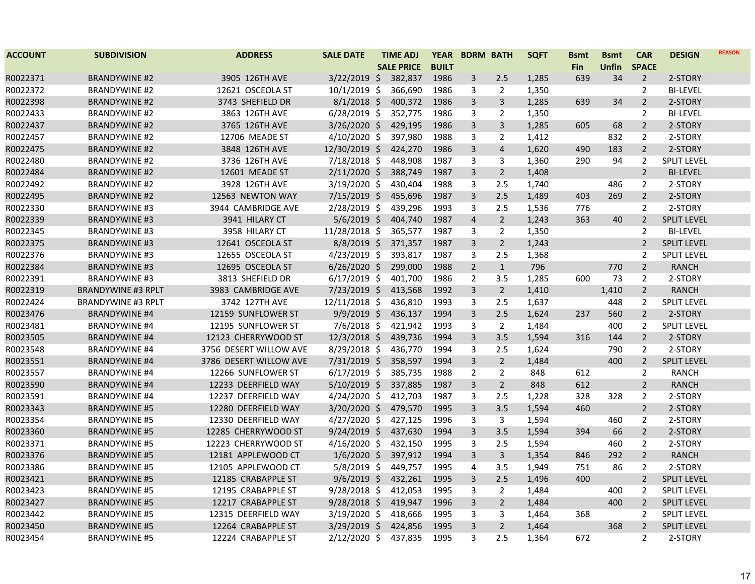| <b>ACCOUNT</b> | <b>SUBDIVISION</b>        | <b>ADDRESS</b>         | <b>SALE DATE</b> | <b>TIME ADJ</b>   | <b>YEAR</b>  | <b>BDRM BATH</b> |                | <b>SQFT</b> | <b>Bsmt</b> | <b>Bsmt</b>  | <b>CAR</b>     | <b>DESIGN</b>      | <b>REASON</b> |
|----------------|---------------------------|------------------------|------------------|-------------------|--------------|------------------|----------------|-------------|-------------|--------------|----------------|--------------------|---------------|
|                |                           |                        |                  | <b>SALE PRICE</b> | <b>BUILT</b> |                  |                |             | Fin         | <b>Unfin</b> | <b>SPACE</b>   |                    |               |
| R0022371       | <b>BRANDYWINE #2</b>      | 3905 126TH AVE         | $3/22/2019$ \$   | 382,837           | 1986         | 3                | 2.5            | 1,285       | 639         | 34           | $\overline{2}$ | 2-STORY            |               |
| R0022372       | <b>BRANDYWINE #2</b>      | 12621 OSCEOLA ST       | $10/1/2019$ \$   | 366,690           | 1986         | 3                | $\overline{2}$ | 1,350       |             |              | 2              | <b>BI-LEVEL</b>    |               |
| R0022398       | <b>BRANDYWINE #2</b>      | 3743 SHEFIELD DR       | $8/1/2018$ \$    | 400,372           | 1986         | 3                | $\overline{3}$ | 1,285       | 639         | 34           | $\overline{2}$ | 2-STORY            |               |
| R0022433       | <b>BRANDYWINE #2</b>      | 3863 126TH AVE         | $6/28/2019$ \$   | 352,775           | 1986         | 3                | $\overline{2}$ | 1,350       |             |              | 2              | <b>BI-LEVEL</b>    |               |
| R0022437       | <b>BRANDYWINE #2</b>      | 3765 126TH AVE         | 3/26/2020 \$     | 429,195           | 1986         | 3                | $\overline{3}$ | 1,285       | 605         | 68           | $\overline{2}$ | 2-STORY            |               |
| R0022457       | <b>BRANDYWINE #2</b>      | 12706 MEADE ST         | 4/10/2020 \$     | 397,980           | 1988         | 3                | $\overline{2}$ | 1,412       |             | 832          | 2              | 2-STORY            |               |
| R0022475       | <b>BRANDYWINE #2</b>      | 3848 126TH AVE         | 12/30/2019 \$    | 424,270           | 1986         | 3                | $\overline{4}$ | 1,620       | 490         | 183          | $\overline{2}$ | 2-STORY            |               |
| R0022480       | <b>BRANDYWINE #2</b>      | 3736 126TH AVE         | 7/18/2018 \$     | 448,908           | 1987         | 3                | 3              | 1,360       | 290         | 94           | $\overline{2}$ | <b>SPLIT LEVEL</b> |               |
| R0022484       | <b>BRANDYWINE #2</b>      | 12601 MEADE ST         | $2/11/2020$ \$   | 388,749           | 1987         | 3                | $2^{\circ}$    | 1,408       |             |              | $\overline{2}$ | <b>BI-LEVEL</b>    |               |
| R0022492       | <b>BRANDYWINE #2</b>      | 3928 126TH AVE         | 3/19/2020 \$     | 430,404           | 1988         | 3                | 2.5            | 1,740       |             | 486          | $\overline{2}$ | 2-STORY            |               |
| R0022495       | <b>BRANDYWINE #2</b>      | 12563 NEWTON WAY       | 7/15/2019 \$     | 455,696           | 1987         | 3                | 2.5            | 1,489       | 403         | 269          | $\overline{2}$ | 2-STORY            |               |
| R0022330       | <b>BRANDYWINE #3</b>      | 3944 CAMBRIDGE AVE     | 2/28/2019 \$     | 439,296           | 1993         | 3                | 2.5            | 1,536       | 776         |              | $\overline{2}$ | 2-STORY            |               |
| R0022339       | <b>BRANDYWINE #3</b>      | 3941 HILARY CT         | $5/6/2019$ \$    | 404,740           | 1987         | $\overline{4}$   | $\overline{2}$ | 1,243       | 363         | 40           | $\overline{2}$ | <b>SPLIT LEVEL</b> |               |
| R0022345       | <b>BRANDYWINE #3</b>      | 3958 HILARY CT         | 11/28/2018 \$    | 365,577           | 1987         | 3                | $\overline{2}$ | 1,350       |             |              | $\overline{2}$ | <b>BI-LEVEL</b>    |               |
| R0022375       | <b>BRANDYWINE #3</b>      | 12641 OSCEOLA ST       | $8/8/2019$ \$    | 371,357           | 1987         | 3                | $\overline{2}$ | 1,243       |             |              | $\overline{2}$ | <b>SPLIT LEVEL</b> |               |
| R0022376       | <b>BRANDYWINE #3</b>      | 12655 OSCEOLA ST       | $4/23/2019$ \$   | 393,817           | 1987         | 3                | 2.5            | 1,368       |             |              | $\overline{2}$ | <b>SPLIT LEVEL</b> |               |
| R0022384       | <b>BRANDYWINE #3</b>      | 12695 OSCEOLA ST       | $6/26/2020$ \$   | 299,000           | 1988         | $\overline{2}$   | $\mathbf{1}$   | 796         |             | 770          | $\overline{2}$ | <b>RANCH</b>       |               |
| R0022391       | <b>BRANDYWINE #3</b>      | 3813 SHEFIELD DR       | $6/17/2019$ \$   | 401,700           | 1986         | $\overline{2}$   | 3.5            | 1,285       | 600         | 73           | 2              | 2-STORY            |               |
| R0022319       | <b>BRANDYWINE #3 RPLT</b> | 3983 CAMBRIDGE AVE     | 7/23/2019 \$     | 413,568           | 1992         | 3                | $2^{\circ}$    | 1,410       |             | 1,410        | $\overline{2}$ | <b>RANCH</b>       |               |
| R0022424       | <b>BRANDYWINE #3 RPLT</b> | 3742 127TH AVE         | 12/11/2018 \$    | 436,810           | 1993         | 3                | 2.5            | 1,637       |             | 448          | $\overline{2}$ | <b>SPLIT LEVEL</b> |               |
| R0023476       | <b>BRANDYWINE #4</b>      | 12159 SUNFLOWER ST     | $9/9/2019$ \$    | 436,137           | 1994         | 3                | 2.5            | 1,624       | 237         | 560          | $\overline{2}$ | 2-STORY            |               |
| R0023481       | <b>BRANDYWINE #4</b>      | 12195 SUNFLOWER ST     | $7/6/2018$ \$    | 421,942           | 1993         | 3                | $\overline{2}$ | 1,484       |             | 400          | $\overline{2}$ | <b>SPLIT LEVEL</b> |               |
| R0023505       | <b>BRANDYWINE #4</b>      | 12123 CHERRYWOOD ST    | 12/3/2018 \$     | 439,736           | 1994         | 3                | 3.5            | 1,594       | 316         | 144          | $\overline{2}$ | 2-STORY            |               |
| R0023548       | <b>BRANDYWINE #4</b>      | 3756 DESERT WILLOW AVE | 8/29/2018 \$     | 436,770           | 1994         | 3                | 2.5            | 1,624       |             | 790          | $\overline{2}$ | 2-STORY            |               |
| R0023551       | <b>BRANDYWINE #4</b>      | 3786 DESERT WILLOW AVE | 7/31/2019 \$     | 358,597           | 1994         | 3                | $2^{\circ}$    | 1,484       |             | 400          | $\overline{2}$ | <b>SPLIT LEVEL</b> |               |
| R0023557       | <b>BRANDYWINE #4</b>      | 12266 SUNFLOWER ST     | $6/17/2019$ \$   | 385,735           | 1988         | $\overline{2}$   | $\overline{2}$ | 848         | 612         |              | $\overline{2}$ | <b>RANCH</b>       |               |
| R0023590       | <b>BRANDYWINE #4</b>      | 12233 DEERFIELD WAY    | $5/10/2019$ \$   | 337,885           | 1987         | 3                | $2^{\circ}$    | 848         | 612         |              | $\overline{2}$ | <b>RANCH</b>       |               |
| R0023591       | <b>BRANDYWINE #4</b>      | 12237 DEERFIELD WAY    | 4/24/2020 \$     | 412,703           | 1987         | 3                | 2.5            | 1,228       | 328         | 328          | $\overline{2}$ | 2-STORY            |               |
| R0023343       | <b>BRANDYWINE #5</b>      | 12280 DEERFIELD WAY    | 3/20/2020 \$     | 479,570           | 1995         | 3                | 3.5            | 1,594       | 460         |              | $\overline{2}$ | 2-STORY            |               |
| R0023354       | <b>BRANDYWINE #5</b>      | 12330 DEERFIELD WAY    | $4/27/2020$ \$   | 427,125           | 1996         | 3                | 3              | 1,594       |             | 460          | $\overline{2}$ | 2-STORY            |               |
| R0023360       | <b>BRANDYWINE #5</b>      | 12285 CHERRYWOOD ST    | $9/24/2019$ \$   | 437,630           | 1994         | 3                | 3.5            | 1,594       | 394         | 66           | $\overline{2}$ | 2-STORY            |               |
| R0023371       | <b>BRANDYWINE #5</b>      | 12223 CHERRYWOOD ST    | 4/16/2020 \$     | 432,150           | 1995         | 3                | 2.5            | 1,594       |             | 460          | $\overline{2}$ | 2-STORY            |               |
| R0023376       | <b>BRANDYWINE #5</b>      | 12181 APPLEWOOD CT     | $1/6/2020$ \$    | 397,912           | 1994         | 3                | 3              | 1,354       | 846         | 292          | $\overline{2}$ | <b>RANCH</b>       |               |
| R0023386       | <b>BRANDYWINE #5</b>      | 12105 APPLEWOOD CT     | $5/8/2019$ \$    | 449,757           | 1995         | 4                | 3.5            | 1,949       | 751         | 86           | $\overline{2}$ | 2-STORY            |               |
| R0023421       | <b>BRANDYWINE #5</b>      | 12185 CRABAPPLE ST     | $9/6/2019$ \$    | 432,261           | 1995         | 3                | 2.5            | 1,496       | 400         |              | $2^{\circ}$    | <b>SPLIT LEVEL</b> |               |
| R0023423       | <b>BRANDYWINE #5</b>      | 12195 CRABAPPLE ST     | 9/28/2018 \$     | 412,053           | 1995         | 3                | $\overline{2}$ | 1,484       |             | 400          | $\overline{2}$ | <b>SPLIT LEVEL</b> |               |
| R0023427       | <b>BRANDYWINE #5</b>      | 12217 CRABAPPLE ST     | $9/28/2018$ \$   | 419,947           | 1996         | 3                | $\overline{2}$ | 1,484       |             | 400          | $\overline{2}$ | <b>SPLIT LEVEL</b> |               |
| R0023442       | <b>BRANDYWINE #5</b>      | 12315 DEERFIELD WAY    | $3/19/2020$ \$   | 418,666           | 1995         | 3                | 3              | 1,464       | 368         |              | $\overline{2}$ | <b>SPLIT LEVEL</b> |               |
| R0023450       | <b>BRANDYWINE #5</b>      | 12264 CRABAPPLE ST     | 3/29/2019 \$     | 424,856           | 1995         | 3                | $2^{\circ}$    | 1,464       |             | 368          | $\overline{2}$ | <b>SPLIT LEVEL</b> |               |
| R0023454       | <b>BRANDYWINE #5</b>      | 12224 CRABAPPLE ST     | $2/12/2020$ \$   | 437,835           | 1995         | 3                | 2.5            | 1,364       | 672         |              | $\overline{2}$ | 2-STORY            |               |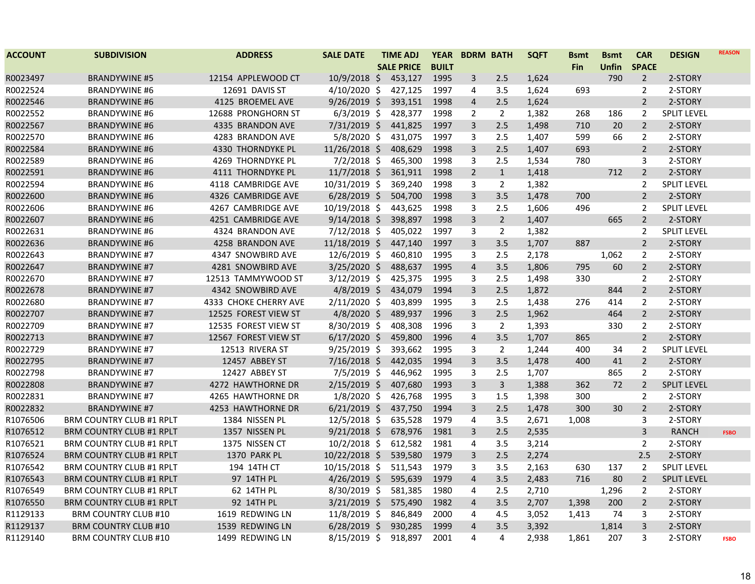| <b>ACCOUNT</b> | <b>SUBDIVISION</b>              | <b>ADDRESS</b>        | <b>SALE DATE</b> | <b>TIME ADJ</b>   | <b>YEAR</b>  | <b>BDRM BATH</b> |                | <b>SQFT</b> | <b>Bsmt</b> | <b>Bsmt</b>  | <b>CAR</b>     | <b>DESIGN</b>      | <b>REASON</b> |
|----------------|---------------------------------|-----------------------|------------------|-------------------|--------------|------------------|----------------|-------------|-------------|--------------|----------------|--------------------|---------------|
|                |                                 |                       |                  | <b>SALE PRICE</b> | <b>BUILT</b> |                  |                |             | Fin         | <b>Unfin</b> | <b>SPACE</b>   |                    |               |
| R0023497       | <b>BRANDYWINE #5</b>            | 12154 APPLEWOOD CT    | $10/9/2018$ \$   | 453,127           | 1995         | 3                | 2.5            | 1,624       |             | 790          | $\overline{2}$ | 2-STORY            |               |
| R0022524       | <b>BRANDYWINE #6</b>            | 12691 DAVIS ST        | 4/10/2020 \$     | 427,125           | 1997         | 4                | 3.5            | 1,624       | 693         |              | $\overline{2}$ | 2-STORY            |               |
| R0022546       | <b>BRANDYWINE #6</b>            | 4125 BROEMEL AVE      | $9/26/2019$ \$   | 393,151           | 1998         | 4                | 2.5            | 1,624       |             |              | $\overline{2}$ | 2-STORY            |               |
| R0022552       | <b>BRANDYWINE #6</b>            | 12688 PRONGHORN ST    | $6/3/2019$ \$    | 428,377           | 1998         | $\overline{2}$   | $\overline{2}$ | 1,382       | 268         | 186          | $\overline{2}$ | <b>SPLIT LEVEL</b> |               |
| R0022567       | <b>BRANDYWINE #6</b>            | 4335 BRANDON AVE      | $7/31/2019$ \$   | 441,825           | 1997         | 3                | 2.5            | 1,498       | 710         | 20           | $\overline{2}$ | 2-STORY            |               |
| R0022570       | <b>BRANDYWINE #6</b>            | 4283 BRANDON AVE      | 5/8/2020 \$      | 431,075           | 1997         | 3                | 2.5            | 1,407       | 599         | 66           | $\overline{2}$ | 2-STORY            |               |
| R0022584       | <b>BRANDYWINE #6</b>            | 4330 THORNDYKE PL     | 11/26/2018 \$    | 408,629           | 1998         | 3                | 2.5            | 1,407       | 693         |              | $\overline{2}$ | 2-STORY            |               |
| R0022589       | <b>BRANDYWINE #6</b>            | 4269 THORNDYKE PL     | $7/2/2018$ \$    | 465,300           | 1998         | 3                | 2.5            | 1,534       | 780         |              | 3              | 2-STORY            |               |
| R0022591       | <b>BRANDYWINE #6</b>            | 4111 THORNDYKE PL     | $11/7/2018$ \$   | 361,911           | 1998         | $\overline{2}$   | $\mathbf{1}$   | 1,418       |             | 712          | $\overline{2}$ | 2-STORY            |               |
| R0022594       | <b>BRANDYWINE #6</b>            | 4118 CAMBRIDGE AVE    | 10/31/2019 \$    | 369,240           | 1998         | 3                | $\overline{2}$ | 1,382       |             |              | $\overline{2}$ | <b>SPLIT LEVEL</b> |               |
| R0022600       | <b>BRANDYWINE #6</b>            | 4326 CAMBRIDGE AVE    | $6/28/2019$ \$   | 504,700           | 1998         | 3                | 3.5            | 1,478       | 700         |              | $\overline{2}$ | 2-STORY            |               |
| R0022606       | <b>BRANDYWINE #6</b>            | 4267 CAMBRIDGE AVE    | 10/19/2018 \$    | 443,625           | 1998         | 3                | 2.5            | 1,606       | 496         |              | $\overline{2}$ | <b>SPLIT LEVEL</b> |               |
| R0022607       | <b>BRANDYWINE #6</b>            | 4251 CAMBRIDGE AVE    | $9/14/2018$ \$   | 398,897           | 1998         | 3                | $2^{\circ}$    | 1,407       |             | 665          | $\overline{2}$ | 2-STORY            |               |
| R0022631       | <b>BRANDYWINE #6</b>            | 4324 BRANDON AVE      | $7/12/2018$ \$   | 405,022           | 1997         | 3                | $\overline{2}$ | 1,382       |             |              | $\overline{2}$ | <b>SPLIT LEVEL</b> |               |
| R0022636       | <b>BRANDYWINE #6</b>            | 4258 BRANDON AVE      | 11/18/2019 \$    | 447,140           | 1997         | 3                | 3.5            | 1,707       | 887         |              | $\overline{2}$ | 2-STORY            |               |
| R0022643       | <b>BRANDYWINE #7</b>            | 4347 SNOWBIRD AVE     | 12/6/2019 \$     | 460,810           | 1995         | 3                | 2.5            | 2,178       |             | 1,062        | $\overline{2}$ | 2-STORY            |               |
| R0022647       | <b>BRANDYWINE #7</b>            | 4281 SNOWBIRD AVE     | $3/25/2020$ \$   | 488,637           | 1995         | $\overline{4}$   | 3.5            | 1,806       | 795         | 60           | $\overline{2}$ | 2-STORY            |               |
| R0022670       | <b>BRANDYWINE #7</b>            | 12513 TAMMYWOOD ST    | $3/12/2019$ \$   | 425,375           | 1995         | 3                | 2.5            | 1,498       | 330         |              | $\overline{2}$ | 2-STORY            |               |
| R0022678       | <b>BRANDYWINE #7</b>            | 4342 SNOWBIRD AVE     | $4/8/2019$ \$    | 434,079           | 1994         | 3                | 2.5            | 1,872       |             | 844          | $\overline{2}$ | 2-STORY            |               |
| R0022680       | <b>BRANDYWINE #7</b>            | 4333 CHOKE CHERRY AVE | $2/11/2020$ \$   | 403,899           | 1995         | 3                | 2.5            | 1,438       | 276         | 414          | $\overline{2}$ | 2-STORY            |               |
| R0022707       | <b>BRANDYWINE #7</b>            | 12525 FOREST VIEW ST  | $4/8/2020$ \$    | 489,937           | 1996         | 3                | 2.5            | 1,962       |             | 464          | $\overline{2}$ | 2-STORY            |               |
| R0022709       | <b>BRANDYWINE #7</b>            | 12535 FOREST VIEW ST  | 8/30/2019 \$     | 408,308           | 1996         | 3                | $\overline{2}$ | 1,393       |             | 330          | $\overline{2}$ | 2-STORY            |               |
| R0022713       | <b>BRANDYWINE #7</b>            | 12567 FOREST VIEW ST  | $6/17/2020$ \$   | 459,800           | 1996         | $\overline{4}$   | 3.5            | 1,707       | 865         |              | $\overline{2}$ | 2-STORY            |               |
| R0022729       | <b>BRANDYWINE #7</b>            | 12513 RIVERA ST       | $9/25/2019$ \$   | 393,662           | 1995         | 3                | $\overline{2}$ | 1,244       | 400         | 34           | 2              | <b>SPLIT LEVEL</b> |               |
| R0022795       | <b>BRANDYWINE #7</b>            | 12457 ABBEY ST        | $7/16/2018$ \$   | 442,035           | 1994         | 3                | 3.5            | 1,478       | 400         | 41           | $\overline{2}$ | 2-STORY            |               |
| R0022798       | <b>BRANDYWINE #7</b>            | 12427 ABBEY ST        | $7/5/2019$ \$    | 446,962           | 1995         | 3                | 2.5            | 1,707       |             | 865          | $\overline{2}$ | 2-STORY            |               |
| R0022808       | <b>BRANDYWINE #7</b>            | 4272 HAWTHORNE DR     | $2/15/2019$ \$   | 407,680           | 1993         | 3                | $\mathbf{3}$   | 1,388       | 362         | 72           | $\overline{2}$ | <b>SPLIT LEVEL</b> |               |
| R0022831       | <b>BRANDYWINE #7</b>            | 4265 HAWTHORNE DR     | $1/8/2020$ \$    | 426,768           | 1995         | 3                | 1.5            | 1,398       | 300         |              | $\overline{2}$ | 2-STORY            |               |
| R0022832       | <b>BRANDYWINE #7</b>            | 4253 HAWTHORNE DR     | $6/21/2019$ \$   | 437,750           | 1994         | 3                | 2.5            | 1,478       | 300         | 30           | 2              | 2-STORY            |               |
| R1076506       | <b>BRM COUNTRY CLUB #1 RPLT</b> | 1384 NISSEN PL        | 12/5/2018 \$     | 635,528           | 1979         | 4                | 3.5            | 2,671       | 1,008       |              | 3              | 2-STORY            |               |
| R1076512       | <b>BRM COUNTRY CLUB #1 RPLT</b> | 1357 NISSEN PL        | $9/21/2018$ \$   | 678,976           | 1981         | 3                | 2.5            | 2,535       |             |              | $\overline{3}$ | <b>RANCH</b>       | <b>FSBO</b>   |
| R1076521       | <b>BRM COUNTRY CLUB #1 RPLT</b> | 1375 NISSEN CT        | $10/2/2018$ \$   | 612,582           | 1981         | 4                | 3.5            | 3,214       |             |              | $\overline{2}$ | 2-STORY            |               |
| R1076524       | <b>BRM COUNTRY CLUB #1 RPLT</b> | 1370 PARK PL          | $10/22/2018$ \$  | 539,580           | 1979         | 3                | 2.5            | 2,274       |             |              | 2.5            | 2-STORY            |               |
| R1076542       | BRM COUNTRY CLUB #1 RPLT        | 194 14TH CT           | 10/15/2018 \$    | 511,543           | 1979         | 3                | 3.5            | 2,163       | 630         | 137          | $\overline{2}$ | <b>SPLIT LEVEL</b> |               |
| R1076543       | <b>BRM COUNTRY CLUB #1 RPLT</b> | 97 14TH PL            | $4/26/2019$ \$   | 595,639           | 1979         | $\overline{4}$   | 3.5            | 2,483       | 716         | 80           | $\overline{2}$ | <b>SPLIT LEVEL</b> |               |
| R1076549       | <b>BRM COUNTRY CLUB #1 RPLT</b> | 62 14TH PL            | 8/30/2019 \$     | 581,385           | 1980         | 4                | 2.5            | 2,710       |             | 1,296        | $\overline{2}$ | 2-STORY            |               |
| R1076550       | <b>BRM COUNTRY CLUB #1 RPLT</b> | 92 14TH PL            | $3/21/2019$ \$   | 575,490           | 1982         | $\overline{4}$   | 3.5            | 2,707       | 1,398       | 200          | $\overline{2}$ | 2-STORY            |               |
| R1129133       | <b>BRM COUNTRY CLUB #10</b>     | 1619 REDWING LN       | 11/8/2019 \$     | 846,849           | 2000         | 4                | 4.5            | 3,052       | 1,413       | 74           | 3              | 2-STORY            |               |
| R1129137       | <b>BRM COUNTRY CLUB #10</b>     | 1539 REDWING LN       | $6/28/2019$ \$   | 930,285           | 1999         | $\overline{4}$   | 3.5            | 3,392       |             | 1,814        | $\mathsf{3}$   | 2-STORY            |               |
| R1129140       | <b>BRM COUNTRY CLUB #10</b>     | 1499 REDWING LN       | $8/15/2019$ \$   | 918,897           | 2001         | 4                | 4              | 2,938       | 1,861       | 207          | 3              | 2-STORY            | <b>FSBO</b>   |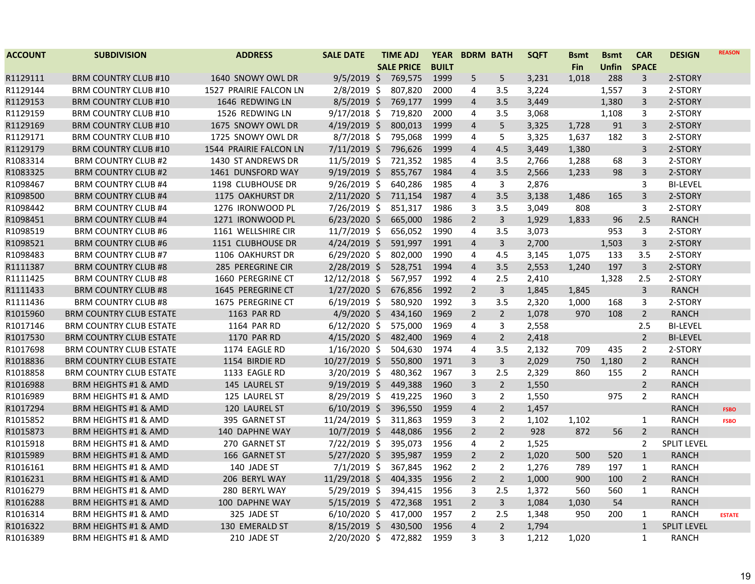| <b>ACCOUNT</b> | <b>SUBDIVISION</b>              | <b>ADDRESS</b>         | <b>SALE DATE</b> | <b>TIME ADJ</b>   | <b>YEAR</b>  |                | <b>BDRM BATH</b> | <b>SQFT</b> | <b>Bsmt</b> | <b>Bsmt</b>  | <b>CAR</b>              | <b>DESIGN</b>      | <b>REASON</b> |
|----------------|---------------------------------|------------------------|------------------|-------------------|--------------|----------------|------------------|-------------|-------------|--------------|-------------------------|--------------------|---------------|
|                |                                 |                        |                  | <b>SALE PRICE</b> | <b>BUILT</b> |                |                  |             | Fin         | <b>Unfin</b> | <b>SPACE</b>            |                    |               |
| R1129111       | <b>BRM COUNTRY CLUB #10</b>     | 1640 SNOWY OWL DR      | $9/5/2019$ \$    | 769,575           | 1999         | 5              | 5                | 3,231       | 1,018       | 288          | 3                       | 2-STORY            |               |
| R1129144       | <b>BRM COUNTRY CLUB #10</b>     | 1527 PRAIRIE FALCON LN | $2/8/2019$ \$    | 807,820           | 2000         | 4              | 3.5              | 3,224       |             | 1,557        | 3                       | 2-STORY            |               |
| R1129153       | <b>BRM COUNTRY CLUB #10</b>     | 1646 REDWING LN        | $8/5/2019$ \$    | 769,177           | 1999         | $\overline{4}$ | 3.5              | 3,449       |             | 1,380        | 3                       | 2-STORY            |               |
| R1129159       | <b>BRM COUNTRY CLUB #10</b>     | 1526 REDWING LN        | $9/17/2018$ \$   | 719,820           | 2000         | 4              | 3.5              | 3,068       |             | 1,108        | 3                       | 2-STORY            |               |
| R1129169       | <b>BRM COUNTRY CLUB #10</b>     | 1675 SNOWY OWL DR      | $4/19/2019$ \$   | 800,013           | 1999         | 4              | 5                | 3,325       | 1,728       | 91           | 3                       | 2-STORY            |               |
| R1129171       | <b>BRM COUNTRY CLUB #10</b>     | 1725 SNOWY OWL DR      | $8/7/2018$ \$    | 795,068           | 1999         | 4              | 5                | 3,325       | 1,637       | 182          | 3                       | 2-STORY            |               |
| R1129179       | <b>BRM COUNTRY CLUB #10</b>     | 1544 PRAIRIE FALCON LN | $7/11/2019$ \$   | 796,626           | 1999         | $\overline{4}$ | 4.5              | 3,449       | 1,380       |              | $\overline{\mathbf{3}}$ | 2-STORY            |               |
| R1083314       | <b>BRM COUNTRY CLUB #2</b>      | 1430 ST ANDREWS DR     | $11/5/2019$ \$   | 721,352           | 1985         | 4              | 3.5              | 2,766       | 1,288       | 68           | 3                       | 2-STORY            |               |
| R1083325       | <b>BRM COUNTRY CLUB #2</b>      | 1461 DUNSFORD WAY      | $9/19/2019$ \$   | 855,767           | 1984         | $\overline{4}$ | 3.5              | 2,566       | 1,233       | 98           | 3                       | 2-STORY            |               |
| R1098467       | <b>BRM COUNTRY CLUB #4</b>      | 1198 CLUBHOUSE DR      | $9/26/2019$ \$   | 640,286           | 1985         | 4              | 3                | 2,876       |             |              | 3                       | <b>BI-LEVEL</b>    |               |
| R1098500       | <b>BRM COUNTRY CLUB #4</b>      | 1175 OAKHURST DR       | $2/11/2020$ \$   | 711,154           | 1987         | 4              | 3.5              | 3,138       | 1,486       | 165          | 3                       | 2-STORY            |               |
| R1098442       | <b>BRM COUNTRY CLUB #4</b>      | 1276 IRONWOOD PL       | 7/26/2019 \$     | 851,317           | 1986         | 3              | 3.5              | 3,049       | 808         |              | 3                       | 2-STORY            |               |
| R1098451       | <b>BRM COUNTRY CLUB #4</b>      | 1271 IRONWOOD PL       | $6/23/2020$ \$   | 665,000           | 1986         | $\overline{2}$ | $\overline{3}$   | 1,929       | 1,833       | 96           | 2.5                     | <b>RANCH</b>       |               |
| R1098519       | <b>BRM COUNTRY CLUB #6</b>      | 1161 WELLSHIRE CIR     | $11/7/2019$ \$   | 656,052           | 1990         | 4              | 3.5              | 3,073       |             | 953          | 3                       | 2-STORY            |               |
| R1098521       | <b>BRM COUNTRY CLUB #6</b>      | 1151 CLUBHOUSE DR      | $4/24/2019$ \$   | 591,997           | 1991         | 4              | 3                | 2,700       |             | 1,503        | 3                       | 2-STORY            |               |
| R1098483       | <b>BRM COUNTRY CLUB #7</b>      | 1106 OAKHURST DR       | $6/29/2020$ \$   | 802,000           | 1990         | 4              | 4.5              | 3,145       | 1,075       | 133          | 3.5                     | 2-STORY            |               |
| R1111387       | <b>BRM COUNTRY CLUB #8</b>      | 285 PEREGRINE CIR      | $2/28/2019$ \$   | 528,751           | 1994         | $\overline{4}$ | 3.5              | 2,553       | 1,240       | 197          | $\overline{\mathbf{3}}$ | 2-STORY            |               |
| R1111425       | <b>BRM COUNTRY CLUB #8</b>      | 1660 PEREGRINE CT      | 12/12/2018 \$    | 567,957           | 1992         | 4              | 2.5              | 2,410       |             | 1,328        | 2.5                     | 2-STORY            |               |
| R1111433       | <b>BRM COUNTRY CLUB #8</b>      | 1645 PEREGRINE CT      | $1/27/2020$ \$   | 676,856           | 1992         | $\overline{2}$ | $\mathsf{3}$     | 1,845       | 1,845       |              | $\overline{\mathbf{3}}$ | <b>RANCH</b>       |               |
| R1111436       | <b>BRM COUNTRY CLUB #8</b>      | 1675 PEREGRINE CT      | $6/19/2019$ \$   | 580,920           | 1992         | 3              | 3.5              | 2,320       | 1,000       | 168          | 3                       | 2-STORY            |               |
| R1015960       | <b>BRM COUNTRY CLUB ESTATE</b>  | 1163 PAR RD            | $4/9/2020$ \$    | 434,160           | 1969         | $\overline{2}$ | $\overline{2}$   | 1,078       | 970         | 108          | $\overline{2}$          | <b>RANCH</b>       |               |
| R1017146       | <b>BRM COUNTRY CLUB ESTATE</b>  | 1164 PAR RD            | $6/12/2020$ \$   | 575,000           | 1969         | 4              | 3                | 2,558       |             |              | 2.5                     | <b>BI-LEVEL</b>    |               |
| R1017530       | <b>BRM COUNTRY CLUB ESTATE</b>  | 1170 PAR RD            | $4/15/2020$ \$   | 482,400           | 1969         | $\overline{4}$ | $2^{\circ}$      | 2,418       |             |              | $\overline{2}$          | <b>BI-LEVEL</b>    |               |
| R1017698       | <b>BRM COUNTRY CLUB ESTATE</b>  | 1174 EAGLE RD          | $1/16/2020$ \$   | 504,630           | 1974         | 4              | 3.5              | 2,132       | 709         | 435          | $\overline{2}$          | 2-STORY            |               |
| R1018836       | <b>BRM COUNTRY CLUB ESTATE</b>  | 1154 BIRDIE RD         | 10/27/2019 \$    | 550,800           | 1971         | 3              | $\overline{3}$   | 2,029       | 750         | 1,180        | $\overline{2}$          | <b>RANCH</b>       |               |
| R1018858       | <b>BRM COUNTRY CLUB ESTATE</b>  | 1133 EAGLE RD          | $3/20/2019$ \$   | 480,362           | 1967         | 3              | 2.5              | 2,329       | 860         | 155          | $\overline{2}$          | <b>RANCH</b>       |               |
| R1016988       | <b>BRM HEIGHTS #1 &amp; AMD</b> | 145 LAUREL ST          | $9/19/2019$ \$   | 449,388           | 1960         | $\overline{3}$ | $2^{\circ}$      | 1,550       |             |              | $\overline{2}$          | <b>RANCH</b>       |               |
| R1016989       | BRM HEIGHTS #1 & AMD            | 125 LAUREL ST          | $8/29/2019$ \$   | 419,225           | 1960         | 3              | $\overline{2}$   | 1,550       |             | 975          | $\overline{2}$          | <b>RANCH</b>       |               |
| R1017294       | <b>BRM HEIGHTS #1 &amp; AMD</b> | 120 LAUREL ST          | $6/10/2019$ \$   | 396,550           | 1959         | 4              | $\overline{2}$   | 1,457       |             |              |                         | <b>RANCH</b>       | <b>FSBO</b>   |
| R1015852       | BRM HEIGHTS #1 & AMD            | 395 GARNET ST          | 11/24/2019 \$    | 311,863           | 1959         | 3              | $\overline{2}$   | 1,102       | 1,102       |              | $\mathbf{1}$            | <b>RANCH</b>       | <b>FSBO</b>   |
| R1015873       | <b>BRM HEIGHTS #1 &amp; AMD</b> | 140 DAPHNE WAY         | $10/7/2019$ \$   | 448,086           | 1956         | $\overline{2}$ | $\overline{2}$   | 928         | 872         | 56           | $\overline{2}$          | <b>RANCH</b>       |               |
| R1015918       | <b>BRM HEIGHTS #1 &amp; AMD</b> | 270 GARNET ST          | $7/22/2019$ \$   | 395,073           | 1956         | 4              | $\overline{2}$   | 1,525       |             |              | 2                       | <b>SPLIT LEVEL</b> |               |
| R1015989       | <b>BRM HEIGHTS #1 &amp; AMD</b> | 166 GARNET ST          | $5/27/2020$ \$   | 395,987           | 1959         | $\overline{2}$ | $\overline{2}$   | 1,020       | 500         | 520          | $\mathbf{1}$            | <b>RANCH</b>       |               |
| R1016161       | BRM HEIGHTS #1 & AMD            | 140 JADE ST            | $7/1/2019$ \$    | 367,845           | 1962         | $\overline{2}$ | $\overline{2}$   | 1,276       | 789         | 197          | $\mathbf{1}$            | RANCH              |               |
| R1016231       | <b>BRM HEIGHTS #1 &amp; AMD</b> | 206 BERYL WAY          | 11/29/2018 \$    | 404,335           | 1956         | $\overline{2}$ | $\overline{2}$   | 1,000       | 900         | 100          | $\overline{2}$          | <b>RANCH</b>       |               |
| R1016279       | BRM HEIGHTS #1 & AMD            | 280 BERYL WAY          | 5/29/2019 \$     | 394,415           | 1956         | 3              | 2.5              | 1,372       | 560         | 560          | $\mathbf{1}$            | <b>RANCH</b>       |               |
| R1016288       | <b>BRM HEIGHTS #1 &amp; AMD</b> | 100 DAPHNE WAY         | $5/15/2019$ \$   | 472,368           | 1951         | $\overline{2}$ | $\mathbf{3}$     | 1,084       | 1,030       | 54           |                         | <b>RANCH</b>       |               |
| R1016314       | BRM HEIGHTS #1 & AMD            | 325 JADE ST            | $6/10/2020$ \$   | 417,000           | 1957         | 2              | 2.5              | 1,348       | 950         | 200          | $\mathbf{1}$            | <b>RANCH</b>       | <b>ESTATE</b> |
| R1016322       | <b>BRM HEIGHTS #1 &amp; AMD</b> | 130 EMERALD ST         | $8/15/2019$ \$   | 430,500           | 1956         | $\overline{4}$ | $\overline{2}$   | 1,794       |             |              | $\mathbf{1}$            | <b>SPLIT LEVEL</b> |               |
| R1016389       | <b>BRM HEIGHTS #1 &amp; AMD</b> | 210 JADE ST            | $2/20/2020$ \$   | 472,882           | 1959         | 3              | 3                | 1,212       | 1,020       |              | $\mathbf{1}$            | <b>RANCH</b>       |               |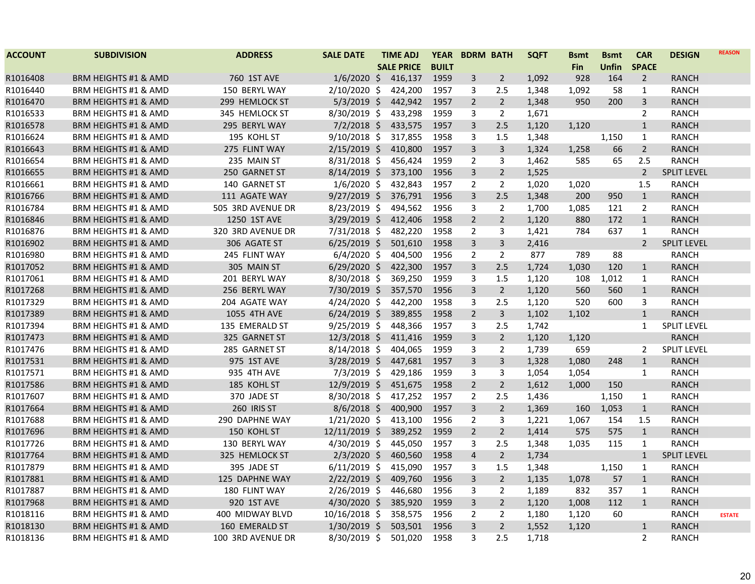| <b>ACCOUNT</b> | <b>SUBDIVISION</b>              | <b>ADDRESS</b>    | <b>SALE DATE</b> | <b>TIME ADJ</b>   | <b>YEAR</b>  | <b>BDRM BATH</b> |                         | <b>SQFT</b> | <b>Bsmt</b> | <b>Bsmt</b> | <b>CAR</b>     | <b>DESIGN</b>      | <b>REASON</b> |
|----------------|---------------------------------|-------------------|------------------|-------------------|--------------|------------------|-------------------------|-------------|-------------|-------------|----------------|--------------------|---------------|
|                |                                 |                   |                  | <b>SALE PRICE</b> | <b>BUILT</b> |                  |                         |             | Fin         | Unfin       | <b>SPACE</b>   |                    |               |
| R1016408       | <b>BRM HEIGHTS #1 &amp; AMD</b> | 760 1ST AVE       | $1/6/2020$ \$    | 416,137           | 1959         | 3                | $\overline{2}$          | 1,092       | 928         | 164         | $\overline{2}$ | <b>RANCH</b>       |               |
| R1016440       | BRM HEIGHTS #1 & AMD            | 150 BERYL WAY     | 2/10/2020 \$     | 424,200           | 1957         | 3                | 2.5                     | 1,348       | 1,092       | 58          | $\mathbf{1}$   | <b>RANCH</b>       |               |
| R1016470       | BRM HEIGHTS #1 & AMD            | 299 HEMLOCK ST    | $5/3/2019$ \$    | 442,942           | 1957         | $\overline{2}$   | $\overline{2}$          | 1,348       | 950         | 200         | $\mathsf{3}$   | <b>RANCH</b>       |               |
| R1016533       | BRM HEIGHTS #1 & AMD            | 345 HEMLOCK ST    | 8/30/2019 \$     | 433,298           | 1959         | 3                | $\overline{2}$          | 1,671       |             |             | $\overline{2}$ | <b>RANCH</b>       |               |
| R1016578       | <b>BRM HEIGHTS #1 &amp; AMD</b> | 295 BERYL WAY     | $7/2/2018$ \$    | 433,575           | 1957         | 3                | 2.5                     | 1,120       | 1,120       |             | $\mathbf{1}$   | <b>RANCH</b>       |               |
| R1016624       | <b>BRM HEIGHTS #1 &amp; AMD</b> | 195 KOHL ST       | $9/10/2018$ \$   | 317,855           | 1958         | 3                | 1.5                     | 1,348       |             | 1,150       | $\mathbf{1}$   | <b>RANCH</b>       |               |
| R1016643       | <b>BRM HEIGHTS #1 &amp; AMD</b> | 275 FLINT WAY     | $2/15/2019$ \$   | 410,800           | 1957         | 3                | $\overline{\mathbf{3}}$ | 1,324       | 1,258       | 66          | $\overline{2}$ | <b>RANCH</b>       |               |
| R1016654       | BRM HEIGHTS #1 & AMD            | 235 MAIN ST       | $8/31/2018$ \$   | 456,424           | 1959         | $\overline{2}$   | 3                       | 1,462       | 585         | 65          | 2.5            | <b>RANCH</b>       |               |
| R1016655       | <b>BRM HEIGHTS #1 &amp; AMD</b> | 250 GARNET ST     | $8/14/2019$ \$   | 373,100           | 1956         | 3                | $\overline{2}$          | 1,525       |             |             | $\overline{2}$ | <b>SPLIT LEVEL</b> |               |
| R1016661       | BRM HEIGHTS #1 & AMD            | 140 GARNET ST     | $1/6/2020$ \$    | 432,843           | 1957         | $\overline{2}$   | $\overline{2}$          | 1,020       | 1,020       |             | 1.5            | <b>RANCH</b>       |               |
| R1016766       | <b>BRM HEIGHTS #1 &amp; AMD</b> | 111 AGATE WAY     | $9/27/2019$ \$   | 376,791           | 1956         | 3                | 2.5                     | 1,348       | 200         | 950         | $\mathbf{1}$   | <b>RANCH</b>       |               |
| R1016784       | <b>BRM HEIGHTS #1 &amp; AMD</b> | 505 3RD AVENUE DR | $8/23/2019$ \$   | 494,562           | 1956         | 3                | $\overline{2}$          | 1,700       | 1,085       | 121         | $\overline{2}$ | <b>RANCH</b>       |               |
| R1016846       | <b>BRM HEIGHTS #1 &amp; AMD</b> | 1250 1ST AVE      | $3/29/2019$ \$   | 412,406           | 1958         | $\overline{2}$   | $\overline{2}$          | 1,120       | 880         | 172         | $\mathbf{1}$   | <b>RANCH</b>       |               |
| R1016876       | <b>BRM HEIGHTS #1 &amp; AMD</b> | 320 3RD AVENUE DR | $7/31/2018$ \$   | 482,220           | 1958         | $\overline{2}$   | 3                       | 1,421       | 784         | 637         | $\mathbf{1}$   | <b>RANCH</b>       |               |
| R1016902       | <b>BRM HEIGHTS #1 &amp; AMD</b> | 306 AGATE ST      | $6/25/2019$ \$   | 501,610           | 1958         | 3                | 3                       | 2,416       |             |             | $\overline{2}$ | <b>SPLIT LEVEL</b> |               |
| R1016980       | BRM HEIGHTS #1 & AMD            | 245 FLINT WAY     | $6/4/2020$ \$    | 404,500           | 1956         | $\overline{2}$   | $\overline{2}$          | 877         | 789         | 88          |                | <b>RANCH</b>       |               |
| R1017052       | <b>BRM HEIGHTS #1 &amp; AMD</b> | 305 MAIN ST       | $6/29/2020$ \$   | 422,300           | 1957         | 3                | 2.5                     | 1,724       | 1,030       | 120         | $\mathbf{1}$   | <b>RANCH</b>       |               |
| R1017061       | <b>BRM HEIGHTS #1 &amp; AMD</b> | 201 BERYL WAY     | 8/30/2018 \$     | 369,250           | 1959         | 3                | 1.5                     | 1,120       | 108         | 1,012       | $\mathbf{1}$   | <b>RANCH</b>       |               |
| R1017268       | <b>BRM HEIGHTS #1 &amp; AMD</b> | 256 BERYL WAY     | 7/30/2019 \$     | 357,570           | 1956         | 3                | $\overline{2}$          | 1,120       | 560         | 560         | $\mathbf{1}$   | <b>RANCH</b>       |               |
| R1017329       | BRM HEIGHTS #1 & AMD            | 204 AGATE WAY     | $4/24/2020$ \$   | 442,200           | 1958         | 3                | 2.5                     | 1,120       | 520         | 600         | 3              | <b>RANCH</b>       |               |
| R1017389       | <b>BRM HEIGHTS #1 &amp; AMD</b> | 1055 4TH AVE      | $6/24/2019$ \$   | 389,855           | 1958         | $\overline{2}$   | $\overline{3}$          | 1,102       | 1,102       |             | $\mathbf{1}$   | <b>RANCH</b>       |               |
| R1017394       | <b>BRM HEIGHTS #1 &amp; AMD</b> | 135 EMERALD ST    | $9/25/2019$ \$   | 448,366           | 1957         | 3                | 2.5                     | 1,742       |             |             | $\mathbf{1}$   | <b>SPLIT LEVEL</b> |               |
| R1017473       | <b>BRM HEIGHTS #1 &amp; AMD</b> | 325 GARNET ST     | $12/3/2018$ \$   | 411,416           | 1959         | 3                | $\overline{2}$          | 1,120       | 1,120       |             |                | <b>RANCH</b>       |               |
| R1017476       | BRM HEIGHTS #1 & AMD            | 285 GARNET ST     | $8/14/2018$ \$   | 404,065           | 1959         | 3                | $\overline{2}$          | 1,739       | 659         |             | 2              | <b>SPLIT LEVEL</b> |               |
| R1017531       | <b>BRM HEIGHTS #1 &amp; AMD</b> | 975 1ST AVE       | $3/28/2019$ \$   | 447,681           | 1957         | 3                | $\overline{3}$          | 1,328       | 1,080       | 248         | $\mathbf{1}$   | <b>RANCH</b>       |               |
| R1017571       | BRM HEIGHTS #1 & AMD            | 935 4TH AVE       | $7/3/2019$ \$    | 429,186           | 1959         | 3                | 3                       | 1,054       | 1,054       |             | $\mathbf{1}$   | <b>RANCH</b>       |               |
| R1017586       | <b>BRM HEIGHTS #1 &amp; AMD</b> | 185 KOHL ST       | 12/9/2019 \$     | 451,675           | 1958         | $\overline{2}$   | $\overline{2}$          | 1,612       | 1,000       | 150         |                | <b>RANCH</b>       |               |
| R1017607       | BRM HEIGHTS #1 & AMD            | 370 JADE ST       | 8/30/2018 \$     | 417,252           | 1957         | $\overline{2}$   | 2.5                     | 1,436       |             | 1,150       | $\mathbf{1}$   | <b>RANCH</b>       |               |
| R1017664       | BRM HEIGHTS #1 & AMD            | 260 IRIS ST       | $8/6/2018$ \$    | 400,900           | 1957         | 3                | $\overline{2}$          | 1,369       | 160         | 1,053       | $\mathbf{1}$   | <b>RANCH</b>       |               |
| R1017688       | BRM HEIGHTS #1 & AMD            | 290 DAPHNE WAY    | $1/21/2020$ \$   | 413,100           | 1956         | $\overline{2}$   | 3                       | 1,221       | 1,067       | 154         | 1.5            | <b>RANCH</b>       |               |
| R1017696       | <b>BRM HEIGHTS #1 &amp; AMD</b> | 150 KOHL ST       | $12/11/2019$ \$  | 389,252           | 1959         | $\overline{2}$   | $\overline{2}$          | 1,414       | 575         | 575         | $\mathbf{1}$   | <b>RANCH</b>       |               |
| R1017726       | BRM HEIGHTS #1 & AMD            | 130 BERYL WAY     | 4/30/2019 \$     | 445,050           | 1957         | 3                | 2.5                     | 1,348       | 1,035       | 115         | $\mathbf{1}$   | <b>RANCH</b>       |               |
| R1017764       | <b>BRM HEIGHTS #1 &amp; AMD</b> | 325 HEMLOCK ST    | $2/3/2020$ \$    | 460,560           | 1958         | $\overline{4}$   | $\overline{2}$          | 1,734       |             |             | $\mathbf{1}$   | <b>SPLIT LEVEL</b> |               |
| R1017879       | BRM HEIGHTS #1 & AMD            | 395 JADE ST       | $6/11/2019$ \$   | 415,090           | 1957         | 3                | 1.5                     | 1,348       |             | 1,150       | $\mathbf{1}$   | <b>RANCH</b>       |               |
| R1017881       | <b>BRM HEIGHTS #1 &amp; AMD</b> | 125 DAPHNE WAY    | $2/22/2019$ \$   | 409,760           | 1956         | 3                | $\overline{2}$          | 1,135       | 1,078       | 57          | $\mathbf{1}$   | <b>RANCH</b>       |               |
| R1017887       | <b>BRM HEIGHTS #1 &amp; AMD</b> | 180 FLINT WAY     | $2/26/2019$ \$   | 446,680           | 1956         | 3                | $\overline{2}$          | 1,189       | 832         | 357         | $\mathbf{1}$   | <b>RANCH</b>       |               |
| R1017968       | BRM HEIGHTS #1 & AMD            | 920 1ST AVE       | 4/30/2020 \$     | 385,920           | 1959         | 3                | $\overline{2}$          | 1,120       | 1,008       | 112         | $\mathbf{1}$   | <b>RANCH</b>       |               |
| R1018116       | BRM HEIGHTS #1 & AMD            | 400 MIDWAY BLVD   | 10/16/2018 \$    | 358,575           | 1956         | 2                | $\overline{2}$          | 1,180       | 1,120       | 60          |                | <b>RANCH</b>       | <b>ESTATE</b> |
| R1018130       | <b>BRM HEIGHTS #1 &amp; AMD</b> | 160 EMERALD ST    | $1/30/2019$ \$   | 503,501           | 1956         | 3                | $2^{\circ}$             | 1,552       | 1,120       |             | $\mathbf{1}$   | <b>RANCH</b>       |               |
| R1018136       | BRM HEIGHTS #1 & AMD            | 100 3RD AVENUE DR | 8/30/2019 \$     | 501,020           | 1958         | 3                | 2.5                     | 1,718       |             |             | 2              | <b>RANCH</b>       |               |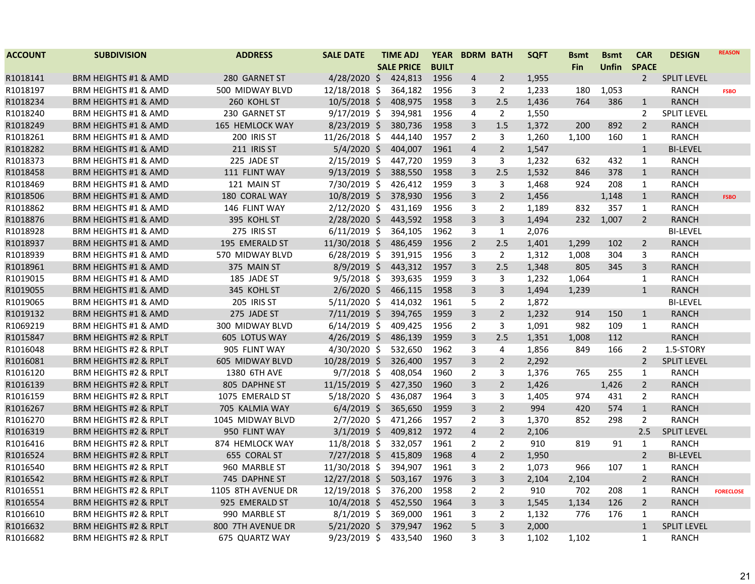| <b>ACCOUNT</b> | <b>SUBDIVISION</b>               | <b>ADDRESS</b>     | <b>SALE DATE</b> | <b>TIME ADJ</b>   | <b>YEAR</b>  |                         | <b>BDRM BATH</b> | <b>SQFT</b> | <b>Bsmt</b> | <b>Bsmt</b> | <b>CAR</b>     | <b>DESIGN</b>      | <b>REASON</b>    |
|----------------|----------------------------------|--------------------|------------------|-------------------|--------------|-------------------------|------------------|-------------|-------------|-------------|----------------|--------------------|------------------|
|                |                                  |                    |                  | <b>SALE PRICE</b> | <b>BUILT</b> |                         |                  |             | <b>Fin</b>  | Unfin       | <b>SPACE</b>   |                    |                  |
| R1018141       | <b>BRM HEIGHTS #1 &amp; AMD</b>  | 280 GARNET ST      | $4/28/2020$ \$   | 424,813           | 1956         | $\overline{\mathbf{4}}$ | $\overline{2}$   | 1,955       |             |             | $\overline{2}$ | <b>SPLIT LEVEL</b> |                  |
| R1018197       | <b>BRM HEIGHTS #1 &amp; AMD</b>  | 500 MIDWAY BLVD    | 12/18/2018 \$    | 364,182           | 1956         | 3                       | $\overline{2}$   | 1,233       | 180         | 1,053       |                | <b>RANCH</b>       | <b>FSBO</b>      |
| R1018234       | <b>BRM HEIGHTS #1 &amp; AMD</b>  | 260 KOHL ST        | 10/5/2018 \$     | 408,975           | 1958         | 3                       | 2.5              | 1,436       | 764         | 386         | $\mathbf{1}$   | <b>RANCH</b>       |                  |
| R1018240       | BRM HEIGHTS #1 & AMD             | 230 GARNET ST      | $9/17/2019$ \$   | 394,981           | 1956         | 4                       | $\overline{2}$   | 1,550       |             |             | $\overline{2}$ | <b>SPLIT LEVEL</b> |                  |
| R1018249       | <b>BRM HEIGHTS #1 &amp; AMD</b>  | 165 HEMLOCK WAY    | $8/23/2019$ \$   | 380,736           | 1958         | 3                       | 1.5              | 1,372       | 200         | 892         | $\overline{2}$ | <b>RANCH</b>       |                  |
| R1018261       | <b>BRM HEIGHTS #1 &amp; AMD</b>  | 200 IRIS ST        | 11/26/2018 \$    | 444,140           | 1957         | $\overline{2}$          | 3                | 1,260       | 1,100       | 160         | $\mathbf{1}$   | <b>RANCH</b>       |                  |
| R1018282       | BRM HEIGHTS #1 & AMD             | 211 IRIS ST        | 5/4/2020 \$      | 404,007           | 1961         | $\overline{4}$          | $\overline{2}$   | 1,547       |             |             | $\mathbf{1}$   | <b>BI-LEVEL</b>    |                  |
| R1018373       | <b>BRM HEIGHTS #1 &amp; AMD</b>  | 225 JADE ST        | $2/15/2019$ \$   | 447,720           | 1959         | 3                       | 3                | 1,232       | 632         | 432         | $\mathbf{1}$   | <b>RANCH</b>       |                  |
| R1018458       | <b>BRM HEIGHTS #1 &amp; AMD</b>  | 111 FLINT WAY      | $9/13/2019$ \$   | 388,550           | 1958         | 3                       | 2.5              | 1,532       | 846         | 378         | $\mathbf{1}$   | <b>RANCH</b>       |                  |
| R1018469       | <b>BRM HEIGHTS #1 &amp; AMD</b>  | 121 MAIN ST        | 7/30/2019 \$     | 426,412           | 1959         | 3                       | 3                | 1,468       | 924         | 208         | $\mathbf{1}$   | <b>RANCH</b>       |                  |
| R1018506       | <b>BRM HEIGHTS #1 &amp; AMD</b>  | 180 CORAL WAY      | 10/8/2019 \$     | 378,930           | 1956         | 3                       | $\overline{2}$   | 1,456       |             | 1,148       | $\mathbf{1}$   | <b>RANCH</b>       | <b>FSBO</b>      |
| R1018862       | <b>BRM HEIGHTS #1 &amp; AMD</b>  | 146 FLINT WAY      | $2/12/2020$ \$   | 431,169           | 1956         | 3                       | $\overline{2}$   | 1,189       | 832         | 357         | $\mathbf{1}$   | <b>RANCH</b>       |                  |
| R1018876       | <b>BRM HEIGHTS #1 &amp; AMD</b>  | 395 KOHL ST        | 2/28/2020 \$     | 443,592           | 1958         | 3                       | $\overline{3}$   | 1,494       | 232         | 1,007       | $\overline{2}$ | <b>RANCH</b>       |                  |
| R1018928       | <b>BRM HEIGHTS #1 &amp; AMD</b>  | 275 IRIS ST        | $6/11/2019$ \$   | 364,105           | 1962         | 3                       | $\mathbf{1}$     | 2,076       |             |             |                | <b>BI-LEVEL</b>    |                  |
| R1018937       | <b>BRM HEIGHTS #1 &amp; AMD</b>  | 195 EMERALD ST     | 11/30/2018 \$    | 486,459           | 1956         | $\overline{2}$          | 2.5              | 1,401       | 1,299       | 102         | $\overline{2}$ | <b>RANCH</b>       |                  |
| R1018939       | BRM HEIGHTS #1 & AMD             | 570 MIDWAY BLVD    | $6/28/2019$ \$   | 391,915           | 1956         | 3                       | $\overline{2}$   | 1,312       | 1,008       | 304         | 3              | <b>RANCH</b>       |                  |
| R1018961       | <b>BRM HEIGHTS #1 &amp; AMD</b>  | 375 MAIN ST        | $8/9/2019$ \$    | 443,312           | 1957         | $\overline{3}$          | 2.5              | 1,348       | 805         | 345         | $\mathbf{3}$   | <b>RANCH</b>       |                  |
| R1019015       | <b>BRM HEIGHTS #1 &amp; AMD</b>  | 185 JADE ST        | $9/5/2018$ \$    | 393,635           | 1959         | 3                       | 3                | 1,232       | 1,064       |             | $\mathbf{1}$   | <b>RANCH</b>       |                  |
| R1019055       | <b>BRM HEIGHTS #1 &amp; AMD</b>  | 345 KOHL ST        | $2/6/2020$ \$    | 466,115           | 1958         | 3                       | $\mathbf{3}$     | 1,494       | 1,239       |             | $\mathbf{1}$   | <b>RANCH</b>       |                  |
| R1019065       | <b>BRM HEIGHTS #1 &amp; AMD</b>  | 205 IRIS ST        | $5/11/2020$ \$   | 414,032           | 1961         | 5                       | $\overline{2}$   | 1,872       |             |             |                | <b>BI-LEVEL</b>    |                  |
| R1019132       | <b>BRM HEIGHTS #1 &amp; AMD</b>  | 275 JADE ST        | $7/11/2019$ \$   | 394,765           | 1959         | $\overline{3}$          | $2^{\circ}$      | 1,232       | 914         | 150         | $\mathbf{1}$   | <b>RANCH</b>       |                  |
| R1069219       | <b>BRM HEIGHTS #1 &amp; AMD</b>  | 300 MIDWAY BLVD    | $6/14/2019$ \$   | 409,425           | 1956         | $\overline{2}$          | 3                | 1,091       | 982         | 109         | $\mathbf{1}$   | <b>RANCH</b>       |                  |
| R1015847       | <b>BRM HEIGHTS #2 &amp; RPLT</b> | 605 LOTUS WAY      | $4/26/2019$ \$   | 486,139           | 1959         | 3                       | 2.5              | 1,351       | 1,008       | 112         |                | <b>RANCH</b>       |                  |
| R1016048       | <b>BRM HEIGHTS #2 &amp; RPLT</b> | 905 FLINT WAY      | $4/30/2020$ \$   | 532,650           | 1962         | 3                       | 4                | 1,856       | 849         | 166         | 2              | 1.5-STORY          |                  |
| R1016081       | <b>BRM HEIGHTS #2 &amp; RPLT</b> | 605 MIDWAY BLVD    | 10/28/2019 \$    | 326,400           | 1957         | 3                       | $\overline{2}$   | 2,292       |             |             | $\overline{2}$ | <b>SPLIT LEVEL</b> |                  |
| R1016120       | BRM HEIGHTS #2 & RPLT            | 1380 6TH AVE       | $9/7/2018$ \$    | 408,054           | 1960         | $\overline{2}$          | 3                | 1,376       | 765         | 255         | $\mathbf{1}$   | <b>RANCH</b>       |                  |
| R1016139       | <b>BRM HEIGHTS #2 &amp; RPLT</b> | 805 DAPHNE ST      | 11/15/2019 \$    | 427,350           | 1960         | 3                       | $\overline{2}$   | 1,426       |             | 1,426       | $\overline{2}$ | <b>RANCH</b>       |                  |
| R1016159       | <b>BRM HEIGHTS #2 &amp; RPLT</b> | 1075 EMERALD ST    | 5/18/2020 \$     | 436,087           | 1964         | 3                       | 3                | 1,405       | 974         | 431         | $\overline{2}$ | <b>RANCH</b>       |                  |
| R1016267       | <b>BRM HEIGHTS #2 &amp; RPLT</b> | 705 KALMIA WAY     | $6/4/2019$ \$    | 365,650           | 1959         | 3                       | $\overline{2}$   | 994         | 420         | 574         | $\mathbf{1}$   | <b>RANCH</b>       |                  |
| R1016270       | <b>BRM HEIGHTS #2 &amp; RPLT</b> | 1045 MIDWAY BLVD   | $2/7/2020$ \$    | 471,266           | 1957         | $\overline{2}$          | 3                | 1,370       | 852         | 298         | $\overline{2}$ | <b>RANCH</b>       |                  |
| R1016319       | <b>BRM HEIGHTS #2 &amp; RPLT</b> | 950 FLINT WAY      | $3/1/2019$ \$    | 409,812           | 1972         | $\overline{4}$          | $\overline{2}$   | 2,106       |             |             | 2.5            | <b>SPLIT LEVEL</b> |                  |
| R1016416       | <b>BRM HEIGHTS #2 &amp; RPLT</b> | 874 HEMLOCK WAY    | 11/8/2018 \$     | 332,057           | 1961         | $\overline{2}$          | $\overline{2}$   | 910         | 819         | 91          | $\mathbf{1}$   | <b>RANCH</b>       |                  |
| R1016524       | <b>BRM HEIGHTS #2 &amp; RPLT</b> | 655 CORAL ST       | $7/27/2018$ \$   | 415,809           | 1968         | 4                       | $\overline{2}$   | 1,950       |             |             | $\overline{2}$ | <b>BI-LEVEL</b>    |                  |
| R1016540       | <b>BRM HEIGHTS #2 &amp; RPLT</b> | 960 MARBLE ST      | 11/30/2018 \$    | 394,907           | 1961         | 3                       | $\overline{2}$   | 1,073       | 966         | 107         | $\mathbf{1}$   | <b>RANCH</b>       |                  |
| R1016542       | BRM HEIGHTS #2 & RPLT            | 745 DAPHNE ST      | 12/27/2018 \$    | 503,167           | 1976         | 3                       | $\mathbf{3}$     | 2,104       | 2,104       |             | $\overline{2}$ | <b>RANCH</b>       |                  |
| R1016551       | <b>BRM HEIGHTS #2 &amp; RPLT</b> | 1105 8TH AVENUE DR | 12/19/2018 \$    | 376,200           | 1958         | $\overline{2}$          | $\overline{2}$   | 910         | 702         | 208         | $\mathbf{1}$   | <b>RANCH</b>       | <b>FORECLOSE</b> |
| R1016554       | <b>BRM HEIGHTS #2 &amp; RPLT</b> | 925 EMERALD ST     | $10/4/2018$ \$   | 452,550           | 1964         | 3                       | $\mathbf{3}$     | 1,545       | 1,134       | 126         | $\overline{2}$ | <b>RANCH</b>       |                  |
| R1016610       | BRM HEIGHTS #2 & RPLT            | 990 MARBLE ST      | $8/1/2019$ \$    | 369,000           | 1961         | 3                       | $\overline{2}$   | 1,132       | 776         | 176         | 1              | <b>RANCH</b>       |                  |
| R1016632       | <b>BRM HEIGHTS #2 &amp; RPLT</b> | 800 7TH AVENUE DR  | $5/21/2020$ \$   | 379,947           | 1962         | 5                       | $\mathbf{3}$     | 2,000       |             |             | $\mathbf{1}$   | <b>SPLIT LEVEL</b> |                  |
| R1016682       | BRM HEIGHTS #2 & RPLT            | 675 QUARTZ WAY     | 9/23/2019 \$     | 433,540           | 1960         | 3                       | 3                | 1,102       | 1,102       |             | $\mathbf{1}$   | <b>RANCH</b>       |                  |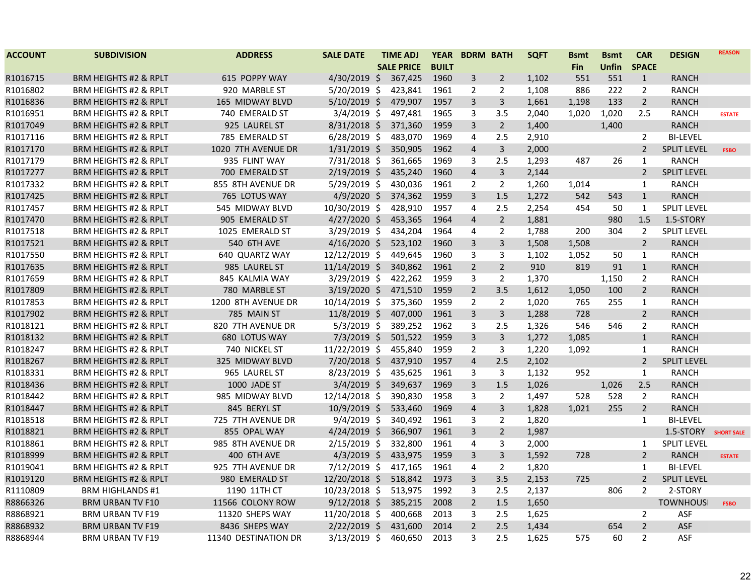| <b>ACCOUNT</b> | <b>SUBDIVISION</b>               | <b>ADDRESS</b>       | <b>SALE DATE</b> | <b>TIME ADJ</b>   | <b>YEAR</b>  |                | <b>BDRM BATH</b> | <b>SQFT</b> | <b>Bsmt</b> | <b>Bsmt</b> | <b>CAR</b>     | <b>DESIGN</b>      | <b>REASON</b>     |
|----------------|----------------------------------|----------------------|------------------|-------------------|--------------|----------------|------------------|-------------|-------------|-------------|----------------|--------------------|-------------------|
|                |                                  |                      |                  | <b>SALE PRICE</b> | <b>BUILT</b> |                |                  |             | <b>Fin</b>  | Unfin       | <b>SPACE</b>   |                    |                   |
| R1016715       | <b>BRM HEIGHTS #2 &amp; RPLT</b> | 615 POPPY WAY        | $4/30/2019$ \$   | 367,425           | 1960         | 3              | $\overline{2}$   | 1,102       | 551         | 551         | $\mathbf{1}$   | <b>RANCH</b>       |                   |
| R1016802       | <b>BRM HEIGHTS #2 &amp; RPLT</b> | 920 MARBLE ST        | $5/20/2019$ \$   | 423,841           | 1961         | $\overline{2}$ | $\overline{2}$   | 1,108       | 886         | 222         | $\overline{2}$ | <b>RANCH</b>       |                   |
| R1016836       | <b>BRM HEIGHTS #2 &amp; RPLT</b> | 165 MIDWAY BLVD      | $5/10/2019$ \$   | 479,907           | 1957         | 3              | $\mathbf{3}$     | 1,661       | 1,198       | 133         | $\overline{2}$ | <b>RANCH</b>       |                   |
| R1016951       | BRM HEIGHTS #2 & RPLT            | 740 EMERALD ST       | $3/4/2019$ \$    | 497,481           | 1965         | 3              | 3.5              | 2,040       | 1,020       | 1,020       | 2.5            | <b>RANCH</b>       | <b>ESTATE</b>     |
| R1017049       | <b>BRM HEIGHTS #2 &amp; RPLT</b> | 925 LAUREL ST        | $8/31/2018$ \$   | 371,360           | 1959         | $\overline{3}$ | $\overline{2}$   | 1,400       |             | 1,400       |                | <b>RANCH</b>       |                   |
| R1017116       | <b>BRM HEIGHTS #2 &amp; RPLT</b> | 785 EMERALD ST       | $6/28/2019$ \$   | 483,070           | 1969         | 4              | 2.5              | 2,910       |             |             | $\overline{2}$ | <b>BI-LEVEL</b>    |                   |
| R1017170       | <b>BRM HEIGHTS #2 &amp; RPLT</b> | 1020 7TH AVENUE DR   | $1/31/2019$ \$   | 350,905           | 1962         | 4              | $\mathbf{3}$     | 2,000       |             |             | $\overline{2}$ | <b>SPLIT LEVEL</b> | <b>FSBO</b>       |
| R1017179       | <b>BRM HEIGHTS #2 &amp; RPLT</b> | 935 FLINT WAY        | 7/31/2018 \$     | 361,665           | 1969         | 3              | 2.5              | 1,293       | 487         | 26          | $\mathbf{1}$   | <b>RANCH</b>       |                   |
| R1017277       | <b>BRM HEIGHTS #2 &amp; RPLT</b> | 700 EMERALD ST       | $2/19/2019$ \$   | 435,240           | 1960         | $\overline{a}$ | 3                | 2,144       |             |             | $\overline{2}$ | <b>SPLIT LEVEL</b> |                   |
| R1017332       | <b>BRM HEIGHTS #2 &amp; RPLT</b> | 855 8TH AVENUE DR    | $5/29/2019$ \$   | 430,036           | 1961         | $\overline{2}$ | $\overline{2}$   | 1,260       | 1,014       |             | $\mathbf{1}$   | <b>RANCH</b>       |                   |
| R1017425       | <b>BRM HEIGHTS #2 &amp; RPLT</b> | 765 LOTUS WAY        | $4/9/2020$ \$    | 374,362           | 1959         | 3              | 1.5              | 1,272       | 542         | 543         | $\mathbf{1}$   | <b>RANCH</b>       |                   |
| R1017457       | <b>BRM HEIGHTS #2 &amp; RPLT</b> | 545 MIDWAY BLVD      | 10/30/2019 \$    | 428,910           | 1957         | 4              | 2.5              | 2,254       | 454         | 50          | $\mathbf{1}$   | <b>SPLIT LEVEL</b> |                   |
| R1017470       | <b>BRM HEIGHTS #2 &amp; RPLT</b> | 905 EMERALD ST       | $4/27/2020$ \$   | 453,365           | 1964         | $\overline{4}$ | $2^{\circ}$      | 1,881       |             | 980         | 1.5            | 1.5-STORY          |                   |
| R1017518       | <b>BRM HEIGHTS #2 &amp; RPLT</b> | 1025 EMERALD ST      | $3/29/2019$ \$   | 434,204           | 1964         | 4              | 2                | 1,788       | 200         | 304         | $\overline{2}$ | <b>SPLIT LEVEL</b> |                   |
| R1017521       | <b>BRM HEIGHTS #2 &amp; RPLT</b> | 540 6TH AVE          | $4/16/2020$ \$   | 523,102           | 1960         | 3              | 3                | 1,508       | 1,508       |             | $\overline{2}$ | <b>RANCH</b>       |                   |
| R1017550       | BRM HEIGHTS #2 & RPLT            | 640 QUARTZ WAY       | 12/12/2019 \$    | 449,645           | 1960         | 3              | 3                | 1,102       | 1,052       | 50          | $\mathbf{1}$   | <b>RANCH</b>       |                   |
| R1017635       | <b>BRM HEIGHTS #2 &amp; RPLT</b> | 985 LAUREL ST        | $11/14/2019$ \$  | 340,862           | 1961         | $\overline{2}$ | $2^{\circ}$      | 910         | 819         | 91          | $\mathbf{1}$   | <b>RANCH</b>       |                   |
| R1017659       | <b>BRM HEIGHTS #2 &amp; RPLT</b> | 845 KALMIA WAY       | $3/29/2019$ \$   | 422,262           | 1959         | 3              | $\overline{2}$   | 1,370       |             | 1,150       | $\overline{2}$ | <b>RANCH</b>       |                   |
| R1017809       | <b>BRM HEIGHTS #2 &amp; RPLT</b> | 780 MARBLE ST        | $3/19/2020$ \$   | 471,510           | 1959         | $\overline{2}$ | 3.5              | 1,612       | 1,050       | 100         | $\overline{2}$ | <b>RANCH</b>       |                   |
| R1017853       | <b>BRM HEIGHTS #2 &amp; RPLT</b> | 1200 8TH AVENUE DR   | 10/14/2019 \$    | 375,360           | 1959         | 2              | 2                | 1,020       | 765         | 255         | $\mathbf{1}$   | <b>RANCH</b>       |                   |
| R1017902       | <b>BRM HEIGHTS #2 &amp; RPLT</b> | 785 MAIN ST          | $11/8/2019$ \$   | 407,000           | 1961         | 3              | $\mathbf{3}$     | 1,288       | 728         |             | $\overline{2}$ | <b>RANCH</b>       |                   |
| R1018121       | BRM HEIGHTS #2 & RPLT            | 820 7TH AVENUE DR    | $5/3/2019$ \$    | 389,252           | 1962         | 3              | 2.5              | 1,326       | 546         | 546         | $\overline{2}$ | <b>RANCH</b>       |                   |
| R1018132       | <b>BRM HEIGHTS #2 &amp; RPLT</b> | 680 LOTUS WAY        | $7/3/2019$ \$    | 501,522           | 1959         | 3              | $\mathbf{3}$     | 1,272       | 1,085       |             | $\mathbf{1}$   | <b>RANCH</b>       |                   |
| R1018247       | <b>BRM HEIGHTS #2 &amp; RPLT</b> | 740 NICKEL ST        | 11/22/2019 \$    | 455,840           | 1959         | $\overline{2}$ | 3                | 1,220       | 1,092       |             | $\mathbf{1}$   | <b>RANCH</b>       |                   |
| R1018267       | <b>BRM HEIGHTS #2 &amp; RPLT</b> | 325 MIDWAY BLVD      | 7/20/2018 \$     | 437,910           | 1957         | 4              | 2.5              | 2,102       |             |             | $\overline{2}$ | <b>SPLIT LEVEL</b> |                   |
| R1018331       | <b>BRM HEIGHTS #2 &amp; RPLT</b> | 965 LAUREL ST        | 8/23/2019 \$     | 435,625           | 1961         | 3              | 3                | 1,132       | 952         |             | $\mathbf{1}$   | <b>RANCH</b>       |                   |
| R1018436       | <b>BRM HEIGHTS #2 &amp; RPLT</b> | 1000 JADE ST         | $3/4/2019$ \$    | 349,637           | 1969         | 3              | 1.5              | 1,026       |             | 1,026       | 2.5            | <b>RANCH</b>       |                   |
| R1018442       | <b>BRM HEIGHTS #2 &amp; RPLT</b> | 985 MIDWAY BLVD      | 12/14/2018 \$    | 390,830           | 1958         | 3              | $\overline{2}$   | 1,497       | 528         | 528         | $\overline{2}$ | <b>RANCH</b>       |                   |
| R1018447       | <b>BRM HEIGHTS #2 &amp; RPLT</b> | 845 BERYL ST         | 10/9/2019 \$     | 533,460           | 1969         | $\overline{4}$ | $\mathsf{3}$     | 1,828       | 1,021       | 255         | $\overline{2}$ | <b>RANCH</b>       |                   |
| R1018518       | <b>BRM HEIGHTS #2 &amp; RPLT</b> | 725 7TH AVENUE DR    | $9/4/2019$ \$    | 340,492           | 1961         | 3              | $\overline{2}$   | 1,820       |             |             | $\mathbf{1}$   | <b>BI-LEVEL</b>    |                   |
| R1018821       | <b>BRM HEIGHTS #2 &amp; RPLT</b> | 855 OPAL WAY         | $4/24/2019$ \$   | 366,907           | 1961         | $\overline{3}$ | $2^{\circ}$      | 1,987       |             |             |                | 1.5-STORY          | <b>SHORT SALE</b> |
| R1018861       | <b>BRM HEIGHTS #2 &amp; RPLT</b> | 985 8TH AVENUE DR    | $2/15/2019$ \$   | 332,800           | 1961         | 4              | 3                | 2,000       |             |             | 1              | <b>SPLIT LEVEL</b> |                   |
| R1018999       | <b>BRM HEIGHTS #2 &amp; RPLT</b> | 400 6TH AVE          | $4/3/2019$ \$    | 433,975           | 1959         | 3              | 3                | 1,592       | 728         |             | $\overline{2}$ | <b>RANCH</b>       | <b>ESTATE</b>     |
| R1019041       | BRM HEIGHTS #2 & RPLT            | 925 7TH AVENUE DR    | $7/12/2019$ \$   | 417,165           | 1961         | 4              | 2                | 1,820       |             |             | $\mathbf{1}$   | <b>BI-LEVEL</b>    |                   |
| R1019120       | <b>BRM HEIGHTS #2 &amp; RPLT</b> | 980 EMERALD ST       | 12/20/2018 \$    | 518,842           | 1973         | 3              | 3.5              | 2,153       | 725         |             | $\overline{2}$ | <b>SPLIT LEVEL</b> |                   |
| R1110809       | <b>BRM HIGHLANDS #1</b>          | 1190 11TH CT         | 10/23/2018 \$    | 513,975           | 1992         | 3              | 2.5              | 2,137       |             | 806         | $\overline{2}$ | 2-STORY            |                   |
| R8866326       | <b>BRM URBAN TV F10</b>          | 11566 COLONY ROW     | $9/12/2018$ \$   | 385,215           | 2008         | $\overline{2}$ | $1.5\,$          | 1,650       |             |             |                | <b>TOWNHOUSI</b>   | <b>FSBO</b>       |
| R8868921       | <b>BRM URBAN TV F19</b>          | 11320 SHEPS WAY      | 11/20/2018 \$    | 400,668           | 2013         | 3              | 2.5              | 1,625       |             |             | $\overline{2}$ | <b>ASF</b>         |                   |
| R8868932       | <b>BRM URBAN TV F19</b>          | 8436 SHEPS WAY       | $2/22/2019$ \$   | 431,600           | 2014         | $\overline{2}$ | 2.5              | 1,434       |             | 654         | $\overline{2}$ | ASF                |                   |
| R8868944       | <b>BRM URBAN TV F19</b>          | 11340 DESTINATION DR | $3/13/2019$ \$   | 460,650           | 2013         | 3              | 2.5              | 1,625       | 575         | 60          | $\overline{2}$ | <b>ASF</b>         |                   |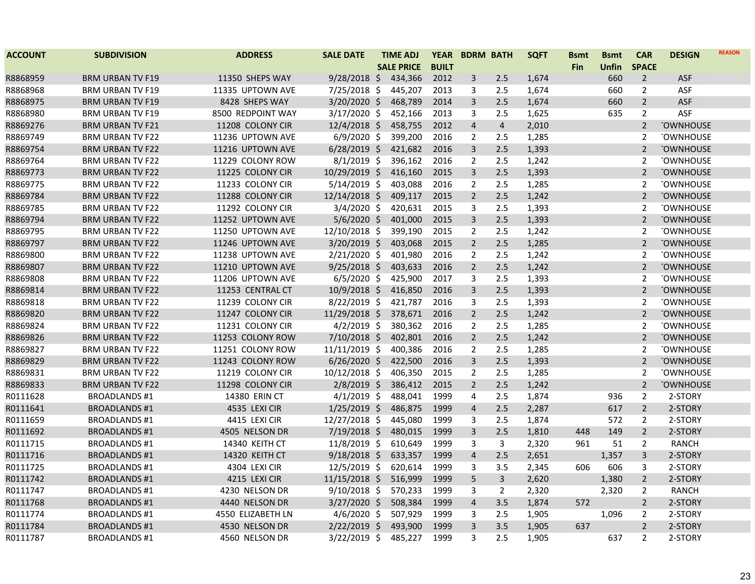| <b>ACCOUNT</b> | <b>SUBDIVISION</b>      | <b>ADDRESS</b>    | <b>SALE DATE</b> | <b>TIME ADJ</b>   | <b>YEAR</b>  | <b>BDRM BATH</b> |                | <b>SQFT</b> | <b>Bsmt</b> | <b>Bsmt</b>  | <b>CAR</b>     | <b>DESIGN</b>    | <b>REASON</b> |
|----------------|-------------------------|-------------------|------------------|-------------------|--------------|------------------|----------------|-------------|-------------|--------------|----------------|------------------|---------------|
|                |                         |                   |                  | <b>SALE PRICE</b> | <b>BUILT</b> |                  |                |             | <b>Fin</b>  | <b>Unfin</b> | <b>SPACE</b>   |                  |               |
| R8868959       | <b>BRM URBAN TV F19</b> | 11350 SHEPS WAY   | $9/28/2018$ \$   | 434,366           | 2012         | 3                | 2.5            | 1,674       |             | 660          | $\overline{2}$ | <b>ASF</b>       |               |
| R8868968       | <b>BRM URBAN TV F19</b> | 11335 UPTOWN AVE  | 7/25/2018 \$     | 445,207           | 2013         | 3                | 2.5            | 1,674       |             | 660          | $\overline{2}$ | ASF              |               |
| R8868975       | <b>BRM URBAN TV F19</b> | 8428 SHEPS WAY    | $3/20/2020$ \$   | 468,789           | 2014         | 3                | 2.5            | 1,674       |             | 660          | $\overline{2}$ | ASF              |               |
| R8868980       | <b>BRM URBAN TV F19</b> | 8500 REDPOINT WAY | $3/17/2020$ \$   | 452,166           | 2013         | 3                | 2.5            | 1,625       |             | 635          | $\overline{2}$ | ASF              |               |
| R8869276       | <b>BRM URBAN TV F21</b> | 11208 COLONY CIR  | $12/4/2018$ \$   | 458,755           | 2012         | $\overline{4}$   | $\overline{4}$ | 2,010       |             |              | $\overline{2}$ | <b>TOWNHOUSE</b> |               |
| R8869749       | <b>BRM URBAN TV F22</b> | 11236 UPTOWN AVE  | $6/9/2020$ \$    | 399,200           | 2016         | $\overline{2}$   | 2.5            | 1,285       |             |              | 2              | <b>TOWNHOUSE</b> |               |
| R8869754       | BRM URBAN TV F22        | 11216 UPTOWN AVE  | $6/28/2019$ \$   | 421,682           | 2016         | 3                | 2.5            | 1,393       |             |              | $\overline{2}$ | <b>TOWNHOUSE</b> |               |
| R8869764       | <b>BRM URBAN TV F22</b> | 11229 COLONY ROW  | $8/1/2019$ \$    | 396,162           | 2016         | $\overline{2}$   | 2.5            | 1,242       |             |              | $\overline{2}$ | <b>TOWNHOUSE</b> |               |
| R8869773       | <b>BRM URBAN TV F22</b> | 11225 COLONY CIR  | 10/29/2019 \$    | 416,160           | 2015         | $\overline{3}$   | 2.5            | 1,393       |             |              | 2              | <b>TOWNHOUSE</b> |               |
| R8869775       | <b>BRM URBAN TV F22</b> | 11233 COLONY CIR  | $5/14/2019$ \$   | 403,088           | 2016         | $\overline{2}$   | 2.5            | 1,285       |             |              | $\overline{2}$ | <b>TOWNHOUSE</b> |               |
| R8869784       | BRM URBAN TV F22        | 11288 COLONY CIR  | $12/14/2018$ \$  | 409,117           | 2015         | $\overline{2}$   | 2.5            | 1,242       |             |              | 2              | <b>TOWNHOUSE</b> |               |
| R8869785       | <b>BRM URBAN TV F22</b> | 11292 COLONY CIR  | $3/4/2020$ \$    | 420,631           | 2015         | 3                | 2.5            | 1,393       |             |              | $\overline{2}$ | <b>TOWNHOUSE</b> |               |
| R8869794       | <b>BRM URBAN TV F22</b> | 11252 UPTOWN AVE  | $5/6/2020$ \$    | 401,000           | 2015         | 3                | 2.5            | 1,393       |             |              | $\overline{2}$ | <b>TOWNHOUSE</b> |               |
| R8869795       | <b>BRM URBAN TV F22</b> | 11250 UPTOWN AVE  | 12/10/2018 \$    | 399,190           | 2015         | $\overline{2}$   | 2.5            | 1,242       |             |              | 2              | <b>TOWNHOUSE</b> |               |
| R8869797       | <b>BRM URBAN TV F22</b> | 11246 UPTOWN AVE  | 3/20/2019 \$     | 403,068           | 2015         | $\overline{2}$   | 2.5            | 1,285       |             |              | $\overline{2}$ | <b>TOWNHOUSE</b> |               |
| R8869800       | <b>BRM URBAN TV F22</b> | 11238 UPTOWN AVE  | 2/21/2020 \$     | 401,980           | 2016         | $\overline{2}$   | 2.5            | 1,242       |             |              | 2              | <b>TOWNHOUSE</b> |               |
| R8869807       | <b>BRM URBAN TV F22</b> | 11210 UPTOWN AVE  | $9/25/2018$ \$   | 403,633           | 2016         | $\overline{2}$   | 2.5            | 1,242       |             |              | $\overline{2}$ | <b>TOWNHOUSE</b> |               |
| R8869808       | <b>BRM URBAN TV F22</b> | 11206 UPTOWN AVE  | $6/5/2020$ \$    | 425,900           | 2017         | 3                | 2.5            | 1,393       |             |              | 2              | <b>TOWNHOUSE</b> |               |
| R8869814       | <b>BRM URBAN TV F22</b> | 11253 CENTRAL CT  | 10/9/2018 \$     | 416,850           | 2016         | 3                | 2.5            | 1,393       |             |              | $\overline{2}$ | <b>TOWNHOUSE</b> |               |
| R8869818       | <b>BRM URBAN TV F22</b> | 11239 COLONY CIR  | 8/22/2019 \$     | 421,787           | 2016         | 3                | 2.5            | 1,393       |             |              | $\overline{2}$ | <b>TOWNHOUSE</b> |               |
| R8869820       | <b>BRM URBAN TV F22</b> | 11247 COLONY CIR  | 11/29/2018 \$    | 378,671           | 2016         | $\overline{2}$   | 2.5            | 1,242       |             |              | $\overline{2}$ | <b>TOWNHOUSE</b> |               |
| R8869824       | <b>BRM URBAN TV F22</b> | 11231 COLONY CIR  | $4/2/2019$ \$    | 380,362           | 2016         | $\overline{2}$   | 2.5            | 1,285       |             |              | $\overline{2}$ | <b>TOWNHOUSE</b> |               |
| R8869826       | <b>BRM URBAN TV F22</b> | 11253 COLONY ROW  | 7/10/2018 \$     | 402,801           | 2016         | $\overline{2}$   | 2.5            | 1,242       |             |              | $\overline{2}$ | <b>TOWNHOUSE</b> |               |
| R8869827       | <b>BRM URBAN TV F22</b> | 11251 COLONY ROW  | 11/11/2019 \$    | 400,386           | 2016         | $\overline{2}$   | 2.5            | 1,285       |             |              | 2              | <b>TOWNHOUSE</b> |               |
| R8869829       | <b>BRM URBAN TV F22</b> | 11243 COLONY ROW  | $6/26/2020$ \$   | 422,500           | 2016         | 3                | 2.5            | 1,393       |             |              | $\overline{2}$ | <b>TOWNHOUSE</b> |               |
| R8869831       | <b>BRM URBAN TV F22</b> | 11219 COLONY CIR  | 10/12/2018 \$    | 406,350           | 2015         | $\overline{2}$   | 2.5            | 1,285       |             |              | $\overline{2}$ | <b>TOWNHOUSE</b> |               |
| R8869833       | <b>BRM URBAN TV F22</b> | 11298 COLONY CIR  | $2/8/2019$ \$    | 386,412           | 2015         | $\overline{2}$   | 2.5            | 1,242       |             |              | $\overline{2}$ | <b>TOWNHOUSE</b> |               |
| R0111628       | <b>BROADLANDS #1</b>    | 14380 ERIN CT     | $4/1/2019$ \$    | 488,041           | 1999         | 4                | 2.5            | 1,874       |             | 936          | $\overline{2}$ | 2-STORY          |               |
| R0111641       | <b>BROADLANDS #1</b>    | 4535 LEXI CIR     | $1/25/2019$ \$   | 486,875           | 1999         | $\overline{4}$   | 2.5            | 2,287       |             | 617          | $\overline{2}$ | 2-STORY          |               |
| R0111659       | <b>BROADLANDS #1</b>    | 4415 LEXI CIR     | 12/27/2018 \$    | 445,080           | 1999         | 3                | 2.5            | 1,874       |             | 572          | $\overline{2}$ | 2-STORY          |               |
| R0111692       | <b>BROADLANDS #1</b>    | 4505 NELSON DR    | 7/19/2018 \$     | 480,015           | 1999         | $\overline{3}$   | 2.5            | 1,810       | 448         | 149          | $\overline{2}$ | 2-STORY          |               |
| R0111715       | <b>BROADLANDS #1</b>    | 14340 KEITH CT    | 11/8/2019 \$     | 610,649           | 1999         | 3                | $\mathbf{3}$   | 2,320       | 961         | 51           | $\overline{2}$ | <b>RANCH</b>     |               |
| R0111716       | <b>BROADLANDS #1</b>    | 14320 KEITH CT    | $9/18/2018$ \$   | 633,357           | 1999         | 4                | 2.5            | 2,651       |             | 1,357        | 3              | 2-STORY          |               |
| R0111725       | BROADLANDS #1           | 4304 LEXI CIR     | 12/5/2019 \$     | 620,614           | 1999         | 3                | 3.5            | 2,345       | 606         | 606          | 3              | 2-STORY          |               |
| R0111742       | <b>BROADLANDS #1</b>    | 4215 LEXI CIR     | 11/15/2018 \$    | 516,999           | 1999         | 5                | $\overline{3}$ | 2,620       |             | 1,380        | $\overline{2}$ | 2-STORY          |               |
| R0111747       | <b>BROADLANDS #1</b>    | 4230 NELSON DR    | $9/10/2018$ \$   | 570,233           | 1999         | 3                | $\overline{2}$ | 2,320       |             | 2,320        | $\overline{2}$ | <b>RANCH</b>     |               |
| R0111768       | <b>BROADLANDS #1</b>    | 4440 NELSON DR    | $3/27/2020$ \$   | 508,384           | 1999         | $\overline{a}$   | 3.5            | 1,874       | 572         |              | $2^{\circ}$    | 2-STORY          |               |
| R0111774       | BROADLANDS #1           | 4550 ELIZABETH LN | $4/6/2020$ \$    | 507,929           | 1999         | 3                | 2.5            | 1,905       |             | 1,096        | 2              | 2-STORY          |               |
| R0111784       | <b>BROADLANDS #1</b>    | 4530 NELSON DR    | $2/22/2019$ \$   | 493,900           | 1999         | 3                | 3.5            | 1,905       | 637         |              | $\overline{2}$ | 2-STORY          |               |
| R0111787       | <b>BROADLANDS #1</b>    | 4560 NELSON DR    | $3/22/2019$ \$   | 485,227           | 1999         | 3                | 2.5            | 1,905       |             | 637          | $\overline{2}$ | 2-STORY          |               |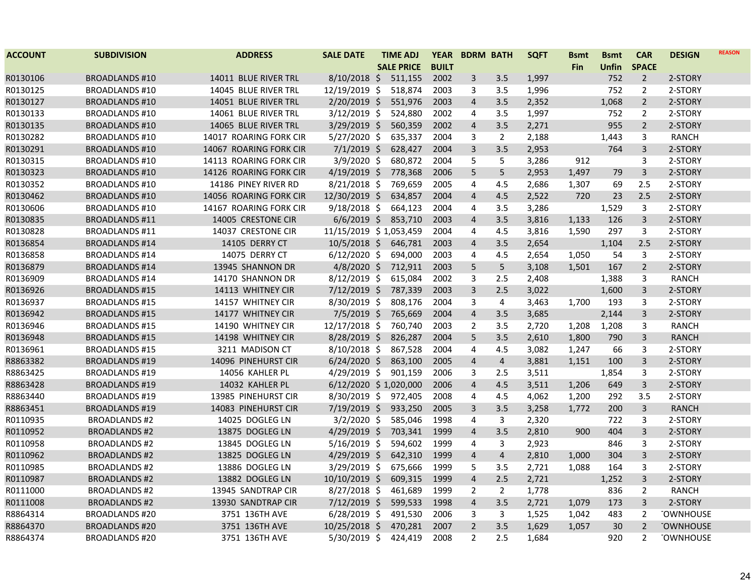| <b>ACCOUNT</b> | <b>SUBDIVISION</b>    | <b>ADDRESS</b>         | <b>SALE DATE</b>       | <b>TIME ADJ</b>   | <b>YEAR</b>  |                | <b>BDRM BATH</b> | <b>SQFT</b> | <b>Bsmt</b> | <b>Bsmt</b> | <b>CAR</b>     | <b>DESIGN</b>    | <b>REASON</b> |
|----------------|-----------------------|------------------------|------------------------|-------------------|--------------|----------------|------------------|-------------|-------------|-------------|----------------|------------------|---------------|
|                |                       |                        |                        | <b>SALE PRICE</b> | <b>BUILT</b> |                |                  |             | Fin         | Unfin       | <b>SPACE</b>   |                  |               |
| R0130106       | <b>BROADLANDS #10</b> | 14011 BLUE RIVER TRL   | $8/10/2018$ \$         | 511,155           | 2002         | 3              | 3.5              | 1,997       |             | 752         | $\overline{2}$ | 2-STORY          |               |
| R0130125       | <b>BROADLANDS #10</b> | 14045 BLUE RIVER TRL   | 12/19/2019 \$          | 518,874           | 2003         | 3              | 3.5              | 1,996       |             | 752         | $\overline{2}$ | 2-STORY          |               |
| R0130127       | <b>BROADLANDS #10</b> | 14051 BLUE RIVER TRL   | 2/20/2019 \$           | 551,976           | 2003         | $\overline{4}$ | 3.5              | 2,352       |             | 1,068       | $\overline{2}$ | 2-STORY          |               |
| R0130133       | <b>BROADLANDS #10</b> | 14061 BLUE RIVER TRL   | $3/12/2019$ \$         | 524,880           | 2002         | 4              | 3.5              | 1,997       |             | 752         | $\overline{2}$ | 2-STORY          |               |
| R0130135       | <b>BROADLANDS #10</b> | 14065 BLUE RIVER TRL   | 3/29/2019 \$           | 560,359           | 2002         | $\overline{4}$ | 3.5              | 2,271       |             | 955         | $\overline{2}$ | 2-STORY          |               |
| R0130282       | <b>BROADLANDS #10</b> | 14017 ROARING FORK CIR | $5/27/2020$ \$         | 635,337           | 2004         | 3              | $\overline{2}$   | 2,188       |             | 1,443       | 3              | RANCH            |               |
| R0130291       | <b>BROADLANDS #10</b> | 14067 ROARING FORK CIR | $7/1/2019$ \$          | 628,427           | 2004         | $\overline{3}$ | 3.5              | 2,953       |             | 764         | 3              | 2-STORY          |               |
| R0130315       | <b>BROADLANDS #10</b> | 14113 ROARING FORK CIR | $3/9/2020$ \$          | 680,872           | 2004         | 5              | 5                | 3,286       | 912         |             | 3              | 2-STORY          |               |
| R0130323       | <b>BROADLANDS #10</b> | 14126 ROARING FORK CIR | $4/19/2019$ \$         | 778,368           | 2006         | 5              | 5                | 2,953       | 1,497       | 79          | 3              | 2-STORY          |               |
| R0130352       | <b>BROADLANDS #10</b> | 14186 PINEY RIVER RD   | $8/21/2018$ \$         | 769,659           | 2005         | 4              | 4.5              | 2,686       | 1,307       | 69          | 2.5            | 2-STORY          |               |
| R0130462       | <b>BROADLANDS #10</b> | 14056 ROARING FORK CIR | 12/30/2019 \$          | 634,857           | 2004         | $\overline{4}$ | 4.5              | 2,522       | 720         | 23          | 2.5            | 2-STORY          |               |
| R0130606       | <b>BROADLANDS #10</b> | 14167 ROARING FORK CIR | $9/18/2018$ \$         | 664,123           | 2004         | 4              | 3.5              | 3,286       |             | 1,529       | 3              | 2-STORY          |               |
| R0130835       | <b>BROADLANDS #11</b> | 14005 CRESTONE CIR     | $6/6/2019$ \$          | 853,710           | 2003         | $\overline{4}$ | 3.5              | 3,816       | 1,133       | 126         | 3              | 2-STORY          |               |
| R0130828       | <b>BROADLANDS #11</b> | 14037 CRESTONE CIR     | 11/15/2019 \$1,053,459 |                   | 2004         | $\overline{4}$ | 4.5              | 3,816       | 1,590       | 297         | 3              | 2-STORY          |               |
| R0136854       | <b>BROADLANDS #14</b> | <b>14105 DERRY CT</b>  | $10/5/2018$ \$         | 646,781           | 2003         | $\overline{4}$ | 3.5              | 2,654       |             | 1,104       | 2.5            | 2-STORY          |               |
| R0136858       | <b>BROADLANDS #14</b> | <b>14075 DERRY CT</b>  | $6/12/2020$ \$         | 694,000           | 2003         | $\overline{4}$ | 4.5              | 2,654       | 1,050       | 54          | 3              | 2-STORY          |               |
| R0136879       | <b>BROADLANDS #14</b> | 13945 SHANNON DR       | $4/8/2020$ \$          | 712,911           | 2003         | 5              | 5                | 3,108       | 1,501       | 167         | $\overline{2}$ | 2-STORY          |               |
| R0136909       | <b>BROADLANDS #14</b> | 14170 SHANNON DR       | 8/12/2019 \$           | 615,084           | 2002         | 3              | 2.5              | 2,408       |             | 1,388       | 3              | <b>RANCH</b>     |               |
| R0136926       | <b>BROADLANDS #15</b> | 14113 WHITNEY CIR      | 7/12/2019 \$           | 787,339           | 2003         | 3              | 2.5              | 3,022       |             | 1,600       | 3              | 2-STORY          |               |
| R0136937       | <b>BROADLANDS #15</b> | 14157 WHITNEY CIR      | $8/30/2019$ \$         | 808,176           | 2004         | 3              | 4                | 3,463       | 1,700       | 193         | 3              | 2-STORY          |               |
| R0136942       | <b>BROADLANDS #15</b> | 14177 WHITNEY CIR      | $7/5/2019$ \$          | 765,669           | 2004         | $\overline{4}$ | 3.5              | 3,685       |             | 2,144       | $\overline{3}$ | 2-STORY          |               |
| R0136946       | <b>BROADLANDS #15</b> | 14190 WHITNEY CIR      | 12/17/2018 \$          | 760,740           | 2003         | $\overline{2}$ | 3.5              | 2,720       | 1,208       | 1,208       | 3              | <b>RANCH</b>     |               |
| R0136948       | <b>BROADLANDS #15</b> | 14198 WHITNEY CIR      | 8/28/2019 \$           | 826,287           | 2004         | 5              | 3.5              | 2,610       | 1,800       | 790         | 3              | <b>RANCH</b>     |               |
| R0136961       | <b>BROADLANDS #15</b> | 3211 MADISON CT        | 8/10/2018 \$           | 867,528           | 2004         | $\overline{4}$ | 4.5              | 3,082       | 1,247       | 66          | 3              | 2-STORY          |               |
| R8863382       | <b>BROADLANDS #19</b> | 14096 PINEHURST CIR    | $6/24/2020$ \$         | 863,100           | 2005         | $\overline{4}$ | $\overline{4}$   | 3,881       | 1,151       | 100         | $\overline{3}$ | 2-STORY          |               |
| R8863425       | <b>BROADLANDS #19</b> | 14056 KAHLER PL        | $4/29/2019$ \$         | 901,159           | 2006         | 3              | 2.5              | 3,511       |             | 1,854       | 3              | 2-STORY          |               |
| R8863428       | <b>BROADLANDS #19</b> | 14032 KAHLER PL        | 6/12/2020 \$1,020,000  |                   | 2006         | $\overline{4}$ | 4.5              | 3,511       | 1,206       | 649         | $\overline{3}$ | 2-STORY          |               |
| R8863440       | <b>BROADLANDS #19</b> | 13985 PINEHURST CIR    | $8/30/2019$ \$         | 972,405           | 2008         | 4              | 4.5              | 4,062       | 1,200       | 292         | 3.5            | 2-STORY          |               |
| R8863451       | <b>BROADLANDS #19</b> | 14083 PINEHURST CIR    | 7/19/2019 \$           | 933,250           | 2005         | 3              | 3.5              | 3,258       | 1,772       | 200         | 3              | <b>RANCH</b>     |               |
| R0110935       | <b>BROADLANDS #2</b>  | 14025 DOGLEG LN        | $3/2/2020$ \$          | 585,046           | 1998         | 4              | 3                | 2,320       |             | 722         | 3              | 2-STORY          |               |
| R0110952       | <b>BROADLANDS #2</b>  | 13875 DOGLEG LN        | 4/29/2019 \$           | 703,341           | 1999         | $\overline{4}$ | 3.5              | 2,810       | 900         | 404         | 3              | 2-STORY          |               |
| R0110958       | <b>BROADLANDS #2</b>  | 13845 DOGLEG LN        | $5/16/2019$ \$         | 594,602           | 1999         | 4              | 3                | 2,923       |             | 846         | 3              | 2-STORY          |               |
| R0110962       | <b>BROADLANDS #2</b>  | 13825 DOGLEG LN        | $4/29/2019$ \$         | 642,310           | 1999         | $\overline{4}$ | $\overline{4}$   | 2,810       | 1,000       | 304         | 3              | 2-STORY          |               |
| R0110985       | <b>BROADLANDS #2</b>  | 13886 DOGLEG LN        | 3/29/2019 \$           | 675,666           | 1999         | 5              | 3.5              | 2,721       | 1,088       | 164         | 3              | 2-STORY          |               |
| R0110987       | <b>BROADLANDS #2</b>  | 13882 DOGLEG LN        | 10/10/2019 \$          | 609,315           | 1999         | $\overline{4}$ | 2.5              | 2,721       |             | 1,252       | $\overline{3}$ | 2-STORY          |               |
| R0111000       | <b>BROADLANDS #2</b>  | 13945 SANDTRAP CIR     | $8/27/2018$ \$         | 461,689           | 1999         | $\overline{2}$ | $\overline{2}$   | 1,778       |             | 836         | $\overline{2}$ | <b>RANCH</b>     |               |
| R0111008       | <b>BROADLANDS #2</b>  | 13930 SANDTRAP CIR     | 7/12/2019 \$           | 599,533           | 1998         | $\overline{4}$ | 3.5              | 2,721       | 1,079       | 173         | 3              | 2-STORY          |               |
| R8864314       | <b>BROADLANDS #20</b> | 3751 136TH AVE         | $6/28/2019$ \$         | 491,530           | 2006         | 3              | 3                | 1,525       | 1,042       | 483         | 2              | <b>TOWNHOUSE</b> |               |
| R8864370       | <b>BROADLANDS #20</b> | 3751 136TH AVE         | $10/25/2018$ \$        | 470,281           | 2007         | $\overline{2}$ | 3.5              | 1,629       | 1,057       | 30          | $\overline{2}$ | <b>TOWNHOUSE</b> |               |
| R8864374       | <b>BROADLANDS #20</b> | 3751 136TH AVE         | $5/30/2019$ \$         | 424,419           | 2008         | $\overline{2}$ | 2.5              | 1,684       |             | 920         | 2              | <b>TOWNHOUSE</b> |               |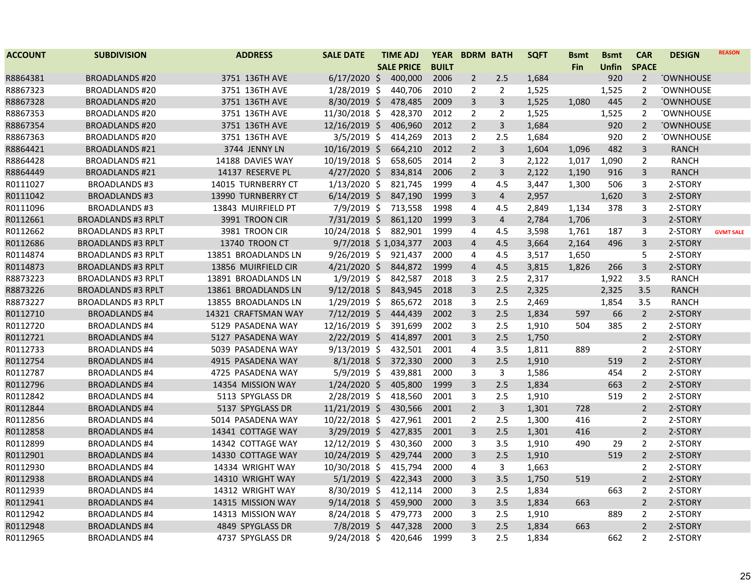| <b>ACCOUNT</b> | <b>SUBDIVISION</b>        | <b>ADDRESS</b>      | <b>SALE DATE</b>     | <b>TIME ADJ</b>   | <b>YEAR</b>  |                | <b>BDRM BATH</b> | <b>SQFT</b> | <b>Bsmt</b> | <b>Bsmt</b>  | <b>CAR</b>     | <b>DESIGN</b>    | <b>REASON</b>    |
|----------------|---------------------------|---------------------|----------------------|-------------------|--------------|----------------|------------------|-------------|-------------|--------------|----------------|------------------|------------------|
|                |                           |                     |                      | <b>SALE PRICE</b> | <b>BUILT</b> |                |                  |             | Fin         | <b>Unfin</b> | <b>SPACE</b>   |                  |                  |
| R8864381       | <b>BROADLANDS #20</b>     | 3751 136TH AVE      | $6/17/2020$ \$       | 400,000           | 2006         | $\overline{2}$ | 2.5              | 1,684       |             | 920          | $\overline{2}$ | <b>TOWNHOUSE</b> |                  |
| R8867323       | <b>BROADLANDS #20</b>     | 3751 136TH AVE      | $1/28/2019$ \$       | 440,706           | 2010         | $\overline{2}$ | $\overline{2}$   | 1,525       |             | 1,525        | 2              | <b>TOWNHOUSE</b> |                  |
| R8867328       | <b>BROADLANDS #20</b>     | 3751 136TH AVE      | 8/30/2019 \$         | 478,485           | 2009         | 3              | $\overline{3}$   | 1,525       | 1,080       | 445          | $\overline{2}$ | <b>TOWNHOUSE</b> |                  |
| R8867353       | <b>BROADLANDS #20</b>     | 3751 136TH AVE      | 11/30/2018 \$        | 428,370           | 2012         | $\overline{2}$ | $\overline{2}$   | 1,525       |             | 1,525        | $\overline{2}$ | <b>TOWNHOUSE</b> |                  |
| R8867354       | <b>BROADLANDS #20</b>     | 3751 136TH AVE      | 12/16/2019 \$        | 406,960           | 2012         | $\overline{2}$ | $\mathsf{3}$     | 1,684       |             | 920          | $\overline{2}$ | <b>TOWNHOUSE</b> |                  |
| R8867363       | <b>BROADLANDS #20</b>     | 3751 136TH AVE      | $3/5/2019$ \$        | 414,269           | 2013         | $\overline{2}$ | 2.5              | 1,684       |             | 920          | $\overline{2}$ | <b>TOWNHOUSE</b> |                  |
| R8864421       | <b>BROADLANDS #21</b>     | 3744 JENNY LN       | $10/16/2019$ \$      | 664,210           | 2012         | $\overline{2}$ | $\mathsf{3}$     | 1,604       | 1,096       | 482          | 3              | <b>RANCH</b>     |                  |
| R8864428       | <b>BROADLANDS #21</b>     | 14188 DAVIES WAY    | 10/19/2018 \$        | 658,605           | 2014         | $\overline{2}$ | 3                | 2,122       | 1,017       | 1,090        | $\overline{2}$ | <b>RANCH</b>     |                  |
| R8864449       | <b>BROADLANDS #21</b>     | 14137 RESERVE PL    | $4/27/2020$ \$       | 834,814           | 2006         | $\overline{2}$ | 3                | 2,122       | 1,190       | 916          | $\overline{3}$ | <b>RANCH</b>     |                  |
| R0111027       | <b>BROADLANDS #3</b>      | 14015 TURNBERRY CT  | $1/13/2020$ \$       | 821,745           | 1999         | 4              | 4.5              | 3,447       | 1,300       | 506          | 3              | 2-STORY          |                  |
| R0111042       | <b>BROADLANDS #3</b>      | 13990 TURNBERRY CT  | $6/14/2019$ \$       | 847,190           | 1999         | 3              | $\overline{4}$   | 2,957       |             | 1,620        | 3              | 2-STORY          |                  |
| R0111096       | <b>BROADLANDS #3</b>      | 13843 MUIRFIELD PT  | $7/9/2019$ \$        | 713,558           | 1998         | 4              | 4.5              | 2,849       | 1,134       | 378          | 3              | 2-STORY          |                  |
| R0112661       | <b>BROADLANDS #3 RPLT</b> | 3991 TROON CIR      | $7/31/2019$ \$       | 861,120           | 1999         | $\overline{3}$ | $\overline{4}$   | 2,784       | 1,706       |              | 3              | 2-STORY          |                  |
| R0112662       | <b>BROADLANDS #3 RPLT</b> | 3981 TROON CIR      | 10/24/2018 \$        | 882,901           | 1999         | 4              | 4.5              | 3,598       | 1,761       | 187          | 3              | 2-STORY          | <b>GVMT SALE</b> |
| R0112686       | <b>BROADLANDS #3 RPLT</b> | 13740 TROON CT      | 9/7/2018 \$1,034,377 |                   | 2003         | $\overline{4}$ | 4.5              | 3,664       | 2,164       | 496          | 3              | 2-STORY          |                  |
| R0114874       | <b>BROADLANDS #3 RPLT</b> | 13851 BROADLANDS LN | $9/26/2019$ \$       | 921,437           | 2000         | 4              | 4.5              | 3,517       | 1,650       |              | 5              | 2-STORY          |                  |
| R0114873       | <b>BROADLANDS #3 RPLT</b> | 13856 MUIRFIELD CIR | $4/21/2020$ \$       | 844,872           | 1999         | $\overline{4}$ | 4.5              | 3,815       | 1,826       | 266          | $\overline{3}$ | 2-STORY          |                  |
| R8873223       | <b>BROADLANDS #3 RPLT</b> | 13891 BROADLANDS LN | $1/9/2019$ \$        | 842,587           | 2018         | 3              | 2.5              | 2,317       |             | 1,922        | 3.5            | <b>RANCH</b>     |                  |
| R8873226       | <b>BROADLANDS #3 RPLT</b> | 13861 BROADLANDS LN | $9/12/2018$ \$       | 843,945           | 2018         | 3              | 2.5              | 2,325       |             | 2,325        | 3.5            | <b>RANCH</b>     |                  |
| R8873227       | <b>BROADLANDS #3 RPLT</b> | 13855 BROADLANDS LN | $1/29/2019$ \$       | 865,672           | 2018         | 3              | 2.5              | 2,469       |             | 1,854        | 3.5            | <b>RANCH</b>     |                  |
| R0112710       | <b>BROADLANDS #4</b>      | 14321 CRAFTSMAN WAY | 7/12/2019 \$         | 444,439           | 2002         | $\overline{3}$ | 2.5              | 1,834       | 597         | 66           | $\overline{2}$ | 2-STORY          |                  |
| R0112720       | <b>BROADLANDS #4</b>      | 5129 PASADENA WAY   | 12/16/2019 \$        | 391,699           | 2002         | 3              | 2.5              | 1,910       | 504         | 385          | $\overline{2}$ | 2-STORY          |                  |
| R0112721       | <b>BROADLANDS #4</b>      | 5127 PASADENA WAY   | 2/22/2019 \$         | 414,897           | 2001         | $\overline{3}$ | 2.5              | 1,750       |             |              | $\overline{2}$ | 2-STORY          |                  |
| R0112733       | <b>BROADLANDS #4</b>      | 5039 PASADENA WAY   | $9/13/2019$ \$       | 432,501           | 2001         | 4              | 3.5              | 1,811       | 889         |              | $\overline{2}$ | 2-STORY          |                  |
| R0112754       | <b>BROADLANDS #4</b>      | 4915 PASADENA WAY   | $8/1/2018$ \$        | 372,330           | 2000         | 3              | 2.5              | 1,910       |             | 519          | $\overline{2}$ | 2-STORY          |                  |
| R0112787       | <b>BROADLANDS #4</b>      | 4725 PASADENA WAY   | $5/9/2019$ \$        | 439,881           | 2000         | 3              | $\mathbf{3}$     | 1,586       |             | 454          | $\overline{2}$ | 2-STORY          |                  |
| R0112796       | <b>BROADLANDS #4</b>      | 14354 MISSION WAY   | 1/24/2020 \$         | 405,800           | 1999         | $\overline{3}$ | 2.5              | 1,834       |             | 663          | $\overline{2}$ | 2-STORY          |                  |
| R0112842       | <b>BROADLANDS #4</b>      | 5113 SPYGLASS DR    | 2/28/2019 \$         | 418,560           | 2001         | 3              | 2.5              | 1,910       |             | 519          | $\overline{2}$ | 2-STORY          |                  |
| R0112844       | <b>BROADLANDS #4</b>      | 5137 SPYGLASS DR    | $11/21/2019$ \$      | 430,566           | 2001         | $\overline{2}$ | $\mathsf{3}$     | 1,301       | 728         |              | $\overline{2}$ | 2-STORY          |                  |
| R0112856       | <b>BROADLANDS #4</b>      | 5014 PASADENA WAY   | $10/22/2018$ \$      | 427,961           | 2001         | $\overline{2}$ | 2.5              | 1,300       | 416         |              | $\overline{2}$ | 2-STORY          |                  |
| R0112858       | <b>BROADLANDS #4</b>      | 14341 COTTAGE WAY   | 3/29/2019 \$         | 427,835           | 2001         | 3              | 2.5              | 1,301       | 416         |              | $\overline{2}$ | 2-STORY          |                  |
| R0112899       | <b>BROADLANDS #4</b>      | 14342 COTTAGE WAY   | 12/12/2019 \$        | 430,360           | 2000         | 3              | 3.5              | 1,910       | 490         | 29           | $\overline{2}$ | 2-STORY          |                  |
| R0112901       | <b>BROADLANDS#4</b>       | 14330 COTTAGE WAY   | 10/24/2019 \$        | 429,744           | 2000         | 3              | 2.5              | 1,910       |             | 519          | $\overline{2}$ | 2-STORY          |                  |
| R0112930       | <b>BROADLANDS #4</b>      | 14334 WRIGHT WAY    | 10/30/2018 \$        | 415,794           | 2000         | 4              | 3                | 1,663       |             |              | $\overline{2}$ | 2-STORY          |                  |
| R0112938       | <b>BROADLANDS #4</b>      | 14310 WRIGHT WAY    | $5/1/2019$ \$        | 422,343           | 2000         | $\overline{3}$ | 3.5              | 1,750       | 519         |              | $\overline{2}$ | 2-STORY          |                  |
| R0112939       | <b>BROADLANDS #4</b>      | 14312 WRIGHT WAY    | 8/30/2019 \$         | 412,114           | 2000         | 3              | 2.5              | 1,834       |             | 663          | $\overline{2}$ | 2-STORY          |                  |
| R0112941       | <b>BROADLANDS #4</b>      | 14315 MISSION WAY   | $9/14/2018$ \$       | 459,900           | 2000         | 3              | 3.5              | 1,834       | 663         |              | $\overline{2}$ | 2-STORY          |                  |
| R0112942       | <b>BROADLANDS #4</b>      | 14313 MISSION WAY   | 8/24/2018 \$         | 479,773           | 2000         | 3              | 2.5              | 1,910       |             | 889          | $\overline{2}$ | 2-STORY          |                  |
| R0112948       | <b>BROADLANDS #4</b>      | 4849 SPYGLASS DR    | $7/8/2019$ \$        | 447,328           | 2000         | $\overline{3}$ | 2.5              | 1,834       | 663         |              | $\overline{2}$ | 2-STORY          |                  |
| R0112965       | <b>BROADLANDS #4</b>      | 4737 SPYGLASS DR    | $9/24/2018$ \$       | 420,646           | 1999         | 3              | 2.5              | 1,834       |             | 662          | $\overline{2}$ | 2-STORY          |                  |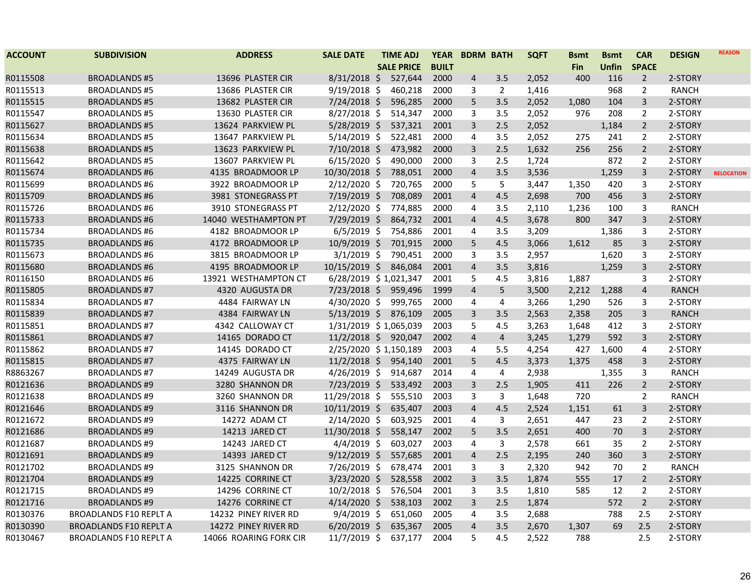| <b>ACCOUNT</b> | <b>SUBDIVISION</b>            | <b>ADDRESS</b>         | <b>SALE DATE</b>      | <b>TIME ADJ</b>   | <b>YEAR</b>  | <b>BDRM BATH</b>        |                | <b>SQFT</b> | <b>Bsmt</b> | <b>Bsmt</b> | <b>CAR</b>     | <b>DESIGN</b> | <b>REASON</b>     |
|----------------|-------------------------------|------------------------|-----------------------|-------------------|--------------|-------------------------|----------------|-------------|-------------|-------------|----------------|---------------|-------------------|
|                |                               |                        |                       | <b>SALE PRICE</b> | <b>BUILT</b> |                         |                |             | Fin         | Unfin       | <b>SPACE</b>   |               |                   |
| R0115508       | <b>BROADLANDS#5</b>           | 13696 PLASTER CIR      | $8/31/2018$ \$        | 527,644           | 2000         | 4                       | 3.5            | 2,052       | 400         | 116         | $\overline{2}$ | 2-STORY       |                   |
| R0115513       | <b>BROADLANDS#5</b>           | 13686 PLASTER CIR      | $9/19/2018$ \$        | 460,218           | 2000         | 3                       | $\overline{2}$ | 1,416       |             | 968         | $\overline{2}$ | <b>RANCH</b>  |                   |
| R0115515       | <b>BROADLANDS#5</b>           | 13682 PLASTER CIR      | 7/24/2018 \$          | 596,285           | 2000         | 5                       | 3.5            | 2,052       | 1,080       | 104         | $\mathbf{3}$   | 2-STORY       |                   |
| R0115547       | <b>BROADLANDS#5</b>           | 13630 PLASTER CIR      | 8/27/2018 \$          | 514,347           | 2000         | 3                       | 3.5            | 2,052       | 976         | 208         | $\overline{2}$ | 2-STORY       |                   |
| R0115627       | <b>BROADLANDS #5</b>          | 13624 PARKVIEW PL      | $5/28/2019$ \$        | 537,321           | 2001         | 3                       | 2.5            | 2,052       |             | 1,184       | $\overline{2}$ | 2-STORY       |                   |
| R0115634       | <b>BROADLANDS #5</b>          | 13647 PARKVIEW PL      | $5/14/2019$ \$        | 522,481           | 2000         | 4                       | 3.5            | 2,052       | 275         | 241         | $\overline{2}$ | 2-STORY       |                   |
| R0115638       | <b>BROADLANDS#5</b>           | 13623 PARKVIEW PL      | $7/10/2018$ \$        | 473,982           | 2000         | 3                       | 2.5            | 1,632       | 256         | 256         | $\overline{2}$ | 2-STORY       |                   |
| R0115642       | <b>BROADLANDS#5</b>           | 13607 PARKVIEW PL      | $6/15/2020$ \$        | 490,000           | 2000         | 3                       | 2.5            | 1,724       |             | 872         | $\overline{2}$ | 2-STORY       |                   |
| R0115674       | <b>BROADLANDS#6</b>           | 4135 BROADMOOR LP      | 10/30/2018 \$         | 788,051           | 2000         | $\overline{a}$          | 3.5            | 3,536       |             | 1,259       | $\overline{3}$ | 2-STORY       | <b>RELOCATION</b> |
| R0115699       | <b>BROADLANDS#6</b>           | 3922 BROADMOOR LP      | 2/12/2020 \$          | 720,765           | 2000         | 5                       | 5              | 3,447       | 1,350       | 420         | 3              | 2-STORY       |                   |
| R0115709       | <b>BROADLANDS#6</b>           | 3981 STONEGRASS PT     | 7/19/2019 \$          | 708,089           | 2001         | 4                       | 4.5            | 2,698       | 700         | 456         | 3              | 2-STORY       |                   |
| R0115726       | <b>BROADLANDS#6</b>           | 3910 STONEGRASS PT     | 2/12/2020 \$          | 774,885           | 2000         | 4                       | 3.5            | 2,110       | 1,236       | 100         | 3              | <b>RANCH</b>  |                   |
| R0115733       | <b>BROADLANDS#6</b>           | 14040 WESTHAMPTON PT   | 7/29/2019 \$          | 864,732           | 2001         | $\overline{4}$          | 4.5            | 3,678       | 800         | 347         | $\overline{3}$ | 2-STORY       |                   |
| R0115734       | <b>BROADLANDS #6</b>          | 4182 BROADMOOR LP      | $6/5/2019$ \$         | 754,886           | 2001         | 4                       | 3.5            | 3,209       |             | 1,386       | 3              | 2-STORY       |                   |
| R0115735       | <b>BROADLANDS#6</b>           | 4172 BROADMOOR LP      | 10/9/2019 \$          | 701,915           | 2000         | 5                       | 4.5            | 3,066       | 1,612       | 85          | $\mathbf{3}$   | 2-STORY       |                   |
| R0115673       | <b>BROADLANDS #6</b>          | 3815 BROADMOOR LP      | $3/1/2019$ \$         | 790,451           | 2000         | 3                       | 3.5            | 2,957       |             | 1,620       | 3              | 2-STORY       |                   |
| R0115680       | <b>BROADLANDS#6</b>           | 4195 BROADMOOR LP      | 10/15/2019 \$         | 846,084           | 2001         | $\overline{4}$          | 3.5            | 3,816       |             | 1,259       | $\overline{3}$ | 2-STORY       |                   |
| R0116150       | <b>BROADLANDS#6</b>           | 13921 WESTHAMPTON CT   | 6/28/2019 \$1,021,347 |                   | 2001         | 5                       | 4.5            | 3,816       | 1,887       |             | 3              | 2-STORY       |                   |
| R0115805       | <b>BROADLANDS#7</b>           | 4320 AUGUSTA DR        | 7/23/2018 \$ 959,496  |                   | 1999         | 4                       | 5              | 3,500       | 2,212       | 1,288       | $\overline{4}$ | <b>RANCH</b>  |                   |
| R0115834       | <b>BROADLANDS#7</b>           | 4484 FAIRWAY LN        | 4/30/2020 \$          | 999,765           | 2000         | 4                       | 4              | 3,266       | 1,290       | 526         | 3              | 2-STORY       |                   |
| R0115839       | <b>BROADLANDS #7</b>          | 4384 FAIRWAY LN        | 5/13/2019 \$ 876,109  |                   | 2005         | 3                       | 3.5            | 2,563       | 2,358       | 205         | $\overline{3}$ | <b>RANCH</b>  |                   |
| R0115851       | <b>BROADLANDS #7</b>          | 4342 CALLOWAY CT       | 1/31/2019 \$1,065,039 |                   | 2003         | 5                       | 4.5            | 3,263       | 1,648       | 412         | 3              | 2-STORY       |                   |
| R0115861       | <b>BROADLANDS#7</b>           | 14165 DORADO CT        | $11/2/2018$ \$        | 920,047           | 2002         | $\overline{\mathbf{4}}$ | $\overline{4}$ | 3,245       | 1,279       | 592         | $\mathbf{3}$   | 2-STORY       |                   |
| R0115862       | <b>BROADLANDS #7</b>          | 14145 DORADO CT        | 2/25/2020 \$1,150,189 |                   | 2003         | 4                       | 5.5            | 4,254       | 427         | 1,600       | 4              | 2-STORY       |                   |
| R0115815       | <b>BROADLANDS#7</b>           | 4375 FAIRWAY LN        | $11/2/2018$ \$        | 954,140           | 2001         | 5                       | 4.5            | 3,373       | 1,375       | 458         | $\mathbf{3}$   | 2-STORY       |                   |
| R8863267       | <b>BROADLANDS#7</b>           | 14249 AUGUSTA DR       | $4/26/2019$ \$        | 914,687           | 2014         | 4                       | $\overline{4}$ | 2,938       |             | 1,355       | 3              | <b>RANCH</b>  |                   |
| R0121636       | <b>BROADLANDS#9</b>           | 3280 SHANNON DR        | 7/23/2019 \$          | 533,492           | 2003         | 3                       | 2.5            | 1,905       | 411         | 226         | $\overline{2}$ | 2-STORY       |                   |
| R0121638       | <b>BROADLANDS #9</b>          | 3260 SHANNON DR        | 11/29/2018 \$         | 555,510           | 2003         | 3                       | 3              | 1,648       | 720         |             | $\overline{2}$ | <b>RANCH</b>  |                   |
| R0121646       | <b>BROADLANDS#9</b>           | 3116 SHANNON DR        | $10/11/2019$ \$       | 635,407           | 2003         | 4                       | 4.5            | 2,524       | 1,151       | 61          | 3              | 2-STORY       |                   |
| R0121672       | <b>BROADLANDS#9</b>           | 14272 ADAM CT          | 2/14/2020 \$          | 603,925           | 2001         | 4                       | 3              | 2,651       | 447         | 23          | $\overline{2}$ | 2-STORY       |                   |
| R0121686       | <b>BROADLANDS #9</b>          | 14213 JARED CT         | 11/30/2018 \$         | 558,147           | 2002         | 5                       | 3.5            | 2,651       | 400         | 70          | $\overline{3}$ | 2-STORY       |                   |
| R0121687       | <b>BROADLANDS#9</b>           | 14243 JARED CT         | $4/4/2019$ \$         | 603,027           | 2003         | 4                       | 3              | 2,578       | 661         | 35          | $\overline{2}$ | 2-STORY       |                   |
| R0121691       | <b>BROADLANDS#9</b>           | 14393 JARED CT         | $9/12/2019$ \$        | 557,685           | 2001         | 4                       | 2.5            | 2,195       | 240         | 360         | 3              | 2-STORY       |                   |
| R0121702       | <b>BROADLANDS #9</b>          | 3125 SHANNON DR        | 7/26/2019 \$          | 678,474           | 2001         | 3                       | 3              | 2,320       | 942         | 70          | $\overline{2}$ | <b>RANCH</b>  |                   |
| R0121704       | <b>BROADLANDS#9</b>           | 14225 CORRINE CT       | 3/23/2020 \$          | 528,558           | 2002         | 3                       | 3.5            | 1,874       | 555         | 17          | $2^{\circ}$    | 2-STORY       |                   |
| R0121715       | <b>BROADLANDS#9</b>           | 14296 CORRINE CT       | 10/2/2018 \$          | 576,504           | 2001         | 3                       | 3.5            | 1,810       | 585         | 12          | $\overline{2}$ | 2-STORY       |                   |
| R0121716       | <b>BROADLANDS#9</b>           | 14276 CORRINE CT       | $4/14/2020$ \$        | 538,103           | 2002         | 3                       | 2.5            | 1,874       |             | 572         | $\overline{2}$ | 2-STORY       |                   |
| R0130376       | <b>BROADLANDS F10 REPLT A</b> | 14232 PINEY RIVER RD   | $9/4/2019$ \$         | 651,060           | 2005         | 4                       | 3.5            | 2,688       |             | 788         | 2.5            | 2-STORY       |                   |
| R0130390       | <b>BROADLANDS F10 REPLT A</b> | 14272 PINEY RIVER RD   | $6/20/2019$ \$        | 635,367           | 2005         | 4                       | 3.5            | 2,670       | 1,307       | 69          | 2.5            | 2-STORY       |                   |
| R0130467       | <b>BROADLANDS F10 REPLT A</b> | 14066 ROARING FORK CIR | 11/7/2019 \$          | 637,177           | 2004         | 5                       | 4.5            | 2,522       | 788         |             | 2.5            | 2-STORY       |                   |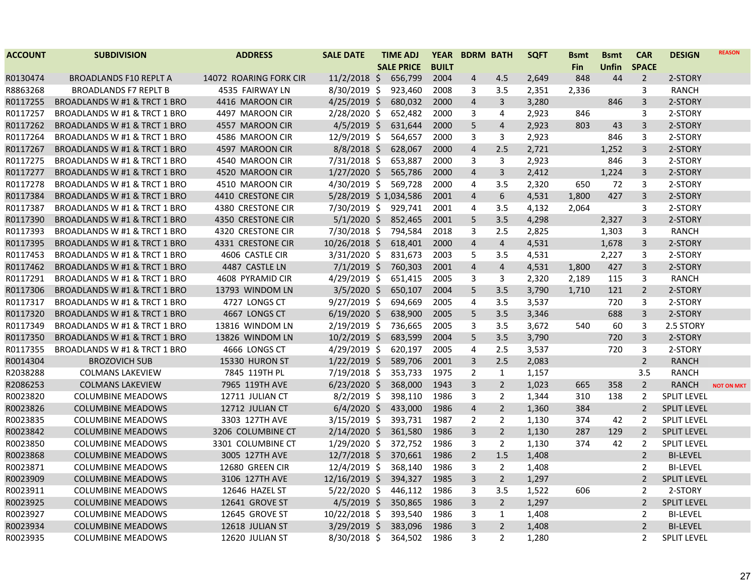| <b>ACCOUNT</b> | <b>SUBDIVISION</b>                      | <b>ADDRESS</b>         | <b>SALE DATE</b>      | <b>TIME ADJ</b>   | <b>YEAR</b>  | <b>BDRM BATH</b>        |                | <b>SQFT</b> | <b>B</b> smt | <b>Bsmt</b>  | <b>CAR</b>     | <b>DESIGN</b>      | <b>REASON</b>     |
|----------------|-----------------------------------------|------------------------|-----------------------|-------------------|--------------|-------------------------|----------------|-------------|--------------|--------------|----------------|--------------------|-------------------|
|                |                                         |                        |                       | <b>SALE PRICE</b> | <b>BUILT</b> |                         |                |             | Fin          | <b>Unfin</b> | <b>SPACE</b>   |                    |                   |
| R0130474       | <b>BROADLANDS F10 REPLT A</b>           | 14072 ROARING FORK CIR | $11/2/2018$ \$        | 656,799           | 2004         | 4                       | 4.5            | 2,649       | 848          | 44           | $\overline{2}$ | 2-STORY            |                   |
| R8863268       | <b>BROADLANDS F7 REPLT B</b>            | 4535 FAIRWAY LN        | 8/30/2019 \$          | 923,460           | 2008         | 3                       | 3.5            | 2,351       | 2,336        |              | 3              | <b>RANCH</b>       |                   |
| R0117255       | BROADLANDS W #1 & TRCT 1 BRO            | 4416 MAROON CIR        | $4/25/2019$ \$        | 680,032           | 2000         | 4                       | $\overline{3}$ | 3,280       |              | 846          | $\mathsf{3}$   | 2-STORY            |                   |
| R0117257       | BROADLANDS W #1 & TRCT 1 BRO            | 4497 MAROON CIR        | $2/28/2020$ \$        | 652,482           | 2000         | 3                       | 4              | 2,923       | 846          |              | 3              | 2-STORY            |                   |
| R0117262       | BROADLANDS W #1 & TRCT 1 BRO            | 4557 MAROON CIR        | $4/5/2019$ \$         | 631,644           | 2000         | 5                       | $\overline{4}$ | 2,923       | 803          | 43           | $\overline{3}$ | 2-STORY            |                   |
| R0117264       | BROADLANDS W #1 & TRCT 1 BRO            | 4586 MAROON CIR        | $12/9/2019$ \$        | 564,657           | 2000         | 3                       | 3              | 2,923       |              | 846          | 3              | 2-STORY            |                   |
| R0117267       | BROADLANDS W #1 & TRCT 1 BRO            | 4597 MAROON CIR        | $8/8/2018$ \$         | 628,067           | 2000         | $\overline{\mathbf{4}}$ | 2.5            | 2,721       |              | 1,252        | $\overline{3}$ | 2-STORY            |                   |
| R0117275       | BROADLANDS W #1 & TRCT 1 BRO            | 4540 MAROON CIR        | 7/31/2018 \$          | 653,887           | 2000         | 3                       | 3              | 2,923       |              | 846          | 3              | 2-STORY            |                   |
| R0117277       | <b>BROADLANDS W #1 &amp; TRCT 1 BRO</b> | 4520 MAROON CIR        | $1/27/2020$ \$        | 565,786           | 2000         | 4                       | $\overline{3}$ | 2,412       |              | 1,224        | $\overline{3}$ | 2-STORY            |                   |
| R0117278       | BROADLANDS W #1 & TRCT 1 BRO            | 4510 MAROON CIR        | 4/30/2019 \$          | 569,728           | 2000         | 4                       | 3.5            | 2,320       | 650          | 72           | 3              | 2-STORY            |                   |
| R0117384       | BROADLANDS W #1 & TRCT 1 BRO            | 4410 CRESTONE CIR      | 5/28/2019 \$1,034,586 |                   | 2001         | 4                       | 6              | 4,531       | 1,800        | 427          | 3              | 2-STORY            |                   |
| R0117387       | BROADLANDS W #1 & TRCT 1 BRO            | 4380 CRESTONE CIR      | 7/30/2019 \$          | 929,741           | 2001         | 4                       | 3.5            | 4,132       | 2,064        |              | 3              | 2-STORY            |                   |
| R0117390       | BROADLANDS W #1 & TRCT 1 BRO            | 4350 CRESTONE CIR      | $5/1/2020$ \$         | 852,465           | 2001         | 5                       | 3.5            | 4,298       |              | 2,327        | 3              | 2-STORY            |                   |
| R0117393       | BROADLANDS W #1 & TRCT 1 BRO            | 4320 CRESTONE CIR      | 7/30/2018 \$          | 794,584           | 2018         | 3                       | 2.5            | 2,825       |              | 1,303        | 3              | <b>RANCH</b>       |                   |
| R0117395       | BROADLANDS W #1 & TRCT 1 BRO            | 4331 CRESTONE CIR      | 10/26/2018 \$         | 618,401           | 2000         | 4                       | $\overline{4}$ | 4,531       |              | 1,678        | 3              | 2-STORY            |                   |
| R0117453       | BROADLANDS W #1 & TRCT 1 BRO            | 4606 CASTLE CIR        | 3/31/2020 \$          | 831,673           | 2003         | 5                       | 3.5            | 4,531       |              | 2,227        | 3              | 2-STORY            |                   |
| R0117462       | BROADLANDS W #1 & TRCT 1 BRO            | 4487 CASTLE LN         | $7/1/2019$ \$         | 760,303           | 2001         | 4                       | $\overline{4}$ | 4,531       | 1,800        | 427          | $\overline{3}$ | 2-STORY            |                   |
| R0117291       | BROADLANDS W #1 & TRCT 1 BRO            | 4608 PYRAMID CIR       | 4/29/2019 \$          | 651,415           | 2005         | 3                       | 3              | 2,320       | 2,189        | 115          | 3              | <b>RANCH</b>       |                   |
| R0117306       | BROADLANDS W #1 & TRCT 1 BRO            | 13793 WINDOM LN        | $3/5/2020$ \$         | 650,107           | 2004         | 5                       | 3.5            | 3,790       | 1,710        | 121          | $\overline{2}$ | 2-STORY            |                   |
| R0117317       | BROADLANDS W #1 & TRCT 1 BRO            | 4727 LONGS CT          | $9/27/2019$ \$        | 694,669           | 2005         | 4                       | 3.5            | 3,537       |              | 720          | 3              | 2-STORY            |                   |
| R0117320       | BROADLANDS W #1 & TRCT 1 BRO            | 4667 LONGS CT          | $6/19/2020$ \$        | 638,900           | 2005         | 5                       | 3.5            | 3,346       |              | 688          | $\overline{3}$ | 2-STORY            |                   |
| R0117349       | BROADLANDS W #1 & TRCT 1 BRO            | 13816 WINDOM LN        | 2/19/2019 \$          | 736,665           | 2005         | 3                       | 3.5            | 3,672       | 540          | 60           | $\mathbf{3}$   | 2.5 STORY          |                   |
| R0117350       | BROADLANDS W #1 & TRCT 1 BRO            | 13826 WINDOM LN        | $10/2/2019$ \$        | 683,599           | 2004         | 5                       | 3.5            | 3,790       |              | 720          | $\overline{3}$ | 2-STORY            |                   |
| R0117355       | BROADLANDS W #1 & TRCT 1 BRO            | 4666 LONGS CT          | 4/29/2019 \$          | 620,197           | 2005         | 4                       | 2.5            | 3,537       |              | 720          | 3              | 2-STORY            |                   |
| R0014304       | <b>BROZOVICH SUB</b>                    | 15330 HURON ST         | $1/22/2019$ \$        | 589,706           | 2001         | 3                       | 2.5            | 2,083       |              |              | $\overline{2}$ | <b>RANCH</b>       |                   |
| R2038288       | <b>COLMANS LAKEVIEW</b>                 | 7845 119TH PL          | 7/19/2018 \$          | 353,733           | 1975         | $\overline{2}$          | $\mathbf{1}$   | 1,157       |              |              | 3.5            | <b>RANCH</b>       |                   |
| R2086253       | <b>COLMANS LAKEVIEW</b>                 | 7965 119TH AVE         | $6/23/2020$ \$        | 368,000           | 1943         | 3                       | $2^{\circ}$    | 1,023       | 665          | 358          | $\overline{2}$ | <b>RANCH</b>       | <b>NOT ON MKT</b> |
| R0023820       | <b>COLUMBINE MEADOWS</b>                | 12711 JULIAN CT        | $8/2/2019$ \$         | 398,110           | 1986         | 3                       | $\overline{2}$ | 1,344       | 310          | 138          | $\overline{2}$ | <b>SPLIT LEVEL</b> |                   |
| R0023826       | <b>COLUMBINE MEADOWS</b>                | 12712 JULIAN CT        | $6/4/2020$ \$         | 433,000           | 1986         | $\overline{4}$          | $\overline{2}$ | 1,360       | 384          |              | $\overline{2}$ | <b>SPLIT LEVEL</b> |                   |
| R0023835       | <b>COLUMBINE MEADOWS</b>                | 3303 127TH AVE         | $3/15/2019$ \$        | 393,731           | 1987         | $\overline{2}$          | $\overline{2}$ | 1,130       | 374          | 42           | $\overline{2}$ | <b>SPLIT LEVEL</b> |                   |
| R0023842       | <b>COLUMBINE MEADOWS</b>                | 3206 COLUMBINE CT      | $2/14/2020$ \$        | 361,580           | 1986         | 3                       | $\overline{2}$ | 1,130       | 287          | 129          | $\overline{2}$ | <b>SPLIT LEVEL</b> |                   |
| R0023850       | <b>COLUMBINE MEADOWS</b>                | 3301 COLUMBINE CT      | 1/29/2020 \$          | 372,752           | 1986         | 3                       | $\overline{2}$ | 1,130       | 374          | 42           | 2              | SPLIT LEVEL        |                   |
| R0023868       | <b>COLUMBINE MEADOWS</b>                | 3005 127TH AVE         | $12/7/2018$ \$        | 370,661           | 1986         | $\overline{2}$          | 1.5            | 1,408       |              |              | $\overline{2}$ | <b>BI-LEVEL</b>    |                   |
| R0023871       | <b>COLUMBINE MEADOWS</b>                | 12680 GREEN CIR        | $12/4/2019$ \$        | 368,140           | 1986         | 3                       | $\overline{2}$ | 1,408       |              |              | $\overline{2}$ | <b>BI-LEVEL</b>    |                   |
| R0023909       | <b>COLUMBINE MEADOWS</b>                | 3106 127TH AVE         | 12/16/2019 \$         | 394,327           | 1985         | 3                       | $2^{\circ}$    | 1,297       |              |              | $\overline{2}$ | <b>SPLIT LEVEL</b> |                   |
| R0023911       | <b>COLUMBINE MEADOWS</b>                | 12646 HAZEL ST         | 5/22/2020 \$          | 446,112           | 1986         | 3                       | 3.5            | 1,522       | 606          |              | $\overline{2}$ | 2-STORY            |                   |
| R0023925       | <b>COLUMBINE MEADOWS</b>                | 12641 GROVE ST         | $4/5/2019$ \$         | 350,865           | 1986         | 3                       | $\overline{2}$ | 1,297       |              |              | $\overline{2}$ | <b>SPLIT LEVEL</b> |                   |
| R0023927       | <b>COLUMBINE MEADOWS</b>                | 12645 GROVE ST         | 10/22/2018 \$         | 393,540           | 1986         | 3                       | $\mathbf{1}$   | 1,408       |              |              | 2              | <b>BI-LEVEL</b>    |                   |
| R0023934       | <b>COLUMBINE MEADOWS</b>                | 12618 JULIAN ST        | 3/29/2019 \$          | 383,096           | 1986         | 3                       | $2^{\circ}$    | 1,408       |              |              | $\overline{2}$ | <b>BI-LEVEL</b>    |                   |
| R0023935       | <b>COLUMBINE MEADOWS</b>                | 12620 JULIAN ST        | 8/30/2018 \$          | 364,502           | 1986         | 3                       | $\overline{2}$ | 1,280       |              |              | $\overline{2}$ | <b>SPLIT LEVEL</b> |                   |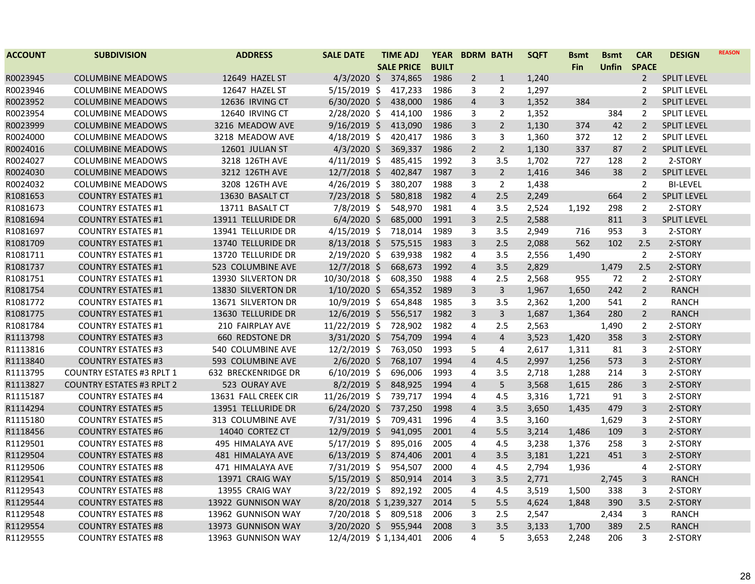| <b>ACCOUNT</b> | <b>SUBDIVISION</b>               | <b>ADDRESS</b>          | <b>SALE DATE</b>      | <b>TIME ADJ</b>   | <b>YEAR</b>  | <b>BDRM BATH</b> |                | <b>SQFT</b> | <b>Bsmt</b> | <b>Bsmt</b> | <b>CAR</b>     | <b>DESIGN</b>      | <b>REASON</b> |
|----------------|----------------------------------|-------------------------|-----------------------|-------------------|--------------|------------------|----------------|-------------|-------------|-------------|----------------|--------------------|---------------|
|                |                                  |                         |                       | <b>SALE PRICE</b> | <b>BUILT</b> |                  |                |             | <b>Fin</b>  | Unfin       | <b>SPACE</b>   |                    |               |
| R0023945       | <b>COLUMBINE MEADOWS</b>         | 12649 HAZEL ST          | $4/3/2020$ \$         | 374,865           | 1986         | $\overline{2}$   | $\mathbf{1}$   | 1,240       |             |             | $\overline{2}$ | <b>SPLIT LEVEL</b> |               |
| R0023946       | <b>COLUMBINE MEADOWS</b>         | 12647 HAZEL ST          | $5/15/2019$ \$        | 417,233           | 1986         | 3                | 2              | 1,297       |             |             | 2              | <b>SPLIT LEVEL</b> |               |
| R0023952       | <b>COLUMBINE MEADOWS</b>         | 12636 IRVING CT         | $6/30/2020$ \$        | 438,000           | 1986         | $\overline{4}$   | 3              | 1,352       | 384         |             | $\overline{2}$ | <b>SPLIT LEVEL</b> |               |
| R0023954       | <b>COLUMBINE MEADOWS</b>         | 12640 IRVING CT         | 2/28/2020 \$          | 414,100           | 1986         | 3                | $\overline{2}$ | 1,352       |             | 384         | 2              | <b>SPLIT LEVEL</b> |               |
| R0023999       | <b>COLUMBINE MEADOWS</b>         | 3216 MEADOW AVE         | $9/16/2019$ \$        | 413,090           | 1986         | 3                | $\overline{2}$ | 1,130       | 374         | 42          | $\overline{2}$ | <b>SPLIT LEVEL</b> |               |
| R0024000       | <b>COLUMBINE MEADOWS</b>         | 3218 MEADOW AVE         | $4/18/2019$ \$        | 420,417           | 1986         | 3                | 3              | 1,360       | 372         | 12          | $\overline{2}$ | <b>SPLIT LEVEL</b> |               |
| R0024016       | <b>COLUMBINE MEADOWS</b>         | 12601 JULIAN ST         | $4/3/2020$ \$         | 369,337           | 1986         | $\overline{2}$   | $\overline{2}$ | 1,130       | 337         | 87          | $\overline{2}$ | <b>SPLIT LEVEL</b> |               |
| R0024027       | <b>COLUMBINE MEADOWS</b>         | 3218 126TH AVE          | $4/11/2019$ \$        | 485,415           | 1992         | 3                | 3.5            | 1,702       | 727         | 128         | $\overline{2}$ | 2-STORY            |               |
| R0024030       | <b>COLUMBINE MEADOWS</b>         | 3212 126TH AVE          | 12/7/2018 \$          | 402,847           | 1987         | $\overline{3}$   | $\overline{2}$ | 1,416       | 346         | 38          | $\overline{2}$ | <b>SPLIT LEVEL</b> |               |
| R0024032       | <b>COLUMBINE MEADOWS</b>         | 3208 126TH AVE          | 4/26/2019 \$          | 380,207           | 1988         | 3                | $\overline{2}$ | 1,438       |             |             | $\overline{2}$ | <b>BI-LEVEL</b>    |               |
| R1081653       | <b>COUNTRY ESTATES #1</b>        | 13630 BASALT CT         | $7/23/2018$ \$        | 580,818           | 1982         | $\overline{4}$   | 2.5            | 2,249       |             | 664         | $\overline{2}$ | <b>SPLIT LEVEL</b> |               |
| R1081673       | <b>COUNTRY ESTATES #1</b>        | 13711 BASALT CT         | 7/8/2019 \$           | 548,970           | 1981         | $\overline{4}$   | 3.5            | 2,524       | 1,192       | 298         | $\overline{2}$ | 2-STORY            |               |
| R1081694       | <b>COUNTRY ESTATES #1</b>        | 13911 TELLURIDE DR      | $6/4/2020$ \$         | 685,000           | 1991         | $\overline{3}$   | 2.5            | 2,588       |             | 811         | 3              | <b>SPLIT LEVEL</b> |               |
| R1081697       | <b>COUNTRY ESTATES #1</b>        | 13941 TELLURIDE DR      | $4/15/2019$ \$        | 718,014           | 1989         | 3                | 3.5            | 2,949       | 716         | 953         | 3              | 2-STORY            |               |
| R1081709       | <b>COUNTRY ESTATES #1</b>        | 13740 TELLURIDE DR      | $8/13/2018$ \$        | 575,515           | 1983         | $\overline{3}$   | 2.5            | 2,088       | 562         | 102         | 2.5            | 2-STORY            |               |
| R1081711       | <b>COUNTRY ESTATES #1</b>        | 13720 TELLURIDE DR      | 2/19/2020 \$          | 639,938           | 1982         | 4                | 3.5            | 2,556       | 1,490       |             | $\overline{2}$ | 2-STORY            |               |
| R1081737       | <b>COUNTRY ESTATES #1</b>        | 523 COLUMBINE AVE       | $12/7/2018$ \$        | 668,673           | 1992         | $\overline{4}$   | 3.5            | 2,829       |             | 1,479       | 2.5            | 2-STORY            |               |
| R1081751       | <b>COUNTRY ESTATES #1</b>        | 13930 SILVERTON DR      | 10/30/2018 \$         | 608,350           | 1988         | 4                | 2.5            | 2,568       | 955         | 72          | $\overline{2}$ | 2-STORY            |               |
| R1081754       | <b>COUNTRY ESTATES #1</b>        | 13830 SILVERTON DR      | $1/10/2020$ \$        | 654,352           | 1989         | $\overline{3}$   | 3              | 1,967       | 1,650       | 242         | $\overline{2}$ | <b>RANCH</b>       |               |
| R1081772       | <b>COUNTRY ESTATES #1</b>        | 13671 SILVERTON DR      | 10/9/2019 \$          | 654,848           | 1985         | 3                | 3.5            | 2,362       | 1,200       | 541         | 2              | <b>RANCH</b>       |               |
| R1081775       | <b>COUNTRY ESTATES #1</b>        | 13630 TELLURIDE DR      | 12/6/2019 \$          | 556,517           | 1982         | $\overline{3}$   | $\overline{3}$ | 1,687       | 1,364       | 280         | $\overline{2}$ | <b>RANCH</b>       |               |
| R1081784       | <b>COUNTRY ESTATES #1</b>        | 210 FAIRPLAY AVE        | 11/22/2019 \$         | 728,902           | 1982         | 4                | 2.5            | 2,563       |             | 1,490       | $\overline{2}$ | 2-STORY            |               |
| R1113798       | <b>COUNTRY ESTATES #3</b>        | 660 REDSTONE DR         | $3/31/2020$ \$        | 754,709           | 1994         | $\overline{4}$   | $\overline{4}$ | 3,523       | 1,420       | 358         | $\overline{3}$ | 2-STORY            |               |
| R1113816       | <b>COUNTRY ESTATES #3</b>        | 540 COLUMBINE AVE       | $12/2/2019$ \$        | 763,050           | 1993         | 5                | 4              | 2,617       | 1,311       | 81          | 3              | 2-STORY            |               |
| R1113840       | <b>COUNTRY ESTATES #3</b>        | 593 COLUMBINE AVE       | $2/6/2020$ \$         | 768,107           | 1994         | $\overline{4}$   | 4.5            | 2,997       | 1,256       | 573         | $\overline{3}$ | 2-STORY            |               |
| R1113795       | <b>COUNTRY ESTATES #3 RPLT 1</b> | 632 BRECKENRIDGE DR     | $6/10/2019$ \$        | 696,006           | 1993         | $\overline{4}$   | 3.5            | 2,718       | 1,288       | 214         | $\mathbf{3}$   | 2-STORY            |               |
| R1113827       | <b>COUNTRY ESTATES #3 RPLT 2</b> | 523 OURAY AVE           | $8/2/2019$ \$         | 848,925           | 1994         | $\overline{4}$   | 5              | 3,568       | 1,615       | 286         | $\mathbf{3}$   | 2-STORY            |               |
| R1115187       | <b>COUNTRY ESTATES #4</b>        | 13631 FALL CREEK CIR    | 11/26/2019 \$         | 739,717           | 1994         | 4                | 4.5            | 3,316       | 1,721       | 91          | 3              | 2-STORY            |               |
| R1114294       | <b>COUNTRY ESTATES #5</b>        | 13951 TELLURIDE DR      | $6/24/2020$ \$        | 737,250           | 1998         | $\overline{4}$   | 3.5            | 3,650       | 1,435       | 479         | 3              | 2-STORY            |               |
| R1115180       | <b>COUNTRY ESTATES #5</b>        | 313 COLUMBINE AVE       | 7/31/2019 \$          | 709,431           | 1996         | $\overline{4}$   | 3.5            | 3,160       |             | 1,629       | $\mathbf{3}$   | 2-STORY            |               |
| R1118456       | <b>COUNTRY ESTATES #6</b>        | 14040 CORTEZ CT         | 12/9/2019 \$          | 941,095           | 2001         | $\overline{4}$   | 5.5            | 3,214       | 1,486       | 109         | $\mathbf{3}$   | 2-STORY            |               |
| R1129501       | <b>COUNTRY ESTATES #8</b>        | 495 HIMALAYA AVE        | $5/17/2019$ \$        | 895,016           | 2005         | 4                | 4.5            | 3,238       | 1,376       | 258         | $\mathbf{3}$   | 2-STORY            |               |
| R1129504       | <b>COUNTRY ESTATES #8</b>        | <b>481 HIMALAYA AVE</b> | $6/13/2019$ \$        | 874,406           | 2001         | $\overline{4}$   | 3.5            | 3,181       | 1,221       | 451         | $\overline{3}$ | 2-STORY            |               |
| R1129506       | <b>COUNTRY ESTATES #8</b>        | 471 HIMALAYA AVE        | 7/31/2019 \$          | 954,507           | 2000         | 4                | 4.5            | 2,794       | 1,936       |             | 4              | 2-STORY            |               |
| R1129541       | <b>COUNTRY ESTATES #8</b>        | 13971 CRAIG WAY         | $5/15/2019$ \$        | 850,914           | 2014         | $\overline{3}$   | 3.5            | 2,771       |             | 2,745       | $\mathbf{3}$   | <b>RANCH</b>       |               |
| R1129543       | <b>COUNTRY ESTATES #8</b>        | 13955 CRAIG WAY         | 3/22/2019 \$          | 892,192           | 2005         | 4                | 4.5            | 3,519       | 1,500       | 338         | 3              | 2-STORY            |               |
| R1129544       | <b>COUNTRY ESTATES #8</b>        | 13922 GUNNISON WAY      | 8/20/2018 \$1,239,327 |                   | 2014         | 5                | 5.5            | 4,624       | 1,848       | 390         | 3.5            | 2-STORY            |               |
| R1129548       | <b>COUNTRY ESTATES #8</b>        | 13962 GUNNISON WAY      | 7/20/2018 \$          | 809,518           | 2006         | 3                | 2.5            | 2,547       |             | 2,434       | 3              | <b>RANCH</b>       |               |
| R1129554       | <b>COUNTRY ESTATES #8</b>        | 13973 GUNNISON WAY      | $3/20/2020$ \$        | 955,944           | 2008         | 3                | 3.5            | 3,133       | 1,700       | 389         | 2.5            | <b>RANCH</b>       |               |
| R1129555       | <b>COUNTRY ESTATES #8</b>        | 13963 GUNNISON WAY      | 12/4/2019 \$1,134,401 |                   | 2006         | 4                | 5              | 3,653       | 2,248       | 206         | 3              | 2-STORY            |               |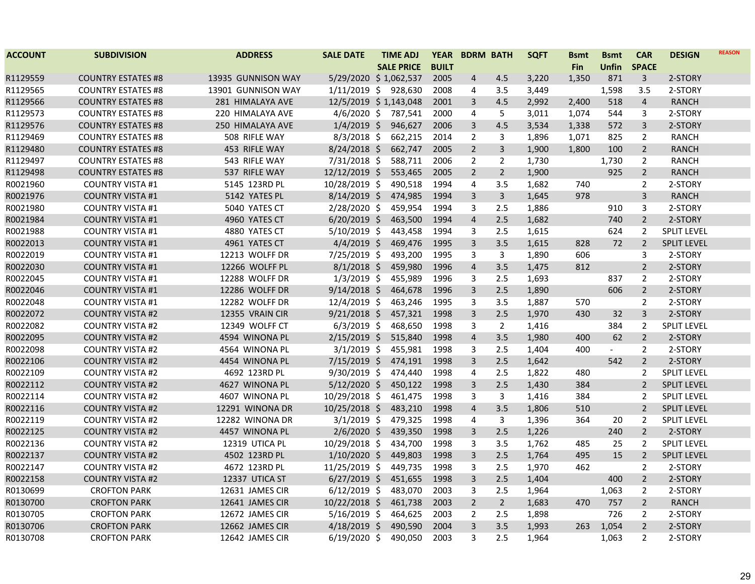| <b>ACCOUNT</b> | <b>SUBDIVISION</b>        | <b>ADDRESS</b>     | <b>SALE DATE</b>      | <b>TIME ADJ</b>   | <b>YEAR</b>  | <b>BDRM BATH</b> |                | <b>SQFT</b> | <b>Bsmt</b> | <b>Bsmt</b>    | <b>CAR</b>     | <b>DESIGN</b>      | <b>REASON</b> |
|----------------|---------------------------|--------------------|-----------------------|-------------------|--------------|------------------|----------------|-------------|-------------|----------------|----------------|--------------------|---------------|
|                |                           |                    |                       | <b>SALE PRICE</b> | <b>BUILT</b> |                  |                |             | <b>Fin</b>  | <b>Unfin</b>   | <b>SPACE</b>   |                    |               |
| R1129559       | <b>COUNTRY ESTATES #8</b> | 13935 GUNNISON WAY | 5/29/2020 \$1,062,537 |                   | 2005         | $\overline{4}$   | 4.5            | 3,220       | 1,350       | 871            | 3              | 2-STORY            |               |
| R1129565       | <b>COUNTRY ESTATES #8</b> | 13901 GUNNISON WAY | 1/11/2019 \$ 928,630  |                   | 2008         | 4                | 3.5            | 3,449       |             | 1,598          | 3.5            | 2-STORY            |               |
| R1129566       | <b>COUNTRY ESTATES #8</b> | 281 HIMALAYA AVE   | 12/5/2019 \$1,143,048 |                   | 2001         | 3                | 4.5            | 2,992       | 2,400       | 518            | $\overline{4}$ | <b>RANCH</b>       |               |
| R1129573       | <b>COUNTRY ESTATES #8</b> | 220 HIMALAYA AVE   | $4/6/2020$ \$         | 787,541           | 2000         | 4                | 5              | 3,011       | 1,074       | 544            | 3              | 2-STORY            |               |
| R1129576       | <b>COUNTRY ESTATES #8</b> | 250 HIMALAYA AVE   | $1/4/2019$ \$         | 946,627           | 2006         | 3                | 4.5            | 3,534       | 1,338       | 572            | 3              | 2-STORY            |               |
| R1129469       | <b>COUNTRY ESTATES #8</b> | 508 RIFLE WAY      | $8/3/2018$ \$         | 662,215           | 2014         | $\overline{2}$   | 3              | 1,896       | 1,071       | 825            | $\overline{2}$ | <b>RANCH</b>       |               |
| R1129480       | <b>COUNTRY ESTATES #8</b> | 453 RIFLE WAY      | $8/24/2018$ \$        | 662,747           | 2005         | $\overline{2}$   | 3              | 1,900       | 1,800       | 100            | $\overline{2}$ | <b>RANCH</b>       |               |
| R1129497       | <b>COUNTRY ESTATES #8</b> | 543 RIFLE WAY      | $7/31/2018$ \$        | 588,711           | 2006         | $\overline{2}$   | 2              | 1,730       |             | 1,730          | $\overline{2}$ | <b>RANCH</b>       |               |
| R1129498       | <b>COUNTRY ESTATES #8</b> | 537 RIFLE WAY      | 12/12/2019 \$         | 553,465           | 2005         | $\overline{2}$   | $\overline{2}$ | 1,900       |             | 925            | $\overline{2}$ | <b>RANCH</b>       |               |
| R0021960       | <b>COUNTRY VISTA #1</b>   | 5145 123RD PL      | 10/28/2019 \$         | 490,518           | 1994         | 4                | 3.5            | 1,682       | 740         |                | $\overline{2}$ | 2-STORY            |               |
| R0021976       | <b>COUNTRY VISTA #1</b>   | 5142 YATES PL      | $8/14/2019$ \$        | 474,985           | 1994         | 3                | 3              | 1,645       | 978         |                | 3              | <b>RANCH</b>       |               |
| R0021980       | <b>COUNTRY VISTA #1</b>   | 5040 YATES CT      | $2/28/2020$ \$        | 459,954           | 1994         | 3                | 2.5            | 1,886       |             | 910            | 3              | 2-STORY            |               |
| R0021984       | <b>COUNTRY VISTA #1</b>   | 4960 YATES CT      | $6/20/2019$ \$        | 463,500           | 1994         | $\overline{4}$   | 2.5            | 1,682       |             | 740            | $\overline{2}$ | 2-STORY            |               |
| R0021988       | <b>COUNTRY VISTA #1</b>   | 4880 YATES CT      | $5/10/2019$ \$        | 443,458           | 1994         | 3                | 2.5            | 1,615       |             | 624            | $\overline{2}$ | <b>SPLIT LEVEL</b> |               |
| R0022013       | <b>COUNTRY VISTA #1</b>   | 4961 YATES CT      | $4/4/2019$ \$         | 469,476           | 1995         | 3                | 3.5            | 1,615       | 828         | 72             | $\overline{2}$ | <b>SPLIT LEVEL</b> |               |
| R0022019       | <b>COUNTRY VISTA #1</b>   | 12213 WOLFF DR     | 7/25/2019 \$          | 493,200           | 1995         | 3                | 3              | 1,890       | 606         |                | 3              | 2-STORY            |               |
| R0022030       | <b>COUNTRY VISTA #1</b>   | 12266 WOLFF PL     | $8/1/2018$ \$         | 459,980           | 1996         | $\overline{4}$   | 3.5            | 1,475       | 812         |                | $\overline{2}$ | 2-STORY            |               |
| R0022045       | <b>COUNTRY VISTA #1</b>   | 12288 WOLFF DR     | $1/3/2019$ \$         | 455,989           | 1996         | 3                | 2.5            | 1,693       |             | 837            | $\overline{2}$ | 2-STORY            |               |
| R0022046       | <b>COUNTRY VISTA #1</b>   | 12286 WOLFF DR     | $9/14/2018$ \$        | 464,678           | 1996         | 3                | 2.5            | 1,890       |             | 606            | $\overline{2}$ | 2-STORY            |               |
| R0022048       | <b>COUNTRY VISTA #1</b>   | 12282 WOLFF DR     | $12/4/2019$ \$        | 463,246           | 1995         | 3                | 3.5            | 1,887       | 570         |                | $\overline{2}$ | 2-STORY            |               |
| R0022072       | <b>COUNTRY VISTA #2</b>   | 12355 VRAIN CIR    | $9/21/2018$ \$        | 457,321           | 1998         | 3                | 2.5            | 1,970       | 430         | 32             | 3              | 2-STORY            |               |
| R0022082       | <b>COUNTRY VISTA #2</b>   | 12349 WOLFF CT     | $6/3/2019$ \$         | 468,650           | 1998         | 3                | $\overline{2}$ | 1,416       |             | 384            | $\overline{2}$ | <b>SPLIT LEVEL</b> |               |
| R0022095       | <b>COUNTRY VISTA #2</b>   | 4594 WINONA PL     | $2/15/2019$ \$        | 515,840           | 1998         | $\overline{4}$   | 3.5            | 1,980       | 400         | 62             | $\overline{2}$ | 2-STORY            |               |
| R0022098       | <b>COUNTRY VISTA #2</b>   | 4564 WINONA PL     | $3/1/2019$ \$         | 455,981           | 1998         | 3                | 2.5            | 1,404       | 400         | $\blacksquare$ | $\overline{2}$ | 2-STORY            |               |
| R0022106       | <b>COUNTRY VISTA #2</b>   | 4454 WINONA PL     | 7/15/2019 \$          | 474,191           | 1998         | $\overline{3}$   | 2.5            | 1,642       |             | 542            | $\overline{2}$ | 2-STORY            |               |
| R0022109       | <b>COUNTRY VISTA #2</b>   | 4692 123RD PL      | $9/30/2019$ \$        | 474,440           | 1998         | 4                | 2.5            | 1,822       | 480         |                | $\overline{2}$ | <b>SPLIT LEVEL</b> |               |
| R0022112       | <b>COUNTRY VISTA #2</b>   | 4627 WINONA PL     | 5/12/2020 \$          | 450,122           | 1998         | $\overline{3}$   | 2.5            | 1,430       | 384         |                | $\overline{2}$ | <b>SPLIT LEVEL</b> |               |
| R0022114       | <b>COUNTRY VISTA #2</b>   | 4607 WINONA PL     | 10/29/2018 \$         | 461,475           | 1998         | 3                | 3              | 1,416       | 384         |                | 2              | SPLIT LEVEL        |               |
| R0022116       | <b>COUNTRY VISTA #2</b>   | 12291 WINONA DR    | $10/25/2018$ \$       | 483,210           | 1998         | $\overline{4}$   | 3.5            | 1,806       | 510         |                | $\overline{2}$ | <b>SPLIT LEVEL</b> |               |
| R0022119       | <b>COUNTRY VISTA #2</b>   | 12282 WINONA DR    | $3/1/2019$ \$         | 479,325           | 1998         | 4                | 3              | 1,396       | 364         | 20             | $\overline{2}$ | <b>SPLIT LEVEL</b> |               |
| R0022125       | <b>COUNTRY VISTA #2</b>   | 4457 WINONA PL     | $2/6/2020$ \$         | 439,350           | 1998         | $\overline{3}$   | 2.5            | 1,226       |             | 240            | $2^{\circ}$    | 2-STORY            |               |
| R0022136       | <b>COUNTRY VISTA #2</b>   | 12319 UTICA PL     | 10/29/2018 \$         | 434,700           | 1998         | 3                | 3.5            | 1,762       | 485         | 25             | $\overline{2}$ | <b>SPLIT LEVEL</b> |               |
| R0022137       | <b>COUNTRY VISTA #2</b>   | 4502 123RD PL      | $1/10/2020$ \$        | 449,803           | 1998         | 3                | 2.5            | 1,764       | 495         | 15             | $\overline{2}$ | <b>SPLIT LEVEL</b> |               |
| R0022147       | <b>COUNTRY VISTA #2</b>   | 4672 123RD PL      | 11/25/2019 \$         | 449,735           | 1998         | 3                | 2.5            | 1,970       | 462         |                | $\overline{2}$ | 2-STORY            |               |
| R0022158       | <b>COUNTRY VISTA #2</b>   | 12337 UTICA ST     | $6/27/2019$ \$        | 451,655           | 1998         | $\overline{3}$   | 2.5            | 1,404       |             | 400            | $\overline{2}$ | 2-STORY            |               |
| R0130699       | <b>CROFTON PARK</b>       | 12631 JAMES CIR    | $6/12/2019$ \$        | 483,070           | 2003         | 3                | 2.5            | 1,964       |             | 1,063          | $\overline{2}$ | 2-STORY            |               |
| R0130700       | <b>CROFTON PARK</b>       | 12641 JAMES CIR    | 10/22/2018 \$         | 461,738           | 2003         | $\overline{2}$   | $\overline{2}$ | 1,683       | 470         | 757            | $\overline{2}$ | <b>RANCH</b>       |               |
| R0130705       | <b>CROFTON PARK</b>       | 12672 JAMES CIR    | $5/16/2019$ \$        | 464,625           | 2003         | 2                | 2.5            | 1,898       |             | 726            | $\overline{2}$ | 2-STORY            |               |
| R0130706       | <b>CROFTON PARK</b>       | 12662 JAMES CIR    | $4/18/2019$ \$        | 490,590           | 2004         | 3                | 3.5            | 1,993       | 263         | 1,054          | $2^{\circ}$    | 2-STORY            |               |
| R0130708       | <b>CROFTON PARK</b>       | 12642 JAMES CIR    | $6/19/2020$ \$        | 490,050           | 2003         | 3                | 2.5            | 1,964       |             | 1,063          | 2              | 2-STORY            |               |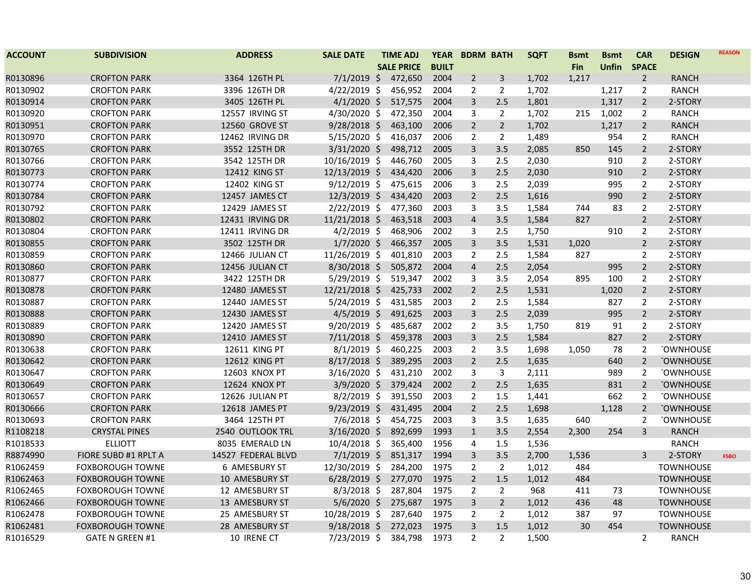| <b>ACCOUNT</b> | <b>SUBDIVISION</b>      | <b>ADDRESS</b>       | <b>SALE DATE</b> | <b>TIME ADJ</b>   | <b>YEAR</b>  |                | <b>BDRM BATH</b> | <b>SQFT</b> | <b>Bsmt</b> | <b>Bsmt</b> | <b>CAR</b>     | <b>DESIGN</b>    | <b>REASON</b> |
|----------------|-------------------------|----------------------|------------------|-------------------|--------------|----------------|------------------|-------------|-------------|-------------|----------------|------------------|---------------|
|                |                         |                      |                  | <b>SALE PRICE</b> | <b>BUILT</b> |                |                  |             | Fin         | Unfin       | <b>SPACE</b>   |                  |               |
| R0130896       | <b>CROFTON PARK</b>     | 3364 126TH PL        | $7/1/2019$ \$    | 472,650           | 2004         | $\overline{2}$ | $\overline{3}$   | 1,702       | 1,217       |             | $\overline{2}$ | <b>RANCH</b>     |               |
| R0130902       | <b>CROFTON PARK</b>     | 3396 126TH DR        | 4/22/2019 \$     | 456,952           | 2004         | 2              | 2                | 1,702       |             | 1,217       | 2              | <b>RANCH</b>     |               |
| R0130914       | <b>CROFTON PARK</b>     | 3405 126TH PL        | $4/1/2020$ \$    | 517,575           | 2004         | 3              | 2.5              | 1,801       |             | 1,317       | $\overline{2}$ | 2-STORY          |               |
| R0130920       | <b>CROFTON PARK</b>     | 12557 IRVING ST      | 4/30/2020 \$     | 472,350           | 2004         | 3              | $\overline{2}$   | 1,702       | 215         | 1,002       | 2              | <b>RANCH</b>     |               |
| R0130951       | <b>CROFTON PARK</b>     | 12560 GROVE ST       | 9/28/2018 \$     | 463,100           | 2006         | $\overline{2}$ | $\overline{2}$   | 1,702       |             | 1,217       | $\overline{2}$ | <b>RANCH</b>     |               |
| R0130970       | <b>CROFTON PARK</b>     | 12462 IRVING DR      | 5/15/2020 \$     | 416,037           | 2006         | $\overline{2}$ | $\overline{2}$   | 1,489       |             | 954         | $\overline{2}$ | <b>RANCH</b>     |               |
| R0130765       | <b>CROFTON PARK</b>     | 3552 125TH DR        | 3/31/2020 \$     | 498,712           | 2005         | $\overline{3}$ | 3.5              | 2,085       | 850         | 145         | $\overline{2}$ | 2-STORY          |               |
| R0130766       | <b>CROFTON PARK</b>     | 3542 125TH DR        | 10/16/2019 \$    | 446,760           | 2005         | 3              | 2.5              | 2,030       |             | 910         | $\overline{2}$ | 2-STORY          |               |
| R0130773       | <b>CROFTON PARK</b>     | 12412 KING ST        | 12/13/2019 \$    | 434,420           | 2006         | $\overline{3}$ | 2.5              | 2,030       |             | 910         | $\overline{2}$ | 2-STORY          |               |
| R0130774       | <b>CROFTON PARK</b>     | 12402 KING ST        | $9/12/2019$ \$   | 475,615           | 2006         | 3              | 2.5              | 2,039       |             | 995         | $\overline{2}$ | 2-STORY          |               |
| R0130784       | <b>CROFTON PARK</b>     | 12457 JAMES CT       | $12/3/2019$ \$   | 434,420           | 2003         | $\overline{2}$ | 2.5              | 1,616       |             | 990         | $\overline{2}$ | 2-STORY          |               |
| R0130792       | <b>CROFTON PARK</b>     | 12429 JAMES ST       | 2/22/2019 \$     | 477,360           | 2003         | 3              | 3.5              | 1,584       | 744         | 83          | $\overline{2}$ | 2-STORY          |               |
| R0130802       | <b>CROFTON PARK</b>     | 12431 IRVING DR      | 11/21/2018 \$    | 463,518           | 2003         | $\overline{4}$ | 3.5              | 1,584       | 827         |             | $\overline{2}$ | 2-STORY          |               |
| R0130804       | <b>CROFTON PARK</b>     | 12411 IRVING DR      | $4/2/2019$ \$    | 468,906           | 2002         | 3              | 2.5              | 1,750       |             | 910         | $\overline{2}$ | 2-STORY          |               |
| R0130855       | <b>CROFTON PARK</b>     | 3502 125TH DR        | $1/7/2020$ \$    | 466,357           | 2005         | 3              | 3.5              | 1,531       | 1,020       |             | $\overline{2}$ | 2-STORY          |               |
| R0130859       | <b>CROFTON PARK</b>     | 12466 JULIAN CT      | 11/26/2019 \$    | 401,810           | 2003         | 2              | 2.5              | 1,584       | 827         |             | $\overline{2}$ | 2-STORY          |               |
| R0130860       | <b>CROFTON PARK</b>     | 12456 JULIAN CT      | 8/30/2018 \$     | 505,872           | 2004         | $\overline{4}$ | 2.5              | 2,054       |             | 995         | $\overline{2}$ | 2-STORY          |               |
| R0130877       | <b>CROFTON PARK</b>     | 3422 125TH DR        | 5/29/2019 \$     | 519,347           | 2002         | 3              | 3.5              | 2,054       | 895         | 100         | $\overline{2}$ | 2-STORY          |               |
| R0130878       | <b>CROFTON PARK</b>     | 12480 JAMES ST       | 12/21/2018 \$    | 425,733           | 2002         | $\overline{2}$ | 2.5              | 1,531       |             | 1,020       | $\overline{2}$ | 2-STORY          |               |
| R0130887       | <b>CROFTON PARK</b>     | 12440 JAMES ST       | $5/24/2019$ \$   | 431,585           | 2003         | 2              | 2.5              | 1,584       |             | 827         | $\overline{2}$ | 2-STORY          |               |
| R0130888       | <b>CROFTON PARK</b>     | 12430 JAMES ST       | $4/5/2019$ \$    | 491,625           | 2003         | $\overline{3}$ | 2.5              | 2,039       |             | 995         | $\overline{2}$ | 2-STORY          |               |
| R0130889       | <b>CROFTON PARK</b>     | 12420 JAMES ST       | 9/20/2019 \$     | 485,687           | 2002         | $\overline{2}$ | 3.5              | 1,750       | 819         | 91          | $\overline{2}$ | 2-STORY          |               |
| R0130890       | <b>CROFTON PARK</b>     | 12410 JAMES ST       | $7/11/2018$ \$   | 459,378           | 2003         | $\overline{3}$ | 2.5              | 1,584       |             | 827         | $\overline{2}$ | 2-STORY          |               |
| R0130638       | <b>CROFTON PARK</b>     | 12611 KING PT        | $8/1/2019$ \$    | 460,225           | 2003         | $\overline{2}$ | 3.5              | 1,698       | 1,050       | 78          | 2              | <b>TOWNHOUSE</b> |               |
| R0130642       | <b>CROFTON PARK</b>     | 12612 KING PT        | 8/17/2018 \$     | 389,295           | 2003         | $\overline{2}$ | 2.5              | 1,635       |             | 640         | $\overline{2}$ | <b>TOWNHOUSE</b> |               |
| R0130647       | <b>CROFTON PARK</b>     | 12603 KNOX PT        | 3/16/2020 \$     | 431,210           | 2002         | $\mathbf{3}$   | $\overline{3}$   | 2,111       |             | 989         | $\overline{2}$ | <b>TOWNHOUSE</b> |               |
| R0130649       | <b>CROFTON PARK</b>     | 12624 KNOX PT        | 3/9/2020 \$      | 379,424           | 2002         | $\overline{2}$ | 2.5              | 1,635       |             | 831         | $\overline{2}$ | <b>TOWNHOUSE</b> |               |
| R0130657       | <b>CROFTON PARK</b>     | 12626 JULIAN PT      | 8/2/2019 \$      | 391,550           | 2003         | $\overline{2}$ | $1.5\,$          | 1,441       |             | 662         | $\overline{2}$ | <b>TOWNHOUSE</b> |               |
| R0130666       | <b>CROFTON PARK</b>     | 12618 JAMES PT       | $9/23/2019$ \$   | 431,495           | 2004         | $\overline{2}$ | 2.5              | 1,698       |             | 1,128       | $\overline{2}$ | <b>TOWNHOUSE</b> |               |
| R0130693       | <b>CROFTON PARK</b>     | 3464 125TH PT        | $7/6/2018$ \$    | 454,725           | 2003         | 3              | 3.5              | 1,635       | 640         |             | $\overline{2}$ | <b>TOWNHOUSE</b> |               |
| R1108218       | <b>CRYSTAL PINES</b>    | 2540 OUTLOOK TRL     | $3/16/2020$ \$   | 892,699           | 1993         | $\mathbf{1}$   | 3.5              | 2,554       | 2,300       | 254         | 3              | <b>RANCH</b>     |               |
| R1018533       | <b>ELLIOTT</b>          | 8035 EMERALD LN      | 10/4/2018 \$     | 365,400           | 1956         | 4              | 1.5              | 1,536       |             |             |                | <b>RANCH</b>     |               |
| R8874990       | FIORE SUBD #1 RPLT A    | 14527 FEDERAL BLVD   | $7/1/2019$ \$    | 851,317           | 1994         | 3              | 3.5              | 2,700       | 1,536       |             | 3              | 2-STORY          | <b>FSBO</b>   |
| R1062459       | <b>FOXBOROUGH TOWNE</b> | <b>6 AMESBURY ST</b> | 12/30/2019 \$    | 284,200           | 1975         | $\overline{2}$ | $\overline{2}$   | 1,012       | 484         |             |                | <b>TOWNHOUSE</b> |               |
| R1062463       | <b>FOXBOROUGH TOWNE</b> | 10 AMESBURY ST       | $6/28/2019$ \$   | 277,070           | 1975         | $2^{1}$        | 1.5              | 1,012       | 484         |             |                | <b>TOWNHOUSE</b> |               |
| R1062465       | <b>FOXBOROUGH TOWNE</b> | 12 AMESBURY ST       | $8/3/2018$ \$    | 287,804           | 1975         | $\overline{2}$ | $\overline{2}$   | 968         | 411         | 73          |                | <b>TOWNHOUSE</b> |               |
| R1062466       | <b>FOXBOROUGH TOWNE</b> | 13 AMESBURY ST       | $5/6/2020$ \$    | 275,687           | 1975         | $\overline{3}$ | $\overline{2}$   | 1,012       | 436         | 48          |                | <b>TOWNHOUSE</b> |               |
| R1062478       | <b>FOXBOROUGH TOWNE</b> | 25 AMESBURY ST       | 10/28/2019 \$    | 287,640           | 1975         | 2              | 2                | 1,012       | 387         | 97          |                | <b>TOWNHOUSE</b> |               |
| R1062481       | <b>FOXBOROUGH TOWNE</b> | 28 AMESBURY ST       | $9/18/2018$ \$   | 272,023           | 1975         | 3              | 1.5              | 1,012       | 30          | 454         |                | <b>TOWNHOUSE</b> |               |
| R1016529       | <b>GATE N GREEN #1</b>  | 10 IRENE CT          | 7/23/2019 \$     | 384,798           | 1973         | $\overline{2}$ | $\overline{2}$   | 1,500       |             |             | $\overline{2}$ | <b>RANCH</b>     |               |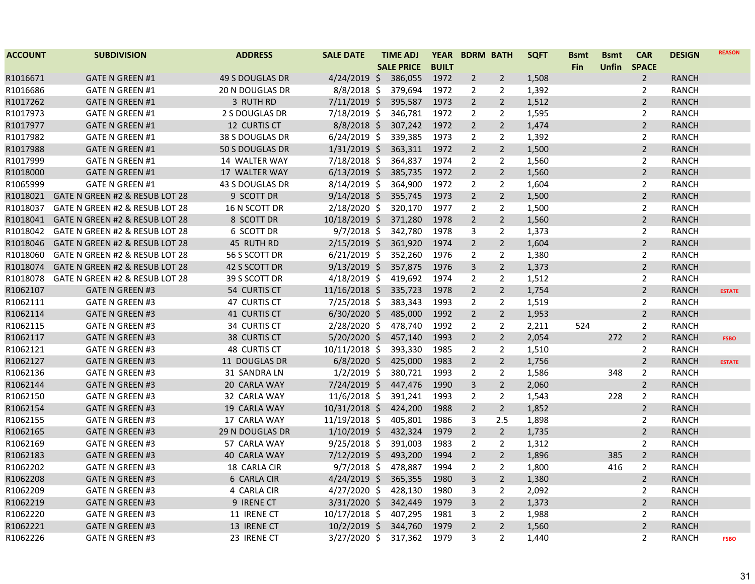| <b>ACCOUNT</b> | <b>SUBDIVISION</b>             | <b>ADDRESS</b>         | <b>SALE DATE</b> | <b>TIME ADJ</b>   | <b>YEAR</b>  | <b>BDRM BATH</b> |                | <b>SQFT</b> | <b>Bsmt</b> | <b>Bsmt</b>  | <b>CAR</b>     | <b>DESIGN</b> | <b>REASON</b> |
|----------------|--------------------------------|------------------------|------------------|-------------------|--------------|------------------|----------------|-------------|-------------|--------------|----------------|---------------|---------------|
|                |                                |                        |                  | <b>SALE PRICE</b> | <b>BUILT</b> |                  |                |             | <b>Fin</b>  | <b>Unfin</b> | <b>SPACE</b>   |               |               |
| R1016671       | <b>GATE N GREEN #1</b>         | <b>49 S DOUGLAS DR</b> | $4/24/2019$ \$   | 386,055           | 1972         | $\overline{2}$   | $\overline{2}$ | 1,508       |             |              | $\overline{2}$ | <b>RANCH</b>  |               |
| R1016686       | <b>GATE N GREEN #1</b>         | <b>20 N DOUGLAS DR</b> | $8/8/2018$ \$    | 379,694           | 1972         | 2                | $\overline{2}$ | 1,392       |             |              | $\overline{2}$ | <b>RANCH</b>  |               |
| R1017262       | <b>GATE N GREEN #1</b>         | 3 RUTH RD              | 7/11/2019 \$     | 395,587           | 1973         | $2^{\circ}$      | $\overline{2}$ | 1,512       |             |              | $\overline{2}$ | RANCH         |               |
| R1017973       | <b>GATE N GREEN #1</b>         | 2 S DOUGLAS DR         | 7/18/2019 \$     | 346,781           | 1972         | $\overline{2}$   | $\overline{2}$ | 1,595       |             |              | $\overline{2}$ | <b>RANCH</b>  |               |
| R1017977       | <b>GATE N GREEN #1</b>         | 12 CURTIS CT           | 8/8/2018 \$      | 307,242           | 1972         | $\overline{2}$   | $\overline{2}$ | 1,474       |             |              | $\overline{2}$ | <b>RANCH</b>  |               |
| R1017982       | <b>GATE N GREEN #1</b>         | 38 S DOUGLAS DR        | $6/24/2019$ \$   | 339,385           | 1973         | $\overline{2}$   | $\overline{2}$ | 1,392       |             |              | 2              | RANCH         |               |
| R1017988       | <b>GATE N GREEN #1</b>         | 50 S DOUGLAS DR        | $1/31/2019$ \$   | 363,311           | 1972         | $\overline{2}$   | $\overline{2}$ | 1,500       |             |              | $\overline{2}$ | RANCH         |               |
| R1017999       | <b>GATE N GREEN #1</b>         | 14 WALTER WAY          | 7/18/2018 \$     | 364,837           | 1974         | $\overline{2}$   | $\overline{2}$ | 1,560       |             |              | $\overline{2}$ | <b>RANCH</b>  |               |
| R1018000       | <b>GATE N GREEN #1</b>         | 17 WALTER WAY          | $6/13/2019$ \$   | 385,735           | 1972         | $\overline{2}$   | $\overline{2}$ | 1,560       |             |              | $\overline{2}$ | <b>RANCH</b>  |               |
| R1065999       | <b>GATE N GREEN #1</b>         | 43 S DOUGLAS DR        | 8/14/2019 \$     | 364,900           | 1972         | $\overline{2}$   | $\overline{2}$ | 1,604       |             |              | $\overline{2}$ | <b>RANCH</b>  |               |
| R1018021       | GATE N GREEN #2 & RESUB LOT 28 | 9 SCOTT DR             | $9/14/2018$ \$   | 355,745           | 1973         | $\overline{2}$   | $\overline{2}$ | 1,500       |             |              | $\overline{2}$ | <b>RANCH</b>  |               |
| R1018037       | GATE N GREEN #2 & RESUB LOT 28 | 16 N SCOTT DR          | $2/18/2020$ \$   | 320,170           | 1977         | $\overline{2}$   | 2              | 1,500       |             |              | $\overline{2}$ | <b>RANCH</b>  |               |
| R1018041       | GATE N GREEN #2 & RESUB LOT 28 | 8 SCOTT DR             | 10/18/2019 \$    | 371,280           | 1978         | $\overline{2}$   | $\overline{2}$ | 1,560       |             |              | $\overline{2}$ | <b>RANCH</b>  |               |
| R1018042       | GATE N GREEN #2 & RESUB LOT 28 | 6 SCOTT DR             | $9/7/2018$ \$    | 342,780           | 1978         | 3                | 2              | 1,373       |             |              | 2              | <b>RANCH</b>  |               |
| R1018046       | GATE N GREEN #2 & RESUB LOT 28 | 45 RUTH RD             | $2/15/2019$ \$   | 361,920           | 1974         | $\overline{2}$   | $\overline{2}$ | 1,604       |             |              | $\overline{2}$ | <b>RANCH</b>  |               |
| R1018060       | GATE N GREEN #2 & RESUB LOT 28 | 56 S SCOTT DR          | $6/21/2019$ \$   | 352,260           | 1976         | 2                | 2              | 1,380       |             |              | 2              | <b>RANCH</b>  |               |
| R1018074       | GATE N GREEN #2 & RESUB LOT 28 | 42 S SCOTT DR          | $9/13/2019$ \$   | 357,875           | 1976         | $\mathbf{3}$     | $\overline{2}$ | 1,373       |             |              | $\overline{2}$ | <b>RANCH</b>  |               |
| R1018078       | GATE N GREEN #2 & RESUB LOT 28 | 39 S SCOTT DR          | 4/18/2019 \$     | 419,692           | 1974         | $\overline{2}$   | 2              | 1,512       |             |              | 2              | <b>RANCH</b>  |               |
| R1062107       | <b>GATE N GREEN #3</b>         | 54 CURTIS CT           | 11/16/2018 \$    | 335,723           | 1978         | $\overline{2}$   | $\overline{2}$ | 1,754       |             |              | $\overline{2}$ | <b>RANCH</b>  | <b>ESTATE</b> |
| R1062111       | <b>GATE N GREEN #3</b>         | 47 CURTIS CT           | 7/25/2018 \$     | 383,343           | 1993         | $\overline{2}$   | 2              | 1,519       |             |              | 2              | <b>RANCH</b>  |               |
| R1062114       | <b>GATE N GREEN #3</b>         | 41 CURTIS CT           | $6/30/2020$ \$   | 485,000           | 1992         | $2^{\circ}$      | $\overline{2}$ | 1,953       |             |              | $\overline{2}$ | <b>RANCH</b>  |               |
| R1062115       | <b>GATE N GREEN #3</b>         | 34 CURTIS CT           | 2/28/2020 \$     | 478,740           | 1992         | $\overline{2}$   | $\overline{2}$ | 2,211       | 524         |              | $\overline{2}$ | <b>RANCH</b>  |               |
| R1062117       | <b>GATE N GREEN #3</b>         | 38 CURTIS CT           | 5/20/2020 \$     | 457,140           | 1993         | $\overline{2}$   | $\overline{2}$ | 2,054       |             | 272          | $\overline{2}$ | <b>RANCH</b>  | <b>FSBO</b>   |
| R1062121       | <b>GATE N GREEN #3</b>         | <b>48 CURTIS CT</b>    | $10/11/2018$ \$  | 393,330           | 1985         | $\overline{2}$   | 2              | 1,510       |             |              | $\overline{2}$ | RANCH         |               |
| R1062127       | <b>GATE N GREEN #3</b>         | 11 DOUGLAS DR          | $6/8/2020$ \$    | 425,000           | 1983         | $\overline{2}$   | $\overline{2}$ | 1,756       |             |              | $\overline{2}$ | RANCH         | <b>ESTATE</b> |
| R1062136       | <b>GATE N GREEN #3</b>         | 31 SANDRA LN           | $1/2/2019$ \$    | 380,721           | 1993         | $\overline{2}$   | 2              | 1,586       |             | 348          | $\overline{2}$ | <b>RANCH</b>  |               |
| R1062144       | <b>GATE N GREEN #3</b>         | 20 CARLA WAY           | 7/24/2019 \$     | 447,476           | 1990         | $\mathbf{3}$     | $\overline{2}$ | 2,060       |             |              | $\overline{2}$ | <b>RANCH</b>  |               |
| R1062150       | <b>GATE N GREEN #3</b>         | 32 CARLA WAY           | 11/6/2018 \$     | 391,241           | 1993         | $\overline{2}$   | $\overline{2}$ | 1,543       |             | 228          | $\overline{2}$ | <b>RANCH</b>  |               |
| R1062154       | <b>GATE N GREEN #3</b>         | 19 CARLA WAY           | 10/31/2018 \$    | 424,200           | 1988         | $\overline{2}$   | $\overline{2}$ | 1,852       |             |              | $\overline{2}$ | <b>RANCH</b>  |               |
| R1062155       | <b>GATE N GREEN #3</b>         | 17 CARLA WAY           | 11/19/2018 \$    | 405,801           | 1986         | 3                | 2.5            | 1,898       |             |              | $\overline{2}$ | <b>RANCH</b>  |               |
| R1062165       | <b>GATE N GREEN #3</b>         | 29 N DOUGLAS DR        | $1/10/2019$ \$   | 432,324           | 1979         | $\overline{2}$   | $\overline{2}$ | 1,735       |             |              | $\overline{2}$ | <b>RANCH</b>  |               |
| R1062169       | <b>GATE N GREEN #3</b>         | 57 CARLA WAY           | $9/25/2018$ \$   | 391,003           | 1983         | $\overline{2}$   | 2              | 1,312       |             |              | 2              | <b>RANCH</b>  |               |
| R1062183       | <b>GATE N GREEN #3</b>         | 40 CARLA WAY           | 7/12/2019 \$     | 493,200           | 1994         | $\overline{2}$   | $\overline{2}$ | 1,896       |             | 385          | $\overline{2}$ | <b>RANCH</b>  |               |
| R1062202       | <b>GATE N GREEN #3</b>         | 18 CARLA CIR           | $9/7/2018$ \$    | 478,887           | 1994         | 2                | 2              | 1,800       |             | 416          | 2              | <b>RANCH</b>  |               |
| R1062208       | <b>GATE N GREEN #3</b>         | 6 CARLA CIR            | $4/24/2019$ \$   | 365,355           | 1980         | $\mathbf{3}$     | $\overline{2}$ | 1,380       |             |              | $\overline{2}$ | <b>RANCH</b>  |               |
| R1062209       | <b>GATE N GREEN #3</b>         | 4 CARLA CIR            | 4/27/2020 \$     | 428,130           | 1980         | 3                | 2              | 2,092       |             |              | 2              | <b>RANCH</b>  |               |
| R1062219       | <b>GATE N GREEN #3</b>         | 9 IRENE CT             | 3/31/2020 \$     | 342,449           | 1979         | $\mathbf{3}$     | $\overline{2}$ | 1,373       |             |              | $\overline{2}$ | <b>RANCH</b>  |               |
| R1062220       | <b>GATE N GREEN #3</b>         | 11 IRENE CT            | 10/17/2018 \$    | 407,295           | 1981         | 3                | 2              | 1,988       |             |              | 2              | <b>RANCH</b>  |               |
| R1062221       | <b>GATE N GREEN #3</b>         | 13 IRENE CT            | 10/2/2019 \$     | 344,760           | 1979         | $\overline{2}$   | $\overline{2}$ | 1,560       |             |              | $\overline{2}$ | <b>RANCH</b>  |               |
| R1062226       | <b>GATE N GREEN #3</b>         | 23 IRENE CT            | 3/27/2020 \$     | 317,362           | 1979         | 3                | $\overline{2}$ | 1,440       |             |              | $\overline{2}$ | RANCH         | <b>FSBO</b>   |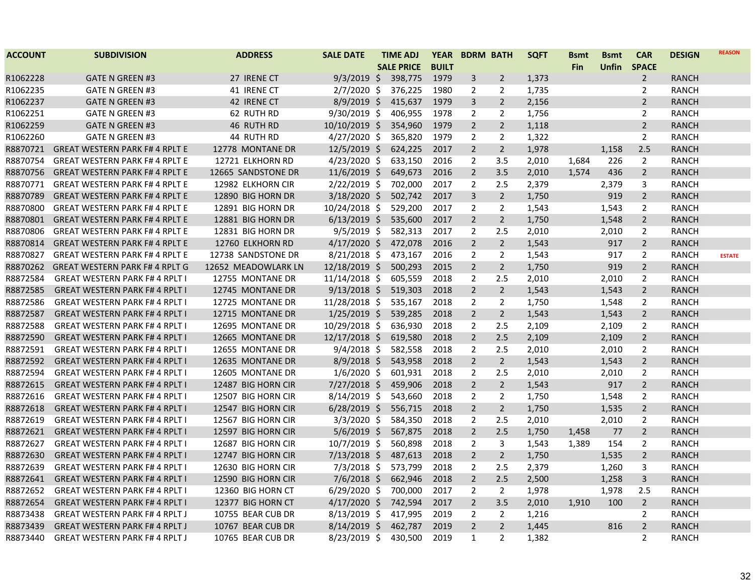| <b>SALE PRICE</b><br><b>BUILT</b><br><b>Unfin</b><br><b>SPACE</b><br><b>Fin</b><br>$9/3/2019$ \$<br>398,775<br>1979<br>1,373<br>R1062228<br><b>GATE N GREEN #3</b><br>27 IRENE CT<br>3<br>$\overline{2}$<br>$\overline{2}$<br><b>RANCH</b><br>R1062235<br>$2/7/2020$ \$<br>376,225<br>1980<br>2<br>1,735<br>$\overline{2}$<br><b>RANCH</b><br><b>GATE N GREEN #3</b><br>41 IRENE CT<br>2<br>R1062237<br>3<br>$\overline{2}$<br>2,156<br>$\overline{2}$<br><b>GATE N GREEN #3</b><br>42 IRENE CT<br>$8/9/2019$ \$<br>415,637<br>1979<br><b>RANCH</b><br>R1062251<br><b>GATE N GREEN #3</b><br>62 RUTH RD<br>$9/30/2019$ \$<br>406,955<br>1978<br>$\overline{2}$<br>$\overline{2}$<br>1,756<br>2<br><b>RANCH</b><br>R1062259<br>10/10/2019 \$<br>354,960<br>1979<br>$\overline{2}$<br>$\overline{2}$<br>1,118<br>$\overline{2}$<br><b>GATE N GREEN #3</b><br>46 RUTH RD<br><b>RANCH</b><br>R1062260<br><b>GATE N GREEN #3</b><br>44 RUTH RD<br>$4/27/2020$ \$<br>365,820<br>1979<br>$\overline{2}$<br>$\overline{2}$<br>1,322<br>$\overline{2}$<br>RANCH<br>12/5/2019 \$<br>624,225<br>2017<br>2.5<br>R8870721<br><b>GREAT WESTERN PARK F# 4 RPLT E</b><br>12778 MONTANE DR<br>$\overline{2}$<br>$\overline{2}$<br>1,978<br>1,158<br><b>RANCH</b><br>$\overline{2}$<br>R8870754<br><b>GREAT WESTERN PARK F#4 RPLT E</b><br>$4/23/2020$ \$<br>633,150<br>2016<br>3.5<br>2,010<br>226<br>$\overline{2}$<br><b>RANCH</b><br>12721 ELKHORN RD<br>1,684<br>11/6/2019 \$<br>649,673<br>2016<br>$\overline{2}$<br>3.5<br>2,010<br>1,574<br>$\overline{2}$<br><b>RANCH</b><br>R8870756<br><b>GREAT WESTERN PARK F# 4 RPLT E</b><br>12665 SANDSTONE DR<br>436<br>2/22/2019 \$<br>$\overline{2}$<br>R8870771<br><b>GREAT WESTERN PARK F# 4 RPLT E</b><br>12982 ELKHORN CIR<br>702,000<br>2017<br>2.5<br>2,379<br>2,379<br>3<br><b>RANCH</b><br>R8870789<br><b>GREAT WESTERN PARK F# 4 RPLT E</b><br>3/18/2020 \$<br>502,742<br>2017<br>3<br>$\overline{2}$<br>1,750<br>919<br>$\overline{2}$<br><b>RANCH</b><br>12890 BIG HORN DR<br>R8870800<br>10/24/2018 \$<br>529,200<br>2017<br>$\overline{2}$<br>1,543<br>$\overline{2}$<br><b>GREAT WESTERN PARK F# 4 RPLT E</b><br>12891 BIG HORN DR<br>2<br>1,543<br><b>RANCH</b><br>R8870801<br><b>GREAT WESTERN PARK F# 4 RPLT E</b><br>12881 BIG HORN DR<br>$6/13/2019$ \$<br>535,600<br>2017<br>$\overline{2}$<br>$\overline{2}$<br>1,750<br>1,548<br>$\overline{2}$<br><b>RANCH</b><br>R8870806<br>$9/5/2019$ \$<br>582,313<br>2017<br>2,010<br><b>GREAT WESTERN PARK F#4 RPLT E</b><br>12831 BIG HORN DR<br>$\overline{2}$<br>2.5<br>2,010<br>$\overline{2}$<br><b>RANCH</b><br>R8870814<br><b>GREAT WESTERN PARK F#4 RPLT E</b><br>12760 ELKHORN RD<br>$4/17/2020$ \$<br>472,078<br>2016<br>$\overline{2}$<br>$\overline{2}$<br>1,543<br>917<br>$\overline{2}$<br><b>RANCH</b><br>R8870827<br><b>GREAT WESTERN PARK F# 4 RPLT E</b><br>$8/21/2018$ \$<br>473,167<br>2016<br>$\overline{2}$<br>1,543<br>917<br>2<br><b>RANCH</b><br>12738 SANDSTONE DR<br>2<br><b>ESTATE</b><br>$\overline{2}$<br>$\overline{2}$<br>R8870262<br><b>GREAT WESTERN PARK F# 4 RPLT G</b><br>12/18/2019 \$<br>500,293<br>2015<br>$\overline{2}$<br>1,750<br>919<br>RANCH<br>12652 MEADOWLARK LN<br>R8872584<br>2,010<br><b>GREAT WESTERN PARK F# 4 RPLT I</b><br>12755 MONTANE DR<br>11/14/2018 \$<br>605,559<br>2018<br>2<br>2.5<br>2,010<br>2<br><b>RANCH</b><br>$\overline{2}$<br>1,543<br>R8872585<br><b>GREAT WESTERN PARK F# 4 RPLT I</b><br>12745 MONTANE DR<br>$9/13/2018$ \$<br>519,303<br>2018<br>$\overline{2}$<br>1,543<br>$\overline{2}$<br><b>RANCH</b><br>R8872586<br>11/28/2018 \$<br>535,167<br>2018<br>1,750<br><b>GREAT WESTERN PARK F# 4 RPLT I</b><br>12725 MONTANE DR<br>2<br>2<br>1,548<br>2<br><b>RANCH</b><br>2018<br>$\overline{2}$<br>$\overline{2}$<br>1,543<br>$\overline{2}$<br>R8872587<br><b>GREAT WESTERN PARK F# 4 RPLT I</b><br>12715 MONTANE DR<br>$1/25/2019$ \$<br>539,285<br>1,543<br><b>RANCH</b><br>R8872588<br><b>GREAT WESTERN PARK F# 4 RPLT I</b><br>12695 MONTANE DR<br>10/29/2018 \$<br>636,930<br>2018<br>$\overline{2}$<br>2.5<br>2,109<br>2,109<br>2<br><b>RANCH</b><br>R8872590<br>12/17/2018 \$<br>619,580<br>2018<br>$\overline{2}$<br>2.5<br>2,109<br>$\overline{2}$<br><b>GREAT WESTERN PARK F# 4 RPLT I</b><br>12665 MONTANE DR<br>2,109<br><b>RANCH</b><br>R8872591<br><b>GREAT WESTERN PARK F# 4 RPLT I</b><br>12655 MONTANE DR<br>$9/4/2018$ \$<br>582,558<br>2018<br>$\overline{2}$<br>2.5<br>2,010<br>2,010<br>$\overline{2}$<br><b>RANCH</b><br>R8872592<br><b>GREAT WESTERN PARK F# 4 RPLT I</b><br>$8/9/2018$ \$<br>543,958<br>2018<br>$\overline{2}$<br>$\overline{2}$<br>1,543<br>$\overline{2}$<br>12635 MONTANE DR<br>1,543<br><b>RANCH</b><br>R8872594<br><b>GREAT WESTERN PARK F# 4 RPLT I</b><br>12605 MONTANE DR<br>$1/6/2020$ \$<br>601,931<br>2018<br>$\overline{2}$<br>2.5<br>2,010<br>2,010<br>$\overline{2}$<br><b>RANCH</b><br>R8872615<br>$7/27/2018$ \$<br>459,906<br>$\overline{2}$<br>$\overline{2}$<br>1,543<br>$\overline{2}$<br><b>GREAT WESTERN PARK F# 4 RPLT I</b><br>12487 BIG HORN CIR<br>2018<br>917<br><b>RANCH</b><br>R8872616<br>12507 BIG HORN CIR<br>$8/14/2019$ \$<br>2018<br>$\overline{2}$<br>$\overline{2}$<br>1,750<br>1,548<br>$\overline{2}$<br><b>GREAT WESTERN PARK F# 4 RPLT I</b><br>543,660<br><b>RANCH</b><br>R8872618<br><b>GREAT WESTERN PARK F# 4 RPLT I</b><br>12547 BIG HORN CIR<br>$6/28/2019$ \$<br>556,715<br>2018<br>$\overline{2}$<br>$\overline{2}$<br>1,750<br>1,535<br>$\overline{2}$<br><b>RANCH</b><br>R8872619<br><b>GREAT WESTERN PARK F# 4 RPLT I</b><br>12567 BIG HORN CIR<br>$3/3/2020$ \$<br>584,350<br>2018<br>$\overline{2}$<br>2.5<br>2,010<br>2,010<br>$\overline{2}$<br><b>RANCH</b><br>R8872621<br>$5/6/2019$ \$<br>567,875<br>2018<br>$\overline{2}$<br>2.5<br>77<br>$\overline{2}$<br><b>RANCH</b><br><b>GREAT WESTERN PARK F# 4 RPLT I</b><br>12597 BIG HORN CIR<br>1,458 | <b>ACCOUNT</b> | <b>SUBDIVISION</b> | <b>ADDRESS</b> | <b>SALE DATE</b> | TIME ADJ | <b>YEAR</b> | <b>BDRM BATH</b> | <b>SQFT</b> | <b>Bsmt</b> | <b>Bsmt</b> | <b>CAR</b> | <b>DESIGN</b> | <b>REASON</b> |
|-------------------------------------------------------------------------------------------------------------------------------------------------------------------------------------------------------------------------------------------------------------------------------------------------------------------------------------------------------------------------------------------------------------------------------------------------------------------------------------------------------------------------------------------------------------------------------------------------------------------------------------------------------------------------------------------------------------------------------------------------------------------------------------------------------------------------------------------------------------------------------------------------------------------------------------------------------------------------------------------------------------------------------------------------------------------------------------------------------------------------------------------------------------------------------------------------------------------------------------------------------------------------------------------------------------------------------------------------------------------------------------------------------------------------------------------------------------------------------------------------------------------------------------------------------------------------------------------------------------------------------------------------------------------------------------------------------------------------------------------------------------------------------------------------------------------------------------------------------------------------------------------------------------------------------------------------------------------------------------------------------------------------------------------------------------------------------------------------------------------------------------------------------------------------------------------------------------------------------------------------------------------------------------------------------------------------------------------------------------------------------------------------------------------------------------------------------------------------------------------------------------------------------------------------------------------------------------------------------------------------------------------------------------------------------------------------------------------------------------------------------------------------------------------------------------------------------------------------------------------------------------------------------------------------------------------------------------------------------------------------------------------------------------------------------------------------------------------------------------------------------------------------------------------------------------------------------------------------------------------------------------------------------------------------------------------------------------------------------------------------------------------------------------------------------------------------------------------------------------------------------------------------------------------------------------------------------------------------------------------------------------------------------------------------------------------------------------------------------------------------------------------------------------------------------------------------------------------------------------------------------------------------------------------------------------------------------------------------------------------------------------------------------------------------------------------------------------------------------------------------------------------------------------------------------------------------------------------------------------------------------------------------------------------------------------------------------------------------------------------------------------------------------------------------------------------------------------------------------------------------------------------------------------------------------------------------------------------------------------------------------------------------------------------------------------------------------------------------------------------------------------------------------------------------------------------------------------------------------------------------------------------------------------------------------------------------------------------------------------------------------------------------------------------------------------------------------------------------------------------------------------------------------------------------------------------------------------------------------------------------------------------------------------------------------------------------------------------------------------------------------------------------------------------------------------------------------------------------------------------------------------------------------------------------------------------------------------------------------------------------------------------------------------------------------------------------------------------------------------------------------------------------------------------------------------------------------------------------------------------------------------------------------------------------------------|----------------|--------------------|----------------|------------------|----------|-------------|------------------|-------------|-------------|-------------|------------|---------------|---------------|
|                                                                                                                                                                                                                                                                                                                                                                                                                                                                                                                                                                                                                                                                                                                                                                                                                                                                                                                                                                                                                                                                                                                                                                                                                                                                                                                                                                                                                                                                                                                                                                                                                                                                                                                                                                                                                                                                                                                                                                                                                                                                                                                                                                                                                                                                                                                                                                                                                                                                                                                                                                                                                                                                                                                                                                                                                                                                                                                                                                                                                                                                                                                                                                                                                                                                                                                                                                                                                                                                                                                                                                                                                                                                                                                                                                                                                                                                                                                                                                                                                                                                                                                                                                                                                                                                                                                                                                                                                                                                                                                                                                                                                                                                                                                                                                                                                                                                                                                                                                                                                                                                                                                                                                                                                                                                                                                                                                                                                                                                                                                                                                                                                                                                                                                                                                                                                                                                                                                                     |                |                    |                |                  |          |             |                  |             |             |             |            |               |               |
|                                                                                                                                                                                                                                                                                                                                                                                                                                                                                                                                                                                                                                                                                                                                                                                                                                                                                                                                                                                                                                                                                                                                                                                                                                                                                                                                                                                                                                                                                                                                                                                                                                                                                                                                                                                                                                                                                                                                                                                                                                                                                                                                                                                                                                                                                                                                                                                                                                                                                                                                                                                                                                                                                                                                                                                                                                                                                                                                                                                                                                                                                                                                                                                                                                                                                                                                                                                                                                                                                                                                                                                                                                                                                                                                                                                                                                                                                                                                                                                                                                                                                                                                                                                                                                                                                                                                                                                                                                                                                                                                                                                                                                                                                                                                                                                                                                                                                                                                                                                                                                                                                                                                                                                                                                                                                                                                                                                                                                                                                                                                                                                                                                                                                                                                                                                                                                                                                                                                     |                |                    |                |                  |          |             |                  |             |             |             |            |               |               |
|                                                                                                                                                                                                                                                                                                                                                                                                                                                                                                                                                                                                                                                                                                                                                                                                                                                                                                                                                                                                                                                                                                                                                                                                                                                                                                                                                                                                                                                                                                                                                                                                                                                                                                                                                                                                                                                                                                                                                                                                                                                                                                                                                                                                                                                                                                                                                                                                                                                                                                                                                                                                                                                                                                                                                                                                                                                                                                                                                                                                                                                                                                                                                                                                                                                                                                                                                                                                                                                                                                                                                                                                                                                                                                                                                                                                                                                                                                                                                                                                                                                                                                                                                                                                                                                                                                                                                                                                                                                                                                                                                                                                                                                                                                                                                                                                                                                                                                                                                                                                                                                                                                                                                                                                                                                                                                                                                                                                                                                                                                                                                                                                                                                                                                                                                                                                                                                                                                                                     |                |                    |                |                  |          |             |                  |             |             |             |            |               |               |
|                                                                                                                                                                                                                                                                                                                                                                                                                                                                                                                                                                                                                                                                                                                                                                                                                                                                                                                                                                                                                                                                                                                                                                                                                                                                                                                                                                                                                                                                                                                                                                                                                                                                                                                                                                                                                                                                                                                                                                                                                                                                                                                                                                                                                                                                                                                                                                                                                                                                                                                                                                                                                                                                                                                                                                                                                                                                                                                                                                                                                                                                                                                                                                                                                                                                                                                                                                                                                                                                                                                                                                                                                                                                                                                                                                                                                                                                                                                                                                                                                                                                                                                                                                                                                                                                                                                                                                                                                                                                                                                                                                                                                                                                                                                                                                                                                                                                                                                                                                                                                                                                                                                                                                                                                                                                                                                                                                                                                                                                                                                                                                                                                                                                                                                                                                                                                                                                                                                                     |                |                    |                |                  |          |             |                  |             |             |             |            |               |               |
|                                                                                                                                                                                                                                                                                                                                                                                                                                                                                                                                                                                                                                                                                                                                                                                                                                                                                                                                                                                                                                                                                                                                                                                                                                                                                                                                                                                                                                                                                                                                                                                                                                                                                                                                                                                                                                                                                                                                                                                                                                                                                                                                                                                                                                                                                                                                                                                                                                                                                                                                                                                                                                                                                                                                                                                                                                                                                                                                                                                                                                                                                                                                                                                                                                                                                                                                                                                                                                                                                                                                                                                                                                                                                                                                                                                                                                                                                                                                                                                                                                                                                                                                                                                                                                                                                                                                                                                                                                                                                                                                                                                                                                                                                                                                                                                                                                                                                                                                                                                                                                                                                                                                                                                                                                                                                                                                                                                                                                                                                                                                                                                                                                                                                                                                                                                                                                                                                                                                     |                |                    |                |                  |          |             |                  |             |             |             |            |               |               |
|                                                                                                                                                                                                                                                                                                                                                                                                                                                                                                                                                                                                                                                                                                                                                                                                                                                                                                                                                                                                                                                                                                                                                                                                                                                                                                                                                                                                                                                                                                                                                                                                                                                                                                                                                                                                                                                                                                                                                                                                                                                                                                                                                                                                                                                                                                                                                                                                                                                                                                                                                                                                                                                                                                                                                                                                                                                                                                                                                                                                                                                                                                                                                                                                                                                                                                                                                                                                                                                                                                                                                                                                                                                                                                                                                                                                                                                                                                                                                                                                                                                                                                                                                                                                                                                                                                                                                                                                                                                                                                                                                                                                                                                                                                                                                                                                                                                                                                                                                                                                                                                                                                                                                                                                                                                                                                                                                                                                                                                                                                                                                                                                                                                                                                                                                                                                                                                                                                                                     |                |                    |                |                  |          |             |                  |             |             |             |            |               |               |
|                                                                                                                                                                                                                                                                                                                                                                                                                                                                                                                                                                                                                                                                                                                                                                                                                                                                                                                                                                                                                                                                                                                                                                                                                                                                                                                                                                                                                                                                                                                                                                                                                                                                                                                                                                                                                                                                                                                                                                                                                                                                                                                                                                                                                                                                                                                                                                                                                                                                                                                                                                                                                                                                                                                                                                                                                                                                                                                                                                                                                                                                                                                                                                                                                                                                                                                                                                                                                                                                                                                                                                                                                                                                                                                                                                                                                                                                                                                                                                                                                                                                                                                                                                                                                                                                                                                                                                                                                                                                                                                                                                                                                                                                                                                                                                                                                                                                                                                                                                                                                                                                                                                                                                                                                                                                                                                                                                                                                                                                                                                                                                                                                                                                                                                                                                                                                                                                                                                                     |                |                    |                |                  |          |             |                  |             |             |             |            |               |               |
|                                                                                                                                                                                                                                                                                                                                                                                                                                                                                                                                                                                                                                                                                                                                                                                                                                                                                                                                                                                                                                                                                                                                                                                                                                                                                                                                                                                                                                                                                                                                                                                                                                                                                                                                                                                                                                                                                                                                                                                                                                                                                                                                                                                                                                                                                                                                                                                                                                                                                                                                                                                                                                                                                                                                                                                                                                                                                                                                                                                                                                                                                                                                                                                                                                                                                                                                                                                                                                                                                                                                                                                                                                                                                                                                                                                                                                                                                                                                                                                                                                                                                                                                                                                                                                                                                                                                                                                                                                                                                                                                                                                                                                                                                                                                                                                                                                                                                                                                                                                                                                                                                                                                                                                                                                                                                                                                                                                                                                                                                                                                                                                                                                                                                                                                                                                                                                                                                                                                     |                |                    |                |                  |          |             |                  |             |             |             |            |               |               |
|                                                                                                                                                                                                                                                                                                                                                                                                                                                                                                                                                                                                                                                                                                                                                                                                                                                                                                                                                                                                                                                                                                                                                                                                                                                                                                                                                                                                                                                                                                                                                                                                                                                                                                                                                                                                                                                                                                                                                                                                                                                                                                                                                                                                                                                                                                                                                                                                                                                                                                                                                                                                                                                                                                                                                                                                                                                                                                                                                                                                                                                                                                                                                                                                                                                                                                                                                                                                                                                                                                                                                                                                                                                                                                                                                                                                                                                                                                                                                                                                                                                                                                                                                                                                                                                                                                                                                                                                                                                                                                                                                                                                                                                                                                                                                                                                                                                                                                                                                                                                                                                                                                                                                                                                                                                                                                                                                                                                                                                                                                                                                                                                                                                                                                                                                                                                                                                                                                                                     |                |                    |                |                  |          |             |                  |             |             |             |            |               |               |
|                                                                                                                                                                                                                                                                                                                                                                                                                                                                                                                                                                                                                                                                                                                                                                                                                                                                                                                                                                                                                                                                                                                                                                                                                                                                                                                                                                                                                                                                                                                                                                                                                                                                                                                                                                                                                                                                                                                                                                                                                                                                                                                                                                                                                                                                                                                                                                                                                                                                                                                                                                                                                                                                                                                                                                                                                                                                                                                                                                                                                                                                                                                                                                                                                                                                                                                                                                                                                                                                                                                                                                                                                                                                                                                                                                                                                                                                                                                                                                                                                                                                                                                                                                                                                                                                                                                                                                                                                                                                                                                                                                                                                                                                                                                                                                                                                                                                                                                                                                                                                                                                                                                                                                                                                                                                                                                                                                                                                                                                                                                                                                                                                                                                                                                                                                                                                                                                                                                                     |                |                    |                |                  |          |             |                  |             |             |             |            |               |               |
|                                                                                                                                                                                                                                                                                                                                                                                                                                                                                                                                                                                                                                                                                                                                                                                                                                                                                                                                                                                                                                                                                                                                                                                                                                                                                                                                                                                                                                                                                                                                                                                                                                                                                                                                                                                                                                                                                                                                                                                                                                                                                                                                                                                                                                                                                                                                                                                                                                                                                                                                                                                                                                                                                                                                                                                                                                                                                                                                                                                                                                                                                                                                                                                                                                                                                                                                                                                                                                                                                                                                                                                                                                                                                                                                                                                                                                                                                                                                                                                                                                                                                                                                                                                                                                                                                                                                                                                                                                                                                                                                                                                                                                                                                                                                                                                                                                                                                                                                                                                                                                                                                                                                                                                                                                                                                                                                                                                                                                                                                                                                                                                                                                                                                                                                                                                                                                                                                                                                     |                |                    |                |                  |          |             |                  |             |             |             |            |               |               |
|                                                                                                                                                                                                                                                                                                                                                                                                                                                                                                                                                                                                                                                                                                                                                                                                                                                                                                                                                                                                                                                                                                                                                                                                                                                                                                                                                                                                                                                                                                                                                                                                                                                                                                                                                                                                                                                                                                                                                                                                                                                                                                                                                                                                                                                                                                                                                                                                                                                                                                                                                                                                                                                                                                                                                                                                                                                                                                                                                                                                                                                                                                                                                                                                                                                                                                                                                                                                                                                                                                                                                                                                                                                                                                                                                                                                                                                                                                                                                                                                                                                                                                                                                                                                                                                                                                                                                                                                                                                                                                                                                                                                                                                                                                                                                                                                                                                                                                                                                                                                                                                                                                                                                                                                                                                                                                                                                                                                                                                                                                                                                                                                                                                                                                                                                                                                                                                                                                                                     |                |                    |                |                  |          |             |                  |             |             |             |            |               |               |
|                                                                                                                                                                                                                                                                                                                                                                                                                                                                                                                                                                                                                                                                                                                                                                                                                                                                                                                                                                                                                                                                                                                                                                                                                                                                                                                                                                                                                                                                                                                                                                                                                                                                                                                                                                                                                                                                                                                                                                                                                                                                                                                                                                                                                                                                                                                                                                                                                                                                                                                                                                                                                                                                                                                                                                                                                                                                                                                                                                                                                                                                                                                                                                                                                                                                                                                                                                                                                                                                                                                                                                                                                                                                                                                                                                                                                                                                                                                                                                                                                                                                                                                                                                                                                                                                                                                                                                                                                                                                                                                                                                                                                                                                                                                                                                                                                                                                                                                                                                                                                                                                                                                                                                                                                                                                                                                                                                                                                                                                                                                                                                                                                                                                                                                                                                                                                                                                                                                                     |                |                    |                |                  |          |             |                  |             |             |             |            |               |               |
|                                                                                                                                                                                                                                                                                                                                                                                                                                                                                                                                                                                                                                                                                                                                                                                                                                                                                                                                                                                                                                                                                                                                                                                                                                                                                                                                                                                                                                                                                                                                                                                                                                                                                                                                                                                                                                                                                                                                                                                                                                                                                                                                                                                                                                                                                                                                                                                                                                                                                                                                                                                                                                                                                                                                                                                                                                                                                                                                                                                                                                                                                                                                                                                                                                                                                                                                                                                                                                                                                                                                                                                                                                                                                                                                                                                                                                                                                                                                                                                                                                                                                                                                                                                                                                                                                                                                                                                                                                                                                                                                                                                                                                                                                                                                                                                                                                                                                                                                                                                                                                                                                                                                                                                                                                                                                                                                                                                                                                                                                                                                                                                                                                                                                                                                                                                                                                                                                                                                     |                |                    |                |                  |          |             |                  |             |             |             |            |               |               |
|                                                                                                                                                                                                                                                                                                                                                                                                                                                                                                                                                                                                                                                                                                                                                                                                                                                                                                                                                                                                                                                                                                                                                                                                                                                                                                                                                                                                                                                                                                                                                                                                                                                                                                                                                                                                                                                                                                                                                                                                                                                                                                                                                                                                                                                                                                                                                                                                                                                                                                                                                                                                                                                                                                                                                                                                                                                                                                                                                                                                                                                                                                                                                                                                                                                                                                                                                                                                                                                                                                                                                                                                                                                                                                                                                                                                                                                                                                                                                                                                                                                                                                                                                                                                                                                                                                                                                                                                                                                                                                                                                                                                                                                                                                                                                                                                                                                                                                                                                                                                                                                                                                                                                                                                                                                                                                                                                                                                                                                                                                                                                                                                                                                                                                                                                                                                                                                                                                                                     |                |                    |                |                  |          |             |                  |             |             |             |            |               |               |
|                                                                                                                                                                                                                                                                                                                                                                                                                                                                                                                                                                                                                                                                                                                                                                                                                                                                                                                                                                                                                                                                                                                                                                                                                                                                                                                                                                                                                                                                                                                                                                                                                                                                                                                                                                                                                                                                                                                                                                                                                                                                                                                                                                                                                                                                                                                                                                                                                                                                                                                                                                                                                                                                                                                                                                                                                                                                                                                                                                                                                                                                                                                                                                                                                                                                                                                                                                                                                                                                                                                                                                                                                                                                                                                                                                                                                                                                                                                                                                                                                                                                                                                                                                                                                                                                                                                                                                                                                                                                                                                                                                                                                                                                                                                                                                                                                                                                                                                                                                                                                                                                                                                                                                                                                                                                                                                                                                                                                                                                                                                                                                                                                                                                                                                                                                                                                                                                                                                                     |                |                    |                |                  |          |             |                  |             |             |             |            |               |               |
|                                                                                                                                                                                                                                                                                                                                                                                                                                                                                                                                                                                                                                                                                                                                                                                                                                                                                                                                                                                                                                                                                                                                                                                                                                                                                                                                                                                                                                                                                                                                                                                                                                                                                                                                                                                                                                                                                                                                                                                                                                                                                                                                                                                                                                                                                                                                                                                                                                                                                                                                                                                                                                                                                                                                                                                                                                                                                                                                                                                                                                                                                                                                                                                                                                                                                                                                                                                                                                                                                                                                                                                                                                                                                                                                                                                                                                                                                                                                                                                                                                                                                                                                                                                                                                                                                                                                                                                                                                                                                                                                                                                                                                                                                                                                                                                                                                                                                                                                                                                                                                                                                                                                                                                                                                                                                                                                                                                                                                                                                                                                                                                                                                                                                                                                                                                                                                                                                                                                     |                |                    |                |                  |          |             |                  |             |             |             |            |               |               |
|                                                                                                                                                                                                                                                                                                                                                                                                                                                                                                                                                                                                                                                                                                                                                                                                                                                                                                                                                                                                                                                                                                                                                                                                                                                                                                                                                                                                                                                                                                                                                                                                                                                                                                                                                                                                                                                                                                                                                                                                                                                                                                                                                                                                                                                                                                                                                                                                                                                                                                                                                                                                                                                                                                                                                                                                                                                                                                                                                                                                                                                                                                                                                                                                                                                                                                                                                                                                                                                                                                                                                                                                                                                                                                                                                                                                                                                                                                                                                                                                                                                                                                                                                                                                                                                                                                                                                                                                                                                                                                                                                                                                                                                                                                                                                                                                                                                                                                                                                                                                                                                                                                                                                                                                                                                                                                                                                                                                                                                                                                                                                                                                                                                                                                                                                                                                                                                                                                                                     |                |                    |                |                  |          |             |                  |             |             |             |            |               |               |
|                                                                                                                                                                                                                                                                                                                                                                                                                                                                                                                                                                                                                                                                                                                                                                                                                                                                                                                                                                                                                                                                                                                                                                                                                                                                                                                                                                                                                                                                                                                                                                                                                                                                                                                                                                                                                                                                                                                                                                                                                                                                                                                                                                                                                                                                                                                                                                                                                                                                                                                                                                                                                                                                                                                                                                                                                                                                                                                                                                                                                                                                                                                                                                                                                                                                                                                                                                                                                                                                                                                                                                                                                                                                                                                                                                                                                                                                                                                                                                                                                                                                                                                                                                                                                                                                                                                                                                                                                                                                                                                                                                                                                                                                                                                                                                                                                                                                                                                                                                                                                                                                                                                                                                                                                                                                                                                                                                                                                                                                                                                                                                                                                                                                                                                                                                                                                                                                                                                                     |                |                    |                |                  |          |             |                  |             |             |             |            |               |               |
|                                                                                                                                                                                                                                                                                                                                                                                                                                                                                                                                                                                                                                                                                                                                                                                                                                                                                                                                                                                                                                                                                                                                                                                                                                                                                                                                                                                                                                                                                                                                                                                                                                                                                                                                                                                                                                                                                                                                                                                                                                                                                                                                                                                                                                                                                                                                                                                                                                                                                                                                                                                                                                                                                                                                                                                                                                                                                                                                                                                                                                                                                                                                                                                                                                                                                                                                                                                                                                                                                                                                                                                                                                                                                                                                                                                                                                                                                                                                                                                                                                                                                                                                                                                                                                                                                                                                                                                                                                                                                                                                                                                                                                                                                                                                                                                                                                                                                                                                                                                                                                                                                                                                                                                                                                                                                                                                                                                                                                                                                                                                                                                                                                                                                                                                                                                                                                                                                                                                     |                |                    |                |                  |          |             |                  |             |             |             |            |               |               |
|                                                                                                                                                                                                                                                                                                                                                                                                                                                                                                                                                                                                                                                                                                                                                                                                                                                                                                                                                                                                                                                                                                                                                                                                                                                                                                                                                                                                                                                                                                                                                                                                                                                                                                                                                                                                                                                                                                                                                                                                                                                                                                                                                                                                                                                                                                                                                                                                                                                                                                                                                                                                                                                                                                                                                                                                                                                                                                                                                                                                                                                                                                                                                                                                                                                                                                                                                                                                                                                                                                                                                                                                                                                                                                                                                                                                                                                                                                                                                                                                                                                                                                                                                                                                                                                                                                                                                                                                                                                                                                                                                                                                                                                                                                                                                                                                                                                                                                                                                                                                                                                                                                                                                                                                                                                                                                                                                                                                                                                                                                                                                                                                                                                                                                                                                                                                                                                                                                                                     |                |                    |                |                  |          |             |                  |             |             |             |            |               |               |
|                                                                                                                                                                                                                                                                                                                                                                                                                                                                                                                                                                                                                                                                                                                                                                                                                                                                                                                                                                                                                                                                                                                                                                                                                                                                                                                                                                                                                                                                                                                                                                                                                                                                                                                                                                                                                                                                                                                                                                                                                                                                                                                                                                                                                                                                                                                                                                                                                                                                                                                                                                                                                                                                                                                                                                                                                                                                                                                                                                                                                                                                                                                                                                                                                                                                                                                                                                                                                                                                                                                                                                                                                                                                                                                                                                                                                                                                                                                                                                                                                                                                                                                                                                                                                                                                                                                                                                                                                                                                                                                                                                                                                                                                                                                                                                                                                                                                                                                                                                                                                                                                                                                                                                                                                                                                                                                                                                                                                                                                                                                                                                                                                                                                                                                                                                                                                                                                                                                                     |                |                    |                |                  |          |             |                  |             |             |             |            |               |               |
|                                                                                                                                                                                                                                                                                                                                                                                                                                                                                                                                                                                                                                                                                                                                                                                                                                                                                                                                                                                                                                                                                                                                                                                                                                                                                                                                                                                                                                                                                                                                                                                                                                                                                                                                                                                                                                                                                                                                                                                                                                                                                                                                                                                                                                                                                                                                                                                                                                                                                                                                                                                                                                                                                                                                                                                                                                                                                                                                                                                                                                                                                                                                                                                                                                                                                                                                                                                                                                                                                                                                                                                                                                                                                                                                                                                                                                                                                                                                                                                                                                                                                                                                                                                                                                                                                                                                                                                                                                                                                                                                                                                                                                                                                                                                                                                                                                                                                                                                                                                                                                                                                                                                                                                                                                                                                                                                                                                                                                                                                                                                                                                                                                                                                                                                                                                                                                                                                                                                     |                |                    |                |                  |          |             |                  |             |             |             |            |               |               |
|                                                                                                                                                                                                                                                                                                                                                                                                                                                                                                                                                                                                                                                                                                                                                                                                                                                                                                                                                                                                                                                                                                                                                                                                                                                                                                                                                                                                                                                                                                                                                                                                                                                                                                                                                                                                                                                                                                                                                                                                                                                                                                                                                                                                                                                                                                                                                                                                                                                                                                                                                                                                                                                                                                                                                                                                                                                                                                                                                                                                                                                                                                                                                                                                                                                                                                                                                                                                                                                                                                                                                                                                                                                                                                                                                                                                                                                                                                                                                                                                                                                                                                                                                                                                                                                                                                                                                                                                                                                                                                                                                                                                                                                                                                                                                                                                                                                                                                                                                                                                                                                                                                                                                                                                                                                                                                                                                                                                                                                                                                                                                                                                                                                                                                                                                                                                                                                                                                                                     |                |                    |                |                  |          |             |                  |             |             |             |            |               |               |
|                                                                                                                                                                                                                                                                                                                                                                                                                                                                                                                                                                                                                                                                                                                                                                                                                                                                                                                                                                                                                                                                                                                                                                                                                                                                                                                                                                                                                                                                                                                                                                                                                                                                                                                                                                                                                                                                                                                                                                                                                                                                                                                                                                                                                                                                                                                                                                                                                                                                                                                                                                                                                                                                                                                                                                                                                                                                                                                                                                                                                                                                                                                                                                                                                                                                                                                                                                                                                                                                                                                                                                                                                                                                                                                                                                                                                                                                                                                                                                                                                                                                                                                                                                                                                                                                                                                                                                                                                                                                                                                                                                                                                                                                                                                                                                                                                                                                                                                                                                                                                                                                                                                                                                                                                                                                                                                                                                                                                                                                                                                                                                                                                                                                                                                                                                                                                                                                                                                                     |                |                    |                |                  |          |             |                  |             |             |             |            |               |               |
|                                                                                                                                                                                                                                                                                                                                                                                                                                                                                                                                                                                                                                                                                                                                                                                                                                                                                                                                                                                                                                                                                                                                                                                                                                                                                                                                                                                                                                                                                                                                                                                                                                                                                                                                                                                                                                                                                                                                                                                                                                                                                                                                                                                                                                                                                                                                                                                                                                                                                                                                                                                                                                                                                                                                                                                                                                                                                                                                                                                                                                                                                                                                                                                                                                                                                                                                                                                                                                                                                                                                                                                                                                                                                                                                                                                                                                                                                                                                                                                                                                                                                                                                                                                                                                                                                                                                                                                                                                                                                                                                                                                                                                                                                                                                                                                                                                                                                                                                                                                                                                                                                                                                                                                                                                                                                                                                                                                                                                                                                                                                                                                                                                                                                                                                                                                                                                                                                                                                     |                |                    |                |                  |          |             |                  |             |             |             |            |               |               |
|                                                                                                                                                                                                                                                                                                                                                                                                                                                                                                                                                                                                                                                                                                                                                                                                                                                                                                                                                                                                                                                                                                                                                                                                                                                                                                                                                                                                                                                                                                                                                                                                                                                                                                                                                                                                                                                                                                                                                                                                                                                                                                                                                                                                                                                                                                                                                                                                                                                                                                                                                                                                                                                                                                                                                                                                                                                                                                                                                                                                                                                                                                                                                                                                                                                                                                                                                                                                                                                                                                                                                                                                                                                                                                                                                                                                                                                                                                                                                                                                                                                                                                                                                                                                                                                                                                                                                                                                                                                                                                                                                                                                                                                                                                                                                                                                                                                                                                                                                                                                                                                                                                                                                                                                                                                                                                                                                                                                                                                                                                                                                                                                                                                                                                                                                                                                                                                                                                                                     |                |                    |                |                  |          |             |                  |             |             |             |            |               |               |
|                                                                                                                                                                                                                                                                                                                                                                                                                                                                                                                                                                                                                                                                                                                                                                                                                                                                                                                                                                                                                                                                                                                                                                                                                                                                                                                                                                                                                                                                                                                                                                                                                                                                                                                                                                                                                                                                                                                                                                                                                                                                                                                                                                                                                                                                                                                                                                                                                                                                                                                                                                                                                                                                                                                                                                                                                                                                                                                                                                                                                                                                                                                                                                                                                                                                                                                                                                                                                                                                                                                                                                                                                                                                                                                                                                                                                                                                                                                                                                                                                                                                                                                                                                                                                                                                                                                                                                                                                                                                                                                                                                                                                                                                                                                                                                                                                                                                                                                                                                                                                                                                                                                                                                                                                                                                                                                                                                                                                                                                                                                                                                                                                                                                                                                                                                                                                                                                                                                                     |                |                    |                |                  |          |             |                  |             |             |             |            |               |               |
|                                                                                                                                                                                                                                                                                                                                                                                                                                                                                                                                                                                                                                                                                                                                                                                                                                                                                                                                                                                                                                                                                                                                                                                                                                                                                                                                                                                                                                                                                                                                                                                                                                                                                                                                                                                                                                                                                                                                                                                                                                                                                                                                                                                                                                                                                                                                                                                                                                                                                                                                                                                                                                                                                                                                                                                                                                                                                                                                                                                                                                                                                                                                                                                                                                                                                                                                                                                                                                                                                                                                                                                                                                                                                                                                                                                                                                                                                                                                                                                                                                                                                                                                                                                                                                                                                                                                                                                                                                                                                                                                                                                                                                                                                                                                                                                                                                                                                                                                                                                                                                                                                                                                                                                                                                                                                                                                                                                                                                                                                                                                                                                                                                                                                                                                                                                                                                                                                                                                     |                |                    |                |                  |          |             |                  |             |             |             |            |               |               |
|                                                                                                                                                                                                                                                                                                                                                                                                                                                                                                                                                                                                                                                                                                                                                                                                                                                                                                                                                                                                                                                                                                                                                                                                                                                                                                                                                                                                                                                                                                                                                                                                                                                                                                                                                                                                                                                                                                                                                                                                                                                                                                                                                                                                                                                                                                                                                                                                                                                                                                                                                                                                                                                                                                                                                                                                                                                                                                                                                                                                                                                                                                                                                                                                                                                                                                                                                                                                                                                                                                                                                                                                                                                                                                                                                                                                                                                                                                                                                                                                                                                                                                                                                                                                                                                                                                                                                                                                                                                                                                                                                                                                                                                                                                                                                                                                                                                                                                                                                                                                                                                                                                                                                                                                                                                                                                                                                                                                                                                                                                                                                                                                                                                                                                                                                                                                                                                                                                                                     |                |                    |                |                  |          |             |                  |             |             |             |            |               |               |
|                                                                                                                                                                                                                                                                                                                                                                                                                                                                                                                                                                                                                                                                                                                                                                                                                                                                                                                                                                                                                                                                                                                                                                                                                                                                                                                                                                                                                                                                                                                                                                                                                                                                                                                                                                                                                                                                                                                                                                                                                                                                                                                                                                                                                                                                                                                                                                                                                                                                                                                                                                                                                                                                                                                                                                                                                                                                                                                                                                                                                                                                                                                                                                                                                                                                                                                                                                                                                                                                                                                                                                                                                                                                                                                                                                                                                                                                                                                                                                                                                                                                                                                                                                                                                                                                                                                                                                                                                                                                                                                                                                                                                                                                                                                                                                                                                                                                                                                                                                                                                                                                                                                                                                                                                                                                                                                                                                                                                                                                                                                                                                                                                                                                                                                                                                                                                                                                                                                                     |                |                    |                |                  |          |             |                  |             |             |             |            |               |               |
|                                                                                                                                                                                                                                                                                                                                                                                                                                                                                                                                                                                                                                                                                                                                                                                                                                                                                                                                                                                                                                                                                                                                                                                                                                                                                                                                                                                                                                                                                                                                                                                                                                                                                                                                                                                                                                                                                                                                                                                                                                                                                                                                                                                                                                                                                                                                                                                                                                                                                                                                                                                                                                                                                                                                                                                                                                                                                                                                                                                                                                                                                                                                                                                                                                                                                                                                                                                                                                                                                                                                                                                                                                                                                                                                                                                                                                                                                                                                                                                                                                                                                                                                                                                                                                                                                                                                                                                                                                                                                                                                                                                                                                                                                                                                                                                                                                                                                                                                                                                                                                                                                                                                                                                                                                                                                                                                                                                                                                                                                                                                                                                                                                                                                                                                                                                                                                                                                                                                     |                |                    |                |                  |          |             |                  | 1,750       |             |             |            |               |               |
| R8872627<br>10/7/2019 \$<br>560,898<br>1,389<br>154<br><b>GREAT WESTERN PARK F# 4 RPLT I</b><br>12687 BIG HORN CIR<br>2018<br>$\overline{2}$<br>3<br>1,543<br>$\overline{2}$<br><b>RANCH</b>                                                                                                                                                                                                                                                                                                                                                                                                                                                                                                                                                                                                                                                                                                                                                                                                                                                                                                                                                                                                                                                                                                                                                                                                                                                                                                                                                                                                                                                                                                                                                                                                                                                                                                                                                                                                                                                                                                                                                                                                                                                                                                                                                                                                                                                                                                                                                                                                                                                                                                                                                                                                                                                                                                                                                                                                                                                                                                                                                                                                                                                                                                                                                                                                                                                                                                                                                                                                                                                                                                                                                                                                                                                                                                                                                                                                                                                                                                                                                                                                                                                                                                                                                                                                                                                                                                                                                                                                                                                                                                                                                                                                                                                                                                                                                                                                                                                                                                                                                                                                                                                                                                                                                                                                                                                                                                                                                                                                                                                                                                                                                                                                                                                                                                                                        |                |                    |                |                  |          |             |                  |             |             |             |            |               |               |
| R8872630<br>7/13/2018 \$<br>2018<br>$\overline{2}$<br>1,750<br>1,535<br>$\overline{2}$<br><b>RANCH</b><br><b>GREAT WESTERN PARK F# 4 RPLT I</b><br>12747 BIG HORN CIR<br>487,613<br>2                                                                                                                                                                                                                                                                                                                                                                                                                                                                                                                                                                                                                                                                                                                                                                                                                                                                                                                                                                                                                                                                                                                                                                                                                                                                                                                                                                                                                                                                                                                                                                                                                                                                                                                                                                                                                                                                                                                                                                                                                                                                                                                                                                                                                                                                                                                                                                                                                                                                                                                                                                                                                                                                                                                                                                                                                                                                                                                                                                                                                                                                                                                                                                                                                                                                                                                                                                                                                                                                                                                                                                                                                                                                                                                                                                                                                                                                                                                                                                                                                                                                                                                                                                                                                                                                                                                                                                                                                                                                                                                                                                                                                                                                                                                                                                                                                                                                                                                                                                                                                                                                                                                                                                                                                                                                                                                                                                                                                                                                                                                                                                                                                                                                                                                                               |                |                    |                |                  |          |             |                  |             |             |             |            |               |               |
| R8872639<br><b>GREAT WESTERN PARK F# 4 RPLT I</b><br>$7/3/2018$ \$<br>573,799<br>2018<br>$\overline{2}$<br>2.5<br>2,379<br>1,260<br>3<br><b>RANCH</b><br>12630 BIG HORN CIR                                                                                                                                                                                                                                                                                                                                                                                                                                                                                                                                                                                                                                                                                                                                                                                                                                                                                                                                                                                                                                                                                                                                                                                                                                                                                                                                                                                                                                                                                                                                                                                                                                                                                                                                                                                                                                                                                                                                                                                                                                                                                                                                                                                                                                                                                                                                                                                                                                                                                                                                                                                                                                                                                                                                                                                                                                                                                                                                                                                                                                                                                                                                                                                                                                                                                                                                                                                                                                                                                                                                                                                                                                                                                                                                                                                                                                                                                                                                                                                                                                                                                                                                                                                                                                                                                                                                                                                                                                                                                                                                                                                                                                                                                                                                                                                                                                                                                                                                                                                                                                                                                                                                                                                                                                                                                                                                                                                                                                                                                                                                                                                                                                                                                                                                                         |                |                    |                |                  |          |             |                  |             |             |             |            |               |               |
| $\overline{2}$<br>2.5<br>3<br>R8872641<br><b>GREAT WESTERN PARK F# 4 RPLT I</b><br>12590 BIG HORN CIR<br>7/6/2018 \$<br>662,946<br>2018<br>2,500<br>1,258<br><b>RANCH</b>                                                                                                                                                                                                                                                                                                                                                                                                                                                                                                                                                                                                                                                                                                                                                                                                                                                                                                                                                                                                                                                                                                                                                                                                                                                                                                                                                                                                                                                                                                                                                                                                                                                                                                                                                                                                                                                                                                                                                                                                                                                                                                                                                                                                                                                                                                                                                                                                                                                                                                                                                                                                                                                                                                                                                                                                                                                                                                                                                                                                                                                                                                                                                                                                                                                                                                                                                                                                                                                                                                                                                                                                                                                                                                                                                                                                                                                                                                                                                                                                                                                                                                                                                                                                                                                                                                                                                                                                                                                                                                                                                                                                                                                                                                                                                                                                                                                                                                                                                                                                                                                                                                                                                                                                                                                                                                                                                                                                                                                                                                                                                                                                                                                                                                                                                           |                |                    |                |                  |          |             |                  |             |             |             |            |               |               |
| R8872652<br><b>GREAT WESTERN PARK F# 4 RPLT I</b><br>12360 BIG HORN CT<br>$6/29/2020$ \$<br>700,000<br>2017<br>2<br>$\overline{2}$<br>1,978<br>1,978<br>2.5<br><b>RANCH</b>                                                                                                                                                                                                                                                                                                                                                                                                                                                                                                                                                                                                                                                                                                                                                                                                                                                                                                                                                                                                                                                                                                                                                                                                                                                                                                                                                                                                                                                                                                                                                                                                                                                                                                                                                                                                                                                                                                                                                                                                                                                                                                                                                                                                                                                                                                                                                                                                                                                                                                                                                                                                                                                                                                                                                                                                                                                                                                                                                                                                                                                                                                                                                                                                                                                                                                                                                                                                                                                                                                                                                                                                                                                                                                                                                                                                                                                                                                                                                                                                                                                                                                                                                                                                                                                                                                                                                                                                                                                                                                                                                                                                                                                                                                                                                                                                                                                                                                                                                                                                                                                                                                                                                                                                                                                                                                                                                                                                                                                                                                                                                                                                                                                                                                                                                         |                |                    |                |                  |          |             |                  |             |             |             |            |               |               |
| R8872654<br>12377 BIG HORN CT<br>$4/17/2020$ \$<br>742,594<br>2017<br>$\overline{2}$<br>3.5<br>2,010<br>100<br>$\overline{2}$<br><b>RANCH</b><br><b>GREAT WESTERN PARK F# 4 RPLT I</b><br>1,910                                                                                                                                                                                                                                                                                                                                                                                                                                                                                                                                                                                                                                                                                                                                                                                                                                                                                                                                                                                                                                                                                                                                                                                                                                                                                                                                                                                                                                                                                                                                                                                                                                                                                                                                                                                                                                                                                                                                                                                                                                                                                                                                                                                                                                                                                                                                                                                                                                                                                                                                                                                                                                                                                                                                                                                                                                                                                                                                                                                                                                                                                                                                                                                                                                                                                                                                                                                                                                                                                                                                                                                                                                                                                                                                                                                                                                                                                                                                                                                                                                                                                                                                                                                                                                                                                                                                                                                                                                                                                                                                                                                                                                                                                                                                                                                                                                                                                                                                                                                                                                                                                                                                                                                                                                                                                                                                                                                                                                                                                                                                                                                                                                                                                                                                     |                |                    |                |                  |          |             |                  |             |             |             |            |               |               |
| R8873438<br><b>GREAT WESTERN PARK F# 4 RPLT J</b><br>10755 BEAR CUB DR<br>$8/13/2019$ \$<br>417,995<br>2019<br>2<br>2<br>1,216<br>2<br><b>RANCH</b>                                                                                                                                                                                                                                                                                                                                                                                                                                                                                                                                                                                                                                                                                                                                                                                                                                                                                                                                                                                                                                                                                                                                                                                                                                                                                                                                                                                                                                                                                                                                                                                                                                                                                                                                                                                                                                                                                                                                                                                                                                                                                                                                                                                                                                                                                                                                                                                                                                                                                                                                                                                                                                                                                                                                                                                                                                                                                                                                                                                                                                                                                                                                                                                                                                                                                                                                                                                                                                                                                                                                                                                                                                                                                                                                                                                                                                                                                                                                                                                                                                                                                                                                                                                                                                                                                                                                                                                                                                                                                                                                                                                                                                                                                                                                                                                                                                                                                                                                                                                                                                                                                                                                                                                                                                                                                                                                                                                                                                                                                                                                                                                                                                                                                                                                                                                 |                |                    |                |                  |          |             |                  |             |             |             |            |               |               |
| $\overline{2}$<br>$\overline{2}$<br>$\overline{2}$<br>R8873439<br>10767 BEAR CUB DR<br>$8/14/2019$ \$<br>462,787<br>2019<br>1,445<br>816<br><b>RANCH</b><br><b>GREAT WESTERN PARK F# 4 RPLT J</b>                                                                                                                                                                                                                                                                                                                                                                                                                                                                                                                                                                                                                                                                                                                                                                                                                                                                                                                                                                                                                                                                                                                                                                                                                                                                                                                                                                                                                                                                                                                                                                                                                                                                                                                                                                                                                                                                                                                                                                                                                                                                                                                                                                                                                                                                                                                                                                                                                                                                                                                                                                                                                                                                                                                                                                                                                                                                                                                                                                                                                                                                                                                                                                                                                                                                                                                                                                                                                                                                                                                                                                                                                                                                                                                                                                                                                                                                                                                                                                                                                                                                                                                                                                                                                                                                                                                                                                                                                                                                                                                                                                                                                                                                                                                                                                                                                                                                                                                                                                                                                                                                                                                                                                                                                                                                                                                                                                                                                                                                                                                                                                                                                                                                                                                                   |                |                    |                |                  |          |             |                  |             |             |             |            |               |               |
| R8873440<br>$8/23/2019$ \$<br>430,500<br>2019<br>2<br>1,382<br>$\overline{2}$<br><b>RANCH</b><br><b>GREAT WESTERN PARK F# 4 RPLT J</b><br>10765 BEAR CUB DR<br>$\mathbf{1}$                                                                                                                                                                                                                                                                                                                                                                                                                                                                                                                                                                                                                                                                                                                                                                                                                                                                                                                                                                                                                                                                                                                                                                                                                                                                                                                                                                                                                                                                                                                                                                                                                                                                                                                                                                                                                                                                                                                                                                                                                                                                                                                                                                                                                                                                                                                                                                                                                                                                                                                                                                                                                                                                                                                                                                                                                                                                                                                                                                                                                                                                                                                                                                                                                                                                                                                                                                                                                                                                                                                                                                                                                                                                                                                                                                                                                                                                                                                                                                                                                                                                                                                                                                                                                                                                                                                                                                                                                                                                                                                                                                                                                                                                                                                                                                                                                                                                                                                                                                                                                                                                                                                                                                                                                                                                                                                                                                                                                                                                                                                                                                                                                                                                                                                                                         |                |                    |                |                  |          |             |                  |             |             |             |            |               |               |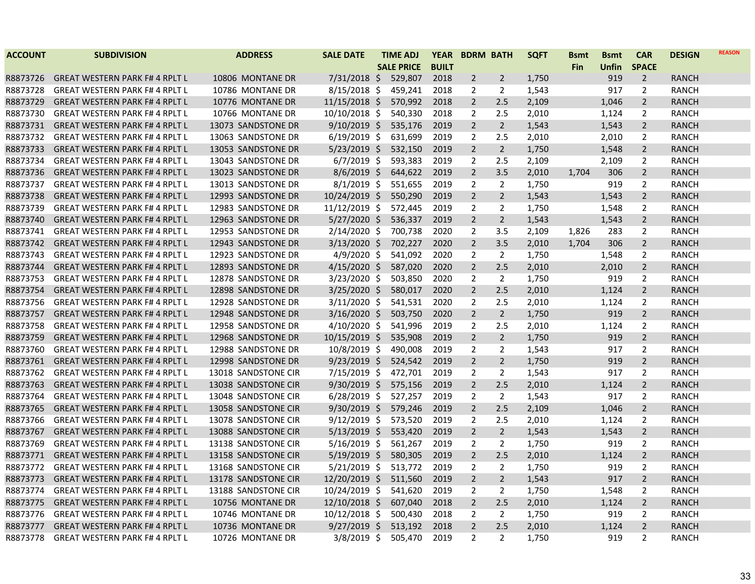| <b>ACCOUNT</b> | <b>SUBDIVISION</b>                   | <b>ADDRESS</b>      | <b>SALE DATE</b> | <b>TIME ADJ</b>   | <b>YEAR</b>  | <b>BDRM BATH</b> |                | <b>SQFT</b> | <b>B</b> smt | <b>Bsmt</b> | <b>CAR</b>     | <b>DESIGN</b> | <b>REASON</b> |
|----------------|--------------------------------------|---------------------|------------------|-------------------|--------------|------------------|----------------|-------------|--------------|-------------|----------------|---------------|---------------|
|                |                                      |                     |                  | <b>SALE PRICE</b> | <b>BUILT</b> |                  |                |             | <b>Fin</b>   | Unfin       | <b>SPACE</b>   |               |               |
| R8873726       | <b>GREAT WESTERN PARK F#4 RPLT L</b> | 10806 MONTANE DR    | $7/31/2018$ \$   | 529,807           | 2018         | 2                | $\overline{2}$ | 1,750       |              | 919         | $\overline{2}$ | <b>RANCH</b>  |               |
| R8873728       | <b>GREAT WESTERN PARK F#4 RPLT L</b> | 10786 MONTANE DR    | $8/15/2018$ \$   | 459,241           | 2018         | 2                | $\overline{2}$ | 1,543       |              | 917         | 2              | RANCH         |               |
| R8873729       | <b>GREAT WESTERN PARK F#4 RPLT L</b> | 10776 MONTANE DR    | $11/15/2018$ \$  | 570,992           | 2018         | $\overline{2}$   | 2.5            | 2,109       |              | 1,046       | $\overline{2}$ | <b>RANCH</b>  |               |
| R8873730       | <b>GREAT WESTERN PARK F#4 RPLT L</b> | 10766 MONTANE DR    | $10/10/2018$ \$  | 540,330           | 2018         | 2                | 2.5            | 2,010       |              | 1,124       | 2              | <b>RANCH</b>  |               |
| R8873731       | <b>GREAT WESTERN PARK F#4 RPLT L</b> | 13073 SANDSTONE DR  | $9/10/2019$ \$   | 535,176           | 2019         | $\overline{2}$   | $\overline{2}$ | 1,543       |              | 1,543       | $\overline{2}$ | <b>RANCH</b>  |               |
| R8873732       | <b>GREAT WESTERN PARK F#4 RPLT L</b> | 13063 SANDSTONE DR  | $6/19/2019$ \$   | 631,699           | 2019         | $\overline{2}$   | 2.5            | 2,010       |              | 2,010       | 2              | <b>RANCH</b>  |               |
| R8873733       | <b>GREAT WESTERN PARK F#4 RPLT L</b> | 13053 SANDSTONE DR  | $5/23/2019$ \$   | 532,150           | 2019         | $\overline{2}$   | $2^{\circ}$    | 1,750       |              | 1,548       | $\overline{2}$ | <b>RANCH</b>  |               |
| R8873734       | <b>GREAT WESTERN PARK F#4 RPLT L</b> | 13043 SANDSTONE DR  | $6/7/2019$ \$    | 593,383           | 2019         | $\overline{2}$   | 2.5            | 2,109       |              | 2,109       | $\overline{2}$ | <b>RANCH</b>  |               |
| R8873736       | <b>GREAT WESTERN PARK F#4 RPLT L</b> | 13023 SANDSTONE DR  | $8/6/2019$ \$    | 644,622           | 2019         | $\overline{2}$   | 3.5            | 2,010       | 1,704        | 306         | $\overline{2}$ | <b>RANCH</b>  |               |
| R8873737       | <b>GREAT WESTERN PARK F#4 RPLT L</b> | 13013 SANDSTONE DR  | $8/1/2019$ \$    | 551,655           | 2019         | 2                | $\overline{2}$ | 1,750       |              | 919         | $\overline{2}$ | <b>RANCH</b>  |               |
| R8873738       | <b>GREAT WESTERN PARK F#4 RPLT L</b> | 12993 SANDSTONE DR  | 10/24/2019 \$    | 550,290           | 2019         | 2                | $\overline{2}$ | 1,543       |              | 1,543       | $\overline{2}$ | <b>RANCH</b>  |               |
| R8873739       | <b>GREAT WESTERN PARK F#4 RPLT L</b> | 12983 SANDSTONE DR  | $11/12/2019$ \$  | 572,445           | 2019         | 2                | 2              | 1,750       |              | 1,548       | $\overline{2}$ | <b>RANCH</b>  |               |
| R8873740       | <b>GREAT WESTERN PARK F#4 RPLT L</b> | 12963 SANDSTONE DR  | 5/27/2020 \$     | 536,337           | 2019         | $\overline{2}$   | $\overline{2}$ | 1,543       |              | 1,543       | $\overline{2}$ | <b>RANCH</b>  |               |
| R8873741       | <b>GREAT WESTERN PARK F#4 RPLT L</b> | 12953 SANDSTONE DR  | $2/14/2020$ \$   | 700,738           | 2020         | $\overline{2}$   | 3.5            | 2,109       | 1,826        | 283         | $\overline{2}$ | <b>RANCH</b>  |               |
| R8873742       | <b>GREAT WESTERN PARK F#4 RPLT L</b> | 12943 SANDSTONE DR  | $3/13/2020$ \$   | 702,227           | 2020         | $\overline{2}$   | 3.5            | 2,010       | 1,704        | 306         | $\overline{2}$ | <b>RANCH</b>  |               |
| R8873743       | <b>GREAT WESTERN PARK F#4 RPLT L</b> | 12923 SANDSTONE DR  | $4/9/2020$ \$    | 541,092           | 2020         | $\overline{2}$   | $\mathbf{2}$   | 1,750       |              | 1,548       | $\overline{2}$ | RANCH         |               |
| R8873744       | <b>GREAT WESTERN PARK F#4 RPLT L</b> | 12893 SANDSTONE DR  | $4/15/2020$ \$   | 587,020           | 2020         | $\overline{2}$   | 2.5            | 2,010       |              | 2,010       | $\overline{2}$ | <b>RANCH</b>  |               |
| R8873753       | <b>GREAT WESTERN PARK F#4 RPLT L</b> | 12878 SANDSTONE DR  | $3/23/2020$ \$   | 503,850           | 2020         | $\overline{2}$   | $\overline{2}$ | 1,750       |              | 919         | $\overline{2}$ | <b>RANCH</b>  |               |
| R8873754       | <b>GREAT WESTERN PARK F#4 RPLT L</b> | 12898 SANDSTONE DR  | $3/25/2020$ \$   | 580,017           | 2020         | $\overline{2}$   | 2.5            | 2,010       |              | 1,124       | $\overline{2}$ | <b>RANCH</b>  |               |
| R8873756       | <b>GREAT WESTERN PARK F#4 RPLT L</b> | 12928 SANDSTONE DR  | $3/11/2020$ \$   | 541,531           | 2020         | 2                | 2.5            | 2,010       |              | 1,124       | $\overline{2}$ | <b>RANCH</b>  |               |
| R8873757       | <b>GREAT WESTERN PARK F#4 RPLT L</b> | 12948 SANDSTONE DR  | $3/16/2020$ \$   | 503,750           | 2020         | $\overline{2}$   | $2^{\circ}$    | 1,750       |              | 919         | $2^{\circ}$    | <b>RANCH</b>  |               |
| R8873758       | <b>GREAT WESTERN PARK F#4 RPLT L</b> | 12958 SANDSTONE DR  | $4/10/2020$ \$   | 541,996           | 2019         | $\overline{2}$   | 2.5            | 2,010       |              | 1,124       | $\overline{2}$ | <b>RANCH</b>  |               |
| R8873759       | <b>GREAT WESTERN PARK F#4 RPLT L</b> | 12968 SANDSTONE DR  | 10/15/2019 \$    | 535,908           | 2019         | $\overline{2}$   | $\overline{2}$ | 1,750       |              | 919         | $\overline{2}$ | <b>RANCH</b>  |               |
| R8873760       | <b>GREAT WESTERN PARK F#4 RPLT L</b> | 12988 SANDSTONE DR  | $10/8/2019$ \$   | 490,008           | 2019         | $\overline{2}$   | $\overline{2}$ | 1,543       |              | 917         | $\overline{2}$ | <b>RANCH</b>  |               |
| R8873761       | <b>GREAT WESTERN PARK F#4 RPLT L</b> | 12998 SANDSTONE DR  | $9/23/2019$ \$   | 524,542           | 2019         | $\overline{2}$   | $\overline{2}$ | 1,750       |              | 919         | $\overline{2}$ | <b>RANCH</b>  |               |
| R8873762       | <b>GREAT WESTERN PARK F#4 RPLT L</b> | 13018 SANDSTONE CIR | 7/15/2019 \$     | 472,701           | 2019         | $\overline{2}$   | $\overline{2}$ | 1,543       |              | 917         | $\overline{2}$ | <b>RANCH</b>  |               |
| R8873763       | <b>GREAT WESTERN PARK F#4 RPLT L</b> | 13038 SANDSTONE CIR | $9/30/2019$ \$   | 575,156           | 2019         | $\overline{2}$   | 2.5            | 2,010       |              | 1,124       | $\overline{2}$ | <b>RANCH</b>  |               |
| R8873764       | <b>GREAT WESTERN PARK F#4 RPLT L</b> | 13048 SANDSTONE CIR | $6/28/2019$ \$   | 527,257           | 2019         | 2                | 2              | 1,543       |              | 917         | $\overline{2}$ | RANCH         |               |
| R8873765       | <b>GREAT WESTERN PARK F#4 RPLT L</b> | 13058 SANDSTONE CIR | $9/30/2019$ \$   | 579,246           | 2019         | $\overline{2}$   | 2.5            | 2,109       |              | 1,046       | $\overline{2}$ | <b>RANCH</b>  |               |
| R8873766       | <b>GREAT WESTERN PARK F#4 RPLT L</b> | 13078 SANDSTONE CIR | $9/12/2019$ \$   | 573,520           | 2019         | 2                | 2.5            | 2,010       |              | 1,124       | $\overline{2}$ | <b>RANCH</b>  |               |
| R8873767       | <b>GREAT WESTERN PARK F#4 RPLT L</b> | 13088 SANDSTONE CIR | $5/13/2019$ \$   | 553,420           | 2019         | $\overline{2}$   | $\overline{2}$ | 1,543       |              | 1,543       | $\overline{2}$ | <b>RANCH</b>  |               |
| R8873769       | <b>GREAT WESTERN PARK F#4 RPLT L</b> | 13138 SANDSTONE CIR | $5/16/2019$ \$   | 561,267           | 2019         | 2                | $\overline{2}$ | 1,750       |              | 919         | $\overline{2}$ | RANCH         |               |
| R8873771       | <b>GREAT WESTERN PARK F#4 RPLT L</b> | 13158 SANDSTONE CIR | $5/19/2019$ \$   | 580,305           | 2019         | $\overline{2}$   | 2.5            | 2,010       |              | 1,124       | $\overline{2}$ | <b>RANCH</b>  |               |
| R8873772       | <b>GREAT WESTERN PARK F#4 RPLT L</b> | 13168 SANDSTONE CIR | $5/21/2019$ \$   | 513,772           | 2019         | 2                | 2              | 1,750       |              | 919         | 2              | RANCH         |               |
| R8873773       | <b>GREAT WESTERN PARK F#4 RPLT L</b> | 13178 SANDSTONE CIR | 12/20/2019 \$    | 511,560           | 2019         | $\overline{2}$   | $\overline{2}$ | 1,543       |              | 917         | $\overline{2}$ | <b>RANCH</b>  |               |
| R8873774       | <b>GREAT WESTERN PARK F#4 RPLT L</b> | 13188 SANDSTONE CIR | 10/24/2019 \$    | 541,620           | 2019         | 2                | 2              | 1,750       |              | 1,548       | $\overline{2}$ | RANCH         |               |
| R8873775       | <b>GREAT WESTERN PARK F#4 RPLT L</b> | 10756 MONTANE DR    | $12/10/2018$ \$  | 607,040           | 2018         | $\overline{2}$   | 2.5            | 2,010       |              | 1,124       | $\overline{2}$ | <b>RANCH</b>  |               |
| R8873776       | <b>GREAT WESTERN PARK F#4 RPLT L</b> | 10746 MONTANE DR    | 10/12/2018 \$    | 500,430           | 2018         | 2                | 2              | 1,750       |              | 919         | $\overline{2}$ | <b>RANCH</b>  |               |
| R8873777       | <b>GREAT WESTERN PARK F#4 RPLT L</b> | 10736 MONTANE DR    | $9/27/2019$ \$   | 513,192           | 2018         | $\overline{2}$   | 2.5            | 2,010       |              | 1,124       | $\overline{2}$ | <b>RANCH</b>  |               |
| R8873778       | <b>GREAT WESTERN PARK F#4 RPLT L</b> | 10726 MONTANE DR    | 3/8/2019 \$      | 505,470           | 2019         | $\overline{2}$   | $\overline{2}$ | 1,750       |              | 919         | $\overline{2}$ | <b>RANCH</b>  |               |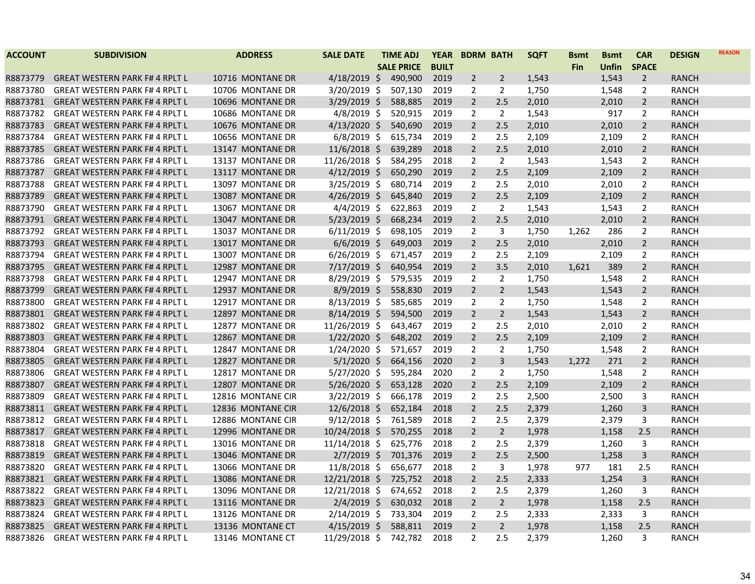| <b>ACCOUNT</b> | <b>SUBDIVISION</b>                    | <b>ADDRESS</b>    | <b>SALE DATE</b> | <b>TIME ADJ</b>   | <b>YEAR</b>  | <b>BDRM BATH</b> |                | <b>SQFT</b> | <b>Bsmt</b> | <b>B</b> smt | <b>CAR</b>     | <b>DESIGN</b> | <b>REASON</b> |
|----------------|---------------------------------------|-------------------|------------------|-------------------|--------------|------------------|----------------|-------------|-------------|--------------|----------------|---------------|---------------|
|                |                                       |                   |                  | <b>SALE PRICE</b> | <b>BUILT</b> |                  |                |             | Fin         | Unfin        | <b>SPACE</b>   |               |               |
| R8873779       | <b>GREAT WESTERN PARK F#4 RPLT L</b>  | 10716 MONTANE DR  | $4/18/2019$ \$   | 490,900           | 2019         | 2                | 2              | 1,543       |             | 1,543        | $\overline{2}$ | RANCH         |               |
| R8873780       | <b>GREAT WESTERN PARK F#4 RPLT L</b>  | 10706 MONTANE DR  | 3/20/2019 \$     | 507,130           | 2019         | 2                | 2              | 1,750       |             | 1,548        | 2              | RANCH         |               |
| R8873781       | <b>GREAT WESTERN PARK F#4 RPLT L</b>  | 10696 MONTANE DR  | $3/29/2019$ \$   | 588,885           | 2019         | $\overline{2}$   | 2.5            | 2,010       |             | 2,010        | $\overline{2}$ | RANCH         |               |
| R8873782       | <b>GREAT WESTERN PARK F#4 RPLT L</b>  | 10686 MONTANE DR  | $4/8/2019$ \$    | 520,915           | 2019         | $\overline{2}$   | $\overline{2}$ | 1,543       |             | 917          | 2              | <b>RANCH</b>  |               |
| R8873783       | <b>GREAT WESTERN PARK F#4 RPLT L</b>  | 10676 MONTANE DR  | $4/13/2020$ \$   | 540,690           | 2019         | $\overline{2}$   | 2.5            | 2,010       |             | 2,010        | $\overline{2}$ | <b>RANCH</b>  |               |
| R8873784       | <b>GREAT WESTERN PARK F#4 RPLT L</b>  | 10656 MONTANE DR  | $6/8/2019$ \$    | 615,734           | 2019         | 2                | 2.5            | 2,109       |             | 2,109        | $\overline{2}$ | <b>RANCH</b>  |               |
| R8873785       | <b>GREAT WESTERN PARK F#4 RPLT L</b>  | 13147 MONTANE DR  | $11/6/2018$ \$   | 639,289           | 2018         | $\overline{2}$   | 2.5            | 2,010       |             | 2,010        | $\overline{2}$ | RANCH         |               |
| R8873786       | <b>GREAT WESTERN PARK F#4 RPLT L</b>  | 13137 MONTANE DR  | $11/26/2018$ \$  | 584,295           | 2018         | $\overline{2}$   | $\overline{2}$ | 1,543       |             | 1,543        | $\overline{2}$ | <b>RANCH</b>  |               |
| R8873787       | <b>GREAT WESTERN PARK F# 4 RPLT L</b> | 13117 MONTANE DR  | $4/12/2019$ \$   | 650,290           | 2019         | $\overline{2}$   | 2.5            | 2,109       |             | 2,109        | $\overline{2}$ | <b>RANCH</b>  |               |
| R8873788       | <b>GREAT WESTERN PARK F#4 RPLT L</b>  | 13097 MONTANE DR  | $3/25/2019$ \$   | 680,714           | 2019         | $\overline{2}$   | 2.5            | 2,010       |             | 2,010        | $\overline{2}$ | <b>RANCH</b>  |               |
| R8873789       | <b>GREAT WESTERN PARK F#4 RPLT L</b>  | 13087 MONTANE DR  | $4/26/2019$ \$   | 645,840           | 2019         | 2                | 2.5            | 2,109       |             | 2,109        | $\overline{2}$ | RANCH         |               |
| R8873790       | <b>GREAT WESTERN PARK F#4 RPLT L</b>  | 13067 MONTANE DR  | $4/4/2019$ \$    | 622,863           | 2019         | 2                | $\overline{2}$ | 1,543       |             | 1,543        | $\overline{2}$ | <b>RANCH</b>  |               |
| R8873791       | <b>GREAT WESTERN PARK F# 4 RPLT L</b> | 13047 MONTANE DR  | $5/23/2019$ \$   | 668,234           | 2019         | $\overline{2}$   | 2.5            | 2,010       |             | 2,010        | $\overline{2}$ | <b>RANCH</b>  |               |
| R8873792       | <b>GREAT WESTERN PARK F#4 RPLT L</b>  | 13037 MONTANE DR  | $6/11/2019$ \$   | 698,105           | 2019         | $\overline{2}$   | 3              | 1,750       | 1,262       | 286          | $\overline{2}$ | <b>RANCH</b>  |               |
| R8873793       | <b>GREAT WESTERN PARK F#4 RPLT L</b>  | 13017 MONTANE DR  | $6/6/2019$ \$    | 649,003           | 2019         | $\overline{2}$   | 2.5            | 2,010       |             | 2,010        | $\overline{2}$ | RANCH         |               |
| R8873794       | <b>GREAT WESTERN PARK F#4 RPLT L</b>  | 13007 MONTANE DR  | $6/26/2019$ \$   | 671,457           | 2019         | $\overline{2}$   | 2.5            | 2,109       |             | 2,109        | $\overline{2}$ | RANCH         |               |
| R8873795       | <b>GREAT WESTERN PARK F#4 RPLT L</b>  | 12987 MONTANE DR  | $7/17/2019$ \$   | 640,954           | 2019         | $\overline{2}$   | 3.5            | 2,010       | 1,621       | 389          | $\overline{2}$ | RANCH         |               |
| R8873798       | <b>GREAT WESTERN PARK F#4 RPLT L</b>  | 12947 MONTANE DR  | 8/29/2019 \$     | 579,535           | 2019         | 2                | $\overline{2}$ | 1,750       |             | 1,548        | $\overline{2}$ | <b>RANCH</b>  |               |
| R8873799       | <b>GREAT WESTERN PARK F#4 RPLT L</b>  | 12937 MONTANE DR  | $8/9/2019$ \$    | 558,830           | 2019         | $\overline{2}$   | $\overline{2}$ | 1,543       |             | 1,543        | $\overline{2}$ | RANCH         |               |
| R8873800       | <b>GREAT WESTERN PARK F#4 RPLT L</b>  | 12917 MONTANE DR  | $8/13/2019$ \$   | 585,685           | 2019         | 2                | $\overline{2}$ | 1,750       |             | 1,548        | $\overline{2}$ | <b>RANCH</b>  |               |
| R8873801       | <b>GREAT WESTERN PARK F#4 RPLT L</b>  | 12897 MONTANE DR  | $8/14/2019$ \$   | 594,500           | 2019         | $\overline{2}$   | $\overline{2}$ | 1,543       |             | 1,543        | $\overline{2}$ | <b>RANCH</b>  |               |
| R8873802       | <b>GREAT WESTERN PARK F#4 RPLT L</b>  | 12877 MONTANE DR  | 11/26/2019 \$    | 643,467           | 2019         | $\overline{2}$   | 2.5            | 2,010       |             | 2,010        | $\overline{2}$ | <b>RANCH</b>  |               |
| R8873803       | <b>GREAT WESTERN PARK F# 4 RPLT L</b> | 12867 MONTANE DR  | $1/22/2020$ \$   | 648,202           | 2019         | $\overline{2}$   | 2.5            | 2,109       |             | 2,109        | $\overline{2}$ | <b>RANCH</b>  |               |
| R8873804       | <b>GREAT WESTERN PARK F# 4 RPLT L</b> | 12847 MONTANE DR  | 1/24/2020 \$     | 571,657           | 2019         | 2                | $\overline{2}$ | 1,750       |             | 1,548        | $\overline{2}$ | RANCH         |               |
| R8873805       | <b>GREAT WESTERN PARK F#4 RPLT L</b>  | 12827 MONTANE DR  | $5/1/2020$ \$    | 664,156           | 2020         | $\overline{2}$   | 3              | 1,543       | 1,272       | 271          | $\overline{2}$ | <b>RANCH</b>  |               |
| R8873806       | <b>GREAT WESTERN PARK F#4 RPLT L</b>  | 12817 MONTANE DR  | $5/27/2020$ \$   | 595,284           | 2020         | $\overline{2}$   | $\overline{2}$ | 1,750       |             | 1,548        | $\overline{2}$ | <b>RANCH</b>  |               |
| R8873807       | <b>GREAT WESTERN PARK F# 4 RPLT L</b> | 12807 MONTANE DR  | $5/26/2020$ \$   | 653,128           | 2020         | $\overline{2}$   | 2.5            | 2,109       |             | 2,109        | $\overline{2}$ | <b>RANCH</b>  |               |
| R8873809       | <b>GREAT WESTERN PARK F#4 RPLT L</b>  | 12816 MONTANE CIR | $3/22/2019$ \$   | 666,178           | 2019         | $\overline{2}$   | 2.5            | 2,500       |             | 2,500        | 3              | RANCH         |               |
| R8873811       | <b>GREAT WESTERN PARK F#4 RPLT L</b>  | 12836 MONTANE CIR | $12/6/2018$ \$   | 652,184           | 2018         | $\overline{2}$   | 2.5            | 2,379       |             | 1,260        | 3              | RANCH         |               |
| R8873812       | <b>GREAT WESTERN PARK F#4 RPLT L</b>  | 12886 MONTANE CIR | $9/12/2018$ \$   | 761,589           | 2018         | $\overline{2}$   | 2.5            | 2,379       |             | 2,379        | 3              | <b>RANCH</b>  |               |
| R8873817       | <b>GREAT WESTERN PARK F#4 RPLT L</b>  | 12996 MONTANE DR  | $10/24/2018$ \$  | 570,255           | 2018         | $\overline{2}$   | $\overline{2}$ | 1,978       |             | 1,158        | 2.5            | <b>RANCH</b>  |               |
| R8873818       | <b>GREAT WESTERN PARK F#4 RPLT L</b>  | 13016 MONTANE DR  | 11/14/2018 \$    | 625,776           | 2018         | $\overline{2}$   | 2.5            | 2,379       |             | 1,260        | 3              | RANCH         |               |
| R8873819       | <b>GREAT WESTERN PARK F#4 RPLT L</b>  | 13046 MONTANE DR  | $2/7/2019$ \$    | 701,376           | 2019         | $\overline{2}$   | 2.5            | 2,500       |             | 1,258        | 3              | RANCH         |               |
| R8873820       | <b>GREAT WESTERN PARK F#4 RPLT L</b>  | 13066 MONTANE DR  | 11/8/2018 \$     | 656,677           | 2018         | $\overline{2}$   | 3              | 1,978       | 977         | 181          | 2.5            | RANCH         |               |
| R8873821       | <b>GREAT WESTERN PARK F#4 RPLT L</b>  | 13086 MONTANE DR  | $12/21/2018$ \$  | 725,752           | 2018         | $\overline{2}$   | 2.5            | 2,333       |             | 1,254        | 3              | RANCH         |               |
| R8873822       | <b>GREAT WESTERN PARK F#4 RPLT L</b>  | 13096 MONTANE DR  | 12/21/2018 \$    | 674,652           | 2018         | $\overline{2}$   | 2.5            | 2,379       |             | 1,260        | 3              | RANCH         |               |
| R8873823       | <b>GREAT WESTERN PARK F#4 RPLT L</b>  | 13116 MONTANE DR  | $2/4/2019$ \$    | 630,032           | 2018         | $\overline{2}$   | $\overline{2}$ | 1,978       |             | 1,158        | 2.5            | <b>RANCH</b>  |               |
| R8873824       | <b>GREAT WESTERN PARK F# 4 RPLT L</b> | 13126 MONTANE DR  | $2/14/2019$ \$   | 733,304           | 2019         | 2                | 2.5            | 2,333       |             | 2,333        | 3              | RANCH         |               |
| R8873825       | <b>GREAT WESTERN PARK F#4 RPLT L</b>  | 13136 MONTANE CT  | $4/15/2019$ \$   | 588,811           | 2019         | $\overline{2}$   | $\overline{2}$ | 1,978       |             | 1,158        | 2.5            | <b>RANCH</b>  |               |
| R8873826       | <b>GREAT WESTERN PARK F#4 RPLT L</b>  | 13146 MONTANE CT  | 11/29/2018 \$    | 742,782           | 2018         | $\overline{2}$   | 2.5            | 2,379       |             | 1,260        | 3              | <b>RANCH</b>  |               |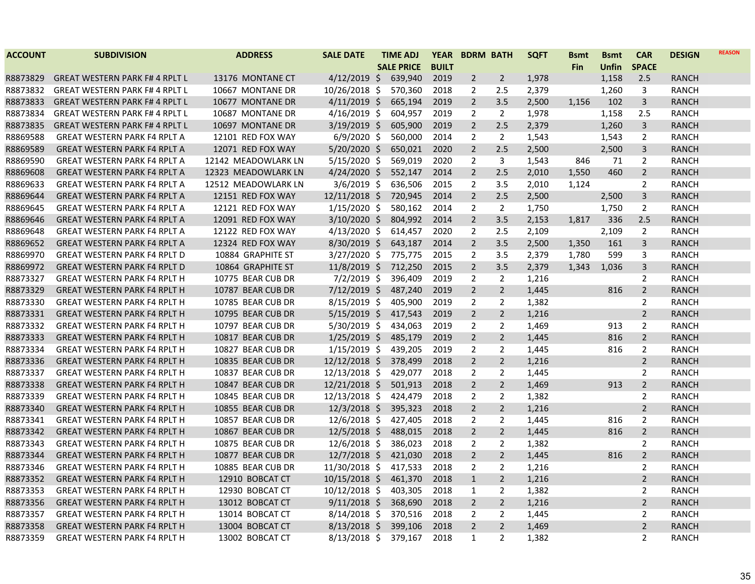| <b>ACCOUNT</b> | <b>SUBDIVISION</b>                   | <b>ADDRESS</b>      | <b>SALE DATE</b> | <b>TIME ADJ</b>   | <b>YEAR</b>  | <b>BDRM BATH</b> |                | <b>SQFT</b> | <b>Bsmt</b> | <b>Bsmt</b> | <b>CAR</b>     | <b>DESIGN</b> | <b>REASON</b> |
|----------------|--------------------------------------|---------------------|------------------|-------------------|--------------|------------------|----------------|-------------|-------------|-------------|----------------|---------------|---------------|
|                |                                      |                     |                  | <b>SALE PRICE</b> | <b>BUILT</b> |                  |                |             | <b>Fin</b>  | Unfin       | <b>SPACE</b>   |               |               |
| R8873829       | <b>GREAT WESTERN PARK F#4 RPLT L</b> | 13176 MONTANE CT    | $4/12/2019$ \$   | 639,940           | 2019         | $\overline{2}$   | 2              | 1,978       |             | 1,158       | 2.5            | RANCH         |               |
| R8873832       | <b>GREAT WESTERN PARK F#4 RPLT L</b> | 10667 MONTANE DR    | 10/26/2018 \$    | 570,360           | 2018         | 2                | 2.5            | 2,379       |             | 1,260       | 3              | RANCH         |               |
| R8873833       | <b>GREAT WESTERN PARK F#4 RPLT L</b> | 10677 MONTANE DR    | $4/11/2019$ \$   | 665,194           | 2019         | $\overline{2}$   | 3.5            | 2,500       | 1,156       | 102         | 3              | RANCH         |               |
| R8873834       | <b>GREAT WESTERN PARK F#4 RPLT L</b> | 10687 MONTANE DR    | $4/16/2019$ \$   | 604,957           | 2019         | $\overline{2}$   | $\overline{2}$ | 1,978       |             | 1,158       | 2.5            | <b>RANCH</b>  |               |
| R8873835       | <b>GREAT WESTERN PARK F#4 RPLT L</b> | 10697 MONTANE DR    | $3/19/2019$ \$   | 605,900           | 2019         | $\overline{2}$   | 2.5            | 2,379       |             | 1,260       | 3              | <b>RANCH</b>  |               |
| R8869588       | <b>GREAT WESTERN PARK F4 RPLT A</b>  | 12101 RED FOX WAY   | $6/9/2020$ \$    | 560,000           | 2014         | $\overline{2}$   | $\overline{2}$ | 1,543       |             | 1,543       | $\overline{2}$ | <b>RANCH</b>  |               |
| R8869589       | <b>GREAT WESTERN PARK F4 RPLT A</b>  | 12071 RED FOX WAY   | $5/20/2020$ \$   | 650,021           | 2020         | $\overline{2}$   | 2.5            | 2,500       |             | 2,500       | 3              | <b>RANCH</b>  |               |
| R8869590       | <b>GREAT WESTERN PARK F4 RPLT A</b>  | 12142 MEADOWLARK LN | $5/15/2020$ \$   | 569,019           | 2020         | $\overline{2}$   | 3              | 1,543       | 846         | 71          | $\overline{2}$ | <b>RANCH</b>  |               |
| R8869608       | <b>GREAT WESTERN PARK F4 RPLT A</b>  | 12323 MEADOWLARK LN | $4/24/2020$ \$   | 552,147           | 2014         | $\overline{2}$   | 2.5            | 2,010       | 1,550       | 460         | $\overline{2}$ | <b>RANCH</b>  |               |
| R8869633       | <b>GREAT WESTERN PARK F4 RPLT A</b>  | 12512 MEADOWLARK LN | $3/6/2019$ \$    | 636,506           | 2015         | $\overline{2}$   | 3.5            | 2,010       | 1,124       |             | $\overline{2}$ | <b>RANCH</b>  |               |
| R8869644       | <b>GREAT WESTERN PARK F4 RPLT A</b>  | 12151 RED FOX WAY   | $12/11/2018$ \$  | 720,945           | 2014         | $\overline{2}$   | 2.5            | 2,500       |             | 2,500       | 3              | RANCH         |               |
| R8869645       | <b>GREAT WESTERN PARK F4 RPLT A</b>  | 12121 RED FOX WAY   | $1/15/2020$ \$   | 580,162           | 2014         | $\overline{2}$   | $\overline{2}$ | 1,750       |             | 1,750       | $\overline{2}$ | <b>RANCH</b>  |               |
| R8869646       | <b>GREAT WESTERN PARK F4 RPLT A</b>  | 12091 RED FOX WAY   | $3/10/2020$ \$   | 804,992           | 2014         | $\overline{2}$   | 3.5            | 2,153       | 1,817       | 336         | 2.5            | <b>RANCH</b>  |               |
| R8869648       | <b>GREAT WESTERN PARK F4 RPLT A</b>  | 12122 RED FOX WAY   | $4/13/2020$ \$   | 614,457           | 2020         | $\overline{2}$   | 2.5            | 2,109       |             | 2,109       | $\overline{2}$ | <b>RANCH</b>  |               |
| R8869652       | <b>GREAT WESTERN PARK F4 RPLT A</b>  | 12324 RED FOX WAY   | $8/30/2019$ \$   | 643,187           | 2014         | $\overline{2}$   | 3.5            | 2,500       | 1,350       | 161         | 3              | RANCH         |               |
| R8869970       | <b>GREAT WESTERN PARK F4 RPLT D</b>  | 10884 GRAPHITE ST   | $3/27/2020$ \$   | 775,775           | 2015         | $\overline{2}$   | 3.5            | 2,379       | 1,780       | 599         | 3              | <b>RANCH</b>  |               |
| R8869972       | <b>GREAT WESTERN PARK F4 RPLT D</b>  | 10864 GRAPHITE ST   | $11/8/2019$ \$   | 712,250           | 2015         | $\overline{2}$   | 3.5            | 2,379       | 1,343       | 1,036       | 3              | RANCH         |               |
| R8873327       | <b>GREAT WESTERN PARK F4 RPLT H</b>  | 10775 BEAR CUB DR   | $7/2/2019$ \$    | 396,409           | 2019         | $\overline{2}$   | $\overline{2}$ | 1,216       |             |             | $\overline{2}$ | <b>RANCH</b>  |               |
| R8873329       | <b>GREAT WESTERN PARK F4 RPLT H</b>  | 10787 BEAR CUB DR   | $7/12/2019$ \$   | 487,240           | 2019         | $\overline{2}$   | $\overline{2}$ | 1,445       |             | 816         | $\overline{2}$ | RANCH         |               |
| R8873330       | <b>GREAT WESTERN PARK F4 RPLT H</b>  | 10785 BEAR CUB DR   | $8/15/2019$ \$   | 405,900           | 2019         | 2                | 2              | 1,382       |             |             | $\overline{2}$ | <b>RANCH</b>  |               |
| R8873331       | <b>GREAT WESTERN PARK F4 RPLT H</b>  | 10795 BEAR CUB DR   | $5/15/2019$ \$   | 417,543           | 2019         | $\overline{2}$   | $\overline{2}$ | 1,216       |             |             | $\overline{2}$ | RANCH         |               |
| R8873332       | <b>GREAT WESTERN PARK F4 RPLT H</b>  | 10797 BEAR CUB DR   | $5/30/2019$ \$   | 434,063           | 2019         | $\overline{2}$   | $\overline{2}$ | 1,469       |             | 913         | 2              | <b>RANCH</b>  |               |
| R8873333       | <b>GREAT WESTERN PARK F4 RPLT H</b>  | 10817 BEAR CUB DR   | $1/25/2019$ \$   | 485,179           | 2019         | $\overline{2}$   | $\overline{2}$ | 1,445       |             | 816         | $\overline{2}$ | <b>RANCH</b>  |               |
| R8873334       | <b>GREAT WESTERN PARK F4 RPLT H</b>  | 10827 BEAR CUB DR   | $1/15/2019$ \$   | 439,205           | 2019         | $\overline{2}$   | $\overline{2}$ | 1,445       |             | 816         | $\overline{2}$ | <b>RANCH</b>  |               |
| R8873336       | <b>GREAT WESTERN PARK F4 RPLT H</b>  | 10835 BEAR CUB DR   | $12/12/2018$ \$  | 378,499           | 2018         | $\overline{2}$   | $\overline{2}$ | 1,216       |             |             | $\overline{2}$ | RANCH         |               |
| R8873337       | <b>GREAT WESTERN PARK F4 RPLT H</b>  | 10837 BEAR CUB DR   | 12/13/2018 \$    | 429,077           | 2018         | $\overline{2}$   | $\overline{2}$ | 1,445       |             |             | $\overline{2}$ | <b>RANCH</b>  |               |
| R8873338       | <b>GREAT WESTERN PARK F4 RPLT H</b>  | 10847 BEAR CUB DR   | 12/21/2018 \$    | 501,913           | 2018         | $\overline{2}$   | $2^{\circ}$    | 1,469       |             | 913         | $\overline{2}$ | <b>RANCH</b>  |               |
| R8873339       | <b>GREAT WESTERN PARK F4 RPLT H</b>  | 10845 BEAR CUB DR   | 12/13/2018 \$    | 424,479           | 2018         | $\overline{2}$   | $\overline{2}$ | 1,382       |             |             | $\overline{2}$ | <b>RANCH</b>  |               |
| R8873340       | <b>GREAT WESTERN PARK F4 RPLT H</b>  | 10855 BEAR CUB DR   | $12/3/2018$ \$   | 395,323           | 2018         | 2                | $\overline{2}$ | 1,216       |             |             | $\overline{2}$ | RANCH         |               |
| R8873341       | <b>GREAT WESTERN PARK F4 RPLT H</b>  | 10857 BEAR CUB DR   | 12/6/2018 \$     | 427,405           | 2018         | $\overline{2}$   | $\overline{2}$ | 1,445       |             | 816         | $\overline{2}$ | <b>RANCH</b>  |               |
| R8873342       | <b>GREAT WESTERN PARK F4 RPLT H</b>  | 10867 BEAR CUB DR   | $12/5/2018$ \$   | 488,015           | 2018         | $\overline{2}$   | $\overline{2}$ | 1,445       |             | 816         | $\overline{2}$ | <b>RANCH</b>  |               |
| R8873343       | <b>GREAT WESTERN PARK F4 RPLT H</b>  | 10875 BEAR CUB DR   | $12/6/2018$ \$   | 386,023           | 2018         | $\overline{2}$   | $\overline{2}$ | 1,382       |             |             | $\overline{2}$ | <b>RANCH</b>  |               |
| R8873344       | <b>GREAT WESTERN PARK F4 RPLT H</b>  | 10877 BEAR CUB DR   | $12/7/2018$ \$   | 421,030           | 2018         | $\overline{2}$   | $\overline{2}$ | 1,445       |             | 816         | $\overline{2}$ | <b>RANCH</b>  |               |
| R8873346       | <b>GREAT WESTERN PARK F4 RPLT H</b>  | 10885 BEAR CUB DR   | 11/30/2018 \$    | 417,533           | 2018         | $\overline{2}$   | 2              | 1,216       |             |             | $\overline{2}$ | <b>RANCH</b>  |               |
| R8873352       | <b>GREAT WESTERN PARK F4 RPLT H</b>  | 12910 BOBCAT CT     | $10/15/2018$ \$  | 461,370           | 2018         | $\mathbf{1}$     | $\overline{2}$ | 1,216       |             |             | $\overline{2}$ | RANCH         |               |
| R8873353       | <b>GREAT WESTERN PARK F4 RPLT H</b>  | 12930 BOBCAT CT     | 10/12/2018 \$    | 403,305           | 2018         | $\mathbf{1}$     | 2              | 1,382       |             |             | 2              | <b>RANCH</b>  |               |
| R8873356       | <b>GREAT WESTERN PARK F4 RPLT H</b>  | 13012 BOBCAT CT     | $9/11/2018$ \$   | 368,690           | 2018         | $\overline{2}$   | $\overline{2}$ | 1,216       |             |             | $\overline{2}$ | RANCH         |               |
| R8873357       | <b>GREAT WESTERN PARK F4 RPLT H</b>  | 13014 BOBCAT CT     | $8/14/2018$ \$   | 370,516           | 2018         | 2                | 2              | 1,445       |             |             | 2              | RANCH         |               |
| R8873358       | <b>GREAT WESTERN PARK F4 RPLT H</b>  | 13004 BOBCAT CT     | $8/13/2018$ \$   | 399,106           | 2018         | $\overline{2}$   | $\overline{2}$ | 1,469       |             |             | $\overline{2}$ | RANCH         |               |
| R8873359       | <b>GREAT WESTERN PARK F4 RPLT H</b>  | 13002 BOBCAT CT     | $8/13/2018$ \$   | 379,167           | 2018         | $\mathbf{1}$     | 2              | 1,382       |             |             | $\overline{2}$ | <b>RANCH</b>  |               |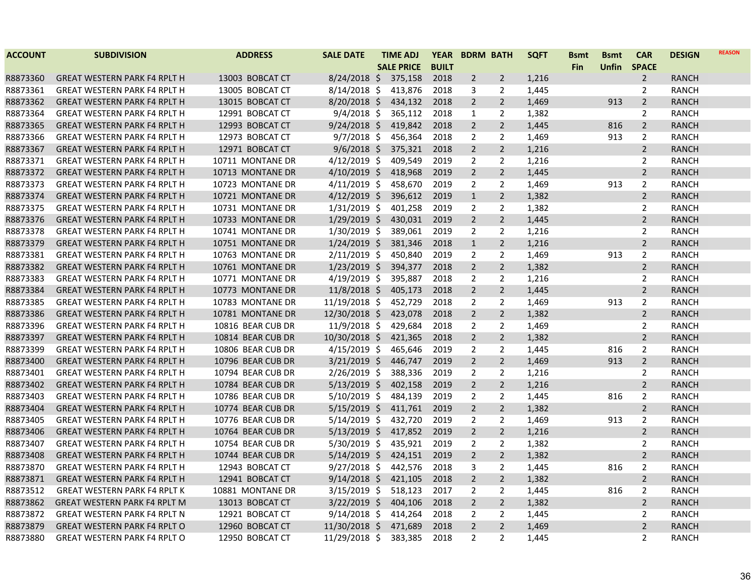| <b>ACCOUNT</b> | <b>SUBDIVISION</b>                  | <b>ADDRESS</b>    | <b>SALE DATE</b> | <b>TIME ADJ</b>   | <b>YEAR</b>  | <b>BDRM BATH</b> |                | <b>SQFT</b> | <b>Bsmt</b> | <b>B</b> smt | <b>CAR</b>     | <b>DESIGN</b> | <b>REASON</b> |
|----------------|-------------------------------------|-------------------|------------------|-------------------|--------------|------------------|----------------|-------------|-------------|--------------|----------------|---------------|---------------|
|                |                                     |                   |                  | <b>SALE PRICE</b> | <b>BUILT</b> |                  |                |             | <b>Fin</b>  | Unfin        | <b>SPACE</b>   |               |               |
| R8873360       | <b>GREAT WESTERN PARK F4 RPLT H</b> | 13003 BOBCAT CT   | $8/24/2018$ \$   | 375,158           | 2018         | $\overline{2}$   | $\overline{2}$ | 1,216       |             |              | $\overline{2}$ | <b>RANCH</b>  |               |
| R8873361       | <b>GREAT WESTERN PARK F4 RPLT H</b> | 13005 BOBCAT CT   | $8/14/2018$ \$   | 413,876           | 2018         | 3                | 2              | 1,445       |             |              | 2              | <b>RANCH</b>  |               |
| R8873362       | <b>GREAT WESTERN PARK F4 RPLT H</b> | 13015 BOBCAT CT   | $8/20/2018$ \$   | 434,132           | 2018         | $\overline{2}$   | $2^{\circ}$    | 1,469       |             | 913          | $\overline{2}$ | <b>RANCH</b>  |               |
| R8873364       | <b>GREAT WESTERN PARK F4 RPLT H</b> | 12991 BOBCAT CT   | $9/4/2018$ \$    | 365,112           | 2018         | $\mathbf{1}$     | $\overline{2}$ | 1,382       |             |              | $\overline{2}$ | <b>RANCH</b>  |               |
| R8873365       | <b>GREAT WESTERN PARK F4 RPLT H</b> | 12993 BOBCAT CT   | $9/24/2018$ \$   | 419,842           | 2018         | $\overline{2}$   | $\overline{2}$ | 1,445       |             | 816          | $\overline{2}$ | <b>RANCH</b>  |               |
| R8873366       | <b>GREAT WESTERN PARK F4 RPLT H</b> | 12973 BOBCAT CT   | $9/7/2018$ \$    | 456,364           | 2018         | 2                | 2              | 1,469       |             | 913          | $\overline{2}$ | <b>RANCH</b>  |               |
| R8873367       | <b>GREAT WESTERN PARK F4 RPLT H</b> | 12971 BOBCAT CT   | $9/6/2018$ \$    | 375,321           | 2018         | $\overline{2}$   | $2^{\circ}$    | 1,216       |             |              | $\overline{2}$ | <b>RANCH</b>  |               |
| R8873371       | <b>GREAT WESTERN PARK F4 RPLT H</b> | 10711 MONTANE DR  | $4/12/2019$ \$   | 409,549           | 2019         | $\overline{2}$   | $\overline{2}$ | 1,216       |             |              | $\overline{2}$ | <b>RANCH</b>  |               |
| R8873372       | <b>GREAT WESTERN PARK F4 RPLT H</b> | 10713 MONTANE DR  | $4/10/2019$ \$   | 418,968           | 2019         | $\overline{2}$   | $2^{\circ}$    | 1,445       |             |              | $\overline{2}$ | <b>RANCH</b>  |               |
| R8873373       | <b>GREAT WESTERN PARK F4 RPLT H</b> | 10723 MONTANE DR  | $4/11/2019$ \$   | 458,670           | 2019         | 2                | $\overline{2}$ | 1,469       |             | 913          | $\overline{2}$ | <b>RANCH</b>  |               |
| R8873374       | <b>GREAT WESTERN PARK F4 RPLT H</b> | 10721 MONTANE DR  | $4/12/2019$ \$   | 396,612           | 2019         | $\mathbf{1}$     | $\overline{2}$ | 1,382       |             |              | $\overline{2}$ | <b>RANCH</b>  |               |
| R8873375       | <b>GREAT WESTERN PARK F4 RPLT H</b> | 10731 MONTANE DR  | $1/31/2019$ \$   | 401,258           | 2019         | $\overline{2}$   | $\overline{2}$ | 1,382       |             |              | $\overline{2}$ | <b>RANCH</b>  |               |
| R8873376       | <b>GREAT WESTERN PARK F4 RPLT H</b> | 10733 MONTANE DR  | $1/29/2019$ \$   | 430,031           | 2019         | $\overline{2}$   | $2^{\circ}$    | 1,445       |             |              | $\overline{2}$ | <b>RANCH</b>  |               |
| R8873378       | <b>GREAT WESTERN PARK F4 RPLT H</b> | 10741 MONTANE DR  | $1/30/2019$ \$   | 389,061           | 2019         | $\overline{2}$   | $\overline{2}$ | 1,216       |             |              | $\overline{2}$ | <b>RANCH</b>  |               |
| R8873379       | <b>GREAT WESTERN PARK F4 RPLT H</b> | 10751 MONTANE DR  | $1/24/2019$ \$   | 381,346           | 2018         | $\mathbf{1}$     | $\overline{2}$ | 1,216       |             |              | $\overline{2}$ | <b>RANCH</b>  |               |
| R8873381       | <b>GREAT WESTERN PARK F4 RPLT H</b> | 10763 MONTANE DR  | $2/11/2019$ \$   | 450,840           | 2019         | $\overline{2}$   | $\overline{2}$ | 1,469       |             | 913          | $\overline{2}$ | <b>RANCH</b>  |               |
| R8873382       | <b>GREAT WESTERN PARK F4 RPLT H</b> | 10761 MONTANE DR  | $1/23/2019$ \$   | 394,377           | 2018         | $\overline{2}$   | $2^{\circ}$    | 1,382       |             |              | $\overline{2}$ | <b>RANCH</b>  |               |
| R8873383       | <b>GREAT WESTERN PARK F4 RPLT H</b> | 10771 MONTANE DR  | $4/19/2019$ \$   | 395,887           | 2018         | $\overline{2}$   | $\overline{2}$ | 1,216       |             |              | $\overline{2}$ | <b>RANCH</b>  |               |
| R8873384       | <b>GREAT WESTERN PARK F4 RPLT H</b> | 10773 MONTANE DR  | $11/8/2018$ \$   | 405,173           | 2018         | $\overline{2}$   | $\overline{2}$ | 1,445       |             |              | $\overline{2}$ | <b>RANCH</b>  |               |
| R8873385       | <b>GREAT WESTERN PARK F4 RPLT H</b> | 10783 MONTANE DR  | $11/19/2018$ \$  | 452,729           | 2018         | $\overline{2}$   | $\overline{2}$ | 1,469       |             | 913          | $\overline{2}$ | <b>RANCH</b>  |               |
| R8873386       | <b>GREAT WESTERN PARK F4 RPLT H</b> | 10781 MONTANE DR  | 12/30/2018 \$    | 423,078           | 2018         | $\overline{2}$   | $2^{\circ}$    | 1,382       |             |              | $\overline{2}$ | <b>RANCH</b>  |               |
| R8873396       | <b>GREAT WESTERN PARK F4 RPLT H</b> | 10816 BEAR CUB DR | $11/9/2018$ \$   | 429,684           | 2018         | $\overline{2}$   | $\overline{2}$ | 1,469       |             |              | $\overline{2}$ | <b>RANCH</b>  |               |
| R8873397       | <b>GREAT WESTERN PARK F4 RPLT H</b> | 10814 BEAR CUB DR | 10/30/2018 \$    | 421,365           | 2018         | $\overline{2}$   | $\overline{2}$ | 1,382       |             |              | $\overline{2}$ | <b>RANCH</b>  |               |
| R8873399       | <b>GREAT WESTERN PARK F4 RPLT H</b> | 10806 BEAR CUB DR | $4/15/2019$ \$   | 465,646           | 2019         | $\overline{2}$   | $\overline{2}$ | 1,445       |             | 816          | $\overline{2}$ | <b>RANCH</b>  |               |
| R8873400       | <b>GREAT WESTERN PARK F4 RPLT H</b> | 10796 BEAR CUB DR | $3/21/2019$ \$   | 446,747           | 2019         | $\overline{2}$   | $\overline{2}$ | 1,469       |             | 913          | $\overline{2}$ | <b>RANCH</b>  |               |
| R8873401       | <b>GREAT WESTERN PARK F4 RPLT H</b> | 10794 BEAR CUB DR | 2/26/2019 \$     | 388,336           | 2019         | $\overline{2}$   | $\overline{2}$ | 1,216       |             |              | $\overline{2}$ | <b>RANCH</b>  |               |
| R8873402       | <b>GREAT WESTERN PARK F4 RPLT H</b> | 10784 BEAR CUB DR | $5/13/2019$ \$   | 402,158           | 2019         | $\overline{2}$   | $\overline{2}$ | 1,216       |             |              | $\overline{2}$ | <b>RANCH</b>  |               |
| R8873403       | <b>GREAT WESTERN PARK F4 RPLT H</b> | 10786 BEAR CUB DR | $5/10/2019$ \$   | 484,139           | 2019         | 2                | $\overline{2}$ | 1,445       |             | 816          | $\overline{2}$ | RANCH         |               |
| R8873404       | <b>GREAT WESTERN PARK F4 RPLT H</b> | 10774 BEAR CUB DR | $5/15/2019$ \$   | 411,761           | 2019         | $\overline{2}$   | $\overline{2}$ | 1,382       |             |              | $\overline{2}$ | <b>RANCH</b>  |               |
| R8873405       | <b>GREAT WESTERN PARK F4 RPLT H</b> | 10776 BEAR CUB DR | $5/14/2019$ \$   | 432,720           | 2019         | $\overline{2}$   | $\overline{2}$ | 1,469       |             | 913          | $\overline{2}$ | <b>RANCH</b>  |               |
| R8873406       | <b>GREAT WESTERN PARK F4 RPLT H</b> | 10764 BEAR CUB DR | $5/13/2019$ \$   | 417,852           | 2019         | $\overline{2}$   | $\overline{2}$ | 1,216       |             |              | $\overline{2}$ | <b>RANCH</b>  |               |
| R8873407       | <b>GREAT WESTERN PARK F4 RPLT H</b> | 10754 BEAR CUB DR | $5/30/2019$ \$   | 435,921           | 2019         | 2                | $\overline{2}$ | 1,382       |             |              | $\overline{2}$ | <b>RANCH</b>  |               |
| R8873408       | <b>GREAT WESTERN PARK F4 RPLT H</b> | 10744 BEAR CUB DR | $5/14/2019$ \$   | 424,151           | 2019         | $\overline{2}$   | $\overline{2}$ | 1,382       |             |              | $\overline{2}$ | <b>RANCH</b>  |               |
| R8873870       | <b>GREAT WESTERN PARK F4 RPLT H</b> | 12943 BOBCAT CT   | $9/27/2018$ \$   | 442,576           | 2018         | 3                | $\overline{2}$ | 1,445       |             | 816          | $\overline{2}$ | RANCH         |               |
| R8873871       | <b>GREAT WESTERN PARK F4 RPLT H</b> | 12941 BOBCAT CT   | $9/14/2018$ \$   | 421,105           | 2018         | $\overline{2}$   | $2^{\circ}$    | 1,382       |             |              | $\overline{2}$ | <b>RANCH</b>  |               |
| R8873512       | <b>GREAT WESTERN PARK F4 RPLT K</b> | 10881 MONTANE DR  | $3/15/2019$ \$   | 518,123           | 2017         | 2                | $\overline{2}$ | 1,445       |             | 816          | $\overline{2}$ | <b>RANCH</b>  |               |
| R8873862       | <b>GREAT WESTERN PARK F4 RPLT M</b> | 13013 BOBCAT CT   | $3/22/2019$ \$   | 404,106           | 2018         | $\overline{2}$   | $\overline{2}$ | 1,382       |             |              | $\overline{2}$ | <b>RANCH</b>  |               |
| R8873872       | <b>GREAT WESTERN PARK F4 RPLT N</b> | 12921 BOBCAT CT   | $9/14/2018$ \$   | 414,264           | 2018         | 2                | 2              | 1,445       |             |              | $\overline{2}$ | <b>RANCH</b>  |               |
| R8873879       | <b>GREAT WESTERN PARK F4 RPLT O</b> | 12960 BOBCAT CT   | $11/30/2018$ \$  | 471,689           | 2018         | $\overline{2}$   | $\overline{2}$ | 1,469       |             |              | $\overline{2}$ | <b>RANCH</b>  |               |
| R8873880       | <b>GREAT WESTERN PARK F4 RPLT O</b> | 12950 BOBCAT CT   | 11/29/2018 \$    | 383,385           | 2018         | $\overline{2}$   | $\overline{2}$ | 1,445       |             |              | $\overline{2}$ | <b>RANCH</b>  |               |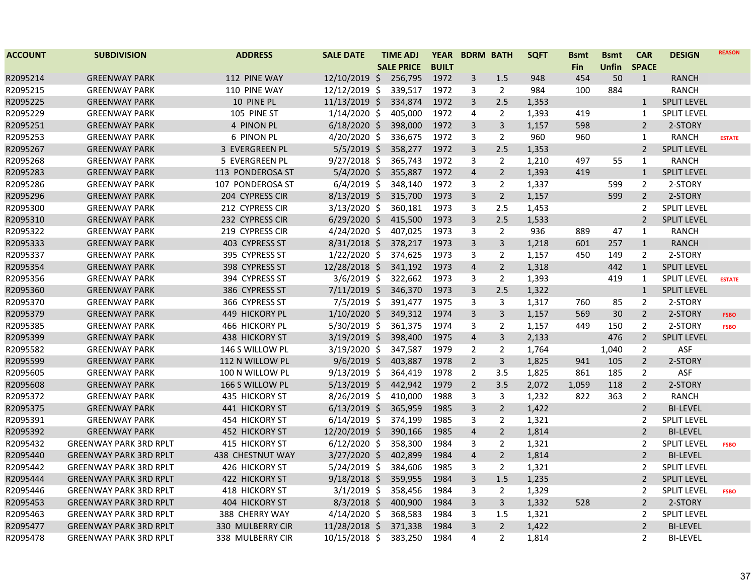| <b>ACCOUNT</b> | <b>SUBDIVISION</b>            | <b>ADDRESS</b>        | <b>SALE DATE</b> | <b>TIME ADJ</b>   | <b>YEAR</b>  |                | <b>BDRM BATH</b> | <b>SQFT</b> | <b>Bsmt</b> | <b>Bsmt</b>  | <b>CAR</b>     | <b>DESIGN</b>      | <b>REASON</b> |
|----------------|-------------------------------|-----------------------|------------------|-------------------|--------------|----------------|------------------|-------------|-------------|--------------|----------------|--------------------|---------------|
|                |                               |                       |                  | <b>SALE PRICE</b> | <b>BUILT</b> |                |                  |             | <b>Fin</b>  | <b>Unfin</b> | <b>SPACE</b>   |                    |               |
| R2095214       | <b>GREENWAY PARK</b>          | 112 PINE WAY          | 12/10/2019 \$    | 256,795           | 1972         | 3              | 1.5              | 948         | 454         | 50           | $\mathbf{1}$   | <b>RANCH</b>       |               |
| R2095215       | <b>GREENWAY PARK</b>          | 110 PINE WAY          | 12/12/2019 \$    | 339,517           | 1972         | 3              | $\overline{2}$   | 984         | 100         | 884          |                | <b>RANCH</b>       |               |
| R2095225       | <b>GREENWAY PARK</b>          | 10 PINE PL            | 11/13/2019 \$    | 334,874           | 1972         | $\overline{3}$ | 2.5              | 1,353       |             |              | $\mathbf{1}$   | <b>SPLIT LEVEL</b> |               |
| R2095229       | <b>GREENWAY PARK</b>          | 105 PINE ST           | $1/14/2020$ \$   | 405,000           | 1972         | 4              | $\overline{2}$   | 1,393       | 419         |              | $\mathbf{1}$   | <b>SPLIT LEVEL</b> |               |
| R2095251       | <b>GREENWAY PARK</b>          | 4 PINON PL            | $6/18/2020$ \$   | 398,000           | 1972         | 3              | $\overline{3}$   | 1,157       | 598         |              | $\overline{2}$ | 2-STORY            |               |
| R2095253       | <b>GREENWAY PARK</b>          | 6 PINON PL            | 4/20/2020 \$     | 336,675           | 1972         | 3              | $\overline{2}$   | 960         | 960         |              | $\mathbf{1}$   | <b>RANCH</b>       | <b>ESTATE</b> |
| R2095267       | <b>GREENWAY PARK</b>          | 3 EVERGREEN PL        | $5/5/2019$ \$    | 358,277           | 1972         | 3              | 2.5              | 1,353       |             |              | $\overline{2}$ | <b>SPLIT LEVEL</b> |               |
| R2095268       | <b>GREENWAY PARK</b>          | 5 EVERGREEN PL        | $9/27/2018$ \$   | 365,743           | 1972         | 3              | $\overline{2}$   | 1,210       | 497         | 55           | $\mathbf{1}$   | <b>RANCH</b>       |               |
| R2095283       | <b>GREENWAY PARK</b>          | 113 PONDEROSA ST      | $5/4/2020$ \$    | 355,887           | 1972         | $\overline{4}$ | $\overline{2}$   | 1,393       | 419         |              | $\mathbf{1}$   | <b>SPLIT LEVEL</b> |               |
| R2095286       | <b>GREENWAY PARK</b>          | 107 PONDEROSA ST      | $6/4/2019$ \$    | 348,140           | 1972         | 3              | $\overline{2}$   | 1,337       |             | 599          | $\overline{2}$ | 2-STORY            |               |
| R2095296       | <b>GREENWAY PARK</b>          | 204 CYPRESS CIR       | $8/13/2019$ \$   | 315,700           | 1973         | 3              | $\overline{2}$   | 1,157       |             | 599          | $\overline{2}$ | 2-STORY            |               |
| R2095300       | <b>GREENWAY PARK</b>          | 212 CYPRESS CIR       | $3/13/2020$ \$   | 360,181           | 1973         | 3              | 2.5              | 1,453       |             |              | $\overline{2}$ | <b>SPLIT LEVEL</b> |               |
| R2095310       | <b>GREENWAY PARK</b>          | 232 CYPRESS CIR       | $6/29/2020$ \$   | 415,500           | 1973         | $\overline{3}$ | 2.5              | 1,533       |             |              | $\overline{2}$ | <b>SPLIT LEVEL</b> |               |
| R2095322       | <b>GREENWAY PARK</b>          | 219 CYPRESS CIR       | $4/24/2020$ \$   | 407,025           | 1973         | 3              | $\overline{2}$   | 936         | 889         | 47           | 1              | <b>RANCH</b>       |               |
| R2095333       | <b>GREENWAY PARK</b>          | 403 CYPRESS ST        | $8/31/2018$ \$   | 378,217           | 1973         | 3              | 3                | 1,218       | 601         | 257          | $\mathbf{1}$   | <b>RANCH</b>       |               |
| R2095337       | <b>GREENWAY PARK</b>          | 395 CYPRESS ST        | $1/22/2020$ \$   | 374,625           | 1973         | 3              | 2                | 1,157       | 450         | 149          | $\mathbf{2}$   | 2-STORY            |               |
| R2095354       | <b>GREENWAY PARK</b>          | 398 CYPRESS ST        | 12/28/2018 \$    | 341,192           | 1973         | $\overline{4}$ | $\overline{2}$   | 1,318       |             | 442          | $\mathbf{1}$   | <b>SPLIT LEVEL</b> |               |
| R2095356       | <b>GREENWAY PARK</b>          | 394 CYPRESS ST        | $3/6/2019$ \$    | 322,662           | 1973         | 3              | $\overline{2}$   | 1,393       |             | 419          | $\mathbf{1}$   | <b>SPLIT LEVEL</b> | <b>ESTATE</b> |
| R2095360       | <b>GREENWAY PARK</b>          | 386 CYPRESS ST        | $7/11/2019$ \$   | 346,370           | 1973         | 3              | 2.5              | 1,322       |             |              | $\mathbf{1}$   | <b>SPLIT LEVEL</b> |               |
| R2095370       | <b>GREENWAY PARK</b>          | 366 CYPRESS ST        | $7/5/2019$ \$    | 391,477           | 1975         | 3              | 3                | 1,317       | 760         | 85           | $\overline{2}$ | 2-STORY            |               |
| R2095379       | <b>GREENWAY PARK</b>          | 449 HICKORY PL        | $1/10/2020$ \$   | 349,312           | 1974         | $\overline{3}$ | $\overline{3}$   | 1,157       | 569         | 30           | $\overline{2}$ | 2-STORY            | <b>FSBO</b>   |
| R2095385       | <b>GREENWAY PARK</b>          | 466 HICKORY PL        | 5/30/2019 \$     | 361,375           | 1974         | 3              | $\overline{2}$   | 1,157       | 449         | 150          | $\overline{2}$ | 2-STORY            | <b>FSBO</b>   |
| R2095399       | <b>GREENWAY PARK</b>          | 438 HICKORY ST        | $3/19/2019$ \$   | 398,400           | 1975         | $\overline{4}$ | $\overline{3}$   | 2,133       |             | 476          | $\overline{2}$ | <b>SPLIT LEVEL</b> |               |
| R2095582       | <b>GREENWAY PARK</b>          | 146 S WILLOW PL       | $3/19/2020$ \$   | 347,587           | 1979         | $\overline{2}$ | 2                | 1,764       |             | 1,040        | $\overline{2}$ | <b>ASF</b>         |               |
| R2095599       | <b>GREENWAY PARK</b>          | 112 N WILLOW PL       | $9/6/2019$ \$    | 403,887           | 1978         | $\overline{2}$ | 3                | 1,825       | 941         | 105          | $\overline{2}$ | 2-STORY            |               |
| R2095605       | <b>GREENWAY PARK</b>          | 100 N WILLOW PL       | $9/13/2019$ \$   | 364,419           | 1978         | $\overline{2}$ | 3.5              | 1,825       | 861         | 185          | $\overline{2}$ | ASF                |               |
| R2095608       | <b>GREENWAY PARK</b>          | 166 S WILLOW PL       | $5/13/2019$ \$   | 442,942           | 1979         | $\overline{2}$ | 3.5              | 2,072       | 1,059       | 118          | $\overline{2}$ | 2-STORY            |               |
| R2095372       | <b>GREENWAY PARK</b>          | <b>435 HICKORY ST</b> | 8/26/2019 \$     | 410,000           | 1988         | 3              | 3                | 1,232       | 822         | 363          | $\overline{2}$ | <b>RANCH</b>       |               |
| R2095375       | <b>GREENWAY PARK</b>          | 441 HICKORY ST        | $6/13/2019$ \$   | 365,959           | 1985         | 3              | $\overline{2}$   | 1,422       |             |              | $\overline{2}$ | <b>BI-LEVEL</b>    |               |
| R2095391       | <b>GREENWAY PARK</b>          | 454 HICKORY ST        | $6/14/2019$ \$   | 374,199           | 1985         | 3              | $\overline{2}$   | 1,321       |             |              | $\overline{2}$ | <b>SPLIT LEVEL</b> |               |
| R2095392       | <b>GREENWAY PARK</b>          | <b>452 HICKORY ST</b> | 12/20/2019 \$    | 390,166           | 1985         | $\overline{4}$ | $\overline{2}$   | 1,814       |             |              | $\overline{2}$ | <b>BI-LEVEL</b>    |               |
| R2095432       | <b>GREENWAY PARK 3RD RPLT</b> | 415 HICKORY ST        | $6/12/2020$ \$   | 358,300           | 1984         | 3              | $\overline{2}$   | 1,321       |             |              | 2              | <b>SPLIT LEVEL</b> | <b>FSBO</b>   |
| R2095440       | <b>GREENWAY PARK 3RD RPLT</b> | 438 CHESTNUT WAY      | 3/27/2020 \$     | 402,899           | 1984         | $\overline{4}$ | $\overline{2}$   | 1,814       |             |              | $\overline{2}$ | <b>BI-LEVEL</b>    |               |
| R2095442       | <b>GREENWAY PARK 3RD RPLT</b> | 426 HICKORY ST        | $5/24/2019$ \$   | 384,606           | 1985         | 3              | $\overline{2}$   | 1,321       |             |              | $\overline{2}$ | <b>SPLIT LEVEL</b> |               |
| R2095444       | <b>GREENWAY PARK 3RD RPLT</b> | 422 HICKORY ST        | $9/18/2018$ \$   | 359,955           | 1984         | $\overline{3}$ | 1.5              | 1,235       |             |              | $\overline{2}$ | <b>SPLIT LEVEL</b> |               |
| R2095446       | <b>GREENWAY PARK 3RD RPLT</b> | 418 HICKORY ST        | $3/1/2019$ \$    | 358,456           | 1984         | 3              | $\overline{2}$   | 1,329       |             |              | 2              | <b>SPLIT LEVEL</b> | <b>FSBO</b>   |
| R2095453       | <b>GREENWAY PARK 3RD RPLT</b> | 404 HICKORY ST        | $8/3/2018$ \$    | 400,900           | 1984         | 3              | $\mathsf{3}$     | 1,332       | 528         |              | $\overline{2}$ | 2-STORY            |               |
| R2095463       | <b>GREENWAY PARK 3RD RPLT</b> | 388 CHERRY WAY        | $4/14/2020$ \$   | 368,583           | 1984         | 3              | 1.5              | 1,321       |             |              | $\overline{2}$ | <b>SPLIT LEVEL</b> |               |
| R2095477       | <b>GREENWAY PARK 3RD RPLT</b> | 330 MULBERRY CIR      | 11/28/2018 \$    | 371,338           | 1984         | 3              | $\overline{2}$   | 1,422       |             |              | $\overline{2}$ | <b>BI-LEVEL</b>    |               |
| R2095478       | <b>GREENWAY PARK 3RD RPLT</b> | 338 MULBERRY CIR      | 10/15/2018 \$    | 383,250           | 1984         | 4              | $\overline{2}$   | 1,814       |             |              | $\overline{2}$ | <b>BI-LEVEL</b>    |               |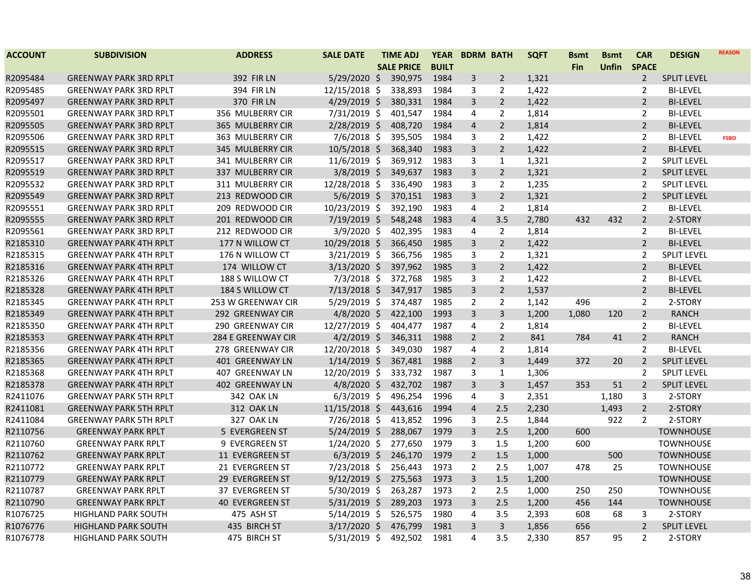| <b>ACCOUNT</b> | <b>SUBDIVISION</b>            | <b>ADDRESS</b>          | <b>SALE DATE</b> | <b>TIME ADJ</b>   | <b>YEAR</b>  | <b>BDRM BATH</b> |                | <b>SQFT</b> | <b>Bsmt</b> | <b>Bsmt</b>  | <b>CAR</b>     | <b>DESIGN</b>      | <b>REASON</b> |
|----------------|-------------------------------|-------------------------|------------------|-------------------|--------------|------------------|----------------|-------------|-------------|--------------|----------------|--------------------|---------------|
|                |                               |                         |                  | <b>SALE PRICE</b> | <b>BUILT</b> |                  |                |             | Fin         | <b>Unfin</b> | <b>SPACE</b>   |                    |               |
| R2095484       | <b>GREENWAY PARK 3RD RPLT</b> | <b>392 FIR LN</b>       | $5/29/2020$ \$   | 390,975           | 1984         | 3                | $\overline{2}$ | 1,321       |             |              | $\overline{2}$ | <b>SPLIT LEVEL</b> |               |
| R2095485       | <b>GREENWAY PARK 3RD RPLT</b> | 394 FIR LN              | 12/15/2018 \$    | 338,893           | 1984         | 3                | 2              | 1,422       |             |              | 2              | <b>BI-LEVEL</b>    |               |
| R2095497       | <b>GREENWAY PARK 3RD RPLT</b> | <b>370 FIR LN</b>       | 4/29/2019 \$     | 380,331           | 1984         | 3                | $\overline{2}$ | 1,422       |             |              | $\overline{2}$ | <b>BI-LEVEL</b>    |               |
| R2095501       | <b>GREENWAY PARK 3RD RPLT</b> | 356 MULBERRY CIR        | 7/31/2019 \$     | 401,547           | 1984         | 4                | 2              | 1,814       |             |              | 2              | <b>BI-LEVEL</b>    |               |
| R2095505       | <b>GREENWAY PARK 3RD RPLT</b> | <b>365 MULBERRY CIR</b> | 2/28/2019 \$     | 408,720           | 1984         | $\overline{4}$   | $\overline{2}$ | 1,814       |             |              | $\overline{2}$ | <b>BI-LEVEL</b>    |               |
| R2095506       | <b>GREENWAY PARK 3RD RPLT</b> | 363 MULBERRY CIR        | $7/6/2018$ \$    | 395,505           | 1984         | 3                | $\overline{2}$ | 1,422       |             |              | $\overline{2}$ | <b>BI-LEVEL</b>    | <b>FSBO</b>   |
| R2095515       | <b>GREENWAY PARK 3RD RPLT</b> | 345 MULBERRY CIR        | 10/5/2018 \$     | 368,340           | 1983         | 3                | $\overline{2}$ | 1,422       |             |              | $\overline{2}$ | <b>BI-LEVEL</b>    |               |
| R2095517       | <b>GREENWAY PARK 3RD RPLT</b> | 341 MULBERRY CIR        | 11/6/2019 \$     | 369,912           | 1983         | 3                | $\mathbf{1}$   | 1,321       |             |              | $\overline{2}$ | <b>SPLIT LEVEL</b> |               |
| R2095519       | <b>GREENWAY PARK 3RD RPLT</b> | 337 MULBERRY CIR        | $3/8/2019$ \$    | 349,637           | 1983         | 3                | $\overline{2}$ | 1,321       |             |              | $\overline{2}$ | <b>SPLIT LEVEL</b> |               |
| R2095532       | <b>GREENWAY PARK 3RD RPLT</b> | 311 MULBERRY CIR        | 12/28/2018 \$    | 336,490           | 1983         | 3                | $\overline{2}$ | 1,235       |             |              | $\overline{2}$ | <b>SPLIT LEVEL</b> |               |
| R2095549       | <b>GREENWAY PARK 3RD RPLT</b> | 213 REDWOOD CIR         | $5/6/2019$ \$    | 370,151           | 1983         | $\overline{3}$   | $\overline{2}$ | 1,321       |             |              | $\overline{2}$ | <b>SPLIT LEVEL</b> |               |
| R2095551       | <b>GREENWAY PARK 3RD RPLT</b> | 209 REDWOOD CIR         | 10/23/2019 \$    | 392,190           | 1983         | $\overline{4}$   | $\overline{2}$ | 1,814       |             |              | $\overline{2}$ | <b>BI-LEVEL</b>    |               |
| R2095555       | <b>GREENWAY PARK 3RD RPLT</b> | 201 REDWOOD CIR         | 7/19/2019 \$     | 548,248           | 1983         | $\overline{4}$   | 3.5            | 2,780       | 432         | 432          | $\overline{2}$ | 2-STORY            |               |
| R2095561       | <b>GREENWAY PARK 3RD RPLT</b> | 212 REDWOOD CIR         | 3/9/2020 \$      | 402,395           | 1983         | 4                | $\overline{2}$ | 1,814       |             |              | $\overline{2}$ | <b>BI-LEVEL</b>    |               |
| R2185310       | <b>GREENWAY PARK 4TH RPLT</b> | 177 N WILLOW CT         | 10/29/2018 \$    | 366,450           | 1985         | 3                | $\overline{2}$ | 1,422       |             |              | $\overline{2}$ | <b>BI-LEVEL</b>    |               |
| R2185315       | <b>GREENWAY PARK 4TH RPLT</b> | 176 N WILLOW CT         | $3/21/2019$ \$   | 366,756           | 1985         | 3                | $\overline{2}$ | 1,321       |             |              | $\overline{2}$ | <b>SPLIT LEVEL</b> |               |
| R2185316       | <b>GREENWAY PARK 4TH RPLT</b> | 174 WILLOW CT           | 3/13/2020 \$     | 397,962           | 1985         | $\overline{3}$   | $\overline{2}$ | 1,422       |             |              | $\overline{2}$ | <b>BI-LEVEL</b>    |               |
| R2185326       | <b>GREENWAY PARK 4TH RPLT</b> | 188 S WILLOW CT         | 7/3/2018 \$      | 372,768           | 1985         | 3                | $\overline{2}$ | 1,422       |             |              | $\overline{2}$ | <b>BI-LEVEL</b>    |               |
| R2185328       | <b>GREENWAY PARK 4TH RPLT</b> | 184 S WILLOW CT         | $7/13/2018$ \$   | 347,917           | 1985         | $\mathsf{3}$     | $\overline{2}$ | 1,537       |             |              | $\overline{2}$ | <b>BI-LEVEL</b>    |               |
| R2185345       | <b>GREENWAY PARK 4TH RPLT</b> | 253 W GREENWAY CIR      | 5/29/2019 \$     | 374,487           | 1985         | $\overline{2}$   | $\overline{2}$ | 1,142       | 496         |              | 2              | 2-STORY            |               |
| R2185349       | <b>GREENWAY PARK 4TH RPLT</b> | 292 GREENWAY CIR        | $4/8/2020$ \$    | 422,100           | 1993         | $\overline{3}$   | $\overline{3}$ | 1,200       | 1,080       | 120          | $\overline{2}$ | <b>RANCH</b>       |               |
| R2185350       | <b>GREENWAY PARK 4TH RPLT</b> | 290 GREENWAY CIR        | 12/27/2019 \$    | 404,477           | 1987         | 4                | $\overline{2}$ | 1,814       |             |              | $\overline{2}$ | <b>BI-LEVEL</b>    |               |
| R2185353       | <b>GREENWAY PARK 4TH RPLT</b> | 284 E GREENWAY CIR      | $4/2/2019$ \$    | 346,311           | 1988         | $\overline{2}$   | $\overline{2}$ | 841         | 784         | 41           | $\overline{2}$ | <b>RANCH</b>       |               |
| R2185356       | <b>GREENWAY PARK 4TH RPLT</b> | 278 GREENWAY CIR        | 12/20/2018 \$    | 349,030           | 1987         | 4                | $\overline{2}$ | 1,814       |             |              | $\overline{2}$ | <b>BI-LEVEL</b>    |               |
| R2185365       | <b>GREENWAY PARK 4TH RPLT</b> | 401 GREENWAY LN         | $1/14/2019$ \$   | 367,481           | 1988         | $\overline{2}$   | $\overline{3}$ | 1,449       | 372         | 20           | $\overline{2}$ | <b>SPLIT LEVEL</b> |               |
| R2185368       | <b>GREENWAY PARK 4TH RPLT</b> | 407 GREENWAY LN         | 12/20/2019 \$    | 333,732           | 1987         | 3                | $\mathbf{1}$   | 1,306       |             |              | $\overline{2}$ | <b>SPLIT LEVEL</b> |               |
| R2185378       | <b>GREENWAY PARK 4TH RPLT</b> | <b>402 GREENWAY LN</b>  | 4/8/2020 \$      | 432,702           | 1987         | $\overline{3}$   | $\mathbf{3}$   | 1,457       | 353         | 51           | $\overline{2}$ | <b>SPLIT LEVEL</b> |               |
| R2411076       | <b>GREENWAY PARK 5TH RPLT</b> | 342 OAK LN              | $6/3/2019$ \$    | 496,254           | 1996         | 4                | 3              | 2,351       |             | 1,180        | 3              | 2-STORY            |               |
| R2411081       | <b>GREENWAY PARK 5TH RPLT</b> | 312 OAK LN              | 11/15/2018 \$    | 443,616           | 1994         | $\overline{4}$   | 2.5            | 2,230       |             | 1,493        | $\overline{2}$ | 2-STORY            |               |
| R2411084       | <b>GREENWAY PARK 5TH RPLT</b> | <b>327 OAK LN</b>       | 7/26/2018 \$     | 413,852           | 1996         | 3                | 2.5            | 1,844       |             | 922          | $\overline{2}$ | 2-STORY            |               |
| R2110756       | <b>GREENWAY PARK RPLT</b>     | 5 EVERGREEN ST          | $5/24/2019$ \$   | 288,067           | 1979         | $\overline{3}$   | 2.5            | 1,200       | 600         |              |                | <b>TOWNHOUSE</b>   |               |
| R2110760       | <b>GREENWAY PARK RPLT</b>     | 9 EVERGREEN ST          | $1/24/2020$ \$   | 277,650           | 1979         | 3                | 1.5            | 1,200       | 600         |              |                | <b>TOWNHOUSE</b>   |               |
| R2110762       | <b>GREENWAY PARK RPLT</b>     | 11 EVERGREEN ST         | $6/3/2019$ \$    | 246,170           | 1979         | $\overline{2}$   | 1.5            | 1,000       |             | 500          |                | <b>TOWNHOUSE</b>   |               |
| R2110772       | <b>GREENWAY PARK RPLT</b>     | 21 EVERGREEN ST         | 7/23/2018 \$     | 256,443           | 1973         | $\overline{2}$   | 2.5            | 1,007       | 478         | 25           |                | <b>TOWNHOUSE</b>   |               |
| R2110779       | <b>GREENWAY PARK RPLT</b>     | 29 EVERGREEN ST         | $9/12/2019$ \$   | 275,563           | 1973         | $\overline{3}$   | 1.5            | 1,200       |             |              |                | <b>TOWNHOUSE</b>   |               |
| R2110787       | <b>GREENWAY PARK RPLT</b>     | 37 EVERGREEN ST         | 5/30/2019 \$     | 263,287           | 1973         | $\overline{2}$   | 2.5            | 1,000       | 250         | 250          |                | TOWNHOUSE          |               |
| R2110790       | <b>GREENWAY PARK RPLT</b>     | <b>40 EVERGREEN ST</b>  | $5/31/2019$ \$   | 289,203           | 1973         | $\mathsf{3}$     | 2.5            | 1,200       | 456         | 144          |                | <b>TOWNHOUSE</b>   |               |
| R1076725       | <b>HIGHLAND PARK SOUTH</b>    | 475 ASH ST              | 5/14/2019 \$     | 526,575           | 1980         | 4                | 3.5            | 2,393       | 608         | 68           | 3              | 2-STORY            |               |
| R1076776       | <b>HIGHLAND PARK SOUTH</b>    | 435 BIRCH ST            | $3/17/2020$ \$   | 476,799           | 1981         | 3                | $\overline{3}$ | 1,856       | 656         |              | $\overline{2}$ | <b>SPLIT LEVEL</b> |               |
| R1076778       | <b>HIGHLAND PARK SOUTH</b>    | 475 BIRCH ST            | 5/31/2019 \$     | 492,502           | 1981         | $\overline{4}$   | 3.5            | 2,330       | 857         | 95           | $\overline{2}$ | 2-STORY            |               |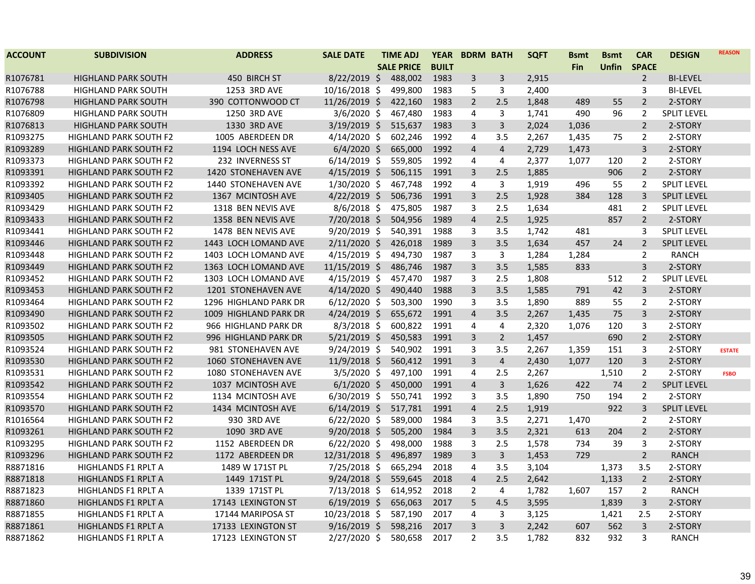| <b>ACCOUNT</b> | <b>SUBDIVISION</b>            | <b>ADDRESS</b>        | <b>SALE DATE</b> | <b>TIME ADJ</b>   | <b>YEAR</b>  | <b>BDRM BATH</b>        |                | <b>SQFT</b> | <b>B</b> smt | <b>Bsmt</b>  | <b>CAR</b>     | <b>DESIGN</b>      | <b>REASON</b> |
|----------------|-------------------------------|-----------------------|------------------|-------------------|--------------|-------------------------|----------------|-------------|--------------|--------------|----------------|--------------------|---------------|
|                |                               |                       |                  | <b>SALE PRICE</b> | <b>BUILT</b> |                         |                |             | Fin          | <b>Unfin</b> | <b>SPACE</b>   |                    |               |
| R1076781       | <b>HIGHLAND PARK SOUTH</b>    | 450 BIRCH ST          | $8/22/2019$ \$   | 488,002           | 1983         | 3                       | 3              | 2,915       |              |              | $\overline{2}$ | <b>BI-LEVEL</b>    |               |
| R1076788       | <b>HIGHLAND PARK SOUTH</b>    | 1253 3RD AVE          | 10/16/2018 \$    | 499,800           | 1983         | 5                       | 3              | 2,400       |              |              | 3              | <b>BI-LEVEL</b>    |               |
| R1076798       | <b>HIGHLAND PARK SOUTH</b>    | 390 COTTONWOOD CT     | 11/26/2019 \$    | 422,160           | 1983         | $\overline{2}$          | 2.5            | 1,848       | 489          | 55           | $\overline{2}$ | 2-STORY            |               |
| R1076809       | <b>HIGHLAND PARK SOUTH</b>    | 1250 3RD AVE          | $3/6/2020$ \$    | 467,480           | 1983         | 4                       | 3              | 1,741       | 490          | 96           | 2              | <b>SPLIT LEVEL</b> |               |
| R1076813       | <b>HIGHLAND PARK SOUTH</b>    | 1330 3RD AVE          | $3/19/2019$ \$   | 515,637           | 1983         | 3                       | $\overline{3}$ | 2,024       | 1,036        |              | $\overline{2}$ | 2-STORY            |               |
| R1093275       | <b>HIGHLAND PARK SOUTH F2</b> | 1005 ABERDEEN DR      | $4/14/2020$ \$   | 602,246           | 1992         | 4                       | 3.5            | 2,267       | 1,435        | 75           | 2              | 2-STORY            |               |
| R1093289       | <b>HIGHLAND PARK SOUTH F2</b> | 1194 LOCH NESS AVE    | $6/4/2020$ \$    | 665,000           | 1992         | $\overline{4}$          | $\overline{4}$ | 2,729       | 1,473        |              | $\overline{3}$ | 2-STORY            |               |
| R1093373       | HIGHLAND PARK SOUTH F2        | 232 INVERNESS ST      | $6/14/2019$ \$   | 559,805           | 1992         | 4                       | 4              | 2,377       | 1,077        | 120          | $\overline{2}$ | 2-STORY            |               |
| R1093391       | <b>HIGHLAND PARK SOUTH F2</b> | 1420 STONEHAVEN AVE   | $4/15/2019$ \$   | 506,115           | 1991         | 3                       | 2.5            | 1,885       |              | 906          | $\overline{2}$ | 2-STORY            |               |
| R1093392       | HIGHLAND PARK SOUTH F2        | 1440 STONEHAVEN AVE   | 1/30/2020 \$     | 467,748           | 1992         | 4                       | $\mathbf{3}$   | 1,919       | 496          | 55           | $\overline{2}$ | <b>SPLIT LEVEL</b> |               |
| R1093405       | <b>HIGHLAND PARK SOUTH F2</b> | 1367 MCINTOSH AVE     | $4/22/2019$ \$   | 506,736           | 1991         | 3                       | 2.5            | 1,928       | 384          | 128          | 3              | <b>SPLIT LEVEL</b> |               |
| R1093429       | <b>HIGHLAND PARK SOUTH F2</b> | 1318 BEN NEVIS AVE    | $8/6/2018$ \$    | 475,805           | 1987         | 3                       | 2.5            | 1,634       |              | 481          | $\overline{2}$ | <b>SPLIT LEVEL</b> |               |
| R1093433       | <b>HIGHLAND PARK SOUTH F2</b> | 1358 BEN NEVIS AVE    | $7/20/2018$ \$   | 504,956           | 1989         | $\overline{4}$          | 2.5            | 1,925       |              | 857          | $\overline{2}$ | 2-STORY            |               |
| R1093441       | <b>HIGHLAND PARK SOUTH F2</b> | 1478 BEN NEVIS AVE    | 9/20/2019 \$     | 540,391           | 1988         | 3                       | 3.5            | 1,742       | 481          |              | 3              | <b>SPLIT LEVEL</b> |               |
| R1093446       | <b>HIGHLAND PARK SOUTH F2</b> | 1443 LOCH LOMAND AVE  | $2/11/2020$ \$   | 426,018           | 1989         | 3                       | 3.5            | 1,634       | 457          | 24           | $\overline{2}$ | <b>SPLIT LEVEL</b> |               |
| R1093448       | HIGHLAND PARK SOUTH F2        | 1403 LOCH LOMAND AVE  | $4/15/2019$ \$   | 494,730           | 1987         | 3                       | 3              | 1,284       | 1,284        |              | $\overline{2}$ | <b>RANCH</b>       |               |
| R1093449       | <b>HIGHLAND PARK SOUTH F2</b> | 1363 LOCH LOMAND AVE  | 11/15/2019 \$    | 486,746           | 1987         | $\overline{3}$          | 3.5            | 1,585       | 833          |              | $\overline{3}$ | 2-STORY            |               |
| R1093452       | HIGHLAND PARK SOUTH F2        | 1303 LOCH LOMAND AVE  | $4/15/2019$ \$   | 457,470           | 1987         | 3                       | 2.5            | 1,808       |              | 512          | $\overline{2}$ | <b>SPLIT LEVEL</b> |               |
| R1093453       | <b>HIGHLAND PARK SOUTH F2</b> | 1201 STONEHAVEN AVE   | $4/14/2020$ \$   | 490,440           | 1988         | 3                       | 3.5            | 1,585       | 791          | 42           | $\overline{3}$ | 2-STORY            |               |
| R1093464       | <b>HIGHLAND PARK SOUTH F2</b> | 1296 HIGHLAND PARK DR | $6/12/2020$ \$   | 503,300           | 1990         | 3                       | 3.5            | 1,890       | 889          | 55           | $\overline{2}$ | 2-STORY            |               |
| R1093490       | <b>HIGHLAND PARK SOUTH F2</b> | 1009 HIGHLAND PARK DR | $4/24/2019$ \$   | 655,672           | 1991         | $\overline{4}$          | 3.5            | 2,267       | 1,435        | 75           | $\overline{3}$ | 2-STORY            |               |
| R1093502       | <b>HIGHLAND PARK SOUTH F2</b> | 966 HIGHLAND PARK DR  | $8/3/2018$ \$    | 600,822           | 1991         | 4                       | 4              | 2,320       | 1,076        | 120          | 3              | 2-STORY            |               |
| R1093505       | HIGHLAND PARK SOUTH F2        | 996 HIGHLAND PARK DR  | $5/21/2019$ \$   | 450,583           | 1991         | 3                       | $\overline{2}$ | 1,457       |              | 690          | $\overline{2}$ | 2-STORY            |               |
| R1093524       | <b>HIGHLAND PARK SOUTH F2</b> | 981 STONEHAVEN AVE    | $9/24/2019$ \$   | 540,902           | 1991         | 3                       | 3.5            | 2,267       | 1,359        | 151          | 3              | 2-STORY            | <b>ESTATE</b> |
| R1093530       | <b>HIGHLAND PARK SOUTH F2</b> | 1060 STONEHAVEN AVE   | 11/9/2018 \$     | 560,412           | 1991         | 3                       | $\overline{4}$ | 2,430       | 1,077        | 120          | $\overline{3}$ | 2-STORY            |               |
| R1093531       | <b>HIGHLAND PARK SOUTH F2</b> | 1080 STONEHAVEN AVE   | $3/5/2020$ \$    | 497,100           | 1991         | 4                       | 2.5            | 2,267       |              | 1,510        | $\overline{2}$ | 2-STORY            | <b>FSBO</b>   |
| R1093542       | <b>HIGHLAND PARK SOUTH F2</b> | 1037 MCINTOSH AVE     | $6/1/2020$ \$    | 450,000           | 1991         | $\overline{\mathbf{4}}$ | $\mathbf{3}$   | 1,626       | 422          | 74           | $\overline{2}$ | <b>SPLIT LEVEL</b> |               |
| R1093554       | <b>HIGHLAND PARK SOUTH F2</b> | 1134 MCINTOSH AVE     | $6/30/2019$ \$   | 550,741           | 1992         | 3                       | 3.5            | 1,890       | 750          | 194          | $\overline{2}$ | 2-STORY            |               |
| R1093570       | <b>HIGHLAND PARK SOUTH F2</b> | 1434 MCINTOSH AVE     | $6/14/2019$ \$   | 517,781           | 1991         | $\overline{\mathbf{4}}$ | 2.5            | 1,919       |              | 922          | 3              | <b>SPLIT LEVEL</b> |               |
| R1016564       | <b>HIGHLAND PARK SOUTH F2</b> | 930 3RD AVE           | $6/22/2020$ \$   | 589,000           | 1984         | 3                       | 3.5            | 2,271       | 1,470        |              | $\overline{2}$ | 2-STORY            |               |
| R1093261       | <b>HIGHLAND PARK SOUTH F2</b> | 1090 3RD AVE          | $9/20/2018$ \$   | 505,200           | 1984         | 3                       | 3.5            | 2,321       | 613          | 204          | $\overline{2}$ | 2-STORY            |               |
| R1093295       | <b>HIGHLAND PARK SOUTH F2</b> | 1152 ABERDEEN DR      | $6/22/2020$ \$   | 498,000           | 1988         | 3                       | 2.5            | 1,578       | 734          | 39           | $\mathbf{3}$   | 2-STORY            |               |
| R1093296       | <b>HIGHLAND PARK SOUTH F2</b> | 1172 ABERDEEN DR      | 12/31/2018 \$    | 496,897           | 1989         | 3                       | 3              | 1,453       | 729          |              | $\overline{2}$ | <b>RANCH</b>       |               |
| R8871816       | HIGHLANDS F1 RPLT A           | 1489 W 171ST PL       | 7/25/2018 \$     | 665,294           | 2018         | 4                       | 3.5            | 3,104       |              | 1,373        | 3.5            | 2-STORY            |               |
| R8871818       | HIGHLANDS F1 RPLT A           | 1449 171ST PL         | $9/24/2018$ \$   | 559,645           | 2018         | $\overline{\mathbf{4}}$ | 2.5            | 2,642       |              | 1,133        | $\overline{2}$ | 2-STORY            |               |
| R8871823       | HIGHLANDS F1 RPLT A           | 1339 171ST PL         | $7/13/2018$ \$   | 614,952           | 2018         | $\overline{2}$          | 4              | 1,782       | 1,607        | 157          | 2              | <b>RANCH</b>       |               |
| R8871860       | HIGHLANDS F1 RPLT A           | 17143 LEXINGTON ST    | $6/19/2019$ \$   | 656,063           | 2017         | 5                       | 4.5            | 3,595       |              | 1,839        | $\overline{3}$ | 2-STORY            |               |
| R8871855       | <b>HIGHLANDS F1 RPLT A</b>    | 17144 MARIPOSA ST     | 10/23/2018 \$    | 587,190           | 2017         | 4                       | 3              | 3,125       |              | 1,421        | 2.5            | 2-STORY            |               |
| R8871861       | HIGHLANDS F1 RPLT A           | 17133 LEXINGTON ST    | $9/16/2019$ \$   | 598,216           | 2017         | 3                       | $\overline{3}$ | 2,242       | 607          | 562          | $\overline{3}$ | 2-STORY            |               |
| R8871862       | <b>HIGHLANDS F1 RPLT A</b>    | 17123 LEXINGTON ST    | $2/27/2020$ \$   | 580,658           | 2017         | $\overline{2}$          | 3.5            | 1,782       | 832          | 932          | 3              | <b>RANCH</b>       |               |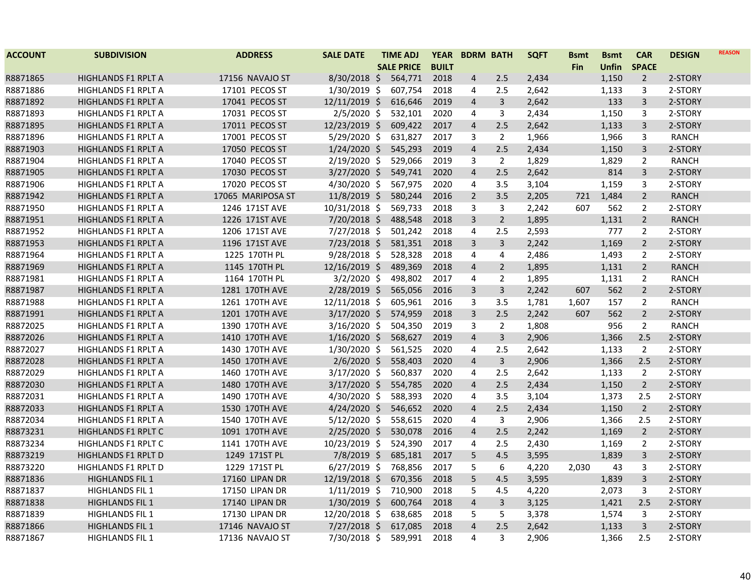| <b>ACCOUNT</b> | <b>SUBDIVISION</b>         | <b>ADDRESS</b>        | <b>SALE DATE</b> | <b>TIME ADJ</b>   | <b>YEAR</b>  | <b>BDRM BATH</b> |                | <b>SQFT</b> | <b>Bsmt</b> | <b>Bsmt</b>  | <b>CAR</b>     | <b>DESIGN</b> | <b>REASON</b> |
|----------------|----------------------------|-----------------------|------------------|-------------------|--------------|------------------|----------------|-------------|-------------|--------------|----------------|---------------|---------------|
|                |                            |                       |                  | <b>SALE PRICE</b> | <b>BUILT</b> |                  |                |             | <b>Fin</b>  | <b>Unfin</b> | <b>SPACE</b>   |               |               |
| R8871865       | HIGHLANDS F1 RPLT A        | 17156 NAVAJO ST       | $8/30/2018$ \$   | 564,771           | 2018         | $\overline{4}$   | 2.5            | 2,434       |             | 1,150        | $\overline{2}$ | 2-STORY       |               |
| R8871886       | <b>HIGHLANDS F1 RPLT A</b> | 17101 PECOS ST        | $1/30/2019$ \$   | 607,754           | 2018         | 4                | 2.5            | 2,642       |             | 1,133        | 3              | 2-STORY       |               |
| R8871892       | HIGHLANDS F1 RPLT A        | 17041 PECOS ST        | 12/11/2019 \$    | 616,646           | 2019         | $\overline{4}$   | 3              | 2,642       |             | 133          | 3              | 2-STORY       |               |
| R8871893       | <b>HIGHLANDS F1 RPLT A</b> | 17031 PECOS ST        | $2/5/2020$ \$    | 532,101           | 2020         | 4                | 3              | 2,434       |             | 1,150        | 3              | 2-STORY       |               |
| R8871895       | HIGHLANDS F1 RPLT A        | 17011 PECOS ST        | 12/23/2019 \$    | 609,422           | 2017         | $\overline{4}$   | 2.5            | 2,642       |             | 1,133        | 3              | 2-STORY       |               |
| R8871896       | HIGHLANDS F1 RPLT A        | 17001 PECOS ST        | 5/29/2020 \$     | 631,827           | 2017         | 3                | $\overline{2}$ | 1,966       |             | 1,966        | 3              | RANCH         |               |
| R8871903       | <b>HIGHLANDS F1 RPLT A</b> | 17050 PECOS ST        | 1/24/2020 \$     | 545,293           | 2019         | $\overline{4}$   | 2.5            | 2,434       |             | 1,150        | 3              | 2-STORY       |               |
| R8871904       | HIGHLANDS F1 RPLT A        | 17040 PECOS ST        | 2/19/2020 \$     | 529,066           | 2019         | 3                | $\overline{2}$ | 1,829       |             | 1,829        | $\overline{2}$ | RANCH         |               |
| R8871905       | HIGHLANDS F1 RPLT A        | 17030 PECOS ST        | $3/27/2020$ \$   | 549,741           | 2020         | $\overline{4}$   | 2.5            | 2,642       |             | 814          | 3              | 2-STORY       |               |
| R8871906       | <b>HIGHLANDS F1 RPLT A</b> | 17020 PECOS ST        | 4/30/2020 \$     | 567,975           | 2020         | $\overline{4}$   | 3.5            | 3,104       |             | 1,159        | 3              | 2-STORY       |               |
| R8871942       | <b>HIGHLANDS F1 RPLT A</b> | 17065 MARIPOSA ST     | $11/8/2019$ \$   | 580,244           | 2016         | $\overline{2}$   | 3.5            | 2,205       | 721         | 1,484        | $\overline{2}$ | <b>RANCH</b>  |               |
| R8871950       | <b>HIGHLANDS F1 RPLT A</b> | 1246 171ST AVE        | 10/31/2018 \$    | 569,733           | 2018         | 3                | 3              | 2,242       | 607         | 562          | $\overline{2}$ | 2-STORY       |               |
| R8871951       | <b>HIGHLANDS F1 RPLT A</b> | 1226 171ST AVE        | $7/20/2018$ \$   | 488,548           | 2018         | $\overline{3}$   | $\overline{2}$ | 1,895       |             | 1,131        | $\overline{2}$ | <b>RANCH</b>  |               |
| R8871952       | HIGHLANDS F1 RPLT A        | 1206 171ST AVE        | 7/27/2018 \$     | 501,242           | 2018         | 4                | 2.5            | 2,593       |             | 777          | $\overline{2}$ | 2-STORY       |               |
| R8871953       | <b>HIGHLANDS F1 RPLT A</b> | 1196 171ST AVE        | 7/23/2018 \$     | 581,351           | 2018         | 3                | 3              | 2,242       |             | 1,169        | $\overline{2}$ | 2-STORY       |               |
| R8871964       | <b>HIGHLANDS F1 RPLT A</b> | 1225 170TH PL         | $9/28/2018$ \$   | 528,328           | 2018         | 4                | 4              | 2,486       |             | 1,493        | $\overline{2}$ | 2-STORY       |               |
| R8871969       | HIGHLANDS F1 RPLT A        | 1145 170TH PL         | 12/16/2019 \$    | 489,369           | 2018         | $\overline{4}$   | $\overline{2}$ | 1,895       |             | 1,131        | $\overline{2}$ | <b>RANCH</b>  |               |
| R8871981       | <b>HIGHLANDS F1 RPLT A</b> | 1164 170TH PL         | $3/2/2020$ \$    | 498,802           | 2017         | 4                | 2              | 1,895       |             | 1,131        | $\overline{2}$ | <b>RANCH</b>  |               |
| R8871987       | HIGHLANDS F1 RPLT A        | 1281 170TH AVE        | $2/28/2019$ \$   | 565,056           | 2016         | 3                | $\mathsf{3}$   | 2,242       | 607         | 562          | $\overline{2}$ | 2-STORY       |               |
| R8871988       | HIGHLANDS F1 RPLT A        | 1261 170TH AVE        | 12/11/2018 \$    | 605,961           | 2016         | 3                | 3.5            | 1,781       | 1,607       | 157          | $\overline{2}$ | <b>RANCH</b>  |               |
| R8871991       | HIGHLANDS F1 RPLT A        | 1201 170TH AVE        | $3/17/2020$ \$   | 574,959           | 2018         | $\overline{3}$   | 2.5            | 2,242       | 607         | 562          | $\overline{2}$ | 2-STORY       |               |
| R8872025       | <b>HIGHLANDS F1 RPLT A</b> | 1390 170TH AVE        | 3/16/2020 \$     | 504,350           | 2019         | 3                | $\overline{2}$ | 1,808       |             | 956          | $\overline{2}$ | <b>RANCH</b>  |               |
| R8872026       | HIGHLANDS F1 RPLT A        | 1410 170TH AVE        | $1/16/2020$ \$   | 568,627           | 2019         | $\overline{4}$   | $\overline{3}$ | 2,906       |             | 1,366        | 2.5            | 2-STORY       |               |
| R8872027       | HIGHLANDS F1 RPLT A        | 1430 170TH AVE        | 1/30/2020 \$     | 561,525           | 2020         | 4                | 2.5            | 2,642       |             | 1,133        | 2              | 2-STORY       |               |
| R8872028       | HIGHLANDS F1 RPLT A        | 1450 170TH AVE        | $2/6/2020$ \$    | 558,403           | 2020         | $\overline{4}$   | $\overline{3}$ | 2,906       |             | 1,366        | 2.5            | 2-STORY       |               |
| R8872029       | HIGHLANDS F1 RPLT A        | 1460 170TH AVE        | $3/17/2020$ \$   | 560,837           | 2020         | 4                | 2.5            | 2,642       |             | 1,133        | $\overline{2}$ | 2-STORY       |               |
| R8872030       | HIGHLANDS F1 RPLT A        | 1480 170TH AVE        | $3/17/2020$ \$   | 554,785           | 2020         | $\overline{4}$   | 2.5            | 2,434       |             | 1,150        | $\overline{2}$ | 2-STORY       |               |
| R8872031       | HIGHLANDS F1 RPLT A        | 1490 170TH AVE        | $4/30/2020$ \$   | 588,393           | 2020         | 4                | 3.5            | 3,104       |             | 1,373        | 2.5            | 2-STORY       |               |
| R8872033       | <b>HIGHLANDS F1 RPLT A</b> | 1530 170TH AVE        | $4/24/2020$ \$   | 546,652           | 2020         | $\overline{4}$   | 2.5            | 2,434       |             | 1,150        | $\overline{2}$ | 2-STORY       |               |
| R8872034       | <b>HIGHLANDS F1 RPLT A</b> | 1540 170TH AVE        | $5/12/2020$ \$   | 558,615           | 2020         | 4                | 3              | 2,906       |             | 1,366        | 2.5            | 2-STORY       |               |
| R8873231       | HIGHLANDS F1 RPLT C        | 1091 170TH AVE        | $2/25/2020$ \$   | 530,078           | 2016         | $\overline{4}$   | 2.5            | 2,242       |             | 1,169        | $\overline{2}$ | 2-STORY       |               |
| R8873234       | <b>HIGHLANDS F1 RPLT C</b> | 1141 170TH AVE        | 10/23/2019 \$    | 524,390           | 2017         | 4                | 2.5            | 2,430       |             | 1,169        | $\overline{2}$ | 2-STORY       |               |
| R8873219       | <b>HIGHLANDS F1 RPLT D</b> | 1249 171ST PL         | $7/8/2019$ \$    | 685,181           | 2017         | 5                | 4.5            | 3,595       |             | 1,839        | 3              | 2-STORY       |               |
| R8873220       | HIGHLANDS F1 RPLT D        | 1229 171ST PL         | $6/27/2019$ \$   | 768,856           | 2017         | 5                | 6              | 4,220       | 2,030       | 43           | 3              | 2-STORY       |               |
| R8871836       | <b>HIGHLANDS FIL 1</b>     | <b>17160 LIPAN DR</b> | 12/19/2018 \$    | 670,356           | 2018         | 5                | 4.5            | 3,595       |             | 1,839        | $\overline{3}$ | 2-STORY       |               |
| R8871837       | <b>HIGHLANDS FIL 1</b>     | 17150 LIPAN DR        | $1/11/2019$ \$   | 710,900           | 2018         | 5                | 4.5            | 4,220       |             | 2,073        | 3              | 2-STORY       |               |
| R8871838       | <b>HIGHLANDS FIL 1</b>     | 17140 LIPAN DR        | $1/30/2019$ \$   | 600,764           | 2018         | $\overline{4}$   | 3              | 3,125       |             | 1,421        | 2.5            | 2-STORY       |               |
| R8871839       | <b>HIGHLANDS FIL 1</b>     | 17130 LIPAN DR        | 12/20/2018 \$    | 638,685           | 2018         | 5                | 5              | 3,378       |             | 1,574        | 3              | 2-STORY       |               |
| R8871866       | <b>HIGHLANDS FIL 1</b>     | 17146 NAVAJO ST       | $7/27/2018$ \$   | 617,085           | 2018         | $\overline{4}$   | 2.5            | 2,642       |             | 1,133        | $\overline{3}$ | 2-STORY       |               |
| R8871867       | HIGHLANDS FIL 1            | 17136 NAVAJO ST       | 7/30/2018 \$     | 589,991           | 2018         | 4                | 3              | 2,906       |             | 1,366        | 2.5            | 2-STORY       |               |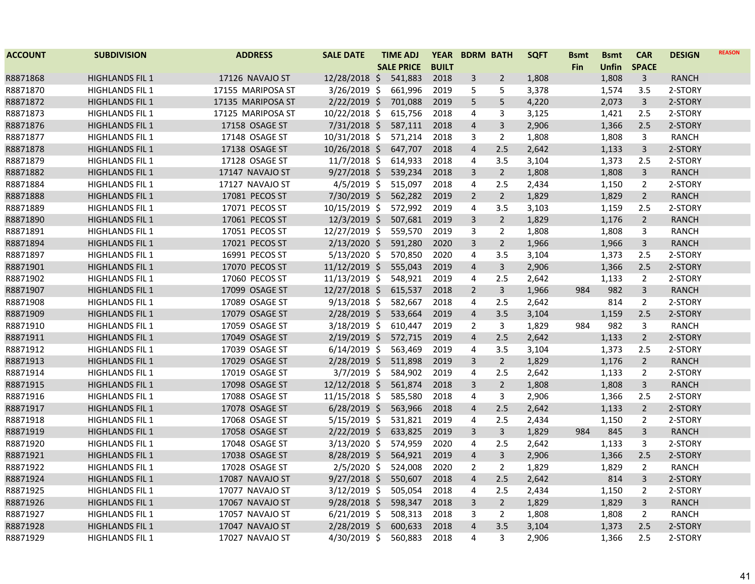| <b>ACCOUNT</b> | <b>SUBDIVISION</b>     | <b>ADDRESS</b>    | <b>SALE DATE</b> | <b>TIME ADJ</b>   | <b>YEAR</b>  | <b>BDRM BATH</b> |                | <b>SQFT</b> | <b>Bsmt</b> | <b>Bsmt</b>  | <b>CAR</b>     | <b>DESIGN</b> | <b>REASON</b> |
|----------------|------------------------|-------------------|------------------|-------------------|--------------|------------------|----------------|-------------|-------------|--------------|----------------|---------------|---------------|
|                |                        |                   |                  | <b>SALE PRICE</b> | <b>BUILT</b> |                  |                |             | <b>Fin</b>  | <b>Unfin</b> | <b>SPACE</b>   |               |               |
| R8871868       | <b>HIGHLANDS FIL 1</b> | 17126 NAVAJO ST   | 12/28/2018 \$    | 541,883           | 2018         | 3                | $\overline{2}$ | 1,808       |             | 1,808        | $\overline{3}$ | <b>RANCH</b>  |               |
| R8871870       | <b>HIGHLANDS FIL 1</b> | 17155 MARIPOSA ST | $3/26/2019$ \$   | 661,996           | 2019         | 5                | 5              | 3,378       |             | 1,574        | 3.5            | 2-STORY       |               |
| R8871872       | <b>HIGHLANDS FIL 1</b> | 17135 MARIPOSA ST | $2/22/2019$ \$   | 701,088           | 2019         | 5                | 5              | 4,220       |             | 2,073        | 3              | 2-STORY       |               |
| R8871873       | <b>HIGHLANDS FIL 1</b> | 17125 MARIPOSA ST | 10/22/2018 \$    | 615,756           | 2018         | 4                | 3              | 3,125       |             | 1,421        | 2.5            | 2-STORY       |               |
| R8871876       | <b>HIGHLANDS FIL 1</b> | 17158 OSAGE ST    | 7/31/2018 \$     | 587,111           | 2018         | $\overline{a}$   | 3              | 2,906       |             | 1,366        | 2.5            | 2-STORY       |               |
| R8871877       | <b>HIGHLANDS FIL 1</b> | 17148 OSAGE ST    | 10/31/2018 \$    | 571,214           | 2018         | 3                | $\overline{2}$ | 1,808       |             | 1,808        | 3              | <b>RANCH</b>  |               |
| R8871878       | <b>HIGHLANDS FIL 1</b> | 17138 OSAGE ST    | 10/26/2018 \$    | 647,707           | 2018         | $\overline{4}$   | 2.5            | 2,642       |             | 1,133        | $\overline{3}$ | 2-STORY       |               |
| R8871879       | <b>HIGHLANDS FIL 1</b> | 17128 OSAGE ST    | 11/7/2018 \$     | 614,933           | 2018         | 4                | 3.5            | 3,104       |             | 1,373        | 2.5            | 2-STORY       |               |
| R8871882       | <b>HIGHLANDS FIL 1</b> | 17147 NAVAJO ST   | $9/27/2018$ \$   | 539,234           | 2018         | 3                | $\overline{2}$ | 1,808       |             | 1,808        | $\overline{3}$ | <b>RANCH</b>  |               |
| R8871884       | <b>HIGHLANDS FIL 1</b> | 17127 NAVAJO ST   | $4/5/2019$ \$    | 515,097           | 2018         | 4                | 2.5            | 2,434       |             | 1,150        | $\overline{2}$ | 2-STORY       |               |
| R8871888       | <b>HIGHLANDS FIL 1</b> | 17081 PECOS ST    | 7/30/2019 \$     | 562,282           | 2019         | $\overline{2}$   | $\overline{2}$ | 1,829       |             | 1,829        | $\overline{2}$ | <b>RANCH</b>  |               |
| R8871889       | <b>HIGHLANDS FIL 1</b> | 17071 PECOS ST    | 10/15/2019 \$    | 572,992           | 2019         | 4                | 3.5            | 3,103       |             | 1,159        | 2.5            | 2-STORY       |               |
| R8871890       | <b>HIGHLANDS FIL 1</b> | 17061 PECOS ST    | 12/3/2019 \$     | 507,681           | 2019         | $\overline{3}$   | $\overline{2}$ | 1,829       |             | 1,176        | $\overline{2}$ | <b>RANCH</b>  |               |
| R8871891       | <b>HIGHLANDS FIL 1</b> | 17051 PECOS ST    | 12/27/2019 \$    | 559,570           | 2019         | 3                | 2              | 1,808       |             | 1,808        | 3              | <b>RANCH</b>  |               |
| R8871894       | <b>HIGHLANDS FIL 1</b> | 17021 PECOS ST    | 2/13/2020 \$     | 591,280           | 2020         | $\overline{3}$   | $\overline{2}$ | 1,966       |             | 1,966        | 3              | <b>RANCH</b>  |               |
| R8871897       | <b>HIGHLANDS FIL 1</b> | 16991 PECOS ST    | $5/13/2020$ \$   | 570,850           | 2020         | 4                | 3.5            | 3,104       |             | 1,373        | 2.5            | 2-STORY       |               |
| R8871901       | <b>HIGHLANDS FIL 1</b> | 17070 PECOS ST    | 11/12/2019 \$    | 555,043           | 2019         | $\overline{4}$   | $\mathbf{3}$   | 2,906       |             | 1,366        | 2.5            | 2-STORY       |               |
| R8871902       | <b>HIGHLANDS FIL 1</b> | 17060 PECOS ST    | 11/13/2019 \$    | 548,921           | 2019         | 4                | 2.5            | 2,642       |             | 1,133        | $\overline{2}$ | 2-STORY       |               |
| R8871907       | <b>HIGHLANDS FIL 1</b> | 17099 OSAGE ST    | 12/27/2018 \$    | 615,537           | 2018         | $\overline{2}$   | $\overline{3}$ | 1,966       | 984         | 982          | 3              | <b>RANCH</b>  |               |
| R8871908       | <b>HIGHLANDS FIL 1</b> | 17089 OSAGE ST    | $9/13/2018$ \$   | 582,667           | 2018         | 4                | 2.5            | 2,642       |             | 814          | $\overline{2}$ | 2-STORY       |               |
| R8871909       | <b>HIGHLANDS FIL 1</b> | 17079 OSAGE ST    | 2/28/2019 \$     | 533,664           | 2019         | $\overline{a}$   | 3.5            | 3,104       |             | 1,159        | 2.5            | 2-STORY       |               |
| R8871910       | <b>HIGHLANDS FIL 1</b> | 17059 OSAGE ST    | 3/18/2019 \$     | 610,447           | 2019         | $\overline{2}$   | $\overline{3}$ | 1,829       | 984         | 982          | 3              | RANCH         |               |
| R8871911       | <b>HIGHLANDS FIL 1</b> | 17049 OSAGE ST    | $2/19/2019$ \$   | 572,715           | 2019         | $\overline{a}$   | 2.5            | 2,642       |             | 1,133        | $\overline{2}$ | 2-STORY       |               |
| R8871912       | <b>HIGHLANDS FIL 1</b> | 17039 OSAGE ST    | $6/14/2019$ \$   | 563,469           | 2019         | 4                | 3.5            | 3,104       |             | 1,373        | 2.5            | 2-STORY       |               |
| R8871913       | <b>HIGHLANDS FIL 1</b> | 17029 OSAGE ST    | 2/28/2019 \$     | 511,898           | 2019         | 3                | $\overline{2}$ | 1,829       |             | 1,176        | $\overline{2}$ | <b>RANCH</b>  |               |
| R8871914       | <b>HIGHLANDS FIL 1</b> | 17019 OSAGE ST    | $3/7/2019$ \$    | 584,902           | 2019         | 4                | 2.5            | 2,642       |             | 1,133        | $\overline{2}$ | 2-STORY       |               |
| R8871915       | <b>HIGHLANDS FIL 1</b> | 17098 OSAGE ST    | 12/12/2018 \$    | 561,874           | 2018         | $\overline{3}$   | $\overline{2}$ | 1,808       |             | 1,808        | $\overline{3}$ | <b>RANCH</b>  |               |
| R8871916       | <b>HIGHLANDS FIL 1</b> | 17088 OSAGE ST    | 11/15/2018 \$    | 585,580           | 2018         | 4                | 3              | 2,906       |             | 1,366        | 2.5            | 2-STORY       |               |
| R8871917       | <b>HIGHLANDS FIL 1</b> | 17078 OSAGE ST    | $6/28/2019$ \$   | 563,966           | 2018         | $\overline{4}$   | 2.5            | 2,642       |             | 1,133        | $\overline{2}$ | 2-STORY       |               |
| R8871918       | <b>HIGHLANDS FIL 1</b> | 17068 OSAGE ST    | $5/15/2019$ \$   | 531,821           | 2019         | 4                | 2.5            | 2,434       |             | 1,150        | $\overline{2}$ | 2-STORY       |               |
| R8871919       | <b>HIGHLANDS FIL 1</b> | 17058 OSAGE ST    | $2/22/2019$ \$   | 633,825           | 2019         | $\overline{3}$   | $\overline{3}$ | 1,829       | 984         | 845          | 3              | <b>RANCH</b>  |               |
| R8871920       | <b>HIGHLANDS FIL 1</b> | 17048 OSAGE ST    | 3/13/2020 \$     | 574,959           | 2020         | 4                | 2.5            | 2,642       |             | 1,133        | 3              | 2-STORY       |               |
| R8871921       | <b>HIGHLANDS FIL 1</b> | 17038 OSAGE ST    | $8/28/2019$ \$   | 564,921           | 2019         | 4                | 3              | 2,906       |             | 1,366        | 2.5            | 2-STORY       |               |
| R8871922       | <b>HIGHLANDS FIL 1</b> | 17028 OSAGE ST    | $2/5/2020$ \$    | 524,008           | 2020         | $\overline{2}$   | $\overline{2}$ | 1,829       |             | 1,829        | 2              | <b>RANCH</b>  |               |
| R8871924       | <b>HIGHLANDS FIL 1</b> | 17087 NAVAJO ST   | $9/27/2018$ \$   | 550,607           | 2018         | $\overline{4}$   | 2.5            | 2,642       |             | 814          | $\overline{3}$ | 2-STORY       |               |
| R8871925       | <b>HIGHLANDS FIL 1</b> | 17077 NAVAJO ST   | $3/12/2019$ \$   | 505,054           | 2018         | 4                | 2.5            | 2,434       |             | 1,150        | $\overline{2}$ | 2-STORY       |               |
| R8871926       | <b>HIGHLANDS FIL 1</b> | 17067 NAVAJO ST   | $9/28/2018$ \$   | 598,347           | 2018         | 3                | $\overline{2}$ | 1,829       |             | 1,829        | 3              | <b>RANCH</b>  |               |
| R8871927       | <b>HIGHLANDS FIL 1</b> | 17057 NAVAJO ST   | $6/21/2019$ \$   | 508,313           | 2018         | 3                | 2              | 1,808       |             | 1,808        | 2              | <b>RANCH</b>  |               |
| R8871928       | <b>HIGHLANDS FIL 1</b> | 17047 NAVAJO ST   | $2/28/2019$ \$   | 600,633           | 2018         | $\overline{4}$   | 3.5            | 3,104       |             | 1,373        | 2.5            | 2-STORY       |               |
| R8871929       | <b>HIGHLANDS FIL 1</b> | 17027 NAVAJO ST   | 4/30/2019 \$     | 560,883           | 2018         | 4                | 3              | 2,906       |             | 1,366        | 2.5            | 2-STORY       |               |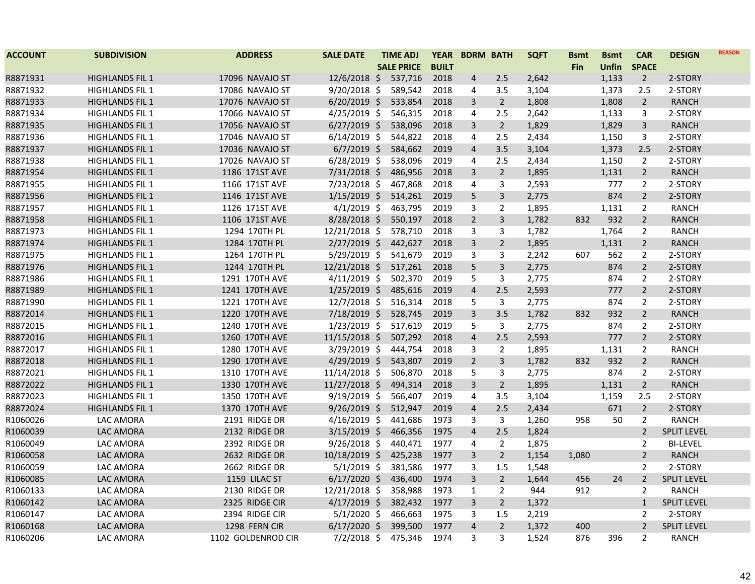| <b>ACCOUNT</b> | <b>SUBDIVISION</b>     | <b>ADDRESS</b>     | <b>SALE DATE</b> | <b>TIME ADJ</b>   |              | YEAR BDRM BATH          |                | <b>SQFT</b> | <b>Bsmt</b> | <b>Bsmt</b> | <b>CAR</b>     | <b>DESIGN</b>      | <b>REASON</b> |
|----------------|------------------------|--------------------|------------------|-------------------|--------------|-------------------------|----------------|-------------|-------------|-------------|----------------|--------------------|---------------|
|                |                        |                    |                  | <b>SALE PRICE</b> | <b>BUILT</b> |                         |                |             | Fin         | Unfin       | <b>SPACE</b>   |                    |               |
| R8871931       | <b>HIGHLANDS FIL 1</b> | 17096 NAVAJO ST    | $12/6/2018$ \$   | 537,716           | 2018         | 4                       | 2.5            | 2,642       |             | 1,133       | $\overline{2}$ | 2-STORY            |               |
| R8871932       | <b>HIGHLANDS FIL 1</b> | 17086 NAVAJO ST    | $9/20/2018$ \$   | 589,542           | 2018         | 4                       | 3.5            | 3,104       |             | 1,373       | 2.5            | 2-STORY            |               |
| R8871933       | <b>HIGHLANDS FIL 1</b> | 17076 NAVAJO ST    | $6/20/2019$ \$   | 533,854           | 2018         | 3                       | $\overline{2}$ | 1,808       |             | 1,808       | $\overline{2}$ | <b>RANCH</b>       |               |
| R8871934       | <b>HIGHLANDS FIL 1</b> | 17066 NAVAJO ST    | 4/25/2019 \$     | 546,315           | 2018         | 4                       | 2.5            | 2,642       |             | 1,133       | 3              | 2-STORY            |               |
| R8871935       | <b>HIGHLANDS FIL 1</b> | 17056 NAVAJO ST    | $6/27/2019$ \$   | 538,096           | 2018         | 3                       | $\overline{2}$ | 1,829       |             | 1,829       | $\mathbf{3}$   | <b>RANCH</b>       |               |
| R8871936       | <b>HIGHLANDS FIL 1</b> | 17046 NAVAJO ST    | $6/14/2019$ \$   | 544,822           | 2018         | 4                       | 2.5            | 2,434       |             | 1,150       | 3              | 2-STORY            |               |
| R8871937       | <b>HIGHLANDS FIL 1</b> | 17036 NAVAJO ST    | $6/7/2019$ \$    | 584,662           | 2019         | $\overline{4}$          | 3.5            | 3,104       |             | 1,373       | 2.5            | 2-STORY            |               |
| R8871938       | <b>HIGHLANDS FIL 1</b> | 17026 NAVAJO ST    | $6/28/2019$ \$   | 538,096           | 2019         | 4                       | 2.5            | 2,434       |             | 1,150       | $\overline{2}$ | 2-STORY            |               |
| R8871954       | <b>HIGHLANDS FIL 1</b> | 1186 171ST AVE     | 7/31/2018 \$     | 486,956           | 2018         | 3                       | $\overline{2}$ | 1,895       |             | 1,131       | $\overline{2}$ | <b>RANCH</b>       |               |
| R8871955       | <b>HIGHLANDS FIL 1</b> | 1166 171ST AVE     | 7/23/2018 \$     | 467,868           | 2018         | 4                       | 3              | 2,593       |             | 777         | $\overline{2}$ | 2-STORY            |               |
| R8871956       | <b>HIGHLANDS FIL 1</b> | 1146 171ST AVE     | $1/15/2019$ \$   | 514,261           | 2019         | 5                       | 3              | 2,775       |             | 874         | $\overline{2}$ | 2-STORY            |               |
| R8871957       | <b>HIGHLANDS FIL 1</b> | 1126 171ST AVE     | $4/1/2019$ \$    | 463,795           | 2019         | 3                       | $\overline{2}$ | 1,895       |             | 1,131       | $\overline{2}$ | <b>RANCH</b>       |               |
| R8871958       | <b>HIGHLANDS FIL 1</b> | 1106 171ST AVE     | 8/28/2018 \$     | 550,197           | 2018         | $2^{1}$                 | $\overline{3}$ | 1,782       | 832         | 932         | $\overline{2}$ | <b>RANCH</b>       |               |
| R8871973       | <b>HIGHLANDS FIL 1</b> | 1294 170TH PL      | 12/21/2018 \$    | 578,710           | 2018         | 3                       | 3              | 1,782       |             | 1,764       | $\overline{2}$ | <b>RANCH</b>       |               |
| R8871974       | <b>HIGHLANDS FIL 1</b> | 1284 170TH PL      | $2/27/2019$ \$   | 442,627           | 2018         | 3                       | $\overline{2}$ | 1,895       |             | 1,131       | $\overline{2}$ | <b>RANCH</b>       |               |
| R8871975       | <b>HIGHLANDS FIL 1</b> | 1264 170TH PL      | 5/29/2019 \$     | 541,679           | 2019         | 3                       | 3              | 2,242       | 607         | 562         | $\overline{2}$ | 2-STORY            |               |
| R8871976       | <b>HIGHLANDS FIL 1</b> | 1244 170TH PL      | 12/21/2018 \$    | 517,261           | 2018         | 5                       | $\overline{3}$ | 2,775       |             | 874         | $\overline{2}$ | 2-STORY            |               |
| R8871986       | <b>HIGHLANDS FIL 1</b> | 1291 170TH AVE     | $4/11/2019$ \$   | 502,370           | 2019         | 5                       | $\overline{3}$ | 2,775       |             | 874         | $\overline{2}$ | 2-STORY            |               |
| R8871989       | <b>HIGHLANDS FIL 1</b> | 1241 170TH AVE     | $1/25/2019$ \$   | 485,616           | 2019         | $\overline{\mathbf{4}}$ | 2.5            | 2,593       |             | 777         | $\overline{2}$ | 2-STORY            |               |
| R8871990       | <b>HIGHLANDS FIL 1</b> | 1221 170TH AVE     | 12/7/2018 \$     | 516,314           | 2018         | 5                       | 3              | 2,775       |             | 874         | $\overline{2}$ | 2-STORY            |               |
| R8872014       | <b>HIGHLANDS FIL 1</b> | 1220 170TH AVE     | 7/18/2019 \$     | 528,745           | 2019         | $\overline{3}$          | 3.5            | 1,782       | 832         | 932         | $\overline{2}$ | <b>RANCH</b>       |               |
| R8872015       | <b>HIGHLANDS FIL 1</b> | 1240 170TH AVE     | 1/23/2019 \$     | 517,619           | 2019         | 5                       | $\overline{3}$ | 2,775       |             | 874         | $\overline{2}$ | 2-STORY            |               |
| R8872016       | <b>HIGHLANDS FIL 1</b> | 1260 170TH AVE     | 11/15/2018 \$    | 507,292           | 2018         | $\overline{4}$          | 2.5            | 2,593       |             | 777         | $\overline{2}$ | 2-STORY            |               |
| R8872017       | <b>HIGHLANDS FIL 1</b> | 1280 170TH AVE     | 3/29/2019 \$     | 444,754           | 2018         | 3                       | 2              | 1,895       |             | 1,131       | $\overline{2}$ | <b>RANCH</b>       |               |
| R8872018       | <b>HIGHLANDS FIL 1</b> | 1290 170TH AVE     | 4/29/2019 \$     | 543,807           | 2019         | $2^{1}$                 | $\overline{3}$ | 1,782       | 832         | 932         | $\overline{2}$ | <b>RANCH</b>       |               |
| R8872021       | <b>HIGHLANDS FIL 1</b> | 1310 170TH AVE     | 11/14/2018 \$    | 506,870           | 2018         | 5                       | $\mathbf{3}$   | 2,775       |             | 874         | $\overline{2}$ | 2-STORY            |               |
| R8872022       | <b>HIGHLANDS FIL 1</b> | 1330 170TH AVE     | 11/27/2018 \$    | 494,314           | 2018         | $\overline{3}$          | $\overline{2}$ | 1,895       |             | 1,131       | $\overline{2}$ | <b>RANCH</b>       |               |
| R8872023       | <b>HIGHLANDS FIL 1</b> | 1350 170TH AVE     | 9/19/2019 \$     | 566,407           | 2019         | 4                       | 3.5            | 3,104       |             | 1,159       | 2.5            | 2-STORY            |               |
| R8872024       | <b>HIGHLANDS FIL 1</b> | 1370 170TH AVE     | $9/26/2019$ \$   | 512,947           | 2019         | 4                       | 2.5            | 2,434       |             | 671         | $\overline{2}$ | 2-STORY            |               |
| R1060026       | LAC AMORA              | 2191 RIDGE DR      | 4/16/2019 \$     | 441,686           | 1973         | 3                       | $\overline{3}$ | 1,260       | 958         | 50          | $\overline{2}$ | <b>RANCH</b>       |               |
| R1060039       | LAC AMORA              | 2132 RIDGE DR      | $3/15/2019$ \$   | 466,356           | 1975         | $\overline{4}$          | 2.5            | 1,824       |             |             | $\overline{2}$ | <b>SPLIT LEVEL</b> |               |
| R1060049       | LAC AMORA              | 2392 RIDGE DR      | $9/26/2018$ \$   | 440,471           | 1977         | 4                       | $\overline{2}$ | 1,875       |             |             | $\overline{2}$ | <b>BI-LEVEL</b>    |               |
| R1060058       | <b>LAC AMORA</b>       | 2632 RIDGE DR      | 10/18/2019 \$    | 425,238           | 1977         | 3                       | $\overline{2}$ | 1,154       | 1,080       |             | $\overline{2}$ | <b>RANCH</b>       |               |
| R1060059       | LAC AMORA              | 2662 RIDGE DR      | $5/1/2019$ \$    | 381,586           | 1977         | 3                       | 1.5            | 1,548       |             |             | $\overline{2}$ | 2-STORY            |               |
| R1060085       | LAC AMORA              | 1159 LILAC ST      | $6/17/2020$ \$   | 436,400           | 1974         | $\overline{3}$          | $\overline{2}$ | 1,644       | 456         | 24          | $2^{\circ}$    | <b>SPLIT LEVEL</b> |               |
| R1060133       | LAC AMORA              | 2130 RIDGE DR      | 12/21/2018 \$    | 358,988           | 1973         | $\mathbf{1}$            | $\overline{2}$ | 944         | 912         |             | $\overline{2}$ | <b>RANCH</b>       |               |
| R1060142       | LAC AMORA              | 2325 RIDGE CIR     | $4/17/2019$ \$   | 382,432           | 1977         | 3                       | $\overline{2}$ | 1,372       |             |             | $\mathbf{1}$   | <b>SPLIT LEVEL</b> |               |
| R1060147       | LAC AMORA              | 2394 RIDGE CIR     | $5/1/2020$ \$    | 466,663           | 1975         | 3                       | 1.5            | 2,219       |             |             | 2              | 2-STORY            |               |
| R1060168       | LAC AMORA              | 1298 FERN CIR      | $6/17/2020$ \$   | 399,500           | 1977         | $\overline{4}$          | $\overline{2}$ | 1,372       | 400         |             | $\overline{2}$ | <b>SPLIT LEVEL</b> |               |
| R1060206       | LAC AMORA              | 1102 GOLDENROD CIR | $7/2/2018$ \$    | 475,346           | 1974         | 3                       | 3              | 1,524       | 876         | 396         | 2              | <b>RANCH</b>       |               |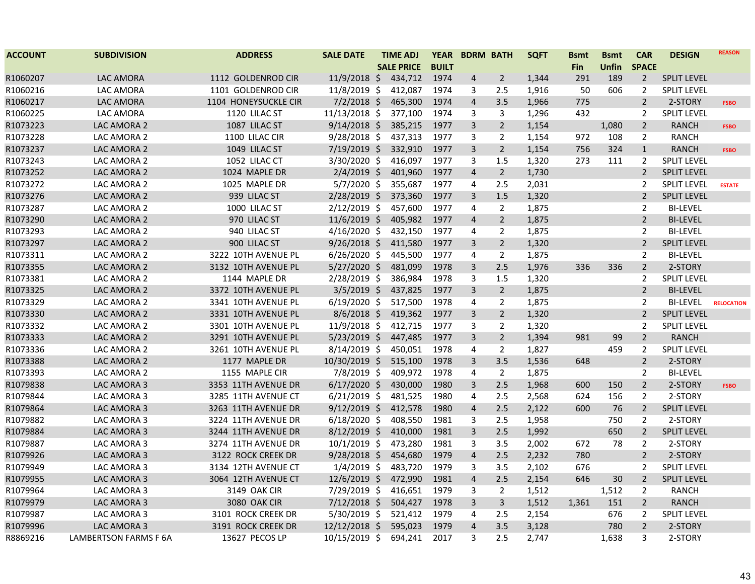| <b>ACCOUNT</b> | <b>SUBDIVISION</b>           | <b>ADDRESS</b>       | <b>SALE DATE</b> | <b>TIME ADJ</b>   | <b>YEAR</b>  |                | <b>BDRM BATH</b> | <b>SQFT</b> | <b>Bsmt</b> | <b>Bsmt</b> | <b>CAR</b>     | <b>DESIGN</b>      | <b>REASON</b>     |
|----------------|------------------------------|----------------------|------------------|-------------------|--------------|----------------|------------------|-------------|-------------|-------------|----------------|--------------------|-------------------|
|                |                              |                      |                  | <b>SALE PRICE</b> | <b>BUILT</b> |                |                  |             | <b>Fin</b>  | Unfin       | <b>SPACE</b>   |                    |                   |
| R1060207       | LAC AMORA                    | 1112 GOLDENROD CIR   | $11/9/2018$ \$   | 434,712           | 1974         | 4              | $\overline{2}$   | 1,344       | 291         | 189         | $\overline{2}$ | <b>SPLIT LEVEL</b> |                   |
| R1060216       | LAC AMORA                    | 1101 GOLDENROD CIR   | 11/8/2019 \$     | 412,087           | 1974         | 3              | 2.5              | 1,916       | 50          | 606         | 2              | <b>SPLIT LEVEL</b> |                   |
| R1060217       | LAC AMORA                    | 1104 HONEYSUCKLE CIR | $7/2/2018$ \$    | 465,300           | 1974         | 4              | 3.5              | 1,966       | 775         |             | $\overline{2}$ | 2-STORY            | <b>FSBO</b>       |
| R1060225       | LAC AMORA                    | 1120 LILAC ST        | 11/13/2018 \$    | 377,100           | 1974         | 3              | 3                | 1,296       | 432         |             | $\overline{2}$ | <b>SPLIT LEVEL</b> |                   |
| R1073223       | LAC AMORA 2                  | 1087 LILAC ST        | $9/14/2018$ \$   | 385,215           | 1977         | 3              | $\overline{2}$   | 1,154       |             | 1,080       | $\overline{2}$ | <b>RANCH</b>       | <b>FSBO</b>       |
| R1073228       | LAC AMORA 2                  | 1100 LILAC CIR       | $9/28/2018$ \$   | 437,313           | 1977         | 3              | 2                | 1,154       | 972         | 108         | $\overline{2}$ | <b>RANCH</b>       |                   |
| R1073237       | LAC AMORA 2                  | 1049 LILAC ST        | 7/19/2019 \$     | 332,910           | 1977         | 3              | $\overline{2}$   | 1,154       | 756         | 324         | $\mathbf{1}$   | <b>RANCH</b>       | <b>FSBO</b>       |
| R1073243       | LAC AMORA 2                  | 1052 LILAC CT        | 3/30/2020 \$     | 416,097           | 1977         | 3              | 1.5              | 1,320       | 273         | 111         | $\overline{2}$ | <b>SPLIT LEVEL</b> |                   |
| R1073252       | LAC AMORA 2                  | 1024 MAPLE DR        | $2/4/2019$ \$    | 401,960           | 1977         | $\overline{4}$ | $2\overline{ }$  | 1,730       |             |             | $\overline{2}$ | <b>SPLIT LEVEL</b> |                   |
| R1073272       | LAC AMORA 2                  | 1025 MAPLE DR        | $5/7/2020$ \$    | 355,687           | 1977         | 4              | 2.5              | 2,031       |             |             | $\overline{2}$ | <b>SPLIT LEVEL</b> | <b>ESTATE</b>     |
| R1073276       | LAC AMORA 2                  | 939 LILAC ST         | $2/28/2019$ \$   | 373,360           | 1977         | 3              | $1.5\,$          | 1,320       |             |             | $\overline{2}$ | <b>SPLIT LEVEL</b> |                   |
| R1073287       | LAC AMORA 2                  | 1000 LILAC ST        | $2/12/2019$ \$   | 457,600           | 1977         | 4              | $\overline{2}$   | 1,875       |             |             | $\overline{2}$ | <b>BI-LEVEL</b>    |                   |
| R1073290       | LAC AMORA 2                  | 970 LILAC ST         | $11/6/2019$ \$   | 405,982           | 1977         | $\overline{4}$ | $2^{\circ}$      | 1,875       |             |             | $\overline{2}$ | <b>BI-LEVEL</b>    |                   |
| R1073293       | LAC AMORA 2                  | 940 LILAC ST         | $4/16/2020$ \$   | 432,150           | 1977         | 4              | $\overline{2}$   | 1,875       |             |             | $\overline{2}$ | <b>BI-LEVEL</b>    |                   |
| R1073297       | LAC AMORA 2                  | 900 LILAC ST         | $9/26/2018$ \$   | 411,580           | 1977         | 3              | $\overline{2}$   | 1,320       |             |             | $\overline{2}$ | <b>SPLIT LEVEL</b> |                   |
| R1073311       | LAC AMORA 2                  | 3222 10TH AVENUE PL  | $6/26/2020$ \$   | 445,500           | 1977         | 4              | $\overline{2}$   | 1,875       |             |             | 2              | <b>BI-LEVEL</b>    |                   |
| R1073355       | LAC AMORA 2                  | 3132 10TH AVENUE PL  | $5/27/2020$ \$   | 481,099           | 1978         | 3              | 2.5              | 1,976       | 336         | 336         | $\overline{2}$ | 2-STORY            |                   |
| R1073381       | LAC AMORA 2                  | 1144 MAPLE DR        | 2/28/2019 \$     | 386,984           | 1978         | 3              | 1.5              | 1,320       |             |             | $\overline{2}$ | <b>SPLIT LEVEL</b> |                   |
| R1073325       | LAC AMORA 2                  | 3372 10TH AVENUE PL  | $3/5/2019$ \$    | 437,825           | 1977         | 3              | $\overline{2}$   | 1,875       |             |             | $\overline{2}$ | <b>BI-LEVEL</b>    |                   |
| R1073329       | LAC AMORA 2                  | 3341 10TH AVENUE PL  | $6/19/2020$ \$   | 517,500           | 1978         | 4              | $\overline{2}$   | 1,875       |             |             | 2              | <b>BI-LEVEL</b>    | <b>RELOCATION</b> |
| R1073330       | LAC AMORA 2                  | 3331 10TH AVENUE PL  | $8/6/2018$ \$    | 419,362           | 1977         | 3              | $\overline{2}$   | 1,320       |             |             | $2^{\circ}$    | <b>SPLIT LEVEL</b> |                   |
| R1073332       | LAC AMORA 2                  | 3301 10TH AVENUE PL  | $11/9/2018$ \$   | 412,715           | 1977         | 3              | $\overline{2}$   | 1,320       |             |             | $\overline{2}$ | <b>SPLIT LEVEL</b> |                   |
| R1073333       | LAC AMORA 2                  | 3291 10TH AVENUE PL  | $5/23/2019$ \$   | 447,485           | 1977         | 3              | $2^{\circ}$      | 1,394       | 981         | 99          | $\overline{2}$ | <b>RANCH</b>       |                   |
| R1073336       | LAC AMORA 2                  | 3261 10TH AVENUE PL  | $8/14/2019$ \$   | 450,051           | 1978         | 4              | $\overline{2}$   | 1,827       |             | 459         | $\overline{2}$ | <b>SPLIT LEVEL</b> |                   |
| R1073388       | LAC AMORA 2                  | 1177 MAPLE DR        | 10/30/2019 \$    | 515,100           | 1978         | 3              | 3.5              | 1,536       | 648         |             | $\overline{2}$ | 2-STORY            |                   |
| R1073393       | LAC AMORA 2                  | 1155 MAPLE CIR       | 7/8/2019 \$      | 409,972           | 1978         | 4              | $\overline{2}$   | 1,875       |             |             | $\overline{2}$ | <b>BI-LEVEL</b>    |                   |
| R1079838       | LAC AMORA 3                  | 3353 11TH AVENUE DR  | $6/17/2020$ \$   | 430,000           | 1980         | 3              | 2.5              | 1,968       | 600         | 150         | $\overline{2}$ | 2-STORY            | <b>FSBO</b>       |
| R1079844       | LAC AMORA 3                  | 3285 11TH AVENUE CT  | $6/21/2019$ \$   | 481,525           | 1980         | 4              | 2.5              | 2,568       | 624         | 156         | $\overline{2}$ | 2-STORY            |                   |
| R1079864       | LAC AMORA 3                  | 3263 11TH AVENUE DR  | $9/12/2019$ \$   | 412,578           | 1980         | 4              | 2.5              | 2,122       | 600         | 76          | $\overline{2}$ | <b>SPLIT LEVEL</b> |                   |
| R1079882       | LAC AMORA 3                  | 3224 11TH AVENUE DR  | $6/18/2020$ \$   | 408,550           | 1981         | 3              | 2.5              | 1,958       |             | 750         | $\overline{2}$ | 2-STORY            |                   |
| R1079884       | LAC AMORA 3                  | 3244 11TH AVENUE DR  | $8/12/2019$ \$   | 410,000           | 1981         | 3              | 2.5              | 1,992       |             | 650         | $\overline{2}$ | <b>SPLIT LEVEL</b> |                   |
| R1079887       | LAC AMORA 3                  | 3274 11TH AVENUE DR  | $10/1/2019$ \$   | 473,280           | 1981         | 3              | 3.5              | 2,002       | 672         | 78          | $\overline{2}$ | 2-STORY            |                   |
| R1079926       | LAC AMORA 3                  | 3122 ROCK CREEK DR   | $9/28/2018$ \$   | 454,680           | 1979         | 4              | 2.5              | 2,232       | 780         |             | $\overline{2}$ | 2-STORY            |                   |
| R1079949       | LAC AMORA 3                  | 3134 12TH AVENUE CT  | $1/4/2019$ \$    | 483,720           | 1979         | 3              | 3.5              | 2,102       | 676         |             | $\overline{2}$ | <b>SPLIT LEVEL</b> |                   |
| R1079955       | LAC AMORA 3                  | 3064 12TH AVENUE CT  | 12/6/2019 \$     | 472,990           | 1981         | $\overline{4}$ | 2.5              | 2,154       | 646         | 30          | $\overline{2}$ | SPLIT LEVEL        |                   |
| R1079964       | LAC AMORA 3                  | 3149 OAK CIR         | 7/29/2019 \$     | 416,651           | 1979         | 3              | $\overline{2}$   | 1,512       |             | 1,512       | $\overline{2}$ | <b>RANCH</b>       |                   |
| R1079979       | LAC AMORA 3                  | 3080 OAK CIR         | $7/12/2018$ \$   | 504,427           | 1978         | 3              | $\overline{3}$   | 1,512       | 1,361       | 151         | $\overline{2}$ | <b>RANCH</b>       |                   |
| R1079987       | LAC AMORA 3                  | 3101 ROCK CREEK DR   | $5/30/2019$ \$   | 521,412           | 1979         | 4              | 2.5              | 2,154       |             | 676         | $\overline{2}$ | <b>SPLIT LEVEL</b> |                   |
| R1079996       | LAC AMORA 3                  | 3191 ROCK CREEK DR   | 12/12/2018 \$    | 595,023           | 1979         | 4              | 3.5              | 3,128       |             | 780         | $\overline{2}$ | 2-STORY            |                   |
| R8869216       | <b>LAMBERTSON FARMS F 6A</b> | 13627 PECOS LP       | 10/15/2019 \$    | 694,241           | 2017         | 3              | 2.5              | 2,747       |             | 1,638       | 3              | 2-STORY            |                   |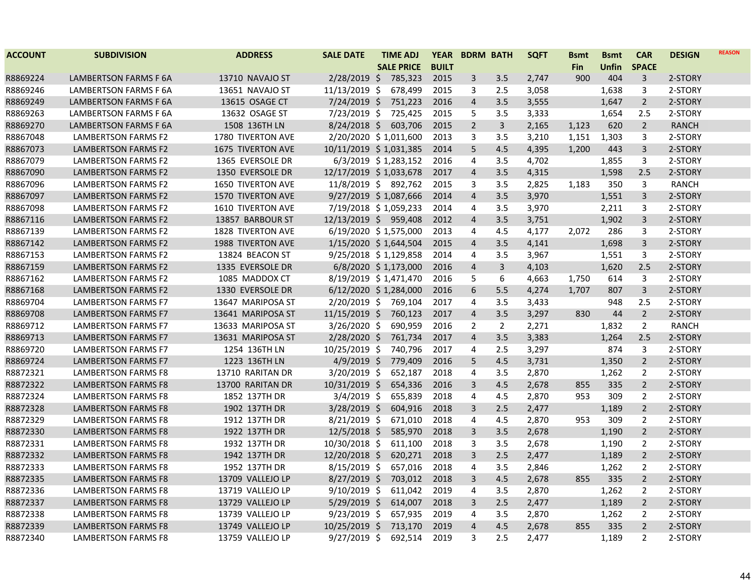| <b>ACCOUNT</b> | <b>SUBDIVISION</b>           | <b>ADDRESS</b>           | <b>SALE DATE</b>         | <b>TIME ADJ</b>   | <b>YEAR</b>  | <b>BDRM BATH</b>        |                | <b>SQFT</b> | <b>Bsmt</b> | <b>B</b> smt | <b>CAR</b>     | <b>DESIGN</b> | <b>REASON</b> |
|----------------|------------------------------|--------------------------|--------------------------|-------------------|--------------|-------------------------|----------------|-------------|-------------|--------------|----------------|---------------|---------------|
|                |                              |                          |                          | <b>SALE PRICE</b> | <b>BUILT</b> |                         |                |             | <b>Fin</b>  | <b>Unfin</b> | <b>SPACE</b>   |               |               |
| R8869224       | LAMBERTSON FARMS F 6A        | 13710 NAVAJO ST          | $2/28/2019$ \$           | 785,323           | 2015         | 3                       | 3.5            | 2,747       | 900         | 404          | 3              | 2-STORY       |               |
| R8869246       | <b>LAMBERTSON FARMS F 6A</b> | 13651 NAVAJO ST          | 11/13/2019 \$            | 678,499           | 2015         | 3                       | 2.5            | 3,058       |             | 1,638        | 3              | 2-STORY       |               |
| R8869249       | LAMBERTSON FARMS F 6A        | 13615 OSAGE CT           | 7/24/2019 \$             | 751,223           | 2016         | $\overline{4}$          | 3.5            | 3,555       |             | 1,647        | $\overline{2}$ | 2-STORY       |               |
| R8869263       | LAMBERTSON FARMS F 6A        | 13632 OSAGE ST           | 7/23/2019 \$             | 725,425           | 2015         | 5                       | 3.5            | 3,333       |             | 1,654        | 2.5            | 2-STORY       |               |
| R8869270       | <b>LAMBERTSON FARMS F 6A</b> | 1508 136TH LN            | $8/24/2018$ \$           | 603,706           | 2015         | $\overline{2}$          | $\mathbf{3}$   | 2,165       | 1,123       | 620          | $2^{\circ}$    | <b>RANCH</b>  |               |
| R8867048       | <b>LAMBERTSON FARMS F2</b>   | 1780 TIVERTON AVE        | 2/20/2020 \$1,011,600    |                   | 2013         | 3                       | 3.5            | 3,210       | 1,151       | 1,303        | 3              | 2-STORY       |               |
| R8867073       | <b>LAMBERTSON FARMS F2</b>   | 1675 TIVERTON AVE        | 10/11/2019 \$1,031,385   |                   | 2014         | 5                       | 4.5            | 4,395       | 1,200       | 443          | 3              | 2-STORY       |               |
| R8867079       | <b>LAMBERTSON FARMS F2</b>   | 1365 EVERSOLE DR         | 6/3/2019 \$1,283,152     |                   | 2016         | 4                       | 3.5            | 4,702       |             | 1,855        | 3              | 2-STORY       |               |
| R8867090       | <b>LAMBERTSON FARMS F2</b>   | 1350 EVERSOLE DR         | 12/17/2019 \$1,033,678   |                   | 2017         | $\overline{\mathbf{4}}$ | 3.5            | 4,315       |             | 1,598        | 2.5            | 2-STORY       |               |
| R8867096       | LAMBERTSON FARMS F2          | <b>1650 TIVERTON AVE</b> | 11/8/2019 \$ 892,762     |                   | 2015         | 3                       | 3.5            | 2,825       | 1,183       | 350          | 3              | <b>RANCH</b>  |               |
| R8867097       | <b>LAMBERTSON FARMS F2</b>   | 1570 TIVERTON AVE        | $9/27/2019$ \$ 1,087,666 |                   | 2014         | $\overline{4}$          | 3.5            | 3,970       |             | 1,551        | 3              | 2-STORY       |               |
| R8867098       | <b>LAMBERTSON FARMS F2</b>   | <b>1610 TIVERTON AVE</b> | 7/19/2018 \$1,059,233    |                   | 2014         | 4                       | 3.5            | 3,970       |             | 2,211        | 3              | 2-STORY       |               |
| R8867116       | <b>LAMBERTSON FARMS F2</b>   | 13857 BARBOUR ST         | 12/13/2019 \$ 959,408    |                   | 2012         | $\overline{4}$          | 3.5            | 3,751       |             | 1,902        | 3              | 2-STORY       |               |
| R8867139       | LAMBERTSON FARMS F2          | 1828 TIVERTON AVE        | 6/19/2020 \$1,575,000    |                   | 2013         | 4                       | 4.5            | 4,177       | 2,072       | 286          | 3              | 2-STORY       |               |
| R8867142       | <b>LAMBERTSON FARMS F2</b>   | 1988 TIVERTON AVE        | 1/15/2020 \$1,644,504    |                   | 2015         | 4                       | 3.5            | 4,141       |             | 1,698        | 3              | 2-STORY       |               |
| R8867153       | LAMBERTSON FARMS F2          | 13824 BEACON ST          | 9/25/2018 \$1,129,858    |                   | 2014         | 4                       | 3.5            | 3,967       |             | 1,551        | 3              | 2-STORY       |               |
| R8867159       | <b>LAMBERTSON FARMS F2</b>   | 1335 EVERSOLE DR         | 6/8/2020 \$1,173,000     |                   | 2016         | $\overline{4}$          | 3              | 4,103       |             | 1,620        | 2.5            | 2-STORY       |               |
| R8867162       | LAMBERTSON FARMS F2          | 1085 MADDOX CT           | 8/19/2019 \$1,471,470    |                   | 2016         | 5                       | 6              | 4,663       | 1,750       | 614          | 3              | 2-STORY       |               |
| R8867168       | <b>LAMBERTSON FARMS F2</b>   | 1330 EVERSOLE DR         | 6/12/2020 \$1,284,000    |                   | 2016         | 6                       | 5.5            | 4,274       | 1,707       | 807          | 3              | 2-STORY       |               |
| R8869704       | <b>LAMBERTSON FARMS F7</b>   | 13647 MARIPOSA ST        | 2/20/2019 \$ 769,104     |                   | 2017         | 4                       | 3.5            | 3,433       |             | 948          | 2.5            | 2-STORY       |               |
| R8869708       | <b>LAMBERTSON FARMS F7</b>   | 13641 MARIPOSA ST        | 11/15/2019 \$ 760,123    |                   | 2017         | $\overline{4}$          | 3.5            | 3,297       | 830         | 44           | $\overline{2}$ | 2-STORY       |               |
| R8869712       | <b>LAMBERTSON FARMS F7</b>   | 13633 MARIPOSA ST        | $3/26/2020$ \$           | 690,959           | 2016         | $\overline{2}$          | $\overline{2}$ | 2,271       |             | 1,832        | $\overline{2}$ | <b>RANCH</b>  |               |
| R8869713       | <b>LAMBERTSON FARMS F7</b>   | 13631 MARIPOSA ST        | $2/28/2020$ \$           | 761,734           | 2017         | $\overline{4}$          | 3.5            | 3,383       |             | 1,264        | 2.5            | 2-STORY       |               |
| R8869720       | <b>LAMBERTSON FARMS F7</b>   | 1254 136TH LN            | 10/25/2019 \$            | 740,796           | 2017         | 4                       | 2.5            | 3,297       |             | 874          | 3              | 2-STORY       |               |
| R8869724       | <b>LAMBERTSON FARMS F7</b>   | 1223 136TH LN            | $4/9/2019$ \$            | 779,409           | 2016         | 5                       | 4.5            | 3,731       |             | 1,350        | $\overline{2}$ | 2-STORY       |               |
| R8872321       | <b>LAMBERTSON FARMS F8</b>   | 13710 RARITAN DR         | $3/20/2019$ \$           | 652,187           | 2018         | 4                       | 3.5            | 2,870       |             | 1,262        | $\overline{2}$ | 2-STORY       |               |
| R8872322       | LAMBERTSON FARMS F8          | 13700 RARITAN DR         | 10/31/2019 \$            | 654,336           | 2016         | 3                       | 4.5            | 2,678       | 855         | 335          | $\overline{2}$ | 2-STORY       |               |
| R8872324       | <b>LAMBERTSON FARMS F8</b>   | 1852 137TH DR            | $3/4/2019$ \$            | 655,839           | 2018         | 4                       | 4.5            | 2,870       | 953         | 309          | $\overline{2}$ | 2-STORY       |               |
| R8872328       | LAMBERTSON FARMS F8          | 1902 137TH DR            | $3/28/2019$ \$           | 604,916           | 2018         | 3                       | 2.5            | 2,477       |             | 1,189        | $\overline{2}$ | 2-STORY       |               |
| R8872329       | <b>LAMBERTSON FARMS F8</b>   | 1912 137TH DR            | $8/21/2019$ \$           | 671,010           | 2018         | 4                       | 4.5            | 2,870       | 953         | 309          | $\overline{2}$ | 2-STORY       |               |
| R8872330       | LAMBERTSON FARMS F8          | 1922 137TH DR            | $12/5/2018$ \$           | 585,970           | 2018         | 3                       | 3.5            | 2,678       |             | 1,190        | $\overline{2}$ | 2-STORY       |               |
| R8872331       | <b>LAMBERTSON FARMS F8</b>   | 1932 137TH DR            | 10/30/2018 \$            | 611,100           | 2018         | 3                       | 3.5            | 2,678       |             | 1,190        | $\overline{2}$ | 2-STORY       |               |
| R8872332       | <b>LAMBERTSON FARMS F8</b>   | 1942 137TH DR            | 12/20/2018 \$            | 620,271           | 2018         | 3                       | 2.5            | 2,477       |             | 1,189        | $\overline{2}$ | 2-STORY       |               |
| R8872333       | <b>LAMBERTSON FARMS F8</b>   | 1952 137TH DR            | $8/15/2019$ \$           | 657,016           | 2018         | 4                       | 3.5            | 2,846       |             | 1,262        | 2              | 2-STORY       |               |
| R8872335       | <b>LAMBERTSON FARMS F8</b>   | 13709 VALLEJO LP         | 8/27/2019 \$             | 703,012           | 2018         | 3                       | 4.5            | 2,678       | 855         | 335          | $\overline{2}$ | 2-STORY       |               |
| R8872336       | <b>LAMBERTSON FARMS F8</b>   | 13719 VALLEJO LP         | $9/10/2019$ \$           | 611,042           | 2019         | 4                       | 3.5            | 2,870       |             | 1,262        | $\overline{2}$ | 2-STORY       |               |
| R8872337       | LAMBERTSON FARMS F8          | 13729 VALLEJO LP         | $5/29/2019$ \$           | 614,007           | 2018         | 3                       | 2.5            | 2,477       |             | 1,189        | $\overline{2}$ | 2-STORY       |               |
| R8872338       | <b>LAMBERTSON FARMS F8</b>   | 13739 VALLEJO LP         | $9/23/2019$ \$           | 657,935           | 2019         | 4                       | 3.5            | 2,870       |             | 1,262        | 2              | 2-STORY       |               |
| R8872339       | <b>LAMBERTSON FARMS F8</b>   | 13749 VALLEJO LP         | $10/25/2019$ \$          | 713,170           | 2019         | $\overline{4}$          | 4.5            | 2,678       | 855         | 335          | $\overline{2}$ | 2-STORY       |               |
| R8872340       | LAMBERTSON FARMS F8          | 13759 VALLEJO LP         | $9/27/2019$ \$           | 692,514           | 2019         | 3                       | 2.5            | 2,477       |             | 1,189        | $\overline{2}$ | 2-STORY       |               |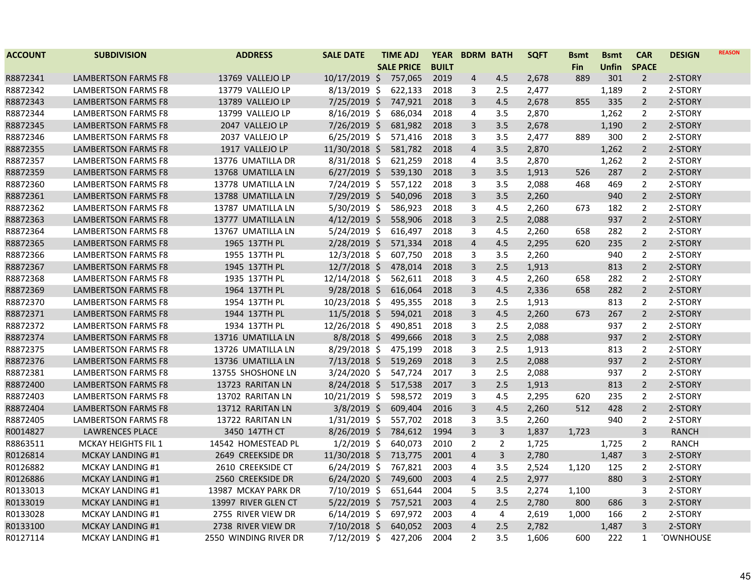| <b>ACCOUNT</b> | <b>SUBDIVISION</b>         | <b>ADDRESS</b>        | <b>SALE DATE</b> | <b>TIME ADJ</b>   | <b>YEAR</b>  |                         | <b>BDRM BATH</b> | <b>SQFT</b> | <b>Bsmt</b> | <b>Bsmt</b> | <b>CAR</b>     | <b>DESIGN</b>    | <b>REASON</b> |
|----------------|----------------------------|-----------------------|------------------|-------------------|--------------|-------------------------|------------------|-------------|-------------|-------------|----------------|------------------|---------------|
|                |                            |                       |                  | <b>SALE PRICE</b> | <b>BUILT</b> |                         |                  |             | <b>Fin</b>  | Unfin       | <b>SPACE</b>   |                  |               |
| R8872341       | <b>LAMBERTSON FARMS F8</b> | 13769 VALLEJO LP      | $10/17/2019$ \$  | 757,065           | 2019         | 4                       | 4.5              | 2,678       | 889         | 301         | $\overline{2}$ | 2-STORY          |               |
| R8872342       | LAMBERTSON FARMS F8        | 13779 VALLEJO LP      | $8/13/2019$ \$   | 622,133           | 2018         | 3                       | 2.5              | 2,477       |             | 1,189       | $\overline{2}$ | 2-STORY          |               |
| R8872343       | <b>LAMBERTSON FARMS F8</b> | 13789 VALLEJO LP      | $7/25/2019$ \$   | 747,921           | 2018         | 3                       | 4.5              | 2,678       | 855         | 335         | $\overline{2}$ | 2-STORY          |               |
| R8872344       | <b>LAMBERTSON FARMS F8</b> | 13799 VALLEJO LP      | $8/16/2019$ \$   | 686,034           | 2018         | 4                       | 3.5              | 2,870       |             | 1,262       | $\overline{2}$ | 2-STORY          |               |
| R8872345       | <b>LAMBERTSON FARMS F8</b> | 2047 VALLEJO LP       | $7/26/2019$ \$   | 681,982           | 2018         | 3                       | 3.5              | 2,678       |             | 1,190       | $2^{\circ}$    | 2-STORY          |               |
| R8872346       | LAMBERTSON FARMS F8        | 2037 VALLEJO LP       | $6/25/2019$ \$   | 571,416           | 2018         | 3                       | 3.5              | 2,477       | 889         | 300         | $\overline{2}$ | 2-STORY          |               |
| R8872355       | <b>LAMBERTSON FARMS F8</b> | 1917 VALLEJO LP       | 11/30/2018 \$    | 581,782           | 2018         | $\overline{4}$          | 3.5              | 2,870       |             | 1,262       | $\overline{2}$ | 2-STORY          |               |
| R8872357       | LAMBERTSON FARMS F8        | 13776 UMATILLA DR     | $8/31/2018$ \$   | 621,259           | 2018         | 4                       | 3.5              | 2,870       |             | 1,262       | $\overline{2}$ | 2-STORY          |               |
| R8872359       | <b>LAMBERTSON FARMS F8</b> | 13768 UMATILLA LN     | $6/27/2019$ \$   | 539,130           | 2018         | 3                       | 3.5              | 1,913       | 526         | 287         | $\overline{2}$ | 2-STORY          |               |
| R8872360       | <b>LAMBERTSON FARMS F8</b> | 13778 UMATILLA LN     | 7/24/2019 \$     | 557,122           | 2018         | 3                       | 3.5              | 2,088       | 468         | 469         | $\overline{2}$ | 2-STORY          |               |
| R8872361       | <b>LAMBERTSON FARMS F8</b> | 13788 UMATILLA LN     | $7/29/2019$ \$   | 540,096           | 2018         | 3                       | 3.5              | 2,260       |             | 940         | $\overline{2}$ | 2-STORY          |               |
| R8872362       | <b>LAMBERTSON FARMS F8</b> | 13787 UMATILLA LN     | $5/30/2019$ \$   | 586,923           | 2018         | 3                       | 4.5              | 2,260       | 673         | 182         | $\overline{2}$ | 2-STORY          |               |
| R8872363       | <b>LAMBERTSON FARMS F8</b> | 13777 UMATILLA LN     | $4/12/2019$ \$   | 558,906           | 2018         | 3                       | 2.5              | 2,088       |             | 937         | $\overline{2}$ | 2-STORY          |               |
| R8872364       | LAMBERTSON FARMS F8        | 13767 UMATILLA LN     | $5/24/2019$ \$   | 616,497           | 2018         | 3                       | 4.5              | 2,260       | 658         | 282         | $\overline{2}$ | 2-STORY          |               |
| R8872365       | LAMBERTSON FARMS F8        | 1965 137TH PL         | $2/28/2019$ \$   | 571,334           | 2018         | $\overline{4}$          | 4.5              | 2,295       | 620         | 235         | $\overline{2}$ | 2-STORY          |               |
| R8872366       | LAMBERTSON FARMS F8        | 1955 137TH PL         | $12/3/2018$ \$   | 607,750           | 2018         | 3                       | 3.5              | 2,260       |             | 940         | 2              | 2-STORY          |               |
| R8872367       | LAMBERTSON FARMS F8        | 1945 137TH PL         | $12/7/2018$ \$   | 478,014           | 2018         | 3                       | 2.5              | 1,913       |             | 813         | $\overline{2}$ | 2-STORY          |               |
| R8872368       | <b>LAMBERTSON FARMS F8</b> | 1935 137TH PL         | 12/14/2018 \$    | 562,611           | 2018         | 3                       | 4.5              | 2,260       | 658         | 282         | $\overline{2}$ | 2-STORY          |               |
| R8872369       | LAMBERTSON FARMS F8        | 1964 137TH PL         | $9/28/2018$ \$   | 616,064           | 2018         | 3                       | 4.5              | 2,336       | 658         | 282         | $\overline{2}$ | 2-STORY          |               |
| R8872370       | <b>LAMBERTSON FARMS F8</b> | 1954 137TH PL         | 10/23/2018 \$    | 495,355           | 2018         | 3                       | 2.5              | 1,913       |             | 813         | $\overline{2}$ | 2-STORY          |               |
| R8872371       | <b>LAMBERTSON FARMS F8</b> | 1944 137TH PL         | $11/5/2018$ \$   | 594,021           | 2018         | $\overline{3}$          | 4.5              | 2,260       | 673         | 267         | $\overline{2}$ | 2-STORY          |               |
| R8872372       | <b>LAMBERTSON FARMS F8</b> | 1934 137TH PL         | 12/26/2018 \$    | 490,851           | 2018         | 3                       | 2.5              | 2,088       |             | 937         | $\overline{2}$ | 2-STORY          |               |
| R8872374       | LAMBERTSON FARMS F8        | 13716 UMATILLA LN     | $8/8/2018$ \$    | 499,666           | 2018         | $\overline{3}$          | 2.5              | 2,088       |             | 937         | $2^{\circ}$    | 2-STORY          |               |
| R8872375       | <b>LAMBERTSON FARMS F8</b> | 13726 UMATILLA LN     | $8/29/2018$ \$   | 475,199           | 2018         | 3                       | 2.5              | 1,913       |             | 813         | $\overline{2}$ | 2-STORY          |               |
| R8872376       | <b>LAMBERTSON FARMS F8</b> | 13736 UMATILLA LN     | $7/13/2018$ \$   | 519,269           | 2018         | 3                       | 2.5              | 2,088       |             | 937         | $\overline{2}$ | 2-STORY          |               |
| R8872381       | <b>LAMBERTSON FARMS F8</b> | 13755 SHOSHONE LN     | $3/24/2020$ \$   | 547,724           | 2017         | 3                       | 2.5              | 2,088       |             | 937         | $\overline{2}$ | 2-STORY          |               |
| R8872400       | LAMBERTSON FARMS F8        | 13723 RARITAN LN      | $8/24/2018$ \$   | 517,538           | 2017         | 3                       | 2.5              | 1,913       |             | 813         | $\overline{2}$ | 2-STORY          |               |
| R8872403       | <b>LAMBERTSON FARMS F8</b> | 13702 RARITAN LN      | $10/21/2019$ \$  | 598,572           | 2019         | 3                       | 4.5              | 2,295       | 620         | 235         | $\overline{2}$ | 2-STORY          |               |
| R8872404       | LAMBERTSON FARMS F8        | 13712 RARITAN LN      | $3/8/2019$ \$    | 609,404           | 2016         | 3                       | 4.5              | 2,260       | 512         | 428         | $\overline{2}$ | 2-STORY          |               |
| R8872405       | <b>LAMBERTSON FARMS F8</b> | 13722 RARITAN LN      | $1/31/2019$ \$   | 557,702           | 2018         | 3                       | 3.5              | 2,260       |             | 940         | $\overline{2}$ | 2-STORY          |               |
| R0014827       | <b>LAWRENCES PLACE</b>     | 3450 147TH CT         | $8/26/2019$ \$   | 784,612           | 1994         | 3                       | 3                | 1,837       | 1,723       |             | $\overline{3}$ | <b>RANCH</b>     |               |
| R8863511       | <b>MCKAY HEIGHTS FIL 1</b> | 14542 HOMESTEAD PL    | $1/2/2019$ \$    | 640,073           | 2010         | $\overline{2}$          | $\overline{2}$   | 1,725       |             | 1,725       | $\overline{2}$ | <b>RANCH</b>     |               |
| R0126814       | <b>MCKAY LANDING #1</b>    | 2649 CREEKSIDE DR     | 11/30/2018 \$    | 713,775           | 2001         | $\overline{4}$          | 3                | 2,780       |             | 1,487       | 3              | 2-STORY          |               |
| R0126882       | <b>MCKAY LANDING #1</b>    | 2610 CREEKSIDE CT     | $6/24/2019$ \$   | 767,821           | 2003         | 4                       | 3.5              | 2,524       | 1,120       | 125         | $\overline{2}$ | 2-STORY          |               |
| R0126886       | MCKAY LANDING #1           | 2560 CREEKSIDE DR     | $6/24/2020$ \$   | 749,600           | 2003         | $\overline{4}$          | 2.5              | 2,977       |             | 880         | 3              | 2-STORY          |               |
| R0133013       | <b>MCKAY LANDING #1</b>    | 13987 MCKAY PARK DR   | 7/10/2019 \$     | 651,644           | 2004         | 5                       | 3.5              | 2,274       | 1,100       |             | 3              | 2-STORY          |               |
| R0133019       | MCKAY LANDING #1           | 13997 RIVER GLEN CT   | $5/22/2019$ \$   | 757,521           | 2003         | $\overline{\mathbf{4}}$ | 2.5              | 2,780       | 800         | 686         | 3              | 2-STORY          |               |
| R0133028       | <b>MCKAY LANDING #1</b>    | 2755 RIVER VIEW DR    | $6/14/2019$ \$   | 697,972           | 2003         | 4                       | 4                | 2,619       | 1,000       | 166         | $\overline{2}$ | 2-STORY          |               |
| R0133100       | MCKAY LANDING #1           | 2738 RIVER VIEW DR    | $7/10/2018$ \$   | 640,052           | 2003         | $\overline{\mathbf{4}}$ | 2.5              | 2,782       |             | 1,487       | 3              | 2-STORY          |               |
| R0127114       | <b>MCKAY LANDING #1</b>    | 2550 WINDING RIVER DR | $7/12/2019$ \$   | 427,206           | 2004         | $\overline{2}$          | 3.5              | 1,606       | 600         | 222         | $\mathbf{1}$   | <b>TOWNHOUSE</b> |               |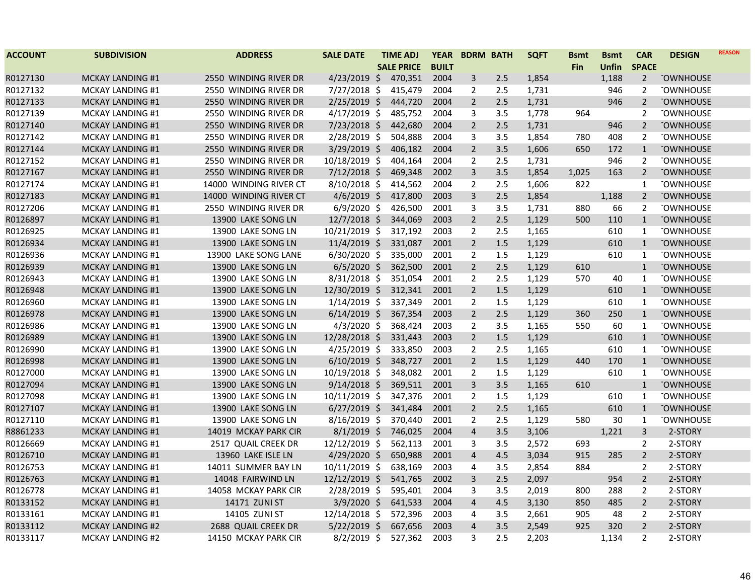| <b>ACCOUNT</b> | <b>SUBDIVISION</b>      | <b>ADDRESS</b>         | <b>SALE DATE</b> | <b>TIME ADJ</b>   | <b>YEAR</b>  | <b>BDRM BATH</b>        |     | <b>SQFT</b> | <b>Bsmt</b> | <b>Bsmt</b>  | <b>CAR</b>     | <b>DESIGN</b>    | <b>REASON</b> |
|----------------|-------------------------|------------------------|------------------|-------------------|--------------|-------------------------|-----|-------------|-------------|--------------|----------------|------------------|---------------|
|                |                         |                        |                  | <b>SALE PRICE</b> | <b>BUILT</b> |                         |     |             | <b>Fin</b>  | <b>Unfin</b> | <b>SPACE</b>   |                  |               |
| R0127130       | <b>MCKAY LANDING #1</b> | 2550 WINDING RIVER DR  | $4/23/2019$ \$   | 470,351           | 2004         | 3                       | 2.5 | 1,854       |             | 1,188        | $\overline{2}$ | <b>TOWNHOUSE</b> |               |
| R0127132       | MCKAY LANDING #1        | 2550 WINDING RIVER DR  | 7/27/2018 \$     | 415,479           | 2004         | 2                       | 2.5 | 1,731       |             | 946          | 2              | <b>TOWNHOUSE</b> |               |
| R0127133       | <b>MCKAY LANDING #1</b> | 2550 WINDING RIVER DR  | $2/25/2019$ \$   | 444,720           | 2004         | $\overline{2}$          | 2.5 | 1,731       |             | 946          | $\overline{2}$ | <b>TOWNHOUSE</b> |               |
| R0127139       | <b>MCKAY LANDING #1</b> | 2550 WINDING RIVER DR  | $4/17/2019$ \$   | 485,752           | 2004         | 3                       | 3.5 | 1,778       | 964         |              | 2              | <b>TOWNHOUSE</b> |               |
| R0127140       | <b>MCKAY LANDING #1</b> | 2550 WINDING RIVER DR  | $7/23/2018$ \$   | 442,680           | 2004         | $\overline{2}$          | 2.5 | 1,731       |             | 946          | $\overline{2}$ | <b>TOWNHOUSE</b> |               |
| R0127142       | <b>MCKAY LANDING #1</b> | 2550 WINDING RIVER DR  | 2/28/2019 \$     | 504,888           | 2004         | 3                       | 3.5 | 1,854       | 780         | 408          | 2              | <b>TOWNHOUSE</b> |               |
| R0127144       | <b>MCKAY LANDING #1</b> | 2550 WINDING RIVER DR  | 3/29/2019 \$     | 406,182           | 2004         | $\overline{2}$          | 3.5 | 1,606       | 650         | 172          | $\mathbf{1}$   | <b>TOWNHOUSE</b> |               |
| R0127152       | MCKAY LANDING #1        | 2550 WINDING RIVER DR  | 10/18/2019 \$    | 404,164           | 2004         | $\overline{2}$          | 2.5 | 1,731       |             | 946          | $\overline{2}$ | <b>TOWNHOUSE</b> |               |
| R0127167       | <b>MCKAY LANDING #1</b> | 2550 WINDING RIVER DR  | $7/12/2018$ \$   | 469,348           | 2002         | $\overline{3}$          | 3.5 | 1,854       | 1,025       | 163          | $\overline{2}$ | <b>TOWNHOUSE</b> |               |
| R0127174       | MCKAY LANDING #1        | 14000 WINDING RIVER CT | $8/10/2018$ \$   | 414,562           | 2004         | $\overline{2}$          | 2.5 | 1,606       | 822         |              | $\mathbf{1}$   | <b>TOWNHOUSE</b> |               |
| R0127183       | <b>MCKAY LANDING #1</b> | 14000 WINDING RIVER CT | $4/6/2019$ \$    | 417,800           | 2003         | 3                       | 2.5 | 1,854       |             | 1,188        | $\overline{2}$ | <b>OWNHOUSE</b>  |               |
| R0127206       | MCKAY LANDING #1        | 2550 WINDING RIVER DR  | $6/9/2020$ \$    | 426,500           | 2001         | $\mathbf{3}$            | 3.5 | 1,731       | 880         | 66           | 2              | <b>TOWNHOUSE</b> |               |
| R0126897       | <b>MCKAY LANDING #1</b> | 13900 LAKE SONG LN     | $12/7/2018$ \$   | 344,069           | 2003         | $\overline{2}$          | 2.5 | 1,129       | 500         | 110          | $\mathbf{1}$   | <b>TOWNHOUSE</b> |               |
| R0126925       | <b>MCKAY LANDING #1</b> | 13900 LAKE SONG LN     | 10/21/2019 \$    | 317,192           | 2003         | $\overline{2}$          | 2.5 | 1,165       |             | 610          | $\mathbf{1}$   | <b>TOWNHOUSE</b> |               |
| R0126934       | <b>MCKAY LANDING #1</b> | 13900 LAKE SONG LN     | $11/4/2019$ \$   | 331,087           | 2001         | $\overline{2}$          | 1.5 | 1,129       |             | 610          | $\mathbf{1}$   | <b>TOWNHOUSE</b> |               |
| R0126936       | MCKAY LANDING #1        | 13900 LAKE SONG LANE   | $6/30/2020$ \$   | 335,000           | 2001         | $\overline{2}$          | 1.5 | 1,129       |             | 610          | $\mathbf{1}$   | <b>TOWNHOUSE</b> |               |
| R0126939       | <b>MCKAY LANDING #1</b> | 13900 LAKE SONG LN     | $6/5/2020$ \$    | 362,500           | 2001         | $\overline{2}$          | 2.5 | 1,129       | 610         |              | $\mathbf{1}$   | <b>TOWNHOUSE</b> |               |
| R0126943       | MCKAY LANDING #1        | 13900 LAKE SONG LN     | $8/31/2018$ \$   | 351,054           | 2001         | $\overline{2}$          | 2.5 | 1,129       | 570         | 40           | 1              | <b>TOWNHOUSE</b> |               |
| R0126948       | <b>MCKAY LANDING #1</b> | 13900 LAKE SONG LN     | 12/30/2019 \$    | 312,341           | 2001         | $\overline{2}$          | 1.5 | 1,129       |             | 610          | $\mathbf{1}$   | <b>TOWNHOUSE</b> |               |
| R0126960       | MCKAY LANDING #1        | 13900 LAKE SONG LN     | $1/14/2019$ \$   | 337,349           | 2001         | 2                       | 1.5 | 1,129       |             | 610          | $\mathbf{1}$   | <b>TOWNHOUSE</b> |               |
| R0126978       | MCKAY LANDING #1        | 13900 LAKE SONG LN     | $6/14/2019$ \$   | 367,354           | 2003         | $\overline{2}$          | 2.5 | 1,129       | 360         | 250          | $\mathbf{1}$   | <b>TOWNHOUSE</b> |               |
| R0126986       | <b>MCKAY LANDING #1</b> | 13900 LAKE SONG LN     | $4/3/2020$ \$    | 368,424           | 2003         | $\overline{2}$          | 3.5 | 1,165       | 550         | 60           | $\mathbf{1}$   | <b>TOWNHOUSE</b> |               |
| R0126989       | <b>MCKAY LANDING #1</b> | 13900 LAKE SONG LN     | 12/28/2018 \$    | 331,443           | 2003         | $\overline{2}$          | 1.5 | 1,129       |             | 610          | $\mathbf{1}$   | <b>TOWNHOUSE</b> |               |
| R0126990       | MCKAY LANDING #1        | 13900 LAKE SONG LN     | $4/25/2019$ \$   | 333,850           | 2003         | $\overline{2}$          | 2.5 | 1,165       |             | 610          | $\mathbf{1}$   | <b>TOWNHOUSE</b> |               |
| R0126998       | <b>MCKAY LANDING #1</b> | 13900 LAKE SONG LN     | $6/10/2019$ \$   | 348,727           | 2001         | $\overline{2}$          | 1.5 | 1,129       | 440         | 170          | $\mathbf{1}$   | <b>TOWNHOUSE</b> |               |
| R0127000       | MCKAY LANDING #1        | 13900 LAKE SONG LN     | 10/19/2018 \$    | 348,082           | 2001         | $\overline{2}$          | 1.5 | 1,129       |             | 610          | $\mathbf{1}$   | <b>TOWNHOUSE</b> |               |
| R0127094       | <b>MCKAY LANDING #1</b> | 13900 LAKE SONG LN     | $9/14/2018$ \$   | 369,511           | 2001         | $\overline{3}$          | 3.5 | 1,165       | 610         |              | $\mathbf{1}$   | <b>TOWNHOUSE</b> |               |
| R0127098       | <b>MCKAY LANDING #1</b> | 13900 LAKE SONG LN     | 10/11/2019 \$    | 347,376           | 2001         | $\overline{2}$          | 1.5 | 1,129       |             | 610          | 1              | <b>TOWNHOUSE</b> |               |
| R0127107       | <b>MCKAY LANDING #1</b> | 13900 LAKE SONG LN     | $6/27/2019$ \$   | 341,484           | 2001         | $\overline{2}$          | 2.5 | 1,165       |             | 610          | $\mathbf{1}$   | <b>TOWNHOUSE</b> |               |
| R0127110       | <b>MCKAY LANDING #1</b> | 13900 LAKE SONG LN     | 8/16/2019 \$     | 370,440           | 2001         | $\overline{2}$          | 2.5 | 1,129       | 580         | 30           | $\mathbf{1}$   | <b>TOWNHOUSE</b> |               |
| R8861233       | <b>MCKAY LANDING #1</b> | 14019 MCKAY PARK CIR   | $8/1/2019$ \$    | 746,025           | 2004         | $\overline{a}$          | 3.5 | 3,106       |             | 1,221        | $\mathsf{3}$   | 2-STORY          |               |
| R0126669       | <b>MCKAY LANDING #1</b> | 2517 QUAIL CREEK DR    | 12/12/2019 \$    | 562,113           | 2001         | $\mathbf{3}$            | 3.5 | 2,572       | 693         |              | 2              | 2-STORY          |               |
| R0126710       | <b>MCKAY LANDING #1</b> | 13960 LAKE ISLE LN     | 4/29/2020 \$     | 650,988           | 2001         | $\overline{4}$          | 4.5 | 3,034       | 915         | 285          | $\overline{2}$ | 2-STORY          |               |
| R0126753       | <b>MCKAY LANDING #1</b> | 14011 SUMMER BAY LN    | 10/11/2019 \$    | 638,169           | 2003         | 4                       | 3.5 | 2,854       | 884         |              | 2              | 2-STORY          |               |
| R0126763       | <b>MCKAY LANDING #1</b> | 14048 FAIRWIND LN      | 12/12/2019 \$    | 541,765           | 2002         | $\overline{3}$          | 2.5 | 2,097       |             | 954          | $\overline{2}$ | 2-STORY          |               |
| R0126778       | <b>MCKAY LANDING #1</b> | 14058 MCKAY PARK CIR   | 2/28/2019 \$     | 595,401           | 2004         | 3                       | 3.5 | 2,019       | 800         | 288          | 2              | 2-STORY          |               |
| R0133152       | <b>MCKAY LANDING #1</b> | 14171 ZUNI ST          | $3/9/2020$ \$    | 641,533           | 2004         | $\overline{a}$          | 4.5 | 3,130       | 850         | 485          | $\overline{2}$ | 2-STORY          |               |
| R0133161       | <b>MCKAY LANDING #1</b> | 14105 ZUNI ST          | 12/14/2018 \$    | 572,396           | 2003         | $\overline{4}$          | 3.5 | 2,661       | 905         | 48           | 2              | 2-STORY          |               |
| R0133112       | <b>MCKAY LANDING #2</b> | 2688 QUAIL CREEK DR    | $5/22/2019$ \$   | 667,656           | 2003         | $\overline{\mathbf{4}}$ | 3.5 | 2,549       | 925         | 320          | $\overline{2}$ | 2-STORY          |               |
| R0133117       | <b>MCKAY LANDING #2</b> | 14150 MCKAY PARK CIR   | 8/2/2019 \$      | 527,362           | 2003         | 3                       | 2.5 | 2,203       |             | 1,134        | $\overline{2}$ | 2-STORY          |               |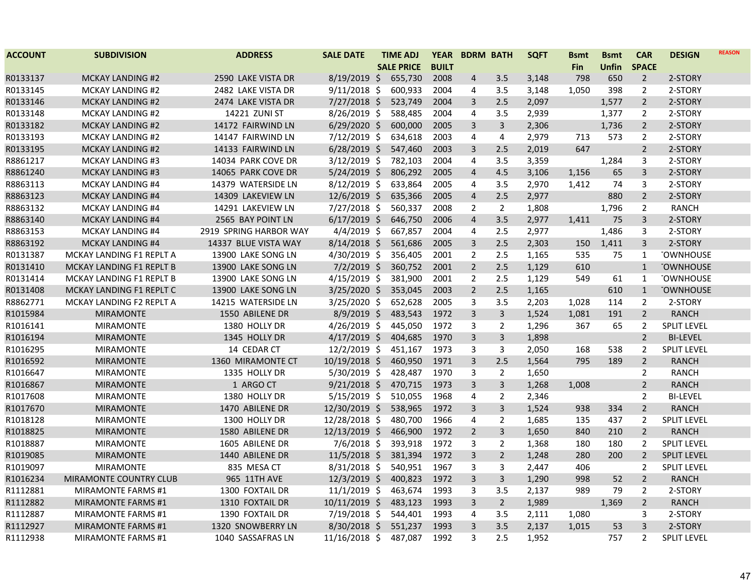| <b>ACCOUNT</b> | <b>SUBDIVISION</b>            | <b>ADDRESS</b>         | <b>SALE DATE</b> | <b>TIME ADJ</b>   | <b>YEAR</b>  |                | <b>BDRM BATH</b> | <b>SQFT</b> | <b>Bsmt</b> | <b>Bsmt</b> | <b>CAR</b>     | <b>DESIGN</b>      | <b>REASON</b> |
|----------------|-------------------------------|------------------------|------------------|-------------------|--------------|----------------|------------------|-------------|-------------|-------------|----------------|--------------------|---------------|
|                |                               |                        |                  | <b>SALE PRICE</b> | <b>BUILT</b> |                |                  |             | <b>Fin</b>  | Unfin       | <b>SPACE</b>   |                    |               |
| R0133137       | <b>MCKAY LANDING #2</b>       | 2590 LAKE VISTA DR     | $8/19/2019$ \$   | 655,730           | 2008         | 4              | 3.5              | 3,148       | 798         | 650         | $\overline{2}$ | 2-STORY            |               |
| R0133145       | <b>MCKAY LANDING #2</b>       | 2482 LAKE VISTA DR     | $9/11/2018$ \$   | 600,933           | 2004         | 4              | 3.5              | 3,148       | 1,050       | 398         | $\overline{2}$ | 2-STORY            |               |
| R0133146       | <b>MCKAY LANDING #2</b>       | 2474 LAKE VISTA DR     | $7/27/2018$ \$   | 523,749           | 2004         | 3              | 2.5              | 2,097       |             | 1,577       | $\overline{2}$ | 2-STORY            |               |
| R0133148       | <b>MCKAY LANDING #2</b>       | 14221 ZUNI ST          | 8/26/2019 \$     | 588,485           | 2004         | 4              | 3.5              | 2,939       |             | 1,377       | $\overline{2}$ | 2-STORY            |               |
| R0133182       | <b>MCKAY LANDING #2</b>       | 14172 FAIRWIND LN      | $6/29/2020$ \$   | 600,000           | 2005         | 3              | 3                | 2,306       |             | 1,736       | $\overline{2}$ | 2-STORY            |               |
| R0133193       | <b>MCKAY LANDING #2</b>       | 14147 FAIRWIND LN      | $7/12/2019$ \$   | 634,618           | 2003         | 4              | 4                | 2,979       | 713         | 573         | $\overline{2}$ | 2-STORY            |               |
| R0133195       | <b>MCKAY LANDING #2</b>       | 14133 FAIRWIND LN      | $6/28/2019$ \$   | 547,460           | 2003         | 3              | 2.5              | 2,019       | 647         |             | $\overline{2}$ | 2-STORY            |               |
| R8861217       | <b>MCKAY LANDING #3</b>       | 14034 PARK COVE DR     | $3/12/2019$ \$   | 782,103           | 2004         | 4              | 3.5              | 3,359       |             | 1,284       | 3              | 2-STORY            |               |
| R8861240       | <b>MCKAY LANDING #3</b>       | 14065 PARK COVE DR     | $5/24/2019$ \$   | 806,292           | 2005         | $\overline{4}$ | 4.5              | 3,106       | 1,156       | 65          | 3              | 2-STORY            |               |
| R8863113       | <b>MCKAY LANDING #4</b>       | 14379 WATERSIDE LN     | 8/12/2019 \$     | 633,864           | 2005         | 4              | 3.5              | 2,970       | 1,412       | 74          | 3              | 2-STORY            |               |
| R8863123       | <b>MCKAY LANDING #4</b>       | 14309 LAKEVIEW LN      | $12/6/2019$ \$   | 635,366           | 2005         | 4              | 2.5              | 2,977       |             | 880         | $\overline{2}$ | 2-STORY            |               |
| R8863132       | <b>MCKAY LANDING #4</b>       | 14291 LAKEVIEW LN      | 7/27/2018 \$     | 560,337           | 2008         | $\overline{2}$ | $\overline{2}$   | 1,808       |             | 1,796       | $\overline{2}$ | <b>RANCH</b>       |               |
| R8863140       | <b>MCKAY LANDING #4</b>       | 2565 BAY POINT LN      | $6/17/2019$ \$   | 646,750           | 2006         | $\overline{4}$ | 3.5              | 2,977       | 1,411       | 75          | $\overline{3}$ | 2-STORY            |               |
| R8863153       | <b>MCKAY LANDING #4</b>       | 2919 SPRING HARBOR WAY | $4/4/2019$ \$    | 667,857           | 2004         | 4              | 2.5              | 2,977       |             | 1,486       | 3              | 2-STORY            |               |
| R8863192       | <b>MCKAY LANDING #4</b>       | 14337 BLUE VISTA WAY   | $8/14/2018$ \$   | 561,686           | 2005         | 3              | 2.5              | 2,303       | 150         | 1,411       | 3              | 2-STORY            |               |
| R0131387       | MCKAY LANDING F1 REPLT A      | 13900 LAKE SONG LN     | 4/30/2019 \$     | 356,405           | 2001         | $\overline{2}$ | 2.5              | 1,165       | 535         | 75          | 1              | <b>TOWNHOUSE</b>   |               |
| R0131410       | MCKAY LANDING F1 REPLT B      | 13900 LAKE SONG LN     | $7/2/2019$ \$    | 360,752           | 2001         | $\overline{2}$ | 2.5              | 1,129       | 610         |             | $\mathbf{1}$   | <b>TOWNHOUSE</b>   |               |
| R0131414       | MCKAY LANDING F1 REPLT B      | 13900 LAKE SONG LN     | $4/15/2019$ \$   | 381,900           | 2001         | $\overline{2}$ | 2.5              | 1,129       | 549         | 61          | 1              | <b>TOWNHOUSE</b>   |               |
| R0131408       | MCKAY LANDING F1 REPLT C      | 13900 LAKE SONG LN     | $3/25/2020$ \$   | 353,045           | 2003         | $\overline{2}$ | 2.5              | 1,165       |             | 610         | $\mathbf{1}$   | <b>TOWNHOUSE</b>   |               |
| R8862771       | MCKAY LANDING F2 REPLT A      | 14215 WATERSIDE LN     | $3/25/2020$ \$   | 652,628           | 2005         | 3              | 3.5              | 2,203       | 1,028       | 114         | $\overline{2}$ | 2-STORY            |               |
| R1015984       | <b>MIRAMONTE</b>              | 1550 ABILENE DR        | $8/9/2019$ \$    | 483,543           | 1972         | $\overline{3}$ | $\overline{3}$   | 1,524       | 1,081       | 191         | $\overline{2}$ | <b>RANCH</b>       |               |
| R1016141       | <b>MIRAMONTE</b>              | 1380 HOLLY DR          | $4/26/2019$ \$   | 445,050           | 1972         | 3              | 2                | 1,296       | 367         | 65          | $\overline{2}$ | <b>SPLIT LEVEL</b> |               |
| R1016194       | <b>MIRAMONTE</b>              | 1345 HOLLY DR          | $4/17/2019$ \$   | 404,685           | 1970         | $\overline{3}$ | 3                | 1,898       |             |             | $\overline{2}$ | <b>BI-LEVEL</b>    |               |
| R1016295       | <b>MIRAMONTE</b>              | 14 CEDAR CT            | 12/2/2019 \$     | 451,167           | 1973         | 3              | 3                | 2,050       | 168         | 538         | $\overline{2}$ | <b>SPLIT LEVEL</b> |               |
| R1016592       | <b>MIRAMONTE</b>              | 1360 MIRAMONTE CT      | 10/19/2018 \$    | 460,950           | 1971         | 3              | 2.5              | 1,564       | 795         | 189         | $\overline{2}$ | <b>RANCH</b>       |               |
| R1016647       | <b>MIRAMONTE</b>              | 1335 HOLLY DR          | 5/30/2019 \$     | 428,487           | 1970         | 3              | $\overline{2}$   | 1,650       |             |             | $\overline{2}$ | <b>RANCH</b>       |               |
| R1016867       | <b>MIRAMONTE</b>              | 1 ARGO CT              | $9/21/2018$ \$   | 470,715           | 1973         | 3              | $\overline{3}$   | 1,268       | 1,008       |             | $\overline{2}$ | <b>RANCH</b>       |               |
| R1017608       | <b>MIRAMONTE</b>              | 1380 HOLLY DR          | $5/15/2019$ \$   | 510,055           | 1968         | 4              | 2                | 2,346       |             |             | $\overline{2}$ | <b>BI-LEVEL</b>    |               |
| R1017670       | <b>MIRAMONTE</b>              | 1470 ABILENE DR        | 12/30/2019 \$    | 538,965           | 1972         | 3              | 3                | 1,524       | 938         | 334         | $\overline{2}$ | <b>RANCH</b>       |               |
| R1018128       | <b>MIRAMONTE</b>              | 1300 HOLLY DR          | 12/28/2018 \$    | 480,700           | 1966         | $\overline{4}$ | $\overline{2}$   | 1,685       | 135         | 437         | $\overline{2}$ | <b>SPLIT LEVEL</b> |               |
| R1018825       | <b>MIRAMONTE</b>              | 1580 ABILENE DR        | 12/13/2019 \$    | 466,900           | 1972         | $\overline{2}$ | 3                | 1,650       | 840         | 210         | $\overline{2}$ | <b>RANCH</b>       |               |
| R1018887       | <b>MIRAMONTE</b>              | 1605 ABILENE DR        | $7/6/2018$ \$    | 393,918           | 1972         | 3              | 2                | 1,368       | 180         | 180         | $\overline{2}$ | <b>SPLIT LEVEL</b> |               |
| R1019085       | <b>MIRAMONTE</b>              | 1440 ABILENE DR        | $11/5/2018$ \$   | 381,394           | 1972         | 3              | $\overline{2}$   | 1,248       | 280         | 200         | $\overline{2}$ | <b>SPLIT LEVEL</b> |               |
| R1019097       | <b>MIRAMONTE</b>              | 835 MESA CT            | 8/31/2018 \$     | 540,951           | 1967         | 3              | 3                | 2,447       | 406         |             | $\overline{2}$ | SPLIT LEVEL        |               |
| R1016234       | <b>MIRAMONTE COUNTRY CLUB</b> | 965 11TH AVE           | 12/3/2019 \$     | 400,823           | 1972         | 3              | $\overline{3}$   | 1,290       | 998         | 52          | $\overline{2}$ | <b>RANCH</b>       |               |
| R1112881       | <b>MIRAMONTE FARMS #1</b>     | 1300 FOXTAIL DR        | $11/1/2019$ \$   | 463,674           | 1993         | 3              | 3.5              | 2,137       | 989         | 79          | $\overline{2}$ | 2-STORY            |               |
| R1112882       | <b>MIRAMONTE FARMS #1</b>     | 1310 FOXTAIL DR        | $10/11/2019$ \$  | 483,123           | 1993         | 3              | $\overline{2}$   | 1,989       |             | 1,369       | $\overline{2}$ | <b>RANCH</b>       |               |
| R1112887       | <b>MIRAMONTE FARMS #1</b>     | 1390 FOXTAIL DR        | $7/19/2018$ \$   | 544,401           | 1993         | 4              | 3.5              | 2,111       | 1,080       |             | 3              | 2-STORY            |               |
| R1112927       | MIRAMONTE FARMS #1            | 1320 SNOWBERRY LN      | $8/30/2018$ \$   | 551,237           | 1993         | 3              | 3.5              | 2,137       | 1,015       | 53          | 3              | 2-STORY            |               |
| R1112938       | MIRAMONTE FARMS #1            | 1040 SASSAFRAS LN      | 11/16/2018 \$    | 487,087           | 1992         | 3              | 2.5              | 1,952       |             | 757         | $\overline{2}$ | <b>SPLIT LEVEL</b> |               |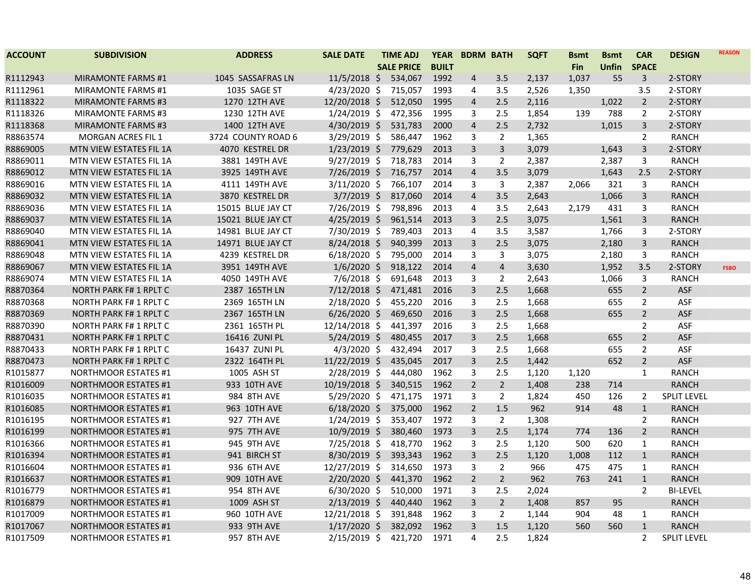| <b>ACCOUNT</b> | <b>SUBDIVISION</b>            | <b>ADDRESS</b>     | <b>SALE DATE</b> | <b>TIME ADJ</b>   | <b>YEAR</b>  |                         | <b>BDRM BATH</b> | <b>SQFT</b> | <b>Bsmt</b> | <b>Bsmt</b>  | <b>CAR</b>     | <b>DESIGN</b>      | <b>REASON</b> |
|----------------|-------------------------------|--------------------|------------------|-------------------|--------------|-------------------------|------------------|-------------|-------------|--------------|----------------|--------------------|---------------|
|                |                               |                    |                  | <b>SALE PRICE</b> | <b>BUILT</b> |                         |                  |             | <b>Fin</b>  | <b>Unfin</b> | <b>SPACE</b>   |                    |               |
| R1112943       | <b>MIRAMONTE FARMS #1</b>     | 1045 SASSAFRAS LN  | $11/5/2018$ \$   | 534,067           | 1992         | 4                       | 3.5              | 2,137       | 1,037       | 55           | $\mathsf{3}$   | 2-STORY            |               |
| R1112961       | <b>MIRAMONTE FARMS #1</b>     | 1035 SAGE ST       | $4/23/2020$ \$   | 715,057           | 1993         | 4                       | 3.5              | 2,526       | 1,350       |              | 3.5            | 2-STORY            |               |
| R1118322       | <b>MIRAMONTE FARMS #3</b>     | 1270 12TH AVE      | 12/20/2018 \$    | 512,050           | 1995         | 4                       | 2.5              | 2,116       |             | 1,022        | $\overline{2}$ | 2-STORY            |               |
| R1118326       | <b>MIRAMONTE FARMS #3</b>     | 1230 12TH AVE      | $1/24/2019$ \$   | 472,356           | 1995         | 3                       | 2.5              | 1,854       | 139         | 788          | $\overline{2}$ | 2-STORY            |               |
| R1118368       | <b>MIRAMONTE FARMS #3</b>     | 1400 12TH AVE      | $4/30/2019$ \$   | 531,783           | 2000         | $\overline{4}$          | 2.5              | 2,732       |             | 1,015        | $\mathbf{3}$   | 2-STORY            |               |
| R8863574       | <b>MORGAN ACRES FIL 1</b>     | 3724 COUNTY ROAD 6 | $3/29/2019$ \$   | 586,447           | 1962         | 3                       | $\overline{2}$   | 1,365       |             |              | $\overline{2}$ | <b>RANCH</b>       |               |
| R8869005       | MTN VIEW ESTATES FIL 1A       | 4070 KESTREL DR    | $1/23/2019$ \$   | 779,629           | 2013         | 3                       | 3                | 3,079       |             | 1,643        | 3              | 2-STORY            |               |
| R8869011       | MTN VIEW ESTATES FIL 1A       | 3881 149TH AVE     | $9/27/2019$ \$   | 718,783           | 2014         | 3                       | $\overline{2}$   | 2,387       |             | 2,387        | 3              | <b>RANCH</b>       |               |
| R8869012       | MTN VIEW ESTATES FIL 1A       | 3925 149TH AVE     | $7/26/2019$ \$   | 716,757           | 2014         | $\overline{4}$          | 3.5              | 3,079       |             | 1,643        | 2.5            | 2-STORY            |               |
| R8869016       | MTN VIEW ESTATES FIL 1A       | 4111 149TH AVE     | $3/11/2020$ \$   | 766,107           | 2014         | 3                       | 3                | 2,387       | 2,066       | 321          | 3              | <b>RANCH</b>       |               |
| R8869032       | MTN VIEW ESTATES FIL 1A       | 3870 KESTREL DR    | $3/7/2019$ \$    | 817,060           | 2014         | 4                       | 3.5              | 2,643       |             | 1,066        | 3              | <b>RANCH</b>       |               |
| R8869036       | MTN VIEW ESTATES FIL 1A       | 15015 BLUE JAY CT  | 7/26/2019 \$     | 798,896           | 2013         | 4                       | 3.5              | 2,643       | 2,179       | 431          | 3              | <b>RANCH</b>       |               |
| R8869037       | MTN VIEW ESTATES FIL 1A       | 15021 BLUE JAY CT  | $4/25/2019$ \$   | 961,514           | 2013         | 3                       | 2.5              | 3,075       |             | 1,561        | $\mathbf{3}$   | <b>RANCH</b>       |               |
| R8869040       | MTN VIEW ESTATES FIL 1A       | 14981 BLUE JAY CT  | 7/30/2019 \$     | 789,403           | 2013         | 4                       | 3.5              | 3,587       |             | 1,766        | 3              | 2-STORY            |               |
| R8869041       | MTN VIEW ESTATES FIL 1A       | 14971 BLUE JAY CT  | $8/24/2018$ \$   | 940,399           | 2013         | 3                       | 2.5              | 3,075       |             | 2,180        | $\mathbf{3}$   | <b>RANCH</b>       |               |
| R8869048       | MTN VIEW ESTATES FIL 1A       | 4239 KESTREL DR    | $6/18/2020$ \$   | 795,000           | 2014         | 3                       | 3                | 3,075       |             | 2,180        | 3              | <b>RANCH</b>       |               |
| R8869067       | MTN VIEW ESTATES FIL 1A       | 3951 149TH AVE     | $1/6/2020$ \$    | 918,122           | 2014         | $\overline{\mathbf{4}}$ | $\overline{4}$   | 3,630       |             | 1,952        | 3.5            | 2-STORY            | <b>FSBO</b>   |
| R8869074       | MTN VIEW ESTATES FIL 1A       | 4050 149TH AVE     | $7/6/2018$ \$    | 691,648           | 2013         | 3                       | $\overline{2}$   | 2,643       |             | 1,066        | 3              | <b>RANCH</b>       |               |
| R8870364       | <b>NORTH PARK F# 1 RPLT C</b> | 2387 165TH LN      | $7/12/2018$ \$   | 471,481           | 2016         | 3                       | 2.5              | 1,668       |             | 655          | $\overline{2}$ | <b>ASF</b>         |               |
| R8870368       | <b>NORTH PARK F#1 RPLT C</b>  | 2369 165TH LN      | 2/18/2020 \$     | 455,220           | 2016         | 3                       | 2.5              | 1,668       |             | 655          | $\overline{2}$ | ASF                |               |
| R8870369       | <b>NORTH PARK F# 1 RPLT C</b> | 2367 165TH LN      | $6/26/2020$ \$   | 469,650           | 2016         | 3                       | 2.5              | 1,668       |             | 655          | $\overline{2}$ | ASF                |               |
| R8870390       | <b>NORTH PARK F# 1 RPLT C</b> | 2361 165TH PL      | 12/14/2018 \$    | 441,397           | 2016         | 3                       | 2.5              | 1,668       |             |              | $\overline{2}$ | ASF                |               |
| R8870431       | <b>NORTH PARK F# 1 RPLT C</b> | 16416 ZUNI PL      | $5/24/2019$ \$   | 480,455           | 2017         | $\overline{3}$          | 2.5              | 1,668       |             | 655          | $\overline{2}$ | ASF                |               |
| R8870433       | <b>NORTH PARK F#1 RPLT C</b>  | 16437 ZUNI PL      | $4/3/2020$ \$    | 432,494           | 2017         | 3                       | 2.5              | 1,668       |             | 655          | $\overline{2}$ | ASF                |               |
| R8870473       | <b>NORTH PARK F# 1 RPLT C</b> | 2322 164TH PL      | 11/22/2019 \$    | 435,045           | 2017         | 3                       | 2.5              | 1,442       |             | 652          | $\overline{2}$ | ASF                |               |
| R1015877       | <b>NORTHMOOR ESTATES #1</b>   | 1005 ASH ST        | $2/28/2019$ \$   | 444,080           | 1962         | 3                       | 2.5              | 1,120       | 1,120       |              | $\mathbf{1}$   | <b>RANCH</b>       |               |
| R1016009       | <b>NORTHMOOR ESTATES #1</b>   | 933 10TH AVE       | 10/19/2018 \$    | 340,515           | 1962         | $\overline{2}$          | $2^{\circ}$      | 1,408       | 238         | 714          |                | <b>RANCH</b>       |               |
| R1016035       | <b>NORTHMOOR ESTATES #1</b>   | 984 8TH AVE        | $5/29/2020$ \$   | 471,175           | 1971         | 3                       | $\overline{2}$   | 1,824       | 450         | 126          | $\overline{2}$ | <b>SPLIT LEVEL</b> |               |
| R1016085       | <b>NORTHMOOR ESTATES #1</b>   | 963 10TH AVE       | $6/18/2020$ \$   | 375,000           | 1962         | $\overline{2}$          | 1.5              | 962         | 914         | 48           | $\mathbf{1}$   | <b>RANCH</b>       |               |
| R1016195       | <b>NORTHMOOR ESTATES #1</b>   | 927 7TH AVE        | $1/24/2019$ \$   | 353,407           | 1972         | 3                       | $\overline{2}$   | 1,308       |             |              | $\overline{2}$ | <b>RANCH</b>       |               |
| R1016199       | <b>NORTHMOOR ESTATES #1</b>   | 975 7TH AVE        | 10/9/2019 \$     | 380,460           | 1973         | 3                       | 2.5              | 1,174       | 774         | 136          | $\overline{2}$ | <b>RANCH</b>       |               |
| R1016366       | <b>NORTHMOOR ESTATES #1</b>   | 945 9TH AVE        | $7/25/2018$ \$   | 418,770           | 1962         | 3                       | 2.5              | 1,120       | 500         | 620          | $\mathbf{1}$   | <b>RANCH</b>       |               |
| R1016394       | <b>NORTHMOOR ESTATES #1</b>   | 941 BIRCH ST       | 8/30/2019 \$     | 393,343           | 1962         | 3                       | 2.5              | 1,120       | 1,008       | 112          | $\mathbf{1}$   | <b>RANCH</b>       |               |
| R1016604       | <b>NORTHMOOR ESTATES #1</b>   | 936 6TH AVE        | 12/27/2019 \$    | 314,650           | 1973         | 3                       | $\overline{2}$   | 966         | 475         | 475          | $\mathbf{1}$   | <b>RANCH</b>       |               |
| R1016637       | <b>NORTHMOOR ESTATES #1</b>   | 909 10TH AVE       | $2/20/2020$ \$   | 441,370           | 1962         | $\overline{2}$          | $2^{\circ}$      | 962         | 763         | 241          | $\mathbf{1}$   | <b>RANCH</b>       |               |
| R1016779       | <b>NORTHMOOR ESTATES #1</b>   | 954 8TH AVE        | $6/30/2020$ \$   | 510,000           | 1971         | 3                       | 2.5              | 2,024       |             |              | $\overline{2}$ | <b>BI-LEVEL</b>    |               |
| R1016879       | <b>NORTHMOOR ESTATES #1</b>   | 1009 ASH ST        | $2/13/2019$ \$   | 440,440           | 1962         | 3                       | $2\overline{ }$  | 1,408       | 857         | 95           |                | <b>RANCH</b>       |               |
| R1017009       | <b>NORTHMOOR ESTATES #1</b>   | 960 10TH AVE       | 12/21/2018 \$    | 391,848           | 1962         | 3                       | $\mathbf{2}$     | 1,144       | 904         | 48           | $\mathbf{1}$   | <b>RANCH</b>       |               |
| R1017067       | <b>NORTHMOOR ESTATES #1</b>   | 933 9TH AVE        | $1/17/2020$ \$   | 382,092           | 1962         | 3                       | $1.5\,$          | 1,120       | 560         | 560          | $\mathbf{1}$   | <b>RANCH</b>       |               |
| R1017509       | <b>NORTHMOOR ESTATES #1</b>   | 957 8TH AVE        | $2/15/2019$ \$   | 421,720           | 1971         | 4                       | 2.5              | 1,824       |             |              | $\overline{2}$ | <b>SPLIT LEVEL</b> |               |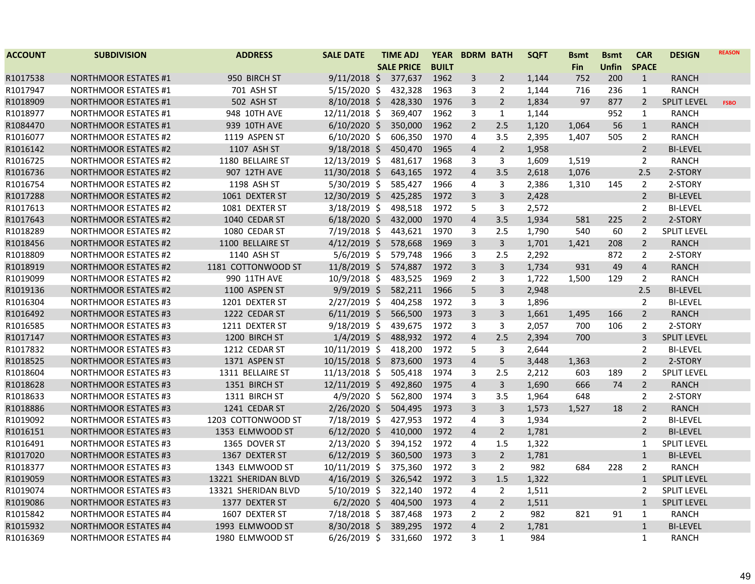| <b>ACCOUNT</b> | <b>SUBDIVISION</b>          | <b>ADDRESS</b>      | <b>SALE DATE</b> | <b>TIME ADJ</b>   | <b>YEAR</b>  | <b>BDRM BATH</b>        |                         | <b>SQFT</b> | <b>Bsmt</b> | <b>B</b> smt | <b>CAR</b>     | <b>DESIGN</b>      | <b>REASON</b> |
|----------------|-----------------------------|---------------------|------------------|-------------------|--------------|-------------------------|-------------------------|-------------|-------------|--------------|----------------|--------------------|---------------|
|                |                             |                     |                  | <b>SALE PRICE</b> | <b>BUILT</b> |                         |                         |             | <b>Fin</b>  | <b>Unfin</b> | <b>SPACE</b>   |                    |               |
| R1017538       | <b>NORTHMOOR ESTATES #1</b> | 950 BIRCH ST        | $9/11/2018$ \$   | 377,637           | 1962         | 3                       | $\overline{2}$          | 1,144       | 752         | 200          | $\mathbf{1}$   | <b>RANCH</b>       |               |
| R1017947       | <b>NORTHMOOR ESTATES #1</b> | 701 ASH ST          | $5/15/2020$ \$   | 432,328           | 1963         | 3                       | 2                       | 1,144       | 716         | 236          | $\mathbf{1}$   | <b>RANCH</b>       |               |
| R1018909       | <b>NORTHMOOR ESTATES #1</b> | 502 ASH ST          | $8/10/2018$ \$   | 428,330           | 1976         | 3                       | $\overline{2}$          | 1,834       | 97          | 877          | $\overline{2}$ | <b>SPLIT LEVEL</b> | <b>FSBO</b>   |
| R1018977       | <b>NORTHMOOR ESTATES #1</b> | 948 10TH AVE        | 12/11/2018 \$    | 369,407           | 1962         | 3                       | $\mathbf{1}$            | 1,144       |             | 952          | $\mathbf{1}$   | <b>RANCH</b>       |               |
| R1084470       | <b>NORTHMOOR ESTATES #1</b> | 939 10TH AVE        | $6/10/2020$ \$   | 350,000           | 1962         | $\overline{2}$          | 2.5                     | 1,120       | 1,064       | 56           | $\mathbf{1}$   | <b>RANCH</b>       |               |
| R1016077       | <b>NORTHMOOR ESTATES #2</b> | 1119 ASPEN ST       | $6/10/2020$ \$   | 606,350           | 1970         | 4                       | 3.5                     | 2,395       | 1,407       | 505          | $\overline{2}$ | <b>RANCH</b>       |               |
| R1016142       | <b>NORTHMOOR ESTATES #2</b> | 1107 ASH ST         | $9/18/2018$ \$   | 450,470           | 1965         | 4                       | $2^{\circ}$             | 1,958       |             |              | $\overline{2}$ | <b>BI-LEVEL</b>    |               |
| R1016725       | <b>NORTHMOOR ESTATES #2</b> | 1180 BELLAIRE ST    | 12/13/2019 \$    | 481,617           | 1968         | 3                       | $\mathbf{3}$            | 1,609       | 1,519       |              | $\overline{2}$ | <b>RANCH</b>       |               |
| R1016736       | <b>NORTHMOOR ESTATES #2</b> | 907 12TH AVE        | 11/30/2018 \$    | 643,165           | 1972         | $\overline{\mathbf{4}}$ | 3.5                     | 2,618       | 1,076       |              | 2.5            | 2-STORY            |               |
| R1016754       | <b>NORTHMOOR ESTATES #2</b> | 1198 ASH ST         | 5/30/2019 \$     | 585,427           | 1966         | 4                       | 3                       | 2,386       | 1,310       | 145          | $\overline{2}$ | 2-STORY            |               |
| R1017288       | <b>NORTHMOOR ESTATES #2</b> | 1061 DEXTER ST      | 12/30/2019 \$    | 425,285           | 1972         | 3                       | 3                       | 2,428       |             |              | $\overline{2}$ | <b>BI-LEVEL</b>    |               |
| R1017613       | <b>NORTHMOOR ESTATES #2</b> | 1081 DEXTER ST      | 3/18/2019 \$     | 498,518           | 1972         | 5                       | 3                       | 2,572       |             |              | $\overline{2}$ | <b>BI-LEVEL</b>    |               |
| R1017643       | <b>NORTHMOOR ESTATES #2</b> | 1040 CEDAR ST       | $6/18/2020$ \$   | 432,000           | 1970         | $\overline{4}$          | 3.5                     | 1,934       | 581         | 225          | $\overline{2}$ | 2-STORY            |               |
| R1018289       | <b>NORTHMOOR ESTATES #2</b> | 1080 CEDAR ST       | 7/19/2018 \$     | 443,621           | 1970         | 3                       | 2.5                     | 1,790       | 540         | 60           | 2              | <b>SPLIT LEVEL</b> |               |
| R1018456       | <b>NORTHMOOR ESTATES #2</b> | 1100 BELLAIRE ST    | $4/12/2019$ \$   | 578,668           | 1969         | 3                       | 3                       | 1,701       | 1,421       | 208          | $\overline{2}$ | <b>RANCH</b>       |               |
| R1018809       | <b>NORTHMOOR ESTATES #2</b> | 1140 ASH ST         | 5/6/2019 \$      | 579,748           | 1966         | 3                       | 2.5                     | 2,292       |             | 872          | $\overline{2}$ | 2-STORY            |               |
| R1018919       | <b>NORTHMOOR ESTATES #2</b> | 1181 COTTONWOOD ST  | 11/8/2019 \$     | 574,887           | 1972         | $\overline{3}$          | $\overline{3}$          | 1,734       | 931         | 49           | $\overline{4}$ | <b>RANCH</b>       |               |
| R1019099       | <b>NORTHMOOR ESTATES #2</b> | 990 11TH AVE        | 10/9/2018 \$     | 483,525           | 1969         | $\overline{2}$          | 3                       | 1,722       | 1,500       | 129          | 2              | <b>RANCH</b>       |               |
| R1019136       | <b>NORTHMOOR ESTATES #2</b> | 1100 ASPEN ST       | 9/9/2019 \$      | 582,211           | 1966         | 5                       | $\overline{\mathbf{3}}$ | 2,948       |             |              | 2.5            | <b>BI-LEVEL</b>    |               |
| R1016304       | <b>NORTHMOOR ESTATES #3</b> | 1201 DEXTER ST      | $2/27/2019$ \$   | 404,258           | 1972         | 3                       | 3                       | 1,896       |             |              | $\overline{2}$ | <b>BI-LEVEL</b>    |               |
| R1016492       | <b>NORTHMOOR ESTATES #3</b> | 1222 CEDAR ST       | $6/11/2019$ \$   | 566,500           | 1973         | $\overline{3}$          | $\overline{3}$          | 1,661       | 1,495       | 166          | $\overline{2}$ | <b>RANCH</b>       |               |
| R1016585       | <b>NORTHMOOR ESTATES #3</b> | 1211 DEXTER ST      | $9/18/2019$ \$   | 439,675           | 1972         | 3                       | 3                       | 2,057       | 700         | 106          | $\overline{2}$ | 2-STORY            |               |
| R1017147       | <b>NORTHMOOR ESTATES #3</b> | 1200 BIRCH ST       | $1/4/2019$ \$    | 488,932           | 1972         | $\overline{\mathbf{4}}$ | 2.5                     | 2,394       | 700         |              | $\mathbf{3}$   | <b>SPLIT LEVEL</b> |               |
| R1017832       | <b>NORTHMOOR ESTATES #3</b> | 1212 CEDAR ST       | 10/11/2019 \$    | 418,200           | 1972         | 5                       | 3                       | 2,644       |             |              | $\overline{2}$ | <b>BI-LEVEL</b>    |               |
| R1018525       | <b>NORTHMOOR ESTATES #3</b> | 1371 ASPEN ST       | 10/15/2018 \$    | 873,600           | 1973         | $\overline{\mathbf{4}}$ | 5                       | 3,448       | 1,363       |              | $\overline{2}$ | 2-STORY            |               |
| R1018604       | <b>NORTHMOOR ESTATES #3</b> | 1311 BELLAIRE ST    | 11/13/2018 \$    | 505,418           | 1974         | 3                       | 2.5                     | 2,212       | 603         | 189          | $\overline{2}$ | <b>SPLIT LEVEL</b> |               |
| R1018628       | <b>NORTHMOOR ESTATES #3</b> | 1351 BIRCH ST       | 12/11/2019 \$    | 492,860           | 1975         | $\overline{\mathbf{4}}$ | $\overline{3}$          | 1,690       | 666         | 74           | $\overline{2}$ | <b>RANCH</b>       |               |
| R1018633       | <b>NORTHMOOR ESTATES #3</b> | 1311 BIRCH ST       | 4/9/2020 \$      | 562,800           | 1974         | 3                       | 3.5                     | 1,964       | 648         |              | $\overline{2}$ | 2-STORY            |               |
| R1018886       | <b>NORTHMOOR ESTATES #3</b> | 1241 CEDAR ST       | 2/26/2020 \$     | 504,495           | 1973         | 3                       | 3                       | 1,573       | 1,527       | 18           | $\overline{2}$ | <b>RANCH</b>       |               |
| R1019092       | <b>NORTHMOOR ESTATES #3</b> | 1203 COTTONWOOD ST  | 7/18/2019 \$     | 427,953           | 1972         | 4                       | 3                       | 1,934       |             |              | $\overline{2}$ | <b>BI-LEVEL</b>    |               |
| R1016151       | <b>NORTHMOOR ESTATES #3</b> | 1353 ELMWOOD ST     | $6/12/2020$ \$   | 410,000           | 1972         | $\overline{4}$          | $2^{\circ}$             | 1,781       |             |              | 2              | <b>BI-LEVEL</b>    |               |
| R1016491       | <b>NORTHMOOR ESTATES #3</b> | 1365 DOVER ST       | 2/13/2020 \$     | 394,152           | 1972         | 4                       | 1.5                     | 1,322       |             |              | $\mathbf{1}$   | <b>SPLIT LEVEL</b> |               |
| R1017020       | <b>NORTHMOOR ESTATES #3</b> | 1367 DEXTER ST      | $6/12/2019$ \$   | 360,500           | 1973         | 3                       | $\overline{2}$          | 1,781       |             |              | $\mathbf{1}$   | <b>BI-LEVEL</b>    |               |
| R1018377       | <b>NORTHMOOR ESTATES #3</b> | 1343 ELMWOOD ST     | 10/11/2019 \$    | 375,360           | 1972         | 3                       | $\overline{2}$          | 982         | 684         | 228          | $\overline{2}$ | <b>RANCH</b>       |               |
| R1019059       | <b>NORTHMOOR ESTATES #3</b> | 13221 SHERIDAN BLVD | 4/16/2019 \$     | 326,542           | 1972         | $\overline{3}$          | 1.5                     | 1,322       |             |              | $\mathbf{1}$   | <b>SPLIT LEVEL</b> |               |
| R1019074       | <b>NORTHMOOR ESTATES #3</b> | 13321 SHERIDAN BLVD | $5/10/2019$ \$   | 322,140           | 1972         | 4                       | $\overline{2}$          | 1,511       |             |              | 2              | <b>SPLIT LEVEL</b> |               |
| R1019086       | <b>NORTHMOOR ESTATES #3</b> | 1377 DEXTER ST      | $6/2/2020$ \$    | 404,500           | 1973         | 4                       | $\overline{2}$          | 1,511       |             |              | $\mathbf{1}$   | <b>SPLIT LEVEL</b> |               |
| R1015842       | <b>NORTHMOOR ESTATES #4</b> | 1607 DEXTER ST      | 7/18/2018 \$     | 387,468           | 1973         | 2                       | 2                       | 982         | 821         | 91           | $\mathbf{1}$   | <b>RANCH</b>       |               |
| R1015932       | <b>NORTHMOOR ESTATES #4</b> | 1993 ELMWOOD ST     | 8/30/2018 \$     | 389,295           | 1972         | $\overline{4}$          | $\overline{2}$          | 1,781       |             |              | $\mathbf{1}$   | <b>BI-LEVEL</b>    |               |
| R1016369       | <b>NORTHMOOR ESTATES #4</b> | 1980 ELMWOOD ST     | $6/26/2019$ \$   | 331,660           | 1972         | 3                       | $\mathbf{1}$            | 984         |             |              | 1              | <b>RANCH</b>       |               |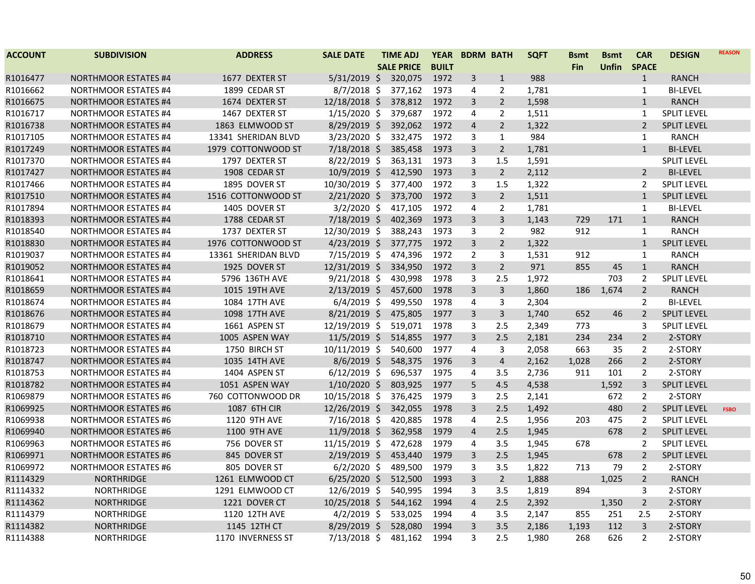| <b>ACCOUNT</b> | <b>SUBDIVISION</b>          | <b>ADDRESS</b>      | <b>SALE DATE</b> | <b>TIME ADJ</b>   | <b>YEAR</b>  | <b>BDRM BATH</b> |                | <b>SQFT</b> | <b>Bsmt</b> | <b>Bsmt</b>  | <b>CAR</b>     | <b>DESIGN</b>      | <b>REASON</b> |
|----------------|-----------------------------|---------------------|------------------|-------------------|--------------|------------------|----------------|-------------|-------------|--------------|----------------|--------------------|---------------|
|                |                             |                     |                  | <b>SALE PRICE</b> | <b>BUILT</b> |                  |                |             | Fin         | <b>Unfin</b> | <b>SPACE</b>   |                    |               |
| R1016477       | <b>NORTHMOOR ESTATES #4</b> | 1677 DEXTER ST      | $5/31/2019$ \$   | 320,075           | 1972         | 3                | $\mathbf{1}$   | 988         |             |              | $\mathbf{1}$   | <b>RANCH</b>       |               |
| R1016662       | <b>NORTHMOOR ESTATES #4</b> | 1899 CEDAR ST       | $8/7/2018$ \$    | 377,162           | 1973         | 4                | $\overline{2}$ | 1,781       |             |              | $\mathbf{1}$   | <b>BI-LEVEL</b>    |               |
| R1016675       | <b>NORTHMOOR ESTATES #4</b> | 1674 DEXTER ST      | 12/18/2018 \$    | 378,812           | 1972         | 3                | $\overline{2}$ | 1,598       |             |              | $\mathbf{1}$   | <b>RANCH</b>       |               |
| R1016717       | <b>NORTHMOOR ESTATES #4</b> | 1467 DEXTER ST      | $1/15/2020$ \$   | 379,687           | 1972         | 4                | 2              | 1,511       |             |              | 1              | <b>SPLIT LEVEL</b> |               |
| R1016738       | <b>NORTHMOOR ESTATES #4</b> | 1863 ELMWOOD ST     | $8/29/2019$ \$   | 392,062           | 1972         | $\overline{4}$   | $\overline{2}$ | 1,322       |             |              | $\overline{2}$ | <b>SPLIT LEVEL</b> |               |
| R1017105       | <b>NORTHMOOR ESTATES #4</b> | 13341 SHERIDAN BLVD | 3/23/2020 \$     | 332,475           | 1972         | 3                | $\mathbf{1}$   | 984         |             |              | $\mathbf{1}$   | <b>RANCH</b>       |               |
| R1017249       | <b>NORTHMOOR ESTATES #4</b> | 1979 COTTONWOOD ST  | 7/18/2018 \$     | 385,458           | 1973         | $\overline{3}$   | $2^{\circ}$    | 1,781       |             |              | $\mathbf{1}$   | <b>BI-LEVEL</b>    |               |
| R1017370       | <b>NORTHMOOR ESTATES #4</b> | 1797 DEXTER ST      | $8/22/2019$ \$   | 363,131           | 1973         | 3                | 1.5            | 1,591       |             |              |                | SPLIT LEVEL        |               |
| R1017427       | <b>NORTHMOOR ESTATES #4</b> | 1908 CEDAR ST       | 10/9/2019 \$     | 412,590           | 1973         | $\overline{3}$   | $\overline{2}$ | 2,112       |             |              | $2^{\circ}$    | <b>BI-LEVEL</b>    |               |
| R1017466       | <b>NORTHMOOR ESTATES #4</b> | 1895 DOVER ST       | 10/30/2019 \$    | 377,400           | 1972         | 3                | 1.5            | 1,322       |             |              | 2              | <b>SPLIT LEVEL</b> |               |
| R1017510       | <b>NORTHMOOR ESTATES #4</b> | 1516 COTTONWOOD ST  | $2/21/2020$ \$   | 373,700           | 1972         | 3                | $\overline{2}$ | 1,511       |             |              | $\mathbf{1}$   | <b>SPLIT LEVEL</b> |               |
| R1017894       | <b>NORTHMOOR ESTATES #4</b> | 1405 DOVER ST       | $3/2/2020$ \$    | 417,105           | 1972         | 4                | $\overline{2}$ | 1,781       |             |              | $\mathbf{1}$   | <b>BI-LEVEL</b>    |               |
| R1018393       | <b>NORTHMOOR ESTATES #4</b> | 1788 CEDAR ST       | 7/18/2019 \$     | 402,369           | 1973         | $\overline{3}$   | $\overline{3}$ | 1,143       | 729         | 171          | $\mathbf{1}$   | <b>RANCH</b>       |               |
| R1018540       | <b>NORTHMOOR ESTATES #4</b> | 1737 DEXTER ST      | 12/30/2019 \$    | 388,243           | 1973         | 3                | $\overline{2}$ | 982         | 912         |              | $\mathbf{1}$   | <b>RANCH</b>       |               |
| R1018830       | <b>NORTHMOOR ESTATES #4</b> | 1976 COTTONWOOD ST  | $4/23/2019$ \$   | 377,775           | 1972         | $\overline{3}$   | $\overline{2}$ | 1,322       |             |              | $\mathbf{1}$   | <b>SPLIT LEVEL</b> |               |
| R1019037       | <b>NORTHMOOR ESTATES #4</b> | 13361 SHERIDAN BLVD | 7/15/2019 \$     | 474,396           | 1972         | $\overline{2}$   | 3              | 1,531       | 912         |              | $\mathbf{1}$   | <b>RANCH</b>       |               |
| R1019052       | <b>NORTHMOOR ESTATES #4</b> | 1925 DOVER ST       | 12/31/2019 \$    | 334,950           | 1972         | $\overline{3}$   | $2^{\circ}$    | 971         | 855         | 45           | $\mathbf{1}$   | <b>RANCH</b>       |               |
| R1018641       | <b>NORTHMOOR ESTATES #4</b> | 5796 136TH AVE      | $9/21/2018$ \$   | 430,998           | 1978         | 3                | 2.5            | 1,972       |             | 703          | 2              | <b>SPLIT LEVEL</b> |               |
| R1018659       | <b>NORTHMOOR ESTATES #4</b> | 1015 19TH AVE       | $2/13/2019$ \$   | 457,600           | 1978         | 3                | $\mathsf{3}$   | 1,860       | 186         | 1,674        | $\overline{2}$ | <b>RANCH</b>       |               |
| R1018674       | <b>NORTHMOOR ESTATES #4</b> | 1084 17TH AVE       | $6/4/2019$ \$    | 499,550           | 1978         | $\overline{4}$   | 3              | 2,304       |             |              | $\overline{2}$ | <b>BI-LEVEL</b>    |               |
| R1018676       | <b>NORTHMOOR ESTATES #4</b> | 1098 17TH AVE       | $8/21/2019$ \$   | 475,805           | 1977         | $\overline{3}$   | $\overline{3}$ | 1,740       | 652         | 46           | $\overline{2}$ | <b>SPLIT LEVEL</b> |               |
| R1018679       | <b>NORTHMOOR ESTATES #4</b> | 1661 ASPEN ST       | 12/19/2019 \$    | 519,071           | 1978         | 3                | 2.5            | 2,349       | 773         |              | 3              | <b>SPLIT LEVEL</b> |               |
| R1018710       | <b>NORTHMOOR ESTATES #4</b> | 1005 ASPEN WAY      | 11/5/2019 \$     | 514,855           | 1977         | $\overline{3}$   | 2.5            | 2,181       | 234         | 234          | $\overline{2}$ | 2-STORY            |               |
| R1018723       | <b>NORTHMOOR ESTATES #4</b> | 1750 BIRCH ST       | 10/11/2019 \$    | 540,600           | 1977         | 4                | 3              | 2,058       | 663         | 35           | $\overline{2}$ | 2-STORY            |               |
| R1018747       | <b>NORTHMOOR ESTATES #4</b> | 1035 14TH AVE       | $8/6/2019$ \$    | 548,375           | 1976         | $\overline{3}$   | $\overline{4}$ | 2,162       | 1,028       | 266          | $\overline{2}$ | 2-STORY            |               |
| R1018753       | <b>NORTHMOOR ESTATES #4</b> | 1404 ASPEN ST       | $6/12/2019$ \$   | 696,537           | 1975         | $\overline{4}$   | 3.5            | 2,736       | 911         | 101          | $\overline{2}$ | 2-STORY            |               |
| R1018782       | <b>NORTHMOOR ESTATES #4</b> | 1051 ASPEN WAY      | $1/10/2020$ \$   | 803,925           | 1977         | 5                | 4.5            | 4,538       |             | 1,592        | 3              | <b>SPLIT LEVEL</b> |               |
| R1069879       | <b>NORTHMOOR ESTATES #6</b> | 760 COTTONWOOD DR   | 10/15/2018 \$    | 376,425           | 1979         | 3                | 2.5            | 2,141       |             | 672          | $\overline{2}$ | 2-STORY            |               |
| R1069925       | <b>NORTHMOOR ESTATES #6</b> | 1087 6TH CIR        | 12/26/2019 \$    | 342,055           | 1978         | 3                | 2.5            | 1,492       |             | 480          | $\overline{2}$ | SPLIT LEVEL        | <b>FSBO</b>   |
| R1069938       | <b>NORTHMOOR ESTATES #6</b> | 1120 9TH AVE        | 7/16/2018 \$     | 420,885           | 1978         | 4                | 2.5            | 1,956       | 203         | 475          | $\overline{2}$ | <b>SPLIT LEVEL</b> |               |
| R1069940       | <b>NORTHMOOR ESTATES #6</b> | 1100 9TH AVE        | 11/9/2018 \$     | 362,958           | 1979         | $\overline{4}$   | 2.5            | 1,945       |             | 678          | $\overline{2}$ | <b>SPLIT LEVEL</b> |               |
| R1069963       | <b>NORTHMOOR ESTATES #6</b> | 756 DOVER ST        | 11/15/2019 \$    | 472,628           | 1979         | 4                | 3.5            | 1,945       | 678         |              | $\overline{2}$ | <b>SPLIT LEVEL</b> |               |
| R1069971       | <b>NORTHMOOR ESTATES #6</b> | 845 DOVER ST        | 2/19/2019 \$     | 453,440           | 1979         | 3                | 2.5            | 1,945       |             | 678          | $\overline{2}$ | <b>SPLIT LEVEL</b> |               |
| R1069972       | <b>NORTHMOOR ESTATES #6</b> | 805 DOVER ST        | $6/2/2020$ \$    | 489,500           | 1979         | $\overline{3}$   | 3.5            | 1,822       | 713         | 79           | 2              | 2-STORY            |               |
| R1114329       | <b>NORTHRIDGE</b>           | 1261 ELMWOOD CT     | $6/25/2020$ \$   | 512,500           | 1993         | $\overline{3}$   | $\overline{2}$ | 1,888       |             | 1,025        | $\overline{2}$ | <b>RANCH</b>       |               |
| R1114332       | <b>NORTHRIDGE</b>           | 1291 ELMWOOD CT     | 12/6/2019 \$     | 540,995           | 1994         | 3                | 3.5            | 1,819       | 894         |              | 3              | 2-STORY            |               |
| R1114362       | <b>NORTHRIDGE</b>           | 1221 DOVER CT       | 10/25/2018 \$    | 544,162           | 1994         | $\overline{a}$   | 2.5            | 2,392       |             | 1,350        | $\overline{2}$ | 2-STORY            |               |
| R1114379       | <b>NORTHRIDGE</b>           | 1120 12TH AVE       | $4/2/2019$ \$    | 533,025           | 1994         | 4                | 3.5            | 2,147       | 855         | 251          | 2.5            | 2-STORY            |               |
| R1114382       | <b>NORTHRIDGE</b>           | 1145 12TH CT        | 8/29/2019 \$     | 528,080           | 1994         | 3                | 3.5            | 2,186       | 1,193       | 112          | $\mathsf{3}$   | 2-STORY            |               |
| R1114388       | <b>NORTHRIDGE</b>           | 1170 INVERNESS ST   | 7/13/2018 \$     | 481,162           | 1994         | $\overline{3}$   | 2.5            | 1,980       | 268         | 626          | $\overline{2}$ | 2-STORY            |               |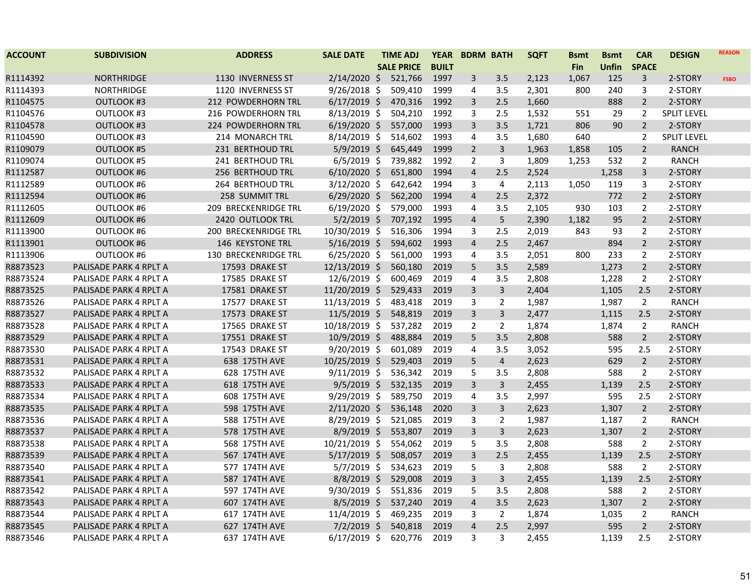| <b>ACCOUNT</b> | <b>SUBDIVISION</b>     | <b>ADDRESS</b>              | <b>SALE DATE</b> | <b>TIME ADJ</b>   | <b>YEAR</b>  |                         | <b>BDRM BATH</b> | <b>SQFT</b> | <b>Bsmt</b> | <b>Bsmt</b> | <b>CAR</b>     | <b>DESIGN</b>      | <b>REASON</b> |
|----------------|------------------------|-----------------------------|------------------|-------------------|--------------|-------------------------|------------------|-------------|-------------|-------------|----------------|--------------------|---------------|
|                |                        |                             |                  | <b>SALE PRICE</b> | <b>BUILT</b> |                         |                  |             | <b>Fin</b>  | Unfin       | <b>SPACE</b>   |                    |               |
| R1114392       | <b>NORTHRIDGE</b>      | 1130 INVERNESS ST           | $2/14/2020$ \$   | 521,766           | 1997         | 3                       | 3.5              | 2,123       | 1,067       | 125         | 3              | 2-STORY            | <b>FSBO</b>   |
| R1114393       | <b>NORTHRIDGE</b>      | 1120 INVERNESS ST           | $9/26/2018$ \$   | 509,410           | 1999         | 4                       | 3.5              | 2,301       | 800         | 240         | 3              | 2-STORY            |               |
| R1104575       | <b>OUTLOOK #3</b>      | 212 POWDERHORN TRL          | $6/17/2019$ \$   | 470,316           | 1992         | 3                       | 2.5              | 1,660       |             | 888         | $\overline{2}$ | 2-STORY            |               |
| R1104576       | OUTLOOK #3             | 216 POWDERHORN TRL          | $8/13/2019$ \$   | 504,210           | 1992         | 3                       | 2.5              | 1,532       | 551         | 29          | $\overline{2}$ | <b>SPLIT LEVEL</b> |               |
| R1104578       | <b>OUTLOOK #3</b>      | 224 POWDERHORN TRL          | $6/19/2020$ \$   | 557,000           | 1993         | 3                       | 3.5              | 1,721       | 806         | 90          | $2^{\circ}$    | 2-STORY            |               |
| R1104590       | <b>OUTLOOK #3</b>      | 214 MONARCH TRL             | $8/14/2019$ \$   | 514,602           | 1993         | 4                       | 3.5              | 1,680       | 640         |             | $\overline{2}$ | <b>SPLIT LEVEL</b> |               |
| R1109079       | <b>OUTLOOK #5</b>      | 231 BERTHOUD TRL            | $5/9/2019$ \$    | 645,449           | 1999         | $\overline{2}$          | 3                | 1,963       | 1,858       | 105         | $\overline{2}$ | RANCH              |               |
| R1109074       | <b>OUTLOOK #5</b>      | 241 BERTHOUD TRL            | $6/5/2019$ \$    | 739,882           | 1992         | $\overline{2}$          | 3                | 1,809       | 1,253       | 532         | $\overline{2}$ | <b>RANCH</b>       |               |
| R1112587       | <b>OUTLOOK #6</b>      | 256 BERTHOUD TRL            | $6/10/2020$ \$   | 651,800           | 1994         | $\overline{a}$          | 2.5              | 2,524       |             | 1,258       | 3              | 2-STORY            |               |
| R1112589       | <b>OUTLOOK #6</b>      | <b>264 BERTHOUD TRL</b>     | 3/12/2020 \$     | 642,642           | 1994         | 3                       | $\overline{4}$   | 2,113       | 1,050       | 119         | 3              | 2-STORY            |               |
| R1112594       | <b>OUTLOOK #6</b>      | 258 SUMMIT TRL              | $6/29/2020$ \$   | 562,200           | 1994         | $\overline{4}$          | 2.5              | 2,372       |             | 772         | $\overline{2}$ | 2-STORY            |               |
| R1112605       | <b>OUTLOOK #6</b>      | <b>209 BRECKENRIDGE TRL</b> | $6/19/2020$ \$   | 579,000           | 1993         | 4                       | 3.5              | 2,105       | 930         | 103         | $\overline{2}$ | 2-STORY            |               |
| R1112609       | <b>OUTLOOK #6</b>      | 2420 OUTLOOK TRL            | $5/2/2019$ \$    | 707,192           | 1995         | $\overline{4}$          | 5                | 2,390       | 1,182       | 95          | $\overline{2}$ | 2-STORY            |               |
| R1113900       | OUTLOOK #6             | <b>200 BRECKENRIDGE TRL</b> | 10/30/2019 \$    | 516,306           | 1994         | 3                       | 2.5              | 2,019       | 843         | 93          | $\overline{2}$ | 2-STORY            |               |
| R1113901       | <b>OUTLOOK #6</b>      | 146 KEYSTONE TRL            | $5/16/2019$ \$   | 594,602           | 1993         | $\overline{4}$          | 2.5              | 2,467       |             | 894         | $\overline{2}$ | 2-STORY            |               |
| R1113906       | <b>OUTLOOK #6</b>      | 130 BRECKENRIDGE TRL        | $6/25/2020$ \$   | 561,000           | 1993         | 4                       | 3.5              | 2,051       | 800         | 233         | $\overline{2}$ | 2-STORY            |               |
| R8873523       | PALISADE PARK 4 RPLT A | 17593 DRAKE ST              | 12/13/2019 \$    | 560,180           | 2019         | 5                       | 3.5              | 2,589       |             | 1,273       | $\overline{2}$ | 2-STORY            |               |
| R8873524       | PALISADE PARK 4 RPLT A | 17585 DRAKE ST              | 12/6/2019 \$     | 600,469           | 2019         | 4                       | 3.5              | 2,808       |             | 1,228       | $\overline{2}$ | 2-STORY            |               |
| R8873525       | PALISADE PARK 4 RPLT A | 17581 DRAKE ST              | $11/20/2019$ \$  | 529,433           | 2019         | 3                       | $\mathsf{3}$     | 2,404       |             | 1,105       | 2.5            | 2-STORY            |               |
| R8873526       | PALISADE PARK 4 RPLT A | 17577 DRAKE ST              | 11/13/2019 \$    | 483,418           | 2019         | 3                       | $\overline{2}$   | 1,987       |             | 1,987       | $\overline{2}$ | <b>RANCH</b>       |               |
| R8873527       | PALISADE PARK 4 RPLT A | 17573 DRAKE ST              | 11/5/2019 \$     | 548,819           | 2019         | $\overline{3}$          | $\overline{3}$   | 2,477       |             | 1,115       | 2.5            | 2-STORY            |               |
| R8873528       | PALISADE PARK 4 RPLT A | 17565 DRAKE ST              | 10/18/2019 \$    | 537,282           | 2019         | $\overline{2}$          | $\overline{2}$   | 1,874       |             | 1,874       | $\overline{2}$ | <b>RANCH</b>       |               |
| R8873529       | PALISADE PARK 4 RPLT A | 17551 DRAKE ST              | 10/9/2019 \$     | 488,884           | 2019         | 5                       | 3.5              | 2,808       |             | 588         | $2^{\circ}$    | 2-STORY            |               |
| R8873530       | PALISADE PARK 4 RPLT A | 17543 DRAKE ST              | $9/20/2019$ \$   | 601,089           | 2019         | 4                       | 3.5              | 3,052       |             | 595         | 2.5            | 2-STORY            |               |
| R8873531       | PALISADE PARK 4 RPLT A | 638 175TH AVE               | $10/25/2019$ \$  | 529,403           | 2019         | 5                       | 4                | 2,623       |             | 629         | $\overline{2}$ | 2-STORY            |               |
| R8873532       | PALISADE PARK 4 RPLT A | 628 175TH AVE               | $9/11/2019$ \$   | 536,342           | 2019         | 5                       | 3.5              | 2,808       |             | 588         | $\overline{2}$ | 2-STORY            |               |
| R8873533       | PALISADE PARK 4 RPLT A | 618 175TH AVE               | $9/5/2019$ \$    | 532,135           | 2019         | 3                       | $\overline{3}$   | 2,455       |             | 1,139       | 2.5            | 2-STORY            |               |
| R8873534       | PALISADE PARK 4 RPLT A | 608 175TH AVE               | 9/29/2019 \$     | 589,750           | 2019         | 4                       | 3.5              | 2,997       |             | 595         | 2.5            | 2-STORY            |               |
| R8873535       | PALISADE PARK 4 RPLT A | 598 175TH AVE               | $2/11/2020$ \$   | 536,148           | 2020         | 3                       | 3                | 2,623       |             | 1,307       | $\overline{2}$ | 2-STORY            |               |
| R8873536       | PALISADE PARK 4 RPLT A | 588 175TH AVE               | 8/29/2019 \$     | 521,085           | 2019         | 3                       | $\overline{2}$   | 1,987       |             | 1,187       | $\overline{2}$ | <b>RANCH</b>       |               |
| R8873537       | PALISADE PARK 4 RPLT A | 578 175TH AVE               | $8/9/2019$ \$    | 553,807           | 2019         | 3                       | 3                | 2,623       |             | 1,307       | $\overline{2}$ | 2-STORY            |               |
| R8873538       | PALISADE PARK 4 RPLT A | 568 175TH AVE               | 10/21/2019 \$    | 554,062           | 2019         | 5                       | 3.5              | 2,808       |             | 588         | $\overline{2}$ | 2-STORY            |               |
| R8873539       | PALISADE PARK 4 RPLT A | 567 174TH AVE               | $5/17/2019$ \$   | 508,057           | 2019         | 3                       | 2.5              | 2,455       |             | 1,139       | 2.5            | 2-STORY            |               |
| R8873540       | PALISADE PARK 4 RPLT A | 577 174TH AVE               | $5/7/2019$ \$    | 534,623           | 2019         | 5                       | 3                | 2,808       |             | 588         | $\overline{2}$ | 2-STORY            |               |
| R8873541       | PALISADE PARK 4 RPLT A | 587 174TH AVE               | $8/8/2019$ \$    | 529,008           | 2019         | 3                       | $\mathsf{3}$     | 2,455       |             | 1,139       | 2.5            | 2-STORY            |               |
| R8873542       | PALISADE PARK 4 RPLT A | 597 174TH AVE               | 9/30/2019 \$     | 551,836           | 2019         | 5                       | 3.5              | 2,808       |             | 588         | $\overline{2}$ | 2-STORY            |               |
| R8873543       | PALISADE PARK 4 RPLT A | 607 174TH AVE               | $8/5/2019$ \$    | 537,240           | 2019         | $\overline{\mathbf{4}}$ | 3.5              | 2,623       |             | 1,307       | $\overline{2}$ | 2-STORY            |               |
| R8873544       | PALISADE PARK 4 RPLT A | 617 174TH AVE               | $11/4/2019$ \$   | 469,235           | 2019         | 3                       | $\overline{2}$   | 1,874       |             | 1,035       | $\overline{2}$ | <b>RANCH</b>       |               |
| R8873545       | PALISADE PARK 4 RPLT A | 627 174TH AVE               | $7/2/2019$ \$    | 540,818           | 2019         | $\overline{4}$          | 2.5              | 2,997       |             | 595         | $\overline{2}$ | 2-STORY            |               |
| R8873546       | PALISADE PARK 4 RPLT A | 637 174TH AVE               | $6/17/2019$ \$   | 620,776           | 2019         | 3                       | 3                | 2,455       |             | 1,139       | 2.5            | 2-STORY            |               |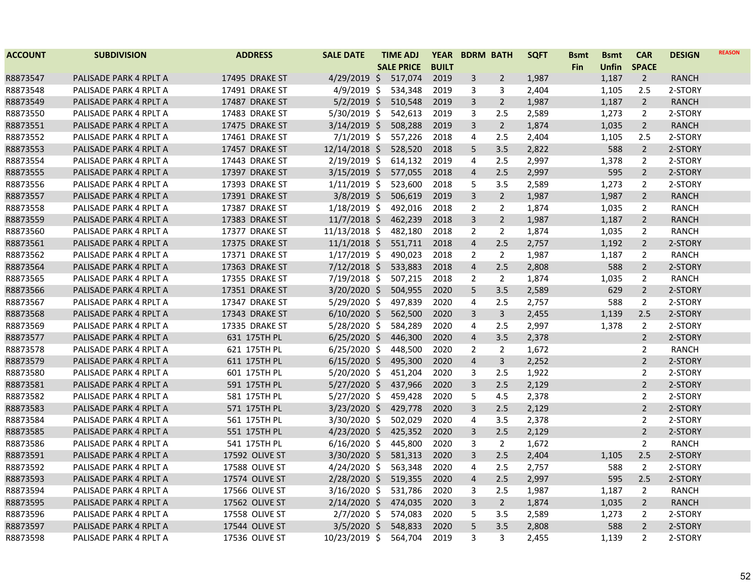| <b>ACCOUNT</b> | <b>SUBDIVISION</b>     | <b>ADDRESS</b> | <b>SALE DATE</b> | <b>TIME ADJ</b>   | <b>YEAR</b>  | <b>BDRM BATH</b> |                | <b>SQFT</b> | <b>Bsmt</b> | <b>Bsmt</b>  | <b>CAR</b>     | <b>DESIGN</b> | <b>REASON</b> |
|----------------|------------------------|----------------|------------------|-------------------|--------------|------------------|----------------|-------------|-------------|--------------|----------------|---------------|---------------|
|                |                        |                |                  | <b>SALE PRICE</b> | <b>BUILT</b> |                  |                |             | <b>Fin</b>  | <b>Unfin</b> | <b>SPACE</b>   |               |               |
| R8873547       | PALISADE PARK 4 RPLT A | 17495 DRAKE ST | $4/29/2019$ \$   | 517,074           | 2019         | 3                | $\overline{2}$ | 1,987       |             | 1,187        | $\overline{2}$ | <b>RANCH</b>  |               |
| R8873548       | PALISADE PARK 4 RPLT A | 17491 DRAKE ST | $4/9/2019$ \$    | 534,348           | 2019         | 3                | 3              | 2,404       |             | 1,105        | 2.5            | 2-STORY       |               |
| R8873549       | PALISADE PARK 4 RPLT A | 17487 DRAKE ST | $5/2/2019$ \$    | 510,548           | 2019         | $\mathbf{3}$     | $\overline{2}$ | 1,987       |             | 1,187        | $\overline{2}$ | <b>RANCH</b>  |               |
| R8873550       | PALISADE PARK 4 RPLT A | 17483 DRAKE ST | $5/30/2019$ \$   | 542,613           | 2019         | 3                | 2.5            | 2,589       |             | 1,273        | 2              | 2-STORY       |               |
| R8873551       | PALISADE PARK 4 RPLT A | 17475 DRAKE ST | $3/14/2019$ \$   | 508,288           | 2019         | $\mathbf{3}$     | $\overline{2}$ | 1,874       |             | 1,035        | $\overline{2}$ | <b>RANCH</b>  |               |
| R8873552       | PALISADE PARK 4 RPLT A | 17461 DRAKE ST | $7/1/2019$ \$    | 557,226           | 2018         | 4                | 2.5            | 2,404       |             | 1,105        | 2.5            | 2-STORY       |               |
| R8873553       | PALISADE PARK 4 RPLT A | 17457 DRAKE ST | 12/14/2018 \$    | 528,520           | 2018         | 5                | 3.5            | 2,822       |             | 588          | $\overline{2}$ | 2-STORY       |               |
| R8873554       | PALISADE PARK 4 RPLT A | 17443 DRAKE ST | $2/19/2019$ \$   | 614,132           | 2019         | $\overline{4}$   | 2.5            | 2,997       |             | 1,378        | 2              | 2-STORY       |               |
| R8873555       | PALISADE PARK 4 RPLT A | 17397 DRAKE ST | $3/15/2019$ \$   | 577,055           | 2018         | $\overline{4}$   | 2.5            | 2,997       |             | 595          | $\overline{2}$ | 2-STORY       |               |
| R8873556       | PALISADE PARK 4 RPLT A | 17393 DRAKE ST | $1/11/2019$ \$   | 523,600           | 2018         | 5                | 3.5            | 2,589       |             | 1,273        | $\mathbf{2}$   | 2-STORY       |               |
| R8873557       | PALISADE PARK 4 RPLT A | 17391 DRAKE ST | $3/8/2019$ \$    | 506,619           | 2019         | 3                | $\overline{2}$ | 1,987       |             | 1,987        | $\overline{2}$ | <b>RANCH</b>  |               |
| R8873558       | PALISADE PARK 4 RPLT A | 17387 DRAKE ST | $1/18/2019$ \$   | 492,016           | 2018         | $\overline{2}$   | $\overline{2}$ | 1,874       |             | 1,035        | $\overline{2}$ | <b>RANCH</b>  |               |
| R8873559       | PALISADE PARK 4 RPLT A | 17383 DRAKE ST | $11/7/2018$ \$   | 462,239           | 2018         | $\overline{3}$   | $\overline{2}$ | 1,987       |             | 1,187        | $\overline{2}$ | <b>RANCH</b>  |               |
| R8873560       | PALISADE PARK 4 RPLT A | 17377 DRAKE ST | 11/13/2018 \$    | 482,180           | 2018         | $\overline{2}$   | $\overline{2}$ | 1,874       |             | 1,035        | 2              | <b>RANCH</b>  |               |
| R8873561       | PALISADE PARK 4 RPLT A | 17375 DRAKE ST | $11/1/2018$ \$   | 551,711           | 2018         | $\overline{4}$   | 2.5            | 2,757       |             | 1,192        | $\overline{2}$ | 2-STORY       |               |
| R8873562       | PALISADE PARK 4 RPLT A | 17371 DRAKE ST | $1/17/2019$ \$   | 490,023           | 2018         | $\overline{2}$   | 2              | 1,987       |             | 1,187        | 2              | <b>RANCH</b>  |               |
| R8873564       | PALISADE PARK 4 RPLT A | 17363 DRAKE ST | $7/12/2018$ \$   | 533,883           | 2018         | $\overline{4}$   | 2.5            | 2,808       |             | 588          | $\overline{2}$ | 2-STORY       |               |
| R8873565       | PALISADE PARK 4 RPLT A | 17355 DRAKE ST | 7/19/2018 \$     | 507,215           | 2018         | $\overline{2}$   | $\overline{2}$ | 1,874       |             | 1,035        | 2              | RANCH         |               |
| R8873566       | PALISADE PARK 4 RPLT A | 17351 DRAKE ST | $3/20/2020$ \$   | 504,955           | 2020         | 5                | 3.5            | 2,589       |             | 629          | $\overline{2}$ | 2-STORY       |               |
| R8873567       | PALISADE PARK 4 RPLT A | 17347 DRAKE ST | 5/29/2020 \$     | 497,839           | 2020         | 4                | 2.5            | 2,757       |             | 588          | $\overline{2}$ | 2-STORY       |               |
| R8873568       | PALISADE PARK 4 RPLT A | 17343 DRAKE ST | $6/10/2020$ \$   | 562,500           | 2020         | $\overline{3}$   | $\overline{3}$ | 2,455       |             | 1,139        | 2.5            | 2-STORY       |               |
| R8873569       | PALISADE PARK 4 RPLT A | 17335 DRAKE ST | 5/28/2020 \$     | 584,289           | 2020         | $\overline{4}$   | 2.5            | 2,997       |             | 1,378        | $\overline{2}$ | 2-STORY       |               |
| R8873577       | PALISADE PARK 4 RPLT A | 631 175TH PL   | $6/25/2020$ \$   | 446,300           | 2020         | $\overline{4}$   | 3.5            | 2,378       |             |              | $\overline{2}$ | 2-STORY       |               |
| R8873578       | PALISADE PARK 4 RPLT A | 621 175TH PL   | $6/25/2020$ \$   | 448,500           | 2020         | $\overline{2}$   | $\overline{2}$ | 1,672       |             |              | $\overline{2}$ | RANCH         |               |
| R8873579       | PALISADE PARK 4 RPLT A | 611 175TH PL   | $6/15/2020$ \$   | 495,300           | 2020         | $\overline{4}$   | 3              | 2,252       |             |              | $\overline{2}$ | 2-STORY       |               |
| R8873580       | PALISADE PARK 4 RPLT A | 601 175TH PL   | 5/20/2020 \$     | 451,204           | 2020         | 3                | 2.5            | 1,922       |             |              | $\overline{2}$ | 2-STORY       |               |
| R8873581       | PALISADE PARK 4 RPLT A | 591 175TH PL   | $5/27/2020$ \$   | 437,966           | 2020         | $\overline{3}$   | 2.5            | 2,129       |             |              | $\overline{2}$ | 2-STORY       |               |
| R8873582       | PALISADE PARK 4 RPLT A | 581 175TH PL   | $5/27/2020$ \$   | 459,428           | 2020         | 5                | 4.5            | 2,378       |             |              | $\overline{2}$ | 2-STORY       |               |
| R8873583       | PALISADE PARK 4 RPLT A | 571 175TH PL   | $3/23/2020$ \$   | 429,778           | 2020         | 3                | 2.5            | 2,129       |             |              | $\overline{2}$ | 2-STORY       |               |
| R8873584       | PALISADE PARK 4 RPLT A | 561 175TH PL   | 3/30/2020 \$     | 502,029           | 2020         | $\overline{4}$   | 3.5            | 2,378       |             |              | $\overline{2}$ | 2-STORY       |               |
| R8873585       | PALISADE PARK 4 RPLT A | 551 175TH PL   | $4/23/2020$ \$   | 425,352           | 2020         | $\overline{3}$   | 2.5            | 2,129       |             |              | $\overline{2}$ | 2-STORY       |               |
| R8873586       | PALISADE PARK 4 RPLT A | 541 175TH PL   | $6/16/2020$ \$   | 445,800           | 2020         | 3                | $\overline{2}$ | 1,672       |             |              | $\overline{2}$ | <b>RANCH</b>  |               |
| R8873591       | PALISADE PARK 4 RPLT A | 17592 OLIVE ST | $3/30/2020$ \$   | 581,313           | 2020         | $\overline{3}$   | 2.5            | 2,404       |             | 1,105        | 2.5            | 2-STORY       |               |
| R8873592       | PALISADE PARK 4 RPLT A | 17588 OLIVE ST | $4/24/2020$ \$   | 563,348           | 2020         | 4                | 2.5            | 2,757       |             | 588          | 2              | 2-STORY       |               |
| R8873593       | PALISADE PARK 4 RPLT A | 17574 OLIVE ST | 2/28/2020 \$     | 519,355           | 2020         | $\overline{4}$   | 2.5            | 2,997       |             | 595          | 2.5            | 2-STORY       |               |
| R8873594       | PALISADE PARK 4 RPLT A | 17566 OLIVE ST | $3/16/2020$ \$   | 531,786           | 2020         | 3                | 2.5            | 1,987       |             | 1,187        | 2              | <b>RANCH</b>  |               |
| R8873595       | PALISADE PARK 4 RPLT A | 17562 OLIVE ST | $2/14/2020$ \$   | 474,035           | 2020         | $\mathbf{3}$     | $\overline{2}$ | 1,874       |             | 1,035        | $\overline{2}$ | <b>RANCH</b>  |               |
| R8873596       | PALISADE PARK 4 RPLT A | 17558 OLIVE ST | $2/7/2020$ \$    | 574,083           | 2020         | 5                | 3.5            | 2,589       |             | 1,273        | $\overline{2}$ | 2-STORY       |               |
| R8873597       | PALISADE PARK 4 RPLT A | 17544 OLIVE ST | $3/5/2020$ \$    | 548,833           | 2020         | 5 <sup>5</sup>   | 3.5            | 2,808       |             | 588          | $\overline{2}$ | 2-STORY       |               |
| R8873598       | PALISADE PARK 4 RPLT A | 17536 OLIVE ST | 10/23/2019 \$    | 564,704           | 2019         | 3                | 3              | 2,455       |             | 1,139        | $\overline{2}$ | 2-STORY       |               |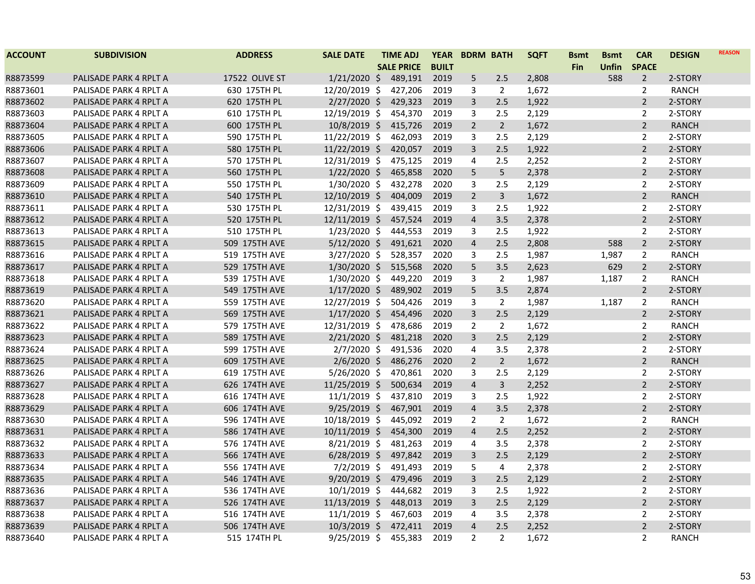| <b>ACCOUNT</b> | <b>SUBDIVISION</b>     | <b>ADDRESS</b> | <b>SALE DATE</b> | <b>TIME ADJ</b>   | <b>YEAR</b>  | <b>BDRM BATH</b> |                | <b>SQFT</b> | <b>Bsmt</b> | <b>Bsmt</b> | <b>CAR</b>     | <b>DESIGN</b> | <b>REASON</b> |
|----------------|------------------------|----------------|------------------|-------------------|--------------|------------------|----------------|-------------|-------------|-------------|----------------|---------------|---------------|
|                |                        |                |                  | <b>SALE PRICE</b> | <b>BUILT</b> |                  |                |             | <b>Fin</b>  | Unfin       | <b>SPACE</b>   |               |               |
| R8873599       | PALISADE PARK 4 RPLT A | 17522 OLIVE ST | $1/21/2020$ \$   | 489,191           | 2019         | 5                | 2.5            | 2,808       |             | 588         | $\overline{2}$ | 2-STORY       |               |
| R8873601       | PALISADE PARK 4 RPLT A | 630 175TH PL   | 12/20/2019 \$    | 427,206           | 2019         | 3                | $\overline{2}$ | 1,672       |             |             | $\overline{2}$ | <b>RANCH</b>  |               |
| R8873602       | PALISADE PARK 4 RPLT A | 620 175TH PL   | $2/27/2020$ \$   | 429,323           | 2019         | $\mathbf{3}$     | 2.5            | 1,922       |             |             | $\overline{2}$ | 2-STORY       |               |
| R8873603       | PALISADE PARK 4 RPLT A | 610 175TH PL   | 12/19/2019 \$    | 454,370           | 2019         | 3                | 2.5            | 2,129       |             |             | $\overline{2}$ | 2-STORY       |               |
| R8873604       | PALISADE PARK 4 RPLT A | 600 175TH PL   | 10/8/2019 \$     | 415,726           | 2019         | $\overline{2}$   | $\overline{2}$ | 1,672       |             |             | $\overline{2}$ | <b>RANCH</b>  |               |
| R8873605       | PALISADE PARK 4 RPLT A | 590 175TH PL   | 11/22/2019 \$    | 462,093           | 2019         | 3                | 2.5            | 2,129       |             |             | $\overline{2}$ | 2-STORY       |               |
| R8873606       | PALISADE PARK 4 RPLT A | 580 175TH PL   | $11/22/2019$ \$  | 420,057           | 2019         | 3                | 2.5            | 1,922       |             |             | $\overline{2}$ | 2-STORY       |               |
| R8873607       | PALISADE PARK 4 RPLT A | 570 175TH PL   | 12/31/2019 \$    | 475,125           | 2019         | 4                | 2.5            | 2,252       |             |             | $\overline{2}$ | 2-STORY       |               |
| R8873608       | PALISADE PARK 4 RPLT A | 560 175TH PL   | $1/22/2020$ \$   | 465,858           | 2020         | 5                | $\sqrt{5}$     | 2,378       |             |             | $\overline{2}$ | 2-STORY       |               |
| R8873609       | PALISADE PARK 4 RPLT A | 550 175TH PL   | $1/30/2020$ \$   | 432,278           | 2020         | 3                | 2.5            | 2,129       |             |             | $\overline{2}$ | 2-STORY       |               |
| R8873610       | PALISADE PARK 4 RPLT A | 540 175TH PL   | $12/10/2019$ \$  | 404,009           | 2019         | $\overline{2}$   | 3              | 1,672       |             |             | $\overline{2}$ | <b>RANCH</b>  |               |
| R8873611       | PALISADE PARK 4 RPLT A | 530 175TH PL   | 12/31/2019 \$    | 439,415           | 2019         | 3                | 2.5            | 1,922       |             |             | $\overline{2}$ | 2-STORY       |               |
| R8873612       | PALISADE PARK 4 RPLT A | 520 175TH PL   | 12/11/2019 \$    | 457,524           | 2019         | $\overline{4}$   | 3.5            | 2,378       |             |             | $\overline{2}$ | 2-STORY       |               |
| R8873613       | PALISADE PARK 4 RPLT A | 510 175TH PL   | 1/23/2020 \$     | 444,553           | 2019         | 3                | 2.5            | 1,922       |             |             | 2              | 2-STORY       |               |
| R8873615       | PALISADE PARK 4 RPLT A | 509 175TH AVE  | $5/12/2020$ \$   | 491,621           | 2020         | $\overline{4}$   | 2.5            | 2,808       |             | 588         | $\overline{2}$ | 2-STORY       |               |
| R8873616       | PALISADE PARK 4 RPLT A | 519 175TH AVE  | $3/27/2020$ \$   | 528,357           | 2020         | 3                | 2.5            | 1,987       |             | 1,987       | $\overline{2}$ | RANCH         |               |
| R8873617       | PALISADE PARK 4 RPLT A | 529 175TH AVE  | $1/30/2020$ \$   | 515,568           | 2020         | 5                | 3.5            | 2,623       |             | 629         | $\overline{2}$ | 2-STORY       |               |
| R8873618       | PALISADE PARK 4 RPLT A | 539 175TH AVE  | $1/30/2020$ \$   | 449,220           | 2019         | 3                | $\overline{2}$ | 1,987       |             | 1,187       | $\overline{2}$ | <b>RANCH</b>  |               |
| R8873619       | PALISADE PARK 4 RPLT A | 549 175TH AVE  | $1/17/2020$ \$   | 489,902           | 2019         | 5                | 3.5            | 2,874       |             |             | $\overline{2}$ | 2-STORY       |               |
| R8873620       | PALISADE PARK 4 RPLT A | 559 175TH AVE  | 12/27/2019 \$    | 504,426           | 2019         | 3                | $\overline{2}$ | 1,987       |             | 1,187       | $\overline{2}$ | RANCH         |               |
| R8873621       | PALISADE PARK 4 RPLT A | 569 175TH AVE  | $1/17/2020$ \$   | 454,496           | 2020         | $\overline{3}$   | 2.5            | 2,129       |             |             | $\overline{2}$ | 2-STORY       |               |
| R8873622       | PALISADE PARK 4 RPLT A | 579 175TH AVE  | 12/31/2019 \$    | 478,686           | 2019         | $\overline{2}$   | $\overline{2}$ | 1,672       |             |             | $\overline{2}$ | RANCH         |               |
| R8873623       | PALISADE PARK 4 RPLT A | 589 175TH AVE  | $2/21/2020$ \$   | 481,218           | 2020         | 3                | 2.5            | 2,129       |             |             | $\overline{2}$ | 2-STORY       |               |
| R8873624       | PALISADE PARK 4 RPLT A | 599 175TH AVE  | $2/7/2020$ \$    | 491,536           | 2020         | 4                | 3.5            | 2,378       |             |             | $\overline{2}$ | 2-STORY       |               |
| R8873625       | PALISADE PARK 4 RPLT A | 609 175TH AVE  | $2/6/2020$ \$    | 486,276           | 2020         | $\overline{2}$   | $\overline{2}$ | 1,672       |             |             | $\overline{2}$ | <b>RANCH</b>  |               |
| R8873626       | PALISADE PARK 4 RPLT A | 619 175TH AVE  | $5/26/2020$ \$   | 470,861           | 2020         | 3                | 2.5            | 2,129       |             |             | $\overline{2}$ | 2-STORY       |               |
| R8873627       | PALISADE PARK 4 RPLT A | 626 174TH AVE  | $11/25/2019$ \$  | 500,634           | 2019         | $\overline{4}$   | $\overline{3}$ | 2,252       |             |             | $\overline{2}$ | 2-STORY       |               |
| R8873628       | PALISADE PARK 4 RPLT A | 616 174TH AVE  | $11/1/2019$ \$   | 437,810           | 2019         | 3                | 2.5            | 1,922       |             |             | $\overline{2}$ | 2-STORY       |               |
| R8873629       | PALISADE PARK 4 RPLT A | 606 174TH AVE  | $9/25/2019$ \$   | 467,901           | 2019         | $\overline{4}$   | 3.5            | 2,378       |             |             | $\overline{2}$ | 2-STORY       |               |
| R8873630       | PALISADE PARK 4 RPLT A | 596 174TH AVE  | 10/18/2019 \$    | 445,092           | 2019         | 2                | $\overline{2}$ | 1,672       |             |             | $\overline{2}$ | <b>RANCH</b>  |               |
| R8873631       | PALISADE PARK 4 RPLT A | 586 174TH AVE  | 10/11/2019 \$    | 454,300           | 2019         | $\overline{4}$   | 2.5            | 2,252       |             |             | $\overline{2}$ | 2-STORY       |               |
| R8873632       | PALISADE PARK 4 RPLT A | 576 174TH AVE  | $8/21/2019$ \$   | 481,263           | 2019         | 4                | 3.5            | 2,378       |             |             | $\overline{2}$ | 2-STORY       |               |
| R8873633       | PALISADE PARK 4 RPLT A | 566 174TH AVE  | $6/28/2019$ \$   | 497,842           | 2019         | 3                | 2.5            | 2,129       |             |             | $\overline{2}$ | 2-STORY       |               |
| R8873634       | PALISADE PARK 4 RPLT A | 556 174TH AVE  | $7/2/2019$ \$    | 491,493           | 2019         | 5                | $\overline{4}$ | 2,378       |             |             | $\overline{2}$ | 2-STORY       |               |
| R8873635       | PALISADE PARK 4 RPLT A | 546 174TH AVE  | $9/20/2019$ \$   | 479,496           | 2019         | $\overline{3}$   | 2.5            | 2,129       |             |             | $\overline{2}$ | 2-STORY       |               |
| R8873636       | PALISADE PARK 4 RPLT A | 536 174TH AVE  | $10/1/2019$ \$   | 444,682           | 2019         | 3                | 2.5            | 1,922       |             |             | $\overline{2}$ | 2-STORY       |               |
| R8873637       | PALISADE PARK 4 RPLT A | 526 174TH AVE  | 11/13/2019 \$    | 448,013           | 2019         | $\overline{3}$   | 2.5            | 2,129       |             |             | $\overline{2}$ | 2-STORY       |               |
| R8873638       | PALISADE PARK 4 RPLT A | 516 174TH AVE  | $11/1/2019$ \$   | 467,603           | 2019         | 4                | 3.5            | 2,378       |             |             | $\overline{2}$ | 2-STORY       |               |
| R8873639       | PALISADE PARK 4 RPLT A | 506 174TH AVE  | $10/3/2019$ \$   | 472,411           | 2019         | $\overline{4}$   | 2.5            | 2,252       |             |             | $\overline{2}$ | 2-STORY       |               |
| R8873640       | PALISADE PARK 4 RPLT A | 515 174TH PL   | $9/25/2019$ \$   | 455,383           | 2019         | $\overline{2}$   | 2              | 1.672       |             |             | $\overline{2}$ | <b>RANCH</b>  |               |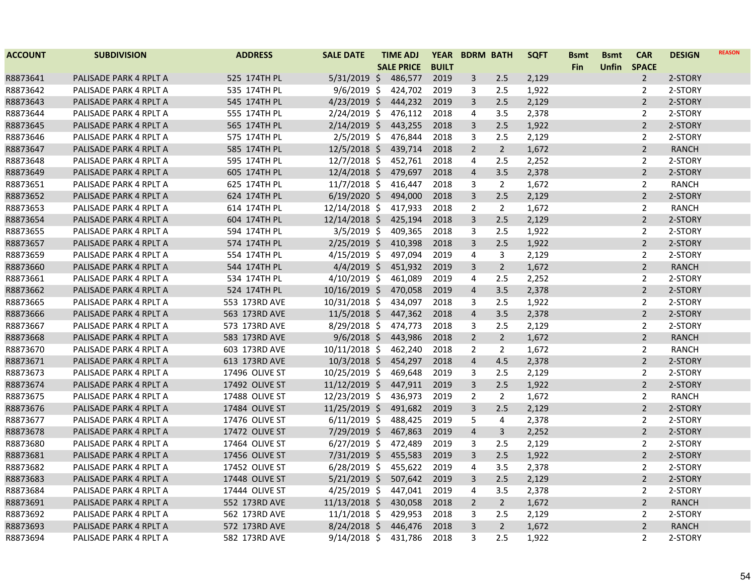| <b>ACCOUNT</b> | <b>SUBDIVISION</b>     | <b>ADDRESS</b> | <b>SALE DATE</b> | TIME ADJ          | <b>YEAR</b>  |                | <b>BDRM BATH</b> | <b>SQFT</b> | <b>Bsmt</b> | <b>Bsmt</b>  | <b>CAR</b>     | <b>DESIGN</b> | <b>REASON</b> |
|----------------|------------------------|----------------|------------------|-------------------|--------------|----------------|------------------|-------------|-------------|--------------|----------------|---------------|---------------|
|                |                        |                |                  | <b>SALE PRICE</b> | <b>BUILT</b> |                |                  |             | <b>Fin</b>  | <b>Unfin</b> | <b>SPACE</b>   |               |               |
| R8873641       | PALISADE PARK 4 RPLT A | 525 174TH PL   | $5/31/2019$ \$   | 486,577           | 2019         | $\mathsf{3}$   | 2.5              | 2,129       |             |              | $\overline{2}$ | 2-STORY       |               |
| R8873642       | PALISADE PARK 4 RPLT A | 535 174TH PL   | $9/6/2019$ \$    | 424,702           | 2019         | 3              | 2.5              | 1,922       |             |              | $\overline{2}$ | 2-STORY       |               |
| R8873643       | PALISADE PARK 4 RPLT A | 545 174TH PL   | $4/23/2019$ \$   | 444,232           | 2019         | 3              | 2.5              | 2,129       |             |              | $\overline{2}$ | 2-STORY       |               |
| R8873644       | PALISADE PARK 4 RPLT A | 555 174TH PL   | $2/24/2019$ \$   | 476,112           | 2018         | $\overline{4}$ | 3.5              | 2,378       |             |              | $\overline{2}$ | 2-STORY       |               |
| R8873645       | PALISADE PARK 4 RPLT A | 565 174TH PL   | $2/14/2019$ \$   | 443,255           | 2018         | 3              | 2.5              | 1,922       |             |              | $\overline{2}$ | 2-STORY       |               |
| R8873646       | PALISADE PARK 4 RPLT A | 575 174TH PL   | $2/5/2019$ \$    | 476,844           | 2018         | 3              | 2.5              | 2,129       |             |              | 2              | 2-STORY       |               |
| R8873647       | PALISADE PARK 4 RPLT A | 585 174TH PL   | $12/5/2018$ \$   | 439,714           | 2018         | $\overline{2}$ | $2^{\circ}$      | 1,672       |             |              | $\overline{2}$ | <b>RANCH</b>  |               |
| R8873648       | PALISADE PARK 4 RPLT A | 595 174TH PL   | $12/7/2018$ \$   | 452,761           | 2018         | $\overline{4}$ | 2.5              | 2,252       |             |              | $\overline{2}$ | 2-STORY       |               |
| R8873649       | PALISADE PARK 4 RPLT A | 605 174TH PL   | $12/4/2018$ \$   | 479,697           | 2018         | $\overline{a}$ | 3.5              | 2,378       |             |              | $\overline{2}$ | 2-STORY       |               |
| R8873651       | PALISADE PARK 4 RPLT A | 625 174TH PL   | $11/7/2018$ \$   | 416,447           | 2018         | 3              | $\overline{2}$   | 1,672       |             |              | $\overline{2}$ | <b>RANCH</b>  |               |
| R8873652       | PALISADE PARK 4 RPLT A | 624 174TH PL   | $6/19/2020$ \$   | 494,000           | 2018         | 3              | 2.5              | 2,129       |             |              | $\overline{2}$ | 2-STORY       |               |
| R8873653       | PALISADE PARK 4 RPLT A | 614 174TH PL   | 12/14/2018 \$    | 417,933           | 2018         | 2              | $\overline{2}$   | 1,672       |             |              | $\overline{2}$ | <b>RANCH</b>  |               |
| R8873654       | PALISADE PARK 4 RPLT A | 604 174TH PL   | 12/14/2018 \$    | 425,194           | 2018         | $\overline{3}$ | 2.5              | 2,129       |             |              | $\overline{2}$ | 2-STORY       |               |
| R8873655       | PALISADE PARK 4 RPLT A | 594 174TH PL   | $3/5/2019$ \$    | 409,365           | 2018         | 3              | 2.5              | 1,922       |             |              | 2              | 2-STORY       |               |
| R8873657       | PALISADE PARK 4 RPLT A | 574 174TH PL   | $2/25/2019$ \$   | 410,398           | 2018         | 3              | 2.5              | 1,922       |             |              | $\overline{2}$ | 2-STORY       |               |
| R8873659       | PALISADE PARK 4 RPLT A | 554 174TH PL   | $4/15/2019$ \$   | 497,094           | 2019         | 4              | 3                | 2,129       |             |              | $\overline{2}$ | 2-STORY       |               |
| R8873660       | PALISADE PARK 4 RPLT A | 544 174TH PL   | $4/4/2019$ \$    | 451,932           | 2019         | 3              | $2^{\circ}$      | 1,672       |             |              | $\overline{2}$ | <b>RANCH</b>  |               |
| R8873661       | PALISADE PARK 4 RPLT A | 534 174TH PL   | $4/10/2019$ \$   | 461,089           | 2019         | 4              | 2.5              | 2,252       |             |              | 2              | 2-STORY       |               |
| R8873662       | PALISADE PARK 4 RPLT A | 524 174TH PL   | 10/16/2019 \$    | 470,058           | 2019         | $\overline{4}$ | 3.5              | 2,378       |             |              | $\overline{2}$ | 2-STORY       |               |
| R8873665       | PALISADE PARK 4 RPLT A | 553 173RD AVE  | 10/31/2018 \$    | 434,097           | 2018         | 3              | 2.5              | 1,922       |             |              | 2              | 2-STORY       |               |
| R8873666       | PALISADE PARK 4 RPLT A | 563 173RD AVE  | $11/5/2018$ \$   | 447,362           | 2018         | $\overline{4}$ | 3.5              | 2,378       |             |              | $\overline{2}$ | 2-STORY       |               |
| R8873667       | PALISADE PARK 4 RPLT A | 573 173RD AVE  | $8/29/2018$ \$   | 474,773           | 2018         | 3              | 2.5              | 2,129       |             |              | $\overline{2}$ | 2-STORY       |               |
| R8873668       | PALISADE PARK 4 RPLT A | 583 173RD AVE  | $9/6/2018$ \$    | 443,986           | 2018         | $\overline{2}$ | $2^{\circ}$      | 1,672       |             |              | $\overline{2}$ | <b>RANCH</b>  |               |
| R8873670       | PALISADE PARK 4 RPLT A | 603 173RD AVE  | $10/11/2018$ \$  | 462,240           | 2018         | $\overline{2}$ | $\overline{2}$   | 1,672       |             |              | $\overline{2}$ | <b>RANCH</b>  |               |
| R8873671       | PALISADE PARK 4 RPLT A | 613 173RD AVE  | $10/3/2018$ \$   | 454,297           | 2018         | $\overline{4}$ | 4.5              | 2,378       |             |              | $\overline{2}$ | 2-STORY       |               |
| R8873673       | PALISADE PARK 4 RPLT A | 17496 OLIVE ST | 10/25/2019 \$    | 469,648           | 2019         | 3              | 2.5              | 2,129       |             |              | $\overline{2}$ | 2-STORY       |               |
| R8873674       | PALISADE PARK 4 RPLT A | 17492 OLIVE ST | $11/12/2019$ \$  | 447,911           | 2019         | 3              | 2.5              | 1,922       |             |              | $\overline{2}$ | 2-STORY       |               |
| R8873675       | PALISADE PARK 4 RPLT A | 17488 OLIVE ST | 12/23/2019 \$    | 436,973           | 2019         | $\overline{2}$ | $\overline{2}$   | 1,672       |             |              | $\overline{2}$ | <b>RANCH</b>  |               |
| R8873676       | PALISADE PARK 4 RPLT A | 17484 OLIVE ST | 11/25/2019 \$    | 491,682           | 2019         | 3              | 2.5              | 2,129       |             |              | $\overline{2}$ | 2-STORY       |               |
| R8873677       | PALISADE PARK 4 RPLT A | 17476 OLIVE ST | $6/11/2019$ \$   | 488,425           | 2019         | 5              | 4                | 2,378       |             |              | $\overline{2}$ | 2-STORY       |               |
| R8873678       | PALISADE PARK 4 RPLT A | 17472 OLIVE ST | 7/29/2019 \$     | 467,863           | 2019         | $\overline{4}$ | $\overline{3}$   | 2,252       |             |              | $\overline{2}$ | 2-STORY       |               |
| R8873680       | PALISADE PARK 4 RPLT A | 17464 OLIVE ST | $6/27/2019$ \$   | 472,489           | 2019         | 3              | 2.5              | 2,129       |             |              | 2              | 2-STORY       |               |
| R8873681       | PALISADE PARK 4 RPLT A | 17456 OLIVE ST | $7/31/2019$ \$   | 455,583           | 2019         | 3              | 2.5              | 1,922       |             |              | $\overline{2}$ | 2-STORY       |               |
| R8873682       | PALISADE PARK 4 RPLT A | 17452 OLIVE ST | $6/28/2019$ \$   | 455,622           | 2019         | 4              | 3.5              | 2,378       |             |              | $\overline{2}$ | 2-STORY       |               |
| R8873683       | PALISADE PARK 4 RPLT A | 17448 OLIVE ST | $5/21/2019$ \$   | 507,642           | 2019         | 3              | 2.5              | 2,129       |             |              | $\overline{2}$ | 2-STORY       |               |
| R8873684       | PALISADE PARK 4 RPLT A | 17444 OLIVE ST | $4/25/2019$ \$   | 447,041           | 2019         | 4              | 3.5              | 2,378       |             |              | 2              | 2-STORY       |               |
| R8873691       | PALISADE PARK 4 RPLT A | 552 173RD AVE  | $11/13/2018$ \$  | 430,058           | 2018         | $\overline{2}$ | $2^{\circ}$      | 1,672       |             |              | $\overline{2}$ | <b>RANCH</b>  |               |
| R8873692       | PALISADE PARK 4 RPLT A | 562 173RD AVE  | $11/1/2018$ \$   | 429,953           | 2018         | 3              | 2.5              | 2,129       |             |              | 2              | 2-STORY       |               |
| R8873693       | PALISADE PARK 4 RPLT A | 572 173RD AVE  | $8/24/2018$ \$   | 446,476           | 2018         | $\overline{3}$ | $2^{\circ}$      | 1,672       |             |              | $\overline{2}$ | <b>RANCH</b>  |               |
| R8873694       | PALISADE PARK 4 RPLT A | 582 173RD AVE  | $9/14/2018$ \$   | 431,786           | 2018         | 3              | 2.5              | 1,922       |             |              | $\overline{2}$ | 2-STORY       |               |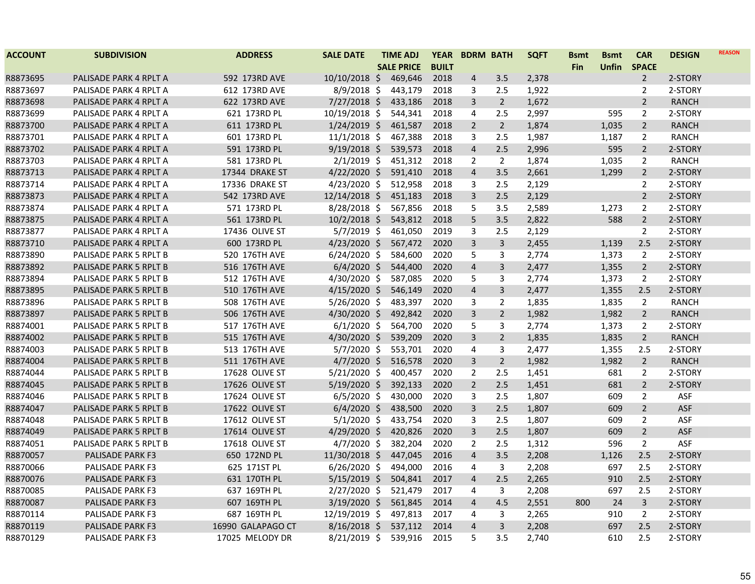| <b>ACCOUNT</b> | <b>SUBDIVISION</b>      | <b>ADDRESS</b>    | <b>SALE DATE</b> | <b>TIME ADJ</b>   | <b>YEAR</b>  | <b>BDRM BATH</b> |                | <b>SQFT</b> | <b>Bsmt</b> | <b>Bsmt</b>  | <b>CAR</b>     | <b>DESIGN</b> | <b>REASON</b> |
|----------------|-------------------------|-------------------|------------------|-------------------|--------------|------------------|----------------|-------------|-------------|--------------|----------------|---------------|---------------|
|                |                         |                   |                  | <b>SALE PRICE</b> | <b>BUILT</b> |                  |                |             | Fin         | <b>Unfin</b> | <b>SPACE</b>   |               |               |
| R8873695       | PALISADE PARK 4 RPLT A  | 592 173RD AVE     | 10/10/2018 \$    | 469,646           | 2018         | 4                | 3.5            | 2,378       |             |              | $\overline{2}$ | 2-STORY       |               |
| R8873697       | PALISADE PARK 4 RPLT A  | 612 173RD AVE     | $8/9/2018$ \$    | 443,179           | 2018         | 3                | 2.5            | 1,922       |             |              | $\overline{2}$ | 2-STORY       |               |
| R8873698       | PALISADE PARK 4 RPLT A  | 622 173RD AVE     | $7/27/2018$ \$   | 433,186           | 2018         | 3                | $2^{\circ}$    | 1,672       |             |              | $\overline{2}$ | <b>RANCH</b>  |               |
| R8873699       | PALISADE PARK 4 RPLT A  | 621 173RD PL      | 10/19/2018 \$    | 544,341           | 2018         | 4                | 2.5            | 2,997       |             | 595          | $\overline{2}$ | 2-STORY       |               |
| R8873700       | PALISADE PARK 4 RPLT A  | 611 173RD PL      | $1/24/2019$ \$   | 461,587           | 2018         | $\overline{2}$   | $\overline{2}$ | 1,874       |             | 1,035        | $\overline{2}$ | <b>RANCH</b>  |               |
| R8873701       | PALISADE PARK 4 RPLT A  | 601 173RD PL      | $11/1/2018$ \$   | 467,388           | 2018         | 3                | 2.5            | 1,987       |             | 1,187        | $\overline{2}$ | RANCH         |               |
| R8873702       | PALISADE PARK 4 RPLT A  | 591 173RD PL      | $9/19/2018$ \$   | 539,573           | 2018         | $\overline{4}$   | 2.5            | 2,996       |             | 595          | $\overline{2}$ | 2-STORY       |               |
| R8873703       | PALISADE PARK 4 RPLT A  | 581 173RD PL      | $2/1/2019$ \$    | 451,312           | 2018         | $\overline{2}$   | $\overline{2}$ | 1,874       |             | 1,035        | $\overline{2}$ | RANCH         |               |
| R8873713       | PALISADE PARK 4 RPLT A  | 17344 DRAKE ST    | $4/22/2020$ \$   | 591,410           | 2018         | $\overline{4}$   | 3.5            | 2,661       |             | 1,299        | $\overline{2}$ | 2-STORY       |               |
| R8873714       | PALISADE PARK 4 RPLT A  | 17336 DRAKE ST    | $4/23/2020$ \$   | 512,958           | 2018         | 3                | 2.5            | 2,129       |             |              | $\overline{2}$ | 2-STORY       |               |
| R8873873       | PALISADE PARK 4 RPLT A  | 542 173RD AVE     | 12/14/2018 \$    | 451,183           | 2018         | 3                | 2.5            | 2,129       |             |              | $\overline{2}$ | 2-STORY       |               |
| R8873874       | PALISADE PARK 4 RPLT A  | 571 173RD PL      | $8/28/2018$ \$   | 567,856           | 2018         | 5                | 3.5            | 2,589       |             | 1,273        | $\overline{2}$ | 2-STORY       |               |
| R8873875       | PALISADE PARK 4 RPLT A  | 561 173RD PL      | $10/2/2018$ \$   | 543,812           | 2018         | 5                | 3.5            | 2,822       |             | 588          | $\overline{2}$ | 2-STORY       |               |
| R8873877       | PALISADE PARK 4 RPLT A  | 17436 OLIVE ST    | $5/7/2019$ \$    | 461,050           | 2019         | 3                | 2.5            | 2,129       |             |              | $\overline{2}$ | 2-STORY       |               |
| R8873710       | PALISADE PARK 4 RPLT A  | 600 173RD PL      | $4/23/2020$ \$   | 567,472           | 2020         | $\overline{3}$   | 3              | 2,455       |             | 1,139        | 2.5            | 2-STORY       |               |
| R8873890       | PALISADE PARK 5 RPLT B  | 520 176TH AVE     | $6/24/2020$ \$   | 584,600           | 2020         | 5                | 3              | 2,774       |             | 1,373        | 2              | 2-STORY       |               |
| R8873892       | PALISADE PARK 5 RPLT B  | 516 176TH AVE     | $6/4/2020$ \$    | 544,400           | 2020         | $\overline{4}$   | 3              | 2,477       |             | 1,355        | $\overline{2}$ | 2-STORY       |               |
| R8873894       | PALISADE PARK 5 RPLT B  | 512 176TH AVE     | 4/30/2020 \$     | 587,085           | 2020         | 5                | 3              | 2,774       |             | 1,373        | $\overline{2}$ | 2-STORY       |               |
| R8873895       | PALISADE PARK 5 RPLT B  | 510 176TH AVE     | $4/15/2020$ \$   | 546,149           | 2020         | $\overline{4}$   | 3              | 2,477       |             | 1,355        | 2.5            | 2-STORY       |               |
| R8873896       | PALISADE PARK 5 RPLT B  | 508 176TH AVE     | $5/26/2020$ \$   | 483,397           | 2020         | 3                | $\overline{2}$ | 1,835       |             | 1,835        | $\overline{2}$ | RANCH         |               |
| R8873897       | PALISADE PARK 5 RPLT B  | 506 176TH AVE     | $4/30/2020$ \$   | 492,842           | 2020         | $\overline{3}$   | $\overline{2}$ | 1,982       |             | 1,982        | $\overline{2}$ | <b>RANCH</b>  |               |
| R8874001       | PALISADE PARK 5 RPLT B  | 517 176TH AVE     | $6/1/2020$ \$    | 564,700           | 2020         | 5                | 3              | 2,774       |             | 1,373        | $\overline{2}$ | 2-STORY       |               |
| R8874002       | PALISADE PARK 5 RPLT B  | 515 176TH AVE     | 4/30/2020 \$     | 539,209           | 2020         | $\overline{3}$   | $\overline{2}$ | 1,835       |             | 1,835        | $2^{\circ}$    | <b>RANCH</b>  |               |
| R8874003       | PALISADE PARK 5 RPLT B  | 513 176TH AVE     | $5/7/2020$ \$    | 553,701           | 2020         | 4                | 3              | 2,477       |             | 1,355        | 2.5            | 2-STORY       |               |
| R8874004       | PALISADE PARK 5 RPLT B  | 511 176TH AVE     | $4/7/2020$ \$    | 516,578           | 2020         | 3                | $\overline{2}$ | 1,982       |             | 1,982        | $\overline{2}$ | <b>RANCH</b>  |               |
| R8874044       | PALISADE PARK 5 RPLT B  | 17628 OLIVE ST    | $5/21/2020$ \$   | 400,457           | 2020         | $\overline{2}$   | 2.5            | 1,451       |             | 681          | $\overline{2}$ | 2-STORY       |               |
| R8874045       | PALISADE PARK 5 RPLT B  | 17626 OLIVE ST    | $5/19/2020$ \$   | 392,133           | 2020         | $\overline{2}$   | 2.5            | 1,451       |             | 681          | $\overline{2}$ | 2-STORY       |               |
| R8874046       | PALISADE PARK 5 RPLT B  | 17624 OLIVE ST    | $6/5/2020$ \$    | 430,000           | 2020         | 3                | 2.5            | 1,807       |             | 609          | $\overline{2}$ | ASF           |               |
| R8874047       | PALISADE PARK 5 RPLT B  | 17622 OLIVE ST    | $6/4/2020$ \$    | 438,500           | 2020         | 3                | 2.5            | 1,807       |             | 609          | $\overline{2}$ | <b>ASF</b>    |               |
| R8874048       | PALISADE PARK 5 RPLT B  | 17612 OLIVE ST    | $5/1/2020$ \$    | 433,754           | 2020         | 3                | 2.5            | 1,807       |             | 609          | $\overline{2}$ | ASF           |               |
| R8874049       | PALISADE PARK 5 RPLT B  | 17614 OLIVE ST    | $4/29/2020$ \$   | 420,826           | 2020         | 3                | 2.5            | 1,807       |             | 609          | $\overline{2}$ | <b>ASF</b>    |               |
| R8874051       | PALISADE PARK 5 RPLT B  | 17618 OLIVE ST    | $4/7/2020$ \$    | 382,204           | 2020         | $\overline{2}$   | 2.5            | 1,312       |             | 596          | $\overline{2}$ | ASF           |               |
| R8870057       | PALISADE PARK F3        | 650 172ND PL      | 11/30/2018 \$    | 447,045           | 2016         | $\overline{4}$   | 3.5            | 2,208       |             | 1,126        | 2.5            | 2-STORY       |               |
| R8870066       | <b>PALISADE PARK F3</b> | 625 171ST PL      | $6/26/2020$ \$   | 494,000           | 2016         | 4                | 3              | 2,208       |             | 697          | 2.5            | 2-STORY       |               |
| R8870076       | PALISADE PARK F3        | 631 170TH PL      | $5/15/2019$ \$   | 504,841           | 2017         | $\overline{4}$   | 2.5            | 2,265       |             | 910          | 2.5            | 2-STORY       |               |
| R8870085       | <b>PALISADE PARK F3</b> | 637 169TH PL      | $2/27/2020$ \$   | 521,479           | 2017         | 4                | 3              | 2,208       |             | 697          | 2.5            | 2-STORY       |               |
| R8870087       | PALISADE PARK F3        | 607 169TH PL      | $3/19/2020$ \$   | 561,845           | 2014         | $\overline{4}$   | 4.5            | 2,551       | 800         | 24           | 3              | 2-STORY       |               |
| R8870114       | <b>PALISADE PARK F3</b> | 687 169TH PL      | 12/19/2019 \$    | 497,813           | 2017         | 4                | 3              | 2,265       |             | 910          | $\overline{2}$ | 2-STORY       |               |
| R8870119       | PALISADE PARK F3        | 16990 GALAPAGO CT | $8/16/2018$ \$   | 537,112           | 2014         | $\overline{4}$   | 3              | 2,208       |             | 697          | 2.5            | 2-STORY       |               |
| R8870129       | <b>PALISADE PARK F3</b> | 17025 MELODY DR   | $8/21/2019$ \$   | 539,916           | 2015         | 5                | 3.5            | 2,740       |             | 610          | 2.5            | 2-STORY       |               |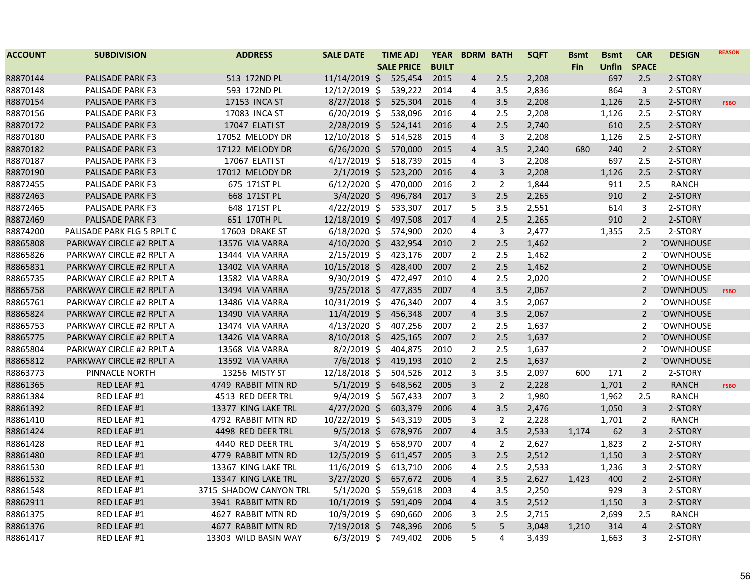| <b>ACCOUNT</b> | <b>SUBDIVISION</b>              | <b>ADDRESS</b>         | <b>SALE DATE</b> | <b>TIME ADJ</b>   | <b>YEAR</b>  |                         | <b>BDRM BATH</b> | <b>SQFT</b> | <b>Bsmt</b> | <b>Bsmt</b> | <b>CAR</b>     | <b>DESIGN</b>    | <b>REASON</b> |
|----------------|---------------------------------|------------------------|------------------|-------------------|--------------|-------------------------|------------------|-------------|-------------|-------------|----------------|------------------|---------------|
|                |                                 |                        |                  | <b>SALE PRICE</b> | <b>BUILT</b> |                         |                  |             | <b>Fin</b>  | Unfin       | <b>SPACE</b>   |                  |               |
| R8870144       | PALISADE PARK F3                | 513 172ND PL           | $11/14/2019$ \$  | 525,454           | 2015         | 4                       | 2.5              | 2,208       |             | 697         | 2.5            | 2-STORY          |               |
| R8870148       | <b>PALISADE PARK F3</b>         | 593 172ND PL           | 12/12/2019 \$    | 539,222           | 2014         | 4                       | 3.5              | 2,836       |             | 864         | 3              | 2-STORY          |               |
| R8870154       | PALISADE PARK F3                | 17153 INCA ST          | $8/27/2018$ \$   | 525,304           | 2016         | $\overline{\mathbf{4}}$ | 3.5              | 2,208       |             | 1,126       | 2.5            | 2-STORY          | <b>FSBO</b>   |
| R8870156       | <b>PALISADE PARK F3</b>         | 17083 INCA ST          | $6/20/2019$ \$   | 538,096           | 2016         | 4                       | 2.5              | 2,208       |             | 1,126       | 2.5            | 2-STORY          |               |
| R8870172       | PALISADE PARK F3                | 17047 ELATI ST         | 2/28/2019 \$     | 524,141           | 2016         | $\overline{4}$          | 2.5              | 2,740       |             | 610         | 2.5            | 2-STORY          |               |
| R8870180       | PALISADE PARK F3                | 17052 MELODY DR        | 12/10/2018 \$    | 514,528           | 2015         | 4                       | 3                | 2,208       |             | 1,126       | 2.5            | 2-STORY          |               |
| R8870182       | PALISADE PARK F3                | 17122 MELODY DR        | $6/26/2020$ \$   | 570,000           | 2015         | $\overline{4}$          | 3.5              | 2,240       | 680         | 240         | $\overline{2}$ | 2-STORY          |               |
| R8870187       | PALISADE PARK F3                | 17067 ELATI ST         | $4/17/2019$ \$   | 518,739           | 2015         | 4                       | 3                | 2,208       |             | 697         | 2.5            | 2-STORY          |               |
| R8870190       | PALISADE PARK F3                | 17012 MELODY DR        | $2/1/2019$ \$    | 523,200           | 2016         | $\overline{a}$          | 3                | 2,208       |             | 1,126       | 2.5            | 2-STORY          |               |
| R8872455       | <b>PALISADE PARK F3</b>         | 675 171ST PL           | $6/12/2020$ \$   | 470,000           | 2016         | $\overline{2}$          | $\overline{2}$   | 1,844       |             | 911         | 2.5            | <b>RANCH</b>     |               |
| R8872463       | <b>PALISADE PARK F3</b>         | 668 171ST PL           | $3/4/2020$ \$    | 496,784           | 2017         | 3                       | 2.5              | 2,265       |             | 910         | $\overline{2}$ | 2-STORY          |               |
| R8872465       | <b>PALISADE PARK F3</b>         | 648 171ST PL           | $4/22/2019$ \$   | 533,307           | 2017         | 5                       | 3.5              | 2,551       |             | 614         | 3              | 2-STORY          |               |
| R8872469       | <b>PALISADE PARK F3</b>         | 651 170TH PL           | 12/18/2019 \$    | 497,508           | 2017         | $\overline{4}$          | 2.5              | 2,265       |             | 910         | $2^{\circ}$    | 2-STORY          |               |
| R8874200       | PALISADE PARK FLG 5 RPLT C      | 17603 DRAKE ST         | $6/18/2020$ \$   | 574,900           | 2020         | 4                       | $\mathbf{3}$     | 2,477       |             | 1,355       | 2.5            | 2-STORY          |               |
| R8865808       | PARKWAY CIRCLE #2 RPLT A        | 13576 VIA VARRA        | $4/10/2020$ \$   | 432,954           | 2010         | 2                       | 2.5              | 1,462       |             |             | $\overline{2}$ | <b>TOWNHOUSE</b> |               |
| R8865826       | PARKWAY CIRCLE #2 RPLT A        | 13444 VIA VARRA        | 2/15/2019 \$     | 423,176           | 2007         | $\overline{2}$          | 2.5              | 1,462       |             |             | 2              | <b>TOWNHOUSE</b> |               |
| R8865831       | PARKWAY CIRCLE #2 RPLT A        | 13402 VIA VARRA        | 10/15/2018 \$    | 428,400           | 2007         | $\overline{2}$          | 2.5              | 1,462       |             |             | $\overline{2}$ | <b>TOWNHOUSE</b> |               |
| R8865735       | PARKWAY CIRCLE #2 RPLT A        | 13582 VIA VARRA        | 9/30/2019 \$     | 472,497           | 2010         | 4                       | 2.5              | 2,020       |             |             | 2              | <b>TOWNHOUSE</b> |               |
| R8865758       | PARKWAY CIRCLE #2 RPLT A        | 13494 VIA VARRA        | $9/25/2018$ \$   | 477,835           | 2007         | $\overline{\mathbf{4}}$ | 3.5              | 2,067       |             |             | $\overline{2}$ | <b>TOWNHOUSI</b> | <b>FSBO</b>   |
| R8865761       | <b>PARKWAY CIRCLE #2 RPLT A</b> | 13486 VIA VARRA        | 10/31/2019 \$    | 476,340           | 2007         | 4                       | 3.5              | 2,067       |             |             | $\overline{2}$ | <b>TOWNHOUSE</b> |               |
| R8865824       | PARKWAY CIRCLE #2 RPLT A        | 13490 VIA VARRA        | $11/4/2019$ \$   | 456,348           | 2007         | $\overline{\mathbf{4}}$ | 3.5              | 2,067       |             |             | $\overline{2}$ | <b>TOWNHOUSE</b> |               |
| R8865753       | <b>PARKWAY CIRCLE #2 RPLT A</b> | 13474 VIA VARRA        | $4/13/2020$ \$   | 407,256           | 2007         | $\overline{2}$          | 2.5              | 1,637       |             |             | $\overline{2}$ | <b>TOWNHOUSE</b> |               |
| R8865775       | PARKWAY CIRCLE #2 RPLT A        | 13426 VIA VARRA        | $8/10/2018$ \$   | 425,165           | 2007         | $\overline{2}$          | 2.5              | 1,637       |             |             | $\overline{2}$ | <b>TOWNHOUSE</b> |               |
| R8865804       | PARKWAY CIRCLE #2 RPLT A        | 13568 VIA VARRA        | $8/2/2019$ \$    | 404,875           | 2010         | 2                       | 2.5              | 1,637       |             |             | $\overline{2}$ | <b>TOWNHOUSE</b> |               |
| R8865812       | PARKWAY CIRCLE #2 RPLT A        | 13592 VIA VARRA        | $7/6/2018$ \$    | 419,193           | 2010         | $\overline{2}$          | 2.5              | 1,637       |             |             | $\overline{2}$ | <b>TOWNHOUSE</b> |               |
| R8863773       | PINNACLE NORTH                  | 13256 MISTY ST         | 12/18/2018 \$    | 504,526           | 2012         | 3                       | 3.5              | 2,097       | 600         | 171         | $\overline{2}$ | 2-STORY          |               |
| R8861365       | RED LEAF #1                     | 4749 RABBIT MTN RD     | $5/1/2019$ \$    | 648,562           | 2005         | $\overline{3}$          | $\overline{2}$   | 2,228       |             | 1,701       | $\overline{2}$ | <b>RANCH</b>     | <b>FSBO</b>   |
| R8861384       | RED LEAF #1                     | 4513 RED DEER TRL      | $9/4/2019$ \$    | 567,433           | 2007         | 3                       | $\overline{2}$   | 1,980       |             | 1,962       | 2.5            | <b>RANCH</b>     |               |
| R8861392       | RED LEAF #1                     | 13377 KING LAKE TRL    | $4/27/2020$ \$   | 603,379           | 2006         | $\overline{\mathbf{4}}$ | 3.5              | 2,476       |             | 1,050       | 3              | 2-STORY          |               |
| R8861410       | RED LEAF #1                     | 4792 RABBIT MTN RD     | 10/22/2019 \$    | 543,319           | 2005         | 3                       | $\overline{2}$   | 2,228       |             | 1,701       | $\overline{2}$ | <b>RANCH</b>     |               |
| R8861424       | RED LEAF #1                     | 4498 RED DEER TRL      | $9/5/2018$ \$    | 678,976           | 2007         | $\overline{4}$          | 3.5              | 2,533       | 1,174       | 62          | 3              | 2-STORY          |               |
| R8861428       | RED LEAF #1                     | 4440 RED DEER TRL      | $3/4/2019$ \$    | 658,970           | 2007         | 4                       | $\overline{2}$   | 2,627       |             | 1,823       | $\overline{2}$ | 2-STORY          |               |
| R8861480       | RED LEAF #1                     | 4779 RABBIT MTN RD     | $12/5/2019$ \$   | 611,457           | 2005         | 3                       | 2.5              | 2,512       |             | 1,150       | 3              | 2-STORY          |               |
| R8861530       | RED LEAF #1                     | 13367 KING LAKE TRL    | $11/6/2019$ \$   | 613,710           | 2006         | 4                       | 2.5              | 2,533       |             | 1,236       | 3              | 2-STORY          |               |
| R8861532       | RED LEAF #1                     | 13347 KING LAKE TRL    | 3/27/2020 \$     | 657,672           | 2006         | $\overline{4}$          | 3.5              | 2,627       | 1,423       | 400         | $2^{\circ}$    | 2-STORY          |               |
| R8861548       | RED LEAF #1                     | 3715 SHADOW CANYON TRL | $5/1/2020$ \$    | 559,618           | 2003         | 4                       | 3.5              | 2,250       |             | 929         | 3              | 2-STORY          |               |
| R8862911       | RED LEAF #1                     | 3941 RABBIT MTN RD     | $10/1/2019$ \$   | 591,409           | 2004         | 4                       | 3.5              | 2,512       |             | 1,150       | 3              | 2-STORY          |               |
| R8861375       | RED LEAF #1                     | 4627 RABBIT MTN RD     | 10/9/2019 \$     | 690,660           | 2006         | 3                       | 2.5              | 2,715       |             | 2,699       | 2.5            | <b>RANCH</b>     |               |
| R8861376       | RED LEAF #1                     | 4677 RABBIT MTN RD     | 7/19/2018 \$     | 748,396           | 2006         | 5                       | 5                | 3,048       | 1.210       | 314         | $\overline{4}$ | 2-STORY          |               |
| R8861417       | RED LEAF #1                     | 13303 WILD BASIN WAY   | $6/3/2019$ \$    | 749,402           | 2006         | 5                       | 4                | 3,439       |             | 1,663       | 3              | 2-STORY          |               |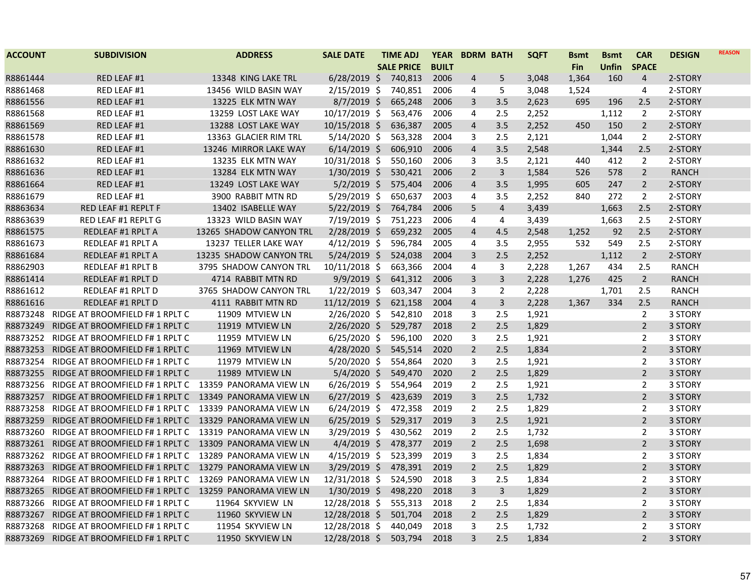| <b>BUILT</b><br><b>SALE PRICE</b><br><b>Fin</b><br><b>Unfin</b><br><b>SPACE</b><br>R8861444<br>RED LEAF #1<br>13348 KING LAKE TRL<br>$6/28/2019$ \$<br>740,813<br>2006<br>5<br>160<br>2-STORY<br>4<br>3,048<br>1,364<br>4<br>R8861468<br>RED LEAF #1<br>13456 WILD BASIN WAY<br>$2/15/2019$ \$<br>740,851<br>2006<br>5<br>3,048<br>1,524<br>2-STORY<br>4<br>4<br>R8861556<br>RED LEAF #1<br>$8/7/2019$ \$<br>2006<br>3<br>3.5<br>2,623<br>13225 ELK MTN WAY<br>665,248<br>695<br>196<br>2.5<br>2-STORY<br>10/17/2019 \$<br>2,252<br>R8861568<br>RED LEAF #1<br>13259 LOST LAKE WAY<br>563,476<br>2006<br>4<br>2.5<br>1,112<br>2<br>2-STORY<br>R8861569<br>RED LEAF #1<br>13288 LOST LAKE WAY<br>10/15/2018 \$<br>636,387<br>2005<br>3.5<br>2,252<br>150<br>$\overline{2}$<br>2-STORY<br>$\overline{4}$<br>450<br>R8861578<br>$5/14/2020$ \$<br>RED LEAF #1<br>13363 GLACIER RIM TRL<br>563,328<br>2004<br>3<br>2.5<br>2,121<br>1,044<br>$\overline{2}$<br>2-STORY<br>2.5<br>R8861630<br>RED LEAF #1<br>13246 MIRROR LAKE WAY<br>$6/14/2019$ \$<br>606,910<br>2006<br>$\overline{4}$<br>3.5<br>2,548<br>2-STORY<br>1,344<br>R8861632<br>10/31/2018 \$<br>2006<br>3<br>3.5<br>412<br>$\overline{2}$<br>RED LEAF #1<br>13235 ELK MTN WAY<br>550,160<br>2,121<br>2-STORY<br>440<br>$\mathsf{3}$<br>$\overline{2}$<br>R8861636<br>RED LEAF #1<br>13284 ELK MTN WAY<br>$1/30/2019$ \$<br>530,421<br>2006<br>$\overline{2}$<br>1,584<br>578<br><b>RANCH</b><br>526<br>$\overline{2}$<br>R8861664<br>RED LEAF #1<br>13249 LOST LAKE WAY<br>$5/2/2019$ \$<br>575,404<br>2006<br>$\overline{4}$<br>3.5<br>1,995<br>247<br>2-STORY<br>605<br>R8861679<br>3900 RABBIT MTN RD<br>$5/29/2019$ \$<br>650,637<br>2003<br>2,252<br>RED LEAF #1<br>4<br>3.5<br>840<br>272<br>2<br>2-STORY<br>5<br>$\overline{4}$<br>2.5<br>R8863634<br>RED LEAF #1 REPLT F<br>13402 ISABELLE WAY<br>$5/22/2019$ \$<br>764,784<br>2006<br>3,439<br>1,663<br>2-STORY<br>R8863639<br>RED LEAF #1 REPLT G<br>13323 WILD BASIN WAY<br>7/19/2019 \$<br>751,223<br>2006<br>2.5<br>4<br>3,439<br>1,663<br>2-STORY<br>4<br>R8861575<br>2/28/2019 \$<br>659,232<br>2.5<br>REDLEAF #1 RPLT A<br>13265 SHADOW CANYON TRL<br>2005<br>$\overline{4}$<br>4.5<br>2,548<br>92<br>2-STORY<br>1,252<br>R8861673<br>13237 TELLER LAKE WAY<br>$4/12/2019$ \$<br>596,784<br>2005<br>2,955<br>532<br>549<br>REDLEAF #1 RPLT A<br>4<br>3.5<br>2.5<br>2-STORY<br>$5/24/2019$ \$<br>2004<br>3<br>$\overline{2}$<br>R8861684<br>REDLEAF #1 RPLT A<br>13235 SHADOW CANYON TRL<br>524,038<br>2.5<br>2,252<br>1,112<br>2-STORY<br>R8862903<br>REDLEAF #1 RPLT B<br>3795 SHADOW CANYON TRL<br>10/11/2018 \$<br>663,366<br>2004<br>4<br>3<br>434<br>2.5<br><b>RANCH</b><br>2,228<br>1,267<br>R8861414<br>$9/9/2019$ \$<br>3<br>3<br>$\overline{2}$<br><b>RANCH</b><br><b>REDLEAF #1 RPLT D</b><br>4714 RABBIT MTN RD<br>641,312<br>2006<br>2,228<br>1,276<br>425<br>R8861612<br><b>REDLEAF #1 RPLT D</b><br>3765 SHADOW CANYON TRL<br>$1/22/2019$ \$<br>603,347<br>2004<br>3<br>$\overline{2}$<br>2,228<br>1,701<br>2.5<br><b>RANCH</b><br>R8861616<br><b>REDLEAF #1 RPLT D</b><br>4111 RABBIT MTN RD<br>11/12/2019 \$<br>621,158<br>2004<br>3<br>2,228<br>334<br>2.5<br><b>RANCH</b><br>$\overline{4}$<br>1,367<br>RIDGE AT BROOMFIELD F# 1 RPLT C<br>2/26/2020 \$<br>2018<br>3<br>2.5<br>1,921<br>R8873248<br>11909 MTVIEW LN<br>542,810<br>$\overline{2}$<br>3 STORY<br>$\overline{2}$<br>$\overline{2}$<br>R8873249<br>RIDGE AT BROOMFIELD F# 1 RPLT C<br>11919 MTVIEW LN<br>$2/26/2020$ \$<br>529,787<br>2018<br>2.5<br>1,829<br>3 STORY<br>R8873252<br>RIDGE AT BROOMFIELD F# 1 RPLT C<br>11959 MTVIEW LN<br>$6/25/2020$ \$<br>596,100<br>2020<br>3<br>1,921<br>2.5<br>2<br>3 STORY<br>4/28/2020 \$<br>$\overline{2}$<br>2.5<br>R8873253<br>RIDGE AT BROOMFIELD F# 1 RPLT C<br>11969 MTVIEW LN<br>545,514<br>2020<br>1,834<br>$\overline{2}$<br>3 STORY<br>RIDGE AT BROOMFIELD F# 1 RPLT C<br>$5/20/2020$ \$<br>554,864<br>2020<br>3<br>1,921<br>$\overline{2}$<br>R8873254<br>11979 MTVIEW LN<br>2.5<br>3 STORY<br>$\overline{2}$<br>$5/4/2020$ \$<br>2.5<br>1,829<br>$\overline{2}$<br>R8873255<br>RIDGE AT BROOMFIELD F# 1 RPLT C<br>11989 MTVIEW LN<br>549,470<br>2020<br>3 STORY<br>R8873256<br>13359 PANORAMA VIEW LN<br>$6/26/2019$ \$<br>554,964<br>$\overline{2}$<br>1,921<br>$\overline{2}$<br>3 STORY<br>RIDGE AT BROOMFIELD F# 1 RPLT C<br>2019<br>2.5<br>$6/27/2019$ \$<br>2.5<br>1,732<br>R8873257<br>RIDGE AT BROOMFIELD F# 1 RPLT C<br>13349 PANORAMA VIEW LN<br>423,639<br>2019<br>3<br>2<br>3 STORY<br>R8873258<br>13339 PANORAMA VIEW LN<br>$6/24/2019$ \$<br>472,358<br>1,829<br>2<br>RIDGE AT BROOMFIELD F# 1 RPLT C<br>2019<br>2<br>2.5<br>3 STORY<br>$\overline{2}$<br>$6/25/2019$ \$<br>2019<br>3<br>2.5<br>1,921<br>R8873259<br>RIDGE AT BROOMFIELD F# 1 RPLT C<br>13329 PANORAMA VIEW LN<br>529,317<br>3 STORY<br>R8873260<br>RIDGE AT BROOMFIELD F# 1 RPLT C<br>13319 PANORAMA VIEW LN<br>$3/29/2019$ \$<br>430,562<br>2019<br>$\overline{2}$<br>2.5<br>1,732<br>$\overline{2}$<br>3 STORY<br>R8873261<br>13309 PANORAMA VIEW LN<br>$4/4/2019$ \$<br>478,377<br>2019<br>$\overline{2}$<br>2.5<br>1,698<br>$\overline{2}$<br>3 STORY<br>RIDGE AT BROOMFIELD F# 1 RPLT C<br>R8873262<br>$4/15/2019$ \$<br>523,399<br>1,834<br>RIDGE AT BROOMFIELD F# 1 RPLT C<br>13289 PANORAMA VIEW LN<br>2019<br>3<br>2.5<br>2<br>3 STORY<br>$\overline{2}$<br>2.5<br>$\overline{2}$<br>R8873263<br>RIDGE AT BROOMFIELD F# 1 RPLT C<br>13279 PANORAMA VIEW LN<br>3/29/2019 \$<br>478,391<br>2019<br>1,829<br>3 STORY<br>R8873264<br>RIDGE AT BROOMFIELD F# 1 RPLT C<br>13269 PANORAMA VIEW LN<br>12/31/2018 \$<br>524,590<br>2018<br>3<br>2.5<br>1,834<br>$\overline{2}$<br>3 STORY | <b>ACCOUNT</b> | <b>SUBDIVISION</b> | <b>ADDRESS</b> | <b>SALE DATE</b> | <b>TIME ADJ</b> | <b>YEAR</b> | <b>BDRM BATH</b> | <b>SQFT</b> | Bsmt | <b>Bsmt</b> | <b>CAR</b> | <b>DESIGN</b> | <b>REASON</b> |
|------------------------------------------------------------------------------------------------------------------------------------------------------------------------------------------------------------------------------------------------------------------------------------------------------------------------------------------------------------------------------------------------------------------------------------------------------------------------------------------------------------------------------------------------------------------------------------------------------------------------------------------------------------------------------------------------------------------------------------------------------------------------------------------------------------------------------------------------------------------------------------------------------------------------------------------------------------------------------------------------------------------------------------------------------------------------------------------------------------------------------------------------------------------------------------------------------------------------------------------------------------------------------------------------------------------------------------------------------------------------------------------------------------------------------------------------------------------------------------------------------------------------------------------------------------------------------------------------------------------------------------------------------------------------------------------------------------------------------------------------------------------------------------------------------------------------------------------------------------------------------------------------------------------------------------------------------------------------------------------------------------------------------------------------------------------------------------------------------------------------------------------------------------------------------------------------------------------------------------------------------------------------------------------------------------------------------------------------------------------------------------------------------------------------------------------------------------------------------------------------------------------------------------------------------------------------------------------------------------------------------------------------------------------------------------------------------------------------------------------------------------------------------------------------------------------------------------------------------------------------------------------------------------------------------------------------------------------------------------------------------------------------------------------------------------------------------------------------------------------------------------------------------------------------------------------------------------------------------------------------------------------------------------------------------------------------------------------------------------------------------------------------------------------------------------------------------------------------------------------------------------------------------------------------------------------------------------------------------------------------------------------------------------------------------------------------------------------------------------------------------------------------------------------------------------------------------------------------------------------------------------------------------------------------------------------------------------------------------------------------------------------------------------------------------------------------------------------------------------------------------------------------------------------------------------------------------------------------------------------------------------------------------------------------------------------------------------------------------------------------------------------------------------------------------------------------------------------------------------------------------------------------------------------------------------------------------------------------------------------------------------------------------------------------------------------------------------------------------------------------------------------------------------------------------------------------------------------------------------------------------------------------------------------------------------------------------------------------------------------------------------------------------------------------------------------------------------------------------------------------------------------------------------------------------------------------------------------------------------------------------------------------------------------------------------------------------------------------------------------------------------------------------------------------------------------------------------------------------------------------------------------------------------------------------------------------------------------------------------------------------------------------------------------------------------------------------------------------------------|----------------|--------------------|----------------|------------------|-----------------|-------------|------------------|-------------|------|-------------|------------|---------------|---------------|
|                                                                                                                                                                                                                                                                                                                                                                                                                                                                                                                                                                                                                                                                                                                                                                                                                                                                                                                                                                                                                                                                                                                                                                                                                                                                                                                                                                                                                                                                                                                                                                                                                                                                                                                                                                                                                                                                                                                                                                                                                                                                                                                                                                                                                                                                                                                                                                                                                                                                                                                                                                                                                                                                                                                                                                                                                                                                                                                                                                                                                                                                                                                                                                                                                                                                                                                                                                                                                                                                                                                                                                                                                                                                                                                                                                                                                                                                                                                                                                                                                                                                                                                                                                                                                                                                                                                                                                                                                                                                                                                                                                                                                                                                                                                                                                                                                                                                                                                                                                                                                                                                                                                                                                                                                                                                                                                                                                                                                                                                                                                                                                                                                                                                                                                                    |                |                    |                |                  |                 |             |                  |             |      |             |            |               |               |
|                                                                                                                                                                                                                                                                                                                                                                                                                                                                                                                                                                                                                                                                                                                                                                                                                                                                                                                                                                                                                                                                                                                                                                                                                                                                                                                                                                                                                                                                                                                                                                                                                                                                                                                                                                                                                                                                                                                                                                                                                                                                                                                                                                                                                                                                                                                                                                                                                                                                                                                                                                                                                                                                                                                                                                                                                                                                                                                                                                                                                                                                                                                                                                                                                                                                                                                                                                                                                                                                                                                                                                                                                                                                                                                                                                                                                                                                                                                                                                                                                                                                                                                                                                                                                                                                                                                                                                                                                                                                                                                                                                                                                                                                                                                                                                                                                                                                                                                                                                                                                                                                                                                                                                                                                                                                                                                                                                                                                                                                                                                                                                                                                                                                                                                                    |                |                    |                |                  |                 |             |                  |             |      |             |            |               |               |
|                                                                                                                                                                                                                                                                                                                                                                                                                                                                                                                                                                                                                                                                                                                                                                                                                                                                                                                                                                                                                                                                                                                                                                                                                                                                                                                                                                                                                                                                                                                                                                                                                                                                                                                                                                                                                                                                                                                                                                                                                                                                                                                                                                                                                                                                                                                                                                                                                                                                                                                                                                                                                                                                                                                                                                                                                                                                                                                                                                                                                                                                                                                                                                                                                                                                                                                                                                                                                                                                                                                                                                                                                                                                                                                                                                                                                                                                                                                                                                                                                                                                                                                                                                                                                                                                                                                                                                                                                                                                                                                                                                                                                                                                                                                                                                                                                                                                                                                                                                                                                                                                                                                                                                                                                                                                                                                                                                                                                                                                                                                                                                                                                                                                                                                                    |                |                    |                |                  |                 |             |                  |             |      |             |            |               |               |
|                                                                                                                                                                                                                                                                                                                                                                                                                                                                                                                                                                                                                                                                                                                                                                                                                                                                                                                                                                                                                                                                                                                                                                                                                                                                                                                                                                                                                                                                                                                                                                                                                                                                                                                                                                                                                                                                                                                                                                                                                                                                                                                                                                                                                                                                                                                                                                                                                                                                                                                                                                                                                                                                                                                                                                                                                                                                                                                                                                                                                                                                                                                                                                                                                                                                                                                                                                                                                                                                                                                                                                                                                                                                                                                                                                                                                                                                                                                                                                                                                                                                                                                                                                                                                                                                                                                                                                                                                                                                                                                                                                                                                                                                                                                                                                                                                                                                                                                                                                                                                                                                                                                                                                                                                                                                                                                                                                                                                                                                                                                                                                                                                                                                                                                                    |                |                    |                |                  |                 |             |                  |             |      |             |            |               |               |
|                                                                                                                                                                                                                                                                                                                                                                                                                                                                                                                                                                                                                                                                                                                                                                                                                                                                                                                                                                                                                                                                                                                                                                                                                                                                                                                                                                                                                                                                                                                                                                                                                                                                                                                                                                                                                                                                                                                                                                                                                                                                                                                                                                                                                                                                                                                                                                                                                                                                                                                                                                                                                                                                                                                                                                                                                                                                                                                                                                                                                                                                                                                                                                                                                                                                                                                                                                                                                                                                                                                                                                                                                                                                                                                                                                                                                                                                                                                                                                                                                                                                                                                                                                                                                                                                                                                                                                                                                                                                                                                                                                                                                                                                                                                                                                                                                                                                                                                                                                                                                                                                                                                                                                                                                                                                                                                                                                                                                                                                                                                                                                                                                                                                                                                                    |                |                    |                |                  |                 |             |                  |             |      |             |            |               |               |
|                                                                                                                                                                                                                                                                                                                                                                                                                                                                                                                                                                                                                                                                                                                                                                                                                                                                                                                                                                                                                                                                                                                                                                                                                                                                                                                                                                                                                                                                                                                                                                                                                                                                                                                                                                                                                                                                                                                                                                                                                                                                                                                                                                                                                                                                                                                                                                                                                                                                                                                                                                                                                                                                                                                                                                                                                                                                                                                                                                                                                                                                                                                                                                                                                                                                                                                                                                                                                                                                                                                                                                                                                                                                                                                                                                                                                                                                                                                                                                                                                                                                                                                                                                                                                                                                                                                                                                                                                                                                                                                                                                                                                                                                                                                                                                                                                                                                                                                                                                                                                                                                                                                                                                                                                                                                                                                                                                                                                                                                                                                                                                                                                                                                                                                                    |                |                    |                |                  |                 |             |                  |             |      |             |            |               |               |
|                                                                                                                                                                                                                                                                                                                                                                                                                                                                                                                                                                                                                                                                                                                                                                                                                                                                                                                                                                                                                                                                                                                                                                                                                                                                                                                                                                                                                                                                                                                                                                                                                                                                                                                                                                                                                                                                                                                                                                                                                                                                                                                                                                                                                                                                                                                                                                                                                                                                                                                                                                                                                                                                                                                                                                                                                                                                                                                                                                                                                                                                                                                                                                                                                                                                                                                                                                                                                                                                                                                                                                                                                                                                                                                                                                                                                                                                                                                                                                                                                                                                                                                                                                                                                                                                                                                                                                                                                                                                                                                                                                                                                                                                                                                                                                                                                                                                                                                                                                                                                                                                                                                                                                                                                                                                                                                                                                                                                                                                                                                                                                                                                                                                                                                                    |                |                    |                |                  |                 |             |                  |             |      |             |            |               |               |
|                                                                                                                                                                                                                                                                                                                                                                                                                                                                                                                                                                                                                                                                                                                                                                                                                                                                                                                                                                                                                                                                                                                                                                                                                                                                                                                                                                                                                                                                                                                                                                                                                                                                                                                                                                                                                                                                                                                                                                                                                                                                                                                                                                                                                                                                                                                                                                                                                                                                                                                                                                                                                                                                                                                                                                                                                                                                                                                                                                                                                                                                                                                                                                                                                                                                                                                                                                                                                                                                                                                                                                                                                                                                                                                                                                                                                                                                                                                                                                                                                                                                                                                                                                                                                                                                                                                                                                                                                                                                                                                                                                                                                                                                                                                                                                                                                                                                                                                                                                                                                                                                                                                                                                                                                                                                                                                                                                                                                                                                                                                                                                                                                                                                                                                                    |                |                    |                |                  |                 |             |                  |             |      |             |            |               |               |
|                                                                                                                                                                                                                                                                                                                                                                                                                                                                                                                                                                                                                                                                                                                                                                                                                                                                                                                                                                                                                                                                                                                                                                                                                                                                                                                                                                                                                                                                                                                                                                                                                                                                                                                                                                                                                                                                                                                                                                                                                                                                                                                                                                                                                                                                                                                                                                                                                                                                                                                                                                                                                                                                                                                                                                                                                                                                                                                                                                                                                                                                                                                                                                                                                                                                                                                                                                                                                                                                                                                                                                                                                                                                                                                                                                                                                                                                                                                                                                                                                                                                                                                                                                                                                                                                                                                                                                                                                                                                                                                                                                                                                                                                                                                                                                                                                                                                                                                                                                                                                                                                                                                                                                                                                                                                                                                                                                                                                                                                                                                                                                                                                                                                                                                                    |                |                    |                |                  |                 |             |                  |             |      |             |            |               |               |
|                                                                                                                                                                                                                                                                                                                                                                                                                                                                                                                                                                                                                                                                                                                                                                                                                                                                                                                                                                                                                                                                                                                                                                                                                                                                                                                                                                                                                                                                                                                                                                                                                                                                                                                                                                                                                                                                                                                                                                                                                                                                                                                                                                                                                                                                                                                                                                                                                                                                                                                                                                                                                                                                                                                                                                                                                                                                                                                                                                                                                                                                                                                                                                                                                                                                                                                                                                                                                                                                                                                                                                                                                                                                                                                                                                                                                                                                                                                                                                                                                                                                                                                                                                                                                                                                                                                                                                                                                                                                                                                                                                                                                                                                                                                                                                                                                                                                                                                                                                                                                                                                                                                                                                                                                                                                                                                                                                                                                                                                                                                                                                                                                                                                                                                                    |                |                    |                |                  |                 |             |                  |             |      |             |            |               |               |
|                                                                                                                                                                                                                                                                                                                                                                                                                                                                                                                                                                                                                                                                                                                                                                                                                                                                                                                                                                                                                                                                                                                                                                                                                                                                                                                                                                                                                                                                                                                                                                                                                                                                                                                                                                                                                                                                                                                                                                                                                                                                                                                                                                                                                                                                                                                                                                                                                                                                                                                                                                                                                                                                                                                                                                                                                                                                                                                                                                                                                                                                                                                                                                                                                                                                                                                                                                                                                                                                                                                                                                                                                                                                                                                                                                                                                                                                                                                                                                                                                                                                                                                                                                                                                                                                                                                                                                                                                                                                                                                                                                                                                                                                                                                                                                                                                                                                                                                                                                                                                                                                                                                                                                                                                                                                                                                                                                                                                                                                                                                                                                                                                                                                                                                                    |                |                    |                |                  |                 |             |                  |             |      |             |            |               |               |
|                                                                                                                                                                                                                                                                                                                                                                                                                                                                                                                                                                                                                                                                                                                                                                                                                                                                                                                                                                                                                                                                                                                                                                                                                                                                                                                                                                                                                                                                                                                                                                                                                                                                                                                                                                                                                                                                                                                                                                                                                                                                                                                                                                                                                                                                                                                                                                                                                                                                                                                                                                                                                                                                                                                                                                                                                                                                                                                                                                                                                                                                                                                                                                                                                                                                                                                                                                                                                                                                                                                                                                                                                                                                                                                                                                                                                                                                                                                                                                                                                                                                                                                                                                                                                                                                                                                                                                                                                                                                                                                                                                                                                                                                                                                                                                                                                                                                                                                                                                                                                                                                                                                                                                                                                                                                                                                                                                                                                                                                                                                                                                                                                                                                                                                                    |                |                    |                |                  |                 |             |                  |             |      |             |            |               |               |
|                                                                                                                                                                                                                                                                                                                                                                                                                                                                                                                                                                                                                                                                                                                                                                                                                                                                                                                                                                                                                                                                                                                                                                                                                                                                                                                                                                                                                                                                                                                                                                                                                                                                                                                                                                                                                                                                                                                                                                                                                                                                                                                                                                                                                                                                                                                                                                                                                                                                                                                                                                                                                                                                                                                                                                                                                                                                                                                                                                                                                                                                                                                                                                                                                                                                                                                                                                                                                                                                                                                                                                                                                                                                                                                                                                                                                                                                                                                                                                                                                                                                                                                                                                                                                                                                                                                                                                                                                                                                                                                                                                                                                                                                                                                                                                                                                                                                                                                                                                                                                                                                                                                                                                                                                                                                                                                                                                                                                                                                                                                                                                                                                                                                                                                                    |                |                    |                |                  |                 |             |                  |             |      |             |            |               |               |
|                                                                                                                                                                                                                                                                                                                                                                                                                                                                                                                                                                                                                                                                                                                                                                                                                                                                                                                                                                                                                                                                                                                                                                                                                                                                                                                                                                                                                                                                                                                                                                                                                                                                                                                                                                                                                                                                                                                                                                                                                                                                                                                                                                                                                                                                                                                                                                                                                                                                                                                                                                                                                                                                                                                                                                                                                                                                                                                                                                                                                                                                                                                                                                                                                                                                                                                                                                                                                                                                                                                                                                                                                                                                                                                                                                                                                                                                                                                                                                                                                                                                                                                                                                                                                                                                                                                                                                                                                                                                                                                                                                                                                                                                                                                                                                                                                                                                                                                                                                                                                                                                                                                                                                                                                                                                                                                                                                                                                                                                                                                                                                                                                                                                                                                                    |                |                    |                |                  |                 |             |                  |             |      |             |            |               |               |
|                                                                                                                                                                                                                                                                                                                                                                                                                                                                                                                                                                                                                                                                                                                                                                                                                                                                                                                                                                                                                                                                                                                                                                                                                                                                                                                                                                                                                                                                                                                                                                                                                                                                                                                                                                                                                                                                                                                                                                                                                                                                                                                                                                                                                                                                                                                                                                                                                                                                                                                                                                                                                                                                                                                                                                                                                                                                                                                                                                                                                                                                                                                                                                                                                                                                                                                                                                                                                                                                                                                                                                                                                                                                                                                                                                                                                                                                                                                                                                                                                                                                                                                                                                                                                                                                                                                                                                                                                                                                                                                                                                                                                                                                                                                                                                                                                                                                                                                                                                                                                                                                                                                                                                                                                                                                                                                                                                                                                                                                                                                                                                                                                                                                                                                                    |                |                    |                |                  |                 |             |                  |             |      |             |            |               |               |
|                                                                                                                                                                                                                                                                                                                                                                                                                                                                                                                                                                                                                                                                                                                                                                                                                                                                                                                                                                                                                                                                                                                                                                                                                                                                                                                                                                                                                                                                                                                                                                                                                                                                                                                                                                                                                                                                                                                                                                                                                                                                                                                                                                                                                                                                                                                                                                                                                                                                                                                                                                                                                                                                                                                                                                                                                                                                                                                                                                                                                                                                                                                                                                                                                                                                                                                                                                                                                                                                                                                                                                                                                                                                                                                                                                                                                                                                                                                                                                                                                                                                                                                                                                                                                                                                                                                                                                                                                                                                                                                                                                                                                                                                                                                                                                                                                                                                                                                                                                                                                                                                                                                                                                                                                                                                                                                                                                                                                                                                                                                                                                                                                                                                                                                                    |                |                    |                |                  |                 |             |                  |             |      |             |            |               |               |
|                                                                                                                                                                                                                                                                                                                                                                                                                                                                                                                                                                                                                                                                                                                                                                                                                                                                                                                                                                                                                                                                                                                                                                                                                                                                                                                                                                                                                                                                                                                                                                                                                                                                                                                                                                                                                                                                                                                                                                                                                                                                                                                                                                                                                                                                                                                                                                                                                                                                                                                                                                                                                                                                                                                                                                                                                                                                                                                                                                                                                                                                                                                                                                                                                                                                                                                                                                                                                                                                                                                                                                                                                                                                                                                                                                                                                                                                                                                                                                                                                                                                                                                                                                                                                                                                                                                                                                                                                                                                                                                                                                                                                                                                                                                                                                                                                                                                                                                                                                                                                                                                                                                                                                                                                                                                                                                                                                                                                                                                                                                                                                                                                                                                                                                                    |                |                    |                |                  |                 |             |                  |             |      |             |            |               |               |
|                                                                                                                                                                                                                                                                                                                                                                                                                                                                                                                                                                                                                                                                                                                                                                                                                                                                                                                                                                                                                                                                                                                                                                                                                                                                                                                                                                                                                                                                                                                                                                                                                                                                                                                                                                                                                                                                                                                                                                                                                                                                                                                                                                                                                                                                                                                                                                                                                                                                                                                                                                                                                                                                                                                                                                                                                                                                                                                                                                                                                                                                                                                                                                                                                                                                                                                                                                                                                                                                                                                                                                                                                                                                                                                                                                                                                                                                                                                                                                                                                                                                                                                                                                                                                                                                                                                                                                                                                                                                                                                                                                                                                                                                                                                                                                                                                                                                                                                                                                                                                                                                                                                                                                                                                                                                                                                                                                                                                                                                                                                                                                                                                                                                                                                                    |                |                    |                |                  |                 |             |                  |             |      |             |            |               |               |
|                                                                                                                                                                                                                                                                                                                                                                                                                                                                                                                                                                                                                                                                                                                                                                                                                                                                                                                                                                                                                                                                                                                                                                                                                                                                                                                                                                                                                                                                                                                                                                                                                                                                                                                                                                                                                                                                                                                                                                                                                                                                                                                                                                                                                                                                                                                                                                                                                                                                                                                                                                                                                                                                                                                                                                                                                                                                                                                                                                                                                                                                                                                                                                                                                                                                                                                                                                                                                                                                                                                                                                                                                                                                                                                                                                                                                                                                                                                                                                                                                                                                                                                                                                                                                                                                                                                                                                                                                                                                                                                                                                                                                                                                                                                                                                                                                                                                                                                                                                                                                                                                                                                                                                                                                                                                                                                                                                                                                                                                                                                                                                                                                                                                                                                                    |                |                    |                |                  |                 |             |                  |             |      |             |            |               |               |
|                                                                                                                                                                                                                                                                                                                                                                                                                                                                                                                                                                                                                                                                                                                                                                                                                                                                                                                                                                                                                                                                                                                                                                                                                                                                                                                                                                                                                                                                                                                                                                                                                                                                                                                                                                                                                                                                                                                                                                                                                                                                                                                                                                                                                                                                                                                                                                                                                                                                                                                                                                                                                                                                                                                                                                                                                                                                                                                                                                                                                                                                                                                                                                                                                                                                                                                                                                                                                                                                                                                                                                                                                                                                                                                                                                                                                                                                                                                                                                                                                                                                                                                                                                                                                                                                                                                                                                                                                                                                                                                                                                                                                                                                                                                                                                                                                                                                                                                                                                                                                                                                                                                                                                                                                                                                                                                                                                                                                                                                                                                                                                                                                                                                                                                                    |                |                    |                |                  |                 |             |                  |             |      |             |            |               |               |
|                                                                                                                                                                                                                                                                                                                                                                                                                                                                                                                                                                                                                                                                                                                                                                                                                                                                                                                                                                                                                                                                                                                                                                                                                                                                                                                                                                                                                                                                                                                                                                                                                                                                                                                                                                                                                                                                                                                                                                                                                                                                                                                                                                                                                                                                                                                                                                                                                                                                                                                                                                                                                                                                                                                                                                                                                                                                                                                                                                                                                                                                                                                                                                                                                                                                                                                                                                                                                                                                                                                                                                                                                                                                                                                                                                                                                                                                                                                                                                                                                                                                                                                                                                                                                                                                                                                                                                                                                                                                                                                                                                                                                                                                                                                                                                                                                                                                                                                                                                                                                                                                                                                                                                                                                                                                                                                                                                                                                                                                                                                                                                                                                                                                                                                                    |                |                    |                |                  |                 |             |                  |             |      |             |            |               |               |
|                                                                                                                                                                                                                                                                                                                                                                                                                                                                                                                                                                                                                                                                                                                                                                                                                                                                                                                                                                                                                                                                                                                                                                                                                                                                                                                                                                                                                                                                                                                                                                                                                                                                                                                                                                                                                                                                                                                                                                                                                                                                                                                                                                                                                                                                                                                                                                                                                                                                                                                                                                                                                                                                                                                                                                                                                                                                                                                                                                                                                                                                                                                                                                                                                                                                                                                                                                                                                                                                                                                                                                                                                                                                                                                                                                                                                                                                                                                                                                                                                                                                                                                                                                                                                                                                                                                                                                                                                                                                                                                                                                                                                                                                                                                                                                                                                                                                                                                                                                                                                                                                                                                                                                                                                                                                                                                                                                                                                                                                                                                                                                                                                                                                                                                                    |                |                    |                |                  |                 |             |                  |             |      |             |            |               |               |
|                                                                                                                                                                                                                                                                                                                                                                                                                                                                                                                                                                                                                                                                                                                                                                                                                                                                                                                                                                                                                                                                                                                                                                                                                                                                                                                                                                                                                                                                                                                                                                                                                                                                                                                                                                                                                                                                                                                                                                                                                                                                                                                                                                                                                                                                                                                                                                                                                                                                                                                                                                                                                                                                                                                                                                                                                                                                                                                                                                                                                                                                                                                                                                                                                                                                                                                                                                                                                                                                                                                                                                                                                                                                                                                                                                                                                                                                                                                                                                                                                                                                                                                                                                                                                                                                                                                                                                                                                                                                                                                                                                                                                                                                                                                                                                                                                                                                                                                                                                                                                                                                                                                                                                                                                                                                                                                                                                                                                                                                                                                                                                                                                                                                                                                                    |                |                    |                |                  |                 |             |                  |             |      |             |            |               |               |
|                                                                                                                                                                                                                                                                                                                                                                                                                                                                                                                                                                                                                                                                                                                                                                                                                                                                                                                                                                                                                                                                                                                                                                                                                                                                                                                                                                                                                                                                                                                                                                                                                                                                                                                                                                                                                                                                                                                                                                                                                                                                                                                                                                                                                                                                                                                                                                                                                                                                                                                                                                                                                                                                                                                                                                                                                                                                                                                                                                                                                                                                                                                                                                                                                                                                                                                                                                                                                                                                                                                                                                                                                                                                                                                                                                                                                                                                                                                                                                                                                                                                                                                                                                                                                                                                                                                                                                                                                                                                                                                                                                                                                                                                                                                                                                                                                                                                                                                                                                                                                                                                                                                                                                                                                                                                                                                                                                                                                                                                                                                                                                                                                                                                                                                                    |                |                    |                |                  |                 |             |                  |             |      |             |            |               |               |
|                                                                                                                                                                                                                                                                                                                                                                                                                                                                                                                                                                                                                                                                                                                                                                                                                                                                                                                                                                                                                                                                                                                                                                                                                                                                                                                                                                                                                                                                                                                                                                                                                                                                                                                                                                                                                                                                                                                                                                                                                                                                                                                                                                                                                                                                                                                                                                                                                                                                                                                                                                                                                                                                                                                                                                                                                                                                                                                                                                                                                                                                                                                                                                                                                                                                                                                                                                                                                                                                                                                                                                                                                                                                                                                                                                                                                                                                                                                                                                                                                                                                                                                                                                                                                                                                                                                                                                                                                                                                                                                                                                                                                                                                                                                                                                                                                                                                                                                                                                                                                                                                                                                                                                                                                                                                                                                                                                                                                                                                                                                                                                                                                                                                                                                                    |                |                    |                |                  |                 |             |                  |             |      |             |            |               |               |
|                                                                                                                                                                                                                                                                                                                                                                                                                                                                                                                                                                                                                                                                                                                                                                                                                                                                                                                                                                                                                                                                                                                                                                                                                                                                                                                                                                                                                                                                                                                                                                                                                                                                                                                                                                                                                                                                                                                                                                                                                                                                                                                                                                                                                                                                                                                                                                                                                                                                                                                                                                                                                                                                                                                                                                                                                                                                                                                                                                                                                                                                                                                                                                                                                                                                                                                                                                                                                                                                                                                                                                                                                                                                                                                                                                                                                                                                                                                                                                                                                                                                                                                                                                                                                                                                                                                                                                                                                                                                                                                                                                                                                                                                                                                                                                                                                                                                                                                                                                                                                                                                                                                                                                                                                                                                                                                                                                                                                                                                                                                                                                                                                                                                                                                                    |                |                    |                |                  |                 |             |                  |             |      |             |            |               |               |
|                                                                                                                                                                                                                                                                                                                                                                                                                                                                                                                                                                                                                                                                                                                                                                                                                                                                                                                                                                                                                                                                                                                                                                                                                                                                                                                                                                                                                                                                                                                                                                                                                                                                                                                                                                                                                                                                                                                                                                                                                                                                                                                                                                                                                                                                                                                                                                                                                                                                                                                                                                                                                                                                                                                                                                                                                                                                                                                                                                                                                                                                                                                                                                                                                                                                                                                                                                                                                                                                                                                                                                                                                                                                                                                                                                                                                                                                                                                                                                                                                                                                                                                                                                                                                                                                                                                                                                                                                                                                                                                                                                                                                                                                                                                                                                                                                                                                                                                                                                                                                                                                                                                                                                                                                                                                                                                                                                                                                                                                                                                                                                                                                                                                                                                                    |                |                    |                |                  |                 |             |                  |             |      |             |            |               |               |
|                                                                                                                                                                                                                                                                                                                                                                                                                                                                                                                                                                                                                                                                                                                                                                                                                                                                                                                                                                                                                                                                                                                                                                                                                                                                                                                                                                                                                                                                                                                                                                                                                                                                                                                                                                                                                                                                                                                                                                                                                                                                                                                                                                                                                                                                                                                                                                                                                                                                                                                                                                                                                                                                                                                                                                                                                                                                                                                                                                                                                                                                                                                                                                                                                                                                                                                                                                                                                                                                                                                                                                                                                                                                                                                                                                                                                                                                                                                                                                                                                                                                                                                                                                                                                                                                                                                                                                                                                                                                                                                                                                                                                                                                                                                                                                                                                                                                                                                                                                                                                                                                                                                                                                                                                                                                                                                                                                                                                                                                                                                                                                                                                                                                                                                                    |                |                    |                |                  |                 |             |                  |             |      |             |            |               |               |
|                                                                                                                                                                                                                                                                                                                                                                                                                                                                                                                                                                                                                                                                                                                                                                                                                                                                                                                                                                                                                                                                                                                                                                                                                                                                                                                                                                                                                                                                                                                                                                                                                                                                                                                                                                                                                                                                                                                                                                                                                                                                                                                                                                                                                                                                                                                                                                                                                                                                                                                                                                                                                                                                                                                                                                                                                                                                                                                                                                                                                                                                                                                                                                                                                                                                                                                                                                                                                                                                                                                                                                                                                                                                                                                                                                                                                                                                                                                                                                                                                                                                                                                                                                                                                                                                                                                                                                                                                                                                                                                                                                                                                                                                                                                                                                                                                                                                                                                                                                                                                                                                                                                                                                                                                                                                                                                                                                                                                                                                                                                                                                                                                                                                                                                                    |                |                    |                |                  |                 |             |                  |             |      |             |            |               |               |
|                                                                                                                                                                                                                                                                                                                                                                                                                                                                                                                                                                                                                                                                                                                                                                                                                                                                                                                                                                                                                                                                                                                                                                                                                                                                                                                                                                                                                                                                                                                                                                                                                                                                                                                                                                                                                                                                                                                                                                                                                                                                                                                                                                                                                                                                                                                                                                                                                                                                                                                                                                                                                                                                                                                                                                                                                                                                                                                                                                                                                                                                                                                                                                                                                                                                                                                                                                                                                                                                                                                                                                                                                                                                                                                                                                                                                                                                                                                                                                                                                                                                                                                                                                                                                                                                                                                                                                                                                                                                                                                                                                                                                                                                                                                                                                                                                                                                                                                                                                                                                                                                                                                                                                                                                                                                                                                                                                                                                                                                                                                                                                                                                                                                                                                                    |                |                    |                |                  |                 |             |                  |             |      |             |            |               |               |
|                                                                                                                                                                                                                                                                                                                                                                                                                                                                                                                                                                                                                                                                                                                                                                                                                                                                                                                                                                                                                                                                                                                                                                                                                                                                                                                                                                                                                                                                                                                                                                                                                                                                                                                                                                                                                                                                                                                                                                                                                                                                                                                                                                                                                                                                                                                                                                                                                                                                                                                                                                                                                                                                                                                                                                                                                                                                                                                                                                                                                                                                                                                                                                                                                                                                                                                                                                                                                                                                                                                                                                                                                                                                                                                                                                                                                                                                                                                                                                                                                                                                                                                                                                                                                                                                                                                                                                                                                                                                                                                                                                                                                                                                                                                                                                                                                                                                                                                                                                                                                                                                                                                                                                                                                                                                                                                                                                                                                                                                                                                                                                                                                                                                                                                                    |                |                    |                |                  |                 |             |                  |             |      |             |            |               |               |
|                                                                                                                                                                                                                                                                                                                                                                                                                                                                                                                                                                                                                                                                                                                                                                                                                                                                                                                                                                                                                                                                                                                                                                                                                                                                                                                                                                                                                                                                                                                                                                                                                                                                                                                                                                                                                                                                                                                                                                                                                                                                                                                                                                                                                                                                                                                                                                                                                                                                                                                                                                                                                                                                                                                                                                                                                                                                                                                                                                                                                                                                                                                                                                                                                                                                                                                                                                                                                                                                                                                                                                                                                                                                                                                                                                                                                                                                                                                                                                                                                                                                                                                                                                                                                                                                                                                                                                                                                                                                                                                                                                                                                                                                                                                                                                                                                                                                                                                                                                                                                                                                                                                                                                                                                                                                                                                                                                                                                                                                                                                                                                                                                                                                                                                                    |                |                    |                |                  |                 |             |                  |             |      |             |            |               |               |
|                                                                                                                                                                                                                                                                                                                                                                                                                                                                                                                                                                                                                                                                                                                                                                                                                                                                                                                                                                                                                                                                                                                                                                                                                                                                                                                                                                                                                                                                                                                                                                                                                                                                                                                                                                                                                                                                                                                                                                                                                                                                                                                                                                                                                                                                                                                                                                                                                                                                                                                                                                                                                                                                                                                                                                                                                                                                                                                                                                                                                                                                                                                                                                                                                                                                                                                                                                                                                                                                                                                                                                                                                                                                                                                                                                                                                                                                                                                                                                                                                                                                                                                                                                                                                                                                                                                                                                                                                                                                                                                                                                                                                                                                                                                                                                                                                                                                                                                                                                                                                                                                                                                                                                                                                                                                                                                                                                                                                                                                                                                                                                                                                                                                                                                                    |                |                    |                |                  |                 |             |                  |             |      |             |            |               |               |
|                                                                                                                                                                                                                                                                                                                                                                                                                                                                                                                                                                                                                                                                                                                                                                                                                                                                                                                                                                                                                                                                                                                                                                                                                                                                                                                                                                                                                                                                                                                                                                                                                                                                                                                                                                                                                                                                                                                                                                                                                                                                                                                                                                                                                                                                                                                                                                                                                                                                                                                                                                                                                                                                                                                                                                                                                                                                                                                                                                                                                                                                                                                                                                                                                                                                                                                                                                                                                                                                                                                                                                                                                                                                                                                                                                                                                                                                                                                                                                                                                                                                                                                                                                                                                                                                                                                                                                                                                                                                                                                                                                                                                                                                                                                                                                                                                                                                                                                                                                                                                                                                                                                                                                                                                                                                                                                                                                                                                                                                                                                                                                                                                                                                                                                                    |                |                    |                |                  |                 |             |                  |             |      |             |            |               |               |
|                                                                                                                                                                                                                                                                                                                                                                                                                                                                                                                                                                                                                                                                                                                                                                                                                                                                                                                                                                                                                                                                                                                                                                                                                                                                                                                                                                                                                                                                                                                                                                                                                                                                                                                                                                                                                                                                                                                                                                                                                                                                                                                                                                                                                                                                                                                                                                                                                                                                                                                                                                                                                                                                                                                                                                                                                                                                                                                                                                                                                                                                                                                                                                                                                                                                                                                                                                                                                                                                                                                                                                                                                                                                                                                                                                                                                                                                                                                                                                                                                                                                                                                                                                                                                                                                                                                                                                                                                                                                                                                                                                                                                                                                                                                                                                                                                                                                                                                                                                                                                                                                                                                                                                                                                                                                                                                                                                                                                                                                                                                                                                                                                                                                                                                                    |                |                    |                |                  |                 |             |                  |             |      |             |            |               |               |
|                                                                                                                                                                                                                                                                                                                                                                                                                                                                                                                                                                                                                                                                                                                                                                                                                                                                                                                                                                                                                                                                                                                                                                                                                                                                                                                                                                                                                                                                                                                                                                                                                                                                                                                                                                                                                                                                                                                                                                                                                                                                                                                                                                                                                                                                                                                                                                                                                                                                                                                                                                                                                                                                                                                                                                                                                                                                                                                                                                                                                                                                                                                                                                                                                                                                                                                                                                                                                                                                                                                                                                                                                                                                                                                                                                                                                                                                                                                                                                                                                                                                                                                                                                                                                                                                                                                                                                                                                                                                                                                                                                                                                                                                                                                                                                                                                                                                                                                                                                                                                                                                                                                                                                                                                                                                                                                                                                                                                                                                                                                                                                                                                                                                                                                                    |                |                    |                |                  |                 |             |                  |             |      |             |            |               |               |
| $\mathsf{3}$<br>RIDGE AT BROOMFIELD F# 1 RPLT C 13259 PANORAMA VIEW LN<br>$1/30/2019$ \$<br>498,220<br>$\overline{3}$<br>1,829<br>$\overline{2}$<br>R8873265<br>2018<br>3 STORY                                                                                                                                                                                                                                                                                                                                                                                                                                                                                                                                                                                                                                                                                                                                                                                                                                                                                                                                                                                                                                                                                                                                                                                                                                                                                                                                                                                                                                                                                                                                                                                                                                                                                                                                                                                                                                                                                                                                                                                                                                                                                                                                                                                                                                                                                                                                                                                                                                                                                                                                                                                                                                                                                                                                                                                                                                                                                                                                                                                                                                                                                                                                                                                                                                                                                                                                                                                                                                                                                                                                                                                                                                                                                                                                                                                                                                                                                                                                                                                                                                                                                                                                                                                                                                                                                                                                                                                                                                                                                                                                                                                                                                                                                                                                                                                                                                                                                                                                                                                                                                                                                                                                                                                                                                                                                                                                                                                                                                                                                                                                                    |                |                    |                |                  |                 |             |                  |             |      |             |            |               |               |
| R8873266<br>RIDGE AT BROOMFIELD F# 1 RPLT C<br>11964 SKYVIEW LN<br>12/28/2018 \$<br>555,313<br>2.5<br>1,834<br>2018<br>2<br>2<br>3 STORY                                                                                                                                                                                                                                                                                                                                                                                                                                                                                                                                                                                                                                                                                                                                                                                                                                                                                                                                                                                                                                                                                                                                                                                                                                                                                                                                                                                                                                                                                                                                                                                                                                                                                                                                                                                                                                                                                                                                                                                                                                                                                                                                                                                                                                                                                                                                                                                                                                                                                                                                                                                                                                                                                                                                                                                                                                                                                                                                                                                                                                                                                                                                                                                                                                                                                                                                                                                                                                                                                                                                                                                                                                                                                                                                                                                                                                                                                                                                                                                                                                                                                                                                                                                                                                                                                                                                                                                                                                                                                                                                                                                                                                                                                                                                                                                                                                                                                                                                                                                                                                                                                                                                                                                                                                                                                                                                                                                                                                                                                                                                                                                           |                |                    |                |                  |                 |             |                  |             |      |             |            |               |               |
| R8873267<br>RIDGE AT BROOMFIELD F# 1 RPLT C<br>11960 SKYVIEW LN<br>12/28/2018 \$<br>501,704<br>2018<br>$\overline{2}$<br>2.5<br>1,829<br>2<br>3 STORY                                                                                                                                                                                                                                                                                                                                                                                                                                                                                                                                                                                                                                                                                                                                                                                                                                                                                                                                                                                                                                                                                                                                                                                                                                                                                                                                                                                                                                                                                                                                                                                                                                                                                                                                                                                                                                                                                                                                                                                                                                                                                                                                                                                                                                                                                                                                                                                                                                                                                                                                                                                                                                                                                                                                                                                                                                                                                                                                                                                                                                                                                                                                                                                                                                                                                                                                                                                                                                                                                                                                                                                                                                                                                                                                                                                                                                                                                                                                                                                                                                                                                                                                                                                                                                                                                                                                                                                                                                                                                                                                                                                                                                                                                                                                                                                                                                                                                                                                                                                                                                                                                                                                                                                                                                                                                                                                                                                                                                                                                                                                                                              |                |                    |                |                  |                 |             |                  |             |      |             |            |               |               |
| 12/28/2018 \$<br>2018<br>3<br>2.5<br>1,732<br>2<br>R8873268<br>RIDGE AT BROOMFIELD F# 1 RPLT C<br>11954 SKYVIEW LN<br>440,049<br>3 STORY                                                                                                                                                                                                                                                                                                                                                                                                                                                                                                                                                                                                                                                                                                                                                                                                                                                                                                                                                                                                                                                                                                                                                                                                                                                                                                                                                                                                                                                                                                                                                                                                                                                                                                                                                                                                                                                                                                                                                                                                                                                                                                                                                                                                                                                                                                                                                                                                                                                                                                                                                                                                                                                                                                                                                                                                                                                                                                                                                                                                                                                                                                                                                                                                                                                                                                                                                                                                                                                                                                                                                                                                                                                                                                                                                                                                                                                                                                                                                                                                                                                                                                                                                                                                                                                                                                                                                                                                                                                                                                                                                                                                                                                                                                                                                                                                                                                                                                                                                                                                                                                                                                                                                                                                                                                                                                                                                                                                                                                                                                                                                                                           |                |                    |                |                  |                 |             |                  |             |      |             |            |               |               |
| 12/28/2018 \$<br>3<br>2.5<br>1,834<br>$\overline{2}$<br>R8873269<br>RIDGE AT BROOMFIELD F# 1 RPLT C<br>11950 SKYVIEW LN<br>503,794<br>2018<br>3 STORY                                                                                                                                                                                                                                                                                                                                                                                                                                                                                                                                                                                                                                                                                                                                                                                                                                                                                                                                                                                                                                                                                                                                                                                                                                                                                                                                                                                                                                                                                                                                                                                                                                                                                                                                                                                                                                                                                                                                                                                                                                                                                                                                                                                                                                                                                                                                                                                                                                                                                                                                                                                                                                                                                                                                                                                                                                                                                                                                                                                                                                                                                                                                                                                                                                                                                                                                                                                                                                                                                                                                                                                                                                                                                                                                                                                                                                                                                                                                                                                                                                                                                                                                                                                                                                                                                                                                                                                                                                                                                                                                                                                                                                                                                                                                                                                                                                                                                                                                                                                                                                                                                                                                                                                                                                                                                                                                                                                                                                                                                                                                                                              |                |                    |                |                  |                 |             |                  |             |      |             |            |               |               |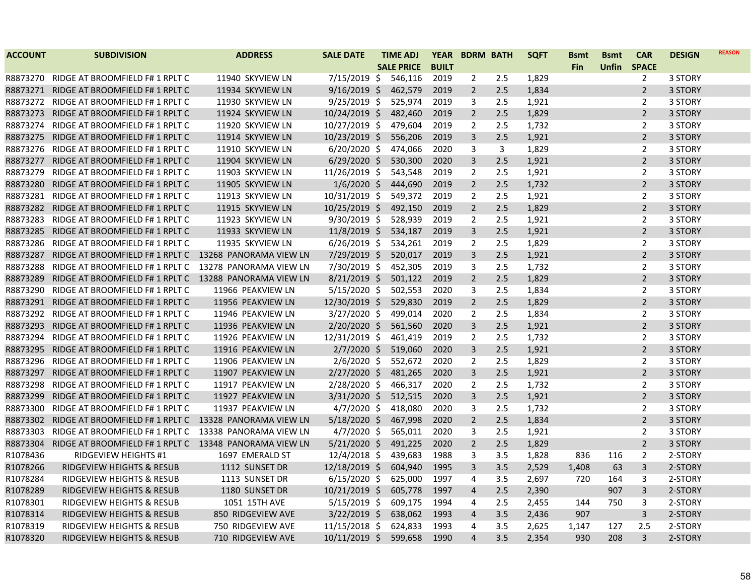| <b>ACCOUNT</b> | <b>SUBDIVISION</b>                                     | <b>ADDRESS</b>    | <b>SALE DATE</b> | <b>TIME ADJ</b>   | <b>YEAR</b>  | <b>BDRM BATH</b> |     | <b>SQFT</b> | <b>B</b> smt | <b>Bsmt</b>  | <b>CAR</b>     | <b>DESIGN</b> | <b>REASON</b> |
|----------------|--------------------------------------------------------|-------------------|------------------|-------------------|--------------|------------------|-----|-------------|--------------|--------------|----------------|---------------|---------------|
|                |                                                        |                   |                  | <b>SALE PRICE</b> | <b>BUILT</b> |                  |     |             | Fin          | <b>Unfin</b> | <b>SPACE</b>   |               |               |
| R8873270       | RIDGE AT BROOMFIELD F# 1 RPLT C                        | 11940 SKYVIEW LN  | 7/15/2019 \$     | 546,116           | 2019         | 2                | 2.5 | 1,829       |              |              | 2              | 3 STORY       |               |
| R8873271       | RIDGE AT BROOMFIELD F# 1 RPLT C                        | 11934 SKYVIEW LN  | $9/16/2019$ \$   | 462,579           | 2019         | $\overline{2}$   | 2.5 | 1,834       |              |              | $\overline{2}$ | 3 STORY       |               |
| R8873272       | RIDGE AT BROOMFIELD F# 1 RPLT C                        | 11930 SKYVIEW LN  | 9/25/2019 \$     | 525,974           | 2019         | 3                | 2.5 | 1,921       |              |              | 2              | 3 STORY       |               |
| R8873273       | RIDGE AT BROOMFIELD F# 1 RPLT C                        | 11924 SKYVIEW LN  | 10/24/2019 \$    | 482,460           | 2019         | $\overline{2}$   | 2.5 | 1,829       |              |              | $\overline{2}$ | 3 STORY       |               |
| R8873274       | RIDGE AT BROOMFIELD F# 1 RPLT C                        | 11920 SKYVIEW LN  | 10/27/2019 \$    | 479,604           | 2019         | $\overline{2}$   | 2.5 | 1,732       |              |              | $\overline{2}$ | 3 STORY       |               |
| R8873275       | RIDGE AT BROOMFIELD F# 1 RPLT C                        | 11914 SKYVIEW LN  | 10/23/2019 \$    | 556,206           | 2019         | 3                | 2.5 | 1,921       |              |              | $\overline{2}$ | 3 STORY       |               |
| R8873276       | RIDGE AT BROOMFIELD F# 1 RPLT C                        | 11910 SKYVIEW LN  | $6/20/2020$ \$   | 474,066           | 2020         | 3                | 3   | 1,829       |              |              | 2              | 3 STORY       |               |
| R8873277       | RIDGE AT BROOMFIELD F# 1 RPLT C                        | 11904 SKYVIEW LN  | $6/29/2020$ \$   | 530,300           | 2020         | 3                | 2.5 | 1,921       |              |              | $\overline{2}$ | 3 STORY       |               |
| R8873279       | RIDGE AT BROOMFIELD F# 1 RPLT C                        | 11903 SKYVIEW LN  | 11/26/2019 \$    | 543,548           | 2019         | $\overline{2}$   | 2.5 | 1,921       |              |              | $\overline{2}$ | 3 STORY       |               |
| R8873280       | RIDGE AT BROOMFIELD F# 1 RPLT C                        | 11905 SKYVIEW LN  | $1/6/2020$ \$    | 444,690           | 2019         | $\overline{2}$   | 2.5 | 1,732       |              |              | $\overline{2}$ | 3 STORY       |               |
| R8873281       | RIDGE AT BROOMFIELD F# 1 RPLT C                        | 11913 SKYVIEW LN  | 10/31/2019 \$    | 549,372           | 2019         | $\overline{2}$   | 2.5 | 1,921       |              |              | 2              | 3 STORY       |               |
| R8873282       | RIDGE AT BROOMFIELD F# 1 RPLT C                        | 11915 SKYVIEW LN  | 10/25/2019 \$    | 492,150           | 2019         | $\overline{2}$   | 2.5 | 1,829       |              |              | $\overline{2}$ | 3 STORY       |               |
| R8873283       | RIDGE AT BROOMFIELD F# 1 RPLT C                        | 11923 SKYVIEW LN  | 9/30/2019 \$     | 528,939           | 2019         | $\overline{2}$   | 2.5 | 1,921       |              |              | $\overline{2}$ | 3 STORY       |               |
| R8873285       | RIDGE AT BROOMFIELD F# 1 RPLT C                        | 11933 SKYVIEW LN  | $11/8/2019$ \$   | 534,187           | 2019         | 3                | 2.5 | 1,921       |              |              | $\overline{2}$ | 3 STORY       |               |
| R8873286       | RIDGE AT BROOMFIELD F# 1 RPLT C                        | 11935 SKYVIEW LN  | $6/26/2019$ \$   | 534,261           | 2019         | $\overline{2}$   | 2.5 | 1,829       |              |              | $\overline{2}$ | 3 STORY       |               |
| R8873287       | RIDGE AT BROOMFIELD F# 1 RPLT C 13268 PANORAMA VIEW LN |                   | 7/29/2019 \$     | 520,017           | 2019         | 3                | 2.5 | 1,921       |              |              | $\overline{2}$ | 3 STORY       |               |
| R8873288       | RIDGE AT BROOMFIELD F# 1 RPLT C 13278 PANORAMA VIEW LN |                   | 7/30/2019 \$     | 452,305           | 2019         | 3                | 2.5 | 1,732       |              |              | $\overline{2}$ | 3 STORY       |               |
| R8873289       | RIDGE AT BROOMFIELD F# 1 RPLT C 13288 PANORAMA VIEW LN |                   | 8/21/2019 \$     | 501,122           | 2019         | $\overline{2}$   | 2.5 | 1,829       |              |              | $\overline{2}$ | 3 STORY       |               |
| R8873290       | RIDGE AT BROOMFIELD F# 1 RPLT C                        | 11966 PEAKVIEW LN | $5/15/2020$ \$   | 502,553           | 2020         | 3                | 2.5 | 1,834       |              |              | $\overline{2}$ | 3 STORY       |               |
| R8873291       | RIDGE AT BROOMFIELD F# 1 RPLT C                        | 11956 PEAKVIEW LN | 12/30/2019 \$    | 529,830           | 2019         | $\overline{2}$   | 2.5 | 1,829       |              |              | $\overline{2}$ | 3 STORY       |               |
| R8873292       | RIDGE AT BROOMFIELD F# 1 RPLT C                        | 11946 PEAKVIEW LN | $3/27/2020$ \$   | 499,014           | 2020         | $\overline{2}$   | 2.5 | 1,834       |              |              | $\overline{2}$ | 3 STORY       |               |
| R8873293       | RIDGE AT BROOMFIELD F# 1 RPLT C                        | 11936 PEAKVIEW LN | $2/20/2020$ \$   | 561,560           | 2020         | 3                | 2.5 | 1,921       |              |              | $\overline{2}$ | 3 STORY       |               |
| R8873294       | RIDGE AT BROOMFIELD F# 1 RPLT C                        | 11926 PEAKVIEW LN | 12/31/2019 \$    | 461,419           | 2019         | $\overline{2}$   | 2.5 | 1,732       |              |              | $\overline{2}$ | 3 STORY       |               |
| R8873295       | RIDGE AT BROOMFIELD F# 1 RPLT C                        | 11916 PEAKVIEW LN | $2/7/2020$ \$    | 519,060           | 2020         | 3                | 2.5 | 1,921       |              |              | $\overline{2}$ | 3 STORY       |               |
| R8873296       | RIDGE AT BROOMFIELD F# 1 RPLT C                        | 11906 PEAKVIEW LN | $2/6/2020$ \$    | 552,672           | 2020         | $\overline{2}$   | 2.5 | 1,829       |              |              | 2              | 3 STORY       |               |
| R8873297       | RIDGE AT BROOMFIELD F# 1 RPLT C                        | 11907 PEAKVIEW LN | $2/27/2020$ \$   | 481,265           | 2020         | 3                | 2.5 | 1,921       |              |              | $\overline{2}$ | 3 STORY       |               |
| R8873298       | RIDGE AT BROOMFIELD F# 1 RPLT C                        | 11917 PEAKVIEW LN | 2/28/2020 \$     | 466,317           | 2020         | $\overline{2}$   | 2.5 | 1,732       |              |              | $\overline{2}$ | 3 STORY       |               |
| R8873299       | RIDGE AT BROOMFIELD F# 1 RPLT C                        | 11927 PEAKVIEW LN | $3/31/2020$ \$   | 512,515           | 2020         | 3                | 2.5 | 1,921       |              |              | $\overline{2}$ | 3 STORY       |               |
| R8873300       | RIDGE AT BROOMFIELD F# 1 RPLT C                        | 11937 PEAKVIEW LN | $4/7/2020$ \$    | 418,080           | 2020         | 3                | 2.5 | 1,732       |              |              | 2              | 3 STORY       |               |
| R8873302       | RIDGE AT BROOMFIELD F# 1 RPLT C 13328 PANORAMA VIEW LN |                   | $5/18/2020$ \$   | 467,998           | 2020         | $\overline{2}$   | 2.5 | 1,834       |              |              | $\overline{2}$ | 3 STORY       |               |
| R8873303       | RIDGE AT BROOMFIELD F# 1 RPLT C 13338 PANORAMA VIEW LN |                   | $4/7/2020$ \$    | 565,011           | 2020         | 3                | 2.5 | 1,921       |              |              | 2              | 3 STORY       |               |
| R8873304       | RIDGE AT BROOMFIELD F# 1 RPLT C 13348 PANORAMA VIEW LN |                   | $5/21/2020$ \$   | 491,225           | 2020         | $\overline{2}$   | 2.5 | 1,829       |              |              | $\overline{2}$ | 3 STORY       |               |
| R1078436       | RIDGEVIEW HEIGHTS #1                                   | 1697 EMERALD ST   | 12/4/2018 \$     | 439,683           | 1988         | 3                | 3.5 | 1,828       | 836          | 116          | $\overline{2}$ | 2-STORY       |               |
| R1078266       | <b>RIDGEVIEW HEIGHTS &amp; RESUB</b>                   | 1112 SUNSET DR    | 12/18/2019 \$    | 604,940           | 1995         | 3                | 3.5 | 2,529       | 1,408        | 63           | $\overline{3}$ | 2-STORY       |               |
| R1078284       | RIDGEVIEW HEIGHTS & RESUB                              | 1113 SUNSET DR    | $6/15/2020$ \$   | 625,000           | 1997         | 4                | 3.5 | 2,697       | 720          | 164          | 3              | 2-STORY       |               |
| R1078289       | <b>RIDGEVIEW HEIGHTS &amp; RESUB</b>                   | 1180 SUNSET DR    | 10/21/2019 \$    | 605,778           | 1997         | 4                | 2.5 | 2,390       |              | 907          | 3              | 2-STORY       |               |
| R1078301       | RIDGEVIEW HEIGHTS & RESUB                              | 1051 15TH AVE     | $5/15/2019$ \$   | 609,175           | 1994         | 4                | 2.5 | 2,455       | 144          | 750          | 3              | 2-STORY       |               |
| R1078314       | RIDGEVIEW HEIGHTS & RESUB                              | 850 RIDGEVIEW AVE | $3/22/2019$ \$   | 638,062           | 1993         | 4                | 3.5 | 2,436       | 907          |              | 3              | 2-STORY       |               |
| R1078319       | RIDGEVIEW HEIGHTS & RESUB                              | 750 RIDGEVIEW AVE | 11/15/2018 \$    | 624,833           | 1993         | 4                | 3.5 | 2,625       | 1,147        | 127          | 2.5            | 2-STORY       |               |
| R1078320       | <b>RIDGEVIEW HEIGHTS &amp; RESUB</b>                   | 710 RIDGEVIEW AVE | 10/11/2019 \$    | 599,658           | 1990         | $\overline{4}$   | 3.5 | 2,354       | 930          | 208          | $\overline{3}$ | 2-STORY       |               |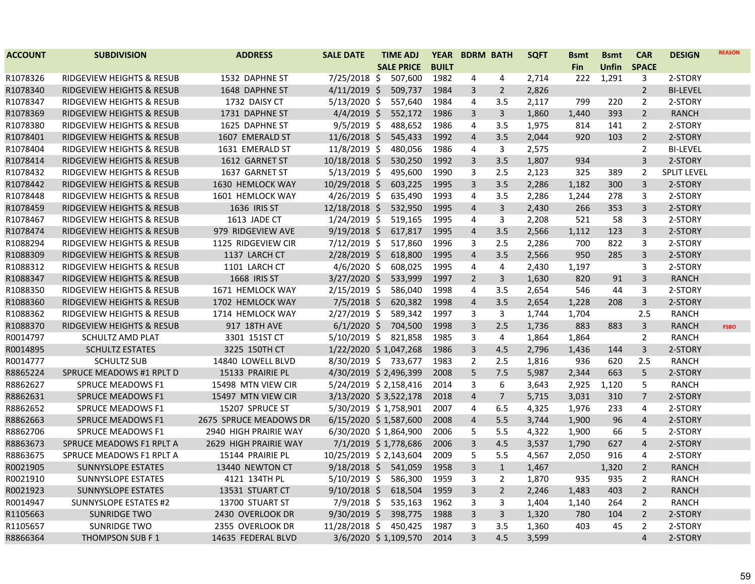| <b>ACCOUNT</b> | <b>SUBDIVISION</b>                   | <b>ADDRESS</b>         | <b>SALE DATE</b>       | <b>TIME ADJ</b>   | <b>YEAR</b>  | <b>BDRM BATH</b> |                | <b>SQFT</b> | <b>Bsmt</b> | <b>Bsmt</b>  | <b>CAR</b>     | <b>DESIGN</b>      | <b>REASON</b> |
|----------------|--------------------------------------|------------------------|------------------------|-------------------|--------------|------------------|----------------|-------------|-------------|--------------|----------------|--------------------|---------------|
|                |                                      |                        |                        | <b>SALE PRICE</b> | <b>BUILT</b> |                  |                |             | <b>Fin</b>  | <b>Unfin</b> | <b>SPACE</b>   |                    |               |
| R1078326       | RIDGEVIEW HEIGHTS & RESUB            | 1532 DAPHNE ST         | 7/25/2018 \$           | 507,600           | 1982         | 4                | 4              | 2,714       | 222         | 1,291        | 3              | 2-STORY            |               |
| R1078340       | <b>RIDGEVIEW HEIGHTS &amp; RESUB</b> | 1648 DAPHNE ST         | $4/11/2019$ \$         | 509,737           | 1984         | 3                | $\overline{2}$ | 2,826       |             |              | $\overline{2}$ | <b>BI-LEVEL</b>    |               |
| R1078347       | RIDGEVIEW HEIGHTS & RESUB            | 1732 DAISY CT          | $5/13/2020$ \$         | 557,640           | 1984         | 4                | 3.5            | 2,117       | 799         | 220          | $\overline{2}$ | 2-STORY            |               |
| R1078369       | RIDGEVIEW HEIGHTS & RESUB            | 1731 DAPHNE ST         | $4/4/2019$ \$          | 552,172           | 1986         | 3                | $\overline{3}$ | 1,860       | 1,440       | 393          | $\overline{2}$ | <b>RANCH</b>       |               |
| R1078380       | RIDGEVIEW HEIGHTS & RESUB            | 1625 DAPHNE ST         | $9/5/2019$ \$          | 488,652           | 1986         | 4                | 3.5            | 1,975       | 814         | 141          | $\overline{2}$ | 2-STORY            |               |
| R1078401       | RIDGEVIEW HEIGHTS & RESUB            | 1607 EMERALD ST        | $11/6/2018$ \$         | 545,433           | 1992         | $\overline{4}$   | 3.5            | 2,044       | 920         | 103          | $\overline{2}$ | 2-STORY            |               |
| R1078404       | RIDGEVIEW HEIGHTS & RESUB            | 1631 EMERALD ST        | 11/8/2019 \$           | 480,056           | 1986         | 4                | 3              | 2,575       |             |              | $\overline{2}$ | <b>BI-LEVEL</b>    |               |
| R1078414       | RIDGEVIEW HEIGHTS & RESUB            | 1612 GARNET ST         | 10/18/2018 \$          | 530,250           | 1992         | 3                | 3.5            | 1,807       | 934         |              | $\overline{3}$ | 2-STORY            |               |
| R1078432       | RIDGEVIEW HEIGHTS & RESUB            | 1637 GARNET ST         | $5/13/2019$ \$         | 495,600           | 1990         | 3                | 2.5            | 2,123       | 325         | 389          | $\overline{2}$ | <b>SPLIT LEVEL</b> |               |
| R1078442       | RIDGEVIEW HEIGHTS & RESUB            | 1630 HEMLOCK WAY       | 10/29/2018 \$          | 603,225           | 1995         | 3                | 3.5            | 2,286       | 1,182       | 300          | 3              | 2-STORY            |               |
| R1078448       | RIDGEVIEW HEIGHTS & RESUB            | 1601 HEMLOCK WAY       | $4/26/2019$ \$         | 635,490           | 1993         | 4                | 3.5            | 2,286       | 1,244       | 278          | 3              | 2-STORY            |               |
| R1078459       | RIDGEVIEW HEIGHTS & RESUB            | 1636 IRIS ST           | 12/18/2018 \$          | 532,950           | 1995         | $\overline{4}$   | $\overline{3}$ | 2,430       | 266         | 353          | $\overline{3}$ | 2-STORY            |               |
| R1078467       | RIDGEVIEW HEIGHTS & RESUB            | 1613 JADE CT           | $1/24/2019$ \$         | 519,165           | 1995         | 4                | 3              | 2,208       | 521         | 58           | $\overline{3}$ | 2-STORY            |               |
| R1078474       | RIDGEVIEW HEIGHTS & RESUB            | 979 RIDGEVIEW AVE      | $9/19/2018$ \$         | 617,817           | 1995         | $\overline{4}$   | 3.5            | 2,566       | 1,112       | 123          | $\overline{3}$ | 2-STORY            |               |
| R1088294       | RIDGEVIEW HEIGHTS & RESUB            | 1125 RIDGEVIEW CIR     | $7/12/2019$ \$         | 517,860           | 1996         | 3                | 2.5            | 2,286       | 700         | 822          | 3              | 2-STORY            |               |
| R1088309       | RIDGEVIEW HEIGHTS & RESUB            | 1137 LARCH CT          | 2/28/2019 \$           | 618,800           | 1995         | $\overline{4}$   | 3.5            | 2,566       | 950         | 285          | $\overline{3}$ | 2-STORY            |               |
| R1088312       | RIDGEVIEW HEIGHTS & RESUB            | 1101 LARCH CT          | $4/6/2020$ \$          | 608,025           | 1995         | 4                | 4              | 2,430       | 1,197       |              | 3              | 2-STORY            |               |
| R1088347       | RIDGEVIEW HEIGHTS & RESUB            | 1668 IRIS ST           | $3/27/2020$ \$         | 533,999           | 1997         | $\overline{2}$   | $\overline{3}$ | 1,630       | 820         | 91           | $\overline{3}$ | <b>RANCH</b>       |               |
| R1088350       | RIDGEVIEW HEIGHTS & RESUB            | 1671 HEMLOCK WAY       | $2/15/2019$ \$         | 586,040           | 1998         | 4                | 3.5            | 2,654       | 546         | 44           | 3              | 2-STORY            |               |
| R1088360       | RIDGEVIEW HEIGHTS & RESUB            | 1702 HEMLOCK WAY       | $7/5/2018$ \$          | 620,382           | 1998         | $\overline{4}$   | 3.5            | 2,654       | 1,228       | 208          | $\overline{3}$ | 2-STORY            |               |
| R1088362       | RIDGEVIEW HEIGHTS & RESUB            | 1714 HEMLOCK WAY       | $2/27/2019$ \$         | 589,342           | 1997         | 3                | 3              | 1,744       | 1,704       |              | 2.5            | <b>RANCH</b>       |               |
| R1088370       | <b>RIDGEVIEW HEIGHTS &amp; RESUB</b> | 917 18TH AVE           | $6/1/2020$ \$          | 704,500           | 1998         | 3                | 2.5            | 1,736       | 883         | 883          | $\overline{3}$ | <b>RANCH</b>       | <b>FSBO</b>   |
| R0014797       | SCHULTZ AMD PLAT                     | 3301 151ST CT          | 5/10/2019 \$           | 821,858           | 1985         | 3                | 4              | 1,864       | 1,864       |              | $\overline{2}$ | <b>RANCH</b>       |               |
| R0014895       | <b>SCHULTZ ESTATES</b>               | 3225 150TH CT          | 1/22/2020 \$1,047,268  |                   | 1986         | 3                | 4.5            | 2,796       | 1,436       | 144          | 3              | 2-STORY            |               |
| R0014777       | <b>SCHULTZ SUB</b>                   | 14840 LOWELL BLVD      | 8/30/2019 \$ 733,677   |                   | 1983         | $\overline{2}$   | 2.5            | 1,816       | 936         | 620          | 2.5            | <b>RANCH</b>       |               |
| R8865224       | SPRUCE MEADOWS #1 RPLT D             | 15133 PRAIRIE PL       | 4/30/2019 \$2,496,399  |                   | 2008         | 5                | 7.5            | 5,987       | 2,344       | 663          | 5              | 2-STORY            |               |
| R8862627       | SPRUCE MEADOWS F1                    | 15498 MTN VIEW CIR     | 5/24/2019 \$2,158,416  |                   | 2014         | 3                | 6              | 3,643       | 2,925       | 1,120        | 5              | <b>RANCH</b>       |               |
| R8862631       | <b>SPRUCE MEADOWS F1</b>             | 15497 MTN VIEW CIR     | 3/13/2020 \$3,522,178  |                   | 2018         | $\overline{4}$   | $\overline{7}$ | 5,715       | 3,031       | 310          | $\overline{7}$ | 2-STORY            |               |
| R8862652       | <b>SPRUCE MEADOWS F1</b>             | 15207 SPRUCE ST        | 5/30/2019 \$1,758,901  |                   | 2007         | 4                | 6.5            | 4,325       | 1,976       | 233          | 4              | 2-STORY            |               |
| R8862663       | <b>SPRUCE MEADOWS F1</b>             | 2675 SPRUCE MEADOWS DR | 6/15/2020 \$1,587,600  |                   | 2008         | $\overline{4}$   | 5.5            | 3,744       | 1,900       | 96           | $\overline{4}$ | 2-STORY            |               |
| R8862706       | <b>SPRUCE MEADOWS F1</b>             | 2940 HIGH PRAIRIE WAY  | 6/30/2020 \$1,864,900  |                   | 2006         | 5                | 5.5            | 4,322       | 1,900       | 66           | 5              | 2-STORY            |               |
| R8863673       | SPRUCE MEADOWS F1 RPLT A             | 2629 HIGH PRAIRIE WAY  | 7/1/2019 \$1,778,686   |                   | 2006         | 3                | 4.5            | 3,537       | 1,790       | 627          | $\overline{4}$ | 2-STORY            |               |
| R8863675       | SPRUCE MEADOWS F1 RPLT A             | 15144 PRAIRIE PL       | 10/25/2019 \$2,143,604 |                   | 2009         | 5                | 5.5            | 4,567       | 2,050       | 916          | 4              | 2-STORY            |               |
| R0021905       | <b>SUNNYSLOPE ESTATES</b>            | 13440 NEWTON CT        | $9/18/2018$ \$         | 541,059           | 1958         | 3                | $\mathbf{1}$   | 1,467       |             | 1,320        | $\overline{2}$ | <b>RANCH</b>       |               |
| R0021910       | SUNNYSLOPE ESTATES                   | 4121 134TH PL          | $5/10/2019$ \$         | 586,300           | 1959         | 3                | $\overline{2}$ | 1,870       | 935         | 935          | $\overline{2}$ | <b>RANCH</b>       |               |
| R0021923       | <b>SUNNYSLOPE ESTATES</b>            | 13531 STUART CT        | $9/10/2018$ \$         | 618,504           | 1959         | 3                | $\overline{2}$ | 2,246       | 1,483       | 403          | $\overline{2}$ | <b>RANCH</b>       |               |
| R0014947       | <b>SUNNYSLOPE ESTATES #2</b>         | 13700 STUART ST        | $7/9/2018$ \$          | 535,163           | 1962         | 3                | 3              | 1,404       | 1,140       | 264          | $\overline{2}$ | <b>RANCH</b>       |               |
| R1105663       | <b>SUNRIDGE TWO</b>                  | 2430 OVERLOOK DR       | 9/30/2019 \$           | 398,775           | 1988         | 3                | 3              | 1,320       | 780         | 104          | $\overline{2}$ | 2-STORY            |               |
| R1105657       | <b>SUNRIDGE TWO</b>                  | 2355 OVERLOOK DR       | 11/28/2018 \$          | 450,425           | 1987         | 3                | 3.5            | 1,360       | 403         | 45           | $\overline{2}$ | 2-STORY            |               |
| R8866364       | <b>THOMPSON SUB F1</b>               | 14635 FEDERAL BLVD     | 3/6/2020 \$1,109,570   |                   | 2014         | $\overline{3}$   | 4.5            | 3,599       |             |              | $\overline{4}$ | 2-STORY            |               |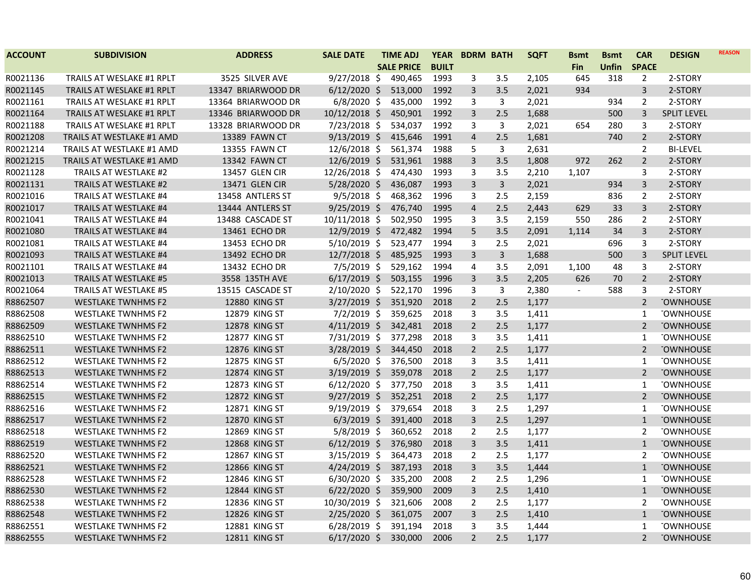| <b>ACCOUNT</b> | <b>SUBDIVISION</b>               | <b>ADDRESS</b>       | <b>SALE DATE</b> | <b>TIME ADJ</b>   | <b>YEAR</b>  | <b>BDRM BATH</b> |              | <b>SQFT</b> | <b>Bsmt</b>              | <b>B</b> smt | <b>CAR</b>     | <b>DESIGN</b>      | <b>REASON</b> |
|----------------|----------------------------------|----------------------|------------------|-------------------|--------------|------------------|--------------|-------------|--------------------------|--------------|----------------|--------------------|---------------|
|                |                                  |                      |                  | <b>SALE PRICE</b> | <b>BUILT</b> |                  |              |             | <b>Fin</b>               | Unfin        | <b>SPACE</b>   |                    |               |
| R0021136       | TRAILS AT WESLAKE #1 RPLT        | 3525 SILVER AVE      | $9/27/2018$ \$   | 490,465           | 1993         | 3                | 3.5          | 2,105       | 645                      | 318          | $\overline{2}$ | 2-STORY            |               |
| R0021145       | <b>TRAILS AT WESLAKE #1 RPLT</b> | 13347 BRIARWOOD DR   | $6/12/2020$ \$   | 513,000           | 1992         | 3                | 3.5          | 2,021       | 934                      |              | $\mathbf{3}$   | 2-STORY            |               |
| R0021161       | TRAILS AT WESLAKE #1 RPLT        | 13364 BRIARWOOD DR   | $6/8/2020$ \$    | 435,000           | 1992         | 3                | 3            | 2,021       |                          | 934          | $\overline{2}$ | 2-STORY            |               |
| R0021164       | TRAILS AT WESLAKE #1 RPLT        | 13346 BRIARWOOD DR   | $10/12/2018$ \$  | 450,901           | 1992         | 3                | 2.5          | 1,688       |                          | 500          | 3              | <b>SPLIT LEVEL</b> |               |
| R0021188       | TRAILS AT WESLAKE #1 RPLT        | 13328 BRIARWOOD DR   | $7/23/2018$ \$   | 534,037           | 1992         | 3                | 3            | 2,021       | 654                      | 280          | 3              | 2-STORY            |               |
| R0021208       | <b>TRAILS AT WESTLAKE #1 AMD</b> | 13389 FAWN CT        | $9/13/2019$ \$   | 415,646           | 1991         | 4                | 2.5          | 1,681       |                          | 740          | $\overline{2}$ | 2-STORY            |               |
| R0021214       | TRAILS AT WESTLAKE #1 AMD        | 13355 FAWN CT        | 12/6/2018 \$     | 561,374           | 1988         | 5                | 3            | 2,631       |                          |              | $\overline{2}$ | <b>BI-LEVEL</b>    |               |
| R0021215       | <b>TRAILS AT WESTLAKE #1 AMD</b> | 13342 FAWN CT        | $12/6/2019$ \$   | 531,961           | 1988         | 3                | 3.5          | 1,808       | 972                      | 262          | $\overline{2}$ | 2-STORY            |               |
| R0021128       | TRAILS AT WESTLAKE #2            | 13457 GLEN CIR       | 12/26/2018 \$    | 474,430           | 1993         | 3                | 3.5          | 2,210       | 1,107                    |              | 3              | 2-STORY            |               |
| R0021131       | <b>TRAILS AT WESTLAKE #2</b>     | 13471 GLEN CIR       | $5/28/2020$ \$   | 436,087           | 1993         | 3                | $\mathsf{3}$ | 2,021       |                          | 934          | $\overline{3}$ | 2-STORY            |               |
| R0021016       | <b>TRAILS AT WESTLAKE #4</b>     | 13458 ANTLERS ST     | $9/5/2018$ \$    | 468,362           | 1996         | 3                | 2.5          | 2,159       |                          | 836          | $\overline{2}$ | 2-STORY            |               |
| R0021017       | TRAILS AT WESTLAKE #4            | 13444 ANTLERS ST     | $9/25/2019$ \$   | 476,740           | 1995         | $\overline{4}$   | 2.5          | 2,443       | 629                      | 33           | $\mathbf{3}$   | 2-STORY            |               |
| R0021041       | <b>TRAILS AT WESTLAKE #4</b>     | 13488 CASCADE ST     | 10/11/2018 \$    | 502,950           | 1995         | 3                | 3.5          | 2,159       | 550                      | 286          | $\overline{2}$ | 2-STORY            |               |
| R0021080       | <b>TRAILS AT WESTLAKE #4</b>     | 13461 ECHO DR        | 12/9/2019 \$     | 472,482           | 1994         | 5                | 3.5          | 2,091       | 1,114                    | 34           | $\mathbf{3}$   | 2-STORY            |               |
| R0021081       | TRAILS AT WESTLAKE #4            | 13453 ECHO DR        | $5/10/2019$ \$   | 523,477           | 1994         | 3                | 2.5          | 2,021       |                          | 696          | 3              | 2-STORY            |               |
| R0021093       | <b>TRAILS AT WESTLAKE #4</b>     | 13492 ECHO DR        | $12/7/2018$ \$   | 485,925           | 1993         | 3                | $\mathbf{3}$ | 1,688       |                          | 500          | $\overline{3}$ | <b>SPLIT LEVEL</b> |               |
| R0021101       | TRAILS AT WESTLAKE #4            | 13432 ECHO DR        | $7/5/2019$ \$    | 529,162           | 1994         | 4                | 3.5          | 2,091       | 1,100                    | 48           | 3              | 2-STORY            |               |
| R0021013       | <b>TRAILS AT WESTLAKE #5</b>     | 3558 135TH AVE       | $6/17/2019$ \$   | 503,155           | 1996         | 3                | 3.5          | 2,205       | 626                      | 70           | $\overline{2}$ | 2-STORY            |               |
| R0021064       | <b>TRAILS AT WESTLAKE #5</b>     | 13515 CASCADE ST     | $2/10/2020$ \$   | 522,170           | 1996         | 3                | 3            | 2,380       | $\overline{\phantom{a}}$ | 588          | 3              | 2-STORY            |               |
| R8862507       | <b>WESTLAKE TWNHMS F2</b>        | <b>12880 KING ST</b> | $3/27/2019$ \$   | 351,920           | 2018         | $\overline{2}$   | 2.5          | 1,177       |                          |              | $\overline{2}$ | <b>TOWNHOUSE</b>   |               |
| R8862508       | <b>WESTLAKE TWNHMS F2</b>        | 12879 KING ST        | $7/2/2019$ \$    | 359,625           | 2018         | 3                | 3.5          | 1,411       |                          |              | $\mathbf{1}$   | <b>TOWNHOUSE</b>   |               |
| R8862509       | <b>WESTLAKE TWNHMS F2</b>        | <b>12878 KING ST</b> | $4/11/2019$ \$   | 342,481           | 2018         | $\overline{2}$   | 2.5          | 1,177       |                          |              | $\overline{2}$ | <b>TOWNHOUSE</b>   |               |
| R8862510       | <b>WESTLAKE TWNHMS F2</b>        | 12877 KING ST        | 7/31/2019 \$     | 377,298           | 2018         | 3                | 3.5          | 1,411       |                          |              | $\mathbf{1}$   | <b>TOWNHOUSE</b>   |               |
| R8862511       | <b>WESTLAKE TWNHMS F2</b>        | 12876 KING ST        | $3/28/2019$ \$   | 344,450           | 2018         | $\overline{2}$   | 2.5          | 1,177       |                          |              | $\overline{2}$ | <b>TOWNHOUSE</b>   |               |
| R8862512       | <b>WESTLAKE TWNHMS F2</b>        | 12875 KING ST        | $6/5/2020$ \$    | 376,500           | 2018         | 3                | 3.5          | 1,411       |                          |              | $\mathbf{1}$   | <b>TOWNHOUSE</b>   |               |
| R8862513       | <b>WESTLAKE TWNHMS F2</b>        | 12874 KING ST        | $3/19/2019$ \$   | 359,078           | 2018         | $\overline{2}$   | 2.5          | 1,177       |                          |              | $\overline{2}$ | <b>TOWNHOUSE</b>   |               |
| R8862514       | <b>WESTLAKE TWNHMS F2</b>        | 12873 KING ST        | $6/12/2020$ \$   | 377,750           | 2018         | 3                | 3.5          | 1,411       |                          |              | 1              | <b>TOWNHOUSE</b>   |               |
| R8862515       | <b>WESTLAKE TWNHMS F2</b>        | 12872 KING ST        | $9/27/2019$ \$   | 352,251           | 2018         | $\overline{2}$   | 2.5          | 1,177       |                          |              | $\overline{2}$ | <b>TOWNHOUSE</b>   |               |
| R8862516       | <b>WESTLAKE TWNHMS F2</b>        | 12871 KING ST        | $9/19/2019$ \$   | 379,654           | 2018         | 3                | 2.5          | 1,297       |                          |              | 1              | <b>TOWNHOUSE</b>   |               |
| R8862517       | <b>WESTLAKE TWNHMS F2</b>        | 12870 KING ST        | $6/3/2019$ \$    | 391,400           | 2018         | 3                | 2.5          | 1,297       |                          |              | $\mathbf{1}$   | <b>TOWNHOUSE</b>   |               |
| R8862518       | <b>WESTLAKE TWNHMS F2</b>        | 12869 KING ST        | $5/8/2019$ \$    | 360,652           | 2018         | $\overline{2}$   | 2.5          | 1,177       |                          |              | 2              | <b>TOWNHOUSE</b>   |               |
| R8862519       | <b>WESTLAKE TWNHMS F2</b>        | 12868 KING ST        | $6/12/2019$ \$   | 376,980           | 2018         | 3                | 3.5          | 1,411       |                          |              | $\mathbf{1}$   | <b>TOWNHOUSE</b>   |               |
| R8862520       | <b>WESTLAKE TWNHMS F2</b>        | 12867 KING ST        | $3/15/2019$ \$   | 364,473           | 2018         | $\overline{2}$   | 2.5          | 1,177       |                          |              | 2              | <b>TOWNHOUSE</b>   |               |
| R8862521       | <b>WESTLAKE TWNHMS F2</b>        | 12866 KING ST        | $4/24/2019$ \$   | 387,193           | 2018         | 3                | 3.5          | 1,444       |                          |              | $\mathbf{1}$   | <b>TOWNHOUSE</b>   |               |
| R8862528       | <b>WESTLAKE TWNHMS F2</b>        | 12846 KING ST        | $6/30/2020$ \$   | 335,200           | 2008         | $\overline{2}$   | 2.5          | 1,296       |                          |              | $\mathbf{1}$   | <b>TOWNHOUSE</b>   |               |
| R8862530       | <b>WESTLAKE TWNHMS F2</b>        | 12844 KING ST        | $6/22/2020$ \$   | 359,900           | 2009         | $\overline{3}$   | 2.5          | 1,410       |                          |              | $\mathbf{1}$   | <b>TOWNHOUSE</b>   |               |
| R8862538       | <b>WESTLAKE TWNHMS F2</b>        | 12836 KING ST        | $10/30/2019$ \$  | 321,606           | 2008         | $\overline{2}$   | 2.5          | 1,177       |                          |              | 2              | <b>TOWNHOUSE</b>   |               |
| R8862548       | <b>WESTLAKE TWNHMS F2</b>        | 12826 KING ST        | 2/25/2020 \$     | 361,075           | 2007         | 3                | 2.5          | 1,410       |                          |              | $\mathbf{1}$   | <b>TOWNHOUSE</b>   |               |
| R8862551       | <b>WESTLAKE TWNHMS F2</b>        | 12881 KING ST        | $6/28/2019$ \$   | 391,194           | 2018         | 3                | 3.5          | 1,444       |                          |              | $\mathbf{1}$   | <b>TOWNHOUSE</b>   |               |
| R8862555       | <b>WESTLAKE TWNHMS F2</b>        | 12811 KING ST        | $6/17/2020$ \$   | 330,000           | 2006         | $\overline{2}$   | 2.5          | 1,177       |                          |              | $\overline{2}$ | <b>TOWNHOUSE</b>   |               |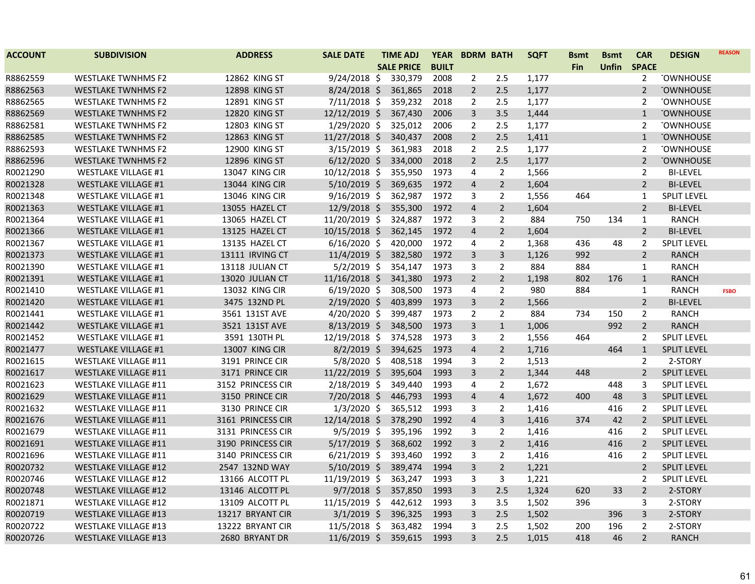| <b>ACCOUNT</b> | <b>SUBDIVISION</b>          | <b>ADDRESS</b>        | <b>SALE DATE</b> | <b>TIME ADJ</b>   | <b>YEAR</b>  | <b>BDRM BATH</b>        |                | <b>SQFT</b> | <b>Bsmt</b> | <b>Bsmt</b>  | <b>CAR</b>     | <b>DESIGN</b>      | <b>REASON</b> |
|----------------|-----------------------------|-----------------------|------------------|-------------------|--------------|-------------------------|----------------|-------------|-------------|--------------|----------------|--------------------|---------------|
|                |                             |                       |                  | <b>SALE PRICE</b> | <b>BUILT</b> |                         |                |             | Fin         | <b>Unfin</b> | <b>SPACE</b>   |                    |               |
| R8862559       | <b>WESTLAKE TWNHMS F2</b>   | 12862 KING ST         | 9/24/2018 \$     | 330,379           | 2008         | 2                       | 2.5            | 1,177       |             |              | $\overline{2}$ | <b>TOWNHOUSE</b>   |               |
| R8862563       | <b>WESTLAKE TWNHMS F2</b>   | 12898 KING ST         | $8/24/2018$ \$   | 361,865           | 2018         | $\overline{2}$          | 2.5            | 1,177       |             |              | $\overline{2}$ | <b>TOWNHOUSE</b>   |               |
| R8862565       | <b>WESTLAKE TWNHMS F2</b>   | 12891 KING ST         | $7/11/2018$ \$   | 359,232           | 2018         | $\overline{2}$          | 2.5            | 1,177       |             |              | $\overline{2}$ | <b>TOWNHOUSE</b>   |               |
| R8862569       | <b>WESTLAKE TWNHMS F2</b>   | 12820 KING ST         | 12/12/2019 \$    | 367,430           | 2006         | 3                       | 3.5            | 1,444       |             |              | $\mathbf{1}$   | <b>TOWNHOUSE</b>   |               |
| R8862581       | <b>WESTLAKE TWNHMS F2</b>   | 12803 KING ST         | 1/29/2020 \$     | 325,012           | 2006         | $\overline{2}$          | 2.5            | 1,177       |             |              | 2              | <b>TOWNHOUSE</b>   |               |
| R8862585       | <b>WESTLAKE TWNHMS F2</b>   | 12863 KING ST         | 11/27/2018 \$    | 340,437           | 2008         | $\overline{2}$          | 2.5            | 1,411       |             |              | $\mathbf{1}$   | <b>TOWNHOUSE</b>   |               |
| R8862593       | <b>WESTLAKE TWNHMS F2</b>   | 12900 KING ST         | $3/15/2019$ \$   | 361,983           | 2018         | $\overline{2}$          | 2.5            | 1,177       |             |              | $\overline{2}$ | <b>TOWNHOUSE</b>   |               |
| R8862596       | <b>WESTLAKE TWNHMS F2</b>   | 12896 KING ST         | $6/12/2020$ \$   | 334,000           | 2018         | $\overline{2}$          | 2.5            | 1,177       |             |              | $\overline{2}$ | <b>TOWNHOUSE</b>   |               |
| R0021290       | <b>WESTLAKE VILLAGE #1</b>  | 13047 KING CIR        | 10/12/2018 \$    | 355,950           | 1973         | 4                       | $\overline{2}$ | 1,566       |             |              | $\overline{2}$ | <b>BI-LEVEL</b>    |               |
| R0021328       | <b>WESTLAKE VILLAGE #1</b>  | <b>13044 KING CIR</b> | $5/10/2019$ \$   | 369,635           | 1972         | 4                       | $2^{\circ}$    | 1,604       |             |              | $\overline{2}$ | <b>BI-LEVEL</b>    |               |
| R0021348       | <b>WESTLAKE VILLAGE #1</b>  | <b>13046 KING CIR</b> | $9/16/2019$ \$   | 362,987           | 1972         | 3                       | $\overline{2}$ | 1,556       | 464         |              | $\mathbf{1}$   | <b>SPLIT LEVEL</b> |               |
| R0021363       | <b>WESTLAKE VILLAGE #1</b>  | 13055 HAZEL CT        | 12/9/2018 \$     | 355,300           | 1972         | $\overline{4}$          | $\overline{2}$ | 1,604       |             |              | $\overline{2}$ | <b>BI-LEVEL</b>    |               |
| R0021364       | <b>WESTLAKE VILLAGE #1</b>  | 13065 HAZEL CT        | 11/20/2019 \$    | 324,887           | 1972         | 3                       | $\overline{2}$ | 884         | 750         | 134          | 1              | <b>RANCH</b>       |               |
| R0021366       | <b>WESTLAKE VILLAGE #1</b>  | 13125 HAZEL CT        | 10/15/2018 \$    | 362,145           | 1972         | $\overline{4}$          | $\overline{2}$ | 1,604       |             |              | $\overline{2}$ | <b>BI-LEVEL</b>    |               |
| R0021367       | <b>WESTLAKE VILLAGE #1</b>  | 13135 HAZEL CT        | $6/16/2020$ \$   | 420,000           | 1972         | 4                       | $\overline{2}$ | 1,368       | 436         | 48           | $\overline{2}$ | <b>SPLIT LEVEL</b> |               |
| R0021373       | <b>WESTLAKE VILLAGE #1</b>  | 13111 IRVING CT       | 11/4/2019 \$     | 382,580           | 1972         | 3                       | $\overline{3}$ | 1,126       | 992         |              | $\overline{2}$ | <b>RANCH</b>       |               |
| R0021390       | <b>WESTLAKE VILLAGE #1</b>  | 13118 JULIAN CT       | $5/2/2019$ \$    | 354,147           | 1973         | 3                       | $\overline{2}$ | 884         | 884         |              | $\mathbf{1}$   | <b>RANCH</b>       |               |
| R0021391       | <b>WESTLAKE VILLAGE #1</b>  | 13020 JULIAN CT       | $11/16/2018$ \$  | 341,380           | 1973         | $\overline{2}$          | $\overline{2}$ | 1,198       | 802         | 176          | $\mathbf{1}$   | <b>RANCH</b>       |               |
| R0021410       | <b>WESTLAKE VILLAGE #1</b>  | <b>13032 KING CIR</b> | $6/19/2020$ \$   | 308,500           | 1973         | 4                       | $\overline{2}$ | 980         | 884         |              | $\mathbf{1}$   | <b>RANCH</b>       | <b>FSBO</b>   |
| R0021420       | <b>WESTLAKE VILLAGE #1</b>  | 3475 132ND PL         | 2/19/2020 \$     | 403,899           | 1973         | 3                       | $\overline{2}$ | 1,566       |             |              | $\overline{2}$ | <b>BI-LEVEL</b>    |               |
| R0021441       | <b>WESTLAKE VILLAGE #1</b>  | 3561 131ST AVE        | 4/20/2020 \$     | 399,487           | 1973         | $\overline{2}$          | $\overline{2}$ | 884         | 734         | 150          | $\overline{2}$ | <b>RANCH</b>       |               |
| R0021442       | <b>WESTLAKE VILLAGE #1</b>  | 3521 131ST AVE        | $8/13/2019$ \$   | 348,500           | 1973         | 3                       | $\mathbf{1}$   | 1,006       |             | 992          | $\overline{2}$ | <b>RANCH</b>       |               |
| R0021452       | <b>WESTLAKE VILLAGE #1</b>  | 3591 130TH PL         | 12/19/2018 \$    | 374,528           | 1973         | 3                       | $\overline{2}$ | 1,556       | 464         |              | $\overline{2}$ | <b>SPLIT LEVEL</b> |               |
| R0021477       | <b>WESTLAKE VILLAGE #1</b>  | 13007 KING CIR        | $8/2/2019$ \$    | 394,625           | 1973         | 4                       | $\overline{2}$ | 1,716       |             | 464          | $\mathbf{1}$   | <b>SPLIT LEVEL</b> |               |
| R0021615       | <b>WESTLAKE VILLAGE #11</b> | 3191 PRINCE CIR       | 5/8/2020 \$      | 408,518           | 1994         | 3                       | $\overline{2}$ | 1,513       |             |              | $\overline{2}$ | 2-STORY            |               |
| R0021617       | <b>WESTLAKE VILLAGE #11</b> | 3171 PRINCE CIR       | 11/22/2019 \$    | 395,604           | 1993         | 3                       | $2^{\circ}$    | 1,344       | 448         |              | $\overline{2}$ | <b>SPLIT LEVEL</b> |               |
| R0021623       | <b>WESTLAKE VILLAGE #11</b> | 3152 PRINCESS CIR     | 2/18/2019 \$     | 349,440           | 1993         | 4                       | $\overline{2}$ | 1,672       |             | 448          | 3              | <b>SPLIT LEVEL</b> |               |
| R0021629       | <b>WESTLAKE VILLAGE #11</b> | 3150 PRINCE CIR       | $7/20/2018$ \$   | 446,793           | 1993         | 4                       | $\overline{4}$ | 1,672       | 400         | 48           | 3              | SPLIT LEVEL        |               |
| R0021632       | <b>WESTLAKE VILLAGE #11</b> | 3130 PRINCE CIR       | $1/3/2020$ \$    | 365,512           | 1993         | 3                       | 2              | 1,416       |             | 416          | 2              | <b>SPLIT LEVEL</b> |               |
| R0021676       | <b>WESTLAKE VILLAGE #11</b> | 3161 PRINCESS CIR     | 12/14/2018 \$    | 378,290           | 1992         | $\overline{\mathbf{4}}$ | $\mathbf{3}$   | 1,416       | 374         | 42           | $2^{\circ}$    | <b>SPLIT LEVEL</b> |               |
| R0021679       | <b>WESTLAKE VILLAGE #11</b> | 3131 PRINCESS CIR     | $9/5/2019$ \$    | 395,196           | 1992         | 3                       | $\overline{2}$ | 1,416       |             | 416          | $\overline{2}$ | <b>SPLIT LEVEL</b> |               |
| R0021691       | <b>WESTLAKE VILLAGE #11</b> | 3190 PRINCESS CIR     | $5/17/2019$ \$   | 368,602           | 1992         | 3                       | $\overline{2}$ | 1,416       |             | 416          | $\overline{2}$ | SPLIT LEVEL        |               |
| R0021696       | <b>WESTLAKE VILLAGE #11</b> | 3140 PRINCESS CIR     | $6/21/2019$ \$   | 393,460           | 1992         | 3                       | $\overline{2}$ | 1,416       |             | 416          | $\overline{2}$ | <b>SPLIT LEVEL</b> |               |
| R0020732       | <b>WESTLAKE VILLAGE #12</b> | 2547 132ND WAY        | $5/10/2019$ \$   | 389,474           | 1994         | 3                       | $2^{\circ}$    | 1,221       |             |              | $\overline{2}$ | <b>SPLIT LEVEL</b> |               |
| R0020746       | <b>WESTLAKE VILLAGE #12</b> | 13166 ALCOTT PL       | 11/19/2019 \$    | 363,247           | 1993         | 3                       | 3              | 1,221       |             |              | $\overline{2}$ | <b>SPLIT LEVEL</b> |               |
| R0020748       | <b>WESTLAKE VILLAGE #12</b> | 13146 ALCOTT PL       | $9/7/2018$ \$    | 357,850           | 1993         | 3                       | 2.5            | 1,324       | 620         | 33           | $\overline{2}$ | 2-STORY            |               |
| R0021871       | <b>WESTLAKE VILLAGE #12</b> | 13109 ALCOTT PL       | 11/15/2019 \$    | 442,612           | 1993         | 3                       | 3.5            | 1,502       | 396         |              | 3              | 2-STORY            |               |
| R0020719       | <b>WESTLAKE VILLAGE #13</b> | 13217 BRYANT CIR      | $3/1/2019$ \$    | 396,325           | 1993         | 3                       | 2.5            | 1,502       |             | 396          | 3              | 2-STORY            |               |
| R0020722       | <b>WESTLAKE VILLAGE #13</b> | 13222 BRYANT CIR      | $11/5/2018$ \$   | 363,482           | 1994         | 3                       | 2.5            | 1,502       | 200         | 196          | $\overline{2}$ | 2-STORY            |               |
| R0020726       | <b>WESTLAKE VILLAGE #13</b> | 2680 BRYANT DR        | $11/6/2019$ \$   | 359,615           | 1993         | 3                       | 2.5            | 1,015       | 418         | 46           | $\overline{2}$ | <b>RANCH</b>       |               |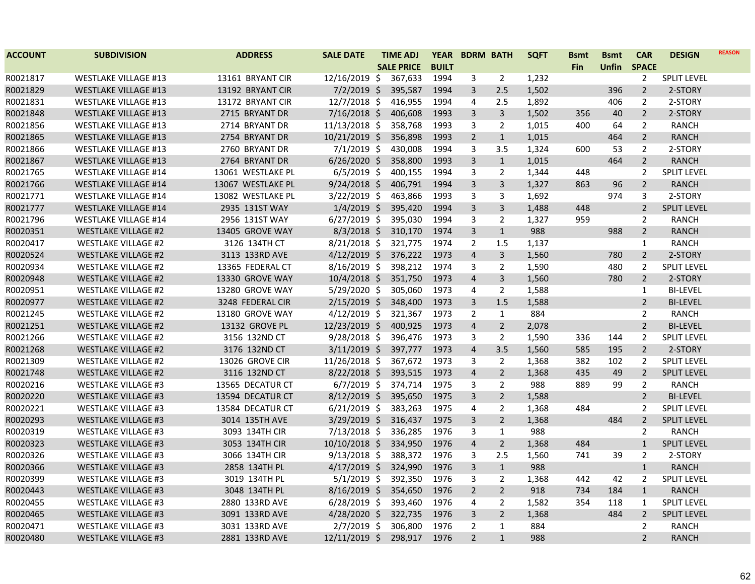| <b>ACCOUNT</b> | <b>SUBDIVISION</b>          | <b>ADDRESS</b>    | <b>SALE DATE</b> | <b>TIME ADJ</b>   | <b>YEAR</b>  | <b>BDRM BATH</b>        |                | <b>SQFT</b> | <b>Bsmt</b> | <b>Bsmt</b>  | <b>CAR</b>     | <b>DESIGN</b>      | <b>REASON</b> |
|----------------|-----------------------------|-------------------|------------------|-------------------|--------------|-------------------------|----------------|-------------|-------------|--------------|----------------|--------------------|---------------|
|                |                             |                   |                  | <b>SALE PRICE</b> | <b>BUILT</b> |                         |                |             | <b>Fin</b>  | <b>Unfin</b> | <b>SPACE</b>   |                    |               |
| R0021817       | <b>WESTLAKE VILLAGE #13</b> | 13161 BRYANT CIR  | 12/16/2019 \$    | 367,633           | 1994         | 3                       | $\overline{2}$ | 1,232       |             |              | $\overline{2}$ | <b>SPLIT LEVEL</b> |               |
| R0021829       | <b>WESTLAKE VILLAGE #13</b> | 13192 BRYANT CIR  | 7/2/2019 \$      | 395,587           | 1994         | 3                       | 2.5            | 1,502       |             | 396          | $\overline{2}$ | 2-STORY            |               |
| R0021831       | <b>WESTLAKE VILLAGE #13</b> | 13172 BRYANT CIR  | 12/7/2018 \$     | 416,955           | 1994         | 4                       | 2.5            | 1,892       |             | 406          | $\overline{2}$ | 2-STORY            |               |
| R0021848       | <b>WESTLAKE VILLAGE #13</b> | 2715 BRYANT DR    | 7/16/2018 \$     | 406,608           | 1993         | 3                       | $\overline{3}$ | 1,502       | 356         | 40           | $\overline{2}$ | 2-STORY            |               |
| R0021856       | <b>WESTLAKE VILLAGE #13</b> | 2714 BRYANT DR    | 11/13/2018 \$    | 358,768           | 1993         | 3                       | $\overline{2}$ | 1,015       | 400         | 64           | $\overline{2}$ | <b>RANCH</b>       |               |
| R0021865       | <b>WESTLAKE VILLAGE #13</b> | 2754 BRYANT DR    | 10/21/2019 \$    | 356,898           | 1993         | $\overline{2}$          | $\mathbf{1}$   | 1,015       |             | 464          | $\overline{2}$ | <b>RANCH</b>       |               |
| R0021866       | <b>WESTLAKE VILLAGE #13</b> | 2760 BRYANT DR    | $7/1/2019$ \$    | 430,008           | 1994         | $\overline{3}$          | 3.5            | 1,324       | 600         | 53           | $\overline{2}$ | 2-STORY            |               |
| R0021867       | <b>WESTLAKE VILLAGE #13</b> | 2764 BRYANT DR    | $6/26/2020$ \$   | 358,800           | 1993         | $\overline{3}$          | $\mathbf{1}$   | 1,015       |             | 464          | $\overline{2}$ | <b>RANCH</b>       |               |
| R0021765       | <b>WESTLAKE VILLAGE #14</b> | 13061 WESTLAKE PL | $6/5/2019$ \$    | 400,155           | 1994         | 3                       | $\overline{2}$ | 1,344       | 448         |              | $\overline{2}$ | <b>SPLIT LEVEL</b> |               |
| R0021766       | <b>WESTLAKE VILLAGE #14</b> | 13067 WESTLAKE PL | $9/24/2018$ \$   | 406,791           | 1994         | 3                       | 3              | 1,327       | 863         | 96           | $\overline{2}$ | <b>RANCH</b>       |               |
| R0021771       | <b>WESTLAKE VILLAGE #14</b> | 13082 WESTLAKE PL | 3/22/2019 \$     | 463,866           | 1993         | $\overline{3}$          | 3              | 1,692       |             | 974          | 3              | 2-STORY            |               |
| R0021777       | <b>WESTLAKE VILLAGE #14</b> | 2935 131ST WAY    | $1/4/2019$ \$    | 395,420           | 1994         | $\mathsf{3}$            | $\overline{3}$ | 1,488       | 448         |              | $\overline{2}$ | <b>SPLIT LEVEL</b> |               |
| R0021796       | <b>WESTLAKE VILLAGE #14</b> | 2956 131ST WAY    | $6/27/2019$ \$   | 395,030           | 1994         | 3                       | $\overline{2}$ | 1,327       | 959         |              | $\overline{2}$ | <b>RANCH</b>       |               |
| R0020351       | <b>WESTLAKE VILLAGE #2</b>  | 13405 GROVE WAY   | $8/3/2018$ \$    | 310,170           | 1974         | 3                       | $\mathbf{1}$   | 988         |             | 988          | $\overline{2}$ | <b>RANCH</b>       |               |
| R0020417       | <b>WESTLAKE VILLAGE #2</b>  | 3126 134TH CT     | $8/21/2018$ \$   | 321,775           | 1974         | $\overline{2}$          | 1.5            | 1,137       |             |              | $\mathbf{1}$   | <b>RANCH</b>       |               |
| R0020524       | <b>WESTLAKE VILLAGE #2</b>  | 3113 133RD AVE    | $4/12/2019$ \$   | 376,222           | 1973         | $\overline{\mathbf{4}}$ | 3              | 1,560       |             | 780          | $\overline{2}$ | 2-STORY            |               |
| R0020934       | <b>WESTLAKE VILLAGE #2</b>  | 13365 FEDERAL CT  | 8/16/2019 \$     | 398,212           | 1974         | $\overline{3}$          | $\overline{2}$ | 1,590       |             | 480          | $\overline{2}$ | <b>SPLIT LEVEL</b> |               |
| R0020948       | <b>WESTLAKE VILLAGE #2</b>  | 13330 GROVE WAY   | 10/4/2018 \$     | 351,750           | 1973         | $\overline{\mathbf{4}}$ | $\overline{3}$ | 1,560       |             | 780          | $2^{\circ}$    | 2-STORY            |               |
| R0020951       | <b>WESTLAKE VILLAGE #2</b>  | 13280 GROVE WAY   | 5/29/2020 \$     | 305,060           | 1973         | 4                       | 2              | 1,588       |             |              | $\mathbf{1}$   | <b>BI-LEVEL</b>    |               |
| R0020977       | <b>WESTLAKE VILLAGE #2</b>  | 3248 FEDERAL CIR  | $2/15/2019$ \$   | 348,400           | 1973         | $\overline{3}$          | 1.5            | 1,588       |             |              | $\overline{2}$ | <b>BI-LEVEL</b>    |               |
| R0021245       | <b>WESTLAKE VILLAGE #2</b>  | 13180 GROVE WAY   | $4/12/2019$ \$   | 321,367           | 1973         | $\overline{2}$          | 1              | 884         |             |              | $\overline{2}$ | <b>RANCH</b>       |               |
| R0021251       | <b>WESTLAKE VILLAGE #2</b>  | 13132 GROVE PL    | 12/23/2019 \$    | 400,925           | 1973         | $\overline{\mathbf{4}}$ | $\overline{2}$ | 2,078       |             |              | $\overline{2}$ | <b>BI-LEVEL</b>    |               |
| R0021266       | <b>WESTLAKE VILLAGE #2</b>  | 3156 132ND CT     | $9/28/2018$ \$   | 396,476           | 1973         | 3                       | $\overline{2}$ | 1,590       | 336         | 144          | 2              | <b>SPLIT LEVEL</b> |               |
| R0021268       | <b>WESTLAKE VILLAGE #2</b>  | 3176 132ND CT     | $3/11/2019$ \$   | 397,777           | 1973         | $\overline{4}$          | 3.5            | 1,560       | 585         | 195          | $\overline{2}$ | 2-STORY            |               |
| R0021309       | <b>WESTLAKE VILLAGE #2</b>  | 13026 GROVE CIR   | 11/26/2018 \$    | 367,672           | 1973         | 3                       | $\overline{2}$ | 1,368       | 382         | 102          | $\overline{2}$ | <b>SPLIT LEVEL</b> |               |
| R0021748       | <b>WESTLAKE VILLAGE #2</b>  | 3116 132ND CT     | 8/22/2018 \$     | 393,515           | 1973         | $\overline{4}$          | $\overline{2}$ | 1,368       | 435         | 49           | $\overline{2}$ | <b>SPLIT LEVEL</b> |               |
| R0020216       | <b>WESTLAKE VILLAGE #3</b>  | 13565 DECATUR CT  | $6/7/2019$ \$    | 374,714           | 1975         | 3                       | $\overline{2}$ | 988         | 889         | 99           | $\overline{2}$ | <b>RANCH</b>       |               |
| R0020220       | <b>WESTLAKE VILLAGE #3</b>  | 13594 DECATUR CT  | 8/12/2019 \$     | 395,650           | 1975         | 3                       | $\overline{2}$ | 1,588       |             |              | $\overline{2}$ | <b>BI-LEVEL</b>    |               |
| R0020221       | <b>WESTLAKE VILLAGE #3</b>  | 13584 DECATUR CT  | $6/21/2019$ \$   | 383,263           | 1975         | 4                       | $\overline{2}$ | 1,368       | 484         |              | 2              | <b>SPLIT LEVEL</b> |               |
| R0020293       | <b>WESTLAKE VILLAGE #3</b>  | 3014 135TH AVE    | 3/29/2019 \$     | 316,437           | 1975         | $\overline{3}$          | $\overline{2}$ | 1,368       |             | 484          | $\overline{2}$ | <b>SPLIT LEVEL</b> |               |
| R0020319       | <b>WESTLAKE VILLAGE #3</b>  | 3093 134TH CIR    | 7/13/2018 \$     | 336,285           | 1976         | 3                       | $\mathbf{1}$   | 988         |             |              | $\overline{2}$ | <b>RANCH</b>       |               |
| R0020323       | <b>WESTLAKE VILLAGE #3</b>  | 3053 134TH CIR    | 10/10/2018 \$    | 334,950           | 1976         | $\overline{4}$          | $\overline{2}$ | 1,368       | 484         |              | $\mathbf{1}$   | <b>SPLIT LEVEL</b> |               |
| R0020326       | <b>WESTLAKE VILLAGE #3</b>  | 3066 134TH CIR    | $9/13/2018$ \$   | 388,372           | 1976         | 3                       | 2.5            | 1,560       | 741         | 39           | 2              | 2-STORY            |               |
| R0020366       | <b>WESTLAKE VILLAGE #3</b>  | 2858 134TH PL     | $4/17/2019$ \$   | 324,990           | 1976         | $\mathsf{3}$            | $\mathbf{1}$   | 988         |             |              | $\mathbf{1}$   | <b>RANCH</b>       |               |
| R0020399       | <b>WESTLAKE VILLAGE #3</b>  | 3019 134TH PL     | $5/1/2019$ \$    | 392,350           | 1976         | 3                       | $\overline{2}$ | 1,368       | 442         | 42           | $\overline{2}$ | <b>SPLIT LEVEL</b> |               |
| R0020443       | <b>WESTLAKE VILLAGE #3</b>  | 3048 134TH PL     | $8/16/2019$ \$   | 354,650           | 1976         | $\overline{2}$          | $\overline{2}$ | 918         | 734         | 184          | $\mathbf{1}$   | <b>RANCH</b>       |               |
| R0020455       | <b>WESTLAKE VILLAGE #3</b>  | 2880 133RD AVE    | $6/28/2019$ \$   | 393,460           | 1976         | 4                       | $\overline{2}$ | 1,582       | 354         | 118          | $\mathbf{1}$   | <b>SPLIT LEVEL</b> |               |
| R0020465       | <b>WESTLAKE VILLAGE #3</b>  | 3091 133RD AVE    | 4/28/2020 \$     | 322,735           | 1976         | $\mathsf{3}$            | $\overline{2}$ | 1,368       |             | 484          | $\overline{2}$ | SPLIT LEVEL        |               |
| R0020471       | <b>WESTLAKE VILLAGE #3</b>  | 3031 133RD AVE    | $2/7/2019$ \$    | 306,800           | 1976         | $\overline{2}$          | $\mathbf{1}$   | 884         |             |              | $\overline{2}$ | <b>RANCH</b>       |               |
| R0020480       | <b>WESTLAKE VILLAGE #3</b>  | 2881 133RD AVE    | 12/11/2019 \$    | 298,917           | 1976         | $\overline{2}$          | $\mathbf{1}$   | 988         |             |              | $\overline{2}$ | <b>RANCH</b>       |               |
|                |                             |                   |                  |                   |              |                         |                |             |             |              |                |                    |               |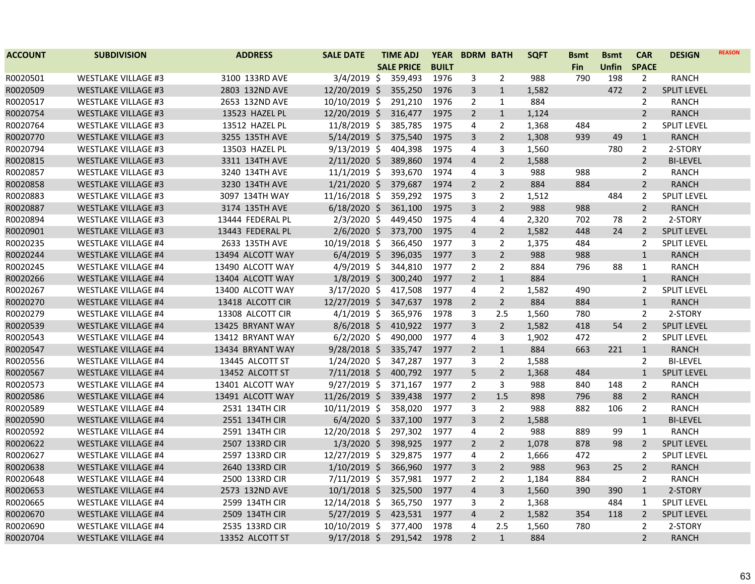| <b>ACCOUNT</b> | <b>SUBDIVISION</b>         | <b>ADDRESS</b>   | <b>SALE DATE</b> | <b>TIME ADJ</b>   | <b>YEAR</b>  | <b>BDRM BATH</b> |                | <b>SQFT</b> | <b>Bsmt</b> | <b>Bsmt</b>  | <b>CAR</b>     | <b>DESIGN</b>      | <b>REASON</b> |
|----------------|----------------------------|------------------|------------------|-------------------|--------------|------------------|----------------|-------------|-------------|--------------|----------------|--------------------|---------------|
|                |                            |                  |                  | <b>SALE PRICE</b> | <b>BUILT</b> |                  |                |             | Fin         | <b>Unfin</b> | <b>SPACE</b>   |                    |               |
| R0020501       | <b>WESTLAKE VILLAGE #3</b> | 3100 133RD AVE   | $3/4/2019$ \$    | 359,493           | 1976         | 3                | $\overline{2}$ | 988         | 790         | 198          | $\overline{2}$ | <b>RANCH</b>       |               |
| R0020509       | <b>WESTLAKE VILLAGE #3</b> | 2803 132ND AVE   | 12/20/2019 \$    | 355,250           | 1976         | 3                | $\mathbf{1}$   | 1,582       |             | 472          | $\overline{2}$ | SPLIT LEVEL        |               |
| R0020517       | <b>WESTLAKE VILLAGE #3</b> | 2653 132ND AVE   | 10/10/2019 \$    | 291,210           | 1976         | $\overline{2}$   | $\mathbf{1}$   | 884         |             |              | $\overline{2}$ | <b>RANCH</b>       |               |
| R0020754       | <b>WESTLAKE VILLAGE #3</b> | 13523 HAZEL PL   | 12/20/2019 \$    | 316,477           | 1975         | $\overline{2}$   | $\mathbf{1}$   | 1,124       |             |              | $\overline{2}$ | <b>RANCH</b>       |               |
| R0020764       | <b>WESTLAKE VILLAGE #3</b> | 13512 HAZEL PL   | 11/8/2019 \$     | 385,785           | 1975         | 4                | $\overline{2}$ | 1,368       | 484         |              | 2              | <b>SPLIT LEVEL</b> |               |
| R0020770       | <b>WESTLAKE VILLAGE #3</b> | 3255 135TH AVE   | $5/14/2019$ \$   | 375,540           | 1975         | 3                | $\overline{2}$ | 1,308       | 939         | 49           | $\mathbf{1}$   | <b>RANCH</b>       |               |
| R0020794       | <b>WESTLAKE VILLAGE #3</b> | 13503 HAZEL PL   | $9/13/2019$ \$   | 404,398           | 1975         | 4                | 3              | 1,560       |             | 780          | $\overline{2}$ | 2-STORY            |               |
| R0020815       | <b>WESTLAKE VILLAGE #3</b> | 3311 134TH AVE   | $2/11/2020$ \$   | 389,860           | 1974         | $\overline{4}$   | $\overline{2}$ | 1,588       |             |              | $\overline{2}$ | <b>BI-LEVEL</b>    |               |
| R0020857       | <b>WESTLAKE VILLAGE #3</b> | 3240 134TH AVE   | $11/1/2019$ \$   | 393,670           | 1974         | 4                | 3              | 988         | 988         |              | $\overline{2}$ | <b>RANCH</b>       |               |
| R0020858       | <b>WESTLAKE VILLAGE #3</b> | 3230 134TH AVE   | $1/21/2020$ \$   | 379,687           | 1974         | $\overline{2}$   | $\overline{2}$ | 884         | 884         |              | $\overline{2}$ | <b>RANCH</b>       |               |
| R0020883       | <b>WESTLAKE VILLAGE #3</b> | 3097 134TH WAY   | $11/16/2018$ \$  | 359,292           | 1975         | 3                | 2              | 1,512       |             | 484          | $\overline{2}$ | <b>SPLIT LEVEL</b> |               |
| R0020887       | <b>WESTLAKE VILLAGE #3</b> | 3174 135TH AVE   | $6/18/2020$ \$   | 361,100           | 1975         | 3                | $\overline{2}$ | 988         | 988         |              | $\overline{2}$ | <b>RANCH</b>       |               |
| R0020894       | <b>WESTLAKE VILLAGE #3</b> | 13444 FEDERAL PL | $2/3/2020$ \$    | 449,450           | 1975         | 4                | 4              | 2,320       | 702         | 78           | $\overline{2}$ | 2-STORY            |               |
| R0020901       | <b>WESTLAKE VILLAGE #3</b> | 13443 FEDERAL PL | $2/6/2020$ \$    | 373,700           | 1975         | 4                | $\overline{2}$ | 1,582       | 448         | 24           | $\overline{2}$ | <b>SPLIT LEVEL</b> |               |
| R0020235       | <b>WESTLAKE VILLAGE #4</b> | 2633 135TH AVE   | 10/19/2018 \$    | 366,450           | 1977         | 3                | $\overline{2}$ | 1,375       | 484         |              | $\overline{2}$ | <b>SPLIT LEVEL</b> |               |
| R0020244       | <b>WESTLAKE VILLAGE #4</b> | 13494 ALCOTT WAY | $6/4/2019$ \$    | 396,035           | 1977         | 3                | $\overline{2}$ | 988         | 988         |              | $\mathbf{1}$   | <b>RANCH</b>       |               |
| R0020245       | <b>WESTLAKE VILLAGE #4</b> | 13490 ALCOTT WAY | $4/9/2019$ \$    | 344,810           | 1977         | $\overline{2}$   | $\overline{2}$ | 884         | 796         | 88           | $\mathbf{1}$   | <b>RANCH</b>       |               |
| R0020266       | <b>WESTLAKE VILLAGE #4</b> | 13404 ALCOTT WAY | $1/8/2019$ \$    | 300,240           | 1977         | $\overline{2}$   | $\mathbf{1}$   | 884         |             |              | $\mathbf{1}$   | <b>RANCH</b>       |               |
| R0020267       | <b>WESTLAKE VILLAGE #4</b> | 13400 ALCOTT WAY | $3/17/2020$ \$   | 417,508           | 1977         | 4                | $\overline{2}$ | 1,582       | 490         |              | $\overline{2}$ | <b>SPLIT LEVEL</b> |               |
| R0020270       | <b>WESTLAKE VILLAGE #4</b> | 13418 ALCOTT CIR | 12/27/2019 \$    | 347,637           | 1978         | $\overline{2}$   | $2^{\circ}$    | 884         | 884         |              | $\mathbf{1}$   | <b>RANCH</b>       |               |
| R0020279       | <b>WESTLAKE VILLAGE #4</b> | 13308 ALCOTT CIR | $4/1/2019$ \$    | 365,976           | 1978         | 3                | 2.5            | 1,560       | 780         |              | $\overline{2}$ | 2-STORY            |               |
| R0020539       | <b>WESTLAKE VILLAGE #4</b> | 13425 BRYANT WAY | $8/6/2018$ \$    | 410,922           | 1977         | 3                | $\overline{2}$ | 1,582       | 418         | 54           | $\overline{2}$ | <b>SPLIT LEVEL</b> |               |
| R0020543       | <b>WESTLAKE VILLAGE #4</b> | 13412 BRYANT WAY | $6/2/2020$ \$    | 490,000           | 1977         | 4                | 3              | 1,902       | 472         |              | $\overline{2}$ | <b>SPLIT LEVEL</b> |               |
| R0020547       | <b>WESTLAKE VILLAGE #4</b> | 13434 BRYANT WAY | $9/28/2018$ \$   | 335,747           | 1977         | $\overline{2}$   | $\mathbf{1}$   | 884         | 663         | 221          | $\mathbf{1}$   | <b>RANCH</b>       |               |
| R0020556       | <b>WESTLAKE VILLAGE #4</b> | 13445 ALCOTT ST  | 1/24/2020 \$     | 347,287           | 1977         | 3                | $\overline{2}$ | 1,588       |             |              | $\overline{2}$ | <b>BI-LEVEL</b>    |               |
| R0020567       | <b>WESTLAKE VILLAGE #4</b> | 13452 ALCOTT ST  | $7/11/2018$ \$   | 400,792           | 1977         | 5                | $\overline{2}$ | 1,368       | 484         |              | $\mathbf{1}$   | <b>SPLIT LEVEL</b> |               |
| R0020573       | <b>WESTLAKE VILLAGE #4</b> | 13401 ALCOTT WAY | $9/27/2019$ \$   | 371,167           | 1977         | $\overline{2}$   | 3              | 988         | 840         | 148          | $\overline{2}$ | <b>RANCH</b>       |               |
| R0020586       | <b>WESTLAKE VILLAGE #4</b> | 13491 ALCOTT WAY | 11/26/2019 \$    | 339,438           | 1977         | $\overline{2}$   | 1.5            | 898         | 796         | 88           | $\overline{2}$ | <b>RANCH</b>       |               |
| R0020589       | <b>WESTLAKE VILLAGE #4</b> | 2531 134TH CIR   | 10/11/2019 \$    | 358,020           | 1977         | 3                | $\overline{2}$ | 988         | 882         | 106          | $\overline{2}$ | <b>RANCH</b>       |               |
| R0020590       | <b>WESTLAKE VILLAGE #4</b> | 2551 134TH CIR   | $6/4/2020$ \$    | 337,100           | 1977         | 3                | $\overline{2}$ | 1,588       |             |              | $\mathbf 1$    | <b>BI-LEVEL</b>    |               |
| R0020592       | <b>WESTLAKE VILLAGE #4</b> | 2591 134TH CIR   | 12/20/2018 \$    | 297,302           | 1977         | 4                | $\overline{2}$ | 988         | 889         | 99           | $\mathbf{1}$   | <b>RANCH</b>       |               |
| R0020622       | <b>WESTLAKE VILLAGE #4</b> | 2507 133RD CIR   | $1/3/2020$ \$    | 398,925           | 1977         | $\overline{2}$   | $\overline{2}$ | 1,078       | 878         | 98           | $\overline{2}$ | <b>SPLIT LEVEL</b> |               |
| R0020627       | <b>WESTLAKE VILLAGE #4</b> | 2597 133RD CIR   | 12/27/2019 \$    | 329,875           | 1977         | 4                | $\overline{2}$ | 1,666       | 472         |              | $\overline{2}$ | <b>SPLIT LEVEL</b> |               |
| R0020638       | <b>WESTLAKE VILLAGE #4</b> | 2640 133RD CIR   | $1/10/2019$ \$   | 366,960           | 1977         | 3                | $2^{\circ}$    | 988         | 963         | 25           | $\overline{2}$ | <b>RANCH</b>       |               |
| R0020648       | <b>WESTLAKE VILLAGE #4</b> | 2500 133RD CIR   | $7/11/2019$ \$   | 357,981           | 1977         | $\overline{2}$   | $\overline{2}$ | 1,184       | 884         |              | $\overline{2}$ | <b>RANCH</b>       |               |
| R0020653       | <b>WESTLAKE VILLAGE #4</b> | 2573 132ND AVE   | $10/1/2018$ \$   | 325,500           | 1977         | 4                | $\overline{3}$ | 1,560       | 390         | 390          | $\mathbf{1}$   | 2-STORY            |               |
| R0020665       | <b>WESTLAKE VILLAGE #4</b> | 2599 134TH CIR   | 12/14/2018 \$    | 365,750           | 1977         | 3                | $\overline{2}$ | 1,368       |             | 484          | 1              | <b>SPLIT LEVEL</b> |               |
| R0020670       | <b>WESTLAKE VILLAGE #4</b> | 2509 134TH CIR   | $5/27/2019$ \$   | 423,531           | 1977         | $\overline{4}$   | $2^{\circ}$    | 1,582       | 354         | 118          | $\overline{2}$ | <b>SPLIT LEVEL</b> |               |
| R0020690       | <b>WESTLAKE VILLAGE #4</b> | 2535 133RD CIR   | $10/10/2019$ \$  | 377,400           | 1978         | 4                | 2.5            | 1,560       | 780         |              | $\overline{2}$ | 2-STORY            |               |
| R0020704       | <b>WESTLAKE VILLAGE #4</b> | 13352 ALCOTT ST  | $9/17/2018$ \$   | 291,542           | 1978         | $\overline{2}$   | $\mathbf{1}$   | 884         |             |              | $\overline{2}$ | <b>RANCH</b>       |               |
|                |                            |                  |                  |                   |              |                  |                |             |             |              |                |                    |               |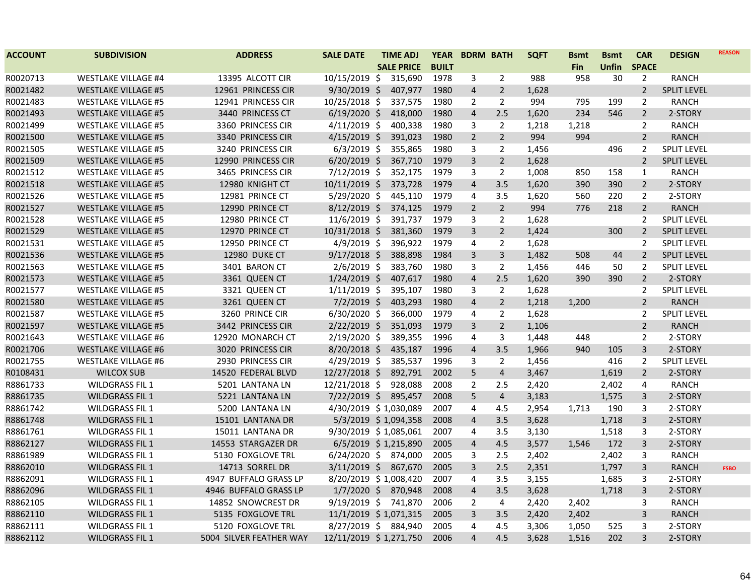| <b>ACCOUNT</b> | <b>SUBDIVISION</b>         | <b>ADDRESS</b>          | <b>SALE DATE</b>       | <b>TIME ADJ</b>   | <b>YEAR</b>  | <b>BDRM BATH</b> |                         | <b>SQFT</b> | <b>Bsmt</b> | <b>Bsmt</b> | <b>CAR</b>     | <b>DESIGN</b>      | <b>REASON</b> |
|----------------|----------------------------|-------------------------|------------------------|-------------------|--------------|------------------|-------------------------|-------------|-------------|-------------|----------------|--------------------|---------------|
|                |                            |                         |                        | <b>SALE PRICE</b> | <b>BUILT</b> |                  |                         |             | Fin         | Unfin       | <b>SPACE</b>   |                    |               |
| R0020713       | <b>WESTLAKE VILLAGE #4</b> | 13395 ALCOTT CIR        | 10/15/2019 \$          | 315,690           | 1978         | 3                | $\overline{2}$          | 988         | 958         | 30          | $\overline{2}$ | <b>RANCH</b>       |               |
| R0021482       | <b>WESTLAKE VILLAGE #5</b> | 12961 PRINCESS CIR      | 9/30/2019 \$           | 407,977           | 1980         | 4                | $\overline{2}$          | 1,628       |             |             | $\overline{2}$ | <b>SPLIT LEVEL</b> |               |
| R0021483       | <b>WESTLAKE VILLAGE #5</b> | 12941 PRINCESS CIR      | 10/25/2018 \$          | 337,575           | 1980         | $\overline{2}$   | $\overline{2}$          | 994         | 795         | 199         | $\overline{2}$ | <b>RANCH</b>       |               |
| R0021493       | <b>WESTLAKE VILLAGE #5</b> | 3440 PRINCESS CT        | $6/19/2020$ \$         | 418,000           | 1980         | $\overline{4}$   | 2.5                     | 1,620       | 234         | 546         | $\overline{2}$ | 2-STORY            |               |
| R0021499       | <b>WESTLAKE VILLAGE #5</b> | 3360 PRINCESS CIR       | $4/11/2019$ \$         | 400,338           | 1980         | 3                | $\overline{2}$          | 1,218       | 1,218       |             | $\overline{2}$ | <b>RANCH</b>       |               |
| R0021500       | <b>WESTLAKE VILLAGE #5</b> | 3340 PRINCESS CIR       | $4/15/2019$ \$         | 391,023           | 1980         | $\overline{2}$   | $\overline{2}$          | 994         | 994         |             | $\overline{2}$ | <b>RANCH</b>       |               |
| R0021505       | <b>WESTLAKE VILLAGE #5</b> | 3240 PRINCESS CIR       | $6/3/2019$ \$          | 355,865           | 1980         | 3                | $\overline{2}$          | 1,456       |             | 496         | $\overline{2}$ | <b>SPLIT LEVEL</b> |               |
| R0021509       | <b>WESTLAKE VILLAGE #5</b> | 12990 PRINCESS CIR      | $6/20/2019$ \$         | 367,710           | 1979         | 3                | $\overline{2}$          | 1,628       |             |             | $\overline{2}$ | <b>SPLIT LEVEL</b> |               |
| R0021512       | <b>WESTLAKE VILLAGE #5</b> | 3465 PRINCESS CIR       | 7/12/2019 \$           | 352,175           | 1979         | 3                | $\overline{2}$          | 1,008       | 850         | 158         | $\mathbf{1}$   | <b>RANCH</b>       |               |
| R0021518       | <b>WESTLAKE VILLAGE #5</b> | 12980 KNIGHT CT         | $10/11/2019$ \$        | 373,728           | 1979         | 4                | 3.5                     | 1,620       | 390         | 390         | $\overline{2}$ | 2-STORY            |               |
| R0021526       | <b>WESTLAKE VILLAGE #5</b> | 12981 PRINCE CT         | 5/29/2020 \$           | 445,110           | 1979         | 4                | 3.5                     | 1,620       | 560         | 220         | 2              | 2-STORY            |               |
| R0021527       | <b>WESTLAKE VILLAGE #5</b> | 12990 PRINCE CT         | $8/12/2019$ \$         | 374,125           | 1979         | $\overline{2}$   | $\overline{2}$          | 994         | 776         | 218         | $\overline{2}$ | <b>RANCH</b>       |               |
| R0021528       | <b>WESTLAKE VILLAGE #5</b> | 12980 PRINCE CT         | $11/6/2019$ \$         | 391,737           | 1979         | 3                | $\overline{2}$          | 1,628       |             |             | $\overline{2}$ | <b>SPLIT LEVEL</b> |               |
| R0021529       | <b>WESTLAKE VILLAGE #5</b> | 12970 PRINCE CT         | 10/31/2018 \$          | 381,360           | 1979         | $\overline{3}$   | $\overline{2}$          | 1,424       |             | 300         | $\overline{2}$ | <b>SPLIT LEVEL</b> |               |
| R0021531       | <b>WESTLAKE VILLAGE #5</b> | 12950 PRINCE CT         | $4/9/2019$ \$          | 396,922           | 1979         | 4                | $\overline{2}$          | 1,628       |             |             | $\overline{2}$ | <b>SPLIT LEVEL</b> |               |
| R0021536       | <b>WESTLAKE VILLAGE #5</b> | <b>12980 DUKE CT</b>    | $9/17/2018$ \$         | 388,898           | 1984         | 3                | $\overline{3}$          | 1,482       | 508         | 44          | $\overline{2}$ | SPLIT LEVEL        |               |
| R0021563       | <b>WESTLAKE VILLAGE #5</b> | 3401 BARON CT           | $2/6/2019$ \$          | 383,760           | 1980         | 3                | $\overline{2}$          | 1,456       | 446         | 50          | $\overline{2}$ | <b>SPLIT LEVEL</b> |               |
| R0021573       | <b>WESTLAKE VILLAGE #5</b> | 3361 QUEEN CT           | $1/24/2019$ \$         | 407,617           | 1980         | $\overline{4}$   | 2.5                     | 1,620       | 390         | 390         | $\overline{2}$ | 2-STORY            |               |
| R0021577       | <b>WESTLAKE VILLAGE #5</b> | 3321 QUEEN CT           | $1/11/2019$ \$         | 395,107           | 1980         | 3                | $\overline{2}$          | 1,628       |             |             | $\overline{2}$ | <b>SPLIT LEVEL</b> |               |
| R0021580       | <b>WESTLAKE VILLAGE #5</b> | 3261 QUEEN CT           | $7/2/2019$ \$          | 403,293           | 1980         | 4                | $\overline{2}$          | 1,218       | 1,200       |             | $\overline{2}$ | <b>RANCH</b>       |               |
| R0021587       | <b>WESTLAKE VILLAGE #5</b> | 3260 PRINCE CIR         | $6/30/2020$ \$         | 366,000           | 1979         | 4                | $\overline{2}$          | 1,628       |             |             | $\overline{2}$ | <b>SPLIT LEVEL</b> |               |
| R0021597       | <b>WESTLAKE VILLAGE #5</b> | 3442 PRINCESS CIR       | $2/22/2019$ \$         | 351,093           | 1979         | 3                | $\overline{2}$          | 1,106       |             |             | $\overline{2}$ | <b>RANCH</b>       |               |
| R0021643       | <b>WESTLAKE VILLAGE #6</b> | 12920 MONARCH CT        | 2/19/2020 \$           | 389,355           | 1996         | 4                | 3                       | 1,448       | 448         |             | $\overline{2}$ | 2-STORY            |               |
| R0021706       | <b>WESTLAKE VILLAGE #6</b> | 3020 PRINCESS CIR       | $8/20/2018$ \$         | 435,187           | 1996         | $\overline{4}$   | 3.5                     | 1,966       | 940         | 105         | 3              | 2-STORY            |               |
| R0021755       | <b>WESTLAKE VILLAGE #6</b> | 2930 PRINCESS CIR       | 4/29/2019 \$           | 385,537           | 1996         | 3                | $\overline{2}$          | 1,456       |             | 416         | $\overline{2}$ | <b>SPLIT LEVEL</b> |               |
| R0108431       | <b>WILCOX SUB</b>          | 14520 FEDERAL BLVD      | 12/27/2018 \$          | 892,791           | 2002         | 5                | $\overline{4}$          | 3,467       |             | 1,619       | $\overline{2}$ | 2-STORY            |               |
| R8861733       | <b>WILDGRASS FIL 1</b>     | 5201 LANTANA LN         | 12/21/2018 \$          | 928,088           | 2008         | $\overline{2}$   | 2.5                     | 2,420       |             | 2,402       | 4              | <b>RANCH</b>       |               |
| R8861735       | <b>WILDGRASS FIL 1</b>     | 5221 LANTANA LN         | $7/22/2019$ \$         | 895,457           | 2008         | 5                | $\overline{\mathbf{4}}$ | 3,183       |             | 1,575       | 3              | 2-STORY            |               |
| R8861742       | <b>WILDGRASS FIL 1</b>     | 5200 LANTANA LN         | 4/30/2019 \$1,030,089  |                   | 2007         | 4                | 4.5                     | 2,954       | 1,713       | 190         | 3              | 2-STORY            |               |
| R8861748       | <b>WILDGRASS FIL 1</b>     | 15101 LANTANA DR        | 5/3/2019 \$1,094,358   |                   | 2008         | 4                | 3.5                     | 3,628       |             | 1,718       | 3              | 2-STORY            |               |
| R8861761       | <b>WILDGRASS FIL 1</b>     | 15011 LANTANA DR        | 9/30/2019 \$1,085,061  |                   | 2007         | 4                | 3.5                     | 3,130       |             | 1,518       | 3              | 2-STORY            |               |
| R8862127       | <b>WILDGRASS FIL 1</b>     | 14553 STARGAZER DR      | 6/5/2019 \$1,215,890   |                   | 2005         | 4                | 4.5                     | 3,577       | 1,546       | 172         | 3              | 2-STORY            |               |
| R8861989       | <b>WILDGRASS FIL 1</b>     | 5130 FOXGLOVE TRL       | 6/24/2020 \$ 874,000   |                   | 2005         | 3                | 2.5                     | 2,402       |             | 2,402       | 3              | <b>RANCH</b>       |               |
| R8862010       | <b>WILDGRASS FIL 1</b>     | 14713 SORREL DR         | $3/11/2019$ \$         | 867,670           | 2005         | 3                | 2.5                     | 2,351       |             | 1,797       | $\overline{3}$ | <b>RANCH</b>       | <b>FSBO</b>   |
| R8862091       | <b>WILDGRASS FIL 1</b>     | 4947 BUFFALO GRASS LP   | 8/20/2019 \$1,008,420  |                   | 2007         | 4                | 3.5                     | 3,155       |             | 1,685       | 3              | 2-STORY            |               |
| R8862096       | <b>WILDGRASS FIL 1</b>     | 4946 BUFFALO GRASS LP   | $1/7/2020$ \$          | 870,948           | 2008         | 4                | 3.5                     | 3,628       |             | 1,718       | $\overline{3}$ | 2-STORY            |               |
| R8862105       | <b>WILDGRASS FIL 1</b>     | 14852 SNOWCREST DR      | 9/19/2019 \$ 741,870   |                   | 2006         | $\overline{2}$   | 4                       | 2,420       | 2,402       |             | 3              | <b>RANCH</b>       |               |
| R8862110       | <b>WILDGRASS FIL 1</b>     | 5135 FOXGLOVE TRL       | 11/1/2019 \$1,071,315  |                   | 2005         | 3                | 3.5                     | 2,420       | 2,402       |             | 3              | <b>RANCH</b>       |               |
| R8862111       | <b>WILDGRASS FIL 1</b>     | 5120 FOXGLOVE TRL       | 8/27/2019 \$ 884,940   |                   | 2005         | 4                | 4.5                     | 3,306       | 1,050       | 525         | 3              | 2-STORY            |               |
| R8862112       | <b>WILDGRASS FIL 1</b>     | 5004 SILVER FEATHER WAY | 12/11/2019 \$1,271,750 |                   | 2006         | 4                | 4.5                     | 3,628       | 1,516       | 202         | 3              | 2-STORY            |               |
|                |                            |                         |                        |                   |              |                  |                         |             |             |             |                |                    |               |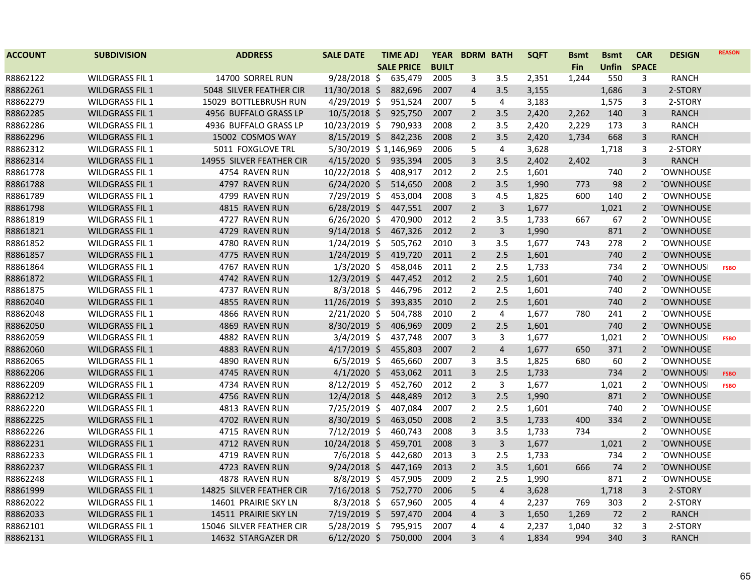| <b>ACCOUNT</b> | <b>SUBDIVISION</b>     | <b>ADDRESS</b>           | <b>SALE DATE</b>      | <b>TIME ADJ</b>   | <b>YEAR</b>  | <b>BDRM BATH</b> |                | <b>SQFT</b> | <b>Bsmt</b> | <b>Bsmt</b>  | <b>CAR</b>     | <b>DESIGN</b>    | <b>REASON</b> |
|----------------|------------------------|--------------------------|-----------------------|-------------------|--------------|------------------|----------------|-------------|-------------|--------------|----------------|------------------|---------------|
|                |                        |                          |                       | <b>SALE PRICE</b> | <b>BUILT</b> |                  |                |             | <b>Fin</b>  | <b>Unfin</b> | <b>SPACE</b>   |                  |               |
| R8862122       | <b>WILDGRASS FIL 1</b> | 14700 SORREL RUN         | 9/28/2018 \$          | 635,479           | 2005         | 3                | 3.5            | 2,351       | 1,244       | 550          | 3              | <b>RANCH</b>     |               |
| R8862261       | <b>WILDGRASS FIL 1</b> | 5048 SILVER FEATHER CIR  | 11/30/2018 \$         | 882,696           | 2007         | $\overline{4}$   | 3.5            | 3,155       |             | 1,686        | 3              | 2-STORY          |               |
| R8862279       | <b>WILDGRASS FIL 1</b> | 15029 BOTTLEBRUSH RUN    | 4/29/2019 \$          | 951,524           | 2007         | 5                | 4              | 3,183       |             | 1,575        | 3              | 2-STORY          |               |
| R8862285       | <b>WILDGRASS FIL 1</b> | 4956 BUFFALO GRASS LP    | 10/5/2018 \$          | 925,750           | 2007         | $\overline{2}$   | 3.5            | 2,420       | 2,262       | 140          | 3              | <b>RANCH</b>     |               |
| R8862286       | <b>WILDGRASS FIL 1</b> | 4936 BUFFALO GRASS LP    | 10/23/2019 \$         | 790,933           | 2008         | $\overline{2}$   | 3.5            | 2,420       | 2,229       | 173          | 3              | <b>RANCH</b>     |               |
| R8862296       | <b>WILDGRASS FIL 1</b> | 15002 COSMOS WAY         | $8/15/2019$ \$        | 842,236           | 2008         | $\overline{2}$   | 3.5            | 2,420       | 1,734       | 668          | 3              | RANCH            |               |
| R8862312       | <b>WILDGRASS FIL 1</b> | 5011 FOXGLOVE TRL        | 5/30/2019 \$1,146,969 |                   | 2006         | 5                | 4              | 3,628       |             | 1,718        | 3              | 2-STORY          |               |
| R8862314       | <b>WILDGRASS FIL 1</b> | 14955 SILVER FEATHER CIR | $4/15/2020$ \$        | 935,394           | 2005         | $\overline{3}$   | 3.5            | 2,402       | 2,402       |              | 3              | <b>RANCH</b>     |               |
| R8861778       | <b>WILDGRASS FIL 1</b> | 4754 RAVEN RUN           | $10/22/2018$ \$       | 408,917           | 2012         | $\overline{2}$   | 2.5            | 1,601       |             | 740          | 2              | <b>TOWNHOUSE</b> |               |
| R8861788       | <b>WILDGRASS FIL 1</b> | 4797 RAVEN RUN           | $6/24/2020$ \$        | 514,650           | 2008         | $\overline{2}$   | 3.5            | 1,990       | 773         | 98           | $\overline{2}$ | <b>TOWNHOUSE</b> |               |
| R8861789       | <b>WILDGRASS FIL 1</b> | 4799 RAVEN RUN           | 7/29/2019 \$          | 453,004           | 2008         | 3                | 4.5            | 1,825       | 600         | 140          | 2              | <b>TOWNHOUSE</b> |               |
| R8861798       | <b>WILDGRASS FIL 1</b> | 4815 RAVEN RUN           | $6/28/2019$ \$        | 447,551           | 2007         | $\overline{2}$   | $\mathbf{3}$   | 1,677       |             | 1,021        | $\overline{2}$ | <b>TOWNHOUSE</b> |               |
| R8861819       | <b>WILDGRASS FIL 1</b> | 4727 RAVEN RUN           | $6/26/2020$ \$        | 470,900           | 2012         | $\overline{2}$   | 3.5            | 1,733       | 667         | 67           | $\overline{2}$ | <b>TOWNHOUSE</b> |               |
| R8861821       | <b>WILDGRASS FIL 1</b> | 4729 RAVEN RUN           | $9/14/2018$ \$        | 467,326           | 2012         | $\overline{2}$   | $\mathbf{3}$   | 1,990       |             | 871          | $\overline{2}$ | <b>TOWNHOUSE</b> |               |
| R8861852       | <b>WILDGRASS FIL 1</b> | 4780 RAVEN RUN           | $1/24/2019$ \$        | 505,762           | 2010         | 3                | 3.5            | 1,677       | 743         | 278          | 2              | <b>TOWNHOUSE</b> |               |
| R8861857       | <b>WILDGRASS FIL 1</b> | 4775 RAVEN RUN           | $1/24/2019$ \$        | 419,720           | 2011         | $\overline{2}$   | 2.5            | 1,601       |             | 740          | $\overline{2}$ | <b>TOWNHOUSE</b> |               |
| R8861864       | <b>WILDGRASS FIL 1</b> | 4767 RAVEN RUN           | $1/3/2020$ \$         | 458,046           | 2011         | $\overline{2}$   | 2.5            | 1,733       |             | 734          | 2              | <b>TOWNHOUSI</b> | <b>FSBO</b>   |
| R8861872       | <b>WILDGRASS FIL 1</b> | 4742 RAVEN RUN           | $12/3/2019$ \$        | 447,452           | 2012         | $\overline{2}$   | 2.5            | 1,601       |             | 740          | $\overline{2}$ | <b>TOWNHOUSE</b> |               |
| R8861875       | <b>WILDGRASS FIL 1</b> | 4737 RAVEN RUN           | $8/3/2018$ \$         | 446,796           | 2012         | $\overline{2}$   | 2.5            | 1,601       |             | 740          | 2              | <b>TOWNHOUSE</b> |               |
| R8862040       | <b>WILDGRASS FIL 1</b> | 4855 RAVEN RUN           | 11/26/2019 \$         | 393,835           | 2010         | $\overline{2}$   | 2.5            | 1,601       |             | 740          | $\overline{2}$ | <b>TOWNHOUSE</b> |               |
| R8862048       | <b>WILDGRASS FIL 1</b> | 4866 RAVEN RUN           | 2/21/2020 \$          | 504,788           | 2010         | $\overline{2}$   | 4              | 1,677       | 780         | 241          | $\overline{2}$ | <b>TOWNHOUSE</b> |               |
| R8862050       | <b>WILDGRASS FIL 1</b> | 4869 RAVEN RUN           | $8/30/2019$ \$        | 406,969           | 2009         | $\overline{2}$   | 2.5            | 1,601       |             | 740          | $\overline{2}$ | <b>TOWNHOUSE</b> |               |
| R8862059       | <b>WILDGRASS FIL 1</b> | 4882 RAVEN RUN           | $3/4/2019$ \$         | 437,748           | 2007         | 3                | 3              | 1,677       |             | 1,021        | 2              | <b>TOWNHOUSI</b> | <b>FSBO</b>   |
| R8862060       | <b>WILDGRASS FIL 1</b> | 4883 RAVEN RUN           | $4/17/2019$ \$        | 455,803           | 2007         | $\overline{2}$   | $\overline{4}$ | 1,677       | 650         | 371          | 2              | <b>TOWNHOUSE</b> |               |
| R8862065       | <b>WILDGRASS FIL 1</b> | 4890 RAVEN RUN           | $6/5/2019$ \$         | 465,660           | 2007         | 3                | 3.5            | 1,825       | 680         | 60           | 2              | <b>TOWNHOUSE</b> |               |
| R8862206       | <b>WILDGRASS FIL 1</b> | 4745 RAVEN RUN           | $4/1/2020$ \$         | 453,062           | 2011         | $\overline{3}$   | 2.5            | 1,733       |             | 734          | $\overline{2}$ | <b>TOWNHOUSI</b> | <b>FSBO</b>   |
| R8862209       | <b>WILDGRASS FIL 1</b> | 4734 RAVEN RUN           | 8/12/2019 \$          | 452,760           | 2012         | $\overline{2}$   | 3              | 1,677       |             | 1,021        | 2              | <b>TOWNHOUS</b>  | <b>FSBO</b>   |
| R8862212       | <b>WILDGRASS FIL 1</b> | 4756 RAVEN RUN           | 12/4/2018 \$          | 448,489           | 2012         | 3                | 2.5            | 1,990       |             | 871          | $\overline{2}$ | <b>TOWNHOUSE</b> |               |
| R8862220       | <b>WILDGRASS FIL 1</b> | 4813 RAVEN RUN           | 7/25/2019 \$          | 407,084           | 2007         | 2                | 2.5            | 1,601       |             | 740          | 2              | <b>TOWNHOUSE</b> |               |
| R8862225       | <b>WILDGRASS FIL 1</b> | 4702 RAVEN RUN           | $8/30/2019$ \$        | 463,050           | 2008         | $\overline{2}$   | 3.5            | 1,733       | 400         | 334          | $\overline{2}$ | <b>TOWNHOUSE</b> |               |
| R8862226       | <b>WILDGRASS FIL 1</b> | 4715 RAVEN RUN           | $7/12/2019$ \$        | 460,743           | 2008         | 3                | 3.5            | 1,733       | 734         |              | $\overline{2}$ | <b>TOWNHOUSE</b> |               |
| R8862231       | <b>WILDGRASS FIL 1</b> | 4712 RAVEN RUN           | 10/24/2018 \$         | 459,701           | 2008         | 3                | $\overline{3}$ | 1,677       |             | 1,021        | $\overline{2}$ | <b>TOWNHOUSE</b> |               |
| R8862233       | <b>WILDGRASS FIL 1</b> | 4719 RAVEN RUN           | $7/6/2018$ \$         | 442,680           | 2013         | 3                | 2.5            | 1,733       |             | 734          | 2              | <b>TOWNHOUSE</b> |               |
| R8862237       | <b>WILDGRASS FIL 1</b> | 4723 RAVEN RUN           | $9/24/2018$ \$        | 447,169           | 2013         | $\overline{2}$   | 3.5            | 1,601       | 666         | 74           | $\overline{2}$ | <b>TOWNHOUSE</b> |               |
| R8862248       | <b>WILDGRASS FIL 1</b> | 4878 RAVEN RUN           | 8/8/2019 \$           | 457,905           | 2009         | $\overline{2}$   | 2.5            | 1,990       |             | 871          | $\overline{2}$ | <b>TOWNHOUSE</b> |               |
| R8861999       | <b>WILDGRASS FIL 1</b> | 14825 SILVER FEATHER CIR | 7/16/2018 \$          | 752,770           | 2006         | 5                | $\overline{4}$ | 3,628       |             | 1,718        | 3              | 2-STORY          |               |
| R8862022       | <b>WILDGRASS FIL 1</b> | 14601 PRAIRIE SKY LN     | $8/3/2018$ \$         | 657,960           | 2005         | 4                | 4              | 2,237       | 769         | 303          | $\overline{2}$ | 2-STORY          |               |
| R8862033       | <b>WILDGRASS FIL 1</b> | 14511 PRAIRIE SKY LN     | 7/19/2019 \$          | 597,470           | 2004         | $\overline{4}$   | 3              | 1,650       | 1,269       | 72           | $\overline{2}$ | <b>RANCH</b>     |               |
| R8862101       | <b>WILDGRASS FIL 1</b> | 15046 SILVER FEATHER CIR | $5/28/2019$ \$        | 795,915           | 2007         | 4                | 4              | 2,237       | 1,040       | 32           | 3              | 2-STORY          |               |
| R8862131       | <b>WILDGRASS FIL 1</b> | 14632 STARGAZER DR       | $6/12/2020$ \$        | 750,000           | 2004         | $\overline{3}$   | $\overline{4}$ | 1,834       | 994         | 340          | 3              | <b>RANCH</b>     |               |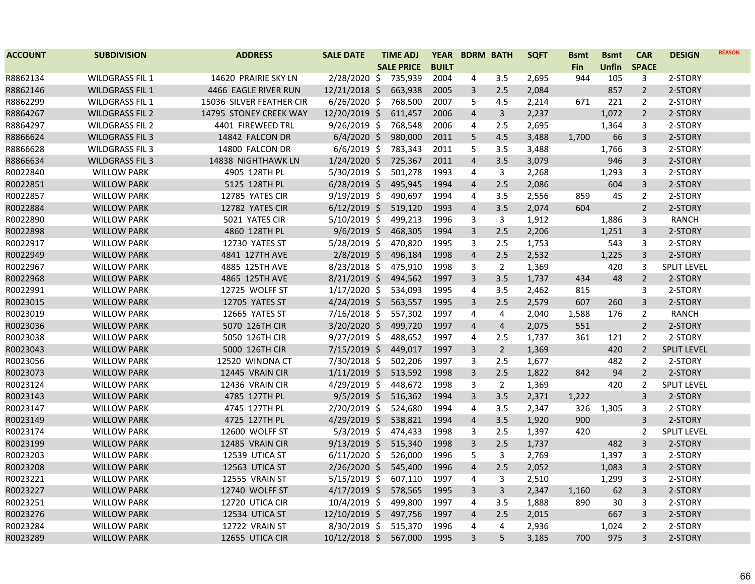| <b>ACCOUNT</b> | <b>SUBDIVISION</b>     | <b>ADDRESS</b>           | <b>SALE DATE</b> | <b>TIME ADJ</b>   | <b>YEAR</b>  | <b>BDRM BATH</b> |                | <b>SQFT</b> | <b>Bsmt</b> | <b>Bsmt</b>  | <b>CAR</b>     | <b>DESIGN</b>      | <b>REASON</b> |
|----------------|------------------------|--------------------------|------------------|-------------------|--------------|------------------|----------------|-------------|-------------|--------------|----------------|--------------------|---------------|
|                |                        |                          |                  | <b>SALE PRICE</b> | <b>BUILT</b> |                  |                |             | <b>Fin</b>  | <b>Unfin</b> | <b>SPACE</b>   |                    |               |
| R8862134       | <b>WILDGRASS FIL 1</b> | 14620 PRAIRIE SKY LN     | 2/28/2020 \$     | 735,939           | 2004         | 4                | 3.5            | 2,695       | 944         | 105          | 3              | 2-STORY            |               |
| R8862146       | <b>WILDGRASS FIL 1</b> | 4466 EAGLE RIVER RUN     | 12/21/2018 \$    | 663,938           | 2005         | 3                | 2.5            | 2,084       |             | 857          | $\overline{2}$ | 2-STORY            |               |
| R8862299       | <b>WILDGRASS FIL 1</b> | 15036 SILVER FEATHER CIR | $6/26/2020$ \$   | 768,500           | 2007         | 5                | 4.5            | 2,214       | 671         | 221          | $\overline{2}$ | 2-STORY            |               |
| R8864267       | <b>WILDGRASS FIL 2</b> | 14795 STONEY CREEK WAY   | 12/20/2019 \$    | 611,457           | 2006         | $\overline{4}$   | 3              | 2,237       |             | 1,072        | $\overline{2}$ | 2-STORY            |               |
| R8864297       | <b>WILDGRASS FIL 2</b> | 4401 FIREWEED TRL        | $9/26/2019$ \$   | 768,548           | 2006         | 4                | 2.5            | 2,695       |             | 1,364        | 3              | 2-STORY            |               |
| R8866624       | <b>WILDGRASS FIL 3</b> | 14842 FALCON DR          | $6/4/2020$ \$    | 980,000           | 2011         | 5                | 4.5            | 3,488       | 1,700       | 66           | 3              | 2-STORY            |               |
| R8866628       | <b>WILDGRASS FIL 3</b> | 14800 FALCON DR          | $6/6/2019$ \$    | 783,343           | 2011         | 5                | 3.5            | 3,488       |             | 1,766        | 3              | 2-STORY            |               |
| R8866634       | <b>WILDGRASS FIL 3</b> | 14838 NIGHTHAWK LN       | 1/24/2020 \$     | 725,367           | 2011         | $\overline{4}$   | 3.5            | 3,079       |             | 946          | 3              | 2-STORY            |               |
| R0022840       | <b>WILLOW PARK</b>     | 4905 128TH PL            | 5/30/2019 \$     | 501,278           | 1993         | 4                | 3              | 2,268       |             | 1,293        | 3              | 2-STORY            |               |
| R0022851       | <b>WILLOW PARK</b>     | 5125 128TH PL            | $6/28/2019$ \$   | 495,945           | 1994         | $\overline{4}$   | 2.5            | 2,086       |             | 604          | $\overline{3}$ | 2-STORY            |               |
| R0022857       | <b>WILLOW PARK</b>     | 12785 YATES CIR          | $9/19/2019$ \$   | 490,697           | 1994         | 4                | 3.5            | 2,556       | 859         | 45           | 2              | 2-STORY            |               |
| R0022884       | <b>WILLOW PARK</b>     | 12782 YATES CIR          | $6/12/2019$ \$   | 519,120           | 1993         | $\overline{a}$   | 3.5            | 2,074       | 604         |              | $\overline{2}$ | 2-STORY            |               |
| R0022890       | <b>WILLOW PARK</b>     | 5021 YATES CIR           | $5/10/2019$ \$   | 499,213           | 1996         | 3                | $\mathbf{3}$   | 1,912       |             | 1,886        | 3              | <b>RANCH</b>       |               |
| R0022898       | <b>WILLOW PARK</b>     | 4860 128TH PL            | $9/6/2019$ \$    | 468,305           | 1994         | 3                | 2.5            | 2,206       |             | 1,251        | $\overline{3}$ | 2-STORY            |               |
| R0022917       | <b>WILLOW PARK</b>     | <b>12730 YATES ST</b>    | $5/28/2019$ \$   | 470,820           | 1995         | 3                | 2.5            | 1,753       |             | 543          | 3              | 2-STORY            |               |
| R0022949       | <b>WILLOW PARK</b>     | 4841 127TH AVE           | $2/8/2019$ \$    | 496,184           | 1998         | $\overline{a}$   | 2.5            | 2,532       |             | 1,225        | $\overline{3}$ | 2-STORY            |               |
| R0022967       | <b>WILLOW PARK</b>     | 4885 125TH AVE           | $8/23/2018$ \$   | 475,910           | 1998         | 3                | $\overline{2}$ | 1,369       |             | 420          | 3              | SPLIT LEVEL        |               |
| R0022968       | <b>WILLOW PARK</b>     | 4865 125TH AVE           | $8/21/2019$ \$   | 494,562           | 1997         | $\overline{3}$   | 3.5            | 1,737       | 434         | 48           | $\overline{2}$ | 2-STORY            |               |
| R0022991       | <b>WILLOW PARK</b>     | 12725 WOLFF ST           | $1/17/2020$ \$   | 534,093           | 1995         | 4                | 3.5            | 2,462       | 815         |              | 3              | 2-STORY            |               |
| R0023015       | <b>WILLOW PARK</b>     | 12705 YATES ST           | $4/24/2019$ \$   | 563,557           | 1995         | 3                | 2.5            | 2,579       | 607         | 260          | 3              | 2-STORY            |               |
| R0023019       | <b>WILLOW PARK</b>     | 12665 YATES ST           | $7/16/2018$ \$   | 557,302           | 1997         | 4                | 4              | 2,040       | 1,588       | 176          | $\overline{2}$ | <b>RANCH</b>       |               |
| R0023036       | <b>WILLOW PARK</b>     | 5070 126TH CIR           | $3/20/2020$ \$   | 499,720           | 1997         | $\overline{4}$   | $\overline{4}$ | 2,075       | 551         |              | $\overline{2}$ | 2-STORY            |               |
| R0023038       | <b>WILLOW PARK</b>     | 5050 126TH CIR           | $9/27/2019$ \$   | 488,652           | 1997         | 4                | 2.5            | 1,737       | 361         | 121          | $\overline{2}$ | 2-STORY            |               |
| R0023043       | <b>WILLOW PARK</b>     | 5000 126TH CIR           | 7/15/2019 \$     | 449,017           | 1997         | 3                | $\overline{2}$ | 1,369       |             | 420          | $\overline{2}$ | <b>SPLIT LEVEL</b> |               |
| R0023056       | <b>WILLOW PARK</b>     | 12520 WINONA CT          | 7/30/2018 \$     | 502,206           | 1997         | 3                | 2.5            | 1,677       |             | 482          | $\overline{2}$ | 2-STORY            |               |
| R0023073       | <b>WILLOW PARK</b>     | 12445 VRAIN CIR          | $1/11/2019$ \$   | 513,592           | 1998         | $\overline{3}$   | 2.5            | 1,822       | 842         | 94           | $\overline{2}$ | 2-STORY            |               |
| R0023124       | <b>WILLOW PARK</b>     | 12436 VRAIN CIR          | 4/29/2019 \$     | 448,672           | 1998         | 3                | $\overline{2}$ | 1,369       |             | 420          | $\overline{2}$ | SPLIT LEVEL        |               |
| R0023143       | <b>WILLOW PARK</b>     | 4785 127TH PL            | $9/5/2019$ \$    | 516,362           | 1994         | 3                | 3.5            | 2,371       | 1,222       |              | 3              | 2-STORY            |               |
| R0023147       | <b>WILLOW PARK</b>     | 4745 127TH PL            | 2/20/2019 \$     | 524,680           | 1994         | 4                | 3.5            | 2,347       | 326         | 1,305        | 3              | 2-STORY            |               |
| R0023149       | <b>WILLOW PARK</b>     | 4725 127TH PL            | $4/29/2019$ \$   | 538,821           | 1994         | $\overline{4}$   | 3.5            | 1,920       | 900         |              | 3              | 2-STORY            |               |
| R0023174       | <b>WILLOW PARK</b>     | 12600 WOLFF ST           | $5/3/2019$ \$    | 474,433           | 1998         | 3                | 2.5            | 1,397       | 420         |              | 2              | <b>SPLIT LEVEL</b> |               |
| R0023199       | <b>WILLOW PARK</b>     | 12485 VRAIN CIR          | $9/13/2019$ \$   | 515,340           | 1998         | 3                | 2.5            | 1,737       |             | 482          | 3              | 2-STORY            |               |
| R0023203       | <b>WILLOW PARK</b>     | 12539 UTICA ST           | $6/11/2020$ \$   | 526,000           | 1996         | 5                | 3              | 2,769       |             | 1,397        | 3              | 2-STORY            |               |
| R0023208       | <b>WILLOW PARK</b>     | 12563 UTICA ST           | $2/26/2020$ \$   | 545,400           | 1996         | $\overline{a}$   | 2.5            | 2,052       |             | 1,083        | $\overline{3}$ | 2-STORY            |               |
| R0023221       | <b>WILLOW PARK</b>     | 12555 VRAIN ST           | $5/15/2019$ \$   | 607,110           | 1997         | 4                | 3              | 2,510       |             | 1,299        | 3              | 2-STORY            |               |
| R0023227       | <b>WILLOW PARK</b>     | 12740 WOLFF ST           | $4/17/2019$ \$   | 578,565           | 1995         | 3                | $\mathsf{3}$   | 2,347       | 1,160       | 62           | $\overline{3}$ | 2-STORY            |               |
| R0023251       | <b>WILLOW PARK</b>     | 12720 UTICA CIR          | $10/4/2019$ \$   | 499,800           | 1997         | 4                | 3.5            | 1,888       | 890         | 30           | 3              | 2-STORY            |               |
| R0023276       | <b>WILLOW PARK</b>     | 12534 UTICA ST           | 12/10/2019 \$    | 497,756           | 1997         | $\overline{4}$   | 2.5            | 2,015       |             | 667          | 3              | 2-STORY            |               |
| R0023284       | <b>WILLOW PARK</b>     | 12722 VRAIN ST           | $8/30/2019$ \$   | 515,370           | 1996         | 4                | 4              | 2,936       |             | 1,024        | $\overline{2}$ | 2-STORY            |               |
| R0023289       | <b>WILLOW PARK</b>     | 12655 UTICA CIR          | $10/12/2018$ \$  | 567,000           | 1995         | 3                | 5              | 3,185       | 700         | 975          | 3              | 2-STORY            |               |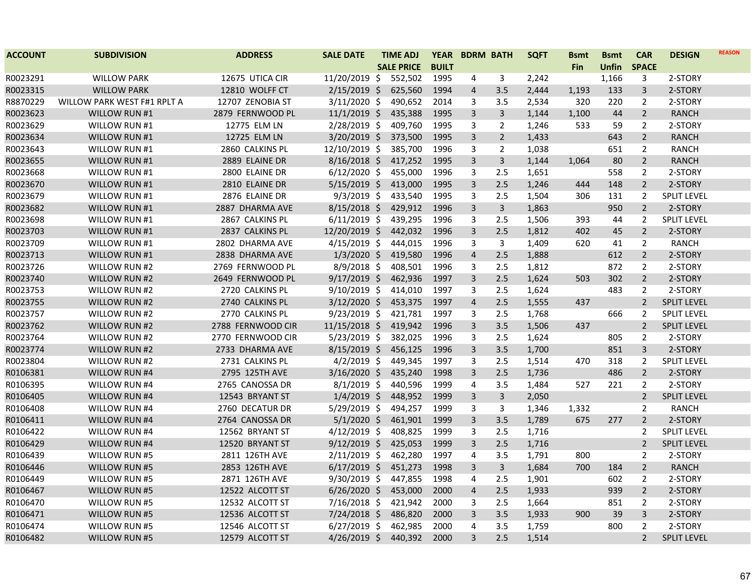| <b>ACCOUNT</b> | <b>SUBDIVISION</b>          | <b>ADDRESS</b>    | <b>SALE DATE</b> | <b>TIME ADJ</b>   | <b>YEAR</b>  | <b>BDRM BATH</b>        |                | <b>SQFT</b> | <b>Bsmt</b> | <b>Bsmt</b>  | <b>CAR</b>     | <b>DESIGN</b>      | <b>REASON</b> |
|----------------|-----------------------------|-------------------|------------------|-------------------|--------------|-------------------------|----------------|-------------|-------------|--------------|----------------|--------------------|---------------|
|                |                             |                   |                  | <b>SALE PRICE</b> | <b>BUILT</b> |                         |                |             | <b>Fin</b>  | <b>Unfin</b> | <b>SPACE</b>   |                    |               |
| R0023291       | <b>WILLOW PARK</b>          | 12675 UTICA CIR   | 11/20/2019 \$    | 552,502           | 1995         | 4                       | 3              | 2,242       |             | 1,166        | 3              | 2-STORY            |               |
| R0023315       | <b>WILLOW PARK</b>          | 12810 WOLFF CT    | 2/15/2019 \$     | 625,560           | 1994         | 4                       | 3.5            | 2,444       | 1,193       | 133          | $\mathsf{3}$   | 2-STORY            |               |
| R8870229       | WILLOW PARK WEST F#1 RPLT A | 12707 ZENOBIA ST  | $3/11/2020$ \$   | 490,652           | 2014         | 3                       | 3.5            | 2,534       | 320         | 220          | $\overline{2}$ | 2-STORY            |               |
| R0023623       | WILLOW RUN #1               | 2879 FERNWOOD PL  | $11/1/2019$ \$   | 435,388           | 1995         | 3                       | $\overline{3}$ | 1,144       | 1,100       | 44           | $\overline{2}$ | <b>RANCH</b>       |               |
| R0023629       | WILLOW RUN #1               | 12775 ELM LN      | 2/28/2019 \$     | 409,760           | 1995         | 3                       | $\overline{2}$ | 1,246       | 533         | 59           | $\overline{2}$ | 2-STORY            |               |
| R0023634       | WILLOW RUN #1               | 12725 ELM LN      | $3/20/2019$ \$   | 373,500           | 1995         | 3                       | $\overline{2}$ | 1,433       |             | 643          | $\overline{2}$ | <b>RANCH</b>       |               |
| R0023643       | WILLOW RUN #1               | 2860 CALKINS PL   | 12/10/2019 \$    | 385,700           | 1996         | 3                       | $\overline{2}$ | 1,038       |             | 651          | $\overline{2}$ | <b>RANCH</b>       |               |
| R0023655       | WILLOW RUN #1               | 2889 ELAINE DR    | $8/16/2018$ \$   | 417,252           | 1995         | $\overline{3}$          | $\mathbf{3}$   | 1,144       | 1,064       | 80           | $\overline{2}$ | <b>RANCH</b>       |               |
| R0023668       | WILLOW RUN #1               | 2800 ELAINE DR    | $6/12/2020$ \$   | 455,000           | 1996         | 3                       | 2.5            | 1,651       |             | 558          | $\overline{2}$ | 2-STORY            |               |
| R0023670       | WILLOW RUN #1               | 2810 ELAINE DR    | $5/15/2019$ \$   | 413,000           | 1995         | 3                       | 2.5            | 1,246       | 444         | 148          | $\overline{2}$ | 2-STORY            |               |
| R0023679       | WILLOW RUN #1               | 2876 ELAINE DR    | $9/3/2019$ \$    | 433,540           | 1995         | 3                       | 2.5            | 1,504       | 306         | 131          | $\overline{2}$ | <b>SPLIT LEVEL</b> |               |
| R0023682       | WILLOW RUN #1               | 2887 DHARMA AVE   | $8/15/2018$ \$   | 429,912           | 1996         | 3                       | $\overline{3}$ | 1,863       |             | 950          | $\overline{2}$ | 2-STORY            |               |
| R0023698       | WILLOW RUN #1               | 2867 CALKINS PL   | $6/11/2019$ \$   | 439,295           | 1996         | 3                       | 2.5            | 1,506       | 393         | 44           | $\overline{2}$ | <b>SPLIT LEVEL</b> |               |
| R0023703       | WILLOW RUN #1               | 2837 CALKINS PL   | 12/20/2019 \$    | 442,032           | 1996         | 3                       | 2.5            | 1,812       | 402         | 45           | $\overline{2}$ | 2-STORY            |               |
| R0023709       | WILLOW RUN #1               | 2802 DHARMA AVE   | $4/15/2019$ \$   | 444,015           | 1996         | 3                       | $\mathbf{3}$   | 1,409       | 620         | 41           | $\overline{2}$ | <b>RANCH</b>       |               |
| R0023713       | WILLOW RUN #1               | 2838 DHARMA AVE   | $1/3/2020$ \$    | 419,580           | 1996         | $\overline{\mathbf{4}}$ | 2.5            | 1,888       |             | 612          | $\overline{2}$ | 2-STORY            |               |
| R0023726       | WILLOW RUN #2               | 2769 FERNWOOD PL  | $8/9/2018$ \$    | 408,501           | 1996         | 3                       | 2.5            | 1,812       |             | 872          | $\overline{2}$ | 2-STORY            |               |
| R0023740       | <b>WILLOW RUN #2</b>        | 2649 FERNWOOD PL  | $9/17/2019$ \$   | 462,936           | 1997         | $\overline{3}$          | 2.5            | 1,624       | 503         | 302          | $\overline{2}$ | 2-STORY            |               |
| R0023753       | WILLOW RUN #2               | 2720 CALKINS PL   | $9/10/2019$ \$   | 414,010           | 1997         | 3                       | 2.5            | 1,624       |             | 483          | $\overline{2}$ | 2-STORY            |               |
| R0023755       | WILLOW RUN #2               | 2740 CALKINS PL   | $3/12/2020$ \$   | 453,375           | 1997         | 4                       | 2.5            | 1,555       | 437         |              | $\overline{2}$ | <b>SPLIT LEVEL</b> |               |
| R0023757       | WILLOW RUN #2               | 2770 CALKINS PL   | $9/23/2019$ \$   | 421,781           | 1997         | 3                       | 2.5            | 1,768       |             | 666          | $\overline{2}$ | <b>SPLIT LEVEL</b> |               |
| R0023762       | WILLOW RUN #2               | 2788 FERNWOOD CIR | $11/15/2018$ \$  | 419,942           | 1996         | 3                       | 3.5            | 1,506       | 437         |              | $\overline{2}$ | SPLIT LEVEL        |               |
| R0023764       | WILLOW RUN #2               | 2770 FERNWOOD CIR | $5/23/2019$ \$   | 382,025           | 1996         | 3                       | 2.5            | 1,624       |             | 805          | $\overline{2}$ | 2-STORY            |               |
| R0023774       | WILLOW RUN #2               | 2733 DHARMA AVE   | $8/15/2019$ \$   | 456,125           | 1996         | 3                       | 3.5            | 1,700       |             | 851          | 3              | 2-STORY            |               |
| R0023804       | WILLOW RUN #2               | 2731 CALKINS PL   | $4/2/2019$ \$    | 449,345           | 1997         | $\overline{3}$          | 2.5            | 1,514       | 470         | 318          | $\overline{2}$ | <b>SPLIT LEVEL</b> |               |
| R0106381       | WILLOW RUN #4               | 2795 125TH AVE    | $3/16/2020$ \$   | 435,240           | 1998         | $\overline{3}$          | 2.5            | 1,736       |             | 486          | $\overline{2}$ | 2-STORY            |               |
| R0106395       | WILLOW RUN #4               | 2765 CANOSSA DR   | $8/1/2019$ \$    | 440,596           | 1999         | 4                       | 3.5            | 1,484       | 527         | 221          | $\overline{2}$ | 2-STORY            |               |
| R0106405       | WILLOW RUN #4               | 12543 BRYANT ST   | $1/4/2019$ \$    | 448,952           | 1999         | 3                       | $\mathsf{3}$   | 2,050       |             |              | $\overline{2}$ | <b>SPLIT LEVEL</b> |               |
| R0106408       | WILLOW RUN #4               | 2760 DECATUR DR   | $5/29/2019$ \$   | 494,257           | 1999         | 3                       | 3              | 1,346       | 1,332       |              | $\overline{2}$ | <b>RANCH</b>       |               |
| R0106411       | WILLOW RUN #4               | 2764 CANOSSA DR   | $5/1/2020$ \$    | 461,901           | 1999         | 3                       | 3.5            | 1,789       | 675         | 277          | $\overline{2}$ | 2-STORY            |               |
| R0106422       | WILLOW RUN #4               | 12562 BRYANT ST   | $4/12/2019$ \$   | 408,825           | 1999         | 3                       | 2.5            | 1,716       |             |              | 2              | <b>SPLIT LEVEL</b> |               |
| R0106429       | WILLOW RUN #4               | 12520 BRYANT ST   | $9/12/2019$ \$   | 425,053           | 1999         | 3                       | 2.5            | 1,716       |             |              | $\overline{2}$ | <b>SPLIT LEVEL</b> |               |
| R0106439       | WILLOW RUN #5               | 2811 126TH AVE    | $2/11/2019$ \$   | 462,280           | 1997         | 4                       | 3.5            | 1,791       | 800         |              | $\overline{2}$ | 2-STORY            |               |
| R0106446       | <b>WILLOW RUN #5</b>        | 2853 126TH AVE    | $6/17/2019$ \$   | 451,273           | 1998         | 3                       | $\mathbf{3}$   | 1,684       | 700         | 184          | $\overline{2}$ | <b>RANCH</b>       |               |
| R0106449       | WILLOW RUN #5               | 2871 126TH AVE    | $9/30/2019$ \$   | 447,855           | 1998         | 4                       | 2.5            | 1,901       |             | 602          | $\overline{2}$ | 2-STORY            |               |
| R0106467       | WILLOW RUN #5               | 12522 ALCOTT ST   | $6/26/2020$ \$   | 453,000           | 2000         | $\overline{4}$          | $2.5$          | 1,933       |             | 939          | $\overline{2}$ | 2-STORY            |               |
| R0106470       | WILLOW RUN #5               | 12532 ALCOTT ST   | $7/16/2018$ \$   | 421,942           | 2000         | 3                       | 2.5            | 1,664       |             | 851          | $\overline{2}$ | 2-STORY            |               |
| R0106471       | <b>WILLOW RUN #5</b>        | 12536 ALCOTT ST   | $7/24/2018$ \$   | 486,820           | 2000         | 3                       | 3.5            | 1,933       | 900         | 39           | $\mathbf{3}$   | 2-STORY            |               |
| R0106474       | WILLOW RUN #5               | 12546 ALCOTT ST   | $6/27/2019$ \$   | 462,985           | 2000         | 4                       | 3.5            | 1,759       |             | 800          | $\overline{2}$ | 2-STORY            |               |
| R0106482       | <b>WILLOW RUN #5</b>        | 12579 ALCOTT ST   | $4/26/2019$ \$   | 440,392           | 2000         | 3                       | 2.5            | 1,514       |             |              | $\overline{2}$ | <b>SPLIT LEVEL</b> |               |